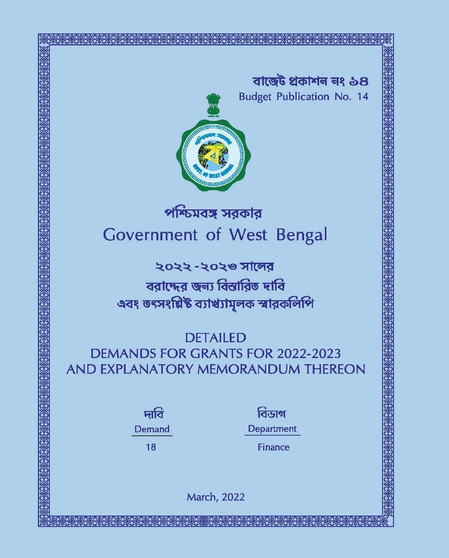বাজেট প্ৰকাশন নং ১৪ **Budget Publication No. 14** 



# পশ্চিমবঙ্গ সরকার **Government of West Bengal**

২০২২ -২০২৩ সালের বরাদ্দের জন্য বিস্তারিত দাবি এবং তৎসংশ্লিষ্ট ব্যাখ্যামূলক স্বারকলিপি

**DETAILED DEMANDS FOR GRANTS FOR 2022-2023** AND EXPLANATORY MEMORANDUM THEREON

> দাবি Demand

> > 18

বিডাগ

Department

Finance

**March, 2022**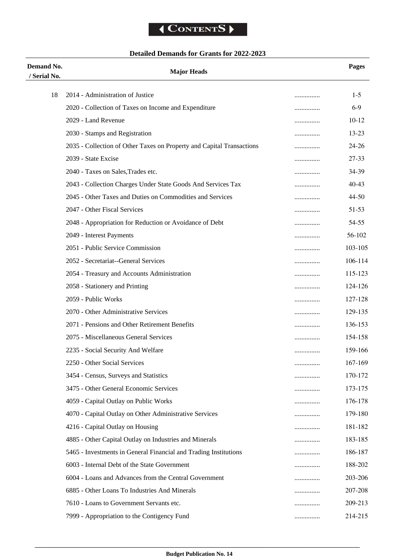# (CONTENTS)

### **Detailed Demands for Grants for 2022-2023**

| <b>Demand No.</b><br>/ Serial No. | <b>Major Heads</b>                                                    |   | Pages     |
|-----------------------------------|-----------------------------------------------------------------------|---|-----------|
| 18                                | 2014 - Administration of Justice                                      | . | $1-5$     |
|                                   | 2020 - Collection of Taxes on Income and Expenditure                  |   | $6-9$     |
|                                   | 2029 - Land Revenue                                                   | . | $10 - 12$ |
|                                   | 2030 - Stamps and Registration                                        |   | $13 - 23$ |
|                                   | 2035 - Collection of Other Taxes on Property and Capital Transactions |   | 24-26     |
|                                   | 2039 - State Excise                                                   | . | 27-33     |
|                                   | 2040 - Taxes on Sales, Trades etc.                                    |   | 34-39     |
|                                   | 2043 - Collection Charges Under State Goods And Services Tax          | . | $40 - 43$ |
|                                   | 2045 - Other Taxes and Duties on Commodities and Services             |   | 44-50     |
|                                   | 2047 - Other Fiscal Services                                          |   | 51-53     |
|                                   | 2048 - Appropriation for Reduction or Avoidance of Debt               |   | 54-55     |
|                                   | 2049 - Interest Payments                                              |   | 56-102    |
|                                   | 2051 - Public Service Commission                                      | . | 103-105   |
|                                   | 2052 - Secretariat--General Services                                  |   | 106-114   |
|                                   | 2054 - Treasury and Accounts Administration                           |   | 115-123   |
|                                   | 2058 - Stationery and Printing                                        |   | 124-126   |
|                                   | 2059 - Public Works                                                   |   | 127-128   |
|                                   | 2070 - Other Administrative Services                                  | . | 129-135   |
|                                   | 2071 - Pensions and Other Retirement Benefits                         |   | 136-153   |
|                                   | 2075 - Miscellaneous General Services                                 | . | 154-158   |
|                                   | 2235 - Social Security And Welfare                                    |   | 159-166   |
|                                   | 2250 - Other Social Services                                          |   | 167-169   |
|                                   | 3454 - Census, Surveys and Statistics                                 |   | 170-172   |
|                                   | 3475 - Other General Economic Services                                |   | 173-175   |
|                                   | 4059 - Capital Outlay on Public Works                                 |   | 176-178   |
|                                   | 4070 - Capital Outlay on Other Administrative Services                | . | 179-180   |
|                                   | 4216 - Capital Outlay on Housing                                      | . | 181-182   |
|                                   | 4885 - Other Capital Outlay on Industries and Minerals                |   | 183-185   |
|                                   | 5465 - Investments in General Financial and Trading Institutions      |   | 186-187   |
|                                   | 6003 - Internal Debt of the State Government                          |   | 188-202   |
|                                   | 6004 - Loans and Advances from the Central Government                 |   | 203-206   |
|                                   | 6885 - Other Loans To Industries And Minerals                         | . | 207-208   |
|                                   | 7610 - Loans to Government Servants etc.                              | . | 209-213   |
|                                   | 7999 - Appropriation to the Contigency Fund                           |   | 214-215   |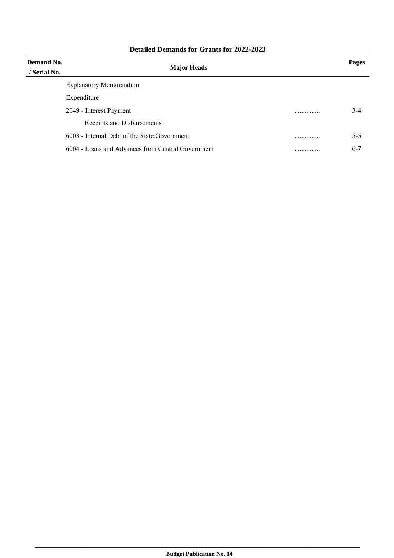| Demand No.<br>' Serial No. | <b>Major Heads</b>                                | Pages       |
|----------------------------|---------------------------------------------------|-------------|
|                            | <b>Explanatory Memorandum</b>                     |             |
|                            | Expenditure                                       |             |
|                            | 2049 - Interest Payment                           | <br>$3-4$   |
|                            | Receipts and Disbursements                        |             |
|                            | 6003 - Internal Debt of the State Government      | <br>$5 - 5$ |
|                            | 6004 - Loans and Advances from Central Government | <br>$6 - 7$ |

# **Detailed Demands for Grants for 2022-2023**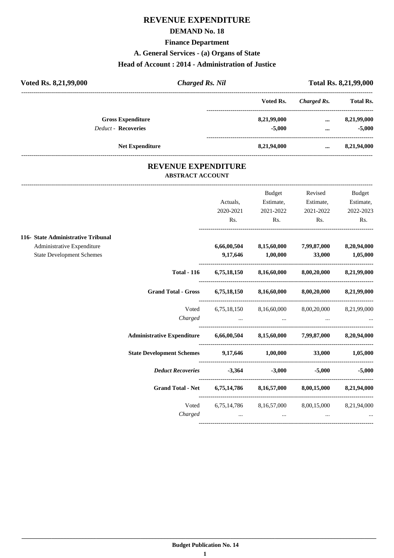### **REVENUE EXPENDITURE**

### **DEMAND No. 18**

#### **Finance Department**

**A. General Services - (a) Organs of State**

#### **Head of Account : 2014 - Administration of Justice**

| Voted Rs. 8,21,99,000      | <b>Charged Rs. Nil</b> |             | <b>Total Rs. 8,21,99,000</b> |                  |  |
|----------------------------|------------------------|-------------|------------------------------|------------------|--|
|                            |                        | Voted Rs.   | Charged Rs.                  | <b>Total Rs.</b> |  |
| <b>Gross Expenditure</b>   |                        | 8,21,99,000 | $\cdots$                     | 8,21,99,000      |  |
| <b>Deduct - Recoveries</b> |                        | $-5.000$    | $\cdots$                     | $-5,000$         |  |
| <b>Net Expenditure</b>     |                        | 8,21,94,000 | $\cdots$                     | 8,21,94,000      |  |

### **REVENUE EXPENDITURE ABSTRACT ACCOUNT**

---------------------------------------------------------------------------------------------------------------------------------------------------------------------------------

|                                    |                                                                            |           | <b>Budget</b>                                           | Revised        | Budget    |
|------------------------------------|----------------------------------------------------------------------------|-----------|---------------------------------------------------------|----------------|-----------|
|                                    |                                                                            | Actuals,  | Estimate,                                               | Estimate,      | Estimate, |
|                                    |                                                                            | 2020-2021 | 2021-2022                                               | 2021-2022      | 2022-2023 |
|                                    |                                                                            | Rs.       | Rs.                                                     | $\mathbf{Rs.}$ | Rs.       |
| 116- State Administrative Tribunal |                                                                            |           |                                                         |                |           |
| Administrative Expenditure         |                                                                            |           | 6,66,00,504 8,15,60,000 7,99,87,000 8,20,94,000         |                |           |
| <b>State Development Schemes</b>   |                                                                            |           | 9,17,646 1,00,000 33,000 1,05,000                       |                |           |
|                                    | <b>Total - 116</b>                                                         |           | $6,75,18,150$ $8,16,60,000$ $8,00,20,000$ $8,21,99,000$ |                |           |
|                                    | Grand Total - Gross 6,75,18,150 8,16,60,000 8,00,20,000 8,21,99,000        |           |                                                         |                |           |
|                                    | Voted                                                                      |           | 6,75,18,150 8,16,60,000 8,00,20,000 8,21,99,000         |                |           |
|                                    |                                                                            |           | Charged                                                 |                |           |
|                                    | Administrative Expenditure 6,66,00,504 8,15,60,000 7,99,87,000 8,20,94,000 |           |                                                         |                |           |
|                                    | State Development Schemes 9,17,646 1,00,000 33,000 1,05,000                |           |                                                         |                |           |
|                                    | Deduct Recoveries -3,364 -3,000 -5,000 -5,000                              |           |                                                         |                |           |
|                                    | Grand Total - Net 6,75,14,786 8,16,57,000 8,00,15,000 8,21,94,000          |           |                                                         |                |           |
|                                    |                                                                            |           | Voted 6,75,14,786 8,16,57,000 8,00,15,000 8,21,94,000   |                |           |
|                                    |                                                                            |           |                                                         |                |           |
|                                    |                                                                            |           |                                                         |                |           |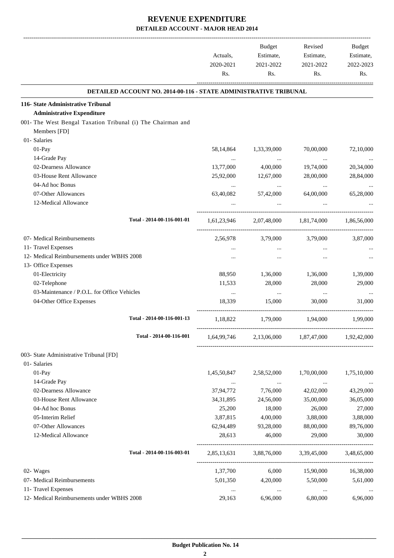-------------------------------------------------------------------------------------------------------------------------------------------------------------------------------

|                                                                         | Actuals,<br>2020-2021<br>Rs. | <b>Budget</b><br>Estimate,<br>2021-2022<br>Rs. | Revised<br>Estimate,<br>2021-2022<br>Rs.        | Budget<br>Estimate,<br>2022-2023<br>Rs. |
|-------------------------------------------------------------------------|------------------------------|------------------------------------------------|-------------------------------------------------|-----------------------------------------|
| <b>DETAILED ACCOUNT NO. 2014-00-116 - STATE ADMINISTRATIVE TRIBUNAL</b> |                              |                                                |                                                 |                                         |
| 116- State Administrative Tribunal                                      |                              |                                                |                                                 |                                         |
| <b>Administrative Expenditure</b>                                       |                              |                                                |                                                 |                                         |
| 001- The West Bengal Taxation Tribunal (i) The Chairman and             |                              |                                                |                                                 |                                         |
| Members [FD]                                                            |                              |                                                |                                                 |                                         |
| 01- Salaries                                                            |                              |                                                |                                                 |                                         |
| $01-Pay$                                                                | 58,14,864                    | 1,33,39,000                                    | 70,00,000                                       | 72,10,000                               |
| 14-Grade Pay                                                            | $\cdots$                     | <b>Contract Contract</b>                       | $\ldots$                                        | $\ddots$                                |
| 02-Dearness Allowance                                                   | 13,77,000                    | 4,00,000                                       | 19,74,000                                       | 20,34,000                               |
| 03-House Rent Allowance                                                 | 25,92,000                    | 12,67,000                                      | 28,00,000                                       | 28,84,000                               |
| 04-Ad hoc Bonus<br>07-Other Allowances                                  | $\cdots$                     | $\sim 100$ and $\sim 100$                      | $\sim 10^{11}$ and $\sim 10^{11}$               | $\cdots$                                |
| 12-Medical Allowance                                                    | 63,40,082                    | 57,42,000                                      | 64,00,000                                       | 65,28,000                               |
|                                                                         |                              | $\cdots$                                       |                                                 |                                         |
| Total - 2014-00-116-001-01                                              |                              |                                                | 1,61,23,946 2,07,48,000 1,81,74,000 1,86,56,000 |                                         |
|                                                                         |                              |                                                |                                                 |                                         |
| 07- Medical Reimbursements                                              |                              |                                                | 2,56,978 3,79,000 3,79,000                      | 3,87,000                                |
| 11- Travel Expenses                                                     | $\cdots$                     | $\cdots$                                       | $\cdots$                                        |                                         |
| 12- Medical Reimbursements under WBHS 2008                              | $\cdots$                     | $\ldots$                                       | $\cdots$                                        | $\ldots$                                |
| 13- Office Expenses                                                     |                              |                                                |                                                 |                                         |
| 01-Electricity                                                          | 88,950                       | 1,36,000                                       | 1,36,000                                        | 1,39,000                                |
| 02-Telephone                                                            | 11,533                       | 28,000                                         | 28,000                                          | 29,000                                  |
| 03-Maintenance / P.O.L. for Office Vehicles                             | $\cdots$                     | $\sim 100$ and $\sim 100$<br>15,000            | $\cdots$                                        | $\ldots$                                |
| 04-Other Office Expenses                                                | 18,339                       |                                                | 30,000                                          | 31,000                                  |
| Total - 2014-00-116-001-13                                              |                              | 1,18,822 1,79,000                              | 1,94,000                                        | 1,99,000                                |
| Total - 2014-00-116-001                                                 |                              |                                                | 1,64,99,746 2,13,06,000 1,87,47,000 1,92,42,000 |                                         |
| 003- State Administrative Tribunal [FD]                                 |                              |                                                |                                                 |                                         |
| 01- Salaries                                                            |                              |                                                |                                                 |                                         |
| 01-Pay                                                                  | 1,45,50,847                  | 2,58,52,000                                    | 1,70,00,000                                     | 1,75,10,000                             |
| 14-Grade Pay                                                            | $\ldots$                     | $\cdots$                                       | $\ldots$                                        |                                         |
| 02-Dearness Allowance                                                   | 37,94,772                    | 7,76,000                                       | 42,02,000                                       | 43,29,000                               |
| 03-House Rent Allowance                                                 | 34, 31, 895                  | 24,56,000                                      | 35,00,000                                       | 36,05,000                               |
| 04-Ad hoc Bonus                                                         | 25,200                       | 18,000                                         | 26,000                                          | 27,000                                  |
| 05-Interim Relief                                                       | 3,87,815                     | 4,00,000                                       | 3,88,000                                        | 3,88,000                                |
| 07-Other Allowances                                                     | 62,94,489                    | 93,28,000                                      | 88,00,000                                       | 89,76,000                               |
| 12-Medical Allowance                                                    | 28,613                       | 46,000                                         | 29,000                                          | 30,000                                  |
| Total - 2014-00-116-003-01                                              | 2,85,13,631                  | 3,88,76,000                                    | 3,39,45,000                                     | 3,48,65,000                             |
| 02- Wages                                                               | 1,37,700                     | 6,000                                          | 15,90,000                                       | 16,38,000                               |
| 07- Medical Reimbursements                                              | 5,01,350                     | 4,20,000                                       | 5,50,000                                        | 5,61,000                                |
| 11- Travel Expenses                                                     | $\cdots$                     | $\cdots$                                       | $\cdots$                                        |                                         |
| 12- Medical Reimbursements under WBHS 2008                              | 29,163                       | 6,96,000                                       | 6,80,000                                        | 6,96,000                                |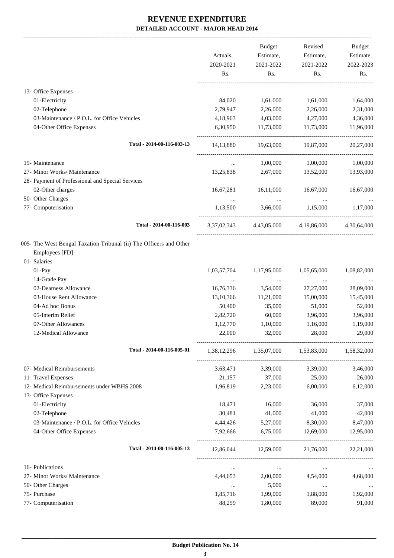|                                                                    |                  | <b>Budget</b>    | Revised          | Budget           |
|--------------------------------------------------------------------|------------------|------------------|------------------|------------------|
|                                                                    | Actuals,         | Estimate,        | Estimate,        | Estimate,        |
|                                                                    | 2020-2021<br>Rs. | 2021-2022<br>Rs. | 2021-2022<br>Rs. | 2022-2023<br>Rs. |
|                                                                    |                  |                  |                  |                  |
| 13- Office Expenses                                                |                  |                  |                  |                  |
| 01-Electricity                                                     | 84,020           | 1,61,000         | 1,61,000         | 1,64,000         |
| 02-Telephone                                                       | 2,79,947         | 2,26,000         | 2,26,000         | 2,31,000         |
| 03-Maintenance / P.O.L. for Office Vehicles                        | 4,18,963         | 4,03,000         | 4,27,000         | 4,36,000         |
| 04-Other Office Expenses                                           | 6,30,950         | 11,73,000        | 11,73,000        | 11,96,000        |
| Total - 2014-00-116-003-13                                         | 14, 13, 880      | 19,63,000        | 19,87,000        | 20,27,000        |
| 19- Maintenance                                                    | $\cdots$         | 1,00,000         | 1,00,000         | 1,00,000         |
| 27- Minor Works/ Maintenance                                       | 13,25,838        | 2,67,000         | 13,52,000        | 13,93,000        |
| 28- Payment of Professional and Special Services                   |                  |                  |                  |                  |
| 02-Other charges                                                   | 16,67,281        | 16,11,000        | 16,67,000        | 16,67,000        |
| 50- Other Charges                                                  | $\ldots$         | $\ldots$         | $\ldots$         |                  |
| 77- Computerisation                                                | 1,13,500         | 3,66,000         | 1,15,000         | 1,17,000         |
| Total - 2014-00-116-003                                            | 3,37,02,343      | 4,43,05,000      | 4,19,86,000      | 4,30,64,000      |
| 005- The West Bengal Taxation Tribunal (ii) The Officers and Other |                  |                  |                  |                  |
| Employees [FD]                                                     |                  |                  |                  |                  |
| 01- Salaries                                                       |                  |                  |                  |                  |
| 01-Pay                                                             | 1,03,57,704      | 1,17,95,000      | 1,05,65,000      | 1,08,82,000      |
| 14-Grade Pay                                                       | $\cdots$         | $\ldots$         | $\ddotsc$        |                  |
| 02-Dearness Allowance                                              | 16,76,336        | 3,54,000         | 27,27,000        | 28,09,000        |
| 03-House Rent Allowance                                            | 13,10,366        | 11,21,000        | 15,00,000        | 15,45,000        |
| 04-Ad hoc Bonus                                                    | 50,400           | 35,000           | 51,000           | 52,000           |
| 05-Interim Relief                                                  | 2,82,720         | 60,000           | 3,96,000         | 3,96,000         |
| 07-Other Allowances                                                | 1,12,770         | 1,10,000         | 1,16,000         | 1,19,000         |
| 12-Medical Allowance                                               | 22,000           | 32,000           | 28,000           | 29,000           |
| Total - 2014-00-116-005-01                                         | 1,38,12,296      | 1,35,07,000      | 1,53,83,000      | 1,58,32,000      |
| 07- Medical Reimbursements                                         | 3,63,471         | 3,39,000         | 3,39,000         | 3,46,000         |
| 11- Travel Expenses                                                | 21,157           | 37,000           | 25,000           | 26,000           |
| 12- Medical Reimbursements under WBHS 2008                         | 1,96,819         | 2,23,000         | 6,00,000         | 6,12,000         |
| 13- Office Expenses                                                |                  |                  |                  |                  |
| 01-Electricity                                                     | 18,471           | 16,000           | 36,000           | 37,000           |
| 02-Telephone                                                       | 30,481           | 41,000           | 41,000           | 42,000           |
| 03-Maintenance / P.O.L. for Office Vehicles                        | 4,44,426         | 5,27,000         | 8,30,000         | 8,47,000         |
| 04-Other Office Expenses                                           | 7,92,666         | 6,75,000         | 12,69,000        | 12,95,000        |
| Total - 2014-00-116-005-13                                         | 12,86,044        | 12,59,000        | 21,76,000        | 22,21,000        |
| 16- Publications                                                   | $\cdots$         | $\cdots$         | $\cdots$         |                  |
| 27- Minor Works/ Maintenance                                       | 4,44,653         | 2,00,000         | 4,54,000         | 4,68,000         |
| 50- Other Charges                                                  | $\cdots$         | 5,000            | $\cdots$         |                  |
| 75- Purchase                                                       | 1,85,716         | 1,99,000         | 1,88,000         | 1,92,000         |
| 77- Computerisation                                                | 88,259           | 1,80,000         | 89,000           | 91,000           |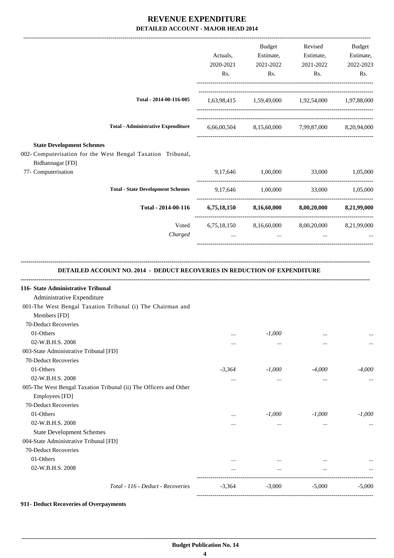|                                                                                                                     |           | Budget    | Revised                                         | Budget    |
|---------------------------------------------------------------------------------------------------------------------|-----------|-----------|-------------------------------------------------|-----------|
|                                                                                                                     | Actuals,  | Estimate, | Estimate,                                       | Estimate, |
|                                                                                                                     | 2020-2021 | 2021-2022 | 2021-2022                                       | 2022-2023 |
|                                                                                                                     | Rs.       | Rs.       | Rs.                                             | Rs.       |
| Total - 2014-00-116-005                                                                                             |           |           | 1,63,98,415 1,59,49,000 1,92,54,000 1,97,88,000 |           |
| <b>Total - Administrative Expenditure</b>                                                                           |           |           | 6,66,00,504 8,15,60,000 7,99,87,000 8,20,94,000 |           |
| <b>State Development Schemes</b><br>002- Computerisation for the West Bengal Taxation Tribunal,<br>Bidhannagar [FD] |           |           |                                                 |           |
| 77- Computerisation                                                                                                 |           |           | 9,17,646 1,00,000 33,000                        | 1,05,000  |
| <b>Total - State Development Schemes</b>                                                                            |           |           | 9.17.646 1.00.000 33.000                        | 1.05.000  |
| Total - 2014-00-116                                                                                                 |           |           | 6,75,18,150 8,16,60,000 8,00,20,000 8,21,99,000 |           |
| Voted                                                                                                               |           |           | 6,75,18,150 8,16,60,000 8,00,20,000 8,21,99,000 |           |
| Charged                                                                                                             |           | $\cdots$  | $\cdots$                                        |           |
|                                                                                                                     |           |           |                                                 |           |

#### **DETAILED ACCOUNT NO. 2014 - DEDUCT RECOVERIES IN REDUCTION OF EXPENDITURE**

**--------------------------------------------------------------------------------------------------------------------------------------------------------------------------------**

| 116- State Administrative Tribunal                                |           |          |          |          |
|-------------------------------------------------------------------|-----------|----------|----------|----------|
| Administrative Expenditure                                        |           |          |          |          |
| 001-The West Bengal Taxation Tribunal (i) The Chairman and        |           |          |          |          |
| Members [FD]                                                      |           |          |          |          |
| 70-Deduct Recoveries                                              |           |          |          |          |
| 01-Others                                                         | $\cdots$  | $-1,000$ | $\cdots$ |          |
| 02-W.B.H.S. 2008                                                  | $\cdots$  | $\cdots$ | $\cdots$ |          |
| 003-State Administrative Tribunal [FD]                            |           |          |          |          |
| 70-Deduct Recoveries                                              |           |          |          |          |
| 01-Others                                                         | $-3,364$  | $-1,000$ | $-4,000$ | $-4,000$ |
| 02-W.B.H.S. 2008                                                  | $\cdots$  | $\cdots$ | $\cdots$ |          |
| 005-The West Bengal Taxation Tribunal (ii) The Officers and Other |           |          |          |          |
| Employees [FD]                                                    |           |          |          |          |
| 70-Deduct Recoveries                                              |           |          |          |          |
| 01-Others                                                         | $\cdots$  | $-1,000$ | $-1,000$ | $-1.000$ |
| 02-W.B.H.S. 2008                                                  | $\ddotsc$ | $\cdots$ | $\cdots$ | $\cdots$ |
| <b>State Development Schemes</b>                                  |           |          |          |          |
| 004-State Administrative Tribunal [FD]                            |           |          |          |          |
| 70-Deduct Recoveries                                              |           |          |          |          |
| 01-Others                                                         |           | $\cdots$ |          |          |
| 02-W.B.H.S. 2008                                                  | $\cdots$  | $\cdots$ | $\cdots$ |          |
| Total - 116 - Deduct - Recoveries                                 | $-3,364$  | $-3,000$ | $-5,000$ | $-5,000$ |

**911- Deduct Recoveries of Overpayments**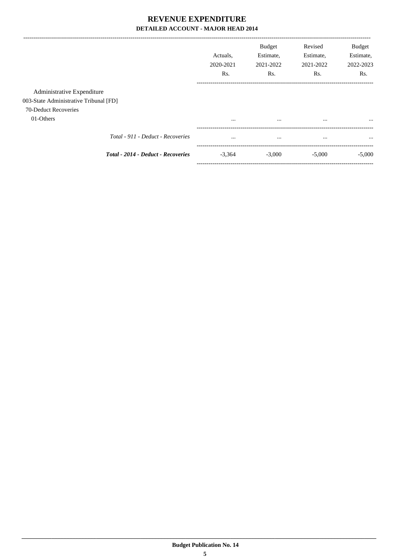|                                                                                                           | Actuals.<br>2020-2021<br>R <sub>s</sub> . | <b>Budget</b><br>Estimate,<br>2021-2022<br>Rs. | Revised<br>Estimate,<br>2021-2022<br>Rs. | <b>Budget</b><br>Estimate,<br>2022-2023<br>Rs. |
|-----------------------------------------------------------------------------------------------------------|-------------------------------------------|------------------------------------------------|------------------------------------------|------------------------------------------------|
| Administrative Expenditure<br>003-State Administrative Tribunal [FD]<br>70-Deduct Recoveries<br>01-Others | $\cdots$                                  | $\cdots$                                       | $\cdots$                                 | $\cdots$                                       |
| Total - 911 - Deduct - Recoveries                                                                         | $\cdots$                                  | $\cdots$                                       | $\cdots$                                 | $\cdots$                                       |
| Total - 2014 - Deduct - Recoveries                                                                        | $-3,364$                                  | $-3,000$                                       | $-5.000$                                 | $-5,000$                                       |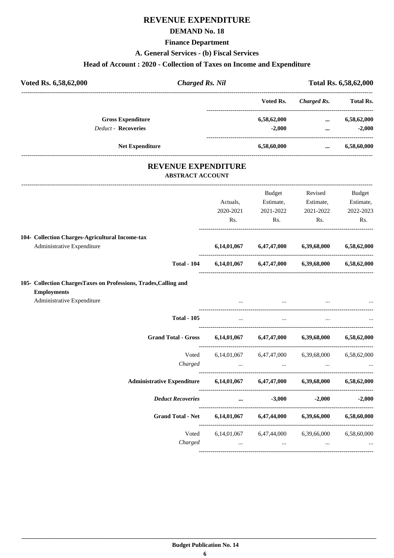# **REVENUE EXPENDITURE**

#### **DEMAND No. 18**

#### **Finance Department**

**A. General Services - (b) Fiscal Services**

### **Head of Account : 2020 - Collection of Taxes on Income and Expenditure**

| <b>Charged Rs. Nil</b><br>Voted Rs. 6,58,62,000                  |             |                                           |                                                         | Total Rs. 6,58,62,000 |
|------------------------------------------------------------------|-------------|-------------------------------------------|---------------------------------------------------------|-----------------------|
|                                                                  |             | Voted Rs.                                 | <b>Charged Rs.</b>                                      | <b>Total Rs.</b>      |
| <b>Gross Expenditure</b>                                         |             | 6,58,62,000                               | $\mathbf{r}$ and $\mathbf{r}$ and $\mathbf{r}$          | 6,58,62,000           |
| Deduct - Recoveries                                              |             | $-2,000$                                  | $\cdots$                                                | $-2,000$              |
| <b>Net Expenditure</b>                                           |             | 6,58,60,000                               | $\cdots$                                                | 6,58,60,000           |
| <b>REVENUE EXPENDITURE</b><br><b>ABSTRACT ACCOUNT</b>            |             |                                           |                                                         |                       |
|                                                                  |             | Budget                                    | Revised                                                 | <b>Budget</b>         |
|                                                                  | Actuals,    | Estimate,                                 | Estimate,                                               | Estimate,             |
|                                                                  | 2020-2021   | 2021-2022                                 | 2021-2022                                               | 2022-2023             |
|                                                                  | Rs.         | Rs.                                       | Rs.                                                     | Rs.                   |
| 104- Collection Charges-Agricultural Income-tax                  |             |                                           |                                                         |                       |
| Administrative Expenditure                                       |             | $6,14,01,067$ $6,47,47,000$ $6,39,68,000$ |                                                         | 6,58,62,000           |
| <b>Total - 104</b>                                               |             |                                           | $6,14,01,067$ $6,47,47,000$ $6,39,68,000$ $6,58,62,000$ |                       |
| 105- Collection ChargesTaxes on Professions, Trades, Calling and |             |                                           |                                                         |                       |
| <b>Employments</b>                                               |             |                                           |                                                         |                       |
| Administrative Expenditure                                       |             |                                           |                                                         |                       |
| <b>Total - 105</b>                                               |             | $\cdots$                                  |                                                         |                       |
| <b>Grand Total - Gross</b>                                       |             |                                           | $6,14,01,067$ $6,47,47,000$ $6,39,68,000$               | 6,58,62,000           |
| Voted                                                            |             |                                           | 6,14,01,067 6,47,47,000 6,39,68,000                     | 6,58,62,000           |
| Charged                                                          | $\ldots$    | $\cdots$                                  | $\cdots$                                                |                       |
| <b>Administrative Expenditure</b>                                |             | $6,14,01,067$ $6,47,47,000$               | 6,39,68,000                                             | 6,58,62,000           |
| <b>Deduct Recoveries</b>                                         | $\cdots$    | $-3,000$                                  | $-2,000$                                                | $-2,000$              |
| <b>Grand Total - Net</b>                                         | 6,14,01,067 | 6,47,44,000                               | 6,39,66,000                                             | 6,58,60,000           |
| Voted                                                            |             | 6,14,01,067 6,47,44,000 6,39,66,000       |                                                         | 6,58,60,000           |
| Charged                                                          |             |                                           |                                                         |                       |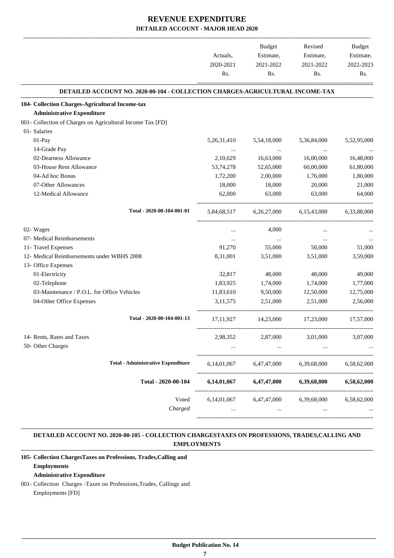|                                                                               | Actuals,<br>2020-2021<br>Rs. | Budget<br>Estimate,<br>2021-2022<br>Rs. | Revised<br>Estimate,<br>2021-2022<br>Rs. | Budget<br>Estimate,<br>2022-2023<br>Rs. |
|-------------------------------------------------------------------------------|------------------------------|-----------------------------------------|------------------------------------------|-----------------------------------------|
| DETAILED ACCOUNT NO. 2020-00-104 - COLLECTION CHARGES-AGRICULTURAL INCOME-TAX |                              |                                         |                                          |                                         |
| 104- Collection Charges-Agricultural Income-tax                               |                              |                                         |                                          |                                         |
| <b>Administrative Expenditure</b>                                             |                              |                                         |                                          |                                         |
| 001- Collection of Charges on Agricultural Income Tax [FD]                    |                              |                                         |                                          |                                         |
| 01- Salaries                                                                  |                              |                                         |                                          |                                         |
| 01-Pay                                                                        | 5, 26, 31, 410               | 5,54,18,000                             | 5,36,84,000                              | 5,52,95,000                             |
| 14-Grade Pay                                                                  |                              | $\sim 100$ and                          | $\cdots$                                 |                                         |
| 02-Dearness Allowance                                                         | 2,10,629                     | 16,63,000                               | 16,00,000                                | 16,48,000                               |
| 03-House Rent Allowance                                                       | 53,74,278                    | 52,65,000                               | 60,00,000                                | 61,80,000                               |
| 04-Ad hoc Bonus                                                               | 1,72,200                     | 2,00,000                                | 1,76,000                                 | 1,80,000                                |
| 07-Other Allowances                                                           | 18,000                       | 18,000                                  | 20,000                                   | 21,000                                  |
| 12-Medical Allowance                                                          | 62,000                       | 63,000                                  | 63,000                                   | 64,000                                  |
| Total - 2020-00-104-001-01                                                    |                              | 5,84,68,517 6,26,27,000 6,15,43,000     |                                          | 6,33,88,000                             |
| 02- Wages                                                                     | $\cdots$                     | 4,000                                   | $\cdots$                                 |                                         |
| 07- Medical Reimbursements                                                    | $\cdots$                     | $\cdots$                                | $\cdots$                                 |                                         |
| 11- Travel Expenses                                                           | 91,270                       | 55,000                                  | 50,000                                   | 51,000                                  |
| 12- Medical Reimbursements under WBHS 2008                                    | 8,31,001                     | 3,51,000                                | 3,51,000                                 | 3,59,000                                |
| 13- Office Expenses                                                           |                              |                                         |                                          |                                         |
| 01-Electricity                                                                | 32,817                       | 48,000                                  | 48,000                                   | 49,000                                  |
| 02-Telephone                                                                  | 1,83,925                     | 1,74,000                                | 1,74,000                                 | 1,77,000                                |
| 03-Maintenance / P.O.L. for Office Vehicles                                   | 11,83,610                    | 9,50,000                                | 12,50,000                                | 12,75,000                               |
| 04-Other Office Expenses                                                      | 3, 11, 575                   | 2,51,000                                | 2,51,000                                 | 2,56,000                                |
| Total - 2020-00-104-001-13                                                    | 17,11,927                    | 14,23,000                               | 17,23,000                                | 17,57,000                               |
| 14- Rents, Rates and Taxes                                                    | 2,98,352                     | 2,87,000                                | 3,01,000                                 | 3,07,000                                |
| 50- Other Charges                                                             |                              |                                         |                                          |                                         |
| <b>Total - Administrative Expenditure</b>                                     | 6, 14, 01, 067               | 6,47,47,000                             | 6,39,68,000                              | 6,58,62,000                             |
| Total - 2020-00-104                                                           | 6, 14, 01, 067               | 6,47,47,000                             | 6,39,68,000                              | 6,58,62,000                             |
| Voted<br>Charged                                                              | 6, 14, 01, 067<br>$\cdots$   | 6,47,47,000<br>$\cdots$                 | 6,39,68,000<br>                          | 6,58,62,000                             |
|                                                                               |                              |                                         |                                          |                                         |

#### **DETAILED ACCOUNT NO. 2020-00-105 - COLLECTION CHARGESTAXES ON PROFESSIONS, TRADES,CALLING AND EMPLOYMENTS .**

.

#### **105- Collection ChargesTaxes on Professions, Trades,Calling and Employments Administrative Expenditure**

#### 001- Collection Charges -Taxes on Professions,Trades, Callings and Employments [FD]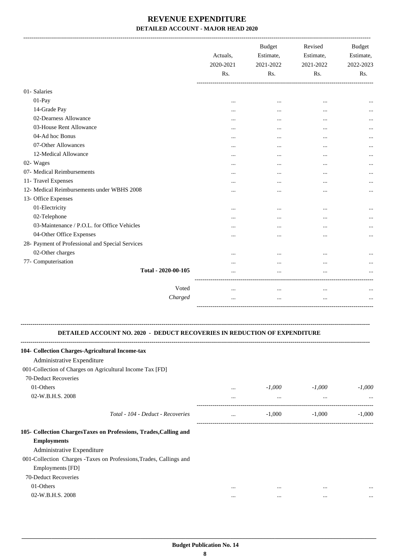|                                                  | Actuals,<br>2020-2021<br>Rs. | <b>Budget</b><br>Estimate,<br>2021-2022<br>Rs. | Revised<br>Estimate,<br>2021-2022<br>Rs. | <b>Budget</b><br>Estimate,<br>2022-2023<br>Rs. |
|--------------------------------------------------|------------------------------|------------------------------------------------|------------------------------------------|------------------------------------------------|
| 01- Salaries                                     |                              |                                                |                                          |                                                |
| 01-Pay                                           | $\ddotsc$                    |                                                |                                          |                                                |
| 14-Grade Pay                                     | $\ddotsc$                    |                                                |                                          |                                                |
| 02-Dearness Allowance                            |                              | $\cdots$                                       | $\cdots$                                 |                                                |
| 03-House Rent Allowance                          | $\ddotsc$                    | $\cdots$                                       | $\cdots$                                 |                                                |
| 04-Ad hoc Bonus                                  |                              |                                                | $\cdots$                                 |                                                |
| 07-Other Allowances                              | $\ddotsc$                    |                                                |                                          |                                                |
| 12-Medical Allowance                             | $\ddotsc$                    |                                                | $\cdots$                                 |                                                |
| 02- Wages                                        |                              |                                                | $\cdots$                                 |                                                |
| 07- Medical Reimbursements                       | $\cdots$                     | $\cdots$                                       |                                          |                                                |
| 11- Travel Expenses                              |                              |                                                |                                          |                                                |
| 12- Medical Reimbursements under WBHS 2008       | $\cdots$                     | $\cdots$                                       |                                          |                                                |
| 13- Office Expenses                              |                              |                                                |                                          |                                                |
| 01-Electricity                                   | $\ddotsc$                    | $\cdots$                                       | $\cdots$                                 |                                                |
| 02-Telephone                                     |                              |                                                | $\cdots$                                 | $\cdots$                                       |
| 03-Maintenance / P.O.L. for Office Vehicles      |                              |                                                |                                          |                                                |
| 04-Other Office Expenses                         |                              |                                                |                                          |                                                |
| 28- Payment of Professional and Special Services |                              |                                                |                                          |                                                |
| 02-Other charges                                 | $\ddotsc$                    | $\cdots$                                       |                                          |                                                |
| 77- Computerisation                              |                              |                                                | $\cdots$                                 |                                                |
| Total - 2020-00-105                              | $\ddotsc$                    | $\ddotsc$                                      | $\ddotsc$                                |                                                |
| Voted                                            |                              | $\cdots$                                       | $\cdots$                                 |                                                |
| Charged                                          |                              | $\cdots$                                       | $\cdots$                                 |                                                |
|                                                  |                              |                                                |                                          |                                                |

#### **DETAILED ACCOUNT NO. 2020 - DEDUCT RECOVERIES IN REDUCTION OF EXPENDITURE**

**--------------------------------------------------------------------------------------------------------------------------------------------------------------------------------**

**--------------------------------------------------------------------------------------------------------------------------------------------------------------------------------**

| 104- Collection Charges-Agricultural Income-tax                     |          |          |          |          |
|---------------------------------------------------------------------|----------|----------|----------|----------|
| Administrative Expenditure                                          |          |          |          |          |
| 001-Collection of Charges on Agricultural Income Tax [FD]           |          |          |          |          |
| 70-Deduct Recoveries                                                |          |          |          |          |
| 01-Others                                                           | $\cdots$ | $-1,000$ | $-1,000$ | $-1,000$ |
| 02-W.B.H.S. 2008                                                    | $\cdots$ | $\cdots$ | $\cdots$ | $\cdots$ |
| Total - 104 - Deduct - Recoveries                                   | $\cdots$ | $-1,000$ | $-1,000$ | $-1,000$ |
| 105 Collection ChargesTaxes on Professions, Trades, Calling and     |          |          |          |          |
| <b>Employments</b>                                                  |          |          |          |          |
| Administrative Expenditure                                          |          |          |          |          |
| 001-Collection Charges - Taxes on Professions, Trades, Callings and |          |          |          |          |
| Employments [FD]                                                    |          |          |          |          |
| 70-Deduct Recoveries                                                |          |          |          |          |
| 01-Others                                                           | $\cdots$ | $\cdots$ | $\cdots$ | $\cdots$ |
| 02-W.B.H.S. 2008                                                    | $\cdots$ | $\cdots$ | $\cdots$ | $\cdots$ |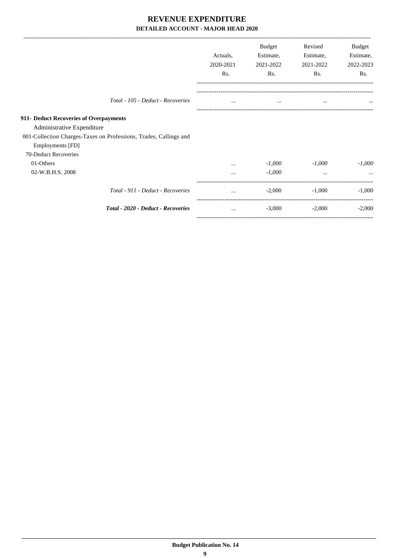|                                                                                       | Actuals,<br>2020-2021<br>Rs. | <b>Budget</b><br>Estimate,<br>2021-2022<br>Rs. | Revised<br>Estimate,<br>2021-2022<br>Rs. | Budget<br>Estimate,<br>2022-2023<br>Rs. |
|---------------------------------------------------------------------------------------|------------------------------|------------------------------------------------|------------------------------------------|-----------------------------------------|
| Total - 105 - Deduct - Recoveries                                                     | $\cdots$                     | $\cdots$                                       | $\cdots$                                 |                                         |
| 911- Deduct Recoveries of Overpayments<br>Administrative Expenditure                  |                              |                                                |                                          |                                         |
| 001-Collection Charges-Taxes on Professions, Trades, Callings and<br>Employments [FD] |                              |                                                |                                          |                                         |
| 70-Deduct Recoveries                                                                  |                              |                                                |                                          |                                         |
| 01-Others                                                                             |                              | $-1,000$                                       | $-1,000$                                 | $-1,000$                                |
| 02-W.B.H.S. 2008                                                                      | $\cdots$                     | $-1,000$                                       | $\cdots$                                 |                                         |
| Total - 911 - Deduct - Recoveries                                                     | $\cdots$                     | $-2,000$                                       | $-1.000$                                 | $-1,000$                                |
| Total - 2020 - Deduct - Recoveries                                                    | $\cdots$                     | $-3,000$                                       | $-2,000$                                 | $-2,000$                                |
|                                                                                       |                              |                                                |                                          |                                         |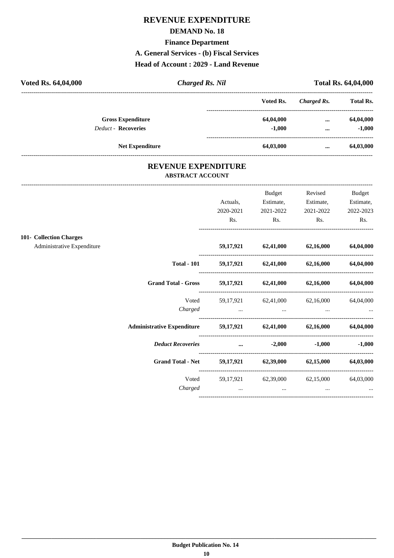### **REVENUE EXPENDITURE**

### **DEMAND No. 18**

#### **Finance Department**

A. General Services - (b) Fiscal Services

Head of Account: 2029 - Land Revenue

| Voted Rs. 64,04,000        | <b>Charged Rs. Nil</b> |           | <b>Total Rs. 64,04,000</b> |                  |
|----------------------------|------------------------|-----------|----------------------------|------------------|
|                            |                        | Voted Rs. | Charged Rs.                | <b>Total Rs.</b> |
| <b>Gross Expenditure</b>   |                        | 64,04,000 | $\cdots$                   | 64,04,000        |
| <b>Deduct - Recoveries</b> |                        | $-1.000$  | $\cdots$                   | $-1,000$         |
|                            | <b>Net Expenditure</b> | 64,03,000 | $\cdots$                   | 64,03,000        |

### REVENUE EXPENDITURE **ABSTRACT ACCOUNT**

|                            |                                                                    | Actuals,<br>2020-2021 | Budget<br>Estimate,<br>2021-2022                     | Revised<br>Estimate,<br>2021-2022                                                                               | <b>Budget</b><br>Estimate,<br>2022-2023 |
|----------------------------|--------------------------------------------------------------------|-----------------------|------------------------------------------------------|-----------------------------------------------------------------------------------------------------------------|-----------------------------------------|
|                            |                                                                    | Rs.                   | $\mathbf{Rs.}$                                       | Rs.                                                                                                             | Rs.                                     |
| 101- Collection Charges    |                                                                    |                       |                                                      |                                                                                                                 |                                         |
| Administrative Expenditure |                                                                    |                       |                                                      | 59,17,921 62,41,000 62,16,000 64,04,000                                                                         |                                         |
|                            | <b>Total - 101</b>                                                 |                       |                                                      | $59,17,921$ $62,41,000$ $62,16,000$                                                                             | 64,04,000                               |
|                            | Grand Total - Gross 59,17,921 62,41,000 62,16,000 64,04,000        |                       |                                                      |                                                                                                                 |                                         |
|                            | Voted                                                              |                       |                                                      | 59,17,921 62,41,000 62,16,000 64,04,000                                                                         |                                         |
|                            | Charged                                                            |                       |                                                      | المساوي المساوي المساوي المساوي المساوي المساوي المساوي المساوي المساوي المساوي المساوي المساوي المساوي المساوي |                                         |
|                            | Administrative Expenditure 59,17,921 62,41,000 62,16,000 64,04,000 |                       |                                                      |                                                                                                                 |                                         |
|                            | <b>Deduct Recoveries</b>                                           | $\ldots$ $-2,000$     |                                                      |                                                                                                                 | $-1,000$ $-1,000$                       |
|                            | Grand Total - Net 59,17,921 62,39,000 62,15,000 64,03,000          |                       |                                                      |                                                                                                                 |                                         |
|                            | Voted                                                              |                       |                                                      | 59,17,921 62,39,000 62,15,000                                                                                   | 64,03,000                               |
|                            | Charged                                                            |                       | <b>The Committee Committee Committee</b><br>$\cdots$ | $\cdots$                                                                                                        |                                         |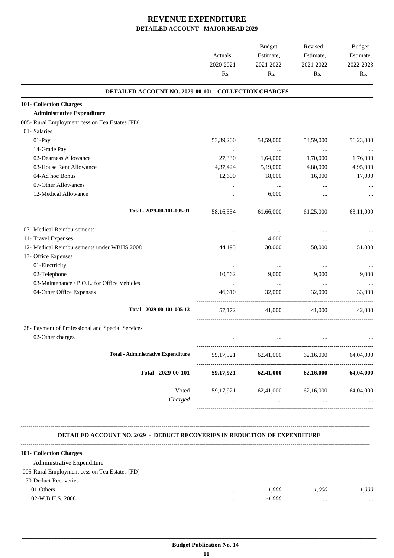|                                                                      | Actuals,<br>2020-2021<br>Rs. | <b>Budget</b><br>Estimate,<br>2021-2022<br>Rs. | Revised<br>Estimate,<br>2021-2022<br>Rs. | Budget<br>Estimate,<br>2022-2023<br>Rs. |
|----------------------------------------------------------------------|------------------------------|------------------------------------------------|------------------------------------------|-----------------------------------------|
| DETAILED ACCOUNT NO. 2029-00-101 - COLLECTION CHARGES                |                              |                                                |                                          |                                         |
| <b>101- Collection Charges</b>                                       |                              |                                                |                                          |                                         |
| <b>Administrative Expenditure</b>                                    |                              |                                                |                                          |                                         |
| 005- Rural Employment cess on Tea Estates [FD]                       |                              |                                                |                                          |                                         |
| 01- Salaries                                                         |                              |                                                |                                          |                                         |
| 01-Pay                                                               | 53,39,200                    | 54,59,000                                      | 54,59,000                                | 56,23,000                               |
| 14-Grade Pay                                                         | $\ldots$                     | $\cdots$                                       | $\ldots$                                 |                                         |
| 02-Dearness Allowance                                                | 27,330                       | 1,64,000                                       | 1,70,000                                 | 1,76,000                                |
| 03-House Rent Allowance                                              | 4,37,424                     | 5,19,000                                       | 4,80,000                                 | 4,95,000                                |
| 04-Ad hoc Bonus                                                      | 12,600                       | 18,000                                         | 16,000                                   | 17,000                                  |
| 07-Other Allowances                                                  | $\cdots$                     | $\cdots$                                       | $\cdots$                                 |                                         |
| 12-Medical Allowance                                                 | $\cdots$                     | 6,000                                          |                                          |                                         |
| Total - 2029-00-101-005-01                                           | 58,16,554                    | 61,66,000                                      | 61,25,000                                | 63,11,000                               |
| 07- Medical Reimbursements                                           | $\cdots$                     | $\ldots$                                       | $\cdots$                                 |                                         |
| 11- Travel Expenses                                                  |                              | 4,000                                          | $\cdots$                                 |                                         |
| 12- Medical Reimbursements under WBHS 2008                           | 44,195                       | 30,000                                         | 50,000                                   | 51,000                                  |
| 13- Office Expenses                                                  |                              |                                                |                                          |                                         |
| 01-Electricity                                                       | $\cdots$                     | $\cdots$                                       | $\cdots$                                 |                                         |
| 02-Telephone                                                         | 10,562                       | 9,000                                          | 9,000                                    | 9,000                                   |
| 03-Maintenance / P.O.L. for Office Vehicles                          | $\cdots$                     | $\ldots$                                       | $\cdots$                                 |                                         |
| 04-Other Office Expenses                                             | 46,610                       | 32,000                                         | 32,000                                   | 33,000                                  |
| Total - 2029-00-101-005-13                                           | 57,172                       | 41,000                                         | 41,000                                   | 42,000                                  |
| 28- Payment of Professional and Special Services<br>02-Other charges |                              |                                                |                                          |                                         |
| <b>Total - Administrative Expenditure</b>                            | 59,17,921                    | 62,41,000                                      | 62,16,000                                | 64,04,000                               |
| Total - 2029-00-101                                                  | 59,17,921                    | 62,41,000                                      | 62,16,000                                | 64,04,000                               |
| Voted<br>Charged                                                     | 59,17,921<br>$\cdots$        | 62,41,000<br>$\cdots$                          | 62,16,000<br>$\ddots$                    | 64,04,000                               |
|                                                                      |                              | ---------------                                | -------------------                      | -----------------                       |

#### **DETAILED ACCOUNT NO. 2029 - DEDUCT RECOVERIES IN REDUCTION OF EXPENDITURE**

**--------------------------------------------------------------------------------------------------------------------------------------------------------------------------------**

| 101- Collection Charges                       |          |          |          |          |
|-----------------------------------------------|----------|----------|----------|----------|
| Administrative Expenditure                    |          |          |          |          |
| 005-Rural Employment cess on Tea Estates [FD] |          |          |          |          |
| 70-Deduct Recoveries                          |          |          |          |          |
| 01-Others                                     | $\cdots$ | $-1.000$ | $-1.000$ | $-1.000$ |
| 02-W.B.H.S. 2008                              | $\cdots$ | $-1.000$ |          |          |
|                                               |          |          |          |          |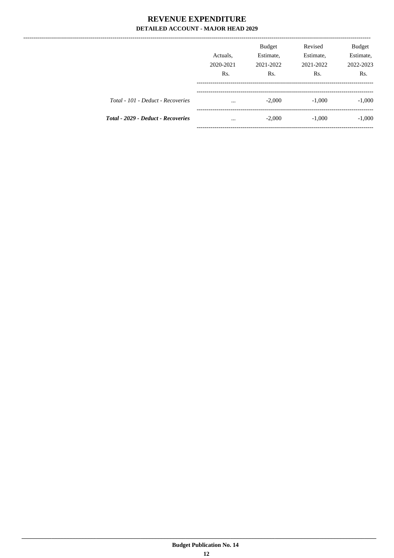---------------

|                                           | Actuals.<br>2020-2021<br>Rs. | <b>Budget</b><br>Estimate,<br>2021-2022<br>Rs. | Revised<br>Estimate,<br>2021-2022<br>R <sub>s</sub> . | Budget<br>Estimate,<br>2022-2023<br>Rs. |
|-------------------------------------------|------------------------------|------------------------------------------------|-------------------------------------------------------|-----------------------------------------|
| Total - 101 - Deduct - Recoveries         | $\cdots$                     | $-2,000$                                       | $-1,000$                                              | $-1,000$                                |
| <b>Total - 2029 - Deduct - Recoveries</b> | $\cdots$                     | $-2,000$                                       | $-1,000$                                              | $-1,000$                                |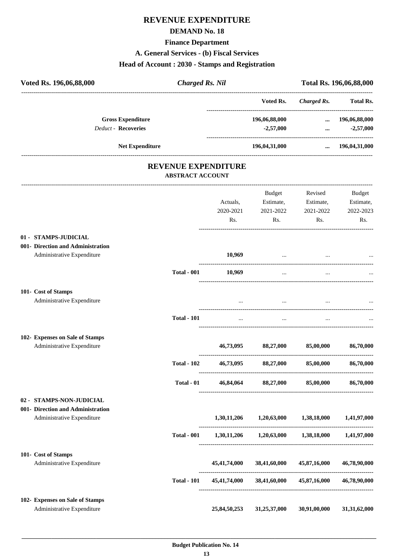# **REVENUE EXPENDITURE**

### **DEMAND No. 18**

#### **Finance Department**

**A. General Services - (b) Fiscal Services**

#### **Head of Account : 2030 - Stamps and Registration**

| Voted Rs. 196,06,88,000                                | <b>Charged Rs. Nil</b>  |                            |                                                         |                      | Total Rs. 196,06,88,000      |
|--------------------------------------------------------|-------------------------|----------------------------|---------------------------------------------------------|----------------------|------------------------------|
|                                                        |                         |                            | Voted Rs.                                               | <b>Charged Rs.</b>   | <b>Total Rs.</b>             |
| <b>Gross Expenditure</b><br><b>Deduct - Recoveries</b> |                         |                            | 196,06,88,000<br>$-2,57,000$                            | $\cdots$<br>$\cdots$ | 196,06,88,000<br>$-2,57,000$ |
| Net Expenditure                                        |                         |                            | 196,04,31,000                                           |                      | $\dots$ 196,04,31,000        |
|                                                        | <b>ABSTRACT ACCOUNT</b> | <b>REVENUE EXPENDITURE</b> |                                                         |                      |                              |
|                                                        |                         |                            | Budget                                                  | Revised              | Budget                       |
|                                                        |                         | Actuals,                   | Estimate,                                               | Estimate,            | Estimate,                    |
|                                                        |                         | 2020-2021                  | 2021-2022                                               | 2021-2022            | 2022-2023                    |
|                                                        |                         | Rs.                        | Rs.                                                     | Rs.                  | Rs.                          |
| 01 - STAMPS-JUDICIAL                                   |                         |                            |                                                         |                      |                              |
| 001- Direction and Administration                      |                         |                            |                                                         |                      |                              |
| Administrative Expenditure                             |                         | 10,969                     | $\cdots$                                                |                      |                              |
|                                                        | <b>Total - 001</b>      | 10,969                     | $\cdots$                                                | $\ddotsc$            |                              |
| 101- Cost of Stamps                                    |                         |                            |                                                         |                      |                              |
| Administrative Expenditure                             |                         |                            |                                                         |                      |                              |
|                                                        | <b>Total - 101</b>      | $\cdots$                   | $\cdots$                                                | $\cdots$             |                              |
| 102- Expenses on Sale of Stamps                        |                         |                            |                                                         |                      |                              |
| Administrative Expenditure                             |                         | 46,73,095                  | 88,27,000                                               | 85,00,000            | 86,70,000                    |
|                                                        | <b>Total - 102</b>      | 46,73,095                  | 88,27,000                                               | 85,00,000            | 86,70,000                    |
|                                                        | <b>Total - 01</b>       |                            | 46,84,064 88,27,000 85,00,000                           |                      | 86,70,000                    |
| 02 - STAMPS-NON-JUDICIAL                               |                         |                            |                                                         |                      |                              |
| 001- Direction and Administration                      |                         |                            |                                                         |                      |                              |
| Administrative Expenditure                             |                         |                            | $1,30,11,206$ $1,20,63,000$ $1,38,18,000$ $1,41,97,000$ |                      |                              |
|                                                        | <b>Total - 001</b>      |                            | $1,30,11,206$ $1,20,63,000$ $1,38,18,000$               |                      | 1,41,97,000                  |
| 101- Cost of Stamps                                    |                         |                            |                                                         |                      |                              |
| Administrative Expenditure                             |                         | 45,41,74,000               | 38,41,60,000                                            | 45,87,16,000         | 46,78,90,000                 |
|                                                        | <b>Total - 101</b>      |                            | 45,41,74,000 38,41,60,000 45,87,16,000                  |                      | 46,78,90,000                 |
| 102- Expenses on Sale of Stamps                        |                         |                            |                                                         |                      |                              |
| Administrative Expenditure                             |                         | 25,84,50,253               | 31,25,37,000                                            | 30,91,00,000         | 31,31,62,000                 |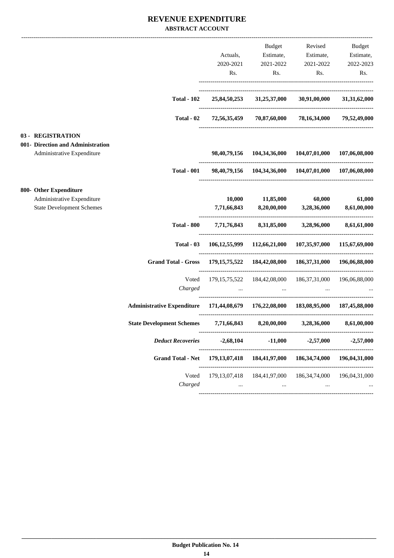### **REVENUE EXPENDITURE ABSTRACT ACCOUNT**

|                                   |                                                                                         |                                                                                                                                                                                                                                | Budget                              |                                                                     | Revised Budget  |
|-----------------------------------|-----------------------------------------------------------------------------------------|--------------------------------------------------------------------------------------------------------------------------------------------------------------------------------------------------------------------------------|-------------------------------------|---------------------------------------------------------------------|-----------------|
|                                   |                                                                                         | Actuals,                                                                                                                                                                                                                       | Estimate,                           | Estimate,                                                           | Estimate,       |
|                                   |                                                                                         | 2020-2021                                                                                                                                                                                                                      | 2021-2022                           | 2021-2022                                                           | 2022-2023       |
|                                   |                                                                                         | Rs.                                                                                                                                                                                                                            | Rs.                                 | Rs.                                                                 | Rs.             |
|                                   | <b>Total - 102</b>                                                                      |                                                                                                                                                                                                                                |                                     | 25,84,50,253 31,25,37,000 30,91,00,000                              | 31, 31, 62, 000 |
|                                   | Total - 02                                                                              |                                                                                                                                                                                                                                |                                     |                                                                     |                 |
| <b>03 - REGISTRATION</b>          |                                                                                         |                                                                                                                                                                                                                                |                                     |                                                                     |                 |
| 001- Direction and Administration |                                                                                         |                                                                                                                                                                                                                                |                                     |                                                                     |                 |
| Administrative Expenditure        |                                                                                         |                                                                                                                                                                                                                                |                                     | 98,40,79,156 104,34,36,000 104,07,01,000 107,06,08,000              |                 |
|                                   | <b>Total - 001</b>                                                                      |                                                                                                                                                                                                                                |                                     | 98,40,79,156 104,34,36,000 104,07,01,000 107,06,08,000              |                 |
| 800- Other Expenditure            |                                                                                         |                                                                                                                                                                                                                                |                                     |                                                                     |                 |
| Administrative Expenditure        |                                                                                         | 10,000                                                                                                                                                                                                                         | 11,85,000                           | 60,000                                                              | 61,000          |
| <b>State Development Schemes</b>  |                                                                                         |                                                                                                                                                                                                                                | 7,71,66,843 8,20,00,000 3,28,36,000 |                                                                     | 8,61,00,000     |
|                                   | <b>Total - 800</b>                                                                      |                                                                                                                                                                                                                                | 7,71,76,843 8,31,85,000 3,28,96,000 |                                                                     | 8,61,61,000     |
|                                   | Total - 03                                                                              |                                                                                                                                                                                                                                |                                     | 106,12,55,999 112,66,21,000 107,35,97,000 115,67,69,000             |                 |
|                                   | Grand Total - Gross 179, 15, 75, 522 184, 42, 08, 000 186, 37, 31, 000 196, 06, 88, 000 |                                                                                                                                                                                                                                |                                     |                                                                     |                 |
|                                   | Voted                                                                                   |                                                                                                                                                                                                                                |                                     | 179, 15, 75, 522 184, 42, 08, 000 186, 37, 31, 000 196, 06, 88, 000 |                 |
|                                   | Charged                                                                                 | and the contract of the contract of the contract of the contract of the contract of the contract of the contract of the contract of the contract of the contract of the contract of the contract of the contract of the contra | and the contract of the contract of |                                                                     |                 |
|                                   | Administrative Expenditure 171,44,08,679 176,22,08,000 183,08,95,000 187,45,88,000      |                                                                                                                                                                                                                                |                                     |                                                                     |                 |
|                                   | State Development Schemes 7,71,66,843 8,20,00,000 3,28,36,000 8,61,00,000               |                                                                                                                                                                                                                                |                                     |                                                                     |                 |
|                                   | <b>Deduct Recoveries</b>                                                                | $-2,68,104$                                                                                                                                                                                                                    | $-11,000$                           | $-2,57,000$                                                         | $-2,57,000$     |
|                                   | <b>Grand Total - Net</b>                                                                | 179, 13, 07, 418                                                                                                                                                                                                               | 184,41,97,000                       | 186,34,74,000                                                       | 196,04,31,000   |
|                                   | Voted                                                                                   | 179, 13, 07, 418                                                                                                                                                                                                               | 184,41,97,000 186,34,74,000         |                                                                     | 196,04,31,000   |
|                                   | Charged                                                                                 | $\cdots$                                                                                                                                                                                                                       | $\cdots$                            | $\cdots$                                                            |                 |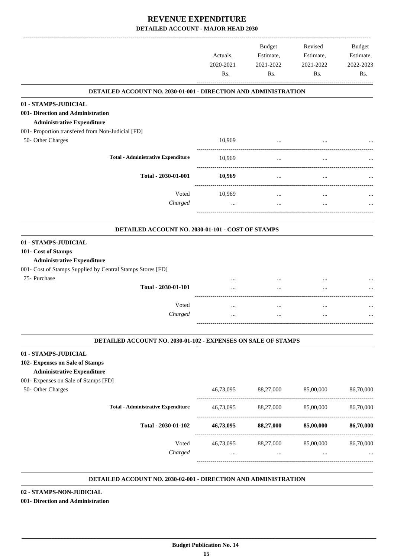| Rs.          | 2021-2022<br>Rs.                                                | 2021-2022<br>Rs.                                                                                   | Estimate,<br>2022-2023<br>Rs.                                                                                            |
|--------------|-----------------------------------------------------------------|----------------------------------------------------------------------------------------------------|--------------------------------------------------------------------------------------------------------------------------|
|              | DETAILED ACCOUNT NO. 2030-01-001 - DIRECTION AND ADMINISTRATION |                                                                                                    |                                                                                                                          |
|              |                                                                 |                                                                                                    |                                                                                                                          |
|              |                                                                 |                                                                                                    |                                                                                                                          |
|              |                                                                 |                                                                                                    |                                                                                                                          |
|              |                                                                 |                                                                                                    |                                                                                                                          |
|              | $\ddotsc$                                                       |                                                                                                    |                                                                                                                          |
| 10,969       | $\ddotsc$                                                       | $\ddotsc$                                                                                          |                                                                                                                          |
| 10,969       | $\ddotsc$                                                       |                                                                                                    |                                                                                                                          |
|              | $\cdots$                                                        | $\cdots$                                                                                           |                                                                                                                          |
| $\cdots$     | $\cdots$                                                        | $\cdots$                                                                                           |                                                                                                                          |
|              |                                                                 |                                                                                                    |                                                                                                                          |
|              |                                                                 |                                                                                                    |                                                                                                                          |
|              |                                                                 |                                                                                                    |                                                                                                                          |
|              |                                                                 |                                                                                                    |                                                                                                                          |
| $\cdots$<br> | $\cdots$<br>$\cdots$                                            | $\cdots$<br>$\cdots$                                                                               |                                                                                                                          |
|              |                                                                 |                                                                                                    |                                                                                                                          |
|              |                                                                 |                                                                                                    |                                                                                                                          |
|              |                                                                 | 85,00,000                                                                                          | 86,70,000                                                                                                                |
|              |                                                                 | 85,00,000                                                                                          | 86,70,000                                                                                                                |
|              |                                                                 |                                                                                                    | 86,70,000                                                                                                                |
| $\cdots$     | $\cdots$                                                        | 85,00,000<br>$\cdots$                                                                              | 86,70,000                                                                                                                |
|              | 10,969<br>10,969                                                | DETAILED ACCOUNT NO. 2030-01-101 - COST OF STAMPS<br>46,73,095 88,27,000<br>46,73,095<br>46,73,095 | DETAILED ACCOUNT NO. 2030-01-102 - EXPENSES ON SALE OF STAMPS<br>88,27,000<br>88,27,000 85,00,000<br>46,73,095 88,27,000 |

#### **DETAILED ACCOUNT NO. 2030-02-001 - DIRECTION AND ADMINISTRATION .**

**02 - STAMPS-NON-JUDICIAL**

#### **001- Direction and Administration**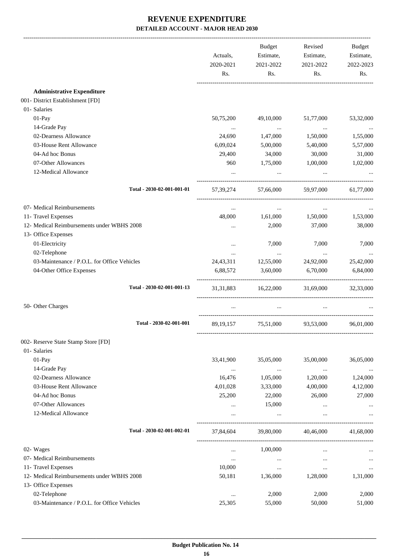|                                             | Actuals,<br>2020-2021 | Budget<br>Estimate,<br>2021-2022 | Revised<br>Estimate,<br>2021-2022 | <b>Budget</b><br>Estimate,<br>2022-2023 |
|---------------------------------------------|-----------------------|----------------------------------|-----------------------------------|-----------------------------------------|
|                                             | Rs.                   | Rs.                              | Rs.                               | Rs.                                     |
| <b>Administrative Expenditure</b>           |                       |                                  |                                   |                                         |
| 001- District Establishment [FD]            |                       |                                  |                                   |                                         |
| 01- Salaries                                |                       |                                  |                                   |                                         |
| 01-Pay                                      | 50,75,200             | 49,10,000                        | 51,77,000                         | 53,32,000                               |
| 14-Grade Pay                                | $\cdots$              | $\cdots$                         | $\cdots$                          |                                         |
| 02-Dearness Allowance                       | 24,690                | 1,47,000                         | 1,50,000                          | 1,55,000                                |
| 03-House Rent Allowance                     | 6,09,024              | 5,00,000                         | 5,40,000                          | 5,57,000                                |
| 04-Ad hoc Bonus                             | 29,400                | 34,000                           | 30,000                            | 31,000                                  |
| 07-Other Allowances                         | 960                   | 1,75,000                         | 1,00,000                          | 1,02,000                                |
| 12-Medical Allowance                        |                       | $\cdots$                         |                                   |                                         |
| Total - 2030-02-001-001-01                  | 57, 39, 274           |                                  | 57,66,000 59,97,000               | 61,77,000                               |
| 07- Medical Reimbursements                  | $\cdots$              | $\cdots$                         | $\ldots$                          |                                         |
| 11- Travel Expenses                         | 48,000                | 1,61,000                         | 1,50,000                          | 1,53,000                                |
| 12- Medical Reimbursements under WBHS 2008  | $\cdots$              | 2,000                            | 37,000                            | 38,000                                  |
| 13- Office Expenses                         |                       |                                  |                                   |                                         |
| 01-Electricity                              | $\cdots$              | 7,000                            | 7,000                             | 7,000                                   |
| 02-Telephone                                | $\cdots$              | $\sim$ 100 $\mu$                 | $\sim 100$ and $\sim 100$         |                                         |
| 03-Maintenance / P.O.L. for Office Vehicles | 24,43,311             | 12,55,000                        | 24,92,000                         | 25,42,000                               |
| 04-Other Office Expenses                    | 6,88,572              | 3,60,000                         | 6,70,000                          | 6,84,000                                |
| Total - 2030-02-001-001-13                  |                       | 31,31,883 16,22,000 31,69,000    |                                   | 32,33,000                               |
| 50- Other Charges                           |                       | $\cdots$                         |                                   |                                         |
| Total - 2030-02-001-001                     | 89, 19, 157           | 75,51,000                        | 93,53,000                         | 96,01,000                               |
| 002- Reserve State Stamp Store [FD]         |                       |                                  |                                   |                                         |
| 01- Salaries                                |                       |                                  |                                   |                                         |
| 01-Pay                                      | 33,41,900             | 35,05,000                        | 35,00,000                         | 36,05,000                               |
| 14-Grade Pay                                | $\cdots$              | $\cdots$                         | $\cdots$                          |                                         |
| 02-Dearness Allowance                       | 16,476                | 1,05,000                         | 1,20,000                          | 1,24,000                                |
| 03-House Rent Allowance                     | 4,01,028              | 3,33,000                         | 4,00,000                          | 4,12,000                                |
| 04-Ad hoc Bonus                             | 25,200                | 22,000                           | 26,000                            | 27,000                                  |
| 07-Other Allowances                         | $\cdots$              | 15,000                           | $\cdots$                          |                                         |
| 12-Medical Allowance                        | $\cdots$              | $\ldots$                         | $\ldots$                          |                                         |
| Total - 2030-02-001-002-01                  | 37,84,604             | 39,80,000                        | 40,46,000                         | 41,68,000                               |
| 02- Wages                                   | $\cdots$              | 1,00,000                         | $\cdots$                          |                                         |
| 07- Medical Reimbursements                  | $\cdots$              | $\cdots$                         | $\cdots$                          | $\cdots$                                |
| 11- Travel Expenses                         | 10,000                | $\cdots$                         | $\cdots$                          | $\ldots$                                |
| 12- Medical Reimbursements under WBHS 2008  | 50,181                | 1,36,000                         | 1,28,000                          | 1,31,000                                |
| 13- Office Expenses                         |                       |                                  |                                   |                                         |
| 02-Telephone                                | $\cdots$              | 2,000                            | 2,000                             | 2,000                                   |
| 03-Maintenance / P.O.L. for Office Vehicles | 25,305                | 55,000                           | 50,000                            | 51,000                                  |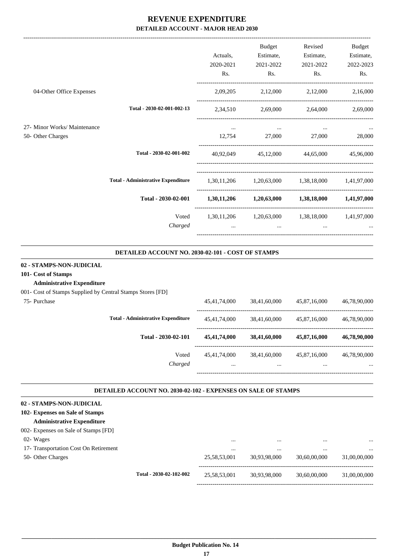|                                                   |                                           | Actuals.<br>2020-2021<br>Rs. | Budget<br>Estimate,<br>2021-2022<br>Rs.                              | Revised<br>Estimate,<br>2021-2022<br>Rs.                    | Budget<br>Estimate,<br>2022-2023<br>Rs. |
|---------------------------------------------------|-------------------------------------------|------------------------------|----------------------------------------------------------------------|-------------------------------------------------------------|-----------------------------------------|
| 04-Other Office Expenses                          |                                           |                              |                                                                      | 2,09,205 2,12,000 2,12,000                                  | 2,16,000                                |
|                                                   | Total - 2030-02-001-002-13                |                              |                                                                      | 2,34,510 2,69,000 2,64,000                                  | 2,69,000                                |
| 27- Minor Works/ Maintenance<br>50- Other Charges |                                           |                              | the company of the company of the company of<br>12,754 27,000 27,000 | see the company of the company of the<br>$\cdots$           | 28,000                                  |
|                                                   | Total - 2030-02-001-002                   | 40,92,049                    |                                                                      | 45,12,000 44,65,000                                         | 45,96,000                               |
|                                                   | <b>Total - Administrative Expenditure</b> |                              |                                                                      | 1,30,11,206 1,20,63,000 1,38,18,000 1,41,97,000             |                                         |
|                                                   | Total - 2030-02-001                       |                              |                                                                      | $1,30,11,206$ $1,20,63,000$ $1,38,18,000$ $1,41,97,000$     |                                         |
|                                                   | Voted<br>Charged                          | $\cdots$                     | $\cdots$                                                             | 1,30,11,206 1,20,63,000 1,38,18,000 1,41,97,000<br>$\cdots$ |                                         |

#### **DETAILED ACCOUNT NO. 2030-02-101 - COST OF STAMPS .**

#### **02 - STAMPS-NON-JUDICIAL**

#### **101- Cost of Stamps**

#### **Administrative Expenditure**

#### 001- Cost of Stamps Supplied by Central Stamps Stores [FD]

| 75- Purchase |                                           | 45,41,74,000     | 38,41,60,000     | 45,87,16,000     | 46,78,90,000             |
|--------------|-------------------------------------------|------------------|------------------|------------------|--------------------------|
|              | <b>Total - Administrative Expenditure</b> | 45.41.74.000     | 38,41,60,000     | 45,87,16,000     | 46,78,90,000             |
|              | Total - 2030-02-101                       | 45, 41, 74, 000  | 38,41,60,000     | 45,87,16,000     | 46,78,90,000             |
|              | Voted<br>Charged                          | 45.41.74.000<br> | 38,41,60,000<br> | 45,87,16,000<br> | 46,78,90,000<br>$\cdots$ |
|              |                                           |                  |                  |                  |                          |

.

.

#### **DETAILED ACCOUNT NO. 2030-02-102 - EXPENSES ON SALE OF STAMPS .**

#### **02 - STAMPS-NON-JUDICIAL 102- Expenses on Sale of Stamps**

# **Administrative Expenditure**

| 002- Expenses on Sale of Stamps [FD]  |                         |              |              |              |              |
|---------------------------------------|-------------------------|--------------|--------------|--------------|--------------|
| 02- Wages                             |                         | $\cdots$     | $\cdots$     |              |              |
| 17- Transportation Cost On Retirement |                         | $\cdots$     | $\cdots$     | $\cdots$     |              |
| 50- Other Charges                     |                         | 25,58,53,001 | 30.93.98.000 | 30,60,00,000 | 31,00,00,000 |
|                                       |                         |              |              |              |              |
|                                       | Total - 2030-02-102-002 | 25,58,53,001 | 30.93.98.000 | 30,60,00,000 | 31,00,00,000 |
|                                       |                         |              |              |              |              |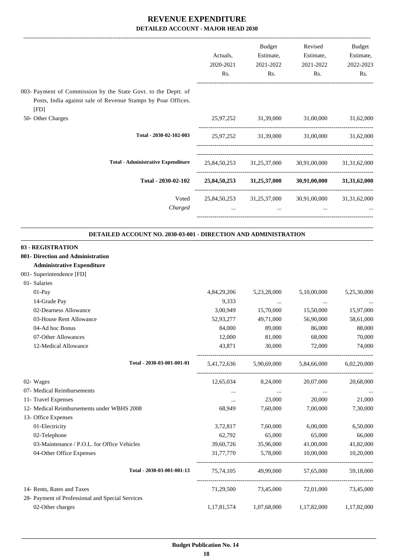|                                                                                                                                                                                                    | Actuals,<br>2020-2021<br>Rs. | Budget<br>Estimate,<br>2021-2022<br>Rs. | Revised<br>Estimate,<br>2021-2022<br>Rs.                        | Budget<br>Estimate,<br>2022-2023<br>Rs. |
|----------------------------------------------------------------------------------------------------------------------------------------------------------------------------------------------------|------------------------------|-----------------------------------------|-----------------------------------------------------------------|-----------------------------------------|
| 003- Payment of Commission by the State Govt. to the Deptt. of<br>Posts, India against sale of Revenue Stamps by Poar Offices.<br>[FD]                                                             |                              |                                         |                                                                 |                                         |
| 50- Other Charges                                                                                                                                                                                  |                              |                                         | 25,97,252 31,39,000 31,00,000                                   | 31,62,000                               |
| Total - 2030-02-102-003                                                                                                                                                                            |                              |                                         | 25,97,252 31,39,000 31,00,000 31,62,000                         |                                         |
| <b>Total - Administrative Expenditure</b>                                                                                                                                                          |                              |                                         | 25,84,50,253 31,25,37,000 30,91,00,000 31,31,62,000             |                                         |
| Total - 2030-02-102                                                                                                                                                                                |                              |                                         | 25,84,50,253 31,25,37,000 30,91,00,000                          | 31,31,62,000                            |
| Voted<br>Charged                                                                                                                                                                                   | $\ddotsc$                    | $\cdots$                                | 25,84,50,253 31,25,37,000 30,91,00,000 31,31,62,000<br>$\cdots$ |                                         |
| <b>DETAILED ACCOUNT NO. 2030-03-001 - DIRECTION AND ADMINISTRATION</b><br>03 - REGISTRATION<br>001- Direction and Administration<br><b>Administrative Expenditure</b><br>001- Superintendence [FD] |                              |                                         |                                                                 |                                         |
| 01- Salaries<br>01-Pay                                                                                                                                                                             | 4,84,29,206                  | 5,23,28,000                             | 5,10,00,000                                                     | 5,25,30,000                             |
| 14-Grade Pay                                                                                                                                                                                       | 9,333                        | $\cdots$                                | $\ldots$                                                        |                                         |
| 02-Dearness Allowance                                                                                                                                                                              | 3,00,949                     | 15,70,000                               | 15,50,000                                                       | 15,97,000                               |
| 03-House Rent Allowance                                                                                                                                                                            | 52,93,277                    | 49,71,000                               | 56,90,000                                                       | 58,61,000                               |
| 04-Ad hoc Bonus                                                                                                                                                                                    | 84,000                       | 89,000                                  | 86,000                                                          | 88,000                                  |
| 07-Other Allowances                                                                                                                                                                                | 12,000                       | 81,000                                  | 68,000                                                          | 70,000                                  |
| 12-Medical Allowance                                                                                                                                                                               | 43,871                       | 30,000                                  | 72,000                                                          | 74,000                                  |
| Total - 2030-03-001-001-01                                                                                                                                                                         |                              | 5,41,72,636 5,90,69,000                 | 5,84,66,000                                                     | 6,02,20,000                             |
| 02- Wages                                                                                                                                                                                          | 12,65,034                    | 8,24,000                                | 20,07,000                                                       | 20,68,000                               |
| 07- Medical Reimbursements                                                                                                                                                                         |                              | $\cdots$                                | $\cdots$                                                        |                                         |
| 11- Travel Expenses                                                                                                                                                                                | $\cdots$                     | 23,000                                  | 20,000                                                          | 21,000                                  |
| 12- Medical Reimbursements under WBHS 2008                                                                                                                                                         | 68,949                       | 7,60,000                                | 7,00,000                                                        | 7,30,000                                |
| 13- Office Expenses                                                                                                                                                                                |                              |                                         |                                                                 |                                         |
| 01-Electricity                                                                                                                                                                                     | 3,72,817                     | 7,60,000                                | 6,00,000                                                        | 6,50,000                                |
| 02-Telephone                                                                                                                                                                                       | 62,792                       | 65,000                                  | 65,000                                                          | 66,000                                  |
| 03-Maintenance / P.O.L. for Office Vehicles<br>04-Other Office Expenses                                                                                                                            | 39,60,726<br>31,77,770       | 35,96,000<br>5,78,000                   | 41,00,000<br>10,00,000                                          | 41,82,000<br>10,20,000                  |
| Total - 2030-03-001-001-13                                                                                                                                                                         | 75,74,105                    | 49,99,000                               | 57,65,000                                                       | 59,18,000                               |
| 14- Rents, Rates and Taxes                                                                                                                                                                         | 71,29,500                    | 73,45,000                               | 72,01,000                                                       | 73,45,000                               |
| 28- Payment of Professional and Special Services                                                                                                                                                   |                              |                                         |                                                                 |                                         |
| 02-Other charges                                                                                                                                                                                   | 1,17,81,574                  | 1,07,68,000                             | 1,17,82,000                                                     | 1,17,82,000                             |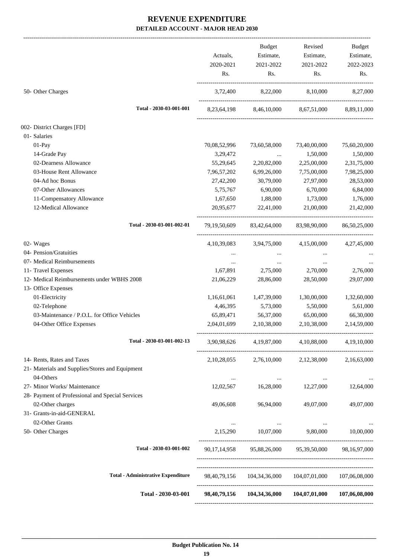|                                                  | Actuals,<br>2020-2021<br>Rs. | Budget<br>Estimate,<br>2021-2022<br>Rs.                | Estimate,<br>2021-2022                                                                                                                                                                                                                                                                                                                                                                                                                                                                                                                                | Budget<br>Estimate,<br>2022-2023<br>Rs. |
|--------------------------------------------------|------------------------------|--------------------------------------------------------|-------------------------------------------------------------------------------------------------------------------------------------------------------------------------------------------------------------------------------------------------------------------------------------------------------------------------------------------------------------------------------------------------------------------------------------------------------------------------------------------------------------------------------------------------------|-----------------------------------------|
| 50- Other Charges                                | 3,72,400                     | 8,22,000                                               | Revised<br>Rs.<br>8,10,000<br>8,23,64,198 8,46,10,000 8,67,51,000 8,89,11,000<br>73,40,00,000<br>1,50,000<br>2,25,00,000<br>7,75,00,000<br>27,97,000<br>6,70,000<br>1,73,000<br>21,00,000<br>83,42,64,000 83,98,90,000<br>4,15,00,000 4,27,45,000<br>$\ldots$<br>2,70,000<br>28,50,000<br>1,30,00,000<br>5,50,000<br>65,00,000<br>2,10,38,000<br>4,10,88,000<br>2,10,28,055 2,76,10,000 2,12,38,000 2,16,63,000<br>$\cdots$<br>12,27,000<br>49,07,000<br>2,15,290 10,07,000 9,80,000 10,00,000<br>90,17,14,958 95,88,26,000 95,39,50,000 98,16,97,000 | 8,27,000                                |
| Total - 2030-03-001-001                          |                              |                                                        |                                                                                                                                                                                                                                                                                                                                                                                                                                                                                                                                                       |                                         |
| 002- District Charges [FD]                       |                              |                                                        |                                                                                                                                                                                                                                                                                                                                                                                                                                                                                                                                                       |                                         |
| 01- Salaries                                     |                              |                                                        |                                                                                                                                                                                                                                                                                                                                                                                                                                                                                                                                                       |                                         |
| 01-Pay                                           | 70,08,52,996                 | 73,60,58,000                                           |                                                                                                                                                                                                                                                                                                                                                                                                                                                                                                                                                       | 75,60,20,000                            |
| 14-Grade Pay                                     | 3,29,472                     | $\cdots$                                               |                                                                                                                                                                                                                                                                                                                                                                                                                                                                                                                                                       | 1,50,000                                |
| 02-Dearness Allowance                            | 55,29,645                    | 2,20,82,000                                            |                                                                                                                                                                                                                                                                                                                                                                                                                                                                                                                                                       | 2,31,75,000                             |
| 03-House Rent Allowance                          | 7,96,57,202                  | 6,99,26,000                                            |                                                                                                                                                                                                                                                                                                                                                                                                                                                                                                                                                       | 7,98,25,000                             |
| 04-Ad hoc Bonus                                  | 27,42,200                    | 30,79,000                                              |                                                                                                                                                                                                                                                                                                                                                                                                                                                                                                                                                       | 28,53,000                               |
| 07-Other Allowances                              | 5,75,767                     | 6,90,000                                               |                                                                                                                                                                                                                                                                                                                                                                                                                                                                                                                                                       | 6,84,000                                |
| 11-Compensatory Allowance                        | 1,67,650                     | 1,88,000                                               |                                                                                                                                                                                                                                                                                                                                                                                                                                                                                                                                                       | 1,76,000                                |
| 12-Medical Allowance                             | 20,95,677                    | 22,41,000                                              |                                                                                                                                                                                                                                                                                                                                                                                                                                                                                                                                                       | 21,42,000                               |
| Total - 2030-03-001-002-01                       | 79, 19, 50, 609              |                                                        |                                                                                                                                                                                                                                                                                                                                                                                                                                                                                                                                                       | 86,50,25,000                            |
| 02- Wages                                        | 4, 10, 39, 083               | 3,94,75,000                                            |                                                                                                                                                                                                                                                                                                                                                                                                                                                                                                                                                       |                                         |
| 04- Pension/Gratuities                           |                              |                                                        |                                                                                                                                                                                                                                                                                                                                                                                                                                                                                                                                                       |                                         |
| 07- Medical Reimbursements                       | $\cdots$                     | $\cdots$                                               |                                                                                                                                                                                                                                                                                                                                                                                                                                                                                                                                                       |                                         |
| 11- Travel Expenses                              | 1,67,891                     | 2,75,000                                               |                                                                                                                                                                                                                                                                                                                                                                                                                                                                                                                                                       | 2,76,000                                |
| 12- Medical Reimbursements under WBHS 2008       | 21,06,229                    | 28,86,000                                              |                                                                                                                                                                                                                                                                                                                                                                                                                                                                                                                                                       | 29,07,000                               |
| 13- Office Expenses                              |                              |                                                        |                                                                                                                                                                                                                                                                                                                                                                                                                                                                                                                                                       |                                         |
| 01-Electricity                                   | 1,16,61,061                  | 1,47,39,000                                            |                                                                                                                                                                                                                                                                                                                                                                                                                                                                                                                                                       | 1,32,60,000                             |
| 02-Telephone                                     | 4,46,395                     | 5,73,000                                               |                                                                                                                                                                                                                                                                                                                                                                                                                                                                                                                                                       | 5,61,000                                |
| 03-Maintenance / P.O.L. for Office Vehicles      | 65,89,471                    | 56,37,000                                              |                                                                                                                                                                                                                                                                                                                                                                                                                                                                                                                                                       | 66,30,000                               |
| 04-Other Office Expenses                         | 2,04,01,699                  | 2,10,38,000                                            |                                                                                                                                                                                                                                                                                                                                                                                                                                                                                                                                                       | 2,14,59,000                             |
| Total - 2030-03-001-002-13                       | 3,90,98,626                  | 4,19,87,000                                            |                                                                                                                                                                                                                                                                                                                                                                                                                                                                                                                                                       | 4,19,10,000                             |
| 14- Rents, Rates and Taxes                       |                              |                                                        |                                                                                                                                                                                                                                                                                                                                                                                                                                                                                                                                                       |                                         |
| 21- Materials and Supplies/Stores and Equipment  |                              |                                                        |                                                                                                                                                                                                                                                                                                                                                                                                                                                                                                                                                       |                                         |
| 04-Others                                        | $\cdots$                     | $\ldots$                                               |                                                                                                                                                                                                                                                                                                                                                                                                                                                                                                                                                       |                                         |
| 27- Minor Works/ Maintenance                     | 12,02,567                    | 16,28,000                                              |                                                                                                                                                                                                                                                                                                                                                                                                                                                                                                                                                       | 12,64,000                               |
| 28- Payment of Professional and Special Services |                              |                                                        |                                                                                                                                                                                                                                                                                                                                                                                                                                                                                                                                                       |                                         |
| 02-Other charges                                 | 49,06,608                    | 96,94,000                                              |                                                                                                                                                                                                                                                                                                                                                                                                                                                                                                                                                       | 49,07,000                               |
| 31- Grants-in-aid-GENERAL                        |                              |                                                        |                                                                                                                                                                                                                                                                                                                                                                                                                                                                                                                                                       |                                         |
| 02-Other Grants                                  |                              |                                                        |                                                                                                                                                                                                                                                                                                                                                                                                                                                                                                                                                       | $\cdots$                                |
| 50- Other Charges                                |                              |                                                        |                                                                                                                                                                                                                                                                                                                                                                                                                                                                                                                                                       |                                         |
| Total - 2030-03-001-002                          |                              |                                                        |                                                                                                                                                                                                                                                                                                                                                                                                                                                                                                                                                       |                                         |
| <b>Total - Administrative Expenditure</b>        |                              | 98,40,79,156 104,34,36,000 104,07,01,000 107,06,08,000 |                                                                                                                                                                                                                                                                                                                                                                                                                                                                                                                                                       |                                         |
| Total - 2030-03-001                              |                              | 98,40,79,156 104,34,36,000 104,07,01,000 107,06,08,000 |                                                                                                                                                                                                                                                                                                                                                                                                                                                                                                                                                       |                                         |
|                                                  |                              |                                                        |                                                                                                                                                                                                                                                                                                                                                                                                                                                                                                                                                       |                                         |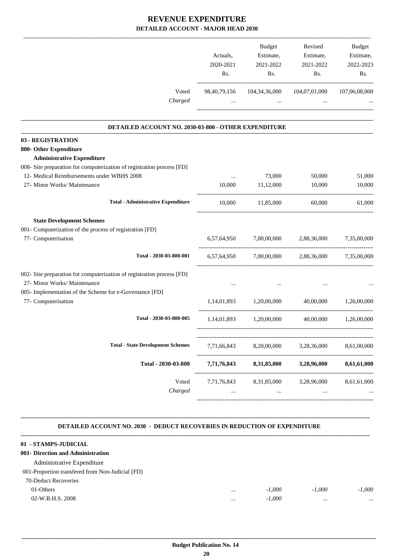|                                                                                                                                                                                          | Actuals,<br>2020-2021<br>Rs. | Budget<br>Estimate,<br>2021-2022<br>Rs. | Revised<br>Estimate,<br>2021-2022<br>Rs.              | Budget<br>Estimate,<br>2022-2023<br>Rs. |
|------------------------------------------------------------------------------------------------------------------------------------------------------------------------------------------|------------------------------|-----------------------------------------|-------------------------------------------------------|-----------------------------------------|
| Voted<br>Charged                                                                                                                                                                         | $\ddots$                     | the company of the company of           | 98,40,79,156 104,34,36,000 104,07,01,000<br>$\cdots$  | 107,06,08,000                           |
| DETAILED ACCOUNT NO. 2030-03-800 - OTHER EXPENDITURE                                                                                                                                     |                              |                                         |                                                       |                                         |
| 03 - REGISTRATION                                                                                                                                                                        |                              |                                         |                                                       |                                         |
| 800- Other Expenditure<br><b>Administrative Expenditure</b><br>008- Site preparation for computerization of registration process [FD]<br>12- Medical Reimbursements under WBHS 2008      | $\cdots$                     | 73,000                                  | 50,000                                                | 51,000                                  |
| 27- Minor Works/ Maintenance                                                                                                                                                             | 10,000                       | 11,12,000                               | 10,000                                                | 10,000                                  |
| <b>Total - Administrative Expenditure</b>                                                                                                                                                | 10,000                       | 11,85,000                               | 60,000                                                | 61,000                                  |
| <b>State Development Schemes</b><br>001- Computerization of the process of registration [FD]<br>77- Computerisation                                                                      |                              |                                         | 6,57,64,950 7,00,00,000 2,88,36,000 7,35,00,000       |                                         |
| Total - 2030-03-800-001                                                                                                                                                                  |                              |                                         | 6,57,64,950 7,00,00,000 2,88,36,000 7,35,00,000       |                                         |
| 002- Site preparation for computerization of registration process [FD]<br>27- Minor Works/ Maintenance<br>005- Implementation of the Scheme for e-Governance [FD]<br>77- Computerisation | 1,14,01,893                  | 1,20,00,000                             | 40,00,000                                             | 1,26,00,000                             |
| Total - 2030-03-800-005                                                                                                                                                                  |                              |                                         | $1,14,01,893$ $1,20,00,000$ $40,00,000$ $1,26,00,000$ |                                         |
| <b>Total - State Development Schemes</b>                                                                                                                                                 | 7,71,66,843                  | 8,20,00,000                             | 3,28,36,000                                           | 8,61,00,000                             |
| Total - 2030-03-800                                                                                                                                                                      | 7,71,76,843                  | 8,31,85,000                             | 3,28,96,000                                           | 8,61,61,000                             |
| Voted<br>Charged                                                                                                                                                                         | 7,71,76,843<br>$\cdots$      | 8,31,85,000<br>$\cdots$                 | 3,28,96,000<br>$\cdots$                               | 8,61,61,000                             |

#### **DETAILED ACCOUNT NO. 2030 - DEDUCT RECOVERIES IN REDUCTION OF EXPENDITURE**

**--------------------------------------------------------------------------------------------------------------------------------------------------------------------------------**

| 01 - STAMPS-JUDICIAL                             |          |          |          |          |
|--------------------------------------------------|----------|----------|----------|----------|
| 001- Direction and Administration                |          |          |          |          |
| Administrative Expenditure                       |          |          |          |          |
| 001-Proportion transfered from Non-Judicial [FD] |          |          |          |          |
| 70-Deduct Recoveries                             |          |          |          |          |
| 01-Others                                        | $\cdots$ | $-1.000$ | $-1.000$ | $-1.000$ |
| $02-W.B.H.S. 2008$                               | $\cdots$ | $-1.000$ | $\cdots$ | $\cdots$ |
|                                                  |          |          |          |          |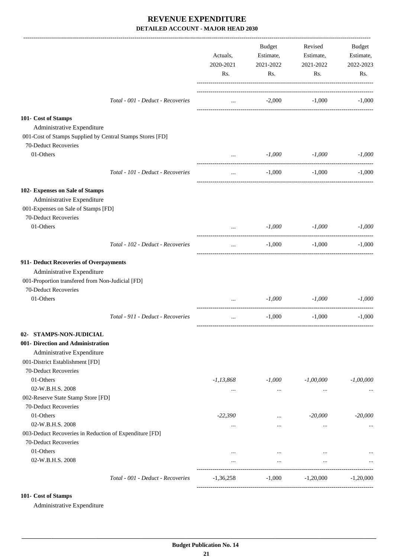|                                                                                   |                                   | Actuals,<br>2020-2021<br>Rs. | Budget<br>Estimate,<br>2021-2022<br>Rs. | Revised<br>Estimate,<br>2021-2022<br>Rs. | Budget<br>Estimate,<br>2022-2023<br>Rs. |
|-----------------------------------------------------------------------------------|-----------------------------------|------------------------------|-----------------------------------------|------------------------------------------|-----------------------------------------|
|                                                                                   | Total - 001 - Deduct - Recoveries | $\cdots$                     | $-2,000$                                | $-1,000$                                 | $-1,000$                                |
| 101- Cost of Stamps                                                               |                                   |                              |                                         |                                          |                                         |
| Administrative Expenditure                                                        |                                   |                              |                                         |                                          |                                         |
| 001-Cost of Stamps Supplied by Central Stamps Stores [FD]<br>70-Deduct Recoveries |                                   |                              |                                         |                                          |                                         |
| 01-Others                                                                         |                                   |                              | $-1,000$                                | $-1,000$                                 | $-1,000$                                |
|                                                                                   |                                   | $\cdots$                     |                                         |                                          |                                         |
|                                                                                   | Total - 101 - Deduct - Recoveries | $\cdots$                     | $-1,000$                                | $-1,000$                                 | $-1,000$                                |
| 102- Expenses on Sale of Stamps                                                   |                                   |                              |                                         |                                          |                                         |
| Administrative Expenditure                                                        |                                   |                              |                                         |                                          |                                         |
| 001-Expenses on Sale of Stamps [FD]                                               |                                   |                              |                                         |                                          |                                         |
| 70-Deduct Recoveries                                                              |                                   |                              |                                         |                                          |                                         |
| 01-Others                                                                         |                                   | $\cdots$                     | $-1,000$                                | $-1,000$                                 | $-1,000$                                |
|                                                                                   | Total - 102 - Deduct - Recoveries | $\cdots$                     | $-1,000$                                | $-1,000$                                 | $-1,000$                                |
|                                                                                   |                                   |                              |                                         |                                          |                                         |
| 911- Deduct Recoveries of Overpayments                                            |                                   |                              |                                         |                                          |                                         |
| Administrative Expenditure                                                        |                                   |                              |                                         |                                          |                                         |
| 001-Proportion transfered from Non-Judicial [FD]<br>70-Deduct Recoveries          |                                   |                              |                                         |                                          |                                         |
| 01-Others                                                                         |                                   |                              | $-1,000$                                | $-1,000$                                 | $-1,000$                                |
|                                                                                   |                                   | $\cdots$                     |                                         |                                          |                                         |
|                                                                                   | Total - 911 - Deduct - Recoveries | $\cdots$                     | $-1,000$                                | $-1,000$                                 | $-1.000$                                |
| 02- STAMPS-NON-JUDICIAL                                                           |                                   |                              |                                         |                                          |                                         |
| 001- Direction and Administration                                                 |                                   |                              |                                         |                                          |                                         |
| Administrative Expenditure                                                        |                                   |                              |                                         |                                          |                                         |
| 001-District Establishment [FD]                                                   |                                   |                              |                                         |                                          |                                         |
| 70-Deduct Recoveries                                                              |                                   |                              |                                         |                                          |                                         |
| 01-Others                                                                         |                                   | $-1, 13, 868$                | $-1,000$                                | $-1,00,000$                              | $-1,00,000$                             |
| 02-W.B.H.S. 2008                                                                  |                                   | $\cdots$                     | $\cdots$                                | $\cdots$                                 |                                         |
| 002-Reserve State Stamp Store [FD]                                                |                                   |                              |                                         |                                          |                                         |
| 70-Deduct Recoveries                                                              |                                   |                              |                                         |                                          |                                         |
| 01-Others                                                                         |                                   | $-22,390$                    | $\cdots$                                | $-20,000$                                | $-20,000$                               |
| 02-W.B.H.S. 2008<br>003-Deduct Recoveries in Reduction of Expenditure [FD]        |                                   | $\cdots$                     | $\cdots$                                | $\cdots$                                 |                                         |
| 70-Deduct Recoveries                                                              |                                   |                              |                                         |                                          |                                         |
| 01-Others                                                                         |                                   | $\cdots$                     | $\cdots$                                | $\cdots$                                 |                                         |
| 02-W.B.H.S. 2008                                                                  |                                   | $\cdots$                     | $\cdots$                                | $\cdots$                                 |                                         |
|                                                                                   |                                   |                              |                                         |                                          |                                         |

#### **101- Cost of Stamps**

Administrative Expenditure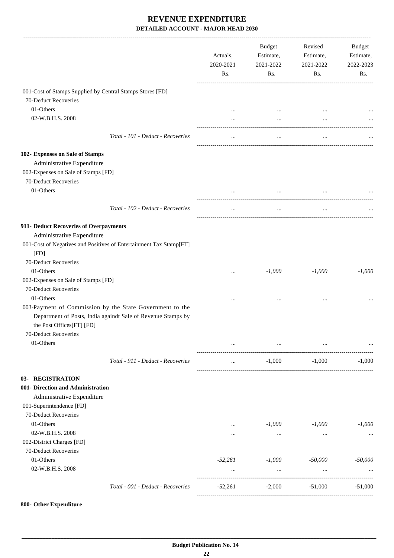|                                                                                                                                                       | Actuals,<br>2020-2021<br>Rs. | Budget<br>Estimate,<br>2021-2022<br>Rs. | Revised<br>Estimate,<br>2021-2022<br>Rs. | Budget<br>Estimate,<br>2022-2023<br>Rs. |
|-------------------------------------------------------------------------------------------------------------------------------------------------------|------------------------------|-----------------------------------------|------------------------------------------|-----------------------------------------|
| 001-Cost of Stamps Supplied by Central Stamps Stores [FD]                                                                                             |                              |                                         |                                          |                                         |
| 70-Deduct Recoveries                                                                                                                                  |                              |                                         |                                          |                                         |
| 01-Others                                                                                                                                             | $\cdots$                     | $\cdots$                                | $\ddotsc$                                |                                         |
| 02-W.B.H.S. 2008                                                                                                                                      |                              | $\cdots$                                |                                          |                                         |
| Total - 101 - Deduct - Recoveries                                                                                                                     | $\cdots$                     |                                         |                                          |                                         |
| 102- Expenses on Sale of Stamps                                                                                                                       |                              |                                         |                                          |                                         |
| Administrative Expenditure                                                                                                                            |                              |                                         |                                          |                                         |
| 002-Expenses on Sale of Stamps [FD]                                                                                                                   |                              |                                         |                                          |                                         |
| 70-Deduct Recoveries                                                                                                                                  |                              |                                         |                                          |                                         |
| 01-Others                                                                                                                                             |                              | $\cdots$                                |                                          |                                         |
| Total - 102 - Deduct - Recoveries                                                                                                                     | $\cdots$                     | $\cdots$                                | $\ldots$                                 |                                         |
| 911- Deduct Recoveries of Overpayments                                                                                                                |                              |                                         |                                          |                                         |
| Administrative Expenditure                                                                                                                            |                              |                                         |                                          |                                         |
| 001-Cost of Negatives and Positives of Entertainment Tax Stamp[FT]                                                                                    |                              |                                         |                                          |                                         |
| [FD]                                                                                                                                                  |                              |                                         |                                          |                                         |
| 70-Deduct Recoveries                                                                                                                                  |                              |                                         |                                          |                                         |
| 01-Others                                                                                                                                             | $\cdots$                     | $-1,000$                                | $-1,000$                                 | $-1,000$                                |
| 002-Expenses on Sale of Stamps [FD]                                                                                                                   |                              |                                         |                                          |                                         |
| 70-Deduct Recoveries                                                                                                                                  |                              |                                         |                                          |                                         |
| 01-Others                                                                                                                                             |                              |                                         |                                          |                                         |
| 003-Payment of Commission by the State Government to the<br>Department of Posts, India againdt Sale of Revenue Stamps by<br>the Post Offices[FT] [FD] |                              |                                         |                                          |                                         |
| 70-Deduct Recoveries                                                                                                                                  |                              |                                         |                                          |                                         |
| 01-Others                                                                                                                                             | $\cdots$                     |                                         |                                          |                                         |
| Total - 911 - Deduct - Recoveries                                                                                                                     | $\cdots$                     | $-1,000$                                | $-1,000$                                 | $-1,000$                                |
| 03- REGISTRATION                                                                                                                                      |                              |                                         |                                          |                                         |
| 001- Direction and Administration                                                                                                                     |                              |                                         |                                          |                                         |
| Administrative Expenditure                                                                                                                            |                              |                                         |                                          |                                         |
| 001-Superintendence [FD]                                                                                                                              |                              |                                         |                                          |                                         |
| 70-Deduct Recoveries                                                                                                                                  |                              |                                         |                                          |                                         |
| 01-Others                                                                                                                                             | $\cdots$                     | $-1,000$                                | $-1,000$                                 | $-1,000$                                |
| 02-W.B.H.S. 2008                                                                                                                                      |                              | $\cdots$                                | $\cdots$                                 | $\ldots$                                |
| 002-District Charges [FD]                                                                                                                             |                              |                                         |                                          |                                         |
| 70-Deduct Recoveries                                                                                                                                  |                              |                                         |                                          |                                         |
| 01-Others                                                                                                                                             | $-52,261$                    | $-1,000$                                | $-50,000$                                | $-50,000$                               |
| 02-W.B.H.S. 2008                                                                                                                                      | $\cdots$                     | $\ldots$                                | $\cdots$                                 |                                         |
| Total - 001 - Deduct - Recoveries                                                                                                                     | $-52,261$                    | $-2,000$                                | $-51,000$                                | $-51,000$                               |
|                                                                                                                                                       |                              |                                         |                                          |                                         |

#### **800- Other Expenditure**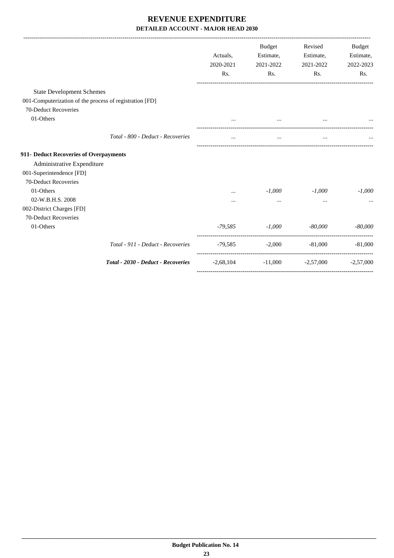| Actuals,<br>2020-2021<br>Rs. | Budget<br>Estimate,<br>2021-2022<br>Rs. | Revised<br>Estimate,<br>2021-2022<br>Rs.                                   | <b>Budget</b><br>Estimate,<br>2022-2023<br>Rs.                                                                                                 |
|------------------------------|-----------------------------------------|----------------------------------------------------------------------------|------------------------------------------------------------------------------------------------------------------------------------------------|
|                              |                                         |                                                                            |                                                                                                                                                |
|                              |                                         |                                                                            |                                                                                                                                                |
|                              |                                         |                                                                            |                                                                                                                                                |
|                              |                                         |                                                                            |                                                                                                                                                |
| $\cdots$                     | $\cdots$                                | $\cdots$                                                                   |                                                                                                                                                |
|                              |                                         |                                                                            |                                                                                                                                                |
|                              |                                         |                                                                            |                                                                                                                                                |
|                              |                                         |                                                                            |                                                                                                                                                |
|                              |                                         |                                                                            |                                                                                                                                                |
| $\cdots$                     | $-1,000$                                | $-1,000$                                                                   | $-1,000$                                                                                                                                       |
|                              | $\cdots$                                | $\cdots$                                                                   | $\cdots$                                                                                                                                       |
|                              |                                         |                                                                            |                                                                                                                                                |
|                              |                                         |                                                                            |                                                                                                                                                |
|                              |                                         |                                                                            | $-80,000$                                                                                                                                      |
|                              |                                         |                                                                            |                                                                                                                                                |
|                              |                                         |                                                                            |                                                                                                                                                |
|                              |                                         | and the state of the state of the state of the<br>$-79,585$<br>$-2,68,104$ | the company of the company of the company<br>$-79,585$ $-1,000$ $-80,000$<br>$-2,000$ $-81,000$ $-81,000$<br>$-11,000$ $-2,57,000$ $-2,57,000$ |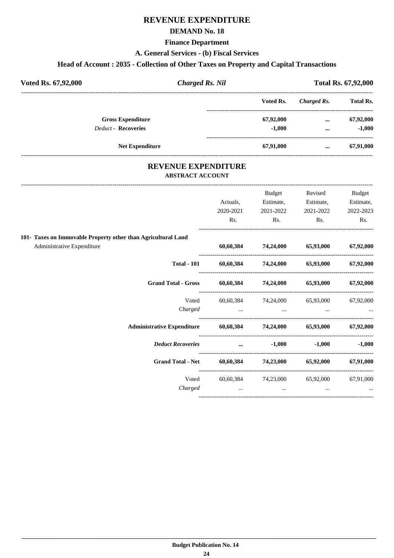### **REVENUE EXPENDITURE**

#### **DEMAND No. 18**

#### **Finance Department**

**A. General Services - (b) Fiscal Services**

#### **Head of Account : 2035 - Collection of Other Taxes on Property and Capital Transactions**

| Voted Rs. 67,92,000        | <b>Charged Rs. Nil</b> |           |             |                  |
|----------------------------|------------------------|-----------|-------------|------------------|
|                            |                        | Voted Rs. | Charged Rs. | <b>Total Rs.</b> |
| <b>Gross Expenditure</b>   |                        | 67,92,000 | $\cdots$    | 67,92,000        |
| <b>Deduct - Recoveries</b> |                        | $-1,000$  | $\cdots$    | $-1,000$         |
| <b>Net Expenditure</b>     |                        | 67,91,000 | $\cdots$    | 67,91,000        |

# **REVENUE EXPENDITURE**

---------------------------------------------------------------------------------------------------------------------------------------------------------------------------------

#### **ABSTRACT ACCOUNT**

|                                                                                                                                                                                                                                |           | Budget         | Revised                                             | <b>Budget</b>                  |
|--------------------------------------------------------------------------------------------------------------------------------------------------------------------------------------------------------------------------------|-----------|----------------|-----------------------------------------------------|--------------------------------|
|                                                                                                                                                                                                                                | Actuals,  | Estimate,      | Estimate,                                           | Estimate,                      |
|                                                                                                                                                                                                                                | 2020-2021 | 2021-2022      | 2021-2022                                           | 2022-2023                      |
|                                                                                                                                                                                                                                | Rs.       | $\mathbf{Rs.}$ | $\mathbf{Rs.}$                                      | Rs.                            |
| 101- Taxes on Immovable Property other than Agricultural Land                                                                                                                                                                  |           |                |                                                     |                                |
| Administrative Expenditure                                                                                                                                                                                                     |           |                | $60,60,384$ $74,24,000$ $65,93,000$ $67,92,000$     |                                |
|                                                                                                                                                                                                                                |           |                | Total - 101 60,60,384 74,24,000 65,93,000 67,92,000 |                                |
| Grand Total - Gross 60,60,384 74,24,000 65,93,000 67,92,000                                                                                                                                                                    |           |                |                                                     |                                |
| Voted                                                                                                                                                                                                                          |           |                | $60,60,384$ $74,24,000$ $65,93,000$ $67,92,000$     |                                |
|                                                                                                                                                                                                                                |           |                |                                                     |                                |
| Administrative Expenditure 60,60,384 74,24,000 65,93,000 67,92,000                                                                                                                                                             |           |                |                                                     |                                |
| Deduct Recoveries and the settlement of the settlement of the settlement of the settlement of the set of the set of the set of the set of the set of the set of the set of the set of the set of the set of the set of the set |           |                |                                                     | $-1,000$ $-1,000$              |
| Grand Total - Net 60,60,384 74,23,000 65,92,000 67,91,000                                                                                                                                                                      |           |                |                                                     |                                |
| Voted                                                                                                                                                                                                                          |           |                | 60,60,384 74,23,000 65,92,000 67,91,000             |                                |
| Charged                                                                                                                                                                                                                        | $\cdots$  | $\cdots$       |                                                     | <b>The Committee Committee</b> |
|                                                                                                                                                                                                                                |           |                |                                                     |                                |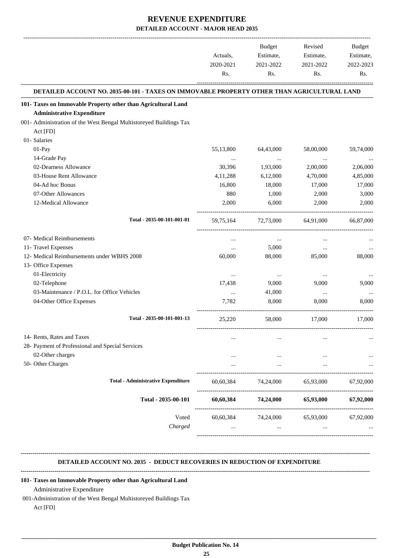|                                                                                                    | Actuals,  | Budget<br>Estimate,      | Revised<br>Estimate, | Budget<br>Estimate, |
|----------------------------------------------------------------------------------------------------|-----------|--------------------------|----------------------|---------------------|
|                                                                                                    | 2020-2021 | 2021-2022                | 2021-2022            | 2022-2023           |
|                                                                                                    | Rs.       | Rs.                      | Rs.                  | Rs.                 |
| DETAILED ACCOUNT NO. 2035-00-101 - TAXES ON IMMOVABLE PROPERTY OTHER THAN AGRICULTURAL LAND        |           |                          |                      |                     |
| 101- Taxes on Immovable Property other than Agricultural Land<br><b>Administrative Expenditure</b> |           |                          |                      |                     |
| 001- Administration of the West Bengal Multistoreyed Buildings Tax                                 |           |                          |                      |                     |
| Act [FD]                                                                                           |           |                          |                      |                     |
| 01- Salaries                                                                                       |           |                          |                      |                     |
| 01-Pay                                                                                             | 55,13,800 | 64,43,000                | 58,00,000            | 59,74,000           |
| 14-Grade Pay                                                                                       | $\cdots$  | $\cdots$                 | $\cdots$             |                     |
| 02-Dearness Allowance                                                                              | 30,396    | 1,93,000                 | 2,00,000             | 2,06,000            |
| 03-House Rent Allowance                                                                            | 4,11,288  | 6,12,000                 | 4,70,000             | 4,85,000            |
| 04-Ad hoc Bonus                                                                                    | 16,800    | 18,000                   | 17,000               | 17,000              |
| 07-Other Allowances                                                                                | 880       | 1,000                    | 2,000                | 3,000               |
| 12-Medical Allowance                                                                               | 2,000     | 6,000                    | 2,000                | 2,000               |
| Total - 2035-00-101-001-01                                                                         | 59.75.164 | 72,73,000                | 64,91,000            | 66,87,000           |
| 07- Medical Reimbursements                                                                         | $\cdots$  | $\cdots$                 | $\cdots$             |                     |
| 11- Travel Expenses                                                                                | $\cdots$  | 5,000                    | $\cdots$             |                     |
| 12- Medical Reimbursements under WBHS 2008                                                         | 60,000    | 88,000                   | 85,000               | 88,000              |
| 13- Office Expenses                                                                                |           |                          |                      |                     |
| 01-Electricity                                                                                     | $\cdots$  | $\cdots$                 | $\cdots$             |                     |
| 02-Telephone                                                                                       | 17,438    | 9,000                    | 9,000                | 9,000               |
| 03-Maintenance / P.O.L. for Office Vehicles                                                        | $\ldots$  | 41,000                   | $\cdots$             |                     |
| 04-Other Office Expenses                                                                           | 7,782     | 8.000                    | 8.000                | 8.000               |
| Total - 2035-00-101-001-13                                                                         | 25,220    | 58,000                   | 17,000               | 17,000              |
| 14- Rents, Rates and Taxes                                                                         |           |                          |                      |                     |
| 28- Payment of Professional and Special Services                                                   |           |                          |                      |                     |
| 02-Other charges                                                                                   |           |                          |                      |                     |
| 50- Other Charges                                                                                  | .         | $\cdots$                 |                      |                     |
| <b>Total - Administrative Expenditure</b>                                                          | 60,60,384 | 74,24,000                | 65,93,000            | 67,92,000           |
|                                                                                                    |           | ------------------------ |                      |                     |
| Total - 2035-00-101                                                                                | 60,60,384 | 74,24,000                | 65,93,000            | 67,92,000           |
| Voted                                                                                              | 60,60,384 | 74,24,000                | 65,93,000            | 67,92,000           |
| Charged                                                                                            | $\cdots$  | $\cdots$                 |                      |                     |
|                                                                                                    |           |                          |                      |                     |

#### **-------------------------------------------------------------------------------------------------------------------------------------------------------------------------------- DETAILED ACCOUNT NO. 2035 - DEDUCT RECOVERIES IN REDUCTION OF EXPENDITURE**

 **\_\_\_\_\_\_\_\_\_\_\_\_\_\_\_\_\_\_\_\_\_\_\_\_\_\_\_\_\_\_\_\_\_\_\_\_\_\_\_\_\_\_\_\_\_\_\_\_\_\_\_\_\_\_\_\_\_\_\_\_\_\_\_\_\_\_\_\_\_\_\_\_\_\_\_\_\_\_\_\_\_\_\_\_\_\_\_\_\_\_\_\_\_\_\_\_\_\_\_\_\_\_\_\_\_\_\_\_\_\_\_\_\_\_\_\_\_\_\_**

#### **-------------------------------------------------------------------------------------------------------------------------------------------------------------------------------- 101- Taxes on Immovable Property other than Agricultural Land**

Administrative Expenditure

001-Administration of the West Bengal Multistoreyed Buildings Tax Act [FD]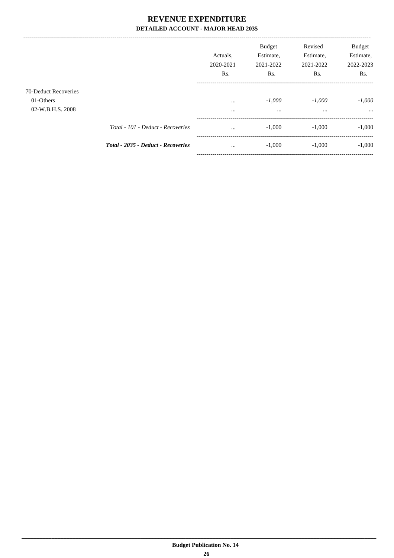---------------------------------

|                                                       |                                           | Actuals.<br>2020-2021<br>Rs. | <b>Budget</b><br>Estimate,<br>2021-2022<br>Rs. | Revised<br>Estimate,<br>2021-2022<br>Rs. | <b>Budget</b><br>Estimate,<br>2022-2023<br>Rs. |
|-------------------------------------------------------|-------------------------------------------|------------------------------|------------------------------------------------|------------------------------------------|------------------------------------------------|
| 70-Deduct Recoveries<br>01-Others<br>02-W.B.H.S. 2008 |                                           | $\cdots$<br>$\cdots$         | $-1.000$<br>$\cdots$                           | $-1.000$<br>$\cdots$                     | $-1,000$<br>$\cdots$                           |
|                                                       | Total - 101 - Deduct - Recoveries         | $\cdots$                     | $-1,000$                                       | $-1,000$                                 | $-1,000$                                       |
|                                                       | <b>Total - 2035 - Deduct - Recoveries</b> | $\cdots$                     | $-1,000$                                       | $-1.000$                                 | $-1,000$                                       |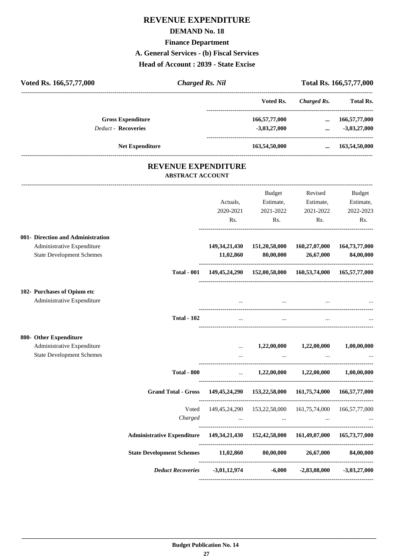# **REVENUE EXPENDITURE**

### **DEMAND No. 18**

### **Finance Department**

### **A. General Services - (b) Fiscal Services**

**Head of Account : 2039 - State Excise**

| Voted Rs. 166,57,77,000           | <b>Charged Rs. Nil</b>                                                             |                                                               | Total Rs. 166,57,77,000             |                                                         |                  |
|-----------------------------------|------------------------------------------------------------------------------------|---------------------------------------------------------------|-------------------------------------|---------------------------------------------------------|------------------|
|                                   |                                                                                    |                                                               | Voted Rs.                           | <b>Charged Rs.</b>                                      | <b>Total Rs.</b> |
| <b>Gross Expenditure</b>          |                                                                                    |                                                               | 166,57,77,000                       |                                                         | 166,57,77,000    |
| <b>Deduct - Recoveries</b>        |                                                                                    |                                                               | $-3,03,27,000$                      | $\dddotsc$                                              | $-3,03,27,000$   |
|                                   | <b>Net Expenditure</b>                                                             |                                                               |                                     | 163,54,50,000  163,54,50,000                            |                  |
|                                   | <b>REVENUE EXPENDITURE</b><br><b>ABSTRACT ACCOUNT</b>                              |                                                               |                                     |                                                         |                  |
|                                   |                                                                                    |                                                               | Budget                              | Revised                                                 | Budget           |
|                                   |                                                                                    | Actuals,                                                      | Estimate,                           | Estimate,                                               | Estimate,        |
|                                   |                                                                                    | 2020-2021                                                     | 2021-2022                           | 2021-2022                                               | 2022-2023        |
|                                   |                                                                                    | Rs.                                                           | Rs.                                 | Rs.                                                     | Rs.              |
| 001- Direction and Administration |                                                                                    |                                                               |                                     |                                                         |                  |
| Administrative Expenditure        |                                                                                    | 149,34,21,430                                                 | 151,20,58,000                       | 160,27,07,000                                           | 164,73,77,000    |
| <b>State Development Schemes</b>  |                                                                                    | 11,02,860                                                     | 80,00,000                           | 26,67,000                                               | 84,00,000        |
|                                   | <b>Total - 001</b>                                                                 |                                                               |                                     | 149,45,24,290 152,00,58,000 160,53,74,000 165,57,77,000 |                  |
| 102- Purchases of Opium etc       |                                                                                    |                                                               |                                     |                                                         |                  |
| Administrative Expenditure        |                                                                                    |                                                               | and the contract of the contract of |                                                         |                  |
|                                   | <b>Total - 102</b>                                                                 | $\cdots$                                                      | $\cdots$                            | $\cdots$                                                |                  |
| 800- Other Expenditure            |                                                                                    |                                                               |                                     |                                                         |                  |
| Administrative Expenditure        |                                                                                    | $\cdots$                                                      | 1,22,00,000                         | 1,22,00,000                                             | 1,00,00,000      |
| <b>State Development Schemes</b>  |                                                                                    |                                                               |                                     |                                                         |                  |
|                                   | <b>Total - 800</b>                                                                 |                                                               | 1,22,00,000                         | 1,22,00,000                                             | 1,00,00,000      |
|                                   | Grand Total - Gross 149,45,24,290 153,22,58,000 161,75,74,000 166,57,77,000        |                                                               |                                     |                                                         |                  |
|                                   |                                                                                    | Voted 149,45,24,290 153,22,58,000 161,75,74,000 166,57,77,000 |                                     |                                                         |                  |
|                                   | Charged                                                                            | and the company of the                                        |                                     | $\sim 100$ km s $^{-1}$ , $\sim 100$<br>$\cdots$        |                  |
|                                   | Administrative Expenditure 149,34,21,430 152,42,58,000 161,49,07,000 165,73,77,000 |                                                               |                                     |                                                         |                  |
|                                   | State Development Schemes 11,02,860 80,00,000 26,67,000                            |                                                               |                                     |                                                         | 84,00,000        |
|                                   | <b>Deduct Recoveries</b>                                                           | $-3,01,12,974$                                                | $-6,000$                            | $-2,83,08,000$                                          | $-3,03,27,000$   |

----------------------------------------------------------------------------------------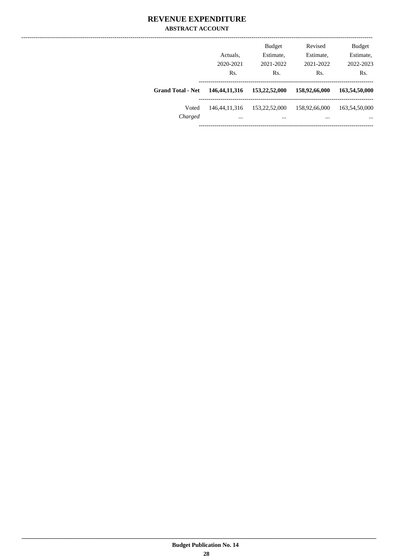### **REVENUE EXPENDITURE ABSTRACT ACCOUNT**

|                          | Actuals.<br>2020-2021<br>Rs. | <b>Budget</b><br>Estimate,<br>2021-2022<br>Rs. | Revised<br>Estimate,<br>2021-2022<br>Rs. | <b>Budget</b><br>Estimate,<br>2022-2023<br>Rs. |
|--------------------------|------------------------------|------------------------------------------------|------------------------------------------|------------------------------------------------|
| <b>Grand Total - Net</b> | 146, 44, 11, 316             | 153,22,52,000                                  | 158,92,66,000                            | 163,54,50,000                                  |
| Voted<br>Charged         | 146, 44, 11, 316<br>$\cdots$ | 153,22,52,000<br>$\cdots$                      | 158,92,66,000<br>$\cdots$                | 163,54,50,000<br>$\cdots$                      |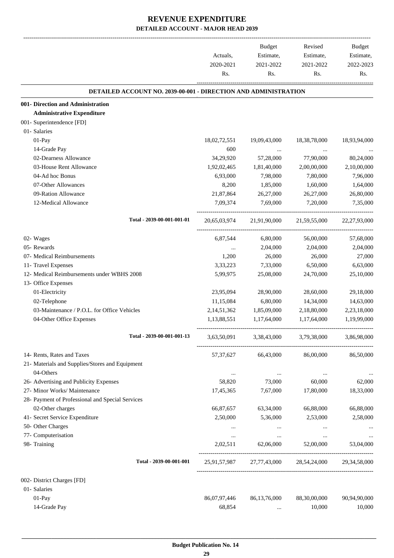|                                                                        | Actuals,<br>2020-2021<br>Rs. | Budget<br>Estimate,<br>2021-2022<br>Rs. | Revised<br>Estimate,<br>2021-2022<br>Rs.            | Budget<br>Estimate,<br>2022-2023<br>Rs. |
|------------------------------------------------------------------------|------------------------------|-----------------------------------------|-----------------------------------------------------|-----------------------------------------|
| <b>DETAILED ACCOUNT NO. 2039-00-001 - DIRECTION AND ADMINISTRATION</b> |                              |                                         |                                                     |                                         |
| 001- Direction and Administration                                      |                              |                                         |                                                     |                                         |
| <b>Administrative Expenditure</b>                                      |                              |                                         |                                                     |                                         |
| 001- Superintendence [FD]                                              |                              |                                         |                                                     |                                         |
| 01- Salaries                                                           |                              |                                         |                                                     |                                         |
| 01-Pay                                                                 | 18,02,72,551                 | 19,09,43,000                            | 18,38,78,000                                        | 18,93,94,000                            |
| 14-Grade Pay                                                           | 600                          | $\ldots$                                |                                                     |                                         |
| 02-Dearness Allowance                                                  | 34,29,920                    | 57,28,000                               | 77,90,000                                           | 80,24,000                               |
| 03-House Rent Allowance                                                | 1,92,02,465                  | 1,81,40,000                             | 2,00,00,000                                         | 2,10,00,000                             |
| 04-Ad hoc Bonus                                                        | 6,93,000                     | 7,98,000                                | 7,80,000                                            | 7,96,000                                |
| 07-Other Allowances                                                    | 8,200                        | 1,85,000                                | 1,60,000                                            | 1,64,000                                |
| 09-Ration Allowance                                                    | 21,87,864                    | 26,27,000                               | 26,27,000                                           | 26,80,000                               |
| 12-Medical Allowance                                                   | 7,09,374                     | 7,69,000                                | 7,20,000                                            | 7,35,000                                |
| Total - 2039-00-001-001-01                                             |                              | 20,65,03,974 21,91,90,000               | 21,59,55,000                                        | 22,27,93,000                            |
| 02- Wages                                                              | 6,87,544                     | 6,80,000                                | 56,00,000                                           | 57,68,000                               |
| 05- Rewards                                                            | $\cdots$                     | 2,04,000                                | 2,04,000                                            | 2,04,000                                |
| 07- Medical Reimbursements                                             | 1,200                        | 26,000                                  | 26,000                                              | 27,000                                  |
| 11- Travel Expenses                                                    | 3,33,223                     | 7,33,000                                | 6,50,000                                            | 6,63,000                                |
| 12- Medical Reimbursements under WBHS 2008                             | 5,99,975                     | 25,08,000                               | 24,70,000                                           | 25,10,000                               |
| 13- Office Expenses                                                    |                              |                                         |                                                     |                                         |
| 01-Electricity                                                         | 23,95,094                    | 28,90,000                               | 28,60,000                                           | 29,18,000                               |
| 02-Telephone                                                           | 11,15,084                    | 6,80,000                                | 14,34,000                                           | 14,63,000                               |
| 03-Maintenance / P.O.L. for Office Vehicles                            | 2,14,51,362                  | 1,85,09,000                             | 2,18,80,000                                         | 2,23,18,000                             |
| 04-Other Office Expenses                                               | 1,13,88,551                  | 1,17,64,000                             | 1,17,64,000                                         | 1,19,99,000                             |
| Total - 2039-00-001-001-13                                             | 3,63,50,091                  | 3,38,43,000                             | 3,79,38,000                                         | 3,86,98,000                             |
| 14- Rents, Rates and Taxes                                             | 57,37,627                    | 66,43,000                               | 86,00,000                                           | 86,50,000                               |
| 21- Materials and Supplies/Stores and Equipment                        |                              |                                         |                                                     |                                         |
| 04-Others                                                              | $\cdots$                     | $\cdots$                                | $\cdots$                                            |                                         |
| 26- Advertising and Publicity Expenses                                 | 58,820                       | 73,000                                  | 60,000                                              | 62,000                                  |
| 27- Minor Works/ Maintenance                                           | 17,45,365                    | 7,67,000                                | 17,80,000                                           | 18,33,000                               |
| 28- Payment of Professional and Special Services                       |                              |                                         |                                                     |                                         |
| 02-Other charges                                                       | 66,87,657                    | 63,34,000                               | 66,88,000                                           | 66,88,000                               |
| 41- Secret Service Expenditure                                         | 2,50,000                     | 5,36,000                                | 2,53,000                                            | 2,58,000                                |
| 50- Other Charges                                                      | $\cdots$                     | $\cdots$                                | $\cdots$                                            |                                         |
| 77- Computerisation                                                    | $\cdots$                     | $\cdots$                                | $\cdots$                                            | $\ddotsc$                               |
| 98- Training                                                           | 2,02,511                     | 62,06,000                               | 52,00,000                                           | 53,04,000                               |
| Total - 2039-00-001-001                                                |                              |                                         | 25,91,57,987 27,77,43,000 28,54,24,000 29,34,58,000 |                                         |
| 002- District Charges [FD]                                             |                              |                                         |                                                     |                                         |
| 01- Salaries                                                           |                              |                                         |                                                     |                                         |
| $01-Pay$                                                               | 86,07,97,446                 | 86,13,76,000                            | 88,30,00,000                                        | 90,94,90,000                            |
| 14-Grade Pay                                                           | 68,854                       | $\cdots$                                | 10,000                                              | 10,000                                  |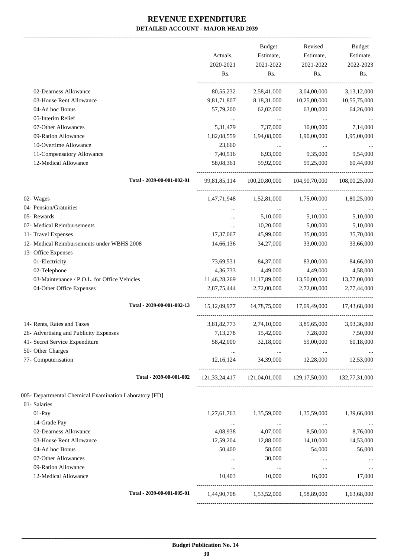|                                                                   | Actuals,<br>2020-2021<br>Rs. | <b>Budget</b><br>Estimate,<br>2021-2022<br>Rs. | Revised<br>Estimate,<br>2021-2022<br>Rs.                | Budget<br>Estimate,<br>2022-2023<br>Rs. |
|-------------------------------------------------------------------|------------------------------|------------------------------------------------|---------------------------------------------------------|-----------------------------------------|
| 02-Dearness Allowance                                             | 80,55,232                    | 2,58,41,000                                    | 3,04,00,000                                             | 3,13,12,000                             |
| 03-House Rent Allowance                                           | 9,81,71,807                  | 8,18,31,000                                    | 10,25,00,000                                            | 10,55,75,000                            |
| 04-Ad hoc Bonus                                                   | 57,79,200                    | 62,02,000                                      | 63,00,000                                               | 64,26,000                               |
| 05-Interim Relief                                                 |                              | $\cdots$                                       | $\cdots$                                                |                                         |
| 07-Other Allowances                                               | 5,31,479                     | 7,37,000                                       | 10,00,000                                               | 7,14,000                                |
| 09-Ration Allowance                                               | 1,82,08,559                  | 1,94,08,000                                    | 1,90,00,000                                             | 1,95,00,000                             |
| 10-Overtime Allowance                                             | 23,660                       | $\ldots$                                       | $\ldots$                                                |                                         |
| 11-Compensatory Allowance                                         | 7,40,516                     | 6,93,000                                       | 9,35,000                                                | 9,54,000                                |
| 12-Medical Allowance                                              | 58,08,361                    | 59,92,000                                      | 59,25,000                                               | 60,44,000                               |
| Total - 2039-00-001-002-01                                        |                              |                                                | 99,81,85,114 100,20,80,000 104,90,70,000                | 108,00,25,000                           |
| 02- Wages                                                         |                              | 1,47,71,948 1,52,81,000 1,75,00,000            |                                                         | 1,80,25,000                             |
| 04- Pension/Gratuities                                            |                              | $\cdots$                                       |                                                         |                                         |
| 05- Rewards                                                       | $\cdots$                     | 5,10,000                                       | 5,10,000                                                | 5,10,000                                |
| 07- Medical Reimbursements                                        | $\cdots$                     | 10,20,000                                      | 5,00,000                                                | 5,10,000                                |
| 11- Travel Expenses                                               | 17,37,067                    | 45,99,000                                      | 35,00,000                                               | 35,70,000                               |
| 12- Medical Reimbursements under WBHS 2008<br>13- Office Expenses | 14,66,136                    | 34,27,000                                      | 33,00,000                                               | 33,66,000                               |
| 01-Electricity                                                    | 73,69,531                    | 84,37,000                                      | 83,00,000                                               | 84,66,000                               |
| 02-Telephone                                                      | 4,36,733                     | 4,49,000                                       | 4,49,000                                                | 4,58,000                                |
| 03-Maintenance / P.O.L. for Office Vehicles                       |                              | 11,46,28,269 11,17,89,000                      | 13,50,00,000                                            | 13,77,00,000                            |
| 04-Other Office Expenses                                          | 2,87,75,444                  | 2,72,00,000                                    | 2,72,00,000                                             | 2,77,44,000                             |
| Total - 2039-00-001-002-13                                        | 15, 12, 09, 977              |                                                | 14,78,75,000 17,09,49,000                               | 17,43,68,000                            |
| 14- Rents, Rates and Taxes                                        | 3,81,82,773                  |                                                | 2,74,10,000 3,85,65,000                                 | 3,93,36,000                             |
| 26- Advertising and Publicity Expenses                            | 7,13,278                     | 15,42,000                                      | 7,28,000                                                | 7,50,000                                |
| 41- Secret Service Expenditure                                    | 58,42,000                    | 32,18,000                                      | 59,00,000                                               | 60,18,000                               |
| 50- Other Charges                                                 | $\cdots$                     | $\ldots$                                       | $\ldots$                                                | $\cdots$                                |
| 77- Computerisation                                               | 12,16,124                    | 34,39,000                                      | 12,28,000                                               | 12,53,000                               |
| Total - 2039-00-001-002                                           |                              |                                                | 121,33,24,417 121,04,01,000 129,17,50,000 132,77,31,000 |                                         |
| 005- Departmental Chemical Examination Laboratory [FD]            |                              |                                                |                                                         |                                         |
| 01- Salaries                                                      |                              |                                                |                                                         |                                         |
| 01-Pay                                                            | 1,27,61,763                  | 1,35,59,000                                    | 1,35,59,000                                             | 1,39,66,000                             |
| 14-Grade Pay                                                      | $\cdots$                     | $\ldots$                                       | $\sim$ 0.000 $\mu$                                      |                                         |
| 02-Dearness Allowance                                             | 4,08,938                     | 4,07,000                                       | 8,50,000                                                | 8,76,000                                |
| 03-House Rent Allowance                                           | 12,59,204                    | 12,88,000                                      | 14,10,000                                               | 14,53,000                               |
| 04-Ad hoc Bonus                                                   | 50,400                       | 58,000                                         | 54,000                                                  | 56,000                                  |
| 07-Other Allowances                                               | $\cdots$                     | 30,000                                         | $\cdots$                                                |                                         |
| 09-Ration Allowance<br>12-Medical Allowance                       | $\cdots$<br>10,403           | $\ldots$<br>10,000                             | $\cdots$<br>16,000                                      | $\ldots$<br>17,000                      |
|                                                                   |                              |                                                |                                                         |                                         |
| Total - 2039-00-001-005-01                                        | 1,44,90,708                  | 1,53,52,000                                    | 1,58,89,000                                             | 1,63,68,000                             |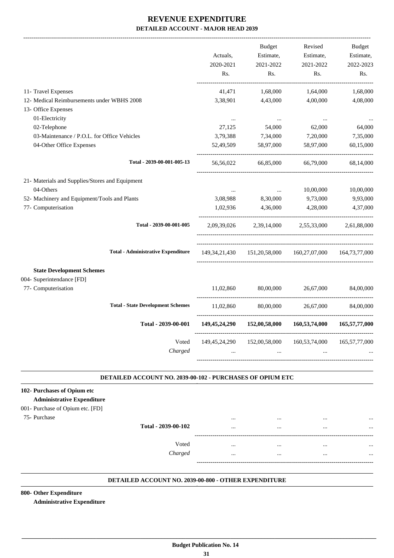|                                                           | Actuals,<br>2020-2021<br>Rs.                            | Budget<br>Estimate,<br>2021-2022<br>Rs.                 | Revised<br>Estimate,<br>2021-2022<br>Rs. | Budget<br>Estimate,<br>2022-2023<br>Rs. |
|-----------------------------------------------------------|---------------------------------------------------------|---------------------------------------------------------|------------------------------------------|-----------------------------------------|
| 11- Travel Expenses                                       |                                                         | 41,471 1,68,000                                         | 1,64,000                                 | 1,68,000                                |
| 12- Medical Reimbursements under WBHS 2008                | 3,38,901                                                | 4,43,000                                                | 4,00,000                                 | 4,08,000                                |
| 13- Office Expenses                                       |                                                         |                                                         |                                          |                                         |
| 01-Electricity                                            | $\ldots$                                                | $\cdots$                                                | $\cdots$                                 |                                         |
| 02-Telephone                                              |                                                         | 27,125 54,000                                           | 62,000                                   | 64,000                                  |
| 03-Maintenance / P.O.L. for Office Vehicles               |                                                         | 3,79,388 7,34,000                                       | 7,20,000                                 | 7,35,000                                |
| 04-Other Office Expenses                                  | 52,49,509                                               | 58,97,000                                               | 58,97,000                                | 60,15,000                               |
| Total - 2039-00-001-005-13                                | 56,56,022                                               | 66,85,000                                               | 66,79,000                                | 68,14,000                               |
| 21- Materials and Supplies/Stores and Equipment           |                                                         |                                                         |                                          |                                         |
| 04-Others                                                 | $\sim 10^{-11}$ and $\sim 10^{-11}$                     | and the company of the                                  | 10,00,000                                | 10,00,000                               |
| 52- Machinery and Equipment/Tools and Plants              |                                                         | 3,08,988 8,30,000 9,73,000                              |                                          | 9,93,000                                |
| 77- Computerisation                                       |                                                         | 1,02,936 4,36,000 4,28,000                              |                                          | 4,37,000                                |
| Total - 2039-00-001-005                                   |                                                         | 2,09,39,026 2,39,14,000 2,55,33,000 2,61,88,000         |                                          |                                         |
| <b>Total - Administrative Expenditure</b>                 |                                                         | 149,34,21,430 151,20,58,000 160,27,07,000 164,73,77,000 |                                          |                                         |
| <b>State Development Schemes</b>                          |                                                         |                                                         |                                          |                                         |
| 004- Superintendance [FD]<br>77- Computerisation          |                                                         | 11,02,860 80,00,000 26,67,000 84,00,000                 |                                          |                                         |
| <b>Total - State Development Schemes</b>                  |                                                         | 11,02,860 80,00,000                                     | 26,67,000                                | 84,00,000                               |
| Total - 2039-00-001                                       | 149,45,24,290 152,00,58,000 160,53,74,000 165,57,77,000 |                                                         |                                          |                                         |
| Voted<br>Charged                                          | 149, 45, 24, 290                                        | 152,00,58,000                                           | 160,53,74,000                            | 165, 57, 77, 000                        |
| DETAILED ACCOUNT NO. 2039-00-102 - PURCHASES OF OPIUM ETC |                                                         |                                                         |                                          |                                         |
| 102- Purchases of Opium etc                               |                                                         |                                                         |                                          |                                         |
| <b>Administrative Expenditure</b>                         |                                                         |                                                         |                                          |                                         |
| 001- Purchase of Opium etc. [FD]                          |                                                         |                                                         |                                          |                                         |
| 75- Purchase                                              |                                                         |                                                         |                                          |                                         |
| Total - 2039-00-102                                       |                                                         |                                                         |                                          |                                         |
| Voted                                                     | $\cdots$                                                | $\ddotsc$                                               | $\ddotsc$                                |                                         |
| Charged                                                   |                                                         |                                                         | $\ddotsc$                                |                                         |

#### **DETAILED ACCOUNT NO. 2039-00-800 - OTHER EXPENDITURE .**

-----------------------------------------------------------------------------------------

.

**800- Other Expenditure**

**Administrative Expenditure**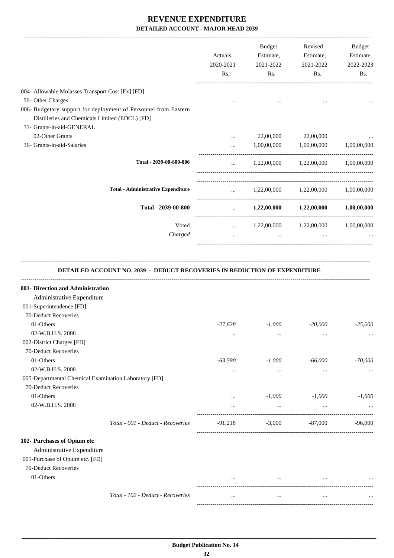|                                                                 |                               | Budget    | Revised                                   | Budget    |
|-----------------------------------------------------------------|-------------------------------|-----------|-------------------------------------------|-----------|
|                                                                 | Actuals.                      | Estimate, | Estimate,                                 | Estimate, |
|                                                                 | 2020-2021                     | 2021-2022 | 2021-2022                                 | 2022-2023 |
|                                                                 | Rs.                           | Rs.       | Rs.                                       | Rs.       |
| 004- Allowable Molasses Transport Cost [Ex] [FD]                |                               |           |                                           |           |
| 50- Other Charges                                               | $\cdots$                      |           |                                           |           |
| 006- Budgetary support for deployment of Personnel from Eastern |                               |           |                                           |           |
| Distilleries and Chemicals Limited (EDCL) [FD]                  |                               |           |                                           |           |
| 31- Grants-in-aid-GENERAL                                       |                               |           |                                           |           |
| 02-Other Grants                                                 |                               | 22,00,000 | 22,00,000                                 |           |
| 36- Grants-in-aid-Salaries                                      |                               |           | $1,00,00,000$ $1,00,00,000$ $1,00,00,000$ |           |
| Total - 2039-00-800-006                                         | $\ddotsc$                     |           | 1,22,00,000 1,22,00,000 1,00,00,000       |           |
|                                                                 |                               |           |                                           |           |
| <b>Total - Administrative Expenditure</b>                       | $\cdots$                      |           | $1,22,00,000$ $1,22,00,000$ $1,00,00,000$ |           |
| Total - 2039-00-800                                             | $\mathbf{r}$ and $\mathbf{r}$ |           | $1,22,00,000$ $1,22,00,000$ $1,00,00,000$ |           |
| Voted                                                           |                               |           | $1,22,00,000$ $1,22,00,000$ $1,00,00,000$ |           |
| Charged                                                         | $\cdots$                      | $\cdots$  | $\cdots$                                  |           |
|                                                                 |                               |           |                                           |           |

#### **DETAILED ACCOUNT NO. 2039 - DEDUCT RECOVERIES IN REDUCTION OF EXPENDITURE**

**--------------------------------------------------------------------------------------------------------------------------------------------------------------------------------**

| 001- Direction and Administration                     |                                   |           |          |           |           |
|-------------------------------------------------------|-----------------------------------|-----------|----------|-----------|-----------|
| Administrative Expenditure                            |                                   |           |          |           |           |
| 001-Superintendence [FD]                              |                                   |           |          |           |           |
| 70-Deduct Recoveries                                  |                                   |           |          |           |           |
| 01-Others                                             |                                   | $-27,628$ | $-1,000$ | $-20,000$ | $-25,000$ |
| 02-W.B.H.S. 2008                                      |                                   | $\cdots$  | $\cdots$ | $\cdots$  |           |
| 002-District Charges [FD]                             |                                   |           |          |           |           |
| 70-Deduct Recoveries                                  |                                   |           |          |           |           |
| 01-Others                                             |                                   | $-63,590$ | $-1,000$ | $-66,000$ | $-70,000$ |
| 02-W.B.H.S. 2008                                      |                                   | $\cdots$  | $\cdots$ | $\cdots$  |           |
| 005-Departmental Chemical Examination Laboratory [FD] |                                   |           |          |           |           |
| 70-Deduct Recoveries                                  |                                   |           |          |           |           |
| 01-Others                                             |                                   | $\cdots$  | $-1,000$ | $-1,000$  | $-1,000$  |
| 02-W.B.H.S. 2008                                      |                                   | $\cdots$  | $\cdots$ | $\cdots$  |           |
|                                                       | Total - 001 - Deduct - Recoveries | $-91,218$ | $-3,000$ | -87,000   | $-96,000$ |
| 102- Purchases of Opium etc                           |                                   |           |          |           |           |
| Administrative Expenditure                            |                                   |           |          |           |           |
| 001-Purchase of Opium etc. [FD]                       |                                   |           |          |           |           |
| 70-Deduct Recoveries                                  |                                   |           |          |           |           |
| 01-Others                                             |                                   |           |          |           |           |
|                                                       | Total - 102 - Deduct - Recoveries | $\cdots$  | $\cdots$ | $\cdots$  |           |
|                                                       |                                   |           |          |           |           |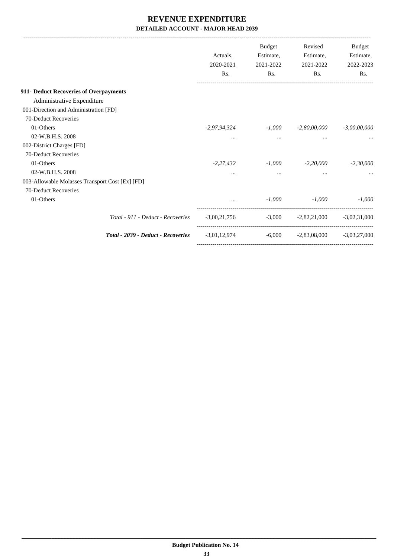|                                                 | Actuals,<br>2020-2021<br>R <sub>s</sub> . | Budget<br>Estimate,<br>2021-2022<br>Rs. | Revised<br>Estimate,<br>2021-2022<br>Rs. | Budget<br>Estimate,<br>2022-2023<br>Rs. |
|-------------------------------------------------|-------------------------------------------|-----------------------------------------|------------------------------------------|-----------------------------------------|
| 911- Deduct Recoveries of Overpayments          |                                           |                                         |                                          |                                         |
| Administrative Expenditure                      |                                           |                                         |                                          |                                         |
| 001-Direction and Administration [FD]           |                                           |                                         |                                          |                                         |
| 70-Deduct Recoveries                            |                                           |                                         |                                          |                                         |
| 01-Others                                       | $-2,97,94,324$                            | $-1,000$                                | $-2,80,00,000$                           | $-3,00,00,000$                          |
| 02-W.B.H.S. 2008                                | $\cdots$                                  | $\cdots$                                | $\cdots$                                 |                                         |
| 002-District Charges [FD]                       |                                           |                                         |                                          |                                         |
| 70-Deduct Recoveries                            |                                           |                                         |                                          |                                         |
| 01-Others                                       | $-2, 27, 432$                             | $-1,000$                                | $-2,20,000$                              | $-2,30,000$                             |
| 02-W.B.H.S. 2008                                | $\cdots$                                  | $\cdots$                                | $\cdots$                                 | $\cdots$                                |
| 003-Allowable Molasses Transport Cost [Ex] [FD] |                                           |                                         |                                          |                                         |
| 70-Deduct Recoveries                            |                                           |                                         |                                          |                                         |
| 01-Others                                       |                                           | $-1,000$                                | $-1,000$                                 | $-1.000$                                |
| Total - 911 - Deduct - Recoveries               | $-3,00,21,756$                            |                                         | $-3,000$ $-2,82,21,000$ $-3,02,31,000$   |                                         |
| Total - 2039 - Deduct - Recoveries              | -3,01,12,974                              |                                         | $-6,000$ $-2,83,08,000$ $-3,03,27,000$   |                                         |
|                                                 |                                           |                                         |                                          |                                         |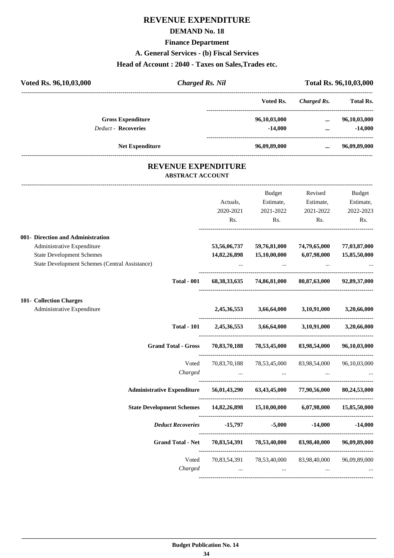# **REVENUE EXPENDITURE**

### **DEMAND No. 18**

#### **Finance Department**

**A. General Services - (b) Fiscal Services**

#### **Head of Account : 2040 - Taxes on Sales,Trades etc.**

| Voted Rs. 96, 10, 03, 000  | <b>Charged Rs. Nil</b> |              |             | Total Rs. 96, 10, 03, 000 |
|----------------------------|------------------------|--------------|-------------|---------------------------|
|                            |                        | Voted Rs.    | Charged Rs. | <b>Total Rs.</b>          |
| <b>Gross Expenditure</b>   |                        | 96,10,03,000 | $\cdots$    | 96,10,03,000              |
| <b>Deduct - Recoveries</b> |                        | $-14,000$    | $\cdots$    | $-14,000$                 |
| <b>Net Expenditure</b>     |                        | 96,09,89,000 | $\cdots$    | 96,09,89,000              |

### **REVENUE EXPENDITURE ABSTRACT ACCOUNT**

---------------------------------------------------------------------------------------------------------------------------------------------------------------------------------

|                                                                                      |                 | <b>Budget</b>                          | Revised                                                   | <b>Budget</b> |
|--------------------------------------------------------------------------------------|-----------------|----------------------------------------|-----------------------------------------------------------|---------------|
|                                                                                      | Actuals,        | Estimate,                              | Estimate,                                                 | Estimate,     |
|                                                                                      | 2020-2021       | 2021-2022                              | 2021-2022                                                 | 2022-2023     |
|                                                                                      | Rs.             | Rs.                                    | Rs.                                                       | Rs.           |
| 001- Direction and Administration                                                    |                 |                                        |                                                           |               |
| Administrative Expenditure                                                           | 53,56,06,737    |                                        | 59,76,81,000 74,79,65,000                                 | 77,03,87,000  |
| <b>State Development Schemes</b>                                                     | 14,82,26,898    | 15,10,00,000                           | 6,07,98,000                                               | 15,85,50,000  |
| State Development Schemes (Central Assistance)                                       |                 |                                        |                                                           |               |
| <b>Total - 001</b>                                                                   | 68, 38, 33, 635 | 74,86,81,000                           | 80,87,63,000                                              | 92,89,37,000  |
| 101- Collection Charges                                                              |                 |                                        |                                                           |               |
| Administrative Expenditure                                                           | 2,45,36,553     |                                        | 3,66,64,000 3,10,91,000 3,20,66,000                       |               |
| <b>Total - 101</b>                                                                   |                 |                                        | 2,45,36,553 3,66,64,000 3,10,91,000 3,20,66,000           |               |
| <b>Grand Total - Gross</b>                                                           | 70,83,70,188    |                                        | 78,53,45,000 83,98,54,000                                 | 96,10,03,000  |
|                                                                                      |                 |                                        | Voted 70,83,70,188 78,53,45,000 83,98,54,000 96,10,03,000 |               |
|                                                                                      |                 |                                        | $Charged$ $\dots$ $\dots$ $\dots$ $\dots$                 |               |
| Administrative Expenditure 56,01,43,290 63,43,45,000 77,90,56,000 80,24,53,000       |                 |                                        |                                                           |               |
| State Development Schemes   14,82,26,898   15,10,00,000   6,07,98,000   15,85,50,000 |                 |                                        |                                                           |               |
| <i>Deduct Recoveries</i> -15,797 -5,000 -14,000 -14,000                              |                 |                                        |                                                           |               |
| Grand Total - Net 70,83,54,391 78,53,40,000 83,98,40,000                             |                 |                                        |                                                           | 96,09,89,000  |
| Voted                                                                                |                 | 70,83,54,391 78,53,40,000 83,98,40,000 |                                                           | 96,09,89,000  |
| Charged                                                                              |                 |                                        |                                                           |               |
|                                                                                      |                 |                                        |                                                           |               |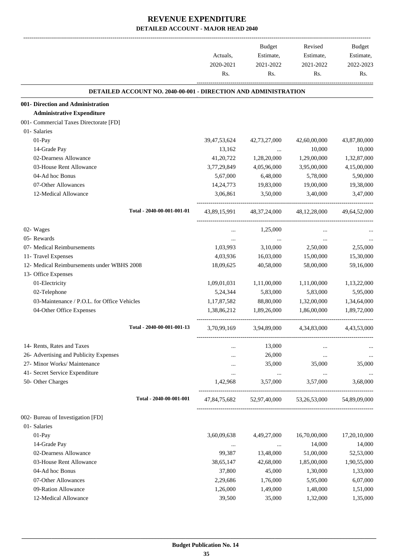|                                                                                                             | Actuals,<br>2020-2021<br>Rs. | <b>Budget</b><br>Estimate,<br>2021-2022<br>Rs. | Revised<br>Estimate,<br>2021-2022<br>Rs.               | <b>Budget</b><br>Estimate,<br>2022-2023<br>Rs. |
|-------------------------------------------------------------------------------------------------------------|------------------------------|------------------------------------------------|--------------------------------------------------------|------------------------------------------------|
|                                                                                                             |                              |                                                |                                                        |                                                |
| <b>DETAILED ACCOUNT NO. 2040-00-001 - DIRECTION AND ADMINISTRATION</b><br>001- Direction and Administration |                              |                                                |                                                        |                                                |
| <b>Administrative Expenditure</b>                                                                           |                              |                                                |                                                        |                                                |
| 001- Commercial Taxes Directorate [FD]                                                                      |                              |                                                |                                                        |                                                |
| 01- Salaries                                                                                                |                              |                                                |                                                        |                                                |
| 01-Pay                                                                                                      | 39, 47, 53, 624              | 42,73,27,000                                   | 42,60,00,000                                           | 43,87,80,000                                   |
| 14-Grade Pay                                                                                                | 13,162                       |                                                | 10,000                                                 | 10,000                                         |
| 02-Dearness Allowance                                                                                       | 41,20,722                    | 1,28,20,000                                    | 1,29,00,000                                            | 1,32,87,000                                    |
| 03-House Rent Allowance                                                                                     | 3,77,29,849                  | 4,05,96,000                                    | 3,95,00,000                                            | 4,15,00,000                                    |
| 04-Ad hoc Bonus                                                                                             | 5,67,000                     | 6,48,000                                       | 5,78,000                                               | 5,90,000                                       |
| 07-Other Allowances                                                                                         | 14,24,773                    | 19,83,000                                      | 19,00,000                                              | 19,38,000                                      |
| 12-Medical Allowance                                                                                        | 3,06,861                     | 3.50.000                                       | 3,40,000                                               | 3,47,000                                       |
| Total - 2040-00-001-001-01                                                                                  | 43,89,15,991                 | 48, 37, 24, 000                                | 48, 12, 28, 000                                        | 49,64,52,000                                   |
| 02- Wages                                                                                                   | $\cdots$                     | 1,25,000                                       | $\ddotsc$                                              |                                                |
| 05- Rewards                                                                                                 | $\cdots$                     |                                                | $\ddotsc$                                              |                                                |
| 07- Medical Reimbursements                                                                                  | 1,03,993                     | 3,10,000                                       | 2,50,000                                               | 2,55,000                                       |
| 11- Travel Expenses                                                                                         | 4,03,936                     | 16,03,000                                      | 15,00,000                                              | 15,30,000                                      |
| 12- Medical Reimbursements under WBHS 2008                                                                  | 18,09,625                    | 40,58,000                                      | 58,00,000                                              | 59,16,000                                      |
| 13- Office Expenses                                                                                         |                              |                                                |                                                        |                                                |
| 01-Electricity                                                                                              | 1,09,01,031                  | 1,11,00,000                                    | 1,11,00,000                                            | 1,13,22,000                                    |
| 02-Telephone                                                                                                | 5,24,344                     | 5,83,000                                       | 5,83,000                                               | 5,95,000                                       |
| 03-Maintenance / P.O.L. for Office Vehicles                                                                 | 1,17,87,582                  | 88,80,000                                      | 1,32,00,000                                            | 1,34,64,000                                    |
| 04-Other Office Expenses                                                                                    | 1,38,86,212                  | 1,89,26,000                                    | 1,86,00,000                                            | 1,89,72,000                                    |
| Total - 2040-00-001-001-13                                                                                  | 3,70,99,169                  | 3,94,89,000                                    | 4,34,83,000                                            | 4,43,53,000                                    |
| 14- Rents, Rates and Taxes                                                                                  |                              | 13,000                                         |                                                        |                                                |
| 26- Advertising and Publicity Expenses                                                                      |                              | 26,000                                         | $\cdots$                                               |                                                |
| 27- Minor Works/ Maintenance                                                                                |                              | 35,000                                         | 35,000                                                 | 35,000                                         |
| 41- Secret Service Expenditure                                                                              | $\cdots$                     | $\cdots$                                       | $\cdots$                                               |                                                |
| 50- Other Charges                                                                                           | 1,42,968                     | 3,57,000                                       | 3,57,000                                               | 3,68,000                                       |
| Total - 2040-00-001-001                                                                                     | 47,84,75,682                 |                                                | -------------------------<br>52,97,40,000 53,26,53,000 | 54,89,09,000                                   |
| 002- Bureau of Investigation [FD]                                                                           |                              |                                                |                                                        |                                                |
| 01- Salaries                                                                                                |                              |                                                |                                                        |                                                |
| 01-Pay                                                                                                      | 3,60,09,638                  | 4,49,27,000                                    | 16,70,00,000                                           | 17,20,10,000                                   |
| 14-Grade Pay                                                                                                | $\cdots$                     | $\cdots$                                       | 14,000                                                 | 14,000                                         |
| 02-Dearness Allowance                                                                                       | 99,387                       | 13,48,000                                      | 51,00,000                                              | 52,53,000                                      |
| 03-House Rent Allowance                                                                                     | 38,65,147                    | 42,68,000                                      | 1,85,00,000                                            | 1,90,55,000                                    |
| 04-Ad hoc Bonus                                                                                             | 37,800                       | 45,000                                         | 1,30,000                                               | 1,33,000                                       |
| 07-Other Allowances                                                                                         | 2,29,686                     | 1,76,000                                       | 5,95,000                                               | 6,07,000                                       |
| 09-Ration Allowance                                                                                         | 1,26,000                     | 1,49,000                                       | 1,48,000                                               | 1,51,000                                       |
| 12-Medical Allowance                                                                                        | 39,500                       | 35,000                                         | 1,32,000                                               | 1,35,000                                       |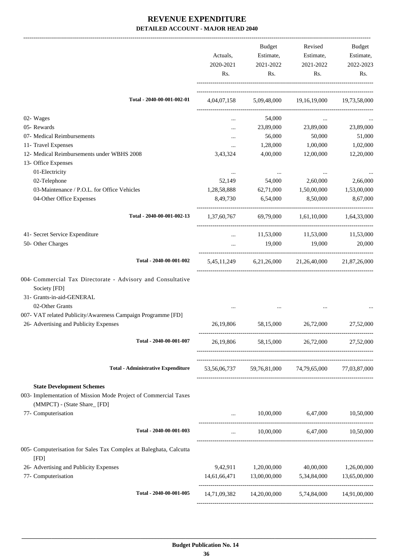|                                                                                                | Actuals,<br>2020-2021<br>Rs. | Budget<br>Estimate,<br>2021-2022<br>Rs.                                                                      | Revised<br>Estimate,<br>2021-2022<br>Rs.              | Budget<br>Estimate,<br>2022-2023<br>Rs. |
|------------------------------------------------------------------------------------------------|------------------------------|--------------------------------------------------------------------------------------------------------------|-------------------------------------------------------|-----------------------------------------|
| Total - 2040-00-001-002-01                                                                     |                              |                                                                                                              | 4,04,07,158 5,09,48,000 19,16,19,000 19,73,58,000     |                                         |
| 02- Wages                                                                                      | $\cdots$                     | 54,000                                                                                                       |                                                       |                                         |
| 05- Rewards                                                                                    |                              | 23,89,000                                                                                                    | 23,89,000                                             | 23,89,000                               |
| 07- Medical Reimbursements                                                                     | $\cdots$                     | 56,000                                                                                                       | 50,000                                                | 51,000                                  |
| 11- Travel Expenses                                                                            | $\cdots$                     | 1,28,000                                                                                                     | 1,00,000                                              | 1,02,000                                |
| 12- Medical Reimbursements under WBHS 2008                                                     | 3,43,324                     | 4,00,000                                                                                                     | 12,00,000                                             | 12,20,000                               |
| 13- Office Expenses                                                                            |                              |                                                                                                              |                                                       |                                         |
| 01-Electricity                                                                                 | $\cdots$                     |                                                                                                              |                                                       |                                         |
| 02-Telephone                                                                                   | 52,149                       | 54,000                                                                                                       | 2,60,000                                              | 2,66,000                                |
| 03-Maintenance / P.O.L. for Office Vehicles                                                    | 1,28,58,888                  | 62,71,000                                                                                                    | 1,50,00,000                                           | 1,53,00,000                             |
| 04-Other Office Expenses                                                                       | 8,49,730                     | 6,54,000                                                                                                     | 8,50,000                                              | 8,67,000                                |
| Total - 2040-00-001-002-13                                                                     |                              |                                                                                                              | $1,37,60,767$ $69,79,000$ $1,61,10,000$ $1,64,33,000$ |                                         |
| 41- Secret Service Expenditure                                                                 | $\cdots$                     |                                                                                                              | 11,53,000 11,53,000                                   | 11,53,000                               |
| 50- Other Charges                                                                              |                              | 19,000                                                                                                       | 19,000                                                | 20,000                                  |
| Total - 2040-00-001-002                                                                        |                              |                                                                                                              | 5,45,11,249 6,21,26,000 21,26,40,000 21,87,26,000     |                                         |
| 004- Commercial Tax Directorate - Advisory and Consultative<br>Society [FD]                    |                              |                                                                                                              |                                                       |                                         |
| 31- Grants-in-aid-GENERAL                                                                      |                              |                                                                                                              |                                                       |                                         |
| 02-Other Grants                                                                                |                              |                                                                                                              |                                                       |                                         |
| 007- VAT related Publicity/Awareness Campaign Programme [FD]                                   |                              |                                                                                                              |                                                       |                                         |
| 26- Advertising and Publicity Expenses                                                         | 26,19,806                    | 58,15,000                                                                                                    | 26,72,000                                             | 27,52,000                               |
| Total - 2040-00-001-007                                                                        | 26,19,806                    | 58,15,000                                                                                                    | 26,72,000                                             | 27,52,000                               |
|                                                                                                |                              |                                                                                                              |                                                       |                                         |
| <b>Total - Administrative Expenditure</b>                                                      |                              |                                                                                                              | 53,56,06,737 59,76,81,000 74,79,65,000 77,03,87,000   |                                         |
| <b>State Development Schemes</b>                                                               |                              |                                                                                                              |                                                       |                                         |
| 003- Implementation of Mission Mode Project of Commercial Taxes<br>(MMPCT) - (State Share_[FD] |                              |                                                                                                              |                                                       |                                         |
| 77- Computerisation                                                                            | $\cdots$                     | 10,00,000                                                                                                    | 6,47,000                                              | 10,50,000                               |
| Total - 2040-00-001-003                                                                        | $\cdots$                     |                                                                                                              | 10,00,000 6,47,000 10,50,000                          |                                         |
| 005- Computerisation for Sales Tax Complex at Baleghata, Calcutta                              |                              |                                                                                                              |                                                       |                                         |
| [FD]                                                                                           |                              |                                                                                                              |                                                       |                                         |
| 26- Advertising and Publicity Expenses<br>77- Computerisation                                  |                              | 9,42,911 1,20,00,000 40,00,000<br>$14, 61, 66, 471 \qquad \quad 13, 00, 00, 000 \qquad \quad 5, 34, 84, 000$ |                                                       | 1,26,00,000<br>13,65,00,000             |
| Total - 2040-00-001-005                                                                        |                              |                                                                                                              | 14,71,09,382 14,20,00,000 5,74,84,000 14,91,00,000    |                                         |
|                                                                                                |                              |                                                                                                              |                                                       |                                         |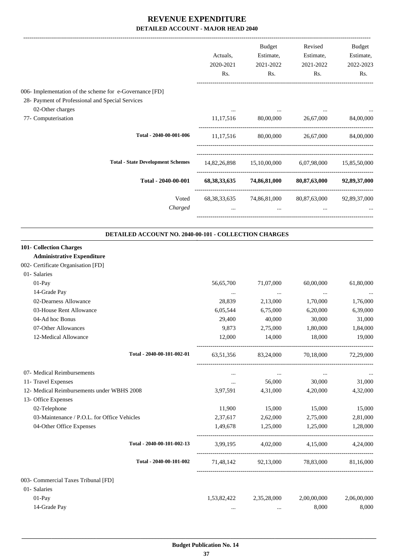|                                                         | Actuals,<br>2020-2021<br>Rs. | Budget<br>Estimate,<br>2021-2022<br>Rs. | Revised<br>Estimate,<br>2021-2022<br>Rs.                        | Budget<br>Estimate,<br>2022-2023<br>Rs. |
|---------------------------------------------------------|------------------------------|-----------------------------------------|-----------------------------------------------------------------|-----------------------------------------|
| 006- Implementation of the scheme for e-Governance [FD] |                              |                                         |                                                                 |                                         |
| 28- Payment of Professional and Special Services        |                              |                                         |                                                                 |                                         |
| 02-Other charges                                        | $\cdots$                     |                                         |                                                                 |                                         |
| 77- Computerisation                                     | 11, 17, 516                  | 80,00,000                               | 26,67,000                                                       | 84,00,000                               |
| Total - 2040-00-001-006                                 |                              |                                         | 11,17,516 80,00,000 26,67,000 84,00,000                         |                                         |
| <b>Total - State Development Schemes</b>                |                              |                                         | 14,82,26,898  15,10,00,000  6,07,98,000  15,85,50,000           |                                         |
| Total - 2040-00-001                                     |                              |                                         | 68, 38, 33, 635 74, 86, 81, 000 80, 87, 63, 000                 | 92,89,37,000                            |
| Voted<br>Charged                                        |                              | $\cdots$                                | 68, 38, 33, 635 74, 86, 81, 000 80, 87, 63, 000 92, 89, 37, 000 |                                         |
| DETAILED ACCOUNT NO. 2040-00-101 - COLLECTION CHARGES   |                              |                                         |                                                                 |                                         |
| <b>101- Collection Charges</b>                          |                              |                                         |                                                                 |                                         |
| <b>Administrative Expenditure</b>                       |                              |                                         |                                                                 |                                         |
| 002- Certificate Organisation [FD]                      |                              |                                         |                                                                 |                                         |
| 01- Salaries                                            |                              |                                         |                                                                 |                                         |
| 01-Pay                                                  | 56,65,700                    | 71,07,000                               | 60,00,000                                                       | 61,80,000                               |
| 14-Grade Pay                                            | $\ldots$                     | $\ldots$                                | $\cdots$                                                        |                                         |
| 02-Dearness Allowance                                   | 28,839                       | 2,13,000                                | 1,70,000                                                        | 1,76,000                                |
| 03-House Rent Allowance                                 | 6,05,544                     | 6,75,000                                | 6,20,000                                                        | 6,39,000                                |
| 04-Ad hoc Bonus                                         | 29,400                       | 40,000                                  | 30,000                                                          | 31,000                                  |
| 07-Other Allowances                                     | 9,873                        | 2,75,000                                | 1,80,000                                                        | 1,84,000                                |
| 12-Medical Allowance                                    | 12,000                       | 14,000                                  | 18,000                                                          | 19,000                                  |
| Total - 2040-00-101-002-01                              |                              |                                         | 63,51,356 83,24,000 70,18,000 72,29,000                         |                                         |
| 07- Medical Reimbursements                              | $\cdots$                     | $\cdots$                                | $\ldots$                                                        |                                         |
| 11- Travel Expenses                                     | $\cdots$                     | 56,000                                  | 30,000                                                          | 31,000                                  |
| 12- Medical Reimbursements under WBHS 2008              | 3,97,591                     | 4,31,000                                | 4,20,000                                                        | 4,32,000                                |
| 13- Office Expenses                                     |                              |                                         |                                                                 |                                         |
| 02-Telephone                                            | 11,900                       | 15,000                                  | 15,000                                                          | 15,000                                  |
| 03-Maintenance / P.O.L. for Office Vehicles             | 2,37,617                     | 2,62,000                                | 2,75,000                                                        | 2,81,000                                |
| 04-Other Office Expenses                                | 1,49,678                     | 1,25,000                                | 1,25,000                                                        | 1,28,000                                |
| Total - 2040-00-101-002-13                              |                              |                                         | 3,99,195 4,02,000 4,15,000 4,24,000                             |                                         |
| Total - 2040-00-101-002                                 |                              |                                         | 71,48,142 92,13,000 78,83,000 81,16,000                         |                                         |
| 003- Commercial Taxes Tribunal [FD]                     |                              |                                         |                                                                 |                                         |
| 01- Salaries                                            |                              |                                         |                                                                 |                                         |
| $01-Pay$                                                | 1,53,82,422                  | 2,35,28,000                             | 2,00,00,000                                                     | 2,06,00,000                             |
| 14-Grade Pay                                            | $\cdots$                     | $\cdots$                                | 8,000                                                           | 8,000                                   |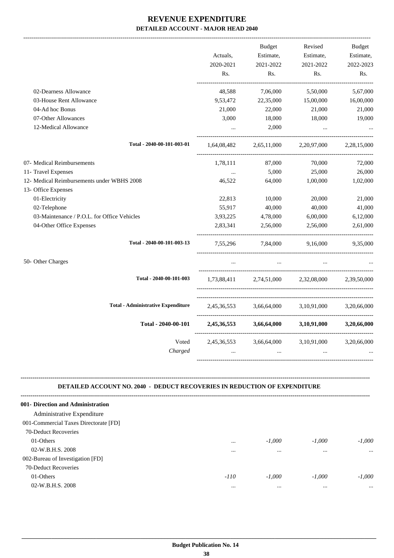|                                             |                         | <b>Budget</b>           | Revised                             | <b>Budget</b> |
|---------------------------------------------|-------------------------|-------------------------|-------------------------------------|---------------|
|                                             | Actuals,                | Estimate,               | Estimate,                           | Estimate,     |
|                                             | 2020-2021               | 2021-2022               | 2021-2022                           | 2022-2023     |
|                                             | Rs.                     | Rs.                     | Rs.                                 | Rs.           |
| 02-Dearness Allowance                       | 48,588                  | 7,06,000                | 5,50,000                            | 5,67,000      |
| 03-House Rent Allowance                     | 9,53,472                | 22,35,000               | 15,00,000                           | 16,00,000     |
| 04-Ad hoc Bonus                             | 21,000                  | 22,000                  | 21,000                              | 21,000        |
| 07-Other Allowances                         | 3,000                   | 18,000                  | 18,000                              | 19,000        |
| 12-Medical Allowance                        |                         | 2,000                   | $\cdots$                            |               |
| Total - 2040-00-101-003-01                  | 1,64,08,482             | 2,65,11,000             | 2, 20, 97, 000                      | 2,28,15,000   |
| 07- Medical Reimbursements                  | 1,78,111                | 87,000                  | 70,000                              | 72,000        |
| 11- Travel Expenses                         | $\cdots$                | 5,000                   | 25,000                              | 26,000        |
| 12- Medical Reimbursements under WBHS 2008  | 46,522                  | 64,000                  | 1,00,000                            | 1,02,000      |
| 13- Office Expenses                         |                         |                         |                                     |               |
| 01-Electricity                              | 22,813                  | 10,000                  | 20,000                              | 21,000        |
| 02-Telephone                                | 55,917                  | 40,000                  | 40,000                              | 41,000        |
| 03-Maintenance / P.O.L. for Office Vehicles | 3,93,225                | 4,78,000                | 6,00,000                            | 6,12,000      |
| 04-Other Office Expenses                    | 2,83,341                | 2,56,000                | 2,56,000                            | 2,61,000      |
| Total - 2040-00-101-003-13                  | 7,55,296                | 7,84,000                | 9,16,000                            | 9,35,000      |
| 50- Other Charges                           |                         | $\cdots$                |                                     |               |
| Total - 2040-00-101-003                     | 1,73,88,411             |                         | 2,74,51,000 2,32,08,000             | 2,39,50,000   |
| <b>Total - Administrative Expenditure</b>   |                         |                         | 2,45,36,553 3,66,64,000 3,10,91,000 | 3,20,66,000   |
| Total - 2040-00-101                         | 2,45,36,553             | 3,66,64,000             | 3,10,91,000                         | 3,20,66,000   |
| Voted<br>Charged                            | 2,45,36,553<br>$\cdots$ | 3,66,64,000<br>$\cdots$ | 3,10,91,000<br>$\dddotsc$           | 3,20,66,000   |

#### **DETAILED ACCOUNT NO. 2040 - DEDUCT RECOVERIES IN REDUCTION OF EXPENDITURE**

**--------------------------------------------------------------------------------------------------------------------------------------------------------------------------------**

| DETAILED ACCOUNT NO. 2010 – DEDUCT RECOVERIES IN REDUCTION OF EATENDITURE |          |          |          |          |
|---------------------------------------------------------------------------|----------|----------|----------|----------|
| 001- Direction and Administration                                         |          |          |          |          |
| Administrative Expenditure                                                |          |          |          |          |
| 001-Commercial Taxes Directorate [FD]                                     |          |          |          |          |
| 70-Deduct Recoveries                                                      |          |          |          |          |
| 01-Others                                                                 |          | $-1.000$ | $-1.000$ | $-1.000$ |
| 02-W.B.H.S. 2008                                                          | $\cdots$ | $\cdots$ |          |          |

| 002-Bureau of Investigation [FD] |        |          |          |          |
|----------------------------------|--------|----------|----------|----------|
| 70-Deduct Recoveries             |        |          |          |          |
| 01-Others                        | $-110$ | $-1.000$ | $-1.000$ | $-1.000$ |
| 02-W.B.H.S. 2008                 |        | $\cdots$ |          |          |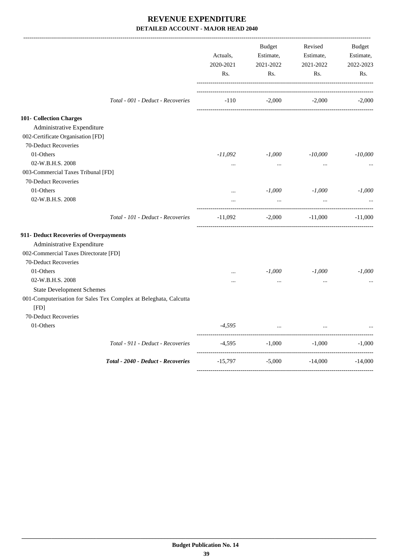|                                                                          | Actuals,<br>2020-2021<br>Rs. | <b>Budget</b><br>Estimate,<br>2021-2022<br>Rs. | Revised<br>Estimate,<br>2021-2022<br>Rs.                                                                                                                                                                                                      | <b>Budget</b><br>Estimate,<br>2022-2023<br>Rs. |
|--------------------------------------------------------------------------|------------------------------|------------------------------------------------|-----------------------------------------------------------------------------------------------------------------------------------------------------------------------------------------------------------------------------------------------|------------------------------------------------|
| Total - 001 - Deduct - Recoveries                                        | $-110$                       | $-2,000$                                       | $-2,000$                                                                                                                                                                                                                                      | $-2,000$                                       |
| 101- Collection Charges                                                  |                              |                                                |                                                                                                                                                                                                                                               |                                                |
| Administrative Expenditure                                               |                              |                                                |                                                                                                                                                                                                                                               |                                                |
| 002-Certificate Organisation [FD]                                        |                              |                                                |                                                                                                                                                                                                                                               |                                                |
| 70-Deduct Recoveries                                                     |                              |                                                |                                                                                                                                                                                                                                               |                                                |
| 01-Others                                                                | $-11,092$                    | $-1,000$                                       | $-10,000$                                                                                                                                                                                                                                     | $-10,000$                                      |
| 02-W.B.H.S. 2008                                                         | $\cdots$                     | $\ldots$                                       | $\ldots$                                                                                                                                                                                                                                      |                                                |
| 003-Commercial Taxes Tribunal [FD]                                       |                              |                                                |                                                                                                                                                                                                                                               |                                                |
| 70-Deduct Recoveries                                                     |                              |                                                |                                                                                                                                                                                                                                               |                                                |
| 01-Others                                                                | $\cdots$                     | $-1,000$                                       | $-1,000$                                                                                                                                                                                                                                      | $-1,000$                                       |
| 02-W.B.H.S. 2008                                                         | $\cdots$                     | $\ldots$                                       | $\ldots$                                                                                                                                                                                                                                      |                                                |
| Total - 101 - Deduct - Recoveries                                        | $-11,092$                    | $-2,000$                                       | $-11,000$                                                                                                                                                                                                                                     | $-11,000$                                      |
| 911- Deduct Recoveries of Overpayments                                   |                              |                                                |                                                                                                                                                                                                                                               |                                                |
| Administrative Expenditure                                               |                              |                                                |                                                                                                                                                                                                                                               |                                                |
| 002-Commercial Taxes Directorate [FD]                                    |                              |                                                |                                                                                                                                                                                                                                               |                                                |
| 70-Deduct Recoveries                                                     |                              |                                                |                                                                                                                                                                                                                                               |                                                |
| 01-Others                                                                | $\cdots$                     | $-1,000$                                       | $-1,000$                                                                                                                                                                                                                                      | $-1,000$                                       |
| 02-W.B.H.S. 2008                                                         | $\cdots$                     | $\cdots$                                       | $\cdots$                                                                                                                                                                                                                                      |                                                |
| <b>State Development Schemes</b>                                         |                              |                                                |                                                                                                                                                                                                                                               |                                                |
| 001-Computerisation for Sales Tex Complex at Beleghata, Calcutta<br>[FD] |                              |                                                |                                                                                                                                                                                                                                               |                                                |
| 70-Deduct Recoveries                                                     |                              |                                                |                                                                                                                                                                                                                                               |                                                |
| 01-Others                                                                | $-4,595$                     |                                                | $\mathbf{r}$ , and the set of the set of the set of the set of the set of the set of the set of the set of the set of the set of the set of the set of the set of the set of the set of the set of the set of the set of the set<br>$\ddotsc$ |                                                |
| Total - 911 - Deduct - Recoveries                                        | -4,595                       | $-1,000$                                       | $-1,000$                                                                                                                                                                                                                                      | $-1,000$                                       |
| Total - 2040 - Deduct - Recoveries                                       | -15,797                      | $-5,000$                                       | $-14,000$                                                                                                                                                                                                                                     | $-14,000$                                      |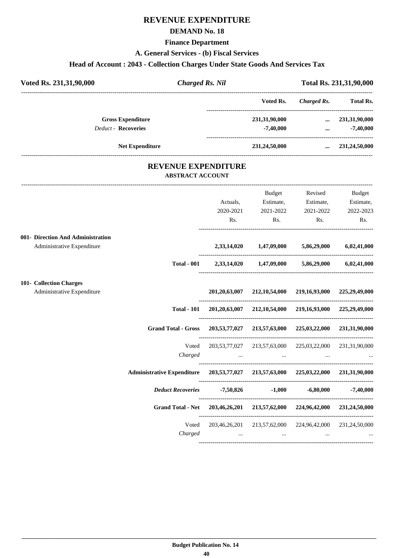# **REVENUE EXPENDITURE**

#### **DEMAND No. 18**

#### **Finance Department**

**A. General Services - (b) Fiscal Services**

#### **Head of Account : 2043 - Collection Charges Under State Goods And Services Tax**

| Voted Rs. 231, 31, 90, 000<br><b>Charged Rs. Nil</b>                               |                                     | Total Rs. 231, 31, 90, 000                                                                                                                                                                                                                                                                                                                                                                                     |                                          |                                                                                        |
|------------------------------------------------------------------------------------|-------------------------------------|----------------------------------------------------------------------------------------------------------------------------------------------------------------------------------------------------------------------------------------------------------------------------------------------------------------------------------------------------------------------------------------------------------------|------------------------------------------|----------------------------------------------------------------------------------------|
|                                                                                    |                                     | Voted Rs.                                                                                                                                                                                                                                                                                                                                                                                                      | <b>Charged Rs.</b>                       | <b>Total Rs.</b>                                                                       |
| <b>Gross Expenditure</b><br>Deduct - Recoveries                                    |                                     | 231,31,90,000<br>$-7,40,000$                                                                                                                                                                                                                                                                                                                                                                                   |                                          | $\dots$ 231,31,90,000<br>$-7,40,000$<br>$\mathbf{r}$ and $\mathbf{r}$ and $\mathbf{r}$ |
| <b>Net Expenditure</b>                                                             |                                     | 231,24,50,000                                                                                                                                                                                                                                                                                                                                                                                                  | $\cdots$                                 | 231,24,50,000                                                                          |
| <b>REVENUE EXPENDITURE</b><br><b>ABSTRACT ACCOUNT</b>                              |                                     |                                                                                                                                                                                                                                                                                                                                                                                                                |                                          |                                                                                        |
|                                                                                    | Actuals,<br>2020-2021<br>Rs.        | Budget<br>Estimate,<br>2021-2022<br>Rs.                                                                                                                                                                                                                                                                                                                                                                        | Revised<br>Estimate,<br>2021-2022<br>Rs. | <b>Budget</b><br>Estimate,<br>2022-2023<br>Rs.                                         |
| 001- Direction And Administration<br>Administrative Expenditure                    |                                     | 2,33,14,020 1,47,09,000                                                                                                                                                                                                                                                                                                                                                                                        | 5,86,29,000                              | 6,02,41,000                                                                            |
| <b>Total - 001</b>                                                                 |                                     | 2,33,14,020 1,47,09,000 5,86,29,000                                                                                                                                                                                                                                                                                                                                                                            |                                          | 6,02,41,000                                                                            |
| 101- Collection Charges<br>Administrative Expenditure                              | 201,20,63,007                       |                                                                                                                                                                                                                                                                                                                                                                                                                | 212,10,54,000 219,16,93,000              | 225,29,49,000                                                                          |
| <b>Total - 101</b>                                                                 |                                     | 201,20,63,007 212,10,54,000 219,16,93,000 225,29,49,000                                                                                                                                                                                                                                                                                                                                                        |                                          |                                                                                        |
| <b>Grand Total - Gross</b>                                                         |                                     | 203,53,77,027 213,57,63,000 225,03,22,000                                                                                                                                                                                                                                                                                                                                                                      |                                          | 231,31,90,000                                                                          |
| Voted<br>Charged                                                                   | and the contract of the contract of | 203,53,77,027 213,57,63,000 225,03,22,000                                                                                                                                                                                                                                                                                                                                                                      |                                          | 231, 31, 90, 000                                                                       |
| Administrative Expenditure 203,53,77,027 213,57,63,000 225,03,22,000 231,31,90,000 |                                     |                                                                                                                                                                                                                                                                                                                                                                                                                |                                          |                                                                                        |
| <b>Deduct Recoveries</b>                                                           | $-7,50,826$                         | ---------------<br>$-1,000$                                                                                                                                                                                                                                                                                                                                                                                    | $-6,80,000$                              | $-7,40,000$                                                                            |
| <b>Grand Total - Net</b>                                                           |                                     | 203,46,26,201 213,57,62,000 224,96,42,000                                                                                                                                                                                                                                                                                                                                                                      |                                          | 231,24,50,000                                                                          |
| Voted<br>Charged                                                                   | _____________                       | 203,46,26,201 213,57,62,000 224,96,42,000 231,24,50,000<br>$\mathbf{1}_{\mathbf{1}_{\mathbf{1}}\mathbf{1}_{\mathbf{2}}\mathbf{1}_{\mathbf{3}}\mathbf{1}_{\mathbf{4}}\mathbf{1}_{\mathbf{5}}$ and $\mathbf{1}_{\mathbf{1}_{\mathbf{1}}\mathbf{1}_{\mathbf{3}}\mathbf{1}_{\mathbf{4}}\mathbf{1}_{\mathbf{5}}\mathbf{1}_{\mathbf{6}}\mathbf{1}_{\mathbf{6}}\mathbf{1}_{\mathbf{7}}$<br>$\sim$ 100 $\mu$ 100 $\mu$ | $\ldots$                                 |                                                                                        |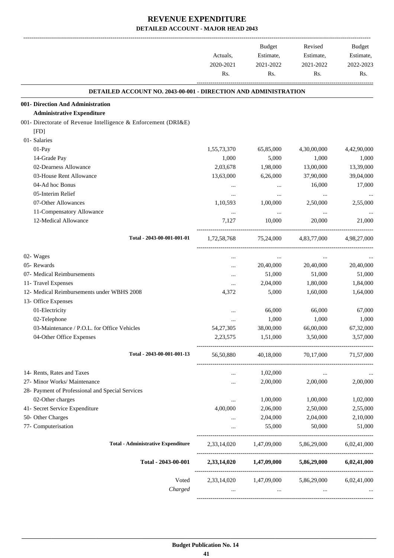|                                                                 | Actuals,<br>2020-2021<br>Rs. | Budget<br>Estimate,<br>2021-2022<br>Rs. | Revised<br>Estimate,<br>2021-2022<br>Rs.                         | Budget<br>Estimate,<br>2022-2023<br>Rs. |
|-----------------------------------------------------------------|------------------------------|-----------------------------------------|------------------------------------------------------------------|-----------------------------------------|
| DETAILED ACCOUNT NO. 2043-00-001 - DIRECTION AND ADMINISTRATION |                              |                                         |                                                                  |                                         |
| 001- Direction And Administration                               |                              |                                         |                                                                  |                                         |
| <b>Administrative Expenditure</b>                               |                              |                                         |                                                                  |                                         |
| 001- Directorate of Revenue Intelligence & Enforcement (DRI&E)  |                              |                                         |                                                                  |                                         |
| [FD]                                                            |                              |                                         |                                                                  |                                         |
| 01- Salaries                                                    |                              |                                         |                                                                  |                                         |
| 01-Pay                                                          | 1,55,73,370                  | 65,85,000                               | 4,30,00,000                                                      | 4,42,90,000                             |
| 14-Grade Pay                                                    | 1,000                        | 5,000                                   | 1,000                                                            | 1,000                                   |
| 02-Dearness Allowance                                           | 2,03,678                     | 1,98,000                                | 13,00,000                                                        | 13,39,000                               |
| 03-House Rent Allowance                                         | 13,63,000                    | 6,26,000                                | 37,90,000                                                        | 39,04,000                               |
| 04-Ad hoc Bonus                                                 | $\ldots$                     | $\cdots$                                | 16,000                                                           | 17,000                                  |
| 05-Interim Relief                                               |                              | $\cdots$                                | $\cdots$                                                         |                                         |
| 07-Other Allowances                                             | 1,10,593                     | 1,00,000                                | 2,50,000                                                         | 2,55,000                                |
| 11-Compensatory Allowance                                       | $\cdots$                     | $\cdots$                                | $\cdots$                                                         |                                         |
| 12-Medical Allowance                                            | 7,127                        | 10,000                                  | 20,000                                                           | 21,000                                  |
| Total - 2043-00-001-001-01                                      | 1,72,58,768                  | 75,24,000                               | 4,83,77,000                                                      | 4,98,27,000                             |
| 02- Wages                                                       | $\cdots$                     | $\cdots$                                | $\ddotsc$                                                        |                                         |
| 05- Rewards                                                     |                              | 20,40,000                               | 20,40,000                                                        | 20,40,000                               |
| 07- Medical Reimbursements                                      |                              | 51,000                                  | 51,000                                                           | 51,000                                  |
| 11- Travel Expenses                                             | $\cdots$                     | 2,04,000                                | 1,80,000                                                         | 1,84,000                                |
| 12- Medical Reimbursements under WBHS 2008                      | 4,372                        | 5,000                                   | 1,60,000                                                         | 1,64,000                                |
| 13- Office Expenses                                             |                              |                                         |                                                                  |                                         |
| 01-Electricity                                                  | $\ddotsc$                    | 66,000                                  | 66,000                                                           | 67,000                                  |
| 02-Telephone                                                    | $\ddotsc$                    | 1,000                                   | 1,000                                                            | 1,000                                   |
| 03-Maintenance / P.O.L. for Office Vehicles                     | 54, 27, 305                  | 38,00,000                               | 66,00,000                                                        | 67,32,000                               |
| 04-Other Office Expenses                                        | 2, 23, 575                   | 1,51,000                                | 3,50,000                                                         | 3,57,000                                |
| Total - 2043-00-001-001-13                                      | 56,50,880                    | 40,18,000                               |                                                                  | 70,17,000 71,57,000                     |
| 14- Rents, Rates and Taxes                                      | $\cdots$                     | 1,02,000                                | $\cdots$                                                         |                                         |
| 27- Minor Works/ Maintenance                                    |                              | 2,00,000                                | 2,00,000                                                         | 2,00,000                                |
| 28- Payment of Professional and Special Services                |                              |                                         |                                                                  |                                         |
| 02-Other charges                                                | $\cdots$                     | 1,00,000                                | 1,00,000                                                         | 1,02,000                                |
| 41- Secret Service Expenditure                                  | 4,00,000                     | 2,06,000                                | 2,50,000                                                         | 2,55,000                                |
| 50- Other Charges                                               | $\cdots$                     | 2,04,000                                | 2,04,000                                                         | 2,10,000                                |
| 77- Computerisation                                             |                              | 55,000                                  | 50,000                                                           | 51,000                                  |
| <b>Total - Administrative Expenditure</b>                       |                              | 2,33,14,020 1,47,09,000                 | 5,86,29,000 6,02,41,000                                          |                                         |
| Total - 2043-00-001                                             |                              |                                         | 2,33,14,020 1,47,09,000 5,86,29,000 6,02,41,000                  |                                         |
| Voted                                                           |                              |                                         | 2,33,14,020 1,47,09,000 5,86,29,000 6,02,41,000                  |                                         |
| Charged                                                         |                              |                                         | <b>The Committee Committee Committee</b><br><b>Sales Control</b> |                                         |
|                                                                 |                              |                                         |                                                                  |                                         |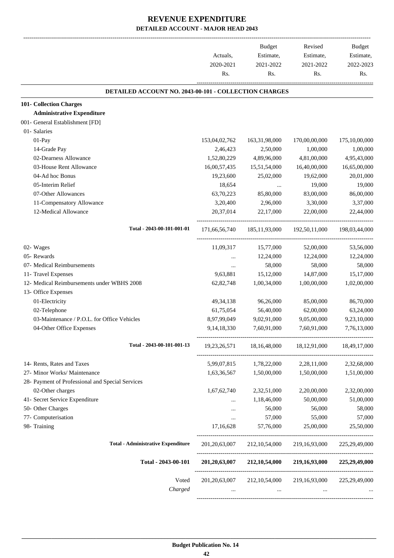|                                                       | Actuals,<br>2020-2021<br>Rs. | Budget<br>Estimate,<br>2021-2022<br>Rs. | Revised<br>Estimate,<br>2021-2022<br>Rs.                | Budget<br>Estimate,<br>2022-2023<br>Rs. |
|-------------------------------------------------------|------------------------------|-----------------------------------------|---------------------------------------------------------|-----------------------------------------|
| DETAILED ACCOUNT NO. 2043-00-101 - COLLECTION CHARGES |                              |                                         |                                                         |                                         |
| 101- Collection Charges                               |                              |                                         |                                                         |                                         |
| <b>Administrative Expenditure</b>                     |                              |                                         |                                                         |                                         |
| 001- General Establishment [FD]                       |                              |                                         |                                                         |                                         |
| 01- Salaries                                          |                              |                                         |                                                         |                                         |
| 01-Pay                                                | 153,04,02,762                | 163, 31, 98, 000                        | 170,00,00,000                                           | 175,10,00,000                           |
| 14-Grade Pay                                          | 2,46,423                     | 2,50,000                                | 1,00,000                                                | 1,00,000                                |
| 02-Dearness Allowance                                 | 1,52,80,229                  | 4,89,96,000                             | 4,81,00,000                                             | 4,95,43,000                             |
| 03-House Rent Allowance                               | 16,00,57,435                 | 15,51,54,000                            | 16,40,00,000                                            | 16,65,00,000                            |
| 04-Ad hoc Bonus                                       | 19,23,600                    | 25,02,000                               | 19,62,000                                               | 20,01,000                               |
| 05-Interim Relief                                     | 18,654                       | $\cdots$                                | 19,000                                                  | 19,000                                  |
| 07-Other Allowances                                   | 63,70,223                    | 85,80,000                               | 83,00,000                                               | 86,00,000                               |
| 11-Compensatory Allowance                             | 3,20,400                     | 2,96,000                                | 3,30,000                                                | 3,37,000                                |
| 12-Medical Allowance                                  | 20,37,014                    | 22,17,000                               | 22,00,000                                               | 22,44,000                               |
| Total - 2043-00-101-001-01                            |                              |                                         | 171,66,56,740  185,11,93,000  192,50,11,000             | 198,03,44,000                           |
| 02- Wages                                             | 11,09,317                    | 15,77,000                               | 52,00,000                                               | 53,56,000                               |
| 05- Rewards                                           | $\cdots$                     | 12,24,000                               | 12,24,000                                               | 12,24,000                               |
| 07- Medical Reimbursements                            | $\cdots$                     | 58,000                                  | 58,000                                                  | 58,000                                  |
| 11- Travel Expenses                                   | 9,63,881                     | 15,12,000                               | 14,87,000                                               | 15,17,000                               |
| 12- Medical Reimbursements under WBHS 2008            | 62,82,748                    | 1,00,34,000                             | 1,00,00,000                                             | 1,02,00,000                             |
| 13- Office Expenses                                   |                              |                                         |                                                         |                                         |
| 01-Electricity                                        | 49, 34, 138                  | 96,26,000                               | 85,00,000                                               | 86,70,000                               |
| 02-Telephone                                          | 61,75,054                    | 56,40,000                               | 62,00,000                                               | 63,24,000                               |
| 03-Maintenance / P.O.L. for Office Vehicles           | 8,97,99,049                  | 9,02,91,000                             | 9,05,00,000                                             | 9,23,10,000                             |
| 04-Other Office Expenses                              | 9,14,18,330                  | 7,60,91,000                             | 7,60,91,000                                             | 7,76,13,000                             |
| Total - 2043-00-101-001-13                            |                              | 19,23,26,571 18,16,48,000               | 18, 12, 91, 000                                         | 18,49,17,000                            |
|                                                       |                              |                                         |                                                         |                                         |
| 14- Rents, Rates and Taxes                            | 5,99,07,815                  | 1,78,22,000                             | 2,28,11,000                                             | 2,32,68,000                             |
| 27- Minor Works/ Maintenance                          | 1,63,36,567                  | 1,50,00,000                             | 1,50,00,000                                             | 1,51,00,000                             |
| 28- Payment of Professional and Special Services      |                              |                                         |                                                         |                                         |
| 02-Other charges                                      | 1,67,62,740                  | 2,32,51,000                             | 2,20,00,000                                             | 2,32,00,000                             |
| 41- Secret Service Expenditure                        | $\cdots$                     | 1,18,46,000                             | 50,00,000                                               | 51,00,000                               |
| 50- Other Charges                                     | $\cdots$                     | 56,000                                  | 56,000                                                  | 58,000                                  |
| 77- Computerisation                                   | $\cdots$                     | 57,000                                  | 55,000                                                  | 57,000                                  |
| 98- Training                                          | 17,16,628                    | 57,76,000                               | 25,00,000                                               | 25,50,000                               |
| <b>Total - Administrative Expenditure</b>             | 201, 20, 63, 007             | 212, 10, 54, 000                        | 219,16,93,000                                           | 225,29,49,000                           |
| Total - 2043-00-101                                   | 201,20,63,007                | 212,10,54,000                           | 219,16,93,000                                           | 225,29,49,000                           |
| Voted                                                 |                              |                                         | 201,20,63,007 212,10,54,000 219,16,93,000 225,29,49,000 |                                         |
| Charged                                               |                              |                                         |                                                         |                                         |
|                                                       |                              |                                         |                                                         |                                         |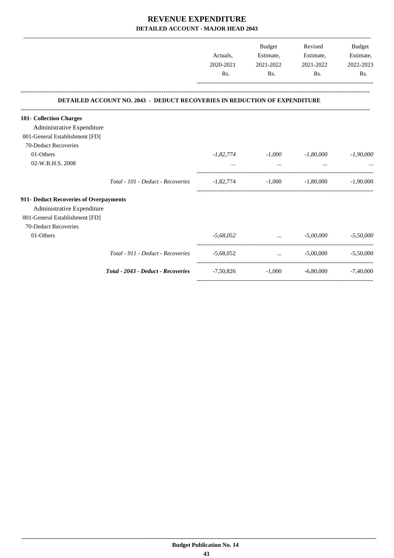|                                        |                                                                                  |             | Budget                                                                                                                                                                                                                         | Revised     | <b>Budget</b>           |
|----------------------------------------|----------------------------------------------------------------------------------|-------------|--------------------------------------------------------------------------------------------------------------------------------------------------------------------------------------------------------------------------------|-------------|-------------------------|
|                                        |                                                                                  | Actuals,    | Estimate,                                                                                                                                                                                                                      | Estimate,   | Estimate,               |
|                                        |                                                                                  | 2020-2021   | 2021-2022                                                                                                                                                                                                                      | 2021-2022   | 2022-2023               |
|                                        |                                                                                  | Rs.         | Rs.                                                                                                                                                                                                                            | Rs.         | Rs.                     |
|                                        | <b>DETAILED ACCOUNT NO. 2043 - DEDUCT RECOVERIES IN REDUCTION OF EXPENDITURE</b> |             |                                                                                                                                                                                                                                |             |                         |
| 101- Collection Charges                |                                                                                  |             |                                                                                                                                                                                                                                |             |                         |
| Administrative Expenditure             |                                                                                  |             |                                                                                                                                                                                                                                |             |                         |
| 001-General Establishment [FD]         |                                                                                  |             |                                                                                                                                                                                                                                |             |                         |
| 70-Deduct Recoveries                   |                                                                                  |             |                                                                                                                                                                                                                                |             |                         |
| 01-Others                              |                                                                                  | $-1,82,774$ | $-1,000$                                                                                                                                                                                                                       | $-1,80,000$ | $-1,90,000$             |
| 02-W.B.H.S. 2008                       |                                                                                  |             | $\cdots$                                                                                                                                                                                                                       |             |                         |
|                                        | Total - 101 - Deduct - Recoveries                                                | $-1.82.774$ | $-1,000$                                                                                                                                                                                                                       | $-1.80,000$ | $-1.90,000$             |
| 911- Deduct Recoveries of Overpayments |                                                                                  |             |                                                                                                                                                                                                                                |             |                         |
| Administrative Expenditure             |                                                                                  |             |                                                                                                                                                                                                                                |             |                         |
| 001-General Establishment [FD]         |                                                                                  |             |                                                                                                                                                                                                                                |             |                         |
| 70-Deduct Recoveries                   |                                                                                  |             |                                                                                                                                                                                                                                |             |                         |
| 01-Others                              |                                                                                  | $-5.68.052$ | $\mathbf{r}$ and $\mathbf{r}$ and $\mathbf{r}$ and $\mathbf{r}$                                                                                                                                                                |             | $-5,00,000$ $-5,50,000$ |
|                                        | Total - 911 - Deduct - Recoveries                                                | $-5,68,052$ | and the contract of the contract of the contract of the contract of the contract of the contract of the contract of the contract of the contract of the contract of the contract of the contract of the contract of the contra | $-5,00,000$ | $-5,50,000$             |
|                                        | Total - 2043 - Deduct - Recoveries                                               | $-7,50,826$ | $-1,000$                                                                                                                                                                                                                       | $-6,80,000$ | $-7,40,000$             |
|                                        |                                                                                  |             |                                                                                                                                                                                                                                |             |                         |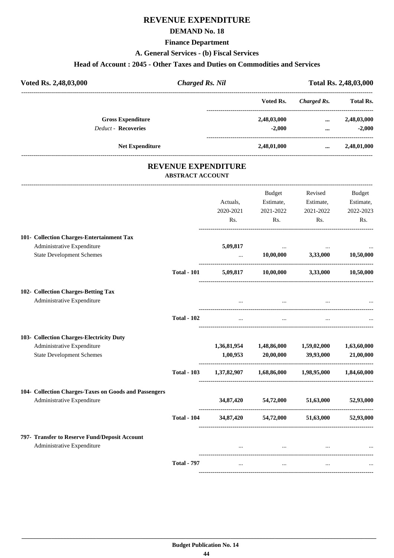# **REVENUE EXPENDITURE**

#### **DEMAND No. 18**

#### **Finance Department**

**A. General Services - (b) Fiscal Services**

#### **Head of Account : 2045 - Other Taxes and Duties on Commodities and Services**

| Voted Rs. 2,48,03,000 |                            | <b>Charged Rs. Nil</b> |             | Total Rs. 2,48,03,000 |                  |
|-----------------------|----------------------------|------------------------|-------------|-----------------------|------------------|
|                       |                            |                        | Voted Rs.   | Charged Rs.           | <b>Total Rs.</b> |
|                       | <b>Gross Expenditure</b>   |                        | 2,48,03,000 | $\cdots$              | 2,48,03,000      |
|                       | <b>Deduct - Recoveries</b> |                        | $-2.000$    | $\cdots$              | $-2.000$         |
|                       | <b>Net Expenditure</b>     |                        | 2,48,01,000 | $\cdots$              | 2,48,01,000      |

### **REVENUE EXPENDITURE ABSTRACT ACCOUNT**

---------------------------------------------------------------------------------------------------------------------------------------------------------------------------------

|                    | Actuals,<br>2020-2021<br>Rs.                          | <b>Budget</b><br>Estimate,<br>2021-2022<br>Rs. | Revised<br>Estimate,<br>2021-2022<br>Rs. | <b>Budget</b><br>Estimate,<br>2022-2023<br>Rs.                                                                                                                                                                                                                                                                |
|--------------------|-------------------------------------------------------|------------------------------------------------|------------------------------------------|---------------------------------------------------------------------------------------------------------------------------------------------------------------------------------------------------------------------------------------------------------------------------------------------------------------|
|                    |                                                       |                                                |                                          |                                                                                                                                                                                                                                                                                                               |
|                    | $\sim$                                                |                                                |                                          | 10,50,000                                                                                                                                                                                                                                                                                                     |
| <b>Total - 101</b> |                                                       |                                                |                                          | 10,50,000                                                                                                                                                                                                                                                                                                     |
|                    |                                                       |                                                |                                          |                                                                                                                                                                                                                                                                                                               |
|                    |                                                       | $\cdots$                                       |                                          |                                                                                                                                                                                                                                                                                                               |
| <b>Total - 102</b> | $\cdots$                                              | $\cdots$                                       | $\cdots$                                 |                                                                                                                                                                                                                                                                                                               |
|                    |                                                       |                                                |                                          |                                                                                                                                                                                                                                                                                                               |
|                    |                                                       |                                                |                                          | 21,00,000                                                                                                                                                                                                                                                                                                     |
| <b>Total - 103</b> |                                                       |                                                |                                          | 1,84,60,000                                                                                                                                                                                                                                                                                                   |
|                    |                                                       |                                                |                                          |                                                                                                                                                                                                                                                                                                               |
|                    |                                                       |                                                |                                          |                                                                                                                                                                                                                                                                                                               |
| <b>Total - 104</b> |                                                       |                                                |                                          | 52,93,000                                                                                                                                                                                                                                                                                                     |
|                    |                                                       |                                                |                                          |                                                                                                                                                                                                                                                                                                               |
|                    |                                                       |                                                |                                          |                                                                                                                                                                                                                                                                                                               |
| <b>Total - 797</b> | $\cdots$                                              | $\cdots$                                       | $\cdots$                                 |                                                                                                                                                                                                                                                                                                               |
|                    | 104- Collection Charges-Taxes on Goods and Passengers | 5,09,817                                       |                                          | $10,00,000$ $3,33,000$<br>$5,09,817$ $10,00,000$ $3,33,000$<br>$1,36,81,954$ $1,48,86,000$ $1,59,02,000$ $1,63,60,000$<br>$1,00,953$ $20,00,000$ $39,93,000$<br>$1,37,82,907$ $1,68,86,000$ $1,98,95,000$<br>$34,87,420$ $54,72,000$ $51,63,000$ $52,93,000$<br>34,87,420 54,72,000 51,63,000<br>$\mathbf{r}$ |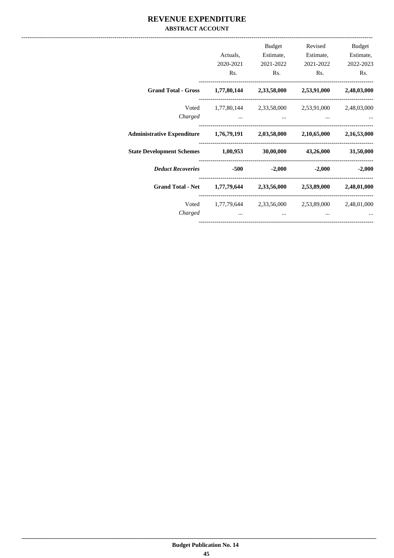|                                                                            | 2020-2021<br>Rs.             | <b>Budget</b><br>Actuals, Estimate, Estimate,<br>Rs.              | 2021-2022 2021-2022 2022-2023<br>Rs. | Revised Budget<br>Estimate,<br>Rs. |
|----------------------------------------------------------------------------|------------------------------|-------------------------------------------------------------------|--------------------------------------|------------------------------------|
| Grand Total - Gross 1,77,80,144 2,33,58,000 2,53,91,000 2,48,03,000        |                              |                                                                   |                                      |                                    |
| Charged                                                                    | and the contract of the con- | Voted 1,77,80,144 2,33,58,000 2,53,91,000 2,48,03,000<br>$\cdots$ |                                      |                                    |
| Administrative Expenditure 1,76,79,191 2,03,58,000 2,10,65,000 2,16,53,000 |                              |                                                                   |                                      |                                    |
| State Development Schemes 1,00,953 30,00,000 43,26,000 31,50,000           |                              |                                                                   |                                      |                                    |
| <i>Deduct Recoveries</i> -500 -2,000 -2,000 -2,000                         |                              |                                                                   |                                      |                                    |
| Grand Total - Net 1,77,79,644 2,33,56,000 2,53,89,000 2,48,01,000          |                              |                                                                   |                                      |                                    |
| Charged                                                                    |                              | Voted 1,77,79,644 2,33,56,000 2,53,89,000 2,48,01,000             |                                      |                                    |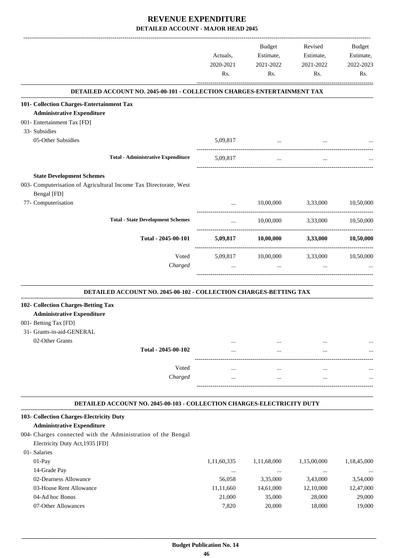|                                                                                                                                | Actuals,<br>2020-2021 | Budget<br>Estimate,<br>2021-2022                | Revised<br>Estimate,<br>2021-2022 | Budget<br>Estimate,<br>2022-2023 |
|--------------------------------------------------------------------------------------------------------------------------------|-----------------------|-------------------------------------------------|-----------------------------------|----------------------------------|
|                                                                                                                                | Rs.                   | Rs.                                             | Rs.                               | Rs.                              |
| DETAILED ACCOUNT NO. 2045-00-101 - COLLECTION CHARGES-ENTERTAINMENT TAX                                                        |                       |                                                 |                                   |                                  |
| 101- Collection Charges-Entertainment Tax                                                                                      |                       |                                                 |                                   |                                  |
| <b>Administrative Expenditure</b>                                                                                              |                       |                                                 |                                   |                                  |
| 001- Entertainment Tax [FD]                                                                                                    |                       |                                                 |                                   |                                  |
| 33- Subsidies                                                                                                                  |                       |                                                 |                                   |                                  |
| 05-Other Subsidies                                                                                                             | 5,09,817              | the contract of the contract of the contract of |                                   |                                  |
| <b>Total - Administrative Expenditure</b>                                                                                      | 5,09,817              | $\cdots$                                        | $\cdots$                          |                                  |
| <b>State Development Schemes</b>                                                                                               |                       |                                                 |                                   |                                  |
| 003- Computerisation of Agricultural Income Tax Directorate, West<br>Bengal [FD]                                               |                       |                                                 |                                   |                                  |
| 77- Computerisation                                                                                                            | $\ddotsc$             | 10,00,000                                       | 3,33,000                          | 10,50,000                        |
| <b>Total - State Development Schemes</b>                                                                                       | $\cdots$              | 10,00,000                                       |                                   | 3,33,000 10,50,000               |
| Total - 2045-00-101                                                                                                            |                       | 5,09,817 10,00,000                              | 3,33,000                          | 10,50,000                        |
| Voted                                                                                                                          |                       | 5,09,817 10,00,000 3,33,000                     |                                   | 10,50,000                        |
| Charged                                                                                                                        | $\cdots$              | $\ldots$                                        |                                   |                                  |
| 102- Collection Charges-Betting Tax<br><b>Administrative Expenditure</b><br>001- Betting Tax [FD]<br>31- Grants-in-aid-GENERAL |                       |                                                 |                                   |                                  |
| 02-Other Grants                                                                                                                |                       | $\ddotsc$                                       | $\cdots$                          |                                  |
| Total - 2045-00-102                                                                                                            |                       |                                                 |                                   |                                  |
| Voted                                                                                                                          | $\cdots$              | $\cdots$                                        | $\cdots$                          |                                  |
| Charged                                                                                                                        | $\cdots$              | $\cdots$                                        | $\cdots$                          |                                  |
|                                                                                                                                |                       |                                                 |                                   |                                  |
| <b>DETAILED ACCOUNT NO. 2045-00-103 - COLLECTION CHARGES-ELECTRICITY DUTY</b>                                                  |                       |                                                 |                                   |                                  |
| 103- Collection Charges-Electricity Duty<br><b>Administrative Expenditure</b>                                                  |                       |                                                 |                                   |                                  |
| 004- Charges connected with the Administration of the Bengal                                                                   |                       |                                                 |                                   |                                  |
| Electricity Duty Act, 1935 [FD]                                                                                                |                       |                                                 |                                   |                                  |
| 01- Salaries                                                                                                                   |                       |                                                 |                                   |                                  |
| 01-Pay                                                                                                                         | 1,11,60,335           | 1,11,68,000                                     | 1,15,00,000                       | 1,18,45,000                      |
| 14-Grade Pay                                                                                                                   | $\cdots$              | $\ldots$                                        | $\ldots$                          |                                  |
| 02-Dearness Allowance                                                                                                          | 56,058                | 3,35,000                                        | 3,43,000                          | 3,54,000                         |
| 03-House Rent Allowance                                                                                                        | 11,11,660             | 14,61,000                                       | 12,10,000                         | 12,47,000                        |
| 04-Ad hoc Bonus                                                                                                                | 21,000                | 35,000                                          | 28,000                            | 29,000                           |
| 07-Other Allowances                                                                                                            | 7,820                 | 20,000                                          | 18,000                            | 19,000                           |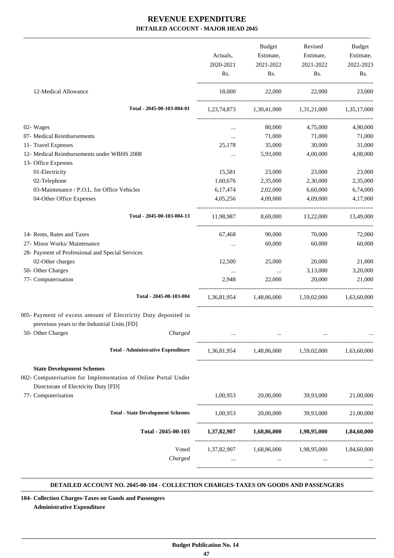| Actuals,<br>2020-2021<br>Rs.<br>18,000<br>$\cdots$<br>$\cdots$<br>25,178<br>$\cdots$<br>15,581<br>1,60,676<br>6,17,474 | Estimate,<br>2021-2022<br>Rs.<br>22,000<br>1,23,74,873 1,30,41,000 1,31,21,000 1,35,17,000<br>80,000<br>71,000<br>35,000<br>5,93,000<br>23,000<br>2,35,000 | Estimate,<br>2021-2022<br>Rs.<br>22,000<br>4,75,000<br>71,000<br>30,000<br>4,00,000<br>23,000<br>2,30,000 | Estimate,<br>2022-2023<br>Rs.                                                                                                                                                                                                                                                                                                  |
|------------------------------------------------------------------------------------------------------------------------|------------------------------------------------------------------------------------------------------------------------------------------------------------|-----------------------------------------------------------------------------------------------------------|--------------------------------------------------------------------------------------------------------------------------------------------------------------------------------------------------------------------------------------------------------------------------------------------------------------------------------|
|                                                                                                                        |                                                                                                                                                            |                                                                                                           |                                                                                                                                                                                                                                                                                                                                |
|                                                                                                                        |                                                                                                                                                            |                                                                                                           |                                                                                                                                                                                                                                                                                                                                |
|                                                                                                                        |                                                                                                                                                            |                                                                                                           | 23,000<br>4,90,000<br>71,000<br>31,000<br>4,08,000<br>23,000                                                                                                                                                                                                                                                                   |
|                                                                                                                        |                                                                                                                                                            |                                                                                                           |                                                                                                                                                                                                                                                                                                                                |
|                                                                                                                        |                                                                                                                                                            |                                                                                                           |                                                                                                                                                                                                                                                                                                                                |
|                                                                                                                        |                                                                                                                                                            |                                                                                                           |                                                                                                                                                                                                                                                                                                                                |
|                                                                                                                        |                                                                                                                                                            |                                                                                                           |                                                                                                                                                                                                                                                                                                                                |
|                                                                                                                        |                                                                                                                                                            |                                                                                                           |                                                                                                                                                                                                                                                                                                                                |
|                                                                                                                        |                                                                                                                                                            |                                                                                                           |                                                                                                                                                                                                                                                                                                                                |
|                                                                                                                        |                                                                                                                                                            |                                                                                                           |                                                                                                                                                                                                                                                                                                                                |
|                                                                                                                        |                                                                                                                                                            |                                                                                                           |                                                                                                                                                                                                                                                                                                                                |
|                                                                                                                        |                                                                                                                                                            |                                                                                                           | 2,35,000                                                                                                                                                                                                                                                                                                                       |
|                                                                                                                        |                                                                                                                                                            | 6,60,000                                                                                                  | 6,74,000                                                                                                                                                                                                                                                                                                                       |
|                                                                                                                        | 4,09,000                                                                                                                                                   | 4,09,000                                                                                                  | 4,17,000                                                                                                                                                                                                                                                                                                                       |
|                                                                                                                        |                                                                                                                                                            |                                                                                                           |                                                                                                                                                                                                                                                                                                                                |
| 67,468                                                                                                                 | 90,000                                                                                                                                                     | 70,000                                                                                                    | 72,000                                                                                                                                                                                                                                                                                                                         |
|                                                                                                                        | 60,000                                                                                                                                                     | 60,000                                                                                                    | 60,000                                                                                                                                                                                                                                                                                                                         |
|                                                                                                                        |                                                                                                                                                            |                                                                                                           |                                                                                                                                                                                                                                                                                                                                |
| 12,500                                                                                                                 | 25,000                                                                                                                                                     | 20,000                                                                                                    | 21,000                                                                                                                                                                                                                                                                                                                         |
| $\cdots$                                                                                                               | $\cdots$                                                                                                                                                   | 3,13,000                                                                                                  | 3,20,000                                                                                                                                                                                                                                                                                                                       |
| 2,948                                                                                                                  | 22,000                                                                                                                                                     | 20,000                                                                                                    | 21,000                                                                                                                                                                                                                                                                                                                         |
|                                                                                                                        |                                                                                                                                                            |                                                                                                           |                                                                                                                                                                                                                                                                                                                                |
|                                                                                                                        |                                                                                                                                                            |                                                                                                           |                                                                                                                                                                                                                                                                                                                                |
|                                                                                                                        |                                                                                                                                                            |                                                                                                           |                                                                                                                                                                                                                                                                                                                                |
|                                                                                                                        |                                                                                                                                                            |                                                                                                           |                                                                                                                                                                                                                                                                                                                                |
|                                                                                                                        |                                                                                                                                                            |                                                                                                           |                                                                                                                                                                                                                                                                                                                                |
|                                                                                                                        |                                                                                                                                                            |                                                                                                           | 21,00,000                                                                                                                                                                                                                                                                                                                      |
| 1,00,953                                                                                                               |                                                                                                                                                            |                                                                                                           | 21,00,000                                                                                                                                                                                                                                                                                                                      |
|                                                                                                                        |                                                                                                                                                            |                                                                                                           |                                                                                                                                                                                                                                                                                                                                |
|                                                                                                                        |                                                                                                                                                            | $\ddots$                                                                                                  |                                                                                                                                                                                                                                                                                                                                |
|                                                                                                                        | 4,05,256                                                                                                                                                   | 2,02,000<br>11,98,987<br>1,00,953<br><b>The Committee Committee</b>                                       | 8,69,000 13,22,000 13,49,000<br>1,36,81,954 1,48,86,000 1,59,02,000 1,63,60,000<br>1,36,81,954 1,48,86,000 1,59,02,000 1,63,60,000<br>20,00,000 39,93,000<br>20,00,000 39,93,000<br>1,37,82,907 1,68,86,000 1,98,95,000 1,84,60,000<br>1,37,82,907   1,68,86,000   1,98,95,000   1,84,60,000<br>and the company of the company |

#### **DETAILED ACCOUNT NO. 2045-00-104 - COLLECTION CHARGES-TAXES ON GOODS AND PASSENGERS .**

**104- Collection Charges-Taxes on Goods and Passengers Administrative Expenditure**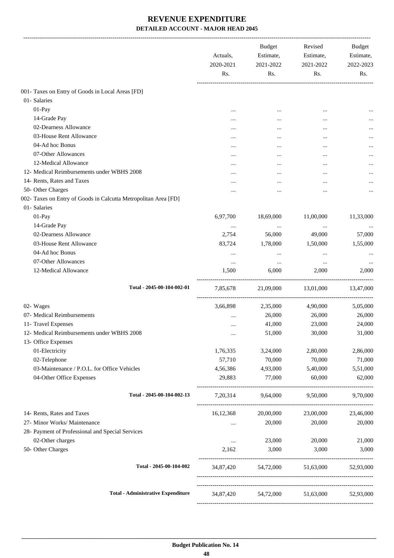|                                                                 | Actuals,<br>2020-2021<br>Rs. | <b>Budget</b><br>Estimate,<br>2021-2022<br>Rs. | Revised<br>Estimate,<br>2021-2022<br>Rs. | Budget<br>Estimate,<br>2022-2023<br>Rs. |
|-----------------------------------------------------------------|------------------------------|------------------------------------------------|------------------------------------------|-----------------------------------------|
| 001- Taxes on Entry of Goods in Local Areas [FD]                |                              |                                                |                                          |                                         |
| 01- Salaries                                                    |                              |                                                |                                          |                                         |
| 01-Pay                                                          |                              |                                                |                                          |                                         |
| 14-Grade Pay                                                    |                              |                                                |                                          |                                         |
| 02-Dearness Allowance                                           |                              |                                                | $\cdots$                                 |                                         |
| 03-House Rent Allowance                                         |                              |                                                |                                          |                                         |
| 04-Ad hoc Bonus                                                 |                              | $\ddotsc$                                      |                                          | $\cdots$                                |
| 07-Other Allowances                                             |                              |                                                |                                          |                                         |
| 12-Medical Allowance                                            |                              |                                                |                                          |                                         |
| 12- Medical Reimbursements under WBHS 2008                      |                              | $\cdots$                                       | $\cdots$                                 |                                         |
| 14- Rents, Rates and Taxes                                      |                              |                                                |                                          |                                         |
| 50- Other Charges                                               |                              |                                                |                                          |                                         |
| 002- Taxes on Entry of Goods in Calcutta Metropolitan Area [FD] |                              |                                                |                                          |                                         |
| 01- Salaries                                                    |                              |                                                |                                          |                                         |
| 01-Pay                                                          | 6,97,700                     | 18,69,000                                      | 11,00,000                                | 11,33,000                               |
| 14-Grade Pay                                                    | $\cdots$                     | $\cdots$                                       | $\cdots$                                 | $\cdots$                                |
| 02-Dearness Allowance                                           | 2,754                        | 56,000                                         | 49,000                                   | 57,000                                  |
| 03-House Rent Allowance                                         | 83,724                       | 1,78,000                                       | 1,50,000                                 | 1,55,000                                |
| 04-Ad hoc Bonus                                                 |                              | $\cdots$                                       | $\cdots$                                 |                                         |
| 07-Other Allowances                                             | $\ldots$                     | $\cdots$                                       | $\cdots$                                 |                                         |
| 12-Medical Allowance                                            | 1,500                        | 6,000                                          | 2,000                                    | 2,000                                   |
| Total - 2045-00-104-002-01                                      | 7,85,678                     | 21,09,000                                      | 13,01,000                                | 13,47,000                               |
| 02- Wages                                                       | 3,66,898                     | 2,35,000                                       | 4,90,000                                 | 5,05,000                                |
| 07- Medical Reimbursements                                      |                              | 26,000                                         | 26,000                                   | 26,000                                  |
| 11- Travel Expenses                                             |                              | 41,000                                         | 23,000                                   | 24,000                                  |
| 12- Medical Reimbursements under WBHS 2008                      | $\cdots$                     | 51,000                                         | 30,000                                   | 31,000                                  |
| 13- Office Expenses                                             |                              |                                                |                                          |                                         |
| 01-Electricity                                                  | 1,76,335                     | 3,24,000                                       | 2,80,000                                 | 2,86,000                                |
| 02-Telephone                                                    | 57,710                       | 70,000                                         | 70,000                                   | 71,000                                  |
| 03-Maintenance / P.O.L. for Office Vehicles                     | 4,56,386                     | 4,93,000                                       | 5,40,000                                 | 5,51,000                                |
| 04-Other Office Expenses                                        | 29,883                       | 77,000                                         | 60,000                                   | 62,000                                  |
| Total - 2045-00-104-002-13                                      | 7, 20, 314                   | 9,64,000                                       | 9,50,000                                 | 9,70,000                                |
| 14- Rents, Rates and Taxes                                      | 16,12,368                    | 20,00,000                                      | 23,00,000                                | 23,46,000                               |
| 27- Minor Works/ Maintenance                                    |                              | 20,000                                         | 20,000                                   | 20,000                                  |
| 28- Payment of Professional and Special Services                |                              |                                                |                                          |                                         |
| 02-Other charges                                                | $\cdots$                     | 23,000                                         | 20,000                                   | 21,000                                  |
| 50- Other Charges                                               | 2,162                        | 3,000                                          | 3,000                                    | 3,000                                   |
| Total - 2045-00-104-002                                         | 34,87,420                    | 54,72,000                                      | 51,63,000                                | 52,93,000                               |
| <b>Total - Administrative Expenditure</b>                       | 34,87,420                    |                                                | 54,72,000 51,63,000                      | 52,93,000                               |
|                                                                 |                              |                                                |                                          |                                         |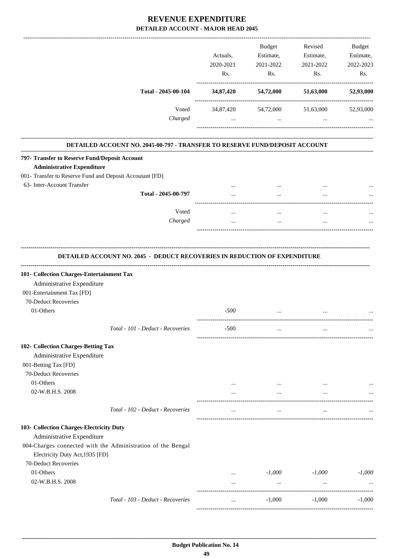|                                                                                                                                                                                                                                   |                                   | Actuals,<br>2020-2021<br>Rs.     | <b>Budget</b><br>Estimate,<br>2021-2022<br>Rs. | Revised<br>Estimate,<br>2021-2022<br>Rs. | <b>Budget</b><br>Estimate,<br>2022-2023<br>Rs. |
|-----------------------------------------------------------------------------------------------------------------------------------------------------------------------------------------------------------------------------------|-----------------------------------|----------------------------------|------------------------------------------------|------------------------------------------|------------------------------------------------|
|                                                                                                                                                                                                                                   | Total - 2045-00-104               | 34,87,420                        | 54,72,000                                      | 51,63,000                                | 52,93,000                                      |
|                                                                                                                                                                                                                                   | Voted<br>Charged                  | 34,87,420<br>$\cdots$            | 54,72,000<br>$\cdots$                          | 51,63,000                                | 52,93,000                                      |
| DETAILED ACCOUNT NO. 2045-00-797 - TRANSFER TO RESERVE FUND/DEPOSIT ACCOUNT                                                                                                                                                       |                                   |                                  |                                                |                                          |                                                |
| 797- Transfer to Reserve Fund/Deposit Account<br><b>Administrative Expenditure</b><br>001- Transfer to Reserve Fund and Deposit Accoutant [FD]<br>63- Inter-Account Transfer                                                      |                                   |                                  |                                                |                                          |                                                |
|                                                                                                                                                                                                                                   | Total - 2045-00-797               |                                  |                                                |                                          |                                                |
|                                                                                                                                                                                                                                   | Voted<br>Charged                  | $\cdots$                         | $\cdots$                                       | <br>$\cdots$                             |                                                |
|                                                                                                                                                                                                                                   |                                   |                                  |                                                |                                          |                                                |
| <b>DETAILED ACCOUNT NO. 2045 - DEDUCT RECOVERIES IN REDUCTION OF EXPENDITURE</b><br>101- Collection Charges-Entertainment Tax<br>Administrative Expenditure<br>001-Entertainment Tax [FD]<br>70-Deduct Recoveries<br>01-Others    |                                   | $-500$                           |                                                |                                          |                                                |
|                                                                                                                                                                                                                                   | Total - 101 - Deduct - Recoveries | $-500$                           |                                                |                                          |                                                |
| 102- Collection Charges-Betting Tax<br>Administrative Expenditure<br>001-Betting Tax [FD]<br>70-Deduct Recoveries<br>01-Others<br>02-W.B.H.S. 2008                                                                                | Total - 102 - Deduct - Recoveries | $\cdots$<br>$\cdots$<br>$\ldots$ | $\cdots$<br>$\cdots$<br>$\cdots$               | $\cdots$<br>$\ldots$                     |                                                |
| 103- Collection Charges-Electricity Duty<br>Administrative Expenditure<br>004-Charges connected with the Administration of the Bengal<br>Electricity Duty Act, 1935 [FD]<br>70-Deduct Recoveries<br>01-Others<br>02-W.B.H.S. 2008 |                                   | $\cdots$<br>$\cdots$             | $-1,000$<br>$\cdots$                           | $-1,000$<br>$\cdots$                     | $-1,000$                                       |

-----------------------------------------------------------------------------------------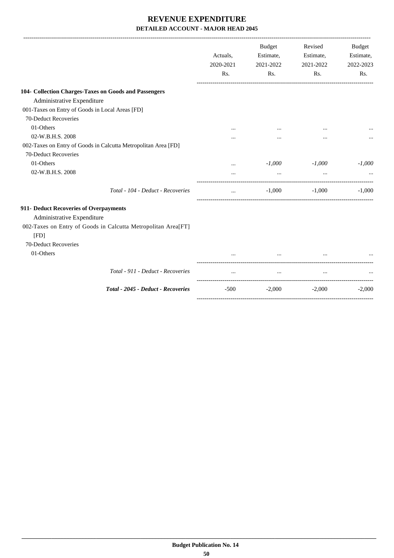|                                                                | Actuals,<br>2020-2021<br>Rs. | Budget<br>Estimate,<br>2021-2022<br>Rs. | Revised<br>Estimate,<br>2021-2022<br>Rs. | <b>Budget</b><br>Estimate,<br>2022-2023<br>Rs. |
|----------------------------------------------------------------|------------------------------|-----------------------------------------|------------------------------------------|------------------------------------------------|
| 104- Collection Charges-Taxes on Goods and Passengers          |                              |                                         |                                          |                                                |
| Administrative Expenditure                                     |                              |                                         |                                          |                                                |
| 001-Taxes on Entry of Goods in Local Areas [FD]                |                              |                                         |                                          |                                                |
| 70-Deduct Recoveries                                           |                              |                                         |                                          |                                                |
| 01-Others                                                      |                              |                                         |                                          |                                                |
| 02-W.B.H.S. 2008                                               |                              |                                         |                                          |                                                |
| 002-Taxes on Entry of Goods in Calcutta Metropolitan Area [FD] |                              |                                         |                                          |                                                |
| 70-Deduct Recoveries                                           |                              |                                         |                                          |                                                |
| 01-Others                                                      | $\cdots$                     | $-1,000$                                | $-1,000$                                 | $-1,000$                                       |
| 02-W.B.H.S. 2008                                               |                              | $\cdots$                                | $\cdots$                                 |                                                |
| Total - 104 - Deduct - Recoveries                              | $\cdots$                     | $-1,000$                                | $-1.000$                                 | $-1,000$                                       |
| 911- Deduct Recoveries of Overpayments                         |                              |                                         |                                          |                                                |
| Administrative Expenditure                                     |                              |                                         |                                          |                                                |
| 002-Taxes on Entry of Goods in Calcutta Metropolitan Area[FT]  |                              |                                         |                                          |                                                |
| [FD]                                                           |                              |                                         |                                          |                                                |
| 70-Deduct Recoveries                                           |                              |                                         |                                          |                                                |
| 01-Others                                                      |                              |                                         | $\cdots$                                 |                                                |
| Total - 911 - Deduct - Recoveries                              | $\cdots$                     | $\cdots$                                | $\cdots$                                 |                                                |
| Total - 2045 - Deduct - Recoveries                             | $-500$                       | $-2,000$                                | $-2,000$                                 | $-2,000$                                       |
|                                                                |                              |                                         |                                          |                                                |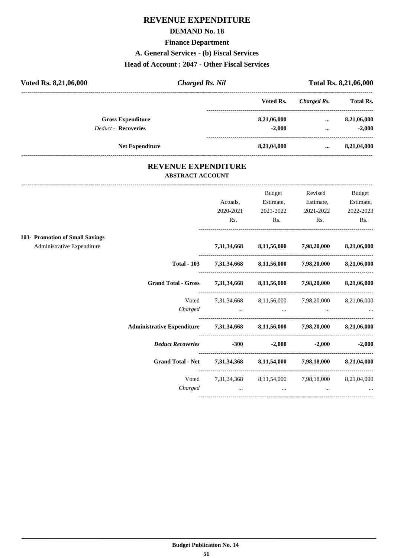# **REVENUE EXPENDITURE**

### **DEMAND No. 18**

#### **Finance Department**

**A. General Services - (b) Fiscal Services**

# **Head of Account : 2047 - Other Fiscal Services**

| Voted Rs. 8,21,06,000      | <b>Charged Rs. Nil</b> |             | Total Rs. 8,21,06,000 |                  |
|----------------------------|------------------------|-------------|-----------------------|------------------|
|                            |                        | Voted Rs.   | Charged Rs.           | <b>Total Rs.</b> |
| <b>Gross Expenditure</b>   |                        | 8,21,06,000 | $\cdots$              | 8,21,06,000      |
| <b>Deduct - Recoveries</b> |                        | $-2.000$    | $\cdots$              | $-2.000$         |
| <b>Net Expenditure</b>     |                        | 8,21,04,000 | $\cdots$              | 8,21,04,000      |

### **REVENUE EXPENDITURE ABSTRACT ACCOUNT**

---------------------------------------------------------------------------------------------------------------------------------------------------------------------------------

|                                                               |                                                                            | Actuals,<br>2020-2021<br>Rs.                                                                                    | <b>Budget</b><br>Estimate,<br>2021-2022<br>Rs. | Revised<br>Estimate,<br>2021-2022<br>Rs.        | Budget<br>Estimate,<br>2022-2023<br>Rs. |
|---------------------------------------------------------------|----------------------------------------------------------------------------|-----------------------------------------------------------------------------------------------------------------|------------------------------------------------|-------------------------------------------------|-----------------------------------------|
| 103- Promotion of Small Savings<br>Administrative Expenditure |                                                                            |                                                                                                                 |                                                | 7,31,34,668 8,11,56,000 7,98,20,000 8,21,06,000 |                                         |
|                                                               | <b>Total - 103</b>                                                         | 7,31,34,668 8,11,56,000 7,98,20,000 8,21,06,000                                                                 |                                                |                                                 |                                         |
|                                                               | <b>Grand Total - Gross</b>                                                 | 7,31,34,668 8,11,56,000 7,98,20,000 8,21,06,000                                                                 |                                                |                                                 |                                         |
|                                                               | Voted<br>Charged                                                           | the contract of the contract of the contract of the contract of the contract of the contract of the contract of |                                                | 7,31,34,668 8,11,56,000 7,98,20,000 8,21,06,000 |                                         |
|                                                               | Administrative Expenditure 7,31,34,668 8,11,56,000 7,98,20,000 8,21,06,000 |                                                                                                                 |                                                |                                                 |                                         |
|                                                               | <b>Deduct Recoveries</b>                                                   |                                                                                                                 | $-300$ $-2,000$                                |                                                 | $-2,000$ $-2,000$                       |
|                                                               | <b>Grand Total - Net</b>                                                   | 7,31,34,368 8,11,54,000 7,98,18,000 8,21,04,000                                                                 |                                                |                                                 |                                         |
|                                                               | Voted<br>Charged                                                           | 7,31,34,368 8,11,54,000 7,98,18,000 8,21,04,000<br>$\ddots$                                                     | $\cdots$                                       | $\cdots$                                        |                                         |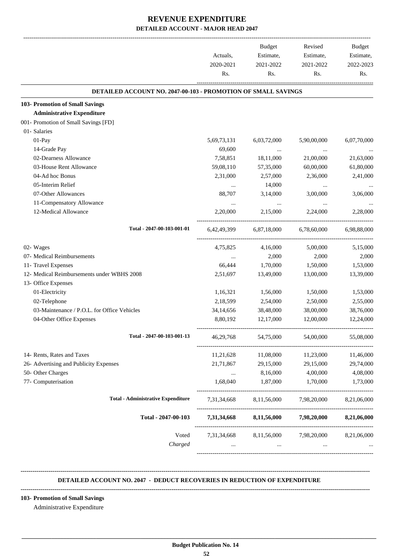|                                                               | Actuals,<br>2020-2021<br>Rs. | Budget<br>Estimate,<br>2021-2022<br>Rs. | Revised<br>Estimate,<br>2021-2022<br>Rs. | Budget<br>Estimate,<br>2022-2023<br>Rs. |
|---------------------------------------------------------------|------------------------------|-----------------------------------------|------------------------------------------|-----------------------------------------|
| DETAILED ACCOUNT NO. 2047-00-103 - PROMOTION OF SMALL SAVINGS |                              |                                         |                                          |                                         |
| 103- Promotion of Small Savings                               |                              |                                         |                                          |                                         |
| <b>Administrative Expenditure</b>                             |                              |                                         |                                          |                                         |
| 001- Promotion of Small Savings [FD]                          |                              |                                         |                                          |                                         |
| 01- Salaries                                                  |                              |                                         |                                          |                                         |
| 01-Pay                                                        | 5,69,73,131                  | 6,03,72,000                             | 5,90,00,000                              | 6,07,70,000                             |
| 14-Grade Pay                                                  | 69,600                       | $\cdots$                                | $\cdots$                                 |                                         |
| 02-Dearness Allowance                                         | 7,58,851                     | 18,11,000                               | 21,00,000                                | 21,63,000                               |
| 03-House Rent Allowance                                       | 59,08,110                    | 57,35,000                               | 60,00,000                                | 61,80,000                               |
| 04-Ad hoc Bonus                                               | 2,31,000                     | 2,57,000                                | 2,36,000                                 | 2,41,000                                |
| 05-Interim Relief                                             |                              | 14,000                                  | $\cdots$                                 |                                         |
| 07-Other Allowances                                           | 88,707                       | 3,14,000                                | 3,00,000                                 | 3,06,000                                |
| 11-Compensatory Allowance                                     | $\cdots$                     | $\cdots$                                | $\cdots$                                 |                                         |
| 12-Medical Allowance                                          | 2,20,000                     | 2,15,000                                | 2,24,000                                 | 2,28,000                                |
| Total - 2047-00-103-001-01                                    | 6,42,49,399                  | 6,87,18,000                             | 6,78,60,000                              | 6,98,88,000                             |
| 02- Wages                                                     | 4,75,825                     | 4,16,000                                | 5,00,000                                 | 5,15,000                                |
| 07- Medical Reimbursements                                    | $\cdots$                     | 2,000                                   | 2,000                                    | 2,000                                   |
| 11- Travel Expenses                                           | 66,444                       | 1,70,000                                | 1,50,000                                 | 1,53,000                                |
| 12- Medical Reimbursements under WBHS 2008                    | 2,51,697                     | 13,49,000                               | 13,00,000                                | 13,39,000                               |
| 13- Office Expenses                                           |                              |                                         |                                          |                                         |
| 01-Electricity                                                | 1,16,321                     | 1,56,000                                | 1,50,000                                 | 1,53,000                                |
| 02-Telephone                                                  | 2,18,599                     | 2,54,000                                | 2,50,000                                 | 2,55,000                                |
| 03-Maintenance / P.O.L. for Office Vehicles                   | 34,14,656                    | 38,48,000                               | 38,00,000                                | 38,76,000                               |
| 04-Other Office Expenses                                      | 8,80,192                     | 12,17,000                               | 12,00,000                                | 12,24,000                               |
| Total - 2047-00-103-001-13                                    | 46,29,768                    | 54,75,000                               | 54,00,000                                | 55,08,000                               |
| 14- Rents, Rates and Taxes                                    | 11,21,628                    | 11,08,000                               | 11,23,000                                | 11,46,000                               |
| 26- Advertising and Publicity Expenses                        | 21,71,867                    | 29,15,000                               | 29,15,000                                | 29,74,000                               |
| 50- Other Charges                                             | $\cdots$                     | 8,16,000                                | 4,00,000                                 | 4,08,000                                |
| 77- Computerisation                                           | 1,68,040                     | 1,87,000                                | 1,70,000                                 | 1,73,000                                |
| <b>Total - Administrative Expenditure</b>                     | 7,31,34,668                  | 8,11,56,000                             | 7,98,20,000                              | 8,21,06,000                             |
| Total - 2047-00-103                                           | 7,31,34,668                  | 8,11,56,000                             | 7,98,20,000                              | 8,21,06,000                             |
| Voted                                                         | 7, 31, 34, 668               | 8,11,56,000                             | 7,98,20,000                              | 8,21,06,000                             |
| Charged                                                       |                              | $\cdots$                                | $\cdots$                                 |                                         |

#### **-------------------------------------------------------------------------------------------------------------------------------------------------------------------------------- DETAILED ACCOUNT NO. 2047 - DEDUCT RECOVERIES IN REDUCTION OF EXPENDITURE**

 **\_\_\_\_\_\_\_\_\_\_\_\_\_\_\_\_\_\_\_\_\_\_\_\_\_\_\_\_\_\_\_\_\_\_\_\_\_\_\_\_\_\_\_\_\_\_\_\_\_\_\_\_\_\_\_\_\_\_\_\_\_\_\_\_\_\_\_\_\_\_\_\_\_\_\_\_\_\_\_\_\_\_\_\_\_\_\_\_\_\_\_\_\_\_\_\_\_\_\_\_\_\_\_\_\_\_\_\_\_\_\_\_\_\_\_\_\_\_\_**

**--------------------------------------------------------------------------------------------------------------------------------------------------------------------------------**

**103- Promotion of Small Savings**

Administrative Expenditure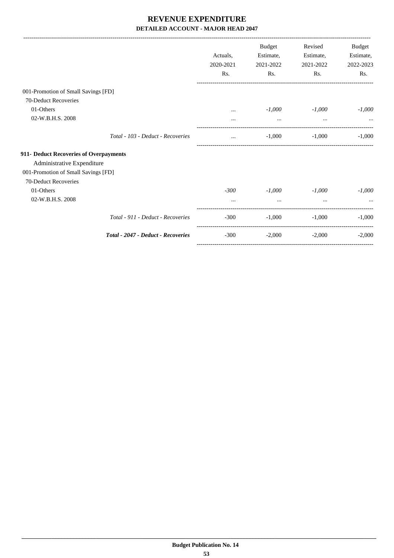|                                        |                                    | Actuals.         | <b>Budget</b><br>Estimate, | Revised<br>Estimate, | Budget<br>Estimate, |
|----------------------------------------|------------------------------------|------------------|----------------------------|----------------------|---------------------|
|                                        |                                    | 2020-2021<br>Rs. | 2021-2022<br>Rs.           | 2021-2022<br>Rs.     | 2022-2023<br>Rs.    |
|                                        |                                    |                  |                            |                      |                     |
| 001-Promotion of Small Savings [FD]    |                                    |                  |                            |                      |                     |
| 70-Deduct Recoveries                   |                                    |                  |                            |                      |                     |
| 01-Others                              |                                    | $\cdots$         | $-1,000$                   | $-1,000$             | $-1,000$            |
| 02-W.B.H.S. 2008                       |                                    | $\cdots$         | $\cdots$                   | $\cdots$             |                     |
|                                        | Total - 103 - Deduct - Recoveries  | $\cdots$         | $-1,000$                   | $-1,000$             | $-1,000$            |
| 911- Deduct Recoveries of Overpayments |                                    |                  |                            |                      |                     |
| Administrative Expenditure             |                                    |                  |                            |                      |                     |
| 001-Promotion of Small Savings [FD]    |                                    |                  |                            |                      |                     |
| 70-Deduct Recoveries                   |                                    |                  |                            |                      |                     |
| 01-Others                              |                                    | $-300$           | $-1.000$                   | $-1,000$             | $-1,000$            |
| 02-W.B.H.S. 2008                       |                                    | $\cdots$         | $\cdots$                   | $\cdots$             |                     |
|                                        | Total - 911 - Deduct - Recoveries  | $-300$           | $-1,000$                   | $-1,000$             | $-1,000$            |
|                                        | Total - 2047 - Deduct - Recoveries | $-300$           | $-2,000$                   | $-2,000$             | $-2,000$            |
|                                        |                                    |                  |                            |                      |                     |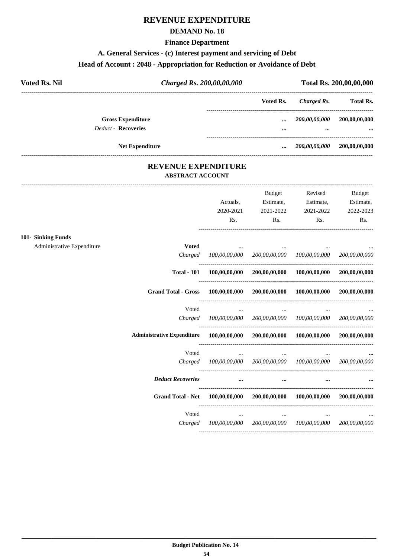### **REVENUE EXPENDITURE**

#### **DEMAND No. 18**

#### **Finance Department**

# **A. General Services - (c) Interest payment and servicing of Debt**

#### **Head of Account : 2048 - Appropriation for Reduction or Avoidance of Debt**

| <b>Voted Rs. Nil</b> |                                                        | Charged Rs. 200,00,00,000 |                            | Total Rs. 200,00,00,000 |
|----------------------|--------------------------------------------------------|---------------------------|----------------------------|-------------------------|
|                      |                                                        | Voted Rs.                 | Charged Rs.                | <b>Total Rs.</b>        |
|                      | <b>Gross Expenditure</b><br><b>Deduct - Recoveries</b> |                           | $\ldots$ 200,00,00,000<br> | 200,00,00,000<br>       |
|                      | <b>Net Expenditure</b>                                 | $\cdots$                  | 200,00,00,000              | 200,00,00,000           |

### **REVENUE EXPENDITURE ABSTRACT ACCOUNT**

---------------------------------------------------------------------------------------------------------------------------------------------------------------------------------

|                            |                                   | Actuals,                     | <b>Budget</b><br>Estimate,                                      | Revised<br>Estimate, | <b>Budget</b><br>Estimate, |
|----------------------------|-----------------------------------|------------------------------|-----------------------------------------------------------------|----------------------|----------------------------|
|                            |                                   | 2020-2021                    | 2021-2022                                                       | 2021-2022            | 2022-2023                  |
|                            |                                   | Rs.                          | Rs.                                                             | Rs.                  | Rs.                        |
| 101- Sinking Funds         |                                   |                              |                                                                 |                      |                            |
| Administrative Expenditure | <b>Voted</b>                      | and the contract of the con- |                                                                 |                      |                            |
|                            | Charged                           |                              | $100,00,00,000$ $200,00,00,000$ $100,00,00,000$ $200,00,00,000$ |                      |                            |
|                            | <b>Total - 101</b>                |                              | $100,00,00,000$ $200,00,00,000$ $100,00,00,000$ $200,00,00,000$ |                      |                            |
|                            | <b>Grand Total - Gross</b>        |                              | $100,00,00,000$ $200,00,00,000$ $100,00,00,000$                 |                      | 200,00,00,000              |
|                            | Voted                             | $\cdots$                     |                                                                 |                      |                            |
|                            |                                   |                              | Charged 100,00,00,000 200,00,00,000 100,00,00,000 200,00,000    |                      |                            |
|                            | <b>Administrative Expenditure</b> |                              | $100,00,00,000$ $200,00,00,000$ $100,00,00,000$ $200,00,00,000$ |                      |                            |
|                            | Voted                             | $\cdots$                     | $\cdots$                                                        |                      |                            |
|                            | Charged                           |                              | $100,00,00,000$ $200,00,00,000$ $100,00,00,000$ $200,00,00,000$ |                      |                            |
|                            | <b>Deduct Recoveries</b>          | $\cdots$                     | $\cdots$                                                        |                      |                            |
|                            | <b>Grand Total - Net</b>          |                              | $100,00,00,000$ $200,00,00,000$ $100,00,00,000$ $200,00,00,000$ |                      |                            |
|                            | Voted                             | $\cdots$                     | $\cdots$                                                        |                      |                            |
|                            | Charged                           |                              | $100,00,00,000$ $200,00,00,000$ $100,00,00,000$ $200,00,00,000$ |                      |                            |
|                            |                                   |                              |                                                                 |                      |                            |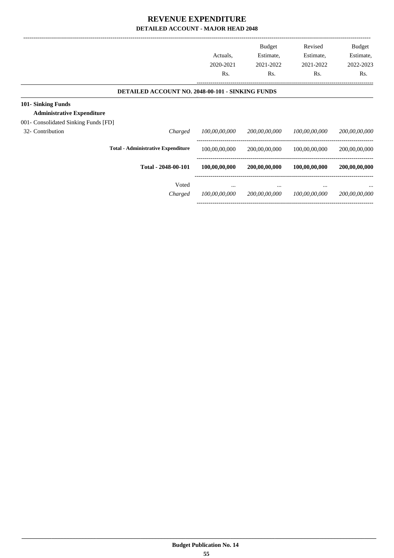|                                                         |                                                         | Actuals,<br>2020-2021<br>Rs. | <b>Budget</b><br>Estimate,<br>2021-2022<br>Rs. | Revised<br>Estimate,<br>2021-2022<br>Rs. | Budget<br>Estimate,<br>2022-2023<br>Rs. |
|---------------------------------------------------------|---------------------------------------------------------|------------------------------|------------------------------------------------|------------------------------------------|-----------------------------------------|
|                                                         | <b>DETAILED ACCOUNT NO. 2048-00-101 - SINKING FUNDS</b> |                              |                                                |                                          |                                         |
| 101- Sinking Funds<br><b>Administrative Expenditure</b> |                                                         |                              |                                                |                                          |                                         |
| 001- Consolidated Sinking Funds [FD]                    |                                                         |                              |                                                |                                          |                                         |
| 32- Contribution                                        | Charged                                                 | 100,00,00,000                | 200,00,00,000                                  | 100,00,00,000                            | 200,00,00,000                           |
|                                                         | <b>Total - Administrative Expenditure</b>               | 100,00,00,000                | 200,00,00,000                                  | 100,00,00,000                            | 200,00,00,000                           |
|                                                         | Total - 2048-00-101                                     | 100,00,00,000                | 200,00,00,000                                  | 100,00,00,000                            | 200,00,00,000                           |
|                                                         | Voted                                                   | $\cdots$                     | $\cdots$                                       | $\cdots$                                 | $\cdots$                                |
|                                                         | Charged                                                 | 100,00,00,000                | 200,00,00,000                                  | 100,00,00,000                            | 200,00,00,000                           |
|                                                         |                                                         |                              |                                                |                                          |                                         |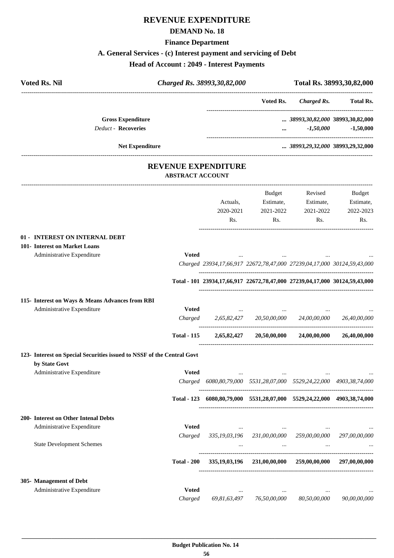# **REVENUE EXPENDITURE**

### **DEMAND No. 18**

#### **Finance Department**

# **A. General Services - (c) Interest payment and servicing of Debt**

# **Head of Account : 2049 - Interest Payments**

| <b>Voted Rs. Nil</b>                                                                    |                                                       | Charged Rs. 38993, 30, 82, 000                                                  |                                                             | Total Rs. 38993, 30, 82, 000                            |              |
|-----------------------------------------------------------------------------------------|-------------------------------------------------------|---------------------------------------------------------------------------------|-------------------------------------------------------------|---------------------------------------------------------|--------------|
|                                                                                         |                                                       |                                                                                 | Voted Rs.                                                   | <b>Charged Rs.</b>                                      | Total Rs.    |
|                                                                                         | <b>Gross Expenditure</b>                              |                                                                                 |                                                             | 38993,30,82,000 38993,30,82,000                         |              |
| <b>Deduct - Recoveries</b>                                                              |                                                       |                                                                                 |                                                             | $-1,50,000$<br>$\cdots$                                 | $-1,50,000$  |
|                                                                                         | Net Expenditure                                       |                                                                                 |                                                             | 38993,29,32,000 38993,29,32,000                         |              |
|                                                                                         | <b>REVENUE EXPENDITURE</b><br><b>ABSTRACT ACCOUNT</b> |                                                                                 |                                                             |                                                         |              |
|                                                                                         |                                                       |                                                                                 | Budget                                                      | Revised                                                 | Budget       |
|                                                                                         |                                                       | Actuals,                                                                        | Estimate,                                                   | Estimate,                                               | Estimate,    |
|                                                                                         |                                                       | 2020-2021                                                                       | 2021-2022                                                   | 2021-2022                                               | 2022-2023    |
|                                                                                         |                                                       | Rs.                                                                             | Rs.                                                         | Rs.                                                     | Rs.          |
| 01 - INTEREST ON INTERNAL DEBT<br>101- Interest on Market Loans                         |                                                       |                                                                                 |                                                             |                                                         |              |
| Administrative Expenditure                                                              | <b>Voted</b>                                          |                                                                                 | and the company of the company                              |                                                         |              |
|                                                                                         |                                                       | Charged 23934,17,66,917 22672,78,47,000 27239,04,17,000 30124,59,43,000         |                                                             |                                                         |              |
|                                                                                         |                                                       | Total - 101 23934,17,66,917 22672,78,47,000 27239,04,17,000 30124,59,43,000     |                                                             |                                                         |              |
| 115- Interest on Ways & Means Advances from RBI                                         |                                                       |                                                                                 |                                                             |                                                         |              |
| Administrative Expenditure                                                              | <b>Voted</b>                                          |                                                                                 |                                                             |                                                         |              |
|                                                                                         | Charged                                               |                                                                                 |                                                             | 2,65,82,427 20,50,00,000 24,00,00,000                   | 26,40,00,000 |
|                                                                                         | <b>Total - 115</b>                                    |                                                                                 |                                                             | $2,65,82,427$ $20,50,00,000$ $24,00,00,000$             | 26,40,00,000 |
| 123- Interest on Special Securities issued to NSSF of the Central Govt<br>by State Govt |                                                       |                                                                                 |                                                             |                                                         |              |
| Administrative Expenditure                                                              | <b>Voted</b>                                          |                                                                                 |                                                             |                                                         |              |
|                                                                                         |                                                       | Charged 6080, 80, 79, 000 5531, 28, 07, 000 5529, 24, 22, 000 4903, 38, 74, 000 |                                                             |                                                         |              |
|                                                                                         |                                                       | Total - 123 6080,80,79,000 5531,28,07,000 5529,24,22,000 4903,38,74,000         |                                                             |                                                         |              |
| 200- Interest on Other Intenal Debts                                                    |                                                       |                                                                                 |                                                             |                                                         |              |
| Administrative Expenditure                                                              | <b>Voted</b>                                          | the contract of the contract of                                                 | and the contract of the contract of                         |                                                         |              |
|                                                                                         | Charged                                               |                                                                                 |                                                             | 335,19,03,196 231,00,00,000 259,00,00,000 297,00,00,000 |              |
| <b>State Development Schemes</b>                                                        |                                                       |                                                                                 | and the state of the state of the state of the state of the |                                                         |              |
|                                                                                         | <b>Total - 200</b>                                    |                                                                                 |                                                             | 335,19,03,196 231,00,00,000 259,00,00,000 297,00,00,000 |              |
| 305- Management of Debt                                                                 |                                                       |                                                                                 |                                                             |                                                         |              |
| Administrative Expenditure                                                              | <b>Voted</b>                                          |                                                                                 |                                                             |                                                         |              |
|                                                                                         | Charged                                               |                                                                                 | 69,81,63,497 76,50,00,000                                   | 80,50,00,000                                            | 90,00,00,000 |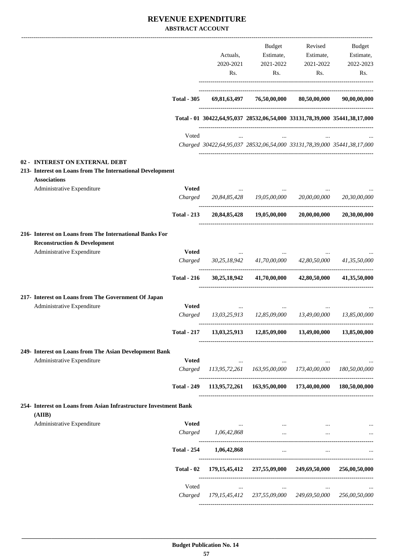|                                                                                  |                    |                                | Budget                                                                                                                                                             | Revised                 | Budget        |
|----------------------------------------------------------------------------------|--------------------|--------------------------------|--------------------------------------------------------------------------------------------------------------------------------------------------------------------|-------------------------|---------------|
|                                                                                  |                    | Actuals,                       | Estimate,                                                                                                                                                          | Estimate,               | Estimate,     |
|                                                                                  |                    | 2020-2021                      | 2021-2022                                                                                                                                                          | 2021-2022               | 2022-2023     |
|                                                                                  |                    | Rs.                            | Rs.                                                                                                                                                                | Rs.                     | Rs.           |
|                                                                                  | <b>Total - 305</b> |                                | 69,81,63,497 76,50,00,000                                                                                                                                          | 80,50,00,000            | 90,00,00,000  |
|                                                                                  |                    |                                |                                                                                                                                                                    |                         |               |
|                                                                                  |                    |                                | Total - 01 30422,64,95,037 28532,06,54,000 33131,78,39,000 35441,38,17,000                                                                                         |                         |               |
|                                                                                  | Voted              |                                |                                                                                                                                                                    |                         |               |
|                                                                                  |                    |                                | Charged 30422,64,95,037 28532,06,54,000 33131,78,39,000 35441,38,17,000                                                                                            |                         |               |
| 02 - INTEREST ON EXTERNAL DEBT                                                   |                    |                                |                                                                                                                                                                    |                         |               |
| 213- Interest on Loans from The International Development<br><b>Associations</b> |                    |                                |                                                                                                                                                                    |                         |               |
| Administrative Expenditure                                                       | <b>Voted</b>       |                                |                                                                                                                                                                    |                         |               |
|                                                                                  | Charged            |                                | 20,84,85,428 19,05,00,000                                                                                                                                          | 20,00,00,000            | 20,30,00,000  |
|                                                                                  | <b>Total - 213</b> |                                | 20,84,85,428 19,05,00,000 20,00,00,000                                                                                                                             |                         | 20,30,00,000  |
| 216- Interest on Loans from The International Banks For                          |                    |                                |                                                                                                                                                                    |                         |               |
| <b>Reconstruction &amp; Development</b>                                          |                    |                                |                                                                                                                                                                    |                         |               |
| Administrative Expenditure                                                       | <b>Voted</b>       |                                |                                                                                                                                                                    |                         |               |
|                                                                                  | Charged            |                                | 30,25,18,942 41,70,00,000 42,80,50,000                                                                                                                             |                         | 41,35,50,000  |
|                                                                                  | <b>Total - 216</b> |                                | $30,25,18,942$ $41,70,00,000$ $42,80,50,000$                                                                                                                       |                         | 41,35,50,000  |
| 217- Interest on Loans from The Government Of Japan                              |                    |                                |                                                                                                                                                                    |                         |               |
| Administrative Expenditure                                                       | <b>Voted</b>       |                                |                                                                                                                                                                    |                         |               |
|                                                                                  |                    |                                | Charged 13,03,25,913 12,85,09,000 13,49,00,000                                                                                                                     |                         | 13,85,00,000  |
|                                                                                  | <b>Total - 217</b> |                                | 13,03,25,913 12,85,09,000 13,49,00,000 13,85,00,000                                                                                                                |                         |               |
| 249- Interest on Loans from The Asian Development Bank                           |                    |                                |                                                                                                                                                                    |                         |               |
| Administrative Expenditure                                                       | <b>Voted</b>       |                                | and the company of the company of the                                                                                                                              | and the contract of the |               |
|                                                                                  |                    |                                | Charged 113,95,72,261 163,95,00,000 173,40,00,000 180,50,00,000                                                                                                    |                         |               |
|                                                                                  | <b>Total - 249</b> |                                | 113,95,72,261 163,95,00,000 173,40,00,000 180,50,00,000                                                                                                            |                         |               |
| 254- Interest on Loans from Asian Infrastructure Investment Bank<br>(AIIB)       |                    |                                |                                                                                                                                                                    |                         |               |
| Administrative Expenditure                                                       | <b>Voted</b>       | and the company of the company | $\sim$ $\sim$                                                                                                                                                      | $\cdots$                |               |
|                                                                                  |                    | Charged 1,06,42,868            | $\ddotsc$                                                                                                                                                          |                         |               |
|                                                                                  |                    | Total - 254 1,06,42,868        | $\sim$                                                                                                                                                             |                         |               |
|                                                                                  | Total - 02         |                                | 179, 15, 45, 412 237, 55, 09, 000 249, 69, 50, 000                                                                                                                 |                         | 256,00,50,000 |
|                                                                                  |                    |                                |                                                                                                                                                                    |                         |               |
|                                                                                  | Voted              |                                | $\mathbf{r}$ and $\mathbf{r}$ are $\mathbf{r}$ . The $\mathbf{r}$<br>$\sim$ 100 $\mu$ m $^{-1}$<br>Charged 179,15,45,412 237,55,09,000 249,69,50,000 256,00,50,000 |                         |               |
|                                                                                  |                    |                                |                                                                                                                                                                    |                         |               |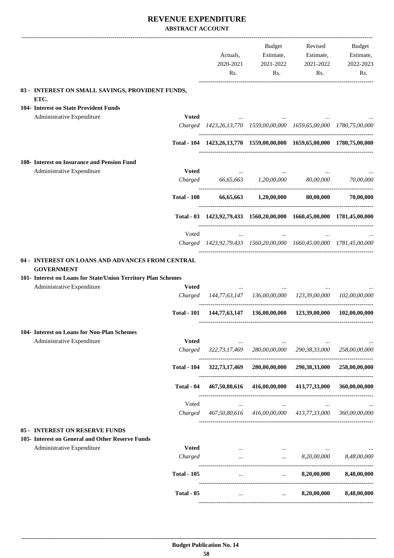|                                                                                           |                         | Actuals,<br>2020-2021<br>Rs.        | Budget<br>Estimate,<br>2021-2022<br>Rs.                                              | Revised<br>Estimate,<br>2021-2022<br>Rs.                                | Budget<br>Estimate,<br>2022-2023<br>Rs. |
|-------------------------------------------------------------------------------------------|-------------------------|-------------------------------------|--------------------------------------------------------------------------------------|-------------------------------------------------------------------------|-----------------------------------------|
| 03 - INTEREST ON SMALL SAVINGS, PROVIDENT FUNDS,                                          |                         |                                     |                                                                                      |                                                                         |                                         |
| ETC.                                                                                      |                         |                                     |                                                                                      |                                                                         |                                         |
| 104- Interest on State Provident Funds                                                    |                         |                                     |                                                                                      |                                                                         |                                         |
| Administrative Expenditure                                                                | <b>Voted</b>            |                                     | $\mathcal{L}_{\text{max}}$ and $\mathcal{L}_{\text{max}}$ . The second second second | Charged 1423,26,13,770 1559,00,00,000 1659,65,00,000 1780,75,00,000     |                                         |
|                                                                                           |                         |                                     |                                                                                      | Total - 104 1423,26,13,770 1559,00,00,000 1659,65,00,000 1780,75,00,000 |                                         |
| 108- Interest on Insurance and Pension Fund                                               |                         |                                     |                                                                                      |                                                                         |                                         |
| Administrative Expenditure                                                                | Voted                   | the contract of the contract of the |                                                                                      |                                                                         |                                         |
|                                                                                           |                         |                                     |                                                                                      | Charged 66,65,663 1,20,00,000 80,00,000 70,00,000                       |                                         |
|                                                                                           | <b>Total - 108</b>      |                                     |                                                                                      | 66,65,663 1,20,00,000 80,00,000 70,00,000                               |                                         |
|                                                                                           |                         |                                     |                                                                                      | Total - 03 1423,92,79,433 1560,20,00,000 1660,45,00,000 1781,45,00,000  |                                         |
|                                                                                           | Voted                   | $\cdots$                            |                                                                                      | Charged 1423,92,79,433 1560,20,00,000 1660,45,00,000 1781,45,00,000     |                                         |
| 04 - INTEREST ON LOANS AND ADVANCES FROM CENTRAL<br><b>GOVERNMENT</b>                     |                         |                                     |                                                                                      |                                                                         |                                         |
| 101- Interest on Loans for State/Union Territory Plan Schemes                             |                         |                                     |                                                                                      |                                                                         |                                         |
| Administrative Expenditure                                                                | <b>Voted</b>            |                                     |                                                                                      | Charged 144,77,63,147 136,00,00,000 123,39,00,000 102,00,00,000         |                                         |
|                                                                                           |                         |                                     |                                                                                      | Total - 101 144,77,63,147 136,00,00,000 123,39,00,000 102,00,00,000     |                                         |
| 104- Interest on Loans for Non-Plan Schemes                                               |                         |                                     |                                                                                      |                                                                         |                                         |
| Administrative Expenditure                                                                | <b>Voted</b>            |                                     |                                                                                      |                                                                         |                                         |
|                                                                                           | Charged                 | 322,73,17,469                       | 280,00,00,000                                                                        | 290,38,33,000                                                           | 258,00,00,000                           |
|                                                                                           | <b>Total - 104</b>      | 322,73,17,469                       | 280,00,00,000                                                                        |                                                                         | 290,38,33,000 258,00,00,000             |
|                                                                                           | Total - 04              |                                     |                                                                                      | 467,50,80,616 416,00,00,000 413,77,33,000                               | 360,00,00,000                           |
|                                                                                           | Voted                   | $\cdots$                            | $\ddotsc$                                                                            | $\cdots$                                                                |                                         |
|                                                                                           | Charged                 | 467,50,80,616                       |                                                                                      | 416,00,00,000 413,77,33,000                                             | 360,00,00,000                           |
| <b>05 - INTEREST ON RESERVE FUNDS</b><br>105- Interest on General and Other Reserve Funds |                         |                                     |                                                                                      |                                                                         |                                         |
| Administrative Expenditure                                                                | <b>Voted</b><br>Charged | <b>Sales Control</b>                | $\cdots$                                                                             | 8,20,00,000<br>$\cdots$ . The set of $\mathbb{R}^n$                     | 8,48,00,000                             |
|                                                                                           | <b>Total - 105</b>      | $\cdots$                            | $\cdots$                                                                             | 8,20,00,000                                                             | 8,48,00,000                             |
|                                                                                           | Total - 05              | $\cdots$                            | $\cdots$                                                                             | 8,20,00,000                                                             | 8,48,00,000                             |
|                                                                                           |                         |                                     |                                                                                      |                                                                         |                                         |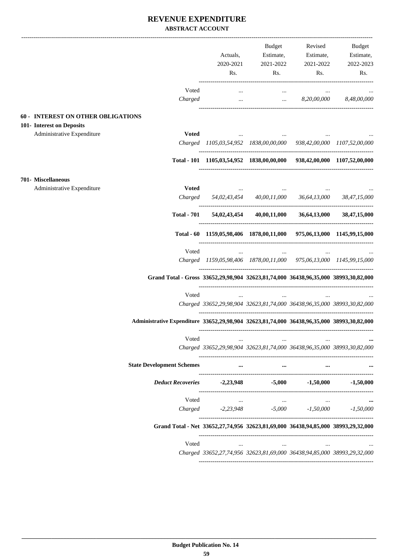|                                                                 |                                                                                            | Actuals,<br>2020-2021<br>Rs. | Budget<br>Estimate,<br>2021-2022                                                                                       | 2021-2022<br>Rs.                                    | Revised Budget<br>Estimate, Estimate,<br>2022-2023<br>Rs.<br>Rs. |
|-----------------------------------------------------------------|--------------------------------------------------------------------------------------------|------------------------------|------------------------------------------------------------------------------------------------------------------------|-----------------------------------------------------|------------------------------------------------------------------|
|                                                                 | Voted<br>Charged                                                                           | $\cdots$<br>$\cdots$         | $\cdots$                                                                                                               | $\cdots$<br>$\ldots$ 8,20,00,000                    | 8,48,00,000                                                      |
| 60 - INTEREST ON OTHER OBLIGATIONS<br>101- Interest on Deposits |                                                                                            |                              |                                                                                                                        |                                                     |                                                                  |
| Administrative Expenditure                                      | <b>Voted</b>                                                                               |                              | Charged 1105,03,54,952 1838,00,00,000 938,42,00,000 1107,52,00,000                                                     | the contract of the contract of the contract of the |                                                                  |
|                                                                 |                                                                                            |                              | Total - 101 1105,03,54,952 1838,00,00,000 938,42,00,000 1107,52,00,000                                                 |                                                     |                                                                  |
| 701- Miscellaneous<br>Administrative Expenditure                | <b>Voted</b>                                                                               |                              |                                                                                                                        |                                                     |                                                                  |
|                                                                 |                                                                                            |                              | and the contract of the contract of the contract of the<br>Charged 54,02,43,454 40,00,11,000 36,64,13,000 38,47,15,000 |                                                     |                                                                  |
|                                                                 |                                                                                            |                              | Total - 701 54,02,43,454 40,00,11,000 36,64,13,000 38,47,15,000                                                        |                                                     |                                                                  |
|                                                                 |                                                                                            |                              | Total - 60 1159,05,98,406 1878,00,11,000 975,06,13,000 1145,99,15,000                                                  |                                                     |                                                                  |
|                                                                 | Voted                                                                                      |                              | the contract of the contract of<br>Charged 1159,05,98,406 1878,00,11,000 975,06,13,000 1145,99,15,000                  |                                                     |                                                                  |
|                                                                 | Grand Total - Gross 33652,29,98,904 32623,81,74,000 36438,96,35,000 38993,30,82,000        |                              |                                                                                                                        |                                                     |                                                                  |
|                                                                 | Voted                                                                                      | $\cdots$                     | $\cdots$<br>Charged 33652,29,98,904 32623,81,74,000 36438,96,35,000 38993,30,82,000                                    | $\cdots$                                            |                                                                  |
|                                                                 | Administrative Expenditure 33652,29,98,904 32623,81,74,000 36438,96,35,000 38993,30,82,000 |                              |                                                                                                                        |                                                     |                                                                  |
|                                                                 | Voted                                                                                      |                              | Charged 33652,29,98,904 32623,81,74,000 36438,96,35,000 38993,30,82,000                                                |                                                     |                                                                  |
|                                                                 | <b>State Development Schemes</b>                                                           | $\cdots$                     | $\cdots$                                                                                                               |                                                     |                                                                  |
|                                                                 | <b>Deduct Recoveries</b>                                                                   |                              | $-2,23,948$ $-5,000$                                                                                                   | $-1,50,000$                                         | $-1,50,000$                                                      |
|                                                                 | Voted                                                                                      | $Charged$ $-2,23,948$        |                                                                                                                        | $\cdots$<br>$-5,000$ $-1,50,000$                    | $-1.50,000$                                                      |
|                                                                 | Grand Total - Net 33652,27,74,956 32623,81,69,000 36438,94,85,000 38993,29,32,000          |                              |                                                                                                                        |                                                     |                                                                  |
|                                                                 | Voted                                                                                      | $\cdots$                     | $\cdots$<br>Charged 33652,27,74,956 32623,81,69,000 36438,94,85,000 38993,29,32,000                                    | $\cdots$                                            |                                                                  |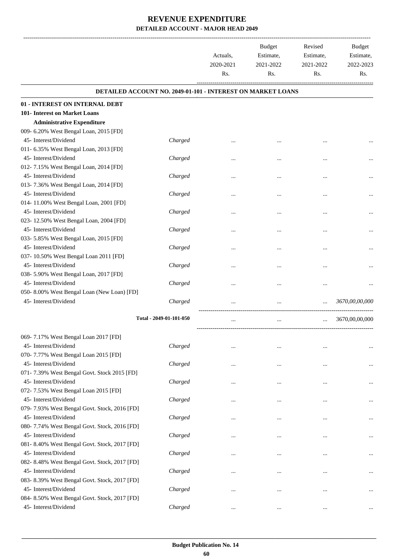|                                                             |                         | Actuals,<br>2020-2021<br>Rs. | <b>Budget</b><br>Estimate,<br>2021-2022<br>Rs. | Revised<br>Estimate,<br>2021-2022<br>Rs. | Budget<br>Estimate,<br>2022-2023<br>Rs. |
|-------------------------------------------------------------|-------------------------|------------------------------|------------------------------------------------|------------------------------------------|-----------------------------------------|
| DETAILED ACCOUNT NO. 2049-01-101 - INTEREST ON MARKET LOANS |                         |                              |                                                |                                          |                                         |
| 01 - INTEREST ON INTERNAL DEBT                              |                         |                              |                                                |                                          |                                         |
| 101- Interest on Market Loans                               |                         |                              |                                                |                                          |                                         |
| <b>Administrative Expenditure</b>                           |                         |                              |                                                |                                          |                                         |
| 009- 6.20% West Bengal Loan, 2015 [FD]                      |                         |                              |                                                |                                          |                                         |
| 45- Interest/Dividend                                       | Charged                 |                              |                                                |                                          |                                         |
| 011- 6.35% West Bengal Loan, 2013 [FD]                      |                         |                              |                                                |                                          |                                         |
| 45- Interest/Dividend                                       | Charged                 | $\ddotsc$                    |                                                |                                          |                                         |
| 012- 7.15% West Bengal Loan, 2014 [FD]                      |                         |                              |                                                |                                          |                                         |
| 45- Interest/Dividend                                       | Charged                 |                              | $\cdots$                                       |                                          |                                         |
| 013- 7.36% West Bengal Loan, 2014 [FD]                      |                         |                              |                                                |                                          |                                         |
| 45- Interest/Dividend                                       | Charged                 | $\ddotsc$                    |                                                |                                          |                                         |
| 014-11.00% West Bengal Loan, 2001 [FD]                      |                         |                              |                                                |                                          |                                         |
| 45- Interest/Dividend                                       | Charged                 |                              | $\cdots$                                       |                                          |                                         |
| 023- 12.50% West Bengal Loan, 2004 [FD]                     |                         |                              |                                                |                                          |                                         |
| 45- Interest/Dividend                                       | Charged                 |                              |                                                |                                          |                                         |
| 033- 5.85% West Bengal Loan, 2015 [FD]                      |                         |                              |                                                |                                          |                                         |
| 45- Interest/Dividend                                       | Charged                 |                              |                                                |                                          |                                         |
| 037- 10.50% West Bengal Loan 2011 [FD]                      |                         |                              |                                                |                                          |                                         |
| 45- Interest/Dividend                                       | Charged                 |                              |                                                | $\ddotsc$                                |                                         |
| 038- 5.90% West Bengal Loan, 2017 [FD]                      |                         |                              |                                                |                                          |                                         |
| 45- Interest/Dividend                                       | Charged                 |                              |                                                |                                          |                                         |
| 050-8.00% West Bengal Loan (New Loan) [FD]                  |                         |                              |                                                |                                          |                                         |
| 45- Interest/Dividend                                       | Charged                 |                              |                                                |                                          | 3670,00,00,000                          |
|                                                             | Total - 2049-01-101-050 | $\cdots$                     | $\cdots$                                       | $\cdots$                                 | 3670,00,00,000                          |
|                                                             |                         |                              |                                                |                                          |                                         |
| 069- 7.17% West Bengal Loan 2017 [FD]                       |                         |                              |                                                |                                          |                                         |
| 45- Interest/Dividend                                       | Charged                 |                              | $\cdots$                                       | $\cdots$                                 |                                         |
| 070- 7.77% West Bengal Loan 2015 [FD]                       |                         |                              |                                                |                                          |                                         |
| 45- Interest/Dividend                                       | Charged                 |                              | $\ddotsc$                                      | $\cdots$                                 | $\cdots$                                |
| 071- 7.39% West Bengal Govt. Stock 2015 [FD]                |                         |                              |                                                |                                          |                                         |
| 45- Interest/Dividend                                       | Charged                 | $\ddotsc$                    | $\ddotsc$                                      | $\cdots$                                 |                                         |
| 072- 7.53% West Bengal Loan 2015 [FD]                       |                         |                              |                                                |                                          |                                         |
| 45- Interest/Dividend                                       | Charged                 |                              | $\ddotsc$                                      | $\cdots$                                 |                                         |
| 079- 7.93% West Bengal Govt. Stock, 2016 [FD]               |                         |                              |                                                |                                          |                                         |
| 45- Interest/Dividend                                       | Charged                 | $\cdots$                     | $\ddotsc$                                      | $\cdots$                                 | $\cdots$                                |
| 080- 7.74% West Bengal Govt. Stock, 2016 [FD]               |                         |                              |                                                |                                          |                                         |
| 45- Interest/Dividend                                       | Charged                 | $\cdots$                     | $\cdots$                                       | $\ddotsc$                                | $\cdots$                                |
| 081-8.40% West Bengal Govt. Stock, 2017 [FD]                |                         |                              |                                                |                                          |                                         |
| 45- Interest/Dividend                                       | Charged                 | $\cdots$                     | $\cdots$                                       | $\cdots$                                 | $\cdots$                                |
| 082- 8.48% West Bengal Govt. Stock, 2017 [FD]               |                         |                              |                                                |                                          |                                         |
| 45- Interest/Dividend                                       | Charged                 | $\cdots$                     | $\cdots$                                       | $\cdots$                                 | $\cdots$                                |
| 083- 8.39% West Bengal Govt. Stock, 2017 [FD]               |                         |                              |                                                |                                          |                                         |
| 45- Interest/Dividend                                       | Charged                 | $\cdots$                     | $\cdots$                                       | $\cdots$                                 | $\cdots$                                |
| 084- 8.50% West Bengal Govt. Stock, 2017 [FD]               |                         |                              |                                                |                                          |                                         |
| 45- Interest/Dividend                                       | Charged                 | $\cdots$                     | $\ddotsc$                                      | $\cdots$                                 | $\cdots$                                |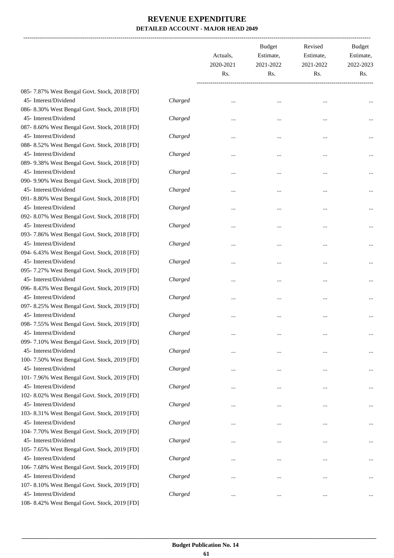-------------------------------------------------------------------------------------------------------------------------------------------------------------------------------

|                                               |         | Actuals,<br>2020-2021<br>Rs. | <b>Budget</b><br>Estimate,<br>2021-2022<br>Rs. | Revised<br>Estimate,<br>2021-2022<br>Rs. | <b>Budget</b><br>Estimate,<br>2022-2023<br>Rs. |
|-----------------------------------------------|---------|------------------------------|------------------------------------------------|------------------------------------------|------------------------------------------------|
| 085- 7.87% West Bengal Govt. Stock, 2018 [FD] |         |                              |                                                |                                          |                                                |
| 45- Interest/Dividend                         | Charged |                              | $\cdots$                                       |                                          | $\cdots$                                       |
| 086-8.30% West Bengal Govt. Stock, 2018 [FD]  |         |                              |                                                |                                          |                                                |
| 45- Interest/Dividend                         | Charged | $\cdots$                     | $\cdots$                                       |                                          | $\cdots$                                       |
| 087-8.60% West Bengal Govt. Stock, 2018 [FD]  |         |                              |                                                |                                          |                                                |
| 45- Interest/Dividend                         | Charged |                              |                                                |                                          | $\cdots$                                       |
| 088-8.52% West Bengal Govt. Stock, 2018 [FD]  |         |                              |                                                |                                          |                                                |
| 45- Interest/Dividend                         | Charged | $\cdots$                     | $\cdots$                                       |                                          | $\cdots$                                       |
| 089- 9.38% West Bengal Govt. Stock, 2018 [FD] |         |                              |                                                |                                          |                                                |
| 45- Interest/Dividend                         | Charged | $\cdots$                     | $\cdots$                                       |                                          | $\cdots$                                       |
| 090- 9.90% West Bengal Govt. Stock, 2018 [FD] |         |                              |                                                |                                          |                                                |
| 45- Interest/Dividend                         | Charged | $\cdots$                     | $\cdots$                                       | $\cdots$                                 | $\cdots$                                       |
| 091-8.80% West Bengal Govt. Stock, 2018 [FD]  |         |                              |                                                |                                          |                                                |
| 45- Interest/Dividend                         | Charged | $\cdots$                     | $\cdots$                                       |                                          | $\cdots$                                       |
| 092- 8.07% West Bengal Govt. Stock, 2018 [FD] |         |                              |                                                |                                          |                                                |
| 45- Interest/Dividend                         | Charged |                              | $\cdots$                                       |                                          | $\cdots$                                       |
| 093- 7.86% West Bengal Govt. Stock, 2018 [FD] |         |                              |                                                |                                          |                                                |
| 45- Interest/Dividend                         | Charged | $\cdots$                     | $\cdots$                                       |                                          | $\cdots$                                       |
| 094- 6.43% West Bengal Govt. Stock, 2018 [FD] |         |                              |                                                |                                          |                                                |
| 45- Interest/Dividend                         | Charged | $\cdots$                     | $\cdots$                                       |                                          | $\ldots$                                       |
| 095- 7.27% West Bengal Govt. Stock, 2019 [FD] |         |                              |                                                |                                          |                                                |
| 45- Interest/Dividend                         | Charged |                              |                                                |                                          | $\cdots$                                       |
| 096- 8.43% West Bengal Govt. Stock, 2019 [FD] |         |                              |                                                |                                          |                                                |
| 45- Interest/Dividend                         | Charged | $\cdots$                     | $\cdots$                                       |                                          | $\cdots$                                       |
| 097- 8.25% West Bengal Govt. Stock, 2019 [FD] |         |                              |                                                |                                          |                                                |
| 45- Interest/Dividend                         | Charged | $\cdots$                     | $\cdots$                                       | $\cdots$                                 | $\cdots$                                       |
| 098- 7.55% West Bengal Govt. Stock, 2019 [FD] |         |                              |                                                |                                          |                                                |
| 45- Interest/Dividend                         | Charged |                              |                                                |                                          | $\cdots$                                       |
| 099- 7.10% West Bengal Govt. Stock, 2019 [FD] |         |                              |                                                |                                          |                                                |
| 45- Interest/Dividend                         | Charged | $\cdots$                     | $\cdots$                                       |                                          | $\ddotsc$                                      |
| 100- 7.50% West Bengal Govt. Stock, 2019 [FD] |         |                              |                                                |                                          |                                                |
| 45- Interest/Dividend                         | Charged |                              |                                                |                                          | $\cdots$                                       |
| 101- 7.96% West Bengal Govt. Stock, 2019 [FD] |         |                              |                                                |                                          |                                                |
| 45- Interest/Dividend                         | Charged |                              |                                                | $\cdots$                                 | $\ddotsc$                                      |
| 102- 8.02% West Bengal Govt. Stock, 2019 [FD] |         |                              |                                                |                                          |                                                |
| 45- Interest/Dividend                         | Charged | $\cdots$                     | $\cdots$                                       |                                          | $\ddotsc$                                      |
| 103-8.31% West Bengal Govt. Stock, 2019 [FD]  |         |                              |                                                |                                          |                                                |
| 45- Interest/Dividend                         | Charged |                              |                                                |                                          | $\cdots$                                       |
| 104- 7.70% West Bengal Govt. Stock, 2019 [FD] |         |                              |                                                |                                          |                                                |
| 45- Interest/Dividend                         | Charged |                              |                                                |                                          | $\cdots$                                       |
| 105- 7.65% West Bengal Govt. Stock, 2019 [FD] |         |                              |                                                |                                          |                                                |
| 45- Interest/Dividend                         | Charged |                              |                                                |                                          |                                                |
| 106- 7.68% West Bengal Govt. Stock, 2019 [FD] |         |                              |                                                |                                          | $\cdots$                                       |
| 45- Interest/Dividend                         | Charged |                              |                                                |                                          |                                                |
| 107- 8.10% West Bengal Govt. Stock, 2019 [FD] |         |                              |                                                |                                          | $\cdots$                                       |
| 45- Interest/Dividend                         | Charged |                              |                                                |                                          |                                                |
| 108-8.42% West Bengal Govt. Stock, 2019 [FD]  |         | $\cdots$                     | $\ddotsc$                                      | $\cdots$                                 | $\ddotsc$                                      |
|                                               |         |                              |                                                |                                          |                                                |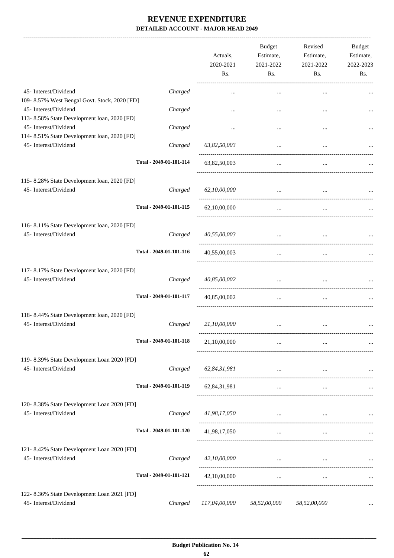-------------------------------------------------------------------------------------------------------------------------------------------------------------------------------

|                                                                        |                         | Actuals,<br>2020-2021<br>Rs. | <b>Budget</b><br>Estimate,<br>2021-2022<br>Rs. | Revised<br>Estimate,<br>2021-2022<br>Rs. | <b>Budget</b><br>Estimate,<br>2022-2023<br>Rs. |
|------------------------------------------------------------------------|-------------------------|------------------------------|------------------------------------------------|------------------------------------------|------------------------------------------------|
| 45- Interest/Dividend                                                  | Charged                 | $\cdots$                     | $\cdots$                                       | $\cdots$                                 |                                                |
| 109- 8.57% West Bengal Govt. Stock, 2020 [FD]<br>45- Interest/Dividend | Charged                 | $\cdots$                     |                                                | $\cdots$                                 |                                                |
| 113-8.58% State Development loan, 2020 [FD]<br>45- Interest/Dividend   | Charged                 | $\cdots$                     | $\cdots$                                       | $\cdots$                                 |                                                |
| 114-8.51% State Development loan, 2020 [FD]<br>45- Interest/Dividend   | Charged                 | 63,82,50,003                 | $\ddots$                                       | $\cdots$                                 |                                                |
|                                                                        | Total - 2049-01-101-114 | 63,82,50,003                 | $\cdots$                                       | $\cdots$                                 |                                                |
| 115-8.28% State Development loan, 2020 [FD]<br>45- Interest/Dividend   | Charged                 | 62,10,00,000                 | $\cdots$                                       | $\cdots$                                 |                                                |
|                                                                        | Total - 2049-01-101-115 | 62,10,00,000                 | $\cdots$                                       | $\cdots$                                 |                                                |
| 116-8.11% State Development loan, 2020 [FD]<br>45- Interest/Dividend   | Charged                 | 40,55,00,003                 | $\ddots$                                       |                                          |                                                |
|                                                                        | Total - 2049-01-101-116 | 40,55,00,003                 | $\cdots$                                       | $\cdots$                                 |                                                |
| 117-8.17% State Development loan, 2020 [FD]<br>45- Interest/Dividend   | Charged                 | 40,85,00,002                 | $\cdots$                                       | $\cdots$                                 |                                                |
|                                                                        | Total - 2049-01-101-117 | 40,85,00,002                 | $\cdots$                                       | $\cdots$                                 |                                                |
| 118-8.44% State Development loan, 2020 [FD]<br>45- Interest/Dividend   | Charged                 | 21,10,00,000                 | $\cdots$                                       | $\cdots$                                 |                                                |
|                                                                        | Total - 2049-01-101-118 | 21,10,00,000                 |                                                |                                          |                                                |
| 119-8.39% State Development Loan 2020 [FD]<br>45- Interest/Dividend    | Charged                 | 62,84,31,981                 | $\ldots$                                       | $\cdots$                                 |                                                |
|                                                                        | Total - 2049-01-101-119 | 62,84,31,981                 | $\cdots$                                       | $\ldots$                                 |                                                |
| 120-8.38% State Development Loan 2020 [FD]<br>45- Interest/Dividend    | Charged                 | 41,98,17,050                 | $\ddotsc$                                      | $\cdots$                                 |                                                |
|                                                                        | Total - 2049-01-101-120 | 41,98,17,050                 | $\ddotsc$                                      |                                          |                                                |
| 121-8.42% State Development Loan 2020 [FD]<br>45- Interest/Dividend    | Charged                 | 42,10,00,000                 | $\cdots$                                       | $\cdots$                                 |                                                |
|                                                                        | Total - 2049-01-101-121 | 42,10,00,000                 |                                                | $\cdots$                                 |                                                |
| 122- 8.36% State Development Loan 2021 [FD]<br>45- Interest/Dividend   | Charged                 | 117,04,00,000                | 58,52,00,000                                   | 58,52,00,000                             |                                                |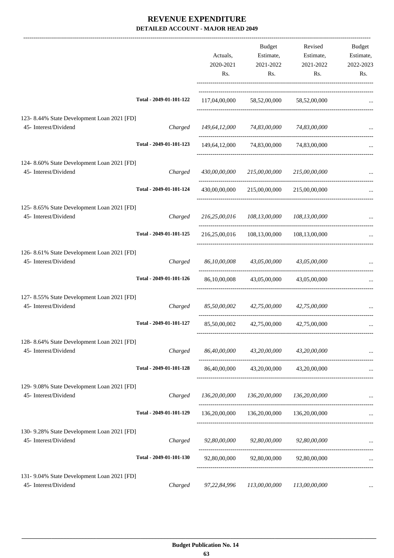|                                                                      |                         | Actuals,<br>2020-2021<br>Rs. | <b>Budget</b><br>Estimate,<br>2021-2022<br>Rs. | Revised<br>Estimate,<br>2021-2022<br>Rs. | Budget<br>Estimate,<br>2022-2023<br>Rs. |
|----------------------------------------------------------------------|-------------------------|------------------------------|------------------------------------------------|------------------------------------------|-----------------------------------------|
|                                                                      | Total - 2049-01-101-122 |                              | 117,04,00,000 58,52,00,000 58,52,00,000        |                                          |                                         |
| 123-8.44% State Development Loan 2021 [FD]<br>45- Interest/Dividend  | Charged                 |                              | 149,64,12,000 74,83,00,000                     | 74,83,00,000                             |                                         |
|                                                                      | Total - 2049-01-101-123 |                              | 149,64,12,000 74,83,00,000 74,83,00,000        |                                          |                                         |
| 124-8.60% State Development Loan 2021 [FD]<br>45- Interest/Dividend  | Charged                 |                              | 430,00,00,000 215,00,00,000                    | 215,00,00,000                            |                                         |
|                                                                      | Total - 2049-01-101-124 | 430,00,00,000                | 215,00,00,000                                  | 215,00,00,000                            |                                         |
| 125-8.65% State Development Loan 2021 [FD]<br>45- Interest/Dividend  | Charged                 |                              | 216,25,00,016 108,13,00,000                    | 108,13,00,000                            |                                         |
|                                                                      | Total - 2049-01-101-125 | 216,25,00,016                |                                                | 108,13,00,000 108,13,00,000              |                                         |
| 126-8.61% State Development Loan 2021 [FD]<br>45- Interest/Dividend  | Charged                 | 86,10,00,008                 | 43,05,00,000                                   | 43,05,00,000                             |                                         |
|                                                                      | Total - 2049-01-101-126 |                              | 86,10,00,008 43,05,00,000 43,05,00,000         |                                          |                                         |
| 127- 8.55% State Development Loan 2021 [FD]<br>45- Interest/Dividend | Charged                 | 85,50,00,002                 | 42,75,00,000                                   | 42,75,00,000                             |                                         |
|                                                                      | Total - 2049-01-101-127 | 85,50,00,002                 | 42,75,00,000                                   | 42,75,00,000                             |                                         |
| 128-8.64% State Development Loan 2021 [FD]<br>45- Interest/Dividend  | Charged                 |                              | 86,40,00,000 43,20,00,000                      | 43,20,00,000                             |                                         |
|                                                                      | Total - 2049-01-101-128 | 86,40,00,000                 |                                                | 43,20,00,000 43,20,00,000                |                                         |
| 129- 9.08% State Development Loan 2021 [FD]<br>45- Interest/Dividend | Charged                 | 136,20,00,000                | 136,20,00,000                                  | 136,20,00,000                            |                                         |
|                                                                      | Total - 2049-01-101-129 | 136,20,00,000                | 136,20,00,000                                  | 136,20,00,000                            |                                         |
| 130- 9.28% State Development Loan 2021 [FD]<br>45- Interest/Dividend | Charged                 | 92,80,00,000                 | 92,80,00,000                                   | 92,80,00,000                             |                                         |
|                                                                      | Total - 2049-01-101-130 |                              | 92,80,00,000 92,80,00,000 92,80,00,000         |                                          |                                         |
| 131-9.04% State Development Loan 2021 [FD]<br>45- Interest/Dividend  | Charged                 | 97,22,84,996                 | 113,00,00,000                                  | 113,00,00,000                            | $\cdots$                                |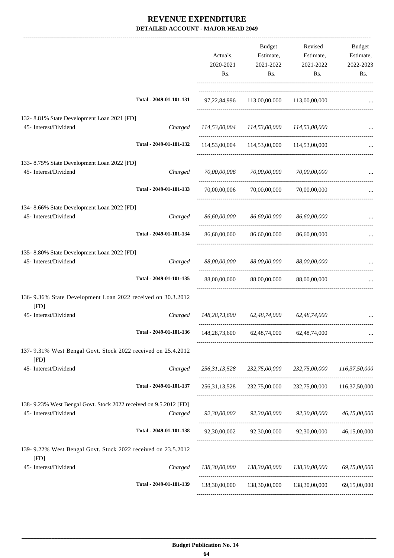|                                                                                           |                         | Actuals,<br>2020-2021<br>Rs. | <b>Budget</b><br>Estimate,<br>2021-2022<br>Rs.   | Revised<br>Estimate,<br>2021-2022<br>Rs.                | <b>Budget</b><br>Estimate,<br>2022-2023<br>Rs. |
|-------------------------------------------------------------------------------------------|-------------------------|------------------------------|--------------------------------------------------|---------------------------------------------------------|------------------------------------------------|
|                                                                                           | Total - 2049-01-101-131 |                              | 97,22,84,996 113,00,00,000 113,00,00,000         |                                                         |                                                |
| 132-8.81% State Development Loan 2021 [FD]<br>45- Interest/Dividend                       | Charged                 |                              | 114,53,00,004 114,53,00,000 114,53,00,000        |                                                         |                                                |
|                                                                                           | Total - 2049-01-101-132 |                              | 114,53,00,004 114,53,00,000 114,53,00,000        |                                                         |                                                |
| 133-8.75% State Development Loan 2022 [FD]<br>45- Interest/Dividend                       | Charged                 |                              | 70,00,00,006 70,00,00,000                        | 70,00,00,000                                            |                                                |
|                                                                                           | Total - 2049-01-101-133 | 70,00,00,006                 | 70,00,00,000                                     | 70,00,00,000                                            |                                                |
| 134-8.66% State Development Loan 2022 [FD]<br>45- Interest/Dividend                       | Charged                 | 86,60,00,000                 | 86,60,00,000                                     | 86,60,00,000                                            |                                                |
|                                                                                           | Total - 2049-01-101-134 | 86,60,00,000                 | 86,60,00,000                                     | 86,60,00,000                                            |                                                |
| 135-8.80% State Development Loan 2022 [FD]<br>45- Interest/Dividend                       | Charged                 | 88,00,00,000                 | 88,00,00,000                                     | 88,00,00,000                                            |                                                |
|                                                                                           | Total - 2049-01-101-135 |                              | 88,00,00,000 88,00,00,000 88,00,00,000           |                                                         |                                                |
| 136-9.36% State Development Loan 2022 received on 30.3.2012<br>[FD]                       |                         |                              |                                                  |                                                         |                                                |
| 45- Interest/Dividend                                                                     | Charged                 |                              | 148,28,73,600 62,48,74,000 62,48,74,000          |                                                         |                                                |
|                                                                                           | Total - 2049-01-101-136 |                              | 148, 28, 73, 600 62, 48, 74, 000 62, 48, 74, 000 |                                                         |                                                |
| 137-9.31% West Bengal Govt. Stock 2022 received on 25.4.2012<br>[FD]                      |                         |                              |                                                  |                                                         |                                                |
| 45- Interest/Dividend                                                                     | Charged                 |                              |                                                  | 256,31,13,528 232,75,00,000 232,75,00,000 116,37,50,000 |                                                |
|                                                                                           | Total - 2049-01-101-137 |                              |                                                  | 256,31,13,528 232,75,00,000 232,75,00,000 116,37,50,000 |                                                |
| 138-9.23% West Bengal Govt. Stock 2022 received on 9.5.2012 [FD]<br>45- Interest/Dividend | Charged                 |                              |                                                  | 92,30,00,002 92,30,00,000 92,30,00,000                  | 46,15,00,000                                   |
|                                                                                           | Total - 2049-01-101-138 |                              |                                                  | 92,30,00,002 92,30,00,000 92,30,00,000 46,15,00,000     |                                                |
| 139-9.22% West Bengal Govt. Stock 2022 received on 23.5.2012<br>[FD]                      |                         |                              |                                                  |                                                         |                                                |
| 45- Interest/Dividend                                                                     | Charged                 | 138,30,00,000                | 138,30,00,000                                    | 138,30,00,000                                           | 69,15,00,000                                   |
|                                                                                           | Total - 2049-01-101-139 | 138,30,00,000                | 138,30,00,000                                    | 138,30,00,000                                           | 69,15,00,000                                   |
|                                                                                           |                         |                              |                                                  |                                                         |                                                |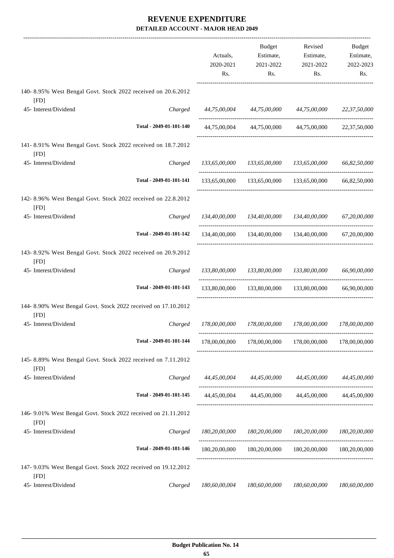|                                                                        |                         | Actuals,<br>2020-2021<br>Rs. | <b>Budget</b><br>Estimate,<br>2021-2022<br>Rs. | Revised<br>Estimate,<br>2021-2022<br>Rs.                    | Budget<br>Estimate,<br>2022-2023<br>Rs. |
|------------------------------------------------------------------------|-------------------------|------------------------------|------------------------------------------------|-------------------------------------------------------------|-----------------------------------------|
| 140- 8.95% West Bengal Govt. Stock 2022 received on 20.6.2012          |                         |                              |                                                |                                                             |                                         |
| [FD]<br>45- Interest/Dividend                                          | Charged                 | 44,75,00,004                 | 44,75,00,000                                   | 44,75,00,000                                                | 22,37,50,000                            |
|                                                                        | Total - 2049-01-101-140 | 44,75,00,004                 | 44,75,00,000                                   | 44,75,00,000                                                | 22,37,50,000                            |
| 141-8.91% West Bengal Govt. Stock 2022 received on 18.7.2012<br>[FD]   |                         |                              |                                                |                                                             |                                         |
| 45- Interest/Dividend                                                  | Charged                 | 133,65,00,000                | 133,65,00,000                                  | 133,65,00,000                                               | 66,82,50,000                            |
|                                                                        | Total - 2049-01-101-141 |                              | 133,65,00,000 133,65,00,000 133,65,00,000      |                                                             | 66,82,50,000                            |
| 142- 8.96% West Bengal Govt. Stock 2022 received on 22.8.2012<br>[FD]  |                         |                              |                                                |                                                             |                                         |
| 45- Interest/Dividend                                                  | Charged                 |                              | 134,40,00,000 134,40,00,000                    | 134,40,00,000                                               | 67,20,00,000                            |
|                                                                        | Total - 2049-01-101-142 |                              |                                                | 134,40,00,000 134,40,00,000 134,40,00,000                   | 67,20,00,000                            |
| 143-8.92% West Bengal Govt. Stock 2022 received on 20.9.2012<br>[FD]   |                         |                              |                                                |                                                             |                                         |
| 45- Interest/Dividend                                                  | Charged                 | 133,80,00,000                | 133,80,00,000                                  | 133,80,00,000                                               | 66,90,00,000                            |
|                                                                        | Total - 2049-01-101-143 |                              | 133,80,00,000 133,80,00,000                    | 133,80,00,000                                               | 66,90,00,000                            |
| 144- 8.90% West Bengal Govt. Stock 2022 received on 17.10.2012<br>[FD] |                         |                              |                                                |                                                             |                                         |
| 45- Interest/Dividend                                                  | Charged                 | 178,00,00,000                | 178,00,00,000                                  | 178,00,00,000                                               | 178,00,00,000                           |
|                                                                        | Total - 2049-01-101-144 | 178,00,00,000                | 178,00,00,000                                  | 178,00,00,000                                               | 178,00,00,000                           |
| 145-8.89% West Bengal Govt. Stock 2022 received on 7.11.2012           |                         |                              |                                                |                                                             |                                         |
| [FD]<br>45- Interest/Dividend                                          | Charged                 |                              |                                                | $44,45,00,004$ $44,45,00,000$ $44,45,00,000$ $44,45,00,000$ |                                         |
|                                                                        | Total - 2049-01-101-145 |                              |                                                | 44,45,00,004 44,45,00,000 44,45,00,000 44,45,00,000         |                                         |
| 146-9.01% West Bengal Govt. Stock 2022 received on 21.11.2012<br>[FD]  |                         |                              |                                                |                                                             |                                         |
| 45- Interest/Dividend                                                  | Charged                 |                              | 180,20,00,000 180,20,00,000                    | 180,20,00,000                                               | 180,20,00,000                           |
|                                                                        | Total - 2049-01-101-146 |                              |                                                | 180,20,00,000 180,20,00,000 180,20,00,000 180,20,00,000     |                                         |
| 147- 9.03% West Bengal Govt. Stock 2022 received on 19.12.2012<br>[FD] |                         |                              |                                                |                                                             |                                         |
| 45- Interest/Dividend                                                  | Charged                 | 180,60,00,004                | 180,60,00,000                                  | 180,60,00,000                                               | 180,60,00,000                           |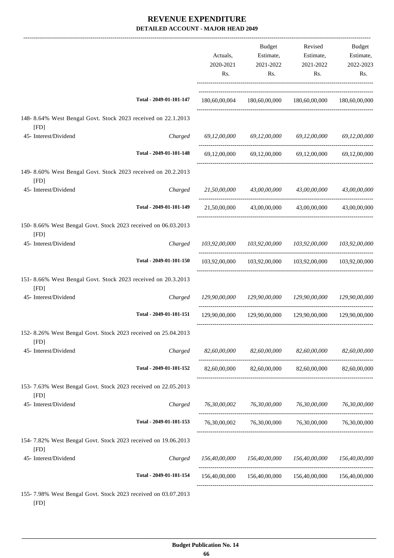|                                                                        |                         | Actuals,<br>2020-2021<br>Rs. | <b>Budget</b><br>Estimate,<br>2021-2022<br>Rs. | Revised<br>Estimate,<br>2021-2022<br>Rs.                | Budget<br>Estimate,<br>2022-2023<br>Rs. |
|------------------------------------------------------------------------|-------------------------|------------------------------|------------------------------------------------|---------------------------------------------------------|-----------------------------------------|
|                                                                        | Total - 2049-01-101-147 | 180,60,00,004                | 180,60,00,000                                  | 180,60,00,000                                           | 180,60,00,000                           |
| 148-8.64% West Bengal Govt. Stock 2023 received on 22.1.2013<br>[FD]   |                         |                              |                                                |                                                         |                                         |
| 45- Interest/Dividend                                                  | Charged                 | 69,12,00,000                 |                                                | 69,12,00,000 69,12,00,000                               | 69,12,00,000                            |
|                                                                        | Total - 2049-01-101-148 | 69,12,00,000                 |                                                | 69,12,00,000 69,12,00,000                               | 69,12,00,000                            |
| 149-8.60% West Bengal Govt. Stock 2023 received on 20.2.2013<br>[FD]   |                         |                              |                                                |                                                         |                                         |
| 45- Interest/Dividend                                                  | Charged                 | 21,50,00,000                 |                                                | 43.00.00.000 43.00.00.000                               | 43,00,00,000                            |
|                                                                        | Total - 2049-01-101-149 |                              |                                                | 21,50,00,000 43,00,00,000 43,00,00,000                  | 43,00,00,000                            |
| 150- 8.66% West Bengal Govt. Stock 2023 received on 06.03.2013<br>[FD] |                         |                              |                                                |                                                         |                                         |
| 45- Interest/Dividend                                                  | Charged                 |                              |                                                | 103,92,00,000 103,92,00,000 103,92,00,000 103,92,00,000 |                                         |
|                                                                        | Total - 2049-01-101-150 |                              |                                                | 103,92,00,000 103,92,00,000 103,92,00,000 103,92,00,000 |                                         |
| 151-8.66% West Bengal Govt. Stock 2023 received on 20.3.2013<br>[FD]   |                         |                              |                                                |                                                         |                                         |
| 45- Interest/Dividend                                                  | Charged                 | 129,90,00,000                | 129,90,00,000                                  | 129,90,00,000                                           | 129,90,00,000                           |
|                                                                        | Total - 2049-01-101-151 | 129,90,00,000                | 129,90,00,000                                  | 129,90,00,000                                           | 129,90,00,000                           |
| 152- 8.26% West Bengal Govt. Stock 2023 received on 25.04.2013         |                         |                              |                                                |                                                         |                                         |
| [FD]<br>45- Interest/Dividend                                          | Charged                 |                              | 82,60,00,000 82,60,00,000 82,60,00,000         |                                                         | 82,60,00,000                            |
|                                                                        | Total - 2049-01-101-152 | 82,60,00,000                 |                                                | 82,60,00,000 82,60,00,000                               | 82,60,00,000                            |
| 153-7.63% West Bengal Govt. Stock 2023 received on 22.05.2013<br>[FD]  |                         |                              |                                                |                                                         |                                         |
| 45- Interest/Dividend                                                  | Charged                 | 76,30,00,002                 |                                                | 76,30,00,000 76,30,00,000                               | 76,30,00,000                            |
|                                                                        | Total - 2049-01-101-153 |                              |                                                | 76,30,00,002 76,30,00,000 76,30,00,000 76,30,00,000     |                                         |
| 154-7.82% West Bengal Govt. Stock 2023 received on 19.06.2013<br>[FD]  |                         |                              |                                                |                                                         |                                         |
| 45- Interest/Dividend                                                  | Charged                 | 156,40,00,000                | 156,40,00,000                                  | 156,40,00,000 156,40,00,000                             |                                         |
|                                                                        | Total - 2049-01-101-154 |                              | 156,40,00,000 156,40,00,000 156,40,00,000      |                                                         | 156,40,00,000                           |
| 155-7.98% West Bengal Govt. Stock 2023 received on 03.07.2013<br>[FD]  |                         |                              |                                                |                                                         |                                         |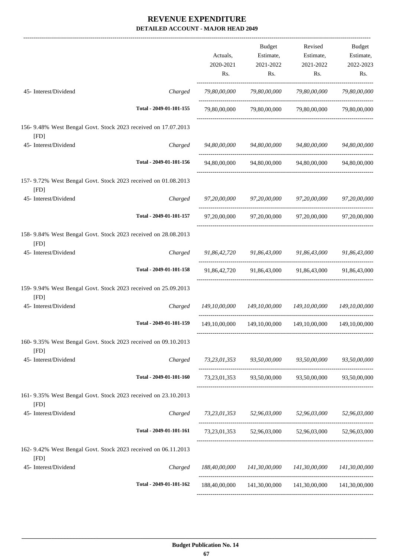|                                                                        |                         | Actuals,<br>2020-2021 | <b>Budget</b><br>Estimate,<br>2021-2022 | Revised<br>Estimate,<br>2021-2022                   | Budget<br>Estimate,<br>2022-2023 |
|------------------------------------------------------------------------|-------------------------|-----------------------|-----------------------------------------|-----------------------------------------------------|----------------------------------|
|                                                                        |                         | Rs.                   | Rs.                                     | Rs.                                                 | Rs.                              |
| 45- Interest/Dividend                                                  | Charged                 | 79,80,00,000          | 79,80,00,000                            | 79,80,00,000                                        | 79,80,00,000                     |
|                                                                        | Total - 2049-01-101-155 | 79,80,00,000          | 79,80,00,000                            | 79,80,00,000                                        | 79,80,00,000                     |
| 156-9.48% West Bengal Govt. Stock 2023 received on 17.07.2013<br>[FD]  |                         |                       |                                         |                                                     |                                  |
| 45- Interest/Dividend                                                  | Charged                 | 94,80,00,000          | 94,80,00,000                            | 94,80,00,000                                        | 94,80,00,000                     |
|                                                                        | Total - 2049-01-101-156 | 94,80,00,000          | 94,80,00,000                            | 94,80,00,000                                        | 94,80,00,000                     |
| 157- 9.72% West Bengal Govt. Stock 2023 received on 01.08.2013<br>[FD] |                         |                       |                                         |                                                     |                                  |
| 45- Interest/Dividend                                                  | Charged                 | 97.20.00.000          | 97,20,00,000                            | 97,20,00,000                                        | 97,20,00,000                     |
|                                                                        | Total - 2049-01-101-157 | 97,20,00,000          | 97,20,00,000                            | 97,20,00,000                                        | 97,20,00,000                     |
| 158-9.84% West Bengal Govt. Stock 2023 received on 28.08.2013<br>[FD]  |                         |                       |                                         |                                                     |                                  |
| 45- Interest/Dividend                                                  | Charged                 |                       | 91,86,42,720 91,86,43,000               | 91,86,43,000                                        | 91,86,43,000                     |
|                                                                        | Total - 2049-01-101-158 | 91,86,42,720          | 91,86,43,000                            | 91,86,43,000                                        | 91,86,43,000                     |
| 159- 9.94% West Bengal Govt. Stock 2023 received on 25.09.2013<br>[FD] |                         |                       |                                         |                                                     |                                  |
| 45- Interest/Dividend                                                  | Charged                 | 149,10,00,000         | 149,10,00,000                           | 149,10,00,000                                       | 149,10,00,000                    |
|                                                                        | Total - 2049-01-101-159 | 149,10,00,000         | 149,10,00,000                           | 149,10,00,000                                       | 149,10,00,000                    |
| 160- 9.35% West Bengal Govt. Stock 2023 received on 09.10.2013<br>[FD] |                         |                       |                                         |                                                     |                                  |
| 45- Interest/Dividend                                                  | Charged                 |                       | 73,23,01,353 93,50,00,000 93,50,00,000  |                                                     | 93,50,00,000                     |
|                                                                        | Total - 2049-01-101-160 |                       |                                         | 73,23,01,353 93,50,00,000 93,50,00,000              | 93,50,00,000                     |
| 161-9.35% West Bengal Govt. Stock 2023 received on 23.10.2013<br>[FD]  |                         |                       |                                         |                                                     |                                  |
| 45- Interest/Dividend                                                  | Charged                 |                       |                                         | 73,23,01,353 52,96,03,000 52,96,03,000              | 52,96,03,000                     |
|                                                                        | Total - 2049-01-101-161 |                       |                                         | 73,23,01,353 52,96,03,000 52,96,03,000 52,96,03,000 |                                  |
| 162- 9.42% West Bengal Govt. Stock 2023 received on 06.11.2013<br>[FD] |                         |                       |                                         |                                                     |                                  |
| 45- Interest/Dividend                                                  | Charged                 | 188,40,00,000         |                                         | 141,30,00,000  141,30,00,000  141,30,00,000         |                                  |
|                                                                        | Total - 2049-01-101-162 | 188,40,00,000         |                                         | 141,30,00,000 141,30,00,000 141,30,00,000           |                                  |
|                                                                        |                         |                       |                                         |                                                     |                                  |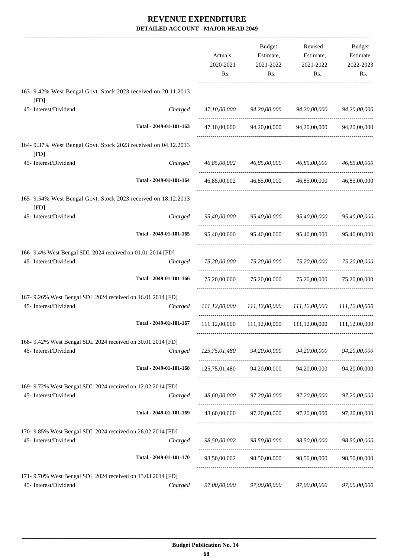|                                                                                      |                         | Actuals,<br>2020-2021<br>Rs. | <b>Budget</b><br>Estimate,<br>2021-2022<br>Rs. | Revised<br>Estimate,<br>2021-2022<br>Rs. | <b>Budget</b><br>Estimate,<br>2022-2023<br>Rs. |
|--------------------------------------------------------------------------------------|-------------------------|------------------------------|------------------------------------------------|------------------------------------------|------------------------------------------------|
| 163-9.42% West Bengal Govt. Stock 2023 received on 20.11.2013                        |                         |                              |                                                |                                          |                                                |
| [FD]<br>45- Interest/Dividend                                                        | Charged                 | 47,10,00,000                 | 94,20,00,000                                   | 94,20,00,000                             | 94,20,00,000                                   |
|                                                                                      | Total - 2049-01-101-163 | 47,10,00,000                 | 94,20,00,000                                   | 94,20,00,000                             | 94,20,00,000                                   |
| 164- 9.37% West Bengal Govt. Stock 2023 received on 04.12.2013<br>[FD]               |                         |                              |                                                |                                          |                                                |
| 45- Interest/Dividend                                                                | Charged                 | 46,85,00,002                 | 46,85,00,000                                   | 46,85,00,000                             | 46,85,00,000                                   |
|                                                                                      | Total - 2049-01-101-164 | 46,85,00,002                 | 46,85,00,000                                   | 46,85,00,000                             | 46,85,00,000                                   |
| 165-9.54% West Bengal Govt. Stock 2023 received on 18.12.2013                        |                         |                              |                                                |                                          |                                                |
| [FD]<br>45- Interest/Dividend                                                        | Charged                 | 95,40,00,000                 | 95,40,00,000                                   | 95,40,00,000                             | 95,40,00,000                                   |
|                                                                                      | Total - 2049-01-101-165 | 95,40,00,000                 | 95,40,00,000                                   | 95,40,00,000                             | 95,40,00,000                                   |
| 166- 9.4% West Bengal SDL 2024 received on 01.01.2014 [FD]<br>45- Interest/Dividend  | Charged                 | 75,20,00,000                 | 75,20,00,000                                   | 75,20,00,000                             | 75,20,00,000                                   |
|                                                                                      | Total - 2049-01-101-166 | 75,20,00,000                 | 75,20,00,000                                   | 75,20,00,000                             | 75,20,00,000                                   |
| 167- 9.26% West Bengal SDL 2024 received on 16.01.2014 [FD]<br>45- Interest/Dividend | Charged                 | 111,12,00,000                | 111,12,00,000                                  | 111,12,00,000                            | 111,12,00,000                                  |
|                                                                                      | Total - 2049-01-101-167 | 111,12,00,000                | 111,12,00,000                                  | 111,12,00,000                            | 111,12,00,000                                  |
| 168-9.42% West Bengal SDL 2024 received on 30.01.2014 [FD]<br>45- Interest/Dividend  | Charged                 | 125,75,01,480                | 94,20,00,000                                   | 94,20,00,000                             | 94,20,00,000                                   |
|                                                                                      | Total - 2049-01-101-168 | 125,75,01,480                | 94,20,00,000                                   | 94,20,00,000                             | 94,20,00,000                                   |
| 169- 9.72% West Bengal SDL 2024 received on 12.02.2014 [FD]<br>45- Interest/Dividend | Charged                 | 48,60,00,000                 | 97,20,00,000                                   | 97,20,00,000                             | 97,20,00,000                                   |
|                                                                                      | Total - 2049-01-101-169 | 48,60,00,000                 | 97,20,00,000                                   | 97,20,00,000                             | 97,20,00,000                                   |
| 170- 9.85% West Bengal SDL 2024 received on 26.02.2014 [FD]<br>45- Interest/Dividend | Charged                 | 98,50,00,002                 | 98,50,00,000                                   | 98,50,00,000                             | 98,50,00,000                                   |
|                                                                                      | Total - 2049-01-101-170 |                              | 98,50,00,002 98,50,00,000                      | 98,50,00,000                             | 98,50,00,000                                   |
| 171- 9.70% West Bengal SDL 2024 received on 13.03.2014 [FD]<br>45- Interest/Dividend | Charged                 | 97,00,00,000                 | 97,00,00,000                                   | 97,00,00,000                             | 97,00,00,000                                   |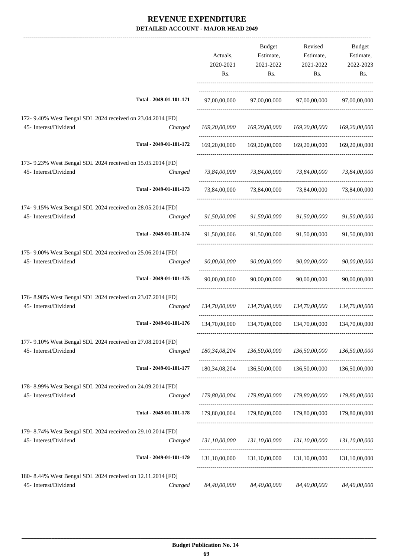|                                                                                      |                         | Actuals,<br>2020-2021<br>Rs. | <b>Budget</b><br>Estimate,<br>2021-2022<br>Rs. | Revised<br>Estimate,<br>2021-2022<br>Rs. | <b>Budget</b><br>Estimate,<br>2022-2023<br>Rs. |
|--------------------------------------------------------------------------------------|-------------------------|------------------------------|------------------------------------------------|------------------------------------------|------------------------------------------------|
|                                                                                      | Total - 2049-01-101-171 | 97,00,00,000                 |                                                | 97,00,00,000 97,00,00,000                | 97,00,00,000                                   |
| 172- 9.40% West Bengal SDL 2024 received on 23.04.2014 [FD]<br>45- Interest/Dividend | Charged                 | 169,20,00,000                | 169,20,00,000                                  | 169,20,00,000 169,20,00,000              |                                                |
|                                                                                      | Total - 2049-01-101-172 | 169,20,00,000                | 169,20,00,000                                  | 169,20,00,000                            | 169,20,00,000                                  |
| 173- 9.23% West Bengal SDL 2024 received on 15.05.2014 [FD]<br>45- Interest/Dividend | Charged                 | 73,84,00,000                 |                                                | 73,84,00,000 73,84,00,000                | 73,84,00,000                                   |
|                                                                                      | Total - 2049-01-101-173 | 73,84,00,000                 | 73,84,00,000                                   | 73,84,00,000                             | 73,84,00,000                                   |
| 174- 9.15% West Bengal SDL 2024 received on 28.05.2014 [FD]<br>45- Interest/Dividend | Charged                 | 91,50,00,006                 | 91,50,00,000                                   | 91,50,00,000                             | 91,50,00,000                                   |
|                                                                                      | Total - 2049-01-101-174 | 91,50,00,006                 | 91,50,00,000                                   | 91,50,00,000                             | 91,50,00,000                                   |
| 175- 9.00% West Bengal SDL 2024 received on 25.06.2014 [FD]<br>45- Interest/Dividend | Charged                 | 90,00,00,000                 | 90,00,00,000                                   | 90.00.00.000                             | 90,00,00,000                                   |
|                                                                                      | Total - 2049-01-101-175 | 90,00,00,000                 | 90,00,00,000                                   | 90,00,00,000                             | 90,00,00,000                                   |
| 176- 8.98% West Bengal SDL 2024 received on 23.07.2014 [FD]<br>45- Interest/Dividend | Charged                 | 134,70,00,000                | 134,70,00,000                                  | 134,70,00,000                            | 134,70,00,000                                  |
|                                                                                      | Total - 2049-01-101-176 | 134,70,00,000                | 134,70,00,000                                  | 134,70,00,000                            | 134,70,00,000                                  |
| 177- 9.10% West Bengal SDL 2024 received on 27.08.2014 [FD]<br>45- Interest/Dividend | Charged                 |                              | 180,34,08,204 136,50,00,000                    | 136,50,00,000                            | 136,50,00,000                                  |
|                                                                                      | Total - 2049-01-101-177 | 180, 34, 08, 204             | 136,50,00,000                                  | 136,50,00,000                            | 136,50,00,000                                  |
| 178-8.99% West Bengal SDL 2024 received on 24.09.2014 [FD]<br>45- Interest/Dividend  | Charged                 | 179,80,00,004                | 179,80,00,000                                  | 179,80,00,000                            | 179,80,00,000                                  |
|                                                                                      | Total - 2049-01-101-178 | 179,80,00,004                | 179,80,00,000                                  | 179,80,00,000                            | 179,80,00,000                                  |
| 179-8.74% West Bengal SDL 2024 received on 29.10.2014 [FD]<br>45- Interest/Dividend  | Charged                 |                              | 131,10,00,000 131,10,00,000                    | 131,10,00,000                            | 131,10,00,000                                  |
|                                                                                      | Total - 2049-01-101-179 | 131,10,00,000                | 131,10,00,000                                  | 131,10,00,000                            | 131,10,00,000                                  |
| 180-8.44% West Bengal SDL 2024 received on 12.11.2014 [FD]<br>45- Interest/Dividend  | Charged                 | 84,40,00,000                 | 84,40,00,000                                   | 84,40,00,000                             | 84,40,00,000                                   |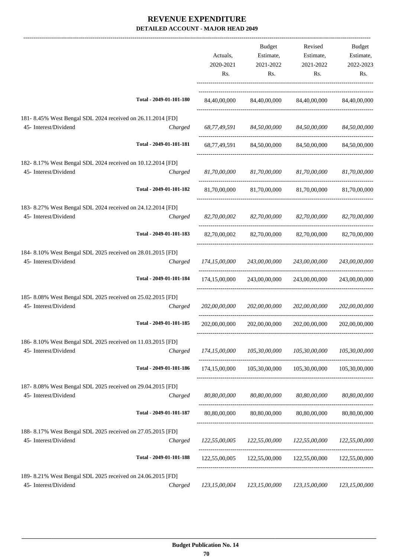|                                                                                     |                         | Actuals,<br>2020-2021<br>Rs. | <b>Budget</b><br>Estimate,<br>2021-2022<br>Rs. | Revised<br>Estimate,<br>2021-2022<br>Rs.  | <b>Budget</b><br>Estimate,<br>2022-2023<br>Rs. |
|-------------------------------------------------------------------------------------|-------------------------|------------------------------|------------------------------------------------|-------------------------------------------|------------------------------------------------|
|                                                                                     | Total - 2049-01-101-180 | 84,40,00,000                 |                                                | 84,40,00,000 84,40,00,000                 | 84,40,00,000                                   |
| 181-8.45% West Bengal SDL 2024 received on 26.11.2014 [FD]<br>45- Interest/Dividend | Charged                 | 68,77,49,591                 | 84,50,00,000                                   | 84,50,00,000                              | 84,50,00,000                                   |
|                                                                                     | Total - 2049-01-101-181 |                              | 68,77,49,591 84,50,00,000                      | 84,50,00,000                              | 84,50,00,000                                   |
| 182-8.17% West Bengal SDL 2024 received on 10.12.2014 [FD]<br>45- Interest/Dividend | Charged                 | 81,70,00,000                 | 81,70,00,000                                   | 81,70,00,000                              | 81,70,00,000                                   |
|                                                                                     | Total - 2049-01-101-182 | 81,70,00,000                 | 81,70,00,000                                   | 81,70,00,000                              | 81,70,00,000                                   |
| 183-8.27% West Bengal SDL 2024 received on 24.12.2014 [FD]<br>45- Interest/Dividend | Charged                 | 82,70,00,002                 | 82,70,00,000                                   | 82,70,00,000                              | 82,70,00,000                                   |
|                                                                                     | Total - 2049-01-101-183 | 82,70,00,002                 | 82,70,00,000                                   | 82,70,00,000                              | 82,70,00,000                                   |
| 184-8.10% West Bengal SDL 2025 received on 28.01.2015 [FD]<br>45- Interest/Dividend | Charged                 | 174,15,00,000                | 243,00,00,000                                  | 243,00,00,000                             | 243,00,00,000                                  |
|                                                                                     | Total - 2049-01-101-184 | 174,15,00,000                | 243,00,00,000                                  | 243,00,00,000                             | 243,00,00,000                                  |
| 185-8.08% West Bengal SDL 2025 received on 25.02.2015 [FD]<br>45- Interest/Dividend | Charged                 | 202,00,00,000                | 202,00,00,000                                  | 202,00,00,000                             | 202,00,00,000                                  |
|                                                                                     | Total - 2049-01-101-185 | 202,00,00,000                | 202,00,00,000                                  | 202,00,00,000                             | 202,00,00,000                                  |
| 186-8.10% West Bengal SDL 2025 received on 11.03.2015 [FD]<br>45- Interest/Dividend | Charged                 | 174,15,00,000                | 105,30,00,000                                  | 105,30,00,000                             | 105,30,00,000                                  |
|                                                                                     | Total - 2049-01-101-186 |                              | 174,15,00,000 105,30,00,000                    | 105,30,00,000                             | 105,30,00,000                                  |
| 187-8.08% West Bengal SDL 2025 received on 29.04.2015 [FD]<br>45- Interest/Dividend | Charged                 | 80,80,00,000                 | 80,80,00,000                                   | 80,80,00,000                              | 80,80,00,000                                   |
|                                                                                     | Total - 2049-01-101-187 | 80,80,00,000                 | 80,80,00,000                                   | 80,80,00,000                              | 80,80,00,000                                   |
| 188-8.17% West Bengal SDL 2025 received on 27.05.2015 [FD]<br>45- Interest/Dividend | Charged                 | 122,55,00,005                | 122,55,00,000                                  | 122,55,00,000                             | 122,55,00,000                                  |
|                                                                                     | Total - 2049-01-101-188 | 122,55,00,005                |                                                | 122,55,00,000 122,55,00,000 122,55,00,000 |                                                |
| 189-8.21% West Bengal SDL 2025 received on 24.06.2015 [FD]<br>45- Interest/Dividend | Charged                 | 123,15,00,004                | 123,15,00,000                                  | 123,15,00,000                             | 123,15,00,000                                  |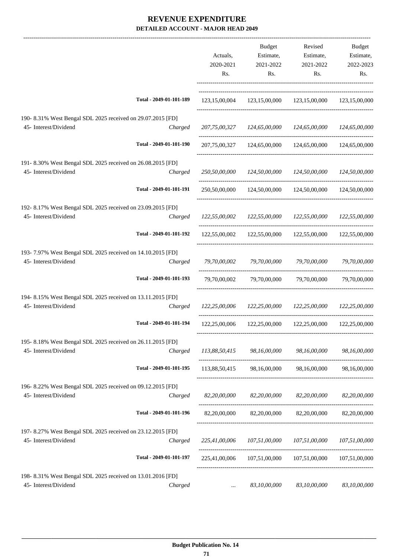|                                                                                      |                         | Actuals,<br>2020-2021<br>Rs. | <b>Budget</b><br>Estimate,<br>2021-2022<br>Rs. | Revised<br>Estimate,<br>2021-2022<br>Rs.                | Budget<br>Estimate,<br>2022-2023<br>Rs. |
|--------------------------------------------------------------------------------------|-------------------------|------------------------------|------------------------------------------------|---------------------------------------------------------|-----------------------------------------|
|                                                                                      | Total - 2049-01-101-189 | 123, 15, 00, 004             |                                                | 123,15,00,000 123,15,00,000 123,15,00,000               |                                         |
| 190-8.31% West Bengal SDL 2025 received on 29.07.2015 [FD]<br>45- Interest/Dividend  | Charged                 |                              | 207,75,00,327 124,65,00,000                    | 124,65,00,000 124,65,00,000                             |                                         |
|                                                                                      | Total - 2049-01-101-190 | 207, 75, 00, 327             | 124,65,00,000                                  | 124,65,00,000                                           | 124,65,00,000                           |
| 191-8.30% West Bengal SDL 2025 received on 26.08.2015 [FD]<br>45- Interest/Dividend  | Charged                 |                              |                                                | 250,50,00,000 124,50,00,000 124,50,00,000               | 124,50,00,000                           |
|                                                                                      | Total - 2049-01-101-191 | 250,50,00,000                | 124,50,00,000                                  | 124,50,00,000 124,50,00,000                             |                                         |
| 192-8.17% West Bengal SDL 2025 received on 23.09.2015 [FD]<br>45- Interest/Dividend  | Charged                 | 122,55,00,002                | 122,55,00,000                                  | 122,55,00,000                                           | 122,55,00,000                           |
|                                                                                      | Total - 2049-01-101-192 | 122,55,00,002                |                                                | 122,55,00,000 122,55,00,000 122,55,00,000               |                                         |
| 193- 7.97% West Bengal SDL 2025 received on 14.10.2015 [FD]<br>45- Interest/Dividend | Charged                 | 79,70,00,002                 | 79,70,00,000                                   | 79,70,00,000                                            | 79,70,00,000                            |
|                                                                                      | Total - 2049-01-101-193 | 79,70,00,002                 | 79,70,00,000                                   | 79,70,00,000                                            | 79,70,00,000                            |
| 194-8.15% West Bengal SDL 2025 received on 13.11.2015 [FD]<br>45- Interest/Dividend  | Charged                 | 122,25,00,006                | 122,25,00,000                                  | 122,25,00,000                                           | 122,25,00,000                           |
|                                                                                      | Total - 2049-01-101-194 | 122,25,00,006                | 122,25,00,000                                  | 122,25,00,000                                           | 122,25,00,000                           |
| 195-8.18% West Bengal SDL 2025 received on 26.11.2015 [FD]<br>45- Interest/Dividend  | Charged                 |                              | 113,88,50,415 98,16,00,000                     | 98,16,00,000                                            | 98,16,00,000                            |
|                                                                                      | Total - 2049-01-101-195 | 113,88,50,415                | 98,16,00,000                                   | 98,16,00,000                                            | 98,16,00,000                            |
| 196-8.22% West Bengal SDL 2025 received on 09.12.2015 [FD]<br>45- Interest/Dividend  | Charged                 | 82,20,00,000                 | 82,20,00,000                                   | 82,20,00,000                                            | 82,20,00,000                            |
|                                                                                      | Total - 2049-01-101-196 | 82,20,00,000                 | 82,20,00,000                                   | 82,20,00,000                                            | 82,20,00,000                            |
| 197- 8.27% West Bengal SDL 2025 received on 23.12.2015 [FD]<br>45- Interest/Dividend | Charged                 |                              | 225,41,00,006 107,51,00,000                    | 107,51,00,000                                           | 107,51,00,000                           |
|                                                                                      | Total - 2049-01-101-197 |                              |                                                | 225,41,00,006 107,51,00,000 107,51,00,000 107,51,00,000 |                                         |
| 198-8.31% West Bengal SDL 2025 received on 13.01.2016 [FD]<br>45- Interest/Dividend  | Charged                 | $\cdots$                     | 83,10,00,000                                   | 83,10,00,000                                            | 83,10,00,000                            |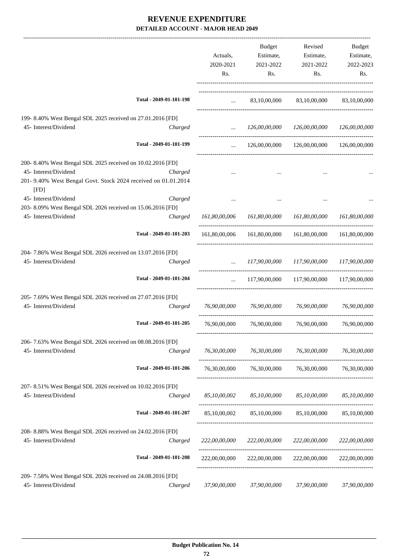|                                                                                                                                                                           | Actuals,<br>2020-2021<br>Rs. | <b>Budget</b><br>Estimate,<br>2021-2022<br>Rs. | Revised<br>Estimate,<br>2021-2022<br>Rs.  | Budget<br>Estimate,<br>2022-2023<br>Rs. |
|---------------------------------------------------------------------------------------------------------------------------------------------------------------------------|------------------------------|------------------------------------------------|-------------------------------------------|-----------------------------------------|
| Total - 2049-01-101-198                                                                                                                                                   | $\cdots$                     |                                                | 83,10,00,000 83,10,00,000                 | 83,10,00,000                            |
| 199-8.40% West Bengal SDL 2025 received on 27.01.2016 [FD]<br>45- Interest/Dividend<br>Charged                                                                            | $\ddots$                     | 126,00,00,000                                  |                                           | 126,00,00,000 126,00,00,000             |
| Total - 2049-01-101-199                                                                                                                                                   |                              | 126,00,00,000                                  | 126,00,00,000                             | 126,00,00,000                           |
| 200- 8.40% West Bengal SDL 2025 received on 10.02.2016 [FD]<br>45- Interest/Dividend<br>Charged<br>201- 9.40% West Bengal Govt. Stock 2024 received on 01.01.2014<br>[FD] |                              |                                                |                                           |                                         |
| 45- Interest/Dividend<br>Charged<br>203-8.09% West Bengal SDL 2026 received on 15.06.2016 [FD]<br>45- Interest/Dividend<br>Charged                                        | 161,80,00,006                | 161,80,00,000                                  | 161,80,00,000                             | 161,80,00,000                           |
| Total - 2049-01-101-203                                                                                                                                                   | 161,80,00,006                | 161,80,00,000                                  | 161,80,00,000                             | 161,80,00,000                           |
| 204-7.86% West Bengal SDL 2026 received on 13.07.2016 [FD]<br>45- Interest/Dividend<br>Charged                                                                            | $\cdots$                     | 117,90,00,000                                  | 117,90,00,000                             | 117,90,00,000                           |
| Total - 2049-01-101-204                                                                                                                                                   |                              |                                                | 117,90,00,000 117,90,00,000 117,90,00,000 |                                         |
| 205-7.69% West Bengal SDL 2026 received on 27.07.2016 [FD]<br>45- Interest/Dividend<br>Charged                                                                            | 76,90,00,000                 | 76,90,00,000                                   | 76,90,00,000                              | 76,90,00,000                            |
| Total - 2049-01-101-205                                                                                                                                                   | 76,90,00,000                 | 76,90,00,000                                   | 76,90,00,000                              | 76,90,00,000                            |
| 206-7.63% West Bengal SDL 2026 received on 08.08.2016 [FD]<br>45- Interest/Dividend<br>Charged                                                                            | 76,30,00,000                 | 76,30,00,000                                   | 76,30,00,000                              | 76,30,00,000                            |
| Total - 2049-01-101-206                                                                                                                                                   | 76,30,00,000                 | 76,30,00,000                                   | 76,30,00,000                              | 76,30,00,000                            |
| 207-8.51% West Bengal SDL 2026 received on 10.02.2016 [FD]<br>45- Interest/Dividend<br>Charged                                                                            | 85,10,00,002                 | 85,10,00,000                                   | 85,10,00,000                              | 85,10,00,000                            |
| Total - 2049-01-101-207                                                                                                                                                   | 85,10,00,002                 | 85,10,00,000                                   | 85,10,00,000                              | 85,10,00,000                            |
| 208-8.88% West Bengal SDL 2026 received on 24.02.2016 [FD]<br>45- Interest/Dividend<br>Charged                                                                            | 222,00,00,000                | 222,00,00,000                                  | 222,00,00,000                             | 222,00,00,000                           |
| Total - 2049-01-101-208                                                                                                                                                   | 222,00,00,000                | 222,00,00,000                                  | 222,00,00,000                             | 222,00,00,000                           |
| 209-7.58% West Bengal SDL 2026 received on 24.08.2016 [FD]<br>45- Interest/Dividend<br>Charged                                                                            | 37,90,00,000                 | 37,90,00,000                                   | 37,90,00,000                              | 37,90,00,000                            |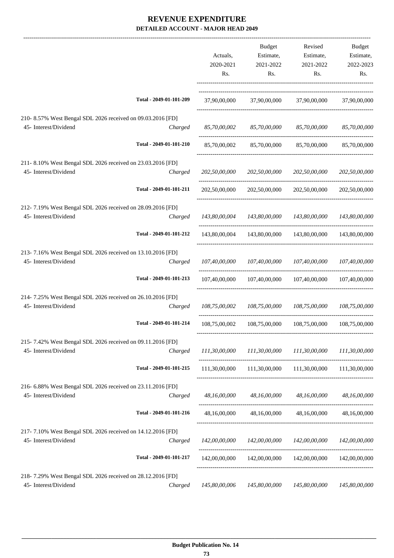|                                                                                     |                         | Actuals,<br>2020-2021<br>Rs. | <b>Budget</b><br>Estimate,<br>2021-2022<br>Rs. | Revised<br>Estimate,<br>2021-2022<br>Rs.                   | <b>Budget</b><br>Estimate,<br>2022-2023<br>Rs. |
|-------------------------------------------------------------------------------------|-------------------------|------------------------------|------------------------------------------------|------------------------------------------------------------|------------------------------------------------|
|                                                                                     | Total - 2049-01-101-209 | 37,90,00,000                 |                                                | 37,90,00,000 37,90,00,000                                  | 37,90,00,000                                   |
| 210-8.57% West Bengal SDL 2026 received on 09.03.2016 [FD]<br>45- Interest/Dividend | Charged                 | 85,70,00,002                 | 85,70,00,000                                   | 85,70,00,000                                               | 85,70,00,000                                   |
|                                                                                     | Total - 2049-01-101-210 | 85,70,00,002                 | 85,70,00,000                                   | 85,70,00,000                                               | 85,70,00,000                                   |
| 211-8.10% West Bengal SDL 2026 received on 23.03.2016 [FD]<br>45- Interest/Dividend | Charged                 | 202,50,00,000                | 202,50,00,000                                  | 202,50,00,000                                              | 202,50,00,000                                  |
|                                                                                     | Total - 2049-01-101-211 | 202,50,00,000                | 202,50,00,000                                  | 202,50,00,000                                              | 202,50,00,000                                  |
| 212-7.19% West Bengal SDL 2026 received on 28.09.2016 [FD]<br>45- Interest/Dividend | Charged                 | 143,80,00,004                | 143,80,00,000                                  | 143,80,00,000                                              | 143,80,00,000                                  |
|                                                                                     | Total - 2049-01-101-212 | 143,80,00,004                | 143,80,00,000                                  | 143,80,00,000                                              | 143,80,00,000                                  |
| 213-7.16% West Bengal SDL 2026 received on 13.10.2016 [FD]<br>45- Interest/Dividend | Charged                 | 107,40,00,000                | 107,40,00,000                                  | 107,40,00,000                                              | 107,40,00,000                                  |
|                                                                                     | Total - 2049-01-101-213 | 107,40,00,000                | 107,40,00,000                                  | 107,40,00,000                                              | 107,40,00,000                                  |
| 214-7.25% West Bengal SDL 2026 received on 26.10.2016 [FD]<br>45- Interest/Dividend | Charged                 | 108,75,00,002                | 108,75,00,000                                  | 108,75,00,000                                              | 108,75,00,000                                  |
|                                                                                     | Total - 2049-01-101-214 | 108,75,00,002                | 108,75,00,000                                  | 108,75,00,000                                              | 108,75,00,000                                  |
| 215-7.42% West Bengal SDL 2026 received on 09.11.2016 [FD]<br>45- Interest/Dividend | Charged                 |                              | 111,30,00,000 111,30,00,000                    | 111,30,00,000                                              | 111,30,00,000                                  |
|                                                                                     | Total - 2049-01-101-215 |                              |                                                | 111,30,00,000 111,30,00,000 111,30,00,000 111,30,00,000    |                                                |
| 216-6.88% West Bengal SDL 2026 received on 23.11.2016 [FD]<br>45- Interest/Dividend | Charged                 | 48,16,00,000                 | 48,16,00,000                                   | 48,16,00,000                                               | 48,16,00,000                                   |
|                                                                                     | Total - 2049-01-101-216 | 48,16,00,000                 | 48,16,00,000                                   | 48,16,00,000                                               | 48,16,00,000                                   |
| 217-7.10% West Bengal SDL 2026 received on 14.12.2016 [FD]<br>45- Interest/Dividend | Charged                 |                              | 142,00,00,000 142,00,00,000                    | 142,00,00,000                                              | 142,00,00,000                                  |
|                                                                                     | Total - 2049-01-101-217 |                              |                                                | 142,00,00,000  142,00,00,000  142,00,00,000  142,00,00,000 |                                                |
| 218-7.29% West Bengal SDL 2026 received on 28.12.2016 [FD]<br>45- Interest/Dividend | Charged                 | 145,80,00,006                | 145,80,00,000                                  | 145,80,00,000                                              | 145,80,00,000                                  |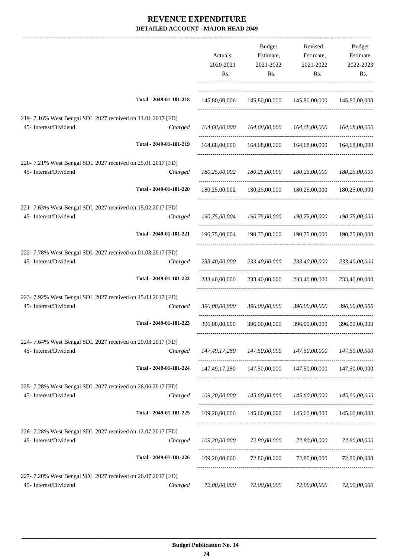|                                                                                      |                         | Actuals,<br>2020-2021<br>Rs. | <b>Budget</b><br>Estimate,<br>2021-2022<br>Rs. | Revised<br>Estimate,<br>2021-2022<br>Rs.                                  | Budget<br>Estimate,<br>2022-2023<br>Rs. |
|--------------------------------------------------------------------------------------|-------------------------|------------------------------|------------------------------------------------|---------------------------------------------------------------------------|-----------------------------------------|
|                                                                                      | Total - 2049-01-101-218 | 145,80,00,006                | 145,80,00,000                                  | 145,80,00,000                                                             | 145,80,00,000                           |
| 219-7.16% West Bengal SDL 2027 received on 11.01.2017 [FD]<br>45- Interest/Dividend  | Charged                 | 164,68,00,000                | 164,68,00,000                                  | 164,68,00,000                                                             | 164,68,00,000                           |
|                                                                                      | Total - 2049-01-101-219 | 164,68,00,000                | 164,68,00,000                                  | 164,68,00,000                                                             | 164,68,00,000                           |
| 220-7.21% West Bengal SDL 2027 received on 25.01.2017 [FD]<br>45- Interest/Dividend  | Charged                 | 180,25,00,002                | 180,25,00,000                                  | 180,25,00,000                                                             | 180,25,00,000                           |
|                                                                                      | Total - 2049-01-101-220 | 180,25,00,002                | 180,25,00,000                                  | 180,25,00,000                                                             | 180,25,00,000                           |
| 221-7.63% West Bengal SDL 2027 received on 15.02.2017 [FD]<br>45- Interest/Dividend  | Charged                 | 190,75,00,004                | 190,75,00,000                                  | 190,75,00,000                                                             | 190,75,00,000                           |
|                                                                                      | Total - 2049-01-101-221 | 190,75,00,004                | 190,75,00,000                                  | 190,75,00,000                                                             | 190,75,00,000                           |
| 222- 7.78% West Bengal SDL 2027 received on 01.03.2017 [FD]<br>45- Interest/Dividend | Charged                 | 233,40,00,000                | 233,40,00,000                                  | 233,40,00,000                                                             | 233,40,00,000                           |
|                                                                                      | Total - 2049-01-101-222 | 233,40,00,000                | 233,40,00,000                                  | 233,40,00,000                                                             | 233,40,00,000                           |
| 223- 7.92% West Bengal SDL 2027 received on 15.03.2017 [FD]<br>45- Interest/Dividend | Charged                 | 396,00,00,000                | 396,00,00,000                                  | 396,00,00,000                                                             | 396,00,00,000                           |
|                                                                                      | Total - 2049-01-101-223 | 396,00,00,000                | 396,00,00,000                                  | 396,00,00,000                                                             | 396,00,00,000                           |
| 224-7.64% West Bengal SDL 2027 received on 29.03.2017 [FD]<br>45- Interest/Dividend  | Charged                 |                              |                                                | 147,49,17,280 147,50,00,000 147,50,00,000                                 | 147,50,00,000                           |
|                                                                                      | Total - 2049-01-101-224 |                              |                                                | 147, 49, 17, 280   147, 50, 00, 000   147, 50, 00, 000   147, 50, 00, 000 |                                         |
| 225-7.28% West Bengal SDL 2027 received on 28.06.2017 [FD]<br>45- Interest/Dividend  | Charged                 | 109,20,00,000                | 145,60,00,000                                  | 145,60,00,000                                                             | 145,60,00,000                           |
|                                                                                      | Total - 2049-01-101-225 | 109,20,00,000                | 145,60,00,000                                  | 145,60,00,000                                                             | 145,60,00,000                           |
| 226-7.28% West Bengal SDL 2027 received on 12.07.2017 [FD]<br>45- Interest/Dividend  | Charged                 | 109,20,00,000                | 72,80,00,000                                   | 72,80,00,000                                                              | 72,80,00,000                            |
|                                                                                      | Total - 2049-01-101-226 |                              |                                                | 109,20,00,000 72,80,00,000 72,80,00,000 72,80,00,000                      |                                         |
| 227- 7.20% West Bengal SDL 2027 received on 26.07.2017 [FD]<br>45- Interest/Dividend | Charged                 | 72,00,00,000                 | 72,00,00,000                                   | 72,00,00,000                                                              | 72,00,00,000                            |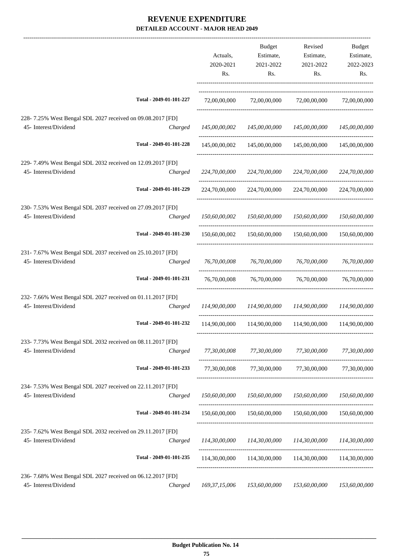|                                                                                      |                         | Actuals,<br>2020-2021<br>Rs. | <b>Budget</b><br>Estimate,<br>2021-2022<br>Rs. | Revised<br>Estimate,<br>2021-2022<br>Rs.                | Budget<br>Estimate,<br>2022-2023<br>Rs. |
|--------------------------------------------------------------------------------------|-------------------------|------------------------------|------------------------------------------------|---------------------------------------------------------|-----------------------------------------|
|                                                                                      | Total - 2049-01-101-227 |                              |                                                | 72,00,00,000 72,00,00,000 72,00,00,000                  | 72,00,00,000                            |
| 228-7.25% West Bengal SDL 2027 received on 09.08.2017 [FD]<br>45- Interest/Dividend  | Charged                 | 145,00,00,002                | 145,00,00,000                                  | 145,00,00,000                                           | 145,00,00,000                           |
|                                                                                      | Total - 2049-01-101-228 | 145,00,00,002                | 145,00,00,000                                  | 145,00,00,000                                           | 145,00,00,000                           |
| 229- 7.49% West Bengal SDL 2032 received on 12.09.2017 [FD]<br>45- Interest/Dividend | Charged                 | 224,70,00,000                | 224,70,00,000                                  | 224,70,00,000                                           | 224,70,00,000                           |
|                                                                                      | Total - 2049-01-101-229 | 224,70,00,000                | 224,70,00,000                                  | 224,70,00,000                                           | 224,70,00,000                           |
| 230- 7.53% West Bengal SDL 2037 received on 27.09.2017 [FD]<br>45- Interest/Dividend | Charged                 | 150,60,00,002                | 150,60,00,000                                  | 150,60,00,000                                           | 150,60,00,000                           |
|                                                                                      | Total - 2049-01-101-230 | 150,60,00,002                | 150,60,00,000                                  | 150,60,00,000                                           | 150,60,00,000                           |
| 231-7.67% West Bengal SDL 2037 received on 25.10.2017 [FD]<br>45- Interest/Dividend  | Charged                 | 76,70,00,008                 | 76,70,00,000                                   | 76,70,00,000                                            | 76,70,00,000                            |
|                                                                                      | Total - 2049-01-101-231 | 76,70,00,008                 | 76,70,00,000                                   | 76,70,00,000                                            | 76,70,00,000                            |
| 232- 7.66% West Bengal SDL 2027 received on 01.11.2017 [FD]<br>45- Interest/Dividend | Charged                 | 114,90,00,000                | 114,90,00,000                                  | 114,90,00,000                                           | 114,90,00,000                           |
|                                                                                      | Total - 2049-01-101-232 | 114,90,00,000                | 114,90,00,000                                  | 114,90,00,000                                           | 114,90,00,000                           |
| 233- 7.73% West Bengal SDL 2032 received on 08.11.2017 [FD]<br>45- Interest/Dividend | Charged                 | 77,30,00,008                 |                                                | 77,30,00,000 77,30,00,000                               | 77,30,00,000                            |
|                                                                                      | Total - 2049-01-101-233 | 77,30,00,008                 | 77,30,00,000                                   | 77,30,00,000                                            | 77,30,00,000                            |
| 234- 7.53% West Bengal SDL 2027 received on 22.11.2017 [FD]<br>45- Interest/Dividend | Charged                 | 150,60,00,000                | 150,60,00,000                                  | 150,60,00,000                                           | 150,60,00,000                           |
|                                                                                      | Total - 2049-01-101-234 | 150,60,00,000                | 150,60,00,000                                  | 150,60,00,000                                           | 150,60,00,000                           |
| 235-7.62% West Bengal SDL 2032 received on 29.11.2017 [FD]<br>45- Interest/Dividend  | Charged                 |                              | 114,30,00,000 114,30,00,000                    | 114,30,00,000                                           | 114,30,00,000                           |
|                                                                                      | Total - 2049-01-101-235 |                              |                                                | 114,30,00,000 114,30,00,000 114,30,00,000 114,30,00,000 |                                         |
| 236-7.68% West Bengal SDL 2027 received on 06.12.2017 [FD]<br>45- Interest/Dividend  | Charged                 | 169, 37, 15, 006             | 153,60,00,000                                  | 153,60,00,000                                           | 153,60,00,000                           |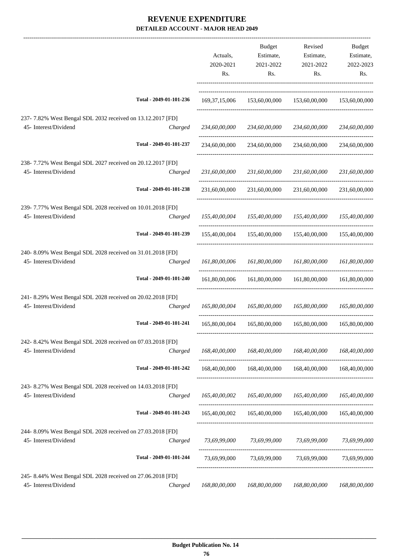|                                                                                      |                         | Actuals,<br>2020-2021<br>Rs. | <b>Budget</b><br>Estimate,<br>2021-2022<br>Rs. | Revised<br>Estimate,<br>2021-2022<br>Rs.            | Budget<br>Estimate,<br>2022-2023<br>Rs. |
|--------------------------------------------------------------------------------------|-------------------------|------------------------------|------------------------------------------------|-----------------------------------------------------|-----------------------------------------|
|                                                                                      | Total - 2049-01-101-236 | 169, 37, 15, 006             | 153,60,00,000                                  | 153,60,00,000                                       | 153,60,00,000                           |
| 237- 7.82% West Bengal SDL 2032 received on 13.12.2017 [FD]<br>45- Interest/Dividend | Charged                 | 234,60,00,000                | 234,60,00,000                                  | 234,60,00,000                                       | 234,60,00,000                           |
|                                                                                      | Total - 2049-01-101-237 | 234,60,00,000                | 234,60,00,000                                  | 234,60,00,000                                       | 234,60,00,000                           |
| 238-7.72% West Bengal SDL 2027 received on 20.12.2017 [FD]<br>45- Interest/Dividend  | Charged                 | 231,60,00,000                | 231,60,00,000                                  | 231,60,00,000                                       | 231,60,00,000                           |
|                                                                                      | Total - 2049-01-101-238 | 231,60,00,000                | 231,60,00,000                                  | 231,60,00,000                                       | 231,60,00,000                           |
| 239- 7.77% West Bengal SDL 2028 received on 10.01.2018 [FD]<br>45- Interest/Dividend | Charged                 | 155,40,00,004                | 155,40,00,000                                  | 155,40,00,000                                       | 155,40,00,000                           |
|                                                                                      | Total - 2049-01-101-239 | 155,40,00,004                | 155,40,00,000                                  | 155,40,00,000                                       | 155,40,00,000                           |
| 240- 8.09% West Bengal SDL 2028 received on 31.01.2018 [FD]<br>45- Interest/Dividend | Charged                 | 161,80,00,006                | 161,80,00,000                                  | 161,80,00,000                                       | 161,80,00,000                           |
|                                                                                      | Total - 2049-01-101-240 | 161,80,00,006                | 161,80,00,000                                  | 161,80,00,000                                       | 161,80,00,000                           |
| 241-8.29% West Bengal SDL 2028 received on 20.02.2018 [FD]<br>45- Interest/Dividend  | Charged                 | 165,80,00,004                | 165,80,00,000                                  | 165,80,00,000                                       | 165,80,00,000                           |
|                                                                                      | Total - 2049-01-101-241 | 165,80,00,004                | 165,80,00,000                                  | 165,80,00,000                                       | 165,80,00,000                           |
| 242- 8.42% West Bengal SDL 2028 received on 07.03.2018 [FD]<br>45- Interest/Dividend | Charged                 | 168,40,00,000                | 168,40,00,000                                  | 168,40,00,000                                       | 168,40,00,000                           |
|                                                                                      | Total - 2049-01-101-242 |                              | 168,40,00,000 168,40,00,000                    | 168,40,00,000 168,40,00,000                         |                                         |
| 243-8.27% West Bengal SDL 2028 received on 14.03.2018 [FD]<br>45- Interest/Dividend  | Charged                 | 165,40,00,002                | 165,40,00,000                                  | 165,40,00,000                                       | 165,40,00,000                           |
|                                                                                      | Total - 2049-01-101-243 | 165,40,00,002                | 165,40,00,000                                  | 165,40,00,000                                       | 165,40,00,000                           |
| 244- 8.09% West Bengal SDL 2028 received on 27.03.2018 [FD]<br>45- Interest/Dividend | Charged                 | 73,69,99,000                 | 73,69,99,000                                   | 73,69,99,000                                        | 73,69,99,000                            |
|                                                                                      | Total - 2049-01-101-244 |                              |                                                | 73,69,99,000 73,69,99,000 73,69,99,000 73,69,99,000 |                                         |
| 245-8.44% West Bengal SDL 2028 received on 27.06.2018 [FD]<br>45- Interest/Dividend  | Charged                 | 168,80,00,000                | 168,80,00,000                                  | 168,80,00,000                                       | 168,80,00,000                           |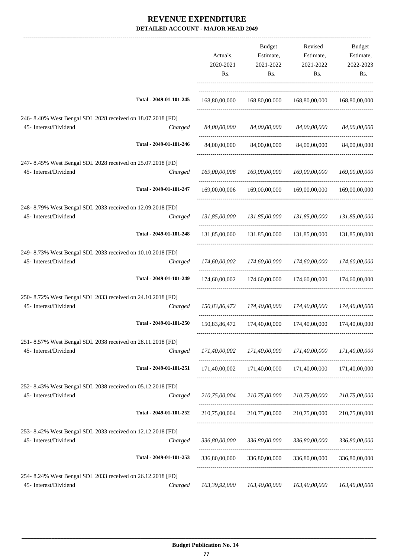|                                                                                      |                         | Actuals,<br>2020-2021<br>Rs. | <b>Budget</b><br>Estimate,<br>2021-2022<br>Rs. | Revised<br>Estimate,<br>2021-2022<br>Rs.                | <b>Budget</b><br>Estimate,<br>2022-2023<br>Rs. |
|--------------------------------------------------------------------------------------|-------------------------|------------------------------|------------------------------------------------|---------------------------------------------------------|------------------------------------------------|
|                                                                                      | Total - 2049-01-101-245 | 168,80,00,000                | 168,80,00,000                                  | 168,80,00,000                                           | 168,80,00,000                                  |
| 246-8.40% West Bengal SDL 2028 received on 18.07.2018 [FD]<br>45- Interest/Dividend  | Charged                 | 84,00,00,000                 | 84.00.00.000                                   | 84,00,00,000                                            | 84,00,00,000                                   |
|                                                                                      | Total - 2049-01-101-246 | 84,00,00,000                 | 84,00,00,000                                   | 84,00,00,000                                            | 84,00,00,000                                   |
| 247- 8.45% West Bengal SDL 2028 received on 25.07.2018 [FD]<br>45- Interest/Dividend | Charged                 | 169,00,00,006                | 169,00,00,000                                  | 169,00,00,000                                           | 169,00,00,000                                  |
|                                                                                      | Total - 2049-01-101-247 | 169,00,00,006                | 169,00,00,000                                  | 169,00,00,000                                           | 169,00,00,000                                  |
| 248-8.79% West Bengal SDL 2033 received on 12.09.2018 [FD]<br>45- Interest/Dividend  | Charged                 | 131,85,00,000                | 131,85,00,000                                  | 131,85,00,000                                           | 131,85,00,000                                  |
|                                                                                      | Total - 2049-01-101-248 | 131,85,00,000                | 131,85,00,000                                  | 131,85,00,000                                           | 131,85,00,000                                  |
| 249-8.73% West Bengal SDL 2033 received on 10.10.2018 [FD]<br>45- Interest/Dividend  | Charged                 | 174,60,00,002                | 174,60,00,000                                  | 174,60,00,000                                           | 174,60,00,000                                  |
|                                                                                      | Total - 2049-01-101-249 | 174,60,00,002                | 174,60,00,000                                  | 174,60,00,000                                           | 174,60,00,000                                  |
| 250-8.72% West Bengal SDL 2033 received on 24.10.2018 [FD]<br>45- Interest/Dividend  | Charged                 | 150,83,86,472                | 174,40,00,000                                  | 174,40,00,000                                           | 174,40,00,000                                  |
|                                                                                      | Total - 2049-01-101-250 | 150,83,86,472                | 174,40,00,000                                  | 174,40,00,000                                           | 174,40,00,000                                  |
| 251-8.57% West Bengal SDL 2038 received on 28.11.2018 [FD]<br>45- Interest/Dividend  | Charged                 |                              | 171,40,00,002 171,40,00,000                    | 171,40,00,000                                           | 171,40,00,000                                  |
|                                                                                      | Total - 2049-01-101-251 |                              |                                                | 171,40,00,002 171,40,00,000 171,40,00,000 171,40,00,000 |                                                |
| 252- 8.43% West Bengal SDL 2038 received on 05.12.2018 [FD]<br>45- Interest/Dividend | Charged                 | 210,75,00,004                | 210,75,00,000                                  | 210,75,00,000                                           | 210,75,00,000                                  |
|                                                                                      | Total - 2049-01-101-252 | 210,75,00,004                | 210,75,00,000                                  | 210,75,00,000                                           | 210,75,00,000                                  |
| 253-8.42% West Bengal SDL 2033 received on 12.12.2018 [FD]<br>45- Interest/Dividend  | Charged                 | 336,80,00,000                | 336,80,00,000                                  | 336,80,00,000                                           | 336,80,00,000                                  |
|                                                                                      | Total - 2049-01-101-253 | 336,80,00,000                | 336,80,00,000                                  | 336,80,00,000                                           | 336,80,00,000                                  |
| 254-8.24% West Bengal SDL 2033 received on 26.12.2018 [FD]<br>45- Interest/Dividend  | Charged                 | 163,39,92,000                | 163,40,00,000                                  | 163,40,00,000                                           | 163,40,00,000                                  |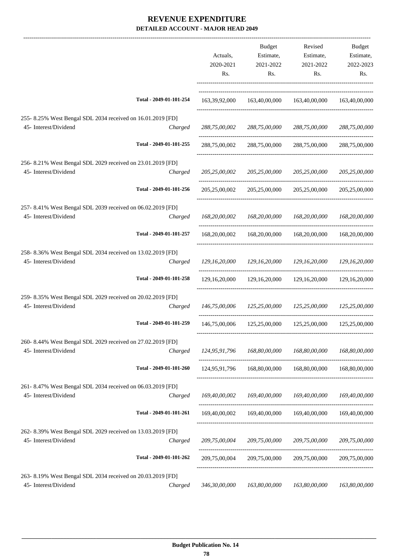|                                                                                      |                         | Actuals,<br>2020-2021<br>Rs. | <b>Budget</b><br>Estimate,<br>2021-2022<br>Rs. | Revised<br>Estimate,<br>2021-2022<br>Rs. | <b>Budget</b><br>Estimate,<br>2022-2023<br>Rs. |
|--------------------------------------------------------------------------------------|-------------------------|------------------------------|------------------------------------------------|------------------------------------------|------------------------------------------------|
|                                                                                      | Total - 2049-01-101-254 | 163,39,92,000                | 163,40,00,000                                  | 163,40,00,000                            | 163,40,00,000                                  |
| 255-8.25% West Bengal SDL 2034 received on 16.01.2019 [FD]<br>45- Interest/Dividend  | Charged                 | 288,75,00,002                | 288,75,00,000                                  | 288,75,00,000                            | 288,75,00,000                                  |
|                                                                                      | Total - 2049-01-101-255 | 288,75,00,002                | 288,75,00,000                                  | 288,75,00,000                            | 288,75,00,000                                  |
| 256-8.21% West Bengal SDL 2029 received on 23.01.2019 [FD]                           |                         |                              |                                                |                                          |                                                |
| 45- Interest/Dividend                                                                | Charged                 | 205,25,00,002                | 205,25,00,000                                  | 205,25,00,000                            | 205,25,00,000                                  |
|                                                                                      | Total - 2049-01-101-256 | 205,25,00,002                | 205,25,00,000                                  | 205, 25, 00, 000                         | 205,25,00,000                                  |
| 257-8.41% West Bengal SDL 2039 received on 06.02.2019 [FD]<br>45- Interest/Dividend  | Charged                 | 168,20,00,002                | 168,20,00,000                                  | 168,20,00,000                            | 168,20,00,000                                  |
|                                                                                      | Total - 2049-01-101-257 | 168,20,00,002                | 168,20,00,000                                  | 168,20,00,000                            | 168,20,00,000                                  |
| 258-8.36% West Bengal SDL 2034 received on 13.02.2019 [FD]<br>45- Interest/Dividend  | Charged                 | 129,16,20,000                | 129,16,20,000                                  | 129,16,20,000                            | 129, 16, 20,000                                |
|                                                                                      | Total - 2049-01-101-258 | 129, 16, 20, 000             | 129, 16, 20, 000                               | 129, 16, 20, 000                         | 129,16,20,000                                  |
| 259- 8.35% West Bengal SDL 2029 received on 20.02.2019 [FD]<br>45- Interest/Dividend | Charged                 | 146,75,00,006                | 125,25,00,000                                  | 125,25,00,000                            | 125,25,00,000                                  |
|                                                                                      | Total - 2049-01-101-259 | 146,75,00,006                | 125,25,00,000                                  | 125,25,00,000                            | 125,25,00,000                                  |
| 260-8.44% West Bengal SDL 2029 received on 27.02.2019 [FD]<br>45- Interest/Dividend  | Charged                 | 124,95,91,796                | 168,80,00,000                                  | 168,80,00,000                            | 168,80,00,000                                  |
|                                                                                      | Total - 2049-01-101-260 |                              | 124,95,91,796 168,80,00,000                    | 168,80,00,000                            | 168,80,00,000                                  |
| 261-8.47% West Bengal SDL 2034 received on 06.03.2019 [FD]<br>45- Interest/Dividend  | Charged                 | 169,40,00,002                | 169,40,00,000                                  | 169,40,00,000                            | 169,40,00,000                                  |
|                                                                                      | Total - 2049-01-101-261 | 169,40,00,002                | 169,40,00,000                                  | 169,40,00,000                            | 169,40,00,000                                  |
| 262- 8.39% West Bengal SDL 2029 received on 13.03.2019 [FD]<br>45- Interest/Dividend | Charged                 | 209,75,00,004                | 209,75,00,000                                  | 209,75,00,000                            | 209,75,00,000                                  |
|                                                                                      | Total - 2049-01-101-262 | 209,75,00,004                | 209,75,00,000                                  | 209,75,00,000                            | 209,75,00,000                                  |
| 263-8.19% West Bengal SDL 2034 received on 20.03.2019 [FD]<br>45- Interest/Dividend  | Charged                 | 346,30,00,000                | 163,80,00,000                                  | 163,80,00,000                            | 163,80,00,000                                  |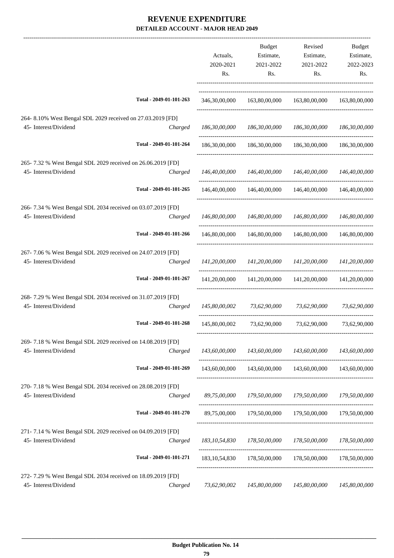|                                                                                                  | Actuals,<br>2020-2021<br>Rs. | <b>Budget</b><br>Estimate,<br>2021-2022<br>Rs. | Revised<br>Estimate,<br>2021-2022<br>Rs. | <b>Budget</b><br>Estimate,<br>2022-2023<br>Rs. |
|--------------------------------------------------------------------------------------------------|------------------------------|------------------------------------------------|------------------------------------------|------------------------------------------------|
| Total - 2049-01-101-263                                                                          | 346,30,00,000                | 163,80,00,000                                  | 163,80,00,000                            | 163,80,00,000                                  |
| 264-8.10% West Bengal SDL 2029 received on 27.03.2019 [FD]<br>45- Interest/Dividend<br>Charged   | 186,30,00,000                | 186,30,00,000                                  | 186,30,00,000                            | 186,30,00,000                                  |
| Total - 2049-01-101-264                                                                          | 186,30,00,000                | 186,30,00,000                                  | 186,30,00,000                            | 186,30,00,000                                  |
| 265-7.32 % West Bengal SDL 2029 received on 26.06.2019 [FD]<br>45- Interest/Dividend<br>Charged  | 146,40,00,000                | 146,40,00,000                                  | 146,40,00,000                            | 146,40,00,000                                  |
| Total - 2049-01-101-265                                                                          | 146,40,00,000                | 146,40,00,000                                  | 146,40,00,000                            | 146,40,00,000                                  |
| 266-7.34 % West Bengal SDL 2034 received on 03.07.2019 [FD]<br>45- Interest/Dividend<br>Charged  | 146,80,00,000                | 146,80,00,000                                  | 146,80,00,000                            | 146,80,00,000                                  |
| Total - 2049-01-101-266                                                                          | 146,80,00,000                | 146,80,00,000                                  | 146,80,00,000                            | 146,80,00,000                                  |
| 267-7.06 % West Bengal SDL 2029 received on 24.07.2019 [FD]<br>45- Interest/Dividend<br>Charged  | 141,20,00,000                | 141,20,00,000                                  | 141,20,00,000                            | 141,20,00,000                                  |
| Total - 2049-01-101-267                                                                          | 141,20,00,000                | 141,20,00,000                                  | 141,20,00,000                            | 141,20,00,000                                  |
| 268-7.29 % West Bengal SDL 2034 received on 31.07.2019 [FD]<br>45- Interest/Dividend<br>Charged  | 145,80,00,002                | 73,62,90,000                                   | 73,62,90,000                             | 73,62,90,000                                   |
| Total - 2049-01-101-268                                                                          | 145,80,00,002                | 73,62,90,000                                   | 73,62,90,000                             | 73,62,90,000                                   |
| 269-7.18 % West Bengal SDL 2029 received on 14.08.2019 [FD]<br>45- Interest/Dividend<br>Charged  | 143,60,00,000                | 143,60,00,000                                  | 143,60,00,000                            | 143,60,00,000                                  |
| Total - 2049-01-101-269                                                                          | 143,60,00,000                | 143,60,00,000                                  | 143,60,00,000 143,60,00,000              |                                                |
| 270- 7.18 % West Bengal SDL 2034 received on 28.08.2019 [FD]<br>45- Interest/Dividend<br>Charged | 89,75,00,000                 | 179,50,00,000                                  | 179,50,00,000                            | 179,50,00,000                                  |
| Total - 2049-01-101-270                                                                          | 89,75,00,000                 | 179,50,00,000                                  | 179,50,00,000                            | 179,50,00,000                                  |
| 271-7.14 % West Bengal SDL 2029 received on 04.09.2019 [FD]<br>45- Interest/Dividend<br>Charged  |                              | 183, 10, 54, 830 178, 50, 00, 000              | 178,50,00,000                            | 178,50,00,000                                  |
| Total - 2049-01-101-271                                                                          |                              | 183,10,54,830 178,50,00,000                    | 178,50,00,000                            | 178,50,00,000                                  |
| 272- 7.29 % West Bengal SDL 2034 received on 18.09.2019 [FD]<br>45- Interest/Dividend<br>Charged | 73,62,90,002                 | 145,80,00,000                                  | 145,80,00,000                            | 145,80,00,000                                  |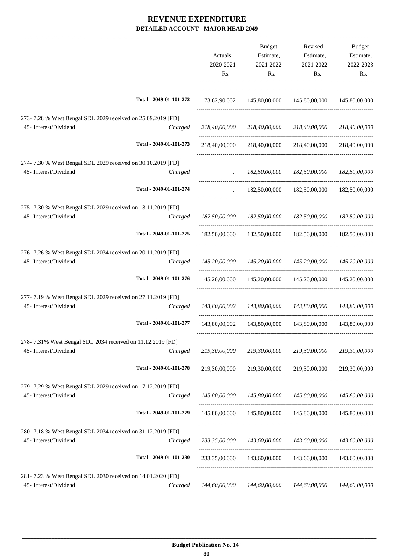|                                                                                       |                         | Actuals,<br>2020-2021<br>Rs.   | <b>Budget</b><br>Estimate,<br>2021-2022<br>Rs. | Revised<br>Estimate,<br>2021-2022<br>Rs. | <b>Budget</b><br>Estimate,<br>2022-2023<br>Rs. |
|---------------------------------------------------------------------------------------|-------------------------|--------------------------------|------------------------------------------------|------------------------------------------|------------------------------------------------|
|                                                                                       | Total - 2049-01-101-272 | 73,62,90,002                   |                                                | 145,80,00,000 145,80,00,000              | 145,80,00,000                                  |
| 273- 7.28 % West Bengal SDL 2029 received on 25.09.2019 [FD]<br>45- Interest/Dividend | Charged                 | 218,40,00,000                  | 218,40,00,000                                  | 218,40,00,000                            | 218,40,00,000                                  |
|                                                                                       | Total - 2049-01-101-273 | 218,40,00,000                  | 218,40,00,000                                  | 218,40,00,000                            | 218,40,00,000                                  |
| 274- 7.30 % West Bengal SDL 2029 received on 30.10.2019 [FD]                          |                         |                                |                                                |                                          |                                                |
| 45- Interest/Dividend                                                                 | Charged                 | <b><i>Committee States</i></b> | 182,50,00,000                                  | 182,50,00,000                            | 182,50,00,000                                  |
|                                                                                       | Total - 2049-01-101-274 | $\cdots$                       | 182,50,00,000                                  | 182,50,00,000                            | 182,50,00,000                                  |
| 275-7.30 % West Bengal SDL 2029 received on 13.11.2019 [FD]<br>45- Interest/Dividend  | Charged                 | 182,50,00,000                  | 182,50,00,000                                  | 182,50,00,000                            | 182,50,00,000                                  |
|                                                                                       | Total - 2049-01-101-275 | 182,50,00,000                  | 182,50,00,000                                  | 182,50,00,000                            | 182,50,00,000                                  |
| 276-7.26 % West Bengal SDL 2034 received on 20.11.2019 [FD]<br>45- Interest/Dividend  | Charged                 | 145,20,00,000                  | 145,20,00,000                                  | 145,20,00,000                            | 145,20,00,000                                  |
|                                                                                       | Total - 2049-01-101-276 | 145,20,00,000                  | 145,20,00,000                                  | 145,20,00,000                            | 145,20,00,000                                  |
| 277-7.19 % West Bengal SDL 2029 received on 27.11.2019 [FD]<br>45- Interest/Dividend  | Charged                 | 143,80,00,002                  | 143,80,00,000                                  | 143,80,00,000                            | 143,80,00,000                                  |
|                                                                                       | Total - 2049-01-101-277 | 143,80,00,002                  | 143,80,00,000                                  | 143,80,00,000                            | 143,80,00,000                                  |
| 278-7.31% West Bengal SDL 2034 received on 11.12.2019 [FD]<br>45- Interest/Dividend   | Charged                 | 219,30,00,000                  | 219,30,00,000                                  | 219,30,00,000                            | 219,30,00,000                                  |
|                                                                                       | Total - 2049-01-101-278 | 219,30,00,000                  | 219,30,00,000                                  | 219,30,00,000                            | 219,30,00,000                                  |
| 279- 7.29 % West Bengal SDL 2029 received on 17.12.2019 [FD]<br>45- Interest/Dividend | Charged                 | 145,80,00,000                  | 145,80,00,000                                  | 145,80,00,000                            | 145,80,00,000                                  |
|                                                                                       | Total - 2049-01-101-279 | 145,80,00,000                  | 145,80,00,000                                  | 145,80,00,000                            | 145,80,00,000                                  |
| 280-7.18 % West Bengal SDL 2034 received on 31.12.2019 [FD]<br>45- Interest/Dividend  | Charged                 | 233,35,00,000                  | 143,60,00,000                                  | 143,60,00,000                            | 143,60,00,000                                  |
|                                                                                       | Total - 2049-01-101-280 |                                | 233,35,00,000 143,60,00,000                    | 143,60,00,000                            | 143,60,00,000                                  |
| 281-7.23 % West Bengal SDL 2030 received on 14.01.2020 [FD]<br>45- Interest/Dividend  | Charged                 | 144,60,00,000                  | 144,60,00,000                                  | 144,60,00,000                            | 144,60,00,000                                  |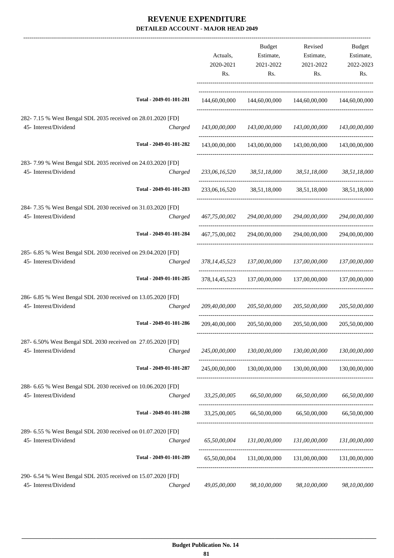|                                                                                                  | Actuals,<br>2020-2021<br>Rs. | <b>Budget</b><br>Estimate,<br>2021-2022<br>Rs. | Revised<br>Estimate,<br>2021-2022<br>Rs. | <b>Budget</b><br>Estimate,<br>2022-2023<br>Rs. |
|--------------------------------------------------------------------------------------------------|------------------------------|------------------------------------------------|------------------------------------------|------------------------------------------------|
| Total - 2049-01-101-281                                                                          | 144,60,00,000                | 144,60,00,000                                  | 144,60,00,000                            | 144,60,00,000                                  |
| 282-7.15 % West Bengal SDL 2035 received on 28.01.2020 [FD]<br>45- Interest/Dividend<br>Charged  | 143,00,00,000                | 143,00,00,000                                  | 143,00,00,000                            | 143,00,00,000                                  |
| Total - 2049-01-101-282                                                                          | 143,00,00,000                | 143,00,00,000                                  | 143,00,00,000                            | 143,00,00,000                                  |
| 283-7.99 % West Bengal SDL 2035 received on 24.03.2020 [FD]<br>45- Interest/Dividend<br>Charged  | 233,06,16,520                | 38,51,18,000                                   | 38,51,18,000                             | 38,51,18,000                                   |
| Total - 2049-01-101-283                                                                          | 233,06,16,520                | 38,51,18,000                                   | 38,51,18,000                             | 38,51,18,000                                   |
| 284-7.35 % West Bengal SDL 2030 received on 31.03.2020 [FD]<br>45- Interest/Dividend<br>Charged  | 467,75,00,002                | 294,00,00,000                                  | 294,00,00,000                            | 294,00,00,000                                  |
| Total - 2049-01-101-284                                                                          | 467,75,00,002                | 294,00,00,000                                  | 294,00,00,000                            | 294,00,00,000                                  |
| 285- 6.85 % West Bengal SDL 2030 received on 29.04.2020 [FD]<br>45- Interest/Dividend<br>Charged | 378,14,45,523                | 137,00,00,000                                  | 137,00,00,000                            | 137,00,00,000                                  |
| Total - 2049-01-101-285                                                                          | 378, 14, 45, 523             | 137,00,00,000                                  | 137,00,00,000                            | 137,00,00,000                                  |
| 286- 6.85 % West Bengal SDL 2030 received on 13.05.2020 [FD]<br>45- Interest/Dividend<br>Charged | 209,40,00,000                | 205,50,00,000                                  | 205,50,00,000                            | 205,50,00,000                                  |
| Total - 2049-01-101-286                                                                          | 209,40,00,000                | 205,50,00,000                                  | 205,50,00,000                            | 205,50,00,000                                  |
| 287- 6.50% West Bengal SDL 2030 received on 27.05.2020 [FD]<br>45- Interest/Dividend<br>Charged  | 245,00,00,000                | 130,00,00,000                                  | 130,00,00,000                            | 130,00,00,000                                  |
| Total - 2049-01-101-287                                                                          | 245,00,00,000                | 130,00,00,000                                  | 130,00,00,000                            | 130,00,00,000                                  |
| 288- 6.65 % West Bengal SDL 2030 received on 10.06.2020 [FD]<br>45- Interest/Dividend<br>Charged | 33,25,00,005                 | 66,50,00,000                                   | 66,50,00,000                             | 66,50,00,000                                   |
| Total - 2049-01-101-288                                                                          | 33,25,00,005                 | 66,50,00,000                                   | 66,50,00,000                             | 66,50,00,000                                   |
| 289- 6.55 % West Bengal SDL 2030 received on 01.07.2020 [FD]<br>45- Interest/Dividend<br>Charged | 65,50,00,004                 | 131,00,00,000                                  | 131,00,00,000                            | 131,00,00,000                                  |
| Total - 2049-01-101-289                                                                          | 65,50,00,004                 | 131,00,00,000                                  | 131,00,00,000                            | 131,00,00,000                                  |
| 290- 6.54 % West Bengal SDL 2035 received on 15.07.2020 [FD]<br>45- Interest/Dividend<br>Charged | 49,05,00,000                 | 98,10,00,000                                   | 98,10,00,000                             | 98,10,00,000                                   |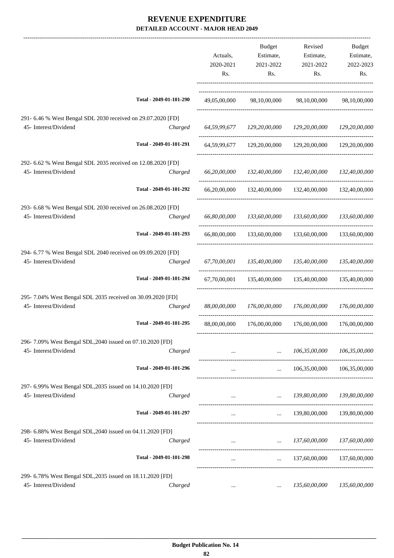|                                                                                       |                         | Actuals,<br>2020-2021<br>Rs. | <b>Budget</b><br>Estimate,<br>2021-2022<br>Rs. | Revised<br>Estimate,<br>2021-2022<br>Rs. | <b>Budget</b><br>Estimate,<br>2022-2023<br>Rs. |
|---------------------------------------------------------------------------------------|-------------------------|------------------------------|------------------------------------------------|------------------------------------------|------------------------------------------------|
|                                                                                       | Total - 2049-01-101-290 | 49,05,00,000                 | 98,10,00,000                                   | 98,10,00,000                             | 98,10,00,000                                   |
| 291-6.46 % West Bengal SDL 2030 received on 29.07.2020 [FD]                           |                         |                              |                                                |                                          |                                                |
| 45- Interest/Dividend                                                                 | Charged                 | 64,59,99,677                 | 129,20,00,000                                  | 129,20,00,000                            | 129,20,00,000                                  |
|                                                                                       | Total - 2049-01-101-291 | 64, 59, 99, 677              | 129,20,00,000                                  | 129,20,00,000                            | 129,20,00,000                                  |
| 292- 6.62 % West Bengal SDL 2035 received on 12.08.2020 [FD]                          |                         |                              |                                                |                                          |                                                |
| 45- Interest/Dividend                                                                 | Charged                 | 66,20,00,000                 | 132,40,00,000                                  | 132,40,00,000                            | 132,40,00,000                                  |
|                                                                                       | Total - 2049-01-101-292 | 66,20,00,000                 | 132,40,00,000                                  | 132,40,00,000                            | 132,40,00,000                                  |
| 293-6.68 % West Bengal SDL 2030 received on 26.08.2020 [FD]<br>45- Interest/Dividend  | Charged                 | 66,80,00,000                 | 133,60,00,000                                  | 133,60,00,000                            | 133,60,00,000                                  |
|                                                                                       | Total - 2049-01-101-293 | 66,80,00,000                 | 133,60,00,000                                  | 133,60,00,000                            | 133,60,00,000                                  |
| 294- 6.77 % West Bengal SDL 2040 received on 09.09.2020 [FD]<br>45- Interest/Dividend | Charged                 | 67,70,00,001                 | 135,40,00,000                                  | 135,40,00,000                            | 135,40,00,000                                  |
|                                                                                       | Total - 2049-01-101-294 | 67,70,00,001                 | 135,40,00,000                                  | 135,40,00,000                            | 135,40,00,000                                  |
| 295-7.04% West Bengal SDL 2035 received on 30.09.2020 [FD]                            |                         |                              |                                                |                                          |                                                |
| 45- Interest/Dividend                                                                 | Charged                 | 88,00,00,000                 | 176,00,00,000                                  | 176,00,00,000                            | 176,00,00,000                                  |
|                                                                                       | Total - 2049-01-101-295 | 88,00,00,000                 | 176,00,00,000                                  | 176,00,00,000                            | 176,00,00,000                                  |
| 296- 7.09% West Bengal SDL, 2040 issued on 07.10.2020 [FD]                            |                         |                              |                                                |                                          |                                                |
| 45- Interest/Dividend                                                                 | Charged                 | $\ldots$                     | $\mathbf{r}$ , $\mathbf{r}$ , $\mathbf{r}$     | 106,35,00,000                            | 106,35,00,000                                  |
|                                                                                       | Total - 2049-01-101-296 | $\cdots$                     | $\cdots$                                       | 106,35,00,000                            | 106,35,00,000                                  |
| 297- 6.99% West Bengal SDL, 2035 issued on 14.10.2020 [FD]<br>45- Interest/Dividend   | Charged                 | $\cdots$                     | $\cdots$                                       | 139,80,00,000                            | 139,80,00,000                                  |
|                                                                                       | Total - 2049-01-101-297 | $\cdots$                     | $\cdots$                                       | 139,80,00,000                            | 139,80,00,000                                  |
| 298- 6.88% West Bengal SDL, 2040 issued on 04.11.2020 [FD]                            |                         |                              |                                                |                                          |                                                |
| 45- Interest/Dividend                                                                 | Charged                 |                              | $\mathbf{r}$                                   | 137,60,00,000                            | 137,60,00,000                                  |
|                                                                                       | Total - 2049-01-101-298 |                              | $\cdots$                                       | 137,60,00,000                            | 137,60,00,000                                  |
| 299- 6.78% West Bengal SDL, 2035 issued on 18.11.2020 [FD]                            |                         |                              |                                                |                                          |                                                |
| 45- Interest/Dividend                                                                 | Charged                 | $\ldots$                     | $\cdots$                                       | 135,60,00,000                            | 135,60,00,000                                  |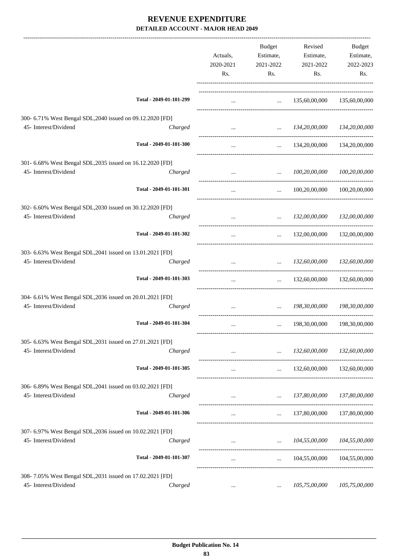|                                                                                     |                         | Actuals,<br>2020-2021<br>Rs. | <b>Budget</b><br>Estimate,<br>2021-2022<br>Rs.              | Revised<br>Estimate,<br>2021-2022<br>Rs. | Budget<br>Estimate,<br>2022-2023<br>Rs. |
|-------------------------------------------------------------------------------------|-------------------------|------------------------------|-------------------------------------------------------------|------------------------------------------|-----------------------------------------|
|                                                                                     | Total - 2049-01-101-299 | $\cdots$                     | $\cdots$                                                    | 135,60,00,000                            | 135,60,00,000                           |
| 300- 6.71% West Bengal SDL, 2040 issued on 09.12.2020 [FD]                          |                         |                              |                                                             |                                          |                                         |
| 45- Interest/Dividend                                                               | Charged                 | $\cdots$                     | $\mathbf{r}$ , $\mathbf{r}$ , $\mathbf{r}$ , $\mathbf{r}$   | 134,20,00,000 134,20,00,000              |                                         |
|                                                                                     | Total - 2049-01-101-300 | $\cdots$                     | $\cdots$                                                    | 134,20,00,000                            | 134,20,00,000                           |
| 301-6.68% West Bengal SDL, 2035 issued on 16.12.2020 [FD]                           |                         |                              |                                                             |                                          |                                         |
| 45- Interest/Dividend                                                               | Charged                 | $\cdots$                     | $\mathcal{L}_{\text{max}}$ . The $\mathcal{L}_{\text{max}}$ | 100,20,00,000                            | 100,20,00,000                           |
|                                                                                     | Total - 2049-01-101-301 | $\cdots$                     | $\cdots$                                                    | 100,20,00,000                            | 100,20,00,000                           |
| 302- 6.60% West Bengal SDL, 2030 issued on 30.12.2020 [FD]<br>45- Interest/Dividend | Charged                 | $\cdots$                     | $\cdots$                                                    | 132,00,00,000                            | 132,00,00,000                           |
|                                                                                     | Total - 2049-01-101-302 | $\cdots$                     | $\cdots$                                                    | 132,00,00,000                            | 132,00,00,000                           |
| 303- 6.63% West Bengal SDL, 2041 issued on 13.01.2021 [FD]<br>45- Interest/Dividend | Charged                 |                              | $\ddotsc$                                                   | 132,60,00,000                            | 132,60,00,000                           |
|                                                                                     | Total - 2049-01-101-303 |                              | $\cdots$                                                    | 132,60,00,000                            | 132,60,00,000                           |
| 304- 6.61% West Bengal SDL, 2036 issued on 20.01.2021 [FD]<br>45- Interest/Dividend | Charged                 | $\cdots$                     | $\cdots$                                                    | 198,30,00,000                            | 198,30,00,000                           |
|                                                                                     | Total - 2049-01-101-304 | $\cdots$                     | $\cdots$                                                    | 198,30,00,000                            | 198,30,00,000                           |
| 305- 6.63% West Bengal SDL, 2031 issued on 27.01.2021 [FD]<br>45- Interest/Dividend | Charged                 | $\cdots$                     | $\mathbf{r}$ , $\mathbf{r}$ , $\mathbf{r}$                  | 132,60,00,000                            | 132,60,00,000                           |
|                                                                                     | Total - 2049-01-101-305 |                              | $\mathbf{1}$                                                | 132,60,00,000                            | 132,60,00,000                           |
|                                                                                     |                         |                              |                                                             |                                          |                                         |
| 306- 6.89% West Bengal SDL, 2041 issued on 03.02.2021 [FD]<br>45- Interest/Dividend | Charged                 | $\cdots$                     | $\cdots$                                                    | 137,80,00,000                            | 137,80,00,000                           |
|                                                                                     | Total - 2049-01-101-306 | $\cdots$                     | $\cdots$                                                    | 137,80,00,000                            | 137,80,00,000                           |
| 307- 6.97% West Bengal SDL, 2036 issued on 10.02.2021 [FD]<br>45- Interest/Dividend | Charged                 |                              | $\mathbf{1}$                                                | 104,55,00,000                            | 104,55,00,000                           |
|                                                                                     | Total - 2049-01-101-307 |                              | -------------------------------<br>$\cdots$                 | 104,55,00,000 104,55,00,000              |                                         |
| 308- 7.05% West Bengal SDL, 2031 issued on 17.02.2021 [FD]                          |                         |                              |                                                             |                                          |                                         |
| 45- Interest/Dividend                                                               | Charged                 | $\ldots$                     | $\cdots$                                                    | 105,75,00,000                            | 105,75,00,000                           |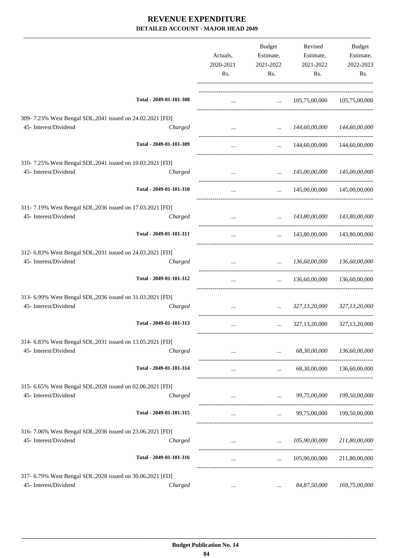|                                                                                     |                         | Actuals,<br>2020-2021<br>Rs. | <b>Budget</b><br>Estimate,<br>2021-2022<br>Rs.            | Revised<br>Estimate,<br>2021-2022<br>Rs. | Budget<br>Estimate,<br>2022-2023<br>Rs. |
|-------------------------------------------------------------------------------------|-------------------------|------------------------------|-----------------------------------------------------------|------------------------------------------|-----------------------------------------|
|                                                                                     | Total - 2049-01-101-308 | $\cdots$                     |                                                           | 105,75,00,000                            | 105,75,00,000                           |
| 309- 7.23% West Bengal SDL, 2041 issued on 24.02.2021 [FD]                          |                         |                              |                                                           |                                          |                                         |
| 45- Interest/Dividend                                                               | Charged                 | $\cdots$                     | $\mathbf{r}$ , $\mathbf{r}$ , $\mathbf{r}$ , $\mathbf{r}$ | 144,60,00,000 144,60,00,000              |                                         |
|                                                                                     | Total - 2049-01-101-309 | $\cdots$                     | $\ddotsc$                                                 | 144,60,00,000                            | 144,60,00,000                           |
| 310- 7.25% West Bengal SDL, 2041 issued on 10.03.2021 [FD]                          |                         |                              |                                                           |                                          |                                         |
| 45- Interest/Dividend                                                               | Charged                 | $\cdots$                     |                                                           | $\ldots$ 145,00,00,000                   | 145,00,00,000                           |
|                                                                                     | Total - 2049-01-101-310 | $\ddotsc$                    | $\cdots$                                                  | 145,00,00,000                            | 145,00,00,000                           |
| 311-7.19% West Bengal SDL, 2036 issued on 17.03.2021 [FD]<br>45- Interest/Dividend  | Charged                 | $\cdots$                     | $\cdots$                                                  | 143,80,00,000                            | 143,80,00,000                           |
|                                                                                     | Total - 2049-01-101-311 | $\ldots$                     | $\cdots$                                                  | 143,80,00,000                            | 143,80,00,000                           |
| 312- 6.83% West Bengal SDL, 2031 issued on 24.03.2021 [FD]<br>45- Interest/Dividend | Charged                 |                              | $\cdots$                                                  | 136,60,00,000                            | 136,60,00,000                           |
|                                                                                     | Total - 2049-01-101-312 | $\cdots$                     | $\cdots$                                                  | 136,60,00,000                            | 136,60,00,000                           |
| 313- 6.99% West Bengal SDL, 2036 issued on 31.03.2021 [FD]                          |                         |                              |                                                           |                                          |                                         |
| 45- Interest/Dividend                                                               | Charged                 | $\cdots$                     | $\mathbf{r}$ and $\mathbf{r}$                             | 327,13,20,000                            | 327,13,20,000                           |
|                                                                                     | Total - 2049-01-101-313 | $\cdots$                     | $\cdots$                                                  | 327, 13, 20, 000                         | 327,13,20,000                           |
| 314- 6.83% West Bengal SDL, 2031 issued on 13.05.2021 [FD]                          |                         |                              |                                                           |                                          |                                         |
| 45- Interest/Dividend                                                               | Charged                 | $\ldots$                     | $\mathbf{1.1}$ and $\mathbf{1.1}$                         | 68,30,00,000                             | 136,60,00,000                           |
|                                                                                     | Total - 2049-01-101-314 |                              | and the con-                                              | 68,30,00,000                             | 136,60,00,000                           |
| 315- 6.65% West Bengal SDL, 2028 issued on 02.06.2021 [FD]<br>45- Interest/Dividend | Charged                 | $\cdots$                     | $\cdots$                                                  | 99,75,00,000                             | 199,50,00,000                           |
|                                                                                     | Total - 2049-01-101-315 | $\ldots$                     | $\cdots$                                                  | 99,75,00,000                             | 199,50,00,000                           |
| 316-7.06% West Bengal SDL, 2036 issued on 23.06.2021 [FD]<br>45- Interest/Dividend  | Charged                 |                              | $\ddotsc$                                                 | 105,90,00,000                            | 211,80,00,000                           |
|                                                                                     | Total - 2049-01-101-316 |                              |                                                           |                                          |                                         |
|                                                                                     |                         |                              | $\cdots$                                                  | 105,90,00,000                            | 211,80,00,000                           |
| 317- 6.79% West Bengal SDL, 2028 issued on 30.06.2021 [FD]<br>45- Interest/Dividend | Charged                 |                              |                                                           | 84,87,50,000                             | 169,75,00,000                           |
|                                                                                     |                         | $\ldots$                     | $\cdots$                                                  |                                          |                                         |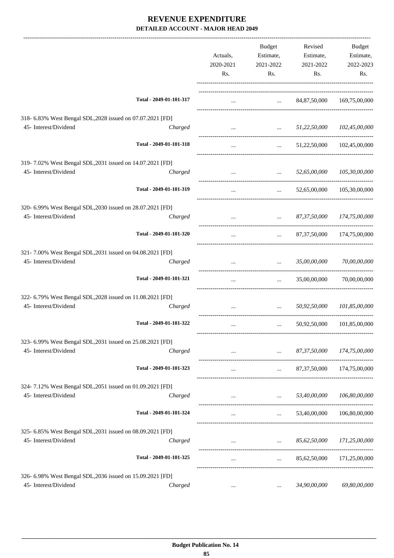|                                                                                     |                         | Actuals,<br>2020-2021<br>Rs. | <b>Budget</b><br>Estimate,<br>2021-2022<br>Rs.                                    | Revised<br>Estimate,<br>2021-2022<br>Rs. | Budget<br>Estimate,<br>2022-2023<br>Rs. |
|-------------------------------------------------------------------------------------|-------------------------|------------------------------|-----------------------------------------------------------------------------------|------------------------------------------|-----------------------------------------|
|                                                                                     | Total - 2049-01-101-317 | $\cdots$                     |                                                                                   | $\ldots$ 84,87,50,000                    | 169,75,00,000                           |
| 318- 6.83% West Bengal SDL, 2028 issued on 07.07.2021 [FD]                          |                         |                              |                                                                                   |                                          |                                         |
| 45- Interest/Dividend                                                               | Charged                 | $\cdots$                     | $\mathbf{1}$ , and $\mathbf{1}$                                                   | 51,22,50,000                             | 102,45,00,000                           |
|                                                                                     | Total - 2049-01-101-318 | $\cdots$                     | $\cdots$                                                                          | 51,22,50,000                             | 102,45,00,000                           |
| 319-7.02% West Bengal SDL, 2031 issued on 14.07.2021 [FD]                           |                         |                              |                                                                                   |                                          |                                         |
| 45- Interest/Dividend                                                               | Charged                 | <b>See College</b>           | $\ldots$ 52,65,00,000                                                             |                                          | 105,30,00,000                           |
|                                                                                     | Total - 2049-01-101-319 | $\ddotsc$                    | $\cdots$                                                                          | 52,65,00,000                             | 105,30,00,000                           |
| 320- 6.99% West Bengal SDL, 2030 issued on 28.07.2021 [FD]<br>45- Interest/Dividend | Charged                 | $\ddotsc$                    | $\mathbf{1}_{\mathbf{1}}$ , $\mathbf{1}_{\mathbf{1}}$ , $\mathbf{1}_{\mathbf{1}}$ | 87,37,50,000                             | 174,75,00,000                           |
|                                                                                     | Total - 2049-01-101-320 | $\cdots$                     | $\cdots$                                                                          | 87, 37, 50, 000                          | 174,75,00,000                           |
| 321-7.00% West Bengal SDL, 2031 issued on 04.08.2021 [FD]<br>45- Interest/Dividend  | Charged                 |                              | $\mathbf{m}$                                                                      | 35,00,00,000                             | 70,00,00,000                            |
|                                                                                     | Total - 2049-01-101-321 |                              | $\cdots$                                                                          | 35,00,00,000                             | 70,00,00,000                            |
| 322- 6.79% West Bengal SDL, 2028 issued on 11.08.2021 [FD]<br>45- Interest/Dividend | Charged                 | $\cdots$                     | $\cdots$                                                                          | 50,92,50,000                             | 101,85,00,000                           |
|                                                                                     | Total - 2049-01-101-322 | $\cdots$                     | $\cdots$                                                                          | 50,92,50,000                             | 101,85,00,000                           |
| 323- 6.99% West Bengal SDL, 2031 issued on 25.08.2021 [FD]                          |                         |                              |                                                                                   |                                          |                                         |
| 45- Interest/Dividend                                                               | Charged                 | $\cdots$                     |                                                                                   | $\ldots$ 87,37,50,000                    | 174,75,00,000                           |
|                                                                                     | Total - 2049-01-101-323 | $\ddotsc$                    |                                                                                   | $\ldots$ 87,37,50,000 174,75,00,000      |                                         |
| 324- 7.12% West Bengal SDL, 2051 issued on 01.09.2021 [FD]<br>45- Interest/Dividend | Charged                 | $\cdots$                     | $\mathbf{1}_{\mathbf{1}}$ , $\mathbf{1}_{\mathbf{1}}$ , $\mathbf{1}_{\mathbf{1}}$ | 53,40,00,000                             | 106,80,00,000                           |
|                                                                                     | Total - 2049-01-101-324 | $\cdots$                     | $\cdots$                                                                          | 53,40,00,000                             | 106,80,00,000                           |
| 325- 6.85% West Bengal SDL, 2031 issued on 08.09.2021 [FD]<br>45- Interest/Dividend | Charged                 |                              | <b>Sales Control</b>                                                              | 85,62,50,000                             | 171,25,00,000                           |
|                                                                                     | Total - 2049-01-101-325 |                              | $\cdots$                                                                          |                                          | 85,62,50,000 171,25,00,000              |
| 326- 6.98% West Bengal SDL, 2036 issued on 15.09.2021 [FD]<br>45- Interest/Dividend | Charged                 | $\ldots$                     | $\ldots$                                                                          | 34,90,00,000                             | 69,80,00,000                            |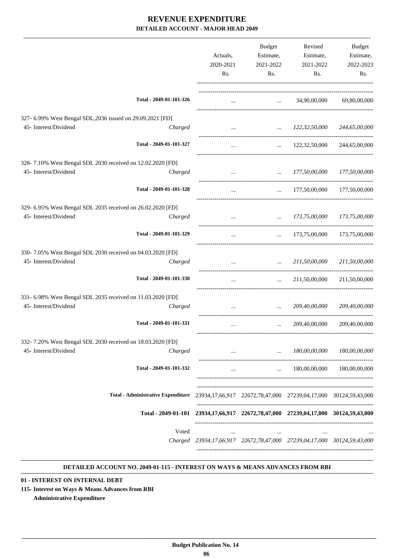|                                                                                                 | Actuals,<br>2020-2021<br>Rs.                                                         | <b>Budget</b><br>Estimate,<br>2021-2022<br>Rs.                  | Revised<br>Estimate,<br>2021-2022<br>Rs. | <b>Budget</b><br>Estimate,<br>2022-2023<br>Rs. |
|-------------------------------------------------------------------------------------------------|--------------------------------------------------------------------------------------|-----------------------------------------------------------------|------------------------------------------|------------------------------------------------|
|                                                                                                 |                                                                                      |                                                                 |                                          |                                                |
| Total - 2049-01-101-326                                                                         | $\cdots$                                                                             | <b>Sales Control</b>                                            | 34,90,00,000                             | 69,80,00,000                                   |
| 327- 6.99% West Bengal SDL, 2036 issued on 29.09.2021 [FD]                                      |                                                                                      |                                                                 |                                          |                                                |
| 45- Interest/Dividend<br>Charged                                                                |                                                                                      |                                                                 | $\ldots$ 122,32,50,000                   | 244,65,00,000                                  |
| Total - 2049-01-101-327                                                                         | $\cdots$                                                                             | $\cdots$                                                        | 122,32,50,000                            | 244,65,00,000                                  |
| 328-7.10% West Bengal SDL 2030 received on 12.02.2020 [FD]                                      |                                                                                      |                                                                 |                                          |                                                |
| 45- Interest/Dividend<br>Charged                                                                | $\cdots$                                                                             |                                                                 | 177,50,00,000                            | 177,50,00,000                                  |
| Total - 2049-01-101-328                                                                         | $\cdots$                                                                             |                                                                 | $\ldots$ 177,50,00,000                   | 177,50,00,000                                  |
| 329- 6.95% West Bengal SDL 2035 received on 26.02.2020 [FD]<br>45- Interest/Dividend<br>Charged | $\cdots$                                                                             | $\cdots$                                                        | 173,75,00,000                            | 173,75,00,000                                  |
| Total - 2049-01-101-329                                                                         | $\cdots$                                                                             | $\cdots$                                                        | 173,75,00,000                            | 173,75,00,000                                  |
| 330- 7.05% West Bengal SDL 2030 received on 04.03.2020 [FD]<br>45- Interest/Dividend<br>Charged |                                                                                      | $\mathbf{r}$ , and the state of $\mathbf{r}$                    | 211,50,00,000                            | 211,50,00,000                                  |
| Total - 2049-01-101-330                                                                         |                                                                                      | $\cdots$                                                        | 211,50,00,000                            | 211,50,00,000                                  |
| 331- 6.98% West Bengal SDL 2035 received on 11.03.2020 [FD]<br>45- Interest/Dividend<br>Charged | $\cdots$                                                                             | $\cdots$                                                        | 209,40,00,000                            | 209,40,00,000                                  |
| Total - 2049-01-101-331                                                                         | $\cdots$                                                                             | $\cdots$                                                        | 209,40,00,000                            | 209,40,00,000                                  |
| 332- 7.20% West Bengal SDL 2030 received on 18.03.2020 [FD]<br>45- Interest/Dividend<br>Charged | $\cdots$                                                                             | $\mathbf{r}$ and $\mathbf{r}$ and $\mathbf{r}$                  | 180,00,00,000                            | 180,00,00,000                                  |
| Total - 2049-01-101-332                                                                         | $\cdots$                                                                             | ------------------------------                                  | $\ldots$ 180,00,00,000 180,00,00,000     |                                                |
| <b>Total - Administrative Expenditure</b>                                                       |                                                                                      | 23934,17,66,917 22672,78,47,000 27239,04,17,000 30124,59,43,000 |                                          |                                                |
| Total - 2049-01-101                                                                             |                                                                                      | 23934,17,66,917 22672,78,47,000 27239,04,17,000 30124,59,43,000 |                                          |                                                |
| Voted                                                                                           | $\ddotsc$<br>Charged 23934,17,66,917 22672,78,47,000 27239,04,17,000 30124,59,43,000 | $\ddotsc$                                                       | $\cdots$                                 |                                                |

#### **DETAILED ACCOUNT NO. 2049-01-115 - INTEREST ON WAYS & MEANS ADVANCES FROM RBI .**

.

**01 - INTEREST ON INTERNAL DEBT**

**115- Interest on Ways & Means Advances from RBI**

**Administrative Expenditure**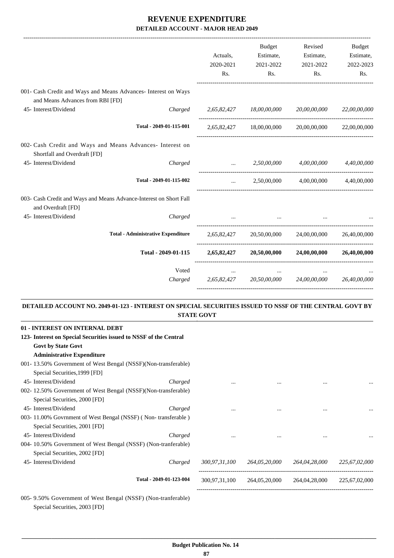|                                                                                          |                                           |           | <b>Budget</b> | Revised                                                                                                         | Budget    |
|------------------------------------------------------------------------------------------|-------------------------------------------|-----------|---------------|-----------------------------------------------------------------------------------------------------------------|-----------|
|                                                                                          |                                           | Actuals,  | Estimate,     | Estimate,                                                                                                       | Estimate, |
|                                                                                          |                                           | 2020-2021 | 2021-2022     | 2021-2022                                                                                                       | 2022-2023 |
|                                                                                          |                                           | Rs.       |               | Rs. Rs.                                                                                                         | Rs.       |
| 001- Cash Credit and Ways and Means Advances- Interest on Ways                           |                                           |           |               |                                                                                                                 |           |
| and Means Advances from RBI [FD]                                                         |                                           |           |               |                                                                                                                 |           |
| 45- Interest/Dividend                                                                    |                                           |           |               | Charged 2,65,82,427 18,00,00,000 20,00,00,000 22,00,00,000                                                      |           |
|                                                                                          | Total - 2049-01-115-001                   |           |               | 2,65,82,427 18,00,00,000 20,00,00,000 22,00,00,000                                                              |           |
| 002- Cash Credit and Ways and Means Advances- Interest on                                |                                           |           |               |                                                                                                                 |           |
| Shortfall and Overdraft [FD]                                                             |                                           |           |               |                                                                                                                 |           |
| 45- Interest/Dividend                                                                    | Charged                                   |           |               | $\ldots$ 2,50,00,000 4,00,00,000 4,40,00,000                                                                    |           |
|                                                                                          | Total - 2049-01-115-002                   | $\cdots$  |               | 2,50,00,000 4,00,00,000 4,40,00,000                                                                             |           |
| 003- Cash Credit and Ways and Means Advance-Interest on Short Fall<br>and Overdraft [FD] |                                           |           |               |                                                                                                                 |           |
| 45- Interest/Dividend                                                                    | Charged                                   |           |               | the contract of the contract of the contract of the contract of the contract of the contract of the contract of |           |
|                                                                                          | <b>Total - Administrative Expenditure</b> |           |               | 2,65,82,427 20,50,00,000 24,00,00,000 26,40,00,000                                                              |           |
|                                                                                          | Total - 2049-01-115                       |           |               | 2,65,82,427 20,50,00,000 24,00,00,000 26,40,00,000                                                              |           |
|                                                                                          | Voted                                     | $\cdots$  | $\cdots$      |                                                                                                                 |           |
|                                                                                          |                                           |           |               | Charged 2,65,82,427 20,50,00,000 24,00,00,000 26,40,00,000                                                      |           |
|                                                                                          |                                           |           |               |                                                                                                                 |           |

### **DETAILED ACCOUNT NO. 2049-01-123 - INTEREST ON SPECIAL SECURITIES ISSUED TO NSSF OF THE CENTRAL GOVT BY STATE GOVT .**

.

| 01 - INTEREST ON INTERNAL DEBT                                    |                         |               |               |               |               |
|-------------------------------------------------------------------|-------------------------|---------------|---------------|---------------|---------------|
| 123- Interest on Special Securities issued to NSSF of the Central |                         |               |               |               |               |
| <b>Govt by State Govt</b>                                         |                         |               |               |               |               |
| <b>Administrative Expenditure</b>                                 |                         |               |               |               |               |
| 001-13.50% Government of West Bengal (NSSF)(Non-transferable)     |                         |               |               |               |               |
| Special Securities, 1999 [FD]                                     |                         |               |               |               |               |
| 45- Interest/Dividend                                             | Charged                 | $\cdots$      |               |               | $\cdots$      |
| 002-12.50% Government of West Bengal (NSSF)(Non-transferable)     |                         |               |               |               |               |
| Special Securities, 2000 [FD]                                     |                         |               |               |               |               |
| 45- Interest/Dividend                                             | Charged                 | $\cdots$      | $\cdots$      | $\cdots$      | $\cdots$      |
| 003-11.00% Govrnment of West Bengal (NSSF) (Non-transferable)     |                         |               |               |               |               |
| Special Securities, 2001 [FD]                                     |                         |               |               |               |               |
| 45- Interest/Dividend                                             | Charged                 | $\cdots$      |               | $\cdots$      | $\cdots$      |
| 004-10.50% Government of West Bengal (NSSF) (Non-tranferable)     |                         |               |               |               |               |
| Special Securities, 2002 [FD]                                     |                         |               |               |               |               |
| 45- Interest/Dividend                                             | Charged                 | 300,97,31,100 | 264,05,20,000 | 264,04,28,000 | 225,67,02,000 |
|                                                                   | Total - 2049-01-123-004 | 300,97,31,100 | 264,05,20,000 | 264,04,28,000 | 225,67,02,000 |
|                                                                   |                         |               |               |               |               |

005- 9.50% Government of West Bengal (NSSF) (Non-tranferable) Special Securities, 2003 [FD]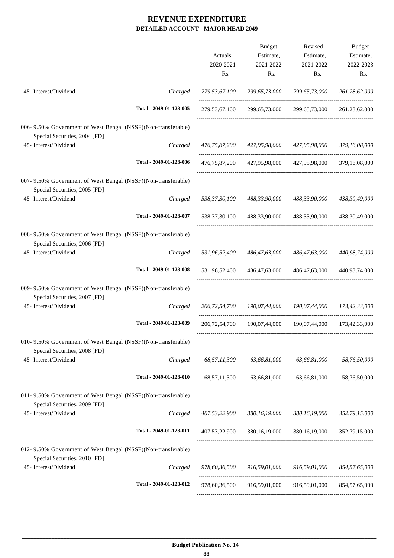|                                                                                                |                         | Actuals,<br>2020-2021<br>Rs. | <b>Budget</b><br>Estimate,<br>2021-2022<br>Rs. | Revised<br>Estimate,<br>2021-2022<br>Rs.                | Budget<br>Estimate,<br>2022-2023<br>Rs. |
|------------------------------------------------------------------------------------------------|-------------------------|------------------------------|------------------------------------------------|---------------------------------------------------------|-----------------------------------------|
| 45- Interest/Dividend                                                                          | Charged                 | 279,53,67,100                | 299,65,73,000                                  | 299,65,73,000                                           | 261,28,62,000                           |
|                                                                                                | Total - 2049-01-123-005 | 279,53,67,100                |                                                | 299,65,73,000 299,65,73,000 261,28,62,000               |                                         |
| 006- 9.50% Government of West Bengal (NSSF)(Non-transferable)<br>Special Securities, 2004 [FD] |                         |                              |                                                |                                                         |                                         |
| 45- Interest/Dividend                                                                          | Charged                 |                              | 476,75,87,200 427,95,98,000                    | 427,95,98,000                                           | 379,16,08,000                           |
|                                                                                                | Total - 2049-01-123-006 | 476,75,87,200                | 427,95,98,000                                  | 427,95,98,000                                           | 379,16,08,000                           |
| 007- 9.50% Government of West Bengal (NSSF)(Non-transferable)<br>Special Securities, 2005 [FD] |                         |                              |                                                |                                                         |                                         |
| 45- Interest/Dividend                                                                          | Charged                 | 538,37,30,100                | 488,33,90,000                                  | 488,33,90,000                                           | 438.30.49.000                           |
|                                                                                                | Total - 2049-01-123-007 | 538, 37, 30, 100             | 488,33,90,000                                  | 488,33,90,000                                           | 438, 30, 49, 000                        |
| 008- 9.50% Government of West Bengal (NSSF)(Non-transferable)<br>Special Securities, 2006 [FD] |                         |                              |                                                |                                                         |                                         |
| 45- Interest/Dividend                                                                          | Charged                 | 531,96,52,400                | 486,47,63,000                                  | 486,47,63,000                                           | 440,98,74,000                           |
|                                                                                                | Total - 2049-01-123-008 | 531,96,52,400                | 486,47,63,000                                  | 486,47,63,000                                           | 440,98,74,000                           |
| 009- 9.50% Government of West Bengal (NSSF)(Non-transferable)<br>Special Securities, 2007 [FD] |                         |                              |                                                |                                                         |                                         |
| 45- Interest/Dividend                                                                          | Charged                 | 206,72,54,700                | 190,07,44,000                                  | 190,07,44,000                                           | 173,42,33,000                           |
|                                                                                                | Total - 2049-01-123-009 | 206, 72, 54, 700             | 190.07.44.000                                  |                                                         | 190,07,44,000 173,42,33,000             |
| 010- 9.50% Government of West Bengal (NSSF)(Non-transferable)<br>Special Securities, 2008 [FD] |                         |                              |                                                |                                                         |                                         |
| 45- Interest/Dividend                                                                          | Charged                 |                              |                                                | 68,57,11,300 63,66,81,000 63,66,81,000                  | 58,76,50,000                            |
|                                                                                                | Total - 2049-01-123-010 |                              |                                                | 68,57,11,300 63,66,81,000 63,66,81,000                  | 58,76,50,000                            |
| 011- 9.50% Government of West Bengal (NSSF)(Non-transferable)<br>Special Securities, 2009 [FD] |                         |                              |                                                |                                                         |                                         |
| 45- Interest/Dividend                                                                          | Charged                 |                              | 407,53,22,900 380,16,19,000                    | 380,16,19,000                                           | 352,79,15,000                           |
|                                                                                                | Total - 2049-01-123-011 |                              |                                                | 407,53,22,900 380,16,19,000 380,16,19,000 352,79,15,000 |                                         |
| 012- 9.50% Government of West Bengal (NSSF)(Non-transferable)<br>Special Securities, 2010 [FD] |                         |                              |                                                |                                                         |                                         |
| 45- Interest/Dividend                                                                          | Charged                 | 978,60,36,500                | 916,59,01,000                                  |                                                         | 916,59,01,000 854,57,65,000             |
|                                                                                                | Total - 2049-01-123-012 | 978,60,36,500                | 916,59,01,000                                  | 916,59,01,000                                           | 854,57,65,000                           |
|                                                                                                |                         |                              |                                                |                                                         |                                         |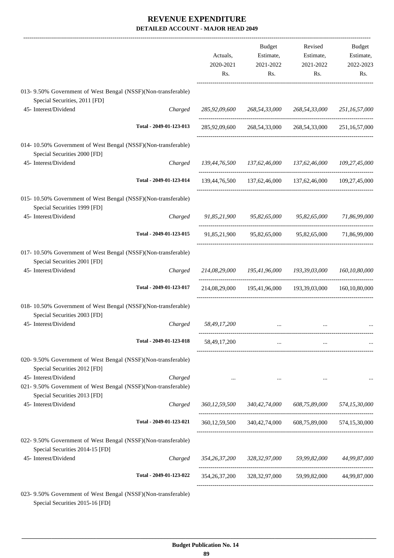|                                                                                                  | Actuals,<br>2020-2021<br>Rs. | <b>Budget</b><br>Estimate,<br>2021-2022<br>Rs. | Revised<br>Estimate,<br>2021-2022<br>Rs.                          | <b>Budget</b><br>Estimate,<br>2022-2023<br>Rs. |
|--------------------------------------------------------------------------------------------------|------------------------------|------------------------------------------------|-------------------------------------------------------------------|------------------------------------------------|
| 013- 9.50% Government of West Bengal (NSSF)(Non-transferable)                                    |                              |                                                |                                                                   |                                                |
| Special Securities, 2011 [FD]<br>45- Interest/Dividend<br>Charged                                | 285,92,09,600                | 268,54,33,000                                  | 268,54,33,000                                                     | 251,16,57,000                                  |
| Total - 2049-01-123-013                                                                          | 285,92,09,600                |                                                | 268, 54, 33, 000 268, 54, 33, 000 251, 16, 57, 000                |                                                |
|                                                                                                  |                              |                                                |                                                                   |                                                |
| 014- 10.50% Government of West Bengal (NSSF)(Non-transferable)<br>Special Securities 2000 [FD]   |                              |                                                |                                                                   |                                                |
| 45- Interest/Dividend<br>Charged                                                                 |                              | 139,44,76,500 137,62,46,000                    | 137,62,46,000                                                     | 109,27,45,000                                  |
| Total - 2049-01-123-014                                                                          |                              |                                                | 139,44,76,500 137,62,46,000 137,62,46,000 109,27,45,000           |                                                |
| 015-10.50% Government of West Bengal (NSSF)(Non-transferable)                                    |                              |                                                |                                                                   |                                                |
| Special Securities 1999 [FD]<br>45- Interest/Dividend<br>Charged                                 |                              | 91,85,21,900 95,82,65,000                      | 95,82,65,000                                                      | 71,86,99,000                                   |
| Total - 2049-01-123-015                                                                          | 91,85,21,900                 |                                                | 95,82,65,000 95,82,65,000                                         | 71,86,99,000                                   |
| 017- 10.50% Government of West Bengal (NSSF)(Non-transferable)<br>Special Securities 2001 [FD]   |                              |                                                |                                                                   |                                                |
| 45- Interest/Dividend<br>Charged                                                                 | 214,08,29,000                | 195,41,96,000                                  | 193,39,03,000                                                     | 160, 10, 80,000                                |
| Total - 2049-01-123-017                                                                          |                              |                                                | 214,08,29,000 195,41,96,000 193,39,03,000                         | 160,10,80,000                                  |
| 018-10.50% Government of West Bengal (NSSF)(Non-transferable)<br>Special Securities 2003 [FD]    |                              |                                                |                                                                   |                                                |
| 45- Interest/Dividend<br>Charged                                                                 | 58,49,17,200                 | $\cdots$                                       |                                                                   |                                                |
| Total - 2049-01-123-018                                                                          | 58,49,17,200                 | $\cdots$                                       |                                                                   |                                                |
| 020- 9.50% Government of West Bengal (NSSF)(Non-transferable)<br>Special Securities 2012 [FD]    |                              |                                                |                                                                   |                                                |
| 45- Interest/Dividend<br>Charged                                                                 |                              |                                                | $\cdots$                                                          |                                                |
| 021- 9.50% Government of West Bengal (NSSF)(Non-transferable)<br>Special Securities 2013 [FD]    |                              |                                                |                                                                   |                                                |
| 45- Interest/Dividend<br>Charged                                                                 |                              |                                                | 360,12,59,500 340,42,74,000 608,75,89,000 574,15,30,000           |                                                |
| Total - 2049-01-123-021                                                                          |                              |                                                | 360,12,59,500 340,42,74,000 608,75,89,000 574,15,30,000           |                                                |
| 022- 9.50% Government of West Bengal (NSSF)(Non-transferable)<br>Special Securities 2014-15 [FD] |                              |                                                |                                                                   |                                                |
| 45- Interest/Dividend<br>Charged                                                                 |                              |                                                | 354,26,37,200 328,32,97,000 59,99,82,000 44,99,87,000             |                                                |
| Total - 2049-01-123-022                                                                          |                              |                                                | 354, 26, 37, 200 328, 32, 97, 000 59, 99, 82, 000 44, 99, 87, 000 |                                                |
| 023- 9.50% Government of West Bengal (NSSF)(Non-transferable)                                    |                              |                                                |                                                                   |                                                |

Special Securities 2015-16 [FD]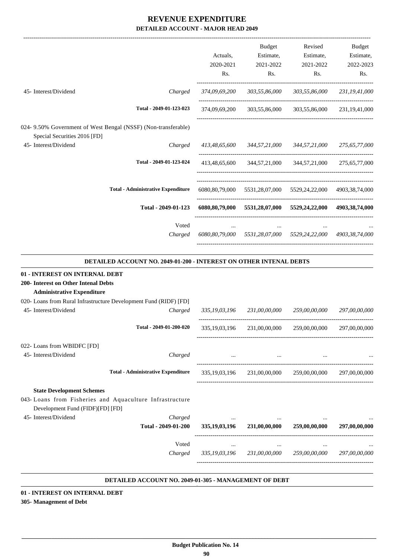|                                      |                                                                           |                  | <b>Budget</b> | Revised                                                     | Budget           |
|--------------------------------------|---------------------------------------------------------------------------|------------------|---------------|-------------------------------------------------------------|------------------|
|                                      |                                                                           | Actuals,         | Estimate,     | Estimate,                                                   | Estimate,        |
|                                      |                                                                           | 2020-2021        | 2021-2022     | 2021-2022                                                   | 2022-2023        |
|                                      |                                                                           | Rs.              | Rs.           | Rs.                                                         | Rs.              |
| 45- Interest/Dividend                | Charged                                                                   | 374,09,69,200    | 303,55,86,000 | 303,55,86,000                                               | 231,19,41,000    |
|                                      | Total - 2049-01-123-023                                                   | 374,09,69,200    | 303,55,86,000 | 303,55,86,000                                               | 231, 19, 41, 000 |
| Special Securities 2016 [FD]         | 024- 9.50% Government of West Bengal (NSSF) (Non-transferable)            |                  |               |                                                             |                  |
| 45- Interest/Dividend                | Charged                                                                   | 413,48,65,600    | 344,57,21,000 | 344,57,21,000                                               | 275,65,77,000    |
|                                      | Total - 2049-01-123-024                                                   | 413,48,65,600    |               | 344,57,21,000 344,57,21,000                                 | 275,65,77,000    |
|                                      | <b>Total - Administrative Expenditure</b>                                 |                  |               | 6080,80,79,000 5531,28,07,000 5529,24,22,000 4903,38,74,000 |                  |
|                                      | Total - 2049-01-123                                                       |                  |               | 6080,80,79,000 5531,28,07,000 5529,24,22,000                | 4903.38.74.000   |
|                                      | Voted                                                                     | $\cdots$         |               |                                                             |                  |
|                                      | Charged                                                                   |                  |               | 6080,80,79,000 5531,28,07,000 5529,24,22,000 4903,38,74,000 |                  |
|                                      | <b>DETAILED ACCOUNT NO. 2049-01-200 - INTEREST ON OTHER INTENAL DEBTS</b> |                  |               |                                                             |                  |
| 01 - INTEREST ON INTERNAL DEBT       |                                                                           |                  |               |                                                             |                  |
| 200- Interest on Other Intenal Debts |                                                                           |                  |               |                                                             |                  |
| <b>Administrative Expenditure</b>    |                                                                           |                  |               |                                                             |                  |
|                                      | 020- Loans from Rural Infrastructure Development Fund (RIDF) [FD]         |                  |               |                                                             |                  |
| 45- Interest/Dividend                | Charged                                                                   | 335, 19, 03, 196 | 231,00,00,000 | 259,00,00,000                                               | 297,00,00,000    |
|                                      | Total - 2049-01-200-020                                                   | 335, 19, 03, 196 | 231,00,00,000 | 259,00,00,000                                               | 297,00,00,000    |
| 022- Loans from WBIDFC [FD]          |                                                                           |                  |               |                                                             |                  |

**Total - Administrative Expenditure** 335,19,03,196 231,00,00,000 259,00,00,000 297,00,00,000

### **State Development Schemes**

### 043- Loans from Fisheries and Aquaculture Infrastructure Development Fund (FIDF)[FD] [FD]

| 45- Interest/Dividend | Charged<br>Total - 2049-01-200 | $\cdots$<br>335,19,03,196 | $\cdots$<br>231,00,00,000 | $\cdots$<br>259,00,00,000 | $\cdots$<br>297,00,00,000 |
|-----------------------|--------------------------------|---------------------------|---------------------------|---------------------------|---------------------------|
|                       | Voted                          | $\cdots$                  | $\cdots$                  | $\cdots$                  | $\cdots$                  |
|                       | Charged                        | 335,19,03,196             | 231,00,00,000             | 259,00,00,000             | 297,00,00,000             |
|                       |                                |                           |                           |                           |                           |

45- Interest/Dividend *Charged* ... ... ... ...

-----------------------------------------------------------------------------------------

-----------------------------------------------------------------------------------------

.

#### **DETAILED ACCOUNT NO. 2049-01-305 - MANAGEMENT OF DEBT .**

### **01 - INTEREST ON INTERNAL DEBT**

### **305- Management of Debt**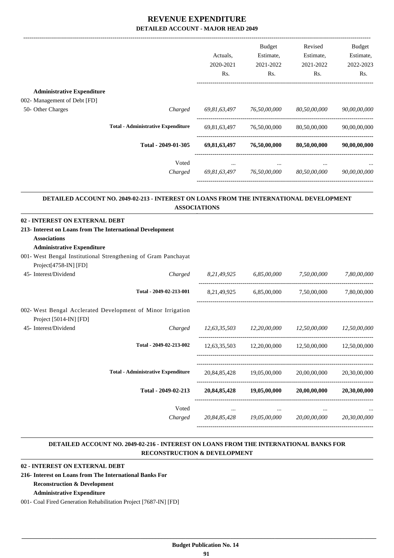|                                                                                  |                                                                | Actuals,<br>2020-2021<br>Rs. | Budget<br>Estimate,<br>2021-2022<br>Rs. | Revised<br>Estimate,<br>2021-2022<br>Rs.            | Budget<br>Estimate,<br>2022-2023<br>Rs.      |
|----------------------------------------------------------------------------------|----------------------------------------------------------------|------------------------------|-----------------------------------------|-----------------------------------------------------|----------------------------------------------|
| <b>Administrative Expenditure</b>                                                |                                                                |                              |                                         |                                                     |                                              |
| 002- Management of Debt [FD]                                                     |                                                                |                              |                                         |                                                     |                                              |
| 50- Other Charges                                                                | Charged                                                        |                              | 69,81,63,497 76,50,00,000               | 80,50,00,000                                        | 90,00,00,000                                 |
|                                                                                  | <b>Total - Administrative Expenditure</b>                      |                              |                                         | 69,81,63,497 76,50,00,000 80,50,00,000              | 90,00,00,000                                 |
|                                                                                  | Total - 2049-01-305                                            |                              |                                         | $69,81,63,497$ $76,50,00,000$ $80,50,00,000$        | 90,00,00,000                                 |
|                                                                                  | Voted                                                          | $\cdots$                     | $\cdots$                                |                                                     |                                              |
|                                                                                  | Charged                                                        |                              |                                         | 69,81,63,497 76,50,00,000 80,50,00,000 90,00,00,000 |                                              |
| 213- Interest on Loans from The International Development<br><b>Associations</b> |                                                                |                              |                                         |                                                     |                                              |
| <b>Administrative Expenditure</b><br>Project[4758-IN] [FD]                       | 001- West Bengal Institutional Strengthening of Gram Panchayat |                              |                                         |                                                     |                                              |
| 45- Interest/Dividend                                                            | Charged                                                        |                              | 8,21,49,925 6,85,00,000 7,50,00,000     |                                                     |                                              |
|                                                                                  | Total - 2049-02-213-001                                        |                              |                                         | 8,21,49,925 6,85,00,000 7,50,00,000 7,80,00,000     | 7,80,00,000                                  |
| Project [5014-IN] [FD]                                                           | 002- West Bengal Acclerated Development of Minor Irrigation    |                              |                                         |                                                     |                                              |
| 45- Interest/Dividend                                                            | Charged                                                        | 12,63,35,503                 | 12,20,00,000                            | 12,50,00,000                                        | 12,50,00,000                                 |
|                                                                                  | Total - 2049-02-213-002                                        | 12,63,35,503                 |                                         | 12,20,00,000 12,50,00,000                           |                                              |
|                                                                                  | <b>Total - Administrative Expenditure</b>                      | 20,84,85,428                 | 19,05,00,000                            | 20,00,00,000                                        |                                              |
|                                                                                  | Total - 2049-02-213                                            |                              | 20,84,85,428 19,05,00,000               | 20,00,00,000                                        | 12,50,00,000<br>20,30,00,000<br>20,30,00,000 |

### **DETAILED ACCOUNT NO. 2049-02-216 - INTEREST ON LOANS FROM THE INTERNATIONAL BANKS FOR RECONSTRUCTION & DEVELOPMENT .**

.

### **02 - INTEREST ON EXTERNAL DEBT**

- **216- Interest on Loans from The International Banks For Reconstruction & Development Administrative Expenditure**
- 001- Coal Fired Generation Rehabilitation Project [7687-IN] [FD]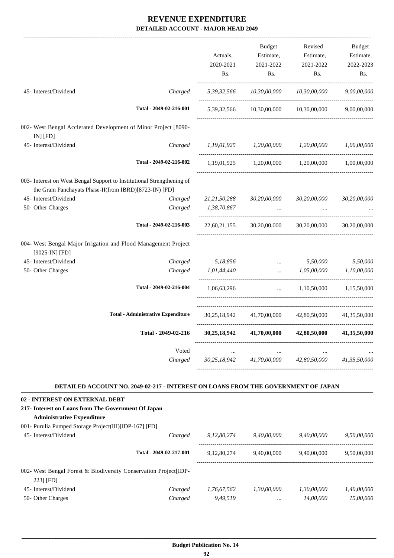|                                                                                                                                                                               |                         | Actuals,<br>2020-2021<br>Rs.        | <b>Budget</b><br>Estimate,<br>2021-2022<br>Rs.     | Revised<br>Estimate,<br>2021-2022<br>Rs.                | Budget<br>Estimate,<br>2022-2023<br>Rs. |
|-------------------------------------------------------------------------------------------------------------------------------------------------------------------------------|-------------------------|-------------------------------------|----------------------------------------------------|---------------------------------------------------------|-----------------------------------------|
| 45- Interest/Dividend                                                                                                                                                         | Charged                 |                                     | 5,39,32,566 10,30,00,000 10,30,00,000              |                                                         | 9,00,00,000                             |
|                                                                                                                                                                               | Total - 2049-02-216-001 |                                     |                                                    | 5,39,32,566 10,30,00,000 10,30,00,000                   | 9,00,00,000                             |
| 002- West Bengal Acclerated Development of Minor Project [8090-<br>IN] [FD]                                                                                                   |                         |                                     |                                                    |                                                         |                                         |
| 45- Interest/Dividend                                                                                                                                                         | Charged                 | 1,19,01,925 1,20,00,000 1,20,00,000 |                                                    |                                                         | 1,00,00,000                             |
|                                                                                                                                                                               | Total - 2049-02-216-002 |                                     |                                                    | $1,19,01,925$ $1,20,00,000$ $1,20,00,000$ $1,00,00,000$ |                                         |
| 003- Interest on West Bengal Support to Institutional Strengthening of<br>the Gram Panchayats Phase-II(from IBRD)[8723-IN) [FD]<br>45- Interest/Dividend<br>50- Other Charges | Charged<br>Charged      | 21,21,50,288<br>1,38,70,867         |                                                    | 30,20,00,000 30,20,00,000                               | 30,20,00,000                            |
|                                                                                                                                                                               | Total - 2049-02-216-003 |                                     |                                                    | 22,60,21,155 30,20,00,000 30,20,00,000                  | 30,20,00,000                            |
| 004- West Bengal Major Irrigation and Flood Management Project<br>[9025-IN] [FD]                                                                                              |                         |                                     |                                                    |                                                         |                                         |
| 45- Interest/Dividend                                                                                                                                                         | Charged                 | 5,18,856                            | <b>Section</b>                                     | 5,50,000                                                | 5,50,000                                |
| 50- Other Charges                                                                                                                                                             | Charged                 | 1,01,44,440                         |                                                    | $1,05,00,000$                                           | 1,10,00,000                             |
|                                                                                                                                                                               | Total - 2049-02-216-004 | 1,06,63,296                         |                                                    | $\ldots$ 1,10,50,000 1,15,50,000                        |                                         |
| <b>Total - Administrative Expenditure</b>                                                                                                                                     |                         |                                     |                                                    | 30,25,18,942 41,70,00,000 42,80,50,000 41,35,50,000     |                                         |
|                                                                                                                                                                               | Total - 2049-02-216     |                                     |                                                    | 30,25,18,942 41,70,00,000 42,80,50,000 41,35,50,000     |                                         |
|                                                                                                                                                                               | Voted<br>Charged        | $\cdots$                            | $\cdots$<br>30,25,18,942 41,70,00,000 42,80,50,000 |                                                         | 41,35,50,000                            |
| DETAILED ACCOUNT NO. 2049-02-217 - INTEREST ON LOANS FROM THE GOVERNMENT OF JAPAN                                                                                             |                         |                                     |                                                    |                                                         |                                         |
| 02 - INTEREST ON EXTERNAL DEBT                                                                                                                                                |                         |                                     |                                                    |                                                         |                                         |
| 217- Interest on Loans from The Government Of Japan<br><b>Administrative Expenditure</b>                                                                                      |                         |                                     |                                                    |                                                         |                                         |
| 001- Purulia Pumped Storage Project(III)[IDP-167] [FD]<br>45- Interest/Dividend                                                                                               | Charged                 |                                     | 9,12,80,274 9,40,00,000                            | 9,40,00,000                                             | 9,50,00,000                             |
|                                                                                                                                                                               | Total - 2049-02-217-001 | 9, 12, 80, 274                      | 9,40,00,000                                        | 9,40,00,000                                             | 9,50,00,000                             |
| 002- West Bengal Forest & Biodiversity Conservation Project[IDP-<br>223] [FD]                                                                                                 |                         |                                     |                                                    |                                                         |                                         |
| 45- Interest/Dividend                                                                                                                                                         | Charged                 | 1,76,67,562                         | 1,30,00,000                                        | 1,30,00,000                                             | 1,40,00,000                             |
| 50- Other Charges                                                                                                                                                             | Charged                 | 9,49,519                            | $\cdots$                                           | 14,00,000                                               | 15,00,000                               |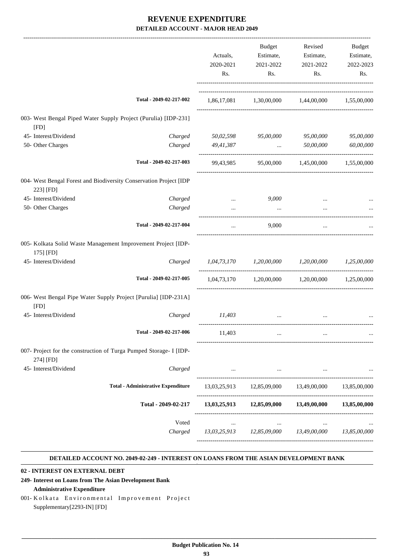|                       |                                                                    | Actuals,<br>2020-2021<br>Rs. | <b>Budget</b><br>Estimate,<br>2021-2022<br>Rs.     | Revised<br>Estimate,<br>2021-2022<br>Rs.        | Budget<br>Estimate,<br>2022-2023<br>Rs. |
|-----------------------|--------------------------------------------------------------------|------------------------------|----------------------------------------------------|-------------------------------------------------|-----------------------------------------|
|                       | Total - 2049-02-217-002                                            |                              |                                                    | 1,86,17,081 1,30,00,000 1,44,00,000 1,55,00,000 |                                         |
| [FD]                  | 003- West Bengal Piped Water Supply Project (Purulia) [IDP-231]    |                              |                                                    |                                                 |                                         |
| 45- Interest/Dividend | Charged                                                            | 50,02,598                    | 95,00,000                                          | 95,00,000                                       | 95,00,000                               |
| 50- Other Charges     | Charged                                                            | 49,41,387                    | <b><i>Committee States</i></b>                     | 50,00,000                                       | 60,00,000                               |
|                       | Total - 2049-02-217-003                                            | 99,43,985                    | 95,00,000                                          | 1,45,00,000 1,55,00,000                         |                                         |
| 223] [FD]             | 004- West Bengal Forest and Biodiversity Conservation Project [IDP |                              |                                                    |                                                 |                                         |
| 45- Interest/Dividend | Charged                                                            | $\cdots$                     | 9,000                                              |                                                 |                                         |
| 50- Other Charges     | Charged                                                            |                              | $\sim$ $\sim$                                      |                                                 |                                         |
|                       | Total - 2049-02-217-004                                            | $\cdots$                     | 9,000                                              | $\cdots$                                        |                                         |
| 175] [FD]             | 005- Kolkata Solid Waste Management Improvement Project [IDP-      |                              |                                                    |                                                 |                                         |
| 45- Interest/Dividend | Charged                                                            |                              | $1,04,73,170$ $1,20,00,000$                        | 1,20,00,000                                     | 1,25,00,000                             |
|                       | Total - 2049-02-217-005                                            |                              |                                                    | 1,04,73,170 1,20,00,000 1,20,00,000 1,25,00,000 |                                         |
| [FD]                  | 006- West Bengal Pipe Water Supply Project [Purulia] [IDP-231A]    |                              |                                                    |                                                 |                                         |
| 45- Interest/Dividend | Charged                                                            | 11,403                       |                                                    |                                                 |                                         |
|                       | Total - 2049-02-217-006                                            | 11,403                       |                                                    |                                                 |                                         |
| 274] [FD]             | 007- Project for the construction of Turga Pumped Storage- I [IDP- |                              |                                                    |                                                 |                                         |
| 45- Interest/Dividend | Charged                                                            |                              |                                                    |                                                 |                                         |
|                       | <b>Total - Administrative Expenditure</b>                          |                              |                                                    | 13,03,25,913 12,85,09,000 13,49,00,000          | 13,85,00,000                            |
|                       | Total - 2049-02-217                                                |                              |                                                    | $13,03,25,913$ $12,85,09,000$ $13,49,00,000$    | 13,85,00,000                            |
|                       | Voted<br>Charged                                                   | $\ldots$                     | $\ldots$<br>13,03,25,913 12,85,09,000 13,49,00,000 | $\cdots$                                        | 13,85,00,000                            |
|                       |                                                                    |                              |                                                    |                                                 |                                         |

#### **DETAILED ACCOUNT NO. 2049-02-249 - INTEREST ON LOANS FROM THE ASIAN DEVELOPMENT BANK .**

.

### **02 - INTEREST ON EXTERNAL DEBT**

### **249- Interest on Loans from The Asian Development Bank**

### **Administrative Expenditure**

001- Kolkata Environmental Improvement Project Supplementary[2293-IN] [FD]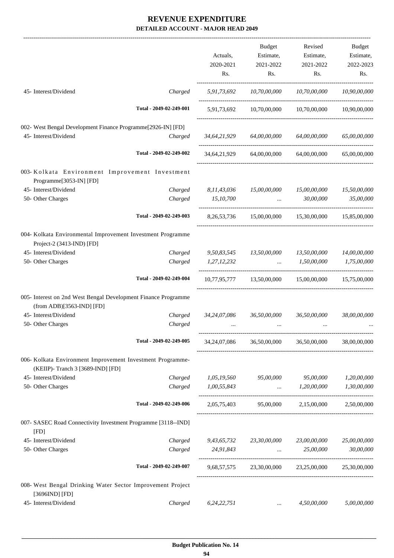|                                                                                                 |                         | Actuals,<br>2020-2021<br>Rs.    | <b>Budget</b><br>Estimate,<br>2021-2022<br>Rs. | Revised<br>Estimate,<br>2021-2022<br>Rs.           | Budget<br>Estimate,<br>2022-2023<br>Rs. |
|-------------------------------------------------------------------------------------------------|-------------------------|---------------------------------|------------------------------------------------|----------------------------------------------------|-----------------------------------------|
| 45- Interest/Dividend                                                                           | Charged                 | 5,91,73,692                     | 10,70,00,000                                   | 10,70,00,000                                       | 10,90,00,000                            |
|                                                                                                 | Total - 2049-02-249-001 | 5,91,73,692                     | 10,70,00,000                                   | 10,70,00,000                                       | 10,90,00,000                            |
| 002- West Bengal Development Finance Programme[2926-IN] [FD]                                    |                         |                                 |                                                |                                                    |                                         |
| 45- Interest/Dividend                                                                           | Charged                 |                                 | 34,64,21,929 64,00,00,000                      | 64,00,00,000                                       | 65,00,00,000                            |
|                                                                                                 | Total - 2049-02-249-002 | 34,64,21,929                    | 64,00,00,000                                   | 64,00,00,000                                       | 65,00,00,000                            |
| 003-Kolkata Environment Improvement Investment<br>Programme[3053-IN] [FD]                       |                         |                                 |                                                |                                                    |                                         |
| 45- Interest/Dividend                                                                           | Charged                 | 8,11,43,036                     | 15,00,00,000                                   | 15,00,00,000                                       | 15,50,00,000                            |
| 50- Other Charges                                                                               | Charged                 | 15,10,700                       |                                                | 30.00.000                                          | 35,00,000                               |
|                                                                                                 | Total - 2049-02-249-003 | 8, 26, 53, 736                  |                                                | 15,00,00,000 15,30,00,000                          | 15,85,00,000                            |
| 004- Kolkata Environmental Improvement Investment Programme<br>Project-2 (3413-IND) [FD]        |                         |                                 |                                                |                                                    |                                         |
| 45- Interest/Dividend                                                                           | Charged                 | 9,50,83,545                     | 13,50,00,000                                   | 13,50,00,000                                       | 14,00,00,000                            |
| 50- Other Charges                                                                               | Charged                 | 1,27,12,232                     |                                                | 1,50,00,000                                        | 1,75,00,000                             |
|                                                                                                 | Total - 2049-02-249-004 | 10,77,95,777                    | 13,50,00,000                                   | 15,00,00,000                                       | 15,75,00,000                            |
| 005- Interest on 2nd West Bengal Development Finance Programme<br>$(from ADB)[3563-IND]$ [FD]   |                         |                                 |                                                |                                                    |                                         |
| 45- Interest/Dividend                                                                           | Charged                 | 34,24,07,086                    | 36,50,00,000                                   | 36,50,00,000                                       | 38,00,00,000                            |
| 50- Other Charges                                                                               | Charged                 |                                 |                                                |                                                    |                                         |
|                                                                                                 | Total - 2049-02-249-005 |                                 | 34,24,07,086 36,50,00,000 36,50,00,000         |                                                    | 38,00,00,000                            |
| 006- Kolkata Environment Improvement Investment Programme-<br>(KEIIP)- Tranch 3 [3689-IND] [FD] |                         |                                 |                                                |                                                    |                                         |
| 45- Interest/Dividend                                                                           | Charged                 | 1,05,19,560 95,00,000 95,00,000 |                                                |                                                    | 1,20,00,000                             |
| 50- Other Charges                                                                               | Charged                 |                                 | $1,00,55,843$ $1,20,00,000$                    |                                                    | 1,30,00,000                             |
|                                                                                                 | Total - 2049-02-249-006 |                                 |                                                | 2,05,75,403 95,00,000 2,15,00,000 2,50,00,000      |                                         |
| 007- SASEC Road Connectivity Investment Programme [3118--IND]<br>[FD]                           |                         |                                 |                                                |                                                    |                                         |
| 45- Interest/Dividend                                                                           | Charged                 |                                 |                                                | 9,43,65,732 23,30,00,000 23,00,00,000              | 25,00,00,000                            |
| 50- Other Charges                                                                               | Charged                 | 24,91,843                       | and the company of the                         | 25,00,000                                          | 30,00,000                               |
|                                                                                                 | Total - 2049-02-249-007 |                                 |                                                | 9,68,57,575 23,30,00,000 23,25,00,000 25,30,00,000 |                                         |
| 008- West Bengal Drinking Water Sector Improvement Project<br>[3696IND] [FD]                    |                         |                                 |                                                |                                                    |                                         |
| 45- Interest/Dividend                                                                           | Charged                 | 6, 24, 22, 751                  | $\sim 10^{-11}$                                | 4,50,00,000                                        | 5,00,00,000                             |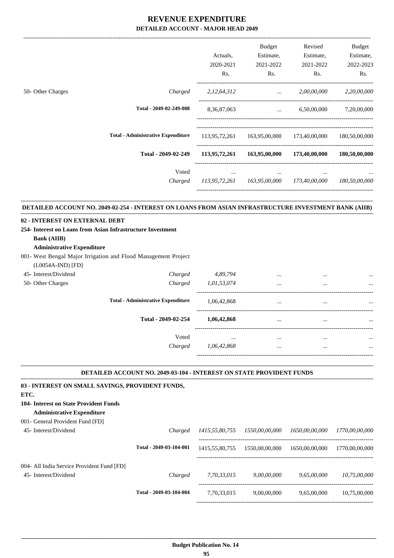|                   |                                           | Actuals,<br>2020-2021<br>Rs. | <b>Budget</b><br>Estimate,<br>2021-2022<br>Rs. | Revised<br>Estimate,<br>2021-2022<br>Rs. | Budget<br>Estimate,<br>2022-2023<br>Rs. |
|-------------------|-------------------------------------------|------------------------------|------------------------------------------------|------------------------------------------|-----------------------------------------|
| 50- Other Charges | Charged                                   | 2,12,64,312                  | $\cdots$                                       | 2,00,00,000                              | 2,20,00,000                             |
|                   | Total - 2049-02-249-008                   | 8, 36, 87, 063               | $\cdots$                                       | 6,50,00,000                              | 7,20,00,000                             |
|                   | <b>Total - Administrative Expenditure</b> | 113,95,72,261                | 163,95,00,000                                  | 173,40,00,000                            | 180,50,00,000                           |
|                   | Total - 2049-02-249                       | 113,95,72,261                | 163,95,00,000                                  | 173,40,00,000                            | 180,50,00,000                           |
|                   | Voted<br>Charged                          | $\cdots$<br>113,95,72,261    | $\cdots$<br>163,95,00,000                      | $\cdots$<br>173,40,00,000                | $\cdots$<br>180,50,00,000               |

#### **DETAILED ACCOUNT NO. 2049-02-254 - INTEREST ON LOANS FROM ASIAN INFRASTRUCTURE INVESTMENT BANK (AIIB) .**

.

.

### **02 - INTEREST ON EXTERNAL DEBT**

|                                   | 254- Interest on Loans from Asian Infrastructure Investment    |                      |          |          |          |
|-----------------------------------|----------------------------------------------------------------|----------------------|----------|----------|----------|
| <b>Bank (AIIB)</b>                |                                                                |                      |          |          |          |
| <b>Administrative Expenditure</b> |                                                                |                      |          |          |          |
|                                   | 001- West Bengal Major Irrigation and Flood Management Project |                      |          |          |          |
| $(L0054A-IND)$ [FD]               |                                                                |                      |          |          |          |
| 45- Interest/Dividend             |                                                                | $Charged$ $4,89,794$ |          | $\cdots$ | $\cdots$ |
| 50- Other Charges                 |                                                                | Charged 1,01,53,074  | $\cdots$ | $\cdots$ | $\cdots$ |
|                                   | <b>Total - Administrative Expenditure</b>                      | 1,06,42,868          | $\cdots$ | $\cdots$ | $\cdots$ |
|                                   | Total - 2049-02-254                                            | 1,06,42,868          | $\cdots$ | $\cdots$ | $\cdots$ |
|                                   | Voted                                                          | $\cdots$             |          | $\cdots$ | $\cdots$ |
|                                   | Charged                                                        | 1,06,42,868          |          | $\cdots$ | $\cdots$ |
|                                   |                                                                |                      |          |          |          |

#### **DETAILED ACCOUNT NO. 2049-03-104 - INTEREST ON STATE PROVIDENT FUNDS .**

| 03 - INTEREST ON SMALL SAVINGS, PROVIDENT FUNDS,<br>ETC. |                         |                   |                |                |                |
|----------------------------------------------------------|-------------------------|-------------------|----------------|----------------|----------------|
| 104- Interest on State Provident Funds                   |                         |                   |                |                |                |
| <b>Administrative Expenditure</b>                        |                         |                   |                |                |                |
| 001- General Provident Fund [FD]                         |                         |                   |                |                |                |
| 45- Interest/Dividend                                    | Charged                 | 1415,55,80,755    | 1550,00,00,000 | 1650.00.00.000 | 1770.00.00.000 |
|                                                          | Total - 2049-03-104-001 | 1415, 55, 80, 755 | 1550,00,00,000 | 1650,00,00,000 | 1770,00,00,000 |
| 004 - All India Service Provident Fund [FD]              |                         |                   |                |                |                |
| 45- Interest/Dividend                                    | Charged                 | 7,70,33,015       | 9.00.00.000    | 9.65.00.000    | 10.75.00.000   |
|                                                          | Total - 2049-03-104-004 | 7, 70, 33, 015    | 9.00.00.000    | 9.65.00.000    | 10.75.00.000   |
|                                                          |                         |                   |                |                |                |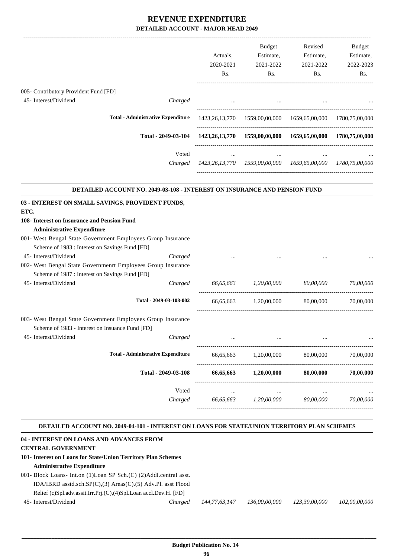|                                                                         |                                                                           | Actuals,<br>2020-2021<br>Rs. | Budget<br>Estimate,<br>2021-2022<br>Rs. | Revised<br>Estimate,<br>2021-2022<br>Rs.                          | Budget<br>Estimate,<br>2022-2023<br>Rs. |
|-------------------------------------------------------------------------|---------------------------------------------------------------------------|------------------------------|-----------------------------------------|-------------------------------------------------------------------|-----------------------------------------|
| 005- Contributory Provident Fund [FD]<br>45- Interest/Dividend          |                                                                           |                              |                                         |                                                                   |                                         |
|                                                                         | Charged                                                                   |                              |                                         |                                                                   |                                         |
|                                                                         | <b>Total - Administrative Expenditure</b>                                 |                              |                                         | 1423,26,13,770 1559,00,00,000 1659,65,00,000 1780,75,00,000       |                                         |
|                                                                         | Total - 2049-03-104                                                       |                              |                                         |                                                                   |                                         |
|                                                                         | Voted                                                                     | $\cdots$                     | $\cdots$                                |                                                                   |                                         |
|                                                                         | Charged                                                                   |                              |                                         | 1423,26,13,770   1559,00,00,000   1659,65,00,000   1780,75,00,000 |                                         |
|                                                                         | DETAILED ACCOUNT NO. 2049-03-108 - INTEREST ON INSURANCE AND PENSION FUND |                              |                                         |                                                                   |                                         |
| ETC.<br>108- Interest on Insurance and Pension Fund                     | 03 - INTEREST ON SMALL SAVINGS, PROVIDENT FUNDS,                          |                              |                                         |                                                                   |                                         |
| <b>Administrative Expenditure</b>                                       |                                                                           |                              |                                         |                                                                   |                                         |
| Scheme of 1983 : Interest on Savings Fund [FD]                          | 001- West Bengal State Government Employees Group Insurance               |                              |                                         |                                                                   |                                         |
| 45- Interest/Dividend<br>Scheme of 1987 : Interest on Savings Fund [FD] | Charged<br>002- West Bengal State Governmenrt Employees Group Insurance   |                              |                                         |                                                                   |                                         |
| 45- Interest/Dividend                                                   | Charged                                                                   |                              | 66,65,663 1,20,00,000                   | 80,00,000                                                         | 70,00,000                               |
|                                                                         | Total - 2049-03-108-002                                                   |                              | 66,65,663 1,20,00,000                   | 80,00,000                                                         | 70,00,000                               |
| Scheme of 1983 - Interest on Insuance Fund [FD]                         | 003- West Bengal State Government Employees Group Insurance               |                              |                                         |                                                                   |                                         |
| 45- Interest/Dividend                                                   | Charged                                                                   |                              |                                         |                                                                   |                                         |
|                                                                         | <b>Total - Administrative Expenditure</b>                                 | 66,65,663                    | 1,20,00,000                             | 80,00,000                                                         | 70,00,000                               |
|                                                                         | Total - 2049-03-108                                                       | 66,65,663                    | 1,20,00,000                             | 80,00,000                                                         | 70,00,000                               |
|                                                                         | Voted                                                                     | $\cdots$                     | $\cdots$                                | $\cdots$                                                          |                                         |
|                                                                         | Charged                                                                   | 66,65,663                    | 1,20,00,000                             | 80,00,000                                                         | 70,00,000                               |
|                                                                         |                                                                           |                              |                                         |                                                                   |                                         |

#### **DETAILED ACCOUNT NO. 2049-04-101 - INTEREST ON LOANS FOR STATE/UNION TERRITORY PLAN SCHEMES .**

.

| 04 - INTEREST ON LOANS AND ADVANCES FROM                                   |         |               |               |               |               |
|----------------------------------------------------------------------------|---------|---------------|---------------|---------------|---------------|
| <b>CENTRAL GOVERNMENT</b>                                                  |         |               |               |               |               |
| 101- Interest on Loans for State/Union Territory Plan Schemes              |         |               |               |               |               |
| <b>Administrative Expenditure</b>                                          |         |               |               |               |               |
| 001- Block Loans- Int.on $(1)$ Loan SP Sch. $(C)$ $(2)$ Addl.central asst. |         |               |               |               |               |
| IDA/IBRD asstd.sch.SP $(C)$ , $(3)$ Areas $(C)$ . $(5)$ Adv.Pl. asst Flood |         |               |               |               |               |
| Relief (c)Spl.adv.assit.Irr.Prj.(C),(4)Spl.Loan accl.Dev.H. [FD]           |         |               |               |               |               |
| 45- Interest/Dividend                                                      | Charged | 144,77,63,147 | 136,00,00,000 | 123.39.00.000 | 102.00.00.000 |
|                                                                            |         |               |               |               |               |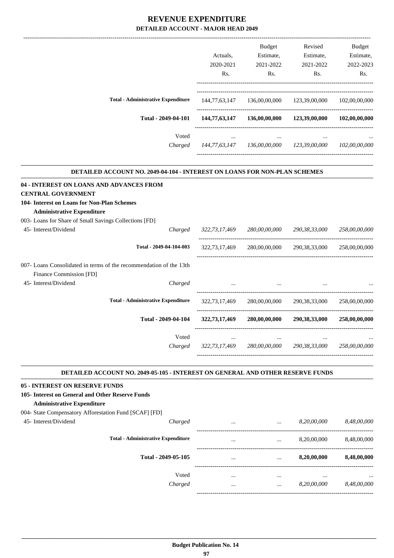|                                                                                                                                                           | Actuals,<br>2020-2021<br>Rs. | <b>Budget</b><br>Estimate,<br>2021-2022<br>Rs. | Revised<br>Estimate,<br>2021-2022<br>Rs.                                    | Budget<br>Estimate,<br>2022-2023<br>Rs. |
|-----------------------------------------------------------------------------------------------------------------------------------------------------------|------------------------------|------------------------------------------------|-----------------------------------------------------------------------------|-----------------------------------------|
| <b>Total - Administrative Expenditure</b>                                                                                                                 |                              |                                                | 144,77,63,147 136,00,00,000 123,39,00,000 102,00,00,000                     |                                         |
| Total - 2049-04-101                                                                                                                                       |                              |                                                | 144,77,63,147  136,00,00,000  123,39,00,000  102,00,00,000                  |                                         |
| Voted                                                                                                                                                     | $\cdots$                     | $\cdots$                                       | $\cdots$<br>Charged 144,77,63,147 136,00,00,000 123,39,00,000 102,00,00,000 |                                         |
| <b>DETAILED ACCOUNT NO. 2049-04-104 - INTEREST ON LOANS FOR NON-PLAN SCHEMES</b>                                                                          |                              |                                                |                                                                             |                                         |
| 04 - INTEREST ON LOANS AND ADVANCES FROM<br><b>CENTRAL GOVERNMENT</b><br>104- Interest on Loans for Non-Plan Schemes<br><b>Administrative Expenditure</b> |                              |                                                |                                                                             |                                         |
| 003- Loans for Share of Small Savings Collections [FD]                                                                                                    |                              |                                                |                                                                             |                                         |
| 45- Interest/Dividend                                                                                                                                     |                              |                                                | Charged 322,73,17,469 280,00,00,000 290,38,33,000 258,00,00,000             |                                         |
| Total - 2049-04-104-003                                                                                                                                   |                              |                                                | 322,73,17,469 280,00,00,000 290,38,33,000                                   | 258,00,00,000                           |
| 007- Loans Consolidated in terms of the recommendation of the 13th<br>Finance Commission [FD]                                                             |                              |                                                |                                                                             |                                         |
| 45- Interest/Dividend<br>Charged                                                                                                                          |                              | <b>Contract Contract</b>                       |                                                                             |                                         |
| Total - Administrative Expenditure 322,73,17,469 280,00,00,000 290,38,33,000 258,00,00,000                                                                |                              |                                                |                                                                             |                                         |
| Total - 2049-04-104                                                                                                                                       |                              | 322,73,17,469 280,00,00,000                    | 290,38,33,000 258,00,00,000                                                 |                                         |
| Voted                                                                                                                                                     |                              |                                                |                                                                             |                                         |
| Charged                                                                                                                                                   | 322,73,17,469                | 280,00,00,000                                  | 290,38,33,000                                                               | 258,00,00,000                           |
| <b>DETAILED ACCOUNT NO. 2049-05-105 - INTEREST ON GENERAL AND OTHER RESERVE FUNDS</b>                                                                     |                              |                                                |                                                                             |                                         |
| <b>05 - INTEREST ON RESERVE FUNDS</b>                                                                                                                     |                              |                                                |                                                                             |                                         |
| 105- Interest on General and Other Reserve Funds<br><b>Administrative Expenditure</b><br>004- State Compensatory Afforestation Fund [SCAF] [FD]           |                              |                                                |                                                                             |                                         |

45- Interest/Dividend *Charged* ... ... *8,20,00,000 8,48,00,000*

| Charged                                   | $\cdots$ | $\cdots$ | 8,20,00,000 | 8,48,00,000 |
|-------------------------------------------|----------|----------|-------------|-------------|
| <b>Total - Administrative Expenditure</b> | $\cdots$ | $\cdots$ | 8,20,00,000 | 8,48,00,000 |
| Total - 2049-05-105                       | $\cdots$ | $\cdots$ | 8,20,00,000 | 8,48,00,000 |
| Voted                                     | $\cdots$ | $\cdots$ | $\cdots$    | $\cdots$    |
| Charged                                   | $\cdots$ | $\cdots$ | 8,20,00,000 | 8,48,00,000 |

-----------------------------------------------------------------------------------------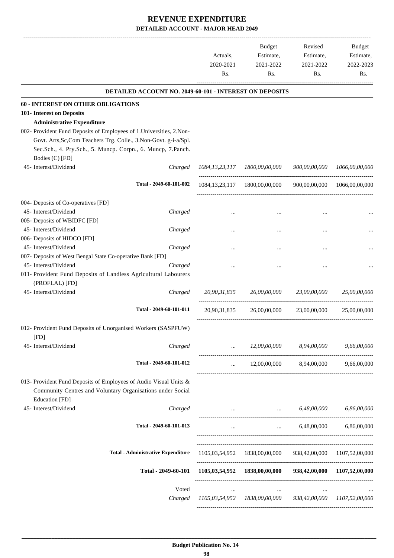|                                                                                                                                 | Actuals,<br>2020-2021<br>Rs. | <b>Budget</b><br>Estimate,<br>2021-2022<br>Rs.             | Revised<br>Estimate,<br>2021-2022<br>Rs. | Budget<br>Estimate,<br>2022-2023<br>Rs. |
|---------------------------------------------------------------------------------------------------------------------------------|------------------------------|------------------------------------------------------------|------------------------------------------|-----------------------------------------|
| DETAILED ACCOUNT NO. 2049-60-101 - INTEREST ON DEPOSITS                                                                         |                              |                                                            |                                          |                                         |
| <b>60 - INTEREST ON OTHER OBLIGATIONS</b>                                                                                       |                              |                                                            |                                          |                                         |
| 101- Interest on Deposits                                                                                                       |                              |                                                            |                                          |                                         |
| <b>Administrative Expenditure</b>                                                                                               |                              |                                                            |                                          |                                         |
| 002- Provident Fund Deposits of Employees of 1. Universities, 2. Non-                                                           |                              |                                                            |                                          |                                         |
| Govt. Arts, Sc, Com Teachers Trg. Colle., 3. Non-Govt. g-i-a/Spl.                                                               |                              |                                                            |                                          |                                         |
| Sec.Sch., 4. Pry.Sch., 5. Muncp. Corpn., 6. Muncp, 7.Panch.                                                                     |                              |                                                            |                                          |                                         |
| Bodies (C) [FD]                                                                                                                 |                              |                                                            |                                          |                                         |
| 45- Interest/Dividend<br>Charged                                                                                                |                              | 1084, 13, 23, 117 1800, 00, 00, 000                        | 900,00,00,000                            | 1066,00,00,000                          |
| Total - 2049-60-101-002                                                                                                         |                              | 1084, 13, 23, 117 1800, 00, 00, 000                        | 900,00,00,000                            | 1066,00,00,000                          |
| 004- Deposits of Co-operatives [FD]                                                                                             |                              |                                                            |                                          |                                         |
| 45- Interest/Dividend<br>Charged                                                                                                |                              |                                                            |                                          |                                         |
| 005- Deposits of WBIDFC [FD]                                                                                                    |                              |                                                            |                                          |                                         |
| 45- Interest/Dividend<br>Charged                                                                                                |                              |                                                            |                                          |                                         |
| 006- Deposits of HIDCO [FD]                                                                                                     |                              |                                                            |                                          |                                         |
| 45- Interest/Dividend<br>Charged                                                                                                |                              |                                                            |                                          |                                         |
| 007- Deposits of West Bengal State Co-operative Bank [FD]                                                                       |                              |                                                            |                                          |                                         |
| 45- Interest/Dividend<br>Charged                                                                                                |                              |                                                            |                                          |                                         |
| 011- Provident Fund Deposits of Landless Agricultural Labourers                                                                 |                              |                                                            |                                          |                                         |
| (PROFLAL) [FD]                                                                                                                  |                              |                                                            |                                          |                                         |
| 45- Interest/Dividend<br>Charged                                                                                                | 20,90,31,835                 | 26,00,00,000                                               | 23,00,00,000                             | 25,00,00,000                            |
|                                                                                                                                 |                              |                                                            |                                          |                                         |
| Total - 2049-60-101-011                                                                                                         | 20,90,31,835                 | 26,00,00,000                                               | 23,00,00,000                             | 25,00,00,000                            |
| 012- Provident Fund Deposits of Unorganised Workers (SASPFUW)                                                                   |                              |                                                            |                                          |                                         |
| [FD]                                                                                                                            |                              |                                                            |                                          |                                         |
| 45- Interest/Dividend<br>Charged                                                                                                | $\cdots$                     | 12,00,00,000                                               | 8,94,00,000                              | 9,66,00,000                             |
|                                                                                                                                 |                              |                                                            |                                          |                                         |
| Total - 2049-60-101-012                                                                                                         | $\cdots$                     | 12,00,00,000                                               | 8,94,00,000                              | 9,66,00,000                             |
|                                                                                                                                 |                              |                                                            |                                          |                                         |
| 013- Provident Fund Deposits of Employees of Audio Visual Units &<br>Community Centres and Voluntary Organisations under Social |                              |                                                            |                                          |                                         |
| Education [FD]                                                                                                                  |                              |                                                            |                                          |                                         |
| 45- Interest/Dividend<br>Charged                                                                                                |                              | and the state of the state of the                          | 6,48,00,000                              | 6.86.00.000                             |
| Total - 2049-60-101-013                                                                                                         |                              |                                                            | $\mathbf{r}$ and $\mathbf{r}$            | 6,48,00,000 6,86,00,000                 |
|                                                                                                                                 |                              |                                                            |                                          |                                         |
| <b>Total - Administrative Expenditure</b>                                                                                       |                              | 1105,03,54,952 1838,00,00,000                              |                                          | 938,42,00,000 1107,52,00,000            |
| Total - 2049-60-101                                                                                                             |                              | 1105,03,54,952 1838,00,00,000                              |                                          | 938,42,00,000 1107,52,00,000            |
| Voted                                                                                                                           | $\cdots$                     | $\cdots$                                                   | $\cdots$                                 |                                         |
| Charged                                                                                                                         |                              | 1105,03,54,952 1838,00,00,000 938,42,00,000 1107,52,00,000 |                                          |                                         |
|                                                                                                                                 |                              |                                                            |                                          |                                         |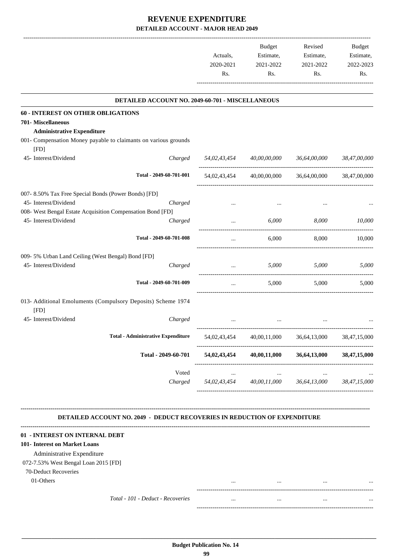|                                           |                                                  | <b>Budget</b> | Revised   | <b>Budget</b> |
|-------------------------------------------|--------------------------------------------------|---------------|-----------|---------------|
|                                           | Actuals.                                         | Estimate,     | Estimate, | Estimate,     |
|                                           | 2020-2021                                        | 2021-2022     | 2021-2022 | 2022-2023     |
|                                           | Rs.                                              | Rs.           | Rs.       | Rs.           |
|                                           | DETAILED ACCOUNT NO. 2049-60-701 - MISCELLANEOUS |               |           |               |
|                                           |                                                  |               |           |               |
| <b>60 - INTEREST ON OTHER OBLIGATIONS</b> |                                                  |               |           |               |
| 701- Miscellaneous                        |                                                  |               |           |               |

### **Administrative Expenditure** 001- Compensation Money payable to claimants on various grounds [FD] 45- Interest/Dividend *Charged 54,02,43,454 40,00,00,000 36,64,00,000 38,47,00,000* ---------------------------------------------------------------------------------------- **Total - 2049-60-701-001** 54,02,43,454 40,00,00,000 36,64,00,000 38,47,00,000 ----------------------------------------------------------------------------------------- 007- 8.50% Tax Free Special Bonds (Power Bonds) [FD] 45- Interest/Dividend *Charged* ... ... ... ... 008- West Bengal Estate Acquisition Compensation Bond [FD] 45- Interest/Dividend *Charged* ... *6,000 8,000 10,000* ---------------------------------------------------------------------------------------- **Total - 2049-60-701-008** ... 6,000 8,000 10,000 ----------------------------------------------------------------------------------------- 009- 5% Urban Land Ceiling (West Bengal) Bond [FD] 45- Interest/Dividend *Charged* ... *5,000 5,000 5,000* ---------------------------------------------------------------------------------------- **Total - 2049-60-701-009** ... 5,000 5,000 5,000 5,000 ----------------------------------------------------------------------------------------- 013- Additional Emoluments (Compulsory Deposits) Scheme 1974 [FD] 45- Interest/Dividend *Charged* ... ... ... ... ----------------------------------------------------------------------------------------- **Total - Administrative Expenditure** 54,02,43,454 40,00,11,000 36,64,13,000 38,47,15,000 ----------------------------------------------------------------------------------------- **Total - 2049-60-701 54,02,43,454 40,00,11,000 36,64,13,000 38,47,15,000** ------------------------------------------------------------------------------------------ Voted ... ... ... ... *Charged 54,02,43,454 40,00,11,000 36,64,13,000 38,47,15,000* -----------------------------------------------------------------------------------------

### **DETAILED ACCOUNT NO. 2049 - DEDUCT RECOVERIES IN REDUCTION OF EXPENDITURE**

| 01 - INTEREST ON INTERNAL DEBT       |                                   |          |          |          |          |
|--------------------------------------|-----------------------------------|----------|----------|----------|----------|
| 101- Interest on Market Loans        |                                   |          |          |          |          |
| Administrative Expenditure           |                                   |          |          |          |          |
| 072-7.53% West Bengal Loan 2015 [FD] |                                   |          |          |          |          |
| 70-Deduct Recoveries                 |                                   |          |          |          |          |
| 01-Others                            |                                   | $\cdots$ | $\cdots$ | $\cdots$ | $\cdots$ |
|                                      |                                   |          |          |          |          |
|                                      | Total - 101 - Deduct - Recoveries | $\cdots$ | $\cdots$ | $\cdots$ |          |

**--------------------------------------------------------------------------------------------------------------------------------------------------------------------------------**

-----------------------------------------------------------------------------------------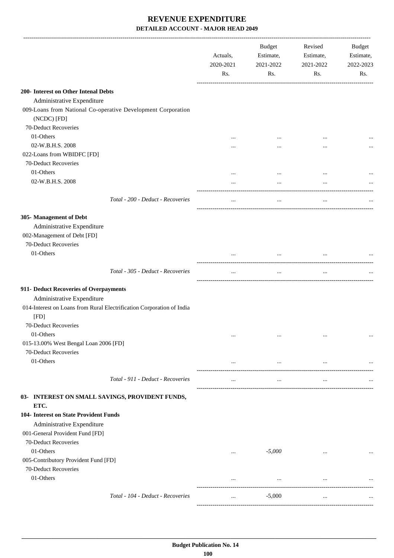|                                                                               | Actuals,<br>2020-2021<br>Rs. | <b>Budget</b><br>Estimate,<br>2021-2022<br>Rs. | Revised<br>Estimate,<br>2021-2022<br>Rs. | Budget<br>Estimate,<br>2022-2023<br>Rs. |
|-------------------------------------------------------------------------------|------------------------------|------------------------------------------------|------------------------------------------|-----------------------------------------|
| 200- Interest on Other Intenal Debts                                          |                              |                                                |                                          |                                         |
| Administrative Expenditure                                                    |                              |                                                |                                          |                                         |
| 009-Loans from National Co-operative Development Corporation<br>(NCDC) [FD]   |                              |                                                |                                          |                                         |
| 70-Deduct Recoveries                                                          |                              |                                                |                                          |                                         |
| 01-Others                                                                     |                              | $\ddotsc$                                      |                                          |                                         |
| 02-W.B.H.S. 2008                                                              | $\cdots$                     | $\cdots$                                       |                                          |                                         |
| 022-Loans from WBIDFC [FD]                                                    |                              |                                                |                                          |                                         |
| 70-Deduct Recoveries                                                          |                              |                                                |                                          |                                         |
| 01-Others                                                                     | $\cdots$                     | $\cdots$                                       | $\cdots$                                 |                                         |
| 02-W.B.H.S. 2008                                                              | $\cdots$                     | $\cdots$                                       | $\cdots$                                 |                                         |
| Total - 200 - Deduct - Recoveries                                             | $\cdots$                     | $\cdots$                                       | $\cdots$                                 |                                         |
| 305-Management of Debt                                                        |                              |                                                |                                          |                                         |
| Administrative Expenditure                                                    |                              |                                                |                                          |                                         |
| 002-Management of Debt [FD]                                                   |                              |                                                |                                          |                                         |
| 70-Deduct Recoveries                                                          |                              |                                                |                                          |                                         |
| 01-Others                                                                     |                              | $\cdots$                                       |                                          |                                         |
| Total - 305 - Deduct - Recoveries                                             | $\cdots$                     | $\ldots$                                       | $\cdots$                                 |                                         |
| 911- Deduct Recoveries of Overpayments                                        |                              |                                                |                                          |                                         |
| Administrative Expenditure                                                    |                              |                                                |                                          |                                         |
| 014-Interest on Loans from Rural Electrification Corporation of India<br>[FD] |                              |                                                |                                          |                                         |
| 70-Deduct Recoveries                                                          |                              |                                                |                                          |                                         |
| 01-Others                                                                     | $\cdots$                     | $\cdots$                                       | $\cdots$                                 | $\cdots$                                |
| 015-13.00% West Bengal Loan 2006 [FD]<br>70-Deduct Recoveries                 |                              |                                                |                                          |                                         |
| 01-Others                                                                     |                              |                                                |                                          |                                         |
|                                                                               | $\cdots$                     | $\cdots$                                       | $\cdots$<br>------------------------     |                                         |
| Total - 911 - Deduct - Recoveries                                             | $\cdots$                     | $\cdots$                                       | $\cdots$                                 |                                         |
| 03- INTEREST ON SMALL SAVINGS, PROVIDENT FUNDS,                               |                              |                                                |                                          |                                         |
| ETC.                                                                          |                              |                                                |                                          |                                         |
| <b>104- Interest on State Provident Funds</b>                                 |                              |                                                |                                          |                                         |
| Administrative Expenditure                                                    |                              |                                                |                                          |                                         |
| 001-General Provident Fund [FD]                                               |                              |                                                |                                          |                                         |
| 70-Deduct Recoveries                                                          |                              |                                                |                                          |                                         |
| 01-Others                                                                     | $\cdots$                     | $-5,000$                                       | $\cdots$                                 |                                         |
| 005-Contributory Provident Fund [FD]                                          |                              |                                                |                                          |                                         |
| 70-Deduct Recoveries                                                          |                              |                                                |                                          |                                         |
| 01-Others                                                                     |                              | $\cdots$                                       | $\cdots$                                 |                                         |
| Total - 104 - Deduct - Recoveries                                             | $\cdots$                     | $-5,000$                                       | $\cdots$                                 |                                         |

-----------------------------------------------------------------------------------------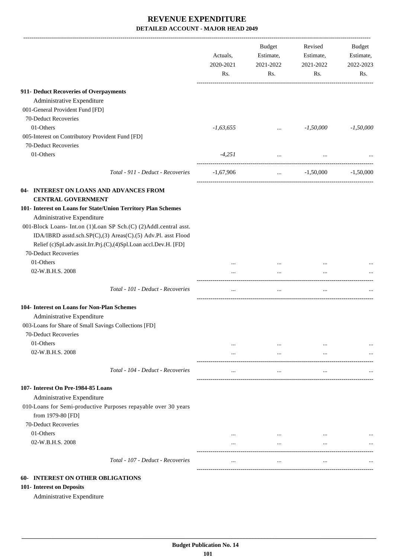|                                                                                     | Actuals,<br>2020-2021<br>Rs.        | Budget<br>Estimate,<br>2021-2022<br>Rs. | Revised<br>Estimate,<br>2021-2022<br>Rs. | Budget<br>Estimate,<br>2022-2023<br>Rs. |
|-------------------------------------------------------------------------------------|-------------------------------------|-----------------------------------------|------------------------------------------|-----------------------------------------|
| 911- Deduct Recoveries of Overpayments                                              |                                     |                                         |                                          |                                         |
| Administrative Expenditure                                                          |                                     |                                         |                                          |                                         |
| 001-General Provident Fund [FD]                                                     |                                     |                                         |                                          |                                         |
| 70-Deduct Recoveries                                                                |                                     |                                         |                                          |                                         |
| 01-Others                                                                           | $-1,63,655$                         | $\cdots$                                | $-1,50,000$                              | $-1,50,000$                             |
| 005-Interest on Contributory Provident Fund [FD]                                    |                                     |                                         |                                          |                                         |
| 70-Deduct Recoveries                                                                |                                     |                                         |                                          |                                         |
| 01-Others                                                                           | $-4,251$                            | $\cdots$                                | $\cdots$                                 |                                         |
| Total - 911 - Deduct - Recoveries                                                   | $-1,67,906$ $-1,50,000$ $-1,50,000$ |                                         |                                          |                                         |
| 04- INTEREST ON LOANS AND ADVANCES FROM                                             |                                     |                                         |                                          |                                         |
| <b>CENTRAL GOVERNMENT</b>                                                           |                                     |                                         |                                          |                                         |
| 101- Interest on Loans for State/Union Territory Plan Schemes                       |                                     |                                         |                                          |                                         |
| Administrative Expenditure                                                          |                                     |                                         |                                          |                                         |
| 001-Block Loans- Int.on (1)Loan SP Sch.(C) (2)Addl.central asst.                    |                                     |                                         |                                          |                                         |
| IDA/IBRD asstd.sch.SP(C),(3) Areas(C).(5) Adv.Pl. asst Flood                        |                                     |                                         |                                          |                                         |
| Relief (c)Spl.adv.assit.Irr.Prj.(C),(4)Spl.Loan accl.Dev.H. [FD]                    |                                     |                                         |                                          |                                         |
| 70-Deduct Recoveries                                                                |                                     |                                         |                                          |                                         |
| 01-Others                                                                           | $\cdots$                            |                                         |                                          |                                         |
| 02-W.B.H.S. 2008                                                                    |                                     | $\ddotsc$                               | $\ldots$                                 |                                         |
| Total - 101 - Deduct - Recoveries                                                   | $\cdots$                            | $\cdots$                                | $\cdots$                                 |                                         |
| 104- Interest on Loans for Non-Plan Schemes                                         |                                     |                                         |                                          |                                         |
| Administrative Expenditure                                                          |                                     |                                         |                                          |                                         |
| 003-Loans for Share of Small Savings Collections [FD]                               |                                     |                                         |                                          |                                         |
| 70-Deduct Recoveries                                                                |                                     |                                         |                                          |                                         |
| 01-Others                                                                           |                                     |                                         |                                          |                                         |
| 02-W.B.H.S. 2008                                                                    | $\cdots$                            | $\cdots$                                | $\cdots$                                 |                                         |
|                                                                                     |                                     |                                         |                                          |                                         |
| Total - 104 - Deduct - Recoveries                                                   | $\cdots$                            | $\cdots$                                | $\cdots$                                 |                                         |
| 107- Interest On Pre-1984-85 Loans                                                  |                                     |                                         |                                          |                                         |
| Administrative Expenditure                                                          |                                     |                                         |                                          |                                         |
| 010-Loans for Semi-productive Purposes repayable over 30 years<br>from 1979-80 [FD] |                                     |                                         |                                          |                                         |
| 70-Deduct Recoveries                                                                |                                     |                                         |                                          |                                         |
| 01-Others                                                                           |                                     | $\cdots$                                |                                          |                                         |
| 02-W.B.H.S. 2008                                                                    |                                     |                                         |                                          |                                         |
| Total - 107 - Deduct - Recoveries                                                   | $\ddotsc$                           | $\cdots$                                | $\cdots$                                 |                                         |
| <b>TODET ON OTHER OBLIC ATIONS</b>                                                  |                                     |                                         |                                          |                                         |

### **60- INTEREST ON OTHER OBLIGATIONS**

### **101- Interest on Deposits**

Administrative Expenditure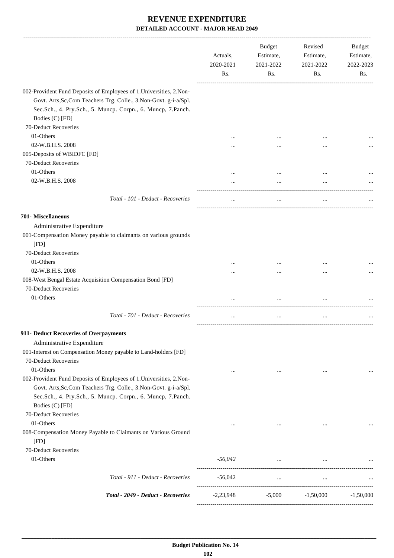|                                                                                                                                                                                                                                                      | Actuals,<br>2020-2021<br>Rs. | <b>Budget</b><br>Estimate,<br>2021-2022<br>Rs. | Revised<br>Estimate,<br>2021-2022<br>Rs.                                                                                                                                                                                                      | <b>Budget</b><br>Estimate,<br>2022-2023<br>Rs. |
|------------------------------------------------------------------------------------------------------------------------------------------------------------------------------------------------------------------------------------------------------|------------------------------|------------------------------------------------|-----------------------------------------------------------------------------------------------------------------------------------------------------------------------------------------------------------------------------------------------|------------------------------------------------|
| 002-Provident Fund Deposits of Employees of 1. Universities, 2. Non-<br>Govt. Arts, Sc, Com Teachers Trg. Colle., 3. Non-Govt. g-i-a/Spl.<br>Sec.Sch., 4. Pry.Sch., 5. Muncp. Corpn., 6. Muncp, 7.Panch.<br>Bodies (C) [FD]<br>70-Deduct Recoveries  |                              |                                                |                                                                                                                                                                                                                                               |                                                |
| 01-Others                                                                                                                                                                                                                                            |                              |                                                |                                                                                                                                                                                                                                               |                                                |
| 02-W.B.H.S. 2008                                                                                                                                                                                                                                     |                              |                                                |                                                                                                                                                                                                                                               |                                                |
| 005-Deposits of WBIDFC [FD]<br>70-Deduct Recoveries<br>01-Others                                                                                                                                                                                     |                              |                                                |                                                                                                                                                                                                                                               |                                                |
| 02-W.B.H.S. 2008                                                                                                                                                                                                                                     |                              | $\cdots$                                       |                                                                                                                                                                                                                                               |                                                |
| Total - 101 - Deduct - Recoveries                                                                                                                                                                                                                    |                              | $\cdots$                                       |                                                                                                                                                                                                                                               |                                                |
| 701- Miscellaneous<br>Administrative Expenditure<br>001-Compensation Money payable to claimants on various grounds<br>[FD]<br>70-Deduct Recoveries                                                                                                   |                              |                                                |                                                                                                                                                                                                                                               |                                                |
| 01-Others                                                                                                                                                                                                                                            |                              |                                                |                                                                                                                                                                                                                                               |                                                |
| 02-W.B.H.S. 2008<br>008-West Bengal Estate Acquisition Compensation Bond [FD]<br>70-Deduct Recoveries                                                                                                                                                |                              |                                                |                                                                                                                                                                                                                                               |                                                |
| 01-Others                                                                                                                                                                                                                                            | $\cdots$                     |                                                | $\ddotsc$                                                                                                                                                                                                                                     |                                                |
| Total - 701 - Deduct - Recoveries                                                                                                                                                                                                                    |                              | $\cdots$                                       | $\cdots$                                                                                                                                                                                                                                      |                                                |
| 911- Deauct Recoveries of Overpayments<br>Administrative Expenditure<br>001-Interest on Compensation Money payable to Land-holders [FD]<br>70-Deduct Recoveries<br>01-Others<br>002-Provident Fund Deposits of Employees of 1. Universities, 2. Non- | $\cdots$                     | $\cdots$                                       | $\cdots$                                                                                                                                                                                                                                      | $\cdots$                                       |
| Govt. Arts, Sc, Com Teachers Trg. Colle., 3. Non-Govt. g-i-a/Spl.<br>Sec.Sch., 4. Pry.Sch., 5. Muncp. Corpn., 6. Muncp, 7.Panch.<br>Bodies (C) [FD]<br>70-Deduct Recoveries<br>01-Others                                                             | $\cdots$                     | $\cdots$                                       | $\cdots$                                                                                                                                                                                                                                      |                                                |
| 008-Compensation Money Payable to Claimants on Various Ground<br>[FD]<br>70-Deduct Recoveries                                                                                                                                                        |                              |                                                |                                                                                                                                                                                                                                               |                                                |
| 01-Others                                                                                                                                                                                                                                            | -56,042                      |                                                | $\mathbf{r}$ , and the contract of the contract of the contract of the contract of the contract of the contract of the contract of the contract of the contract of the contract of the contract of the contract of the contract o<br>$\ddots$ |                                                |
| Total - 911 - Deduct - Recoveries                                                                                                                                                                                                                    | $-56,042$                    | $\cdots$                                       | $\cdots$                                                                                                                                                                                                                                      |                                                |
| Total - 2049 - Deduct - Recoveries                                                                                                                                                                                                                   | $-2,23,948$                  | $-5,000$                                       | $-1,50,000$                                                                                                                                                                                                                                   | $-1,50,000$                                    |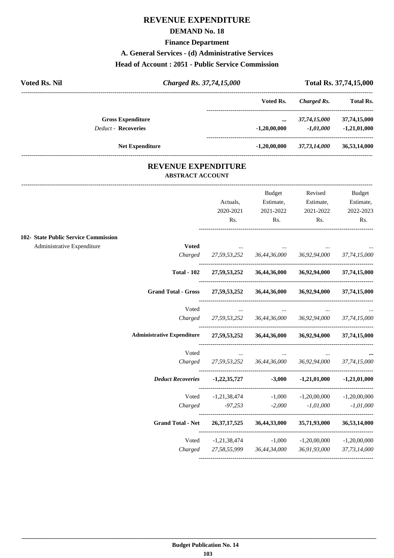# **REVENUE EXPENDITURE**

### **DEMAND No. 18**

### **Finance Department**

### **A. General Services - (d) Administrative Services**

### **Head of Account : 2051 - Public Service Commission**

| <b>Voted Rs. Nil</b> | Charged Rs. 37,74,15,000   |           | Total Rs. 37,74,15,000                    |                  |
|----------------------|----------------------------|-----------|-------------------------------------------|------------------|
|                      |                            | Voted Rs. | Charged Rs.                               | <b>Total Rs.</b> |
|                      | <b>Gross Expenditure</b>   | $\cdots$  | 37,74,15,000 37,74,15,000                 |                  |
|                      | <b>Deduct - Recoveries</b> |           | $-1,20,00,000$ $-1,01,000$ $-1,21,01,000$ |                  |
|                      | <b>Net Expenditure</b>     |           | $-1,20,00,000$ $37,73,14,000$             | 36,53,14,000     |
|                      | <b>REVENUE EXPENDITURE</b> |           |                                           |                  |
|                      | <b>ABSTRACT ACCOUNT</b>    |           |                                           |                  |
|                      |                            |           |                                           |                  |

|                                      |                                   |           | <b>Budget</b>                                               | Revised        | <b>Budget</b>  |
|--------------------------------------|-----------------------------------|-----------|-------------------------------------------------------------|----------------|----------------|
|                                      |                                   | Actuals,  | Estimate,                                                   | Estimate,      | Estimate,      |
|                                      |                                   | 2020-2021 | 2021-2022                                                   | 2021-2022      | 2022-2023      |
|                                      |                                   | Rs.       | Rs.                                                         | Rs.            | Rs.            |
| 102- State Public Service Commission |                                   |           |                                                             |                |                |
| Administrative Expenditure           | <b>Voted</b>                      |           |                                                             |                |                |
|                                      | Charged                           |           | 27,59,53,252 36,44,36,000 36,92,94,000                      |                | 37,74,15,000   |
|                                      | <b>Total - 102</b>                |           | 27,59,53,252 36,44,36,000 36,92,94,000 37,74,15,000         |                |                |
|                                      | <b>Grand Total - Gross</b>        |           | 27,59,53,252 36,44,36,000 36,92,94,000                      |                | 37,74,15,000   |
|                                      | Voted                             | $\cdots$  | $\cdots$                                                    |                |                |
|                                      |                                   |           | Charged 27,59,53,252 36,44,36,000 36,92,94,000 37,74,15,000 |                |                |
|                                      | <b>Administrative Expenditure</b> |           | 27,59,53,252 36,44,36,000 36,92,94,000 37,74,15,000         |                |                |
|                                      | Voted                             |           |                                                             |                |                |
|                                      | Charged                           |           | 27,59,53,252 36,44,36,000 36,92,94,000 37,74,15,000         |                |                |
|                                      | <b>Deduct Recoveries</b>          |           | $-1,22,35,727$ $-3,000$                                     | $-1,21,01,000$ | $-1,21,01,000$ |
|                                      | Voted                             |           | $-1,21,38,474$ $-1,000$ $-1,20,00,000$ $-1,20,00,000$       |                |                |
|                                      | Charged                           |           | $-97,253$ $-2,000$ $-1,01,000$ $-1,01,000$                  |                |                |
|                                      | <b>Grand Total - Net</b>          |           | 26, 37, 17, 525 36, 44, 33, 000 35, 71, 93, 000             |                | 36,53,14,000   |
|                                      | Voted                             |           | $-1,21,38,474$ $-1,000$ $-1,20,00,000$                      |                | $-1,20,00,000$ |
|                                      | Charged                           |           | 27,58,55,999   36,44,34,000   36,91,93,000                  |                | 37,73,14,000   |
|                                      |                                   |           |                                                             |                |                |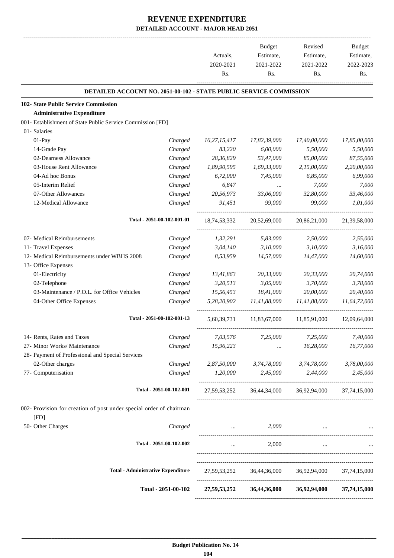|                                                                           |                            | Actuals,<br>2020-2021<br>Rs. | Budget<br>Estimate,<br>2021-2022<br>Rs. | Revised<br>Estimate,<br>2021-2022<br>Rs.            | <b>Budget</b><br>Estimate,<br>2022-2023<br>Rs. |
|---------------------------------------------------------------------------|----------------------------|------------------------------|-----------------------------------------|-----------------------------------------------------|------------------------------------------------|
| <b>DETAILED ACCOUNT NO. 2051-00-102 - STATE PUBLIC SERVICE COMMISSION</b> |                            |                              |                                         |                                                     |                                                |
| 102- State Public Service Commission                                      |                            |                              |                                         |                                                     |                                                |
| <b>Administrative Expenditure</b>                                         |                            |                              |                                         |                                                     |                                                |
| 001- Establishment of State Public Service Commission [FD]                |                            |                              |                                         |                                                     |                                                |
| 01- Salaries                                                              |                            |                              |                                         |                                                     |                                                |
| 01-Pay                                                                    | Charged                    | 16,27,15,417                 | 17,82,39,000                            | 17,40,00,000                                        | 17,85,00,000                                   |
| 14-Grade Pay                                                              | Charged                    | 83,220                       | 6,00,000                                | 5,50,000                                            | 5,50,000                                       |
| 02-Dearness Allowance                                                     | Charged                    | 28,36,829                    | 53,47,000                               | 85,00,000                                           | 87,55,000                                      |
| 03-House Rent Allowance                                                   | Charged                    | 1,89,90,595                  | 1,69,33,000                             | 2,15,00,000                                         | 2,20,00,000                                    |
| 04-Ad hoc Bonus                                                           | Charged                    | 6,72,000                     | 7,45,000                                | 6.85,000                                            | 6,99,000                                       |
| 05-Interim Relief                                                         | Charged                    | 6,847                        | $\cdots$                                | 7,000                                               | 7,000                                          |
| 07-Other Allowances                                                       | Charged                    | 20,56,973                    | 33,06,000                               | 32,80,000                                           | 33,46,000                                      |
| 12-Medical Allowance                                                      | Charged                    | 91,451                       | 99,000                                  | 99,000                                              | 1,01,000                                       |
|                                                                           | Total - 2051-00-102-001-01 | 18,74,53,332                 | 20,52,69,000                            | 20,86,21,000                                        | 21,39,58,000                                   |
| 07- Medical Reimbursements                                                | Charged                    | 1,32,291                     | 5,83,000                                | 2,50,000                                            | 2,55,000                                       |
| 11- Travel Expenses                                                       | Charged                    | 3,04,140                     | 3,10,000                                | 3,10,000                                            | 3,16,000                                       |
| 12- Medical Reimbursements under WBHS 2008                                | Charged                    | 8,53,959                     | 14,57,000                               | 14,47,000                                           | 14,60,000                                      |
| 13- Office Expenses                                                       |                            |                              |                                         |                                                     |                                                |
| 01-Electricity                                                            | Charged                    | 13,41,863                    | 20,33,000                               | 20,33,000                                           | 20,74,000                                      |
| 02-Telephone                                                              | Charged                    | 3,20,513                     | 3,05,000                                | 3,70,000                                            | 3,78,000                                       |
| 03-Maintenance / P.O.L. for Office Vehicles                               | Charged                    | 15,56,453                    | 18,41,000                               | 20,00,000                                           | 20,40,000                                      |
| 04-Other Office Expenses                                                  | Charged                    | 5,28,20,902                  | 11,41,88,000                            | 11.41.88.000                                        | 11,64,72,000                                   |
|                                                                           | Total - 2051-00-102-001-13 |                              | 5,60,39,731 11,83,67,000                | 11,85,91,000                                        | 12,09,64,000                                   |
| 14- Rents, Rates and Taxes                                                | Charged                    | 7,03,576                     | 7,25,000                                | 7,25,000                                            | 7,40,000                                       |
| 27- Minor Works/ Maintenance                                              |                            |                              |                                         | 16,28,000                                           |                                                |
|                                                                           | Charged                    | 15,96,223                    | $\cdots$                                |                                                     | 16,77,000                                      |
| 28- Payment of Professional and Special Services                          |                            |                              |                                         |                                                     |                                                |
| 02-Other charges                                                          | Charged                    | 2,87,50,000                  | 3,74,78,000                             | 3,74,78,000                                         | 3,78,00,000                                    |
| 77- Computerisation                                                       | Charged                    | 1,20,000                     | 2,45,000                                | 2,44,000                                            | 2,45,000                                       |
|                                                                           | Total - 2051-00-102-001    |                              |                                         | 27,59,53,252 36,44,34,000 36,92,94,000 37,74,15,000 |                                                |
| 002- Provision for creation of post under special order of chairman       |                            |                              |                                         |                                                     |                                                |
| [FD]                                                                      |                            |                              |                                         |                                                     |                                                |
| 50- Other Charges                                                         | Charged                    |                              | $\ldots$ 2,000                          |                                                     |                                                |
|                                                                           | Total - 2051-00-102-002    | $\cdots$                     | 2,000                                   | $\cdots$                                            |                                                |
| <b>Total - Administrative Expenditure</b>                                 |                            |                              |                                         |                                                     |                                                |
|                                                                           | Total - 2051-00-102        |                              |                                         | 27,59,53,252 36,44,36,000 36,92,94,000 37,74,15,000 |                                                |
|                                                                           |                            |                              |                                         |                                                     |                                                |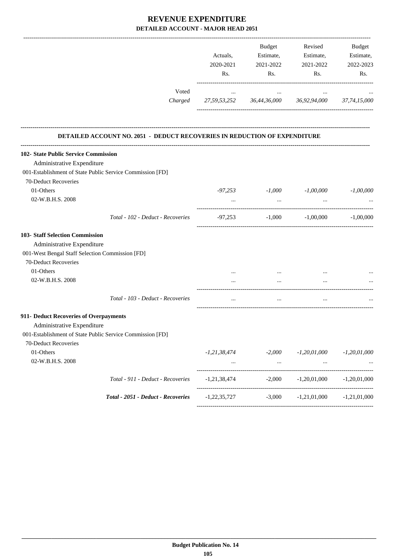| Voted<br>Charged                                                                 | Actuals,<br>2020-2021<br>Rs.<br>$\cdots$ | Budget<br>Estimate,<br>2021-2022<br>Rs.<br>$\cdots$ | Revised<br>Estimate,<br>2021-2022<br>Rs.<br>$\cdots$<br>27,59,53,252   36,44,36,000   36,92,94,000   37,74,15,000 | Budget<br>Estimate,<br>2022-2023<br>Rs. |
|----------------------------------------------------------------------------------|------------------------------------------|-----------------------------------------------------|-------------------------------------------------------------------------------------------------------------------|-----------------------------------------|
| <b>DETAILED ACCOUNT NO. 2051 - DEDUCT RECOVERIES IN REDUCTION OF EXPENDITURE</b> |                                          |                                                     |                                                                                                                   |                                         |
| 102- State Public Service Commission                                             |                                          |                                                     |                                                                                                                   |                                         |
| Administrative Expenditure                                                       |                                          |                                                     |                                                                                                                   |                                         |
| 001-Establishment of State Public Service Commission [FD]                        |                                          |                                                     |                                                                                                                   |                                         |
| 70-Deduct Recoveries                                                             |                                          |                                                     |                                                                                                                   |                                         |
| 01-Others                                                                        | -97,253                                  | $-1,000$                                            | $-1,00,000$                                                                                                       | $-1,00,000$                             |
| 02-W.B.H.S. 2008                                                                 |                                          | $\cdots$                                            | $\cdots$                                                                                                          |                                         |
| Total - 102 - Deduct - Recoveries                                                | -97,253                                  | $-1,000$                                            | $-1,00,000$                                                                                                       | $-1,00,000$                             |
| 103- Staff Selection Commission                                                  |                                          |                                                     |                                                                                                                   |                                         |
| Administrative Expenditure                                                       |                                          |                                                     |                                                                                                                   |                                         |
| 001-West Bengal Staff Selection Commission [FD]                                  |                                          |                                                     |                                                                                                                   |                                         |
| 70-Deduct Recoveries                                                             |                                          |                                                     |                                                                                                                   |                                         |
| 01-Others                                                                        |                                          |                                                     |                                                                                                                   |                                         |
| 02-W.B.H.S. 2008                                                                 |                                          | $\cdots$                                            | $\cdots$                                                                                                          |                                         |
| Total - 103 - Deduct - Recoveries                                                | $\cdots$                                 | $\cdots$                                            | $\cdots$                                                                                                          |                                         |
| 911- Deduct Recoveries of Overpayments                                           |                                          |                                                     |                                                                                                                   |                                         |
| Administrative Expenditure                                                       |                                          |                                                     |                                                                                                                   |                                         |
| 001-Establishment of State Public Service Commission [FD]                        |                                          |                                                     |                                                                                                                   |                                         |
| 70-Deduct Recoveries                                                             |                                          |                                                     |                                                                                                                   |                                         |
| 01-Others                                                                        | $-1, 21, 38, 474$                        | $-2,000$                                            | $-1,20,01,000$                                                                                                    | $-1,20,01,000$                          |
| 02-W.B.H.S. 2008                                                                 |                                          | $\cdots$                                            | $\cdots$                                                                                                          |                                         |
| Total - 911 - Deduct - Recoveries                                                | $-1,21,38,474$                           | $-2,000$                                            | $-1,20,01,000$                                                                                                    | $-1,20,01,000$                          |
| Total - 2051 - Deduct - Recoveries                                               | $-1,22,35,727$                           | $-3,000$                                            | $-1,21,01,000$                                                                                                    | $-1,21,01,000$                          |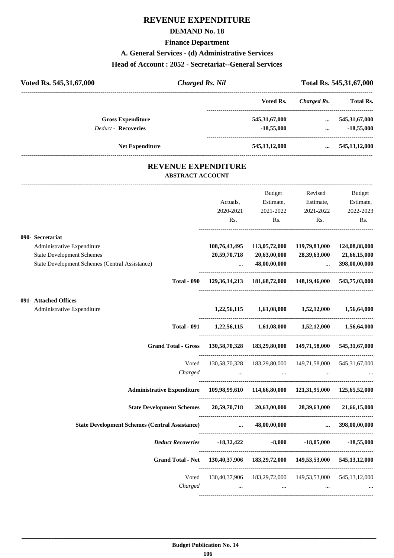## **REVENUE EXPENDITURE**

#### **DEMAND No. 18**

#### **Finance Department**

#### **A. General Services - (d) Administrative Services**

#### **Head of Account : 2052 - Secretariat--General Services**

| Voted Rs. 545,31,67,000    | <b>Charged Rs. Nil</b>     |                  |             | Total Rs. 545, 31, 67, 000 |
|----------------------------|----------------------------|------------------|-------------|----------------------------|
|                            |                            | Voted Rs.        | Charged Rs. | <b>Total Rs.</b>           |
| <b>Gross Expenditure</b>   |                            | 545, 31, 67, 000 | $\cdots$    | 545, 31, 67, 000           |
| <b>Deduct - Recoveries</b> |                            | $-18,55,000$     | $\cdots$    | $-18,55,000$               |
| <b>Net Expenditure</b>     |                            | 545, 13, 12, 000 | $\cdots$    | 545, 13, 12, 000           |
|                            | <b>REVENUE EXPENDITURE</b> |                  |             |                            |
|                            | <b>ABSTRACT ACCOUNT</b>    |                  |             |                            |

|                                                                           |                                                     | Budget                                                  | Revised       | <b>Budget</b>         |
|---------------------------------------------------------------------------|-----------------------------------------------------|---------------------------------------------------------|---------------|-----------------------|
|                                                                           | Actuals,                                            | Estimate,                                               | Estimate,     | Estimate,             |
|                                                                           | 2020-2021                                           | 2021-2022                                               | 2021-2022     | 2022-2023             |
|                                                                           | Rs.                                                 | Rs.                                                     | Rs.           | Rs.                   |
| 090- Secretariat                                                          |                                                     |                                                         |               |                       |
| Administrative Expenditure                                                | 108,76,43,495                                       | 113,05,72,000                                           | 119,79,83,000 | 124,08,88,000         |
| <b>State Development Schemes</b>                                          | 20,59,70,718                                        | 20,63,00,000                                            | 28,39,63,000  | 21,66,15,000          |
| <b>State Development Schemes (Central Assistance)</b>                     | $\mathbf{r}$                                        | 48,00,00,000                                            | $\cdots$      | 398,00,00,000         |
| <b>Total - 090</b>                                                        |                                                     | 129,36,14,213 181,68,72,000 148,19,46,000 543,75,03,000 |               |                       |
| 091- Attached Offices                                                     |                                                     |                                                         |               |                       |
| Administrative Expenditure                                                |                                                     | $1,22,56,115$ $1,61,08,000$ $1,52,12,000$               |               | 1,56,64,000           |
| <b>Total - 091</b>                                                        |                                                     | $1,22,56,115$ $1,61,08,000$ $1,52,12,000$ $1,56,64,000$ |               |                       |
| <b>Grand Total - Gross</b>                                                |                                                     | 130,58,70,328 183,29,80,000 149,71,58,000 545,31,67,000 |               |                       |
| Voted                                                                     |                                                     | 130,58,70,328 183,29,80,000 149,71,58,000 545,31,67,000 |               |                       |
| Charged                                                                   |                                                     |                                                         |               |                       |
| <b>Administrative Expenditure</b>                                         |                                                     | 109,98,99,610 114,66,80,000 121,31,95,000 125,65,52,000 |               |                       |
| <b>State Development Schemes</b>                                          | 20,59,70,718 20,63,00,000 28,39,63,000 21,66,15,000 |                                                         |               |                       |
|                                                                           |                                                     | 48,00,00,000                                            |               | $\dots$ 398,00,00,000 |
| <b>Deduct Recoveries</b>                                                  |                                                     | $-18,32,422$ $-8,000$ $-18,05,000$ $-18,55,000$         |               |                       |
| Grand Total - Net 130,40,37,906 183,29,72,000 149,53,53,000 545,13,12,000 |                                                     |                                                         |               |                       |
| Voted                                                                     |                                                     | 130,40,37,906 183,29,72,000 149,53,53,000 545,13,12,000 |               |                       |
| Charged                                                                   |                                                     |                                                         |               |                       |
|                                                                           |                                                     |                                                         |               |                       |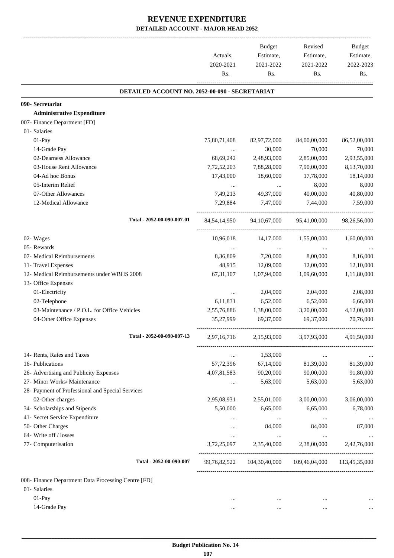|                                                     | Actuals,<br>2020-2021 | Budget<br>Estimate,<br>2021-2022 | Revised<br>Estimate,<br>2021-2022                      | Budget<br>Estimate,<br>2022-2023 |
|-----------------------------------------------------|-----------------------|----------------------------------|--------------------------------------------------------|----------------------------------|
|                                                     | Rs.                   | Rs.                              | Rs.                                                    | Rs.                              |
| DETAILED ACCOUNT NO. 2052-00-090 - SECRETARIAT      |                       |                                  |                                                        |                                  |
| 090- Secretariat                                    |                       |                                  |                                                        |                                  |
| <b>Administrative Expenditure</b>                   |                       |                                  |                                                        |                                  |
| 007- Finance Department [FD]                        |                       |                                  |                                                        |                                  |
| 01- Salaries                                        |                       |                                  |                                                        |                                  |
| 01-Pay                                              | 75,80,71,408          | 82,97,72,000                     | 84,00,00,000                                           | 86,52,00,000                     |
| 14-Grade Pay                                        |                       | 30,000                           | 70,000                                                 | 70,000                           |
| 02-Dearness Allowance                               | 68,69,242             | 2,48,93,000                      | 2,85,00,000                                            | 2,93,55,000                      |
| 03-House Rent Allowance                             | 7,72,52,203           | 7,88,28,000                      | 7,90,00,000                                            | 8,13,70,000                      |
| 04-Ad hoc Bonus                                     | 17,43,000             | 18,60,000                        | 17,78,000                                              | 18,14,000                        |
| 05-Interim Relief                                   | $\cdots$              | $\cdots$                         | 8,000                                                  | 8,000                            |
| 07-Other Allowances                                 | 7,49,213              | 49,37,000                        | 40,00,000                                              | 40,80,000                        |
| 12-Medical Allowance                                | 7,29,884              | 7,47,000                         | 7,44,000                                               | 7,59,000                         |
| Total - 2052-00-090-007-01                          |                       | 84,54,14,950 94,10,67,000        | 95,41,00,000                                           | 98,26,56,000                     |
| 02- Wages                                           | 10,96,018             | 14,17,000                        | 1,55,00,000                                            | 1,60,00,000                      |
| 05- Rewards                                         | $\cdots$              | $\cdots$                         | $\cdots$                                               |                                  |
| 07- Medical Reimbursements                          | 8,36,809              | 7,20,000                         | 8,00,000                                               | 8,16,000                         |
| 11- Travel Expenses                                 | 48,915                | 12,09,000                        | 12,00,000                                              | 12,10,000                        |
| 12- Medical Reimbursements under WBHS 2008          | 67, 31, 107           | 1,07,94,000                      | 1,09,60,000                                            | 1,11,80,000                      |
| 13- Office Expenses                                 |                       |                                  |                                                        |                                  |
| 01-Electricity                                      | $\cdots$              | 2,04,000                         | 2,04,000                                               | 2,08,000                         |
| 02-Telephone                                        | 6,11,831              | 6,52,000                         | 6,52,000                                               | 6,66,000                         |
| 03-Maintenance / P.O.L. for Office Vehicles         | 2,55,76,886           | 1,38,00,000                      | 3,20,00,000                                            | 4,12,00,000                      |
| 04-Other Office Expenses                            | 35,27,999             | 69,37,000                        | 69,37,000                                              | 70,76,000                        |
| Total - 2052-00-090-007-13                          | 2,97,16,716           | 2,15,93,000                      | 3,97,93,000                                            | 4,91,50,000                      |
| 14- Rents, Rates and Taxes                          |                       | 1,53,000                         |                                                        |                                  |
| 16- Publications                                    | 57,72,396             | 67,14,000                        | 81,39,000                                              | 81,39,000                        |
| 26- Advertising and Publicity Expenses              | 4,07,81,583           | 90,20,000                        | 90,00,000                                              | 91,80,000                        |
| 27- Minor Works/ Maintenance                        | $\cdots$              | 5,63,000                         | 5,63,000                                               | 5,63,000                         |
| 28- Payment of Professional and Special Services    |                       |                                  |                                                        |                                  |
| 02-Other charges                                    | 2,95,08,931           | 2,55,01,000                      | 3,00,00,000                                            | 3,06,00,000                      |
| 34- Scholarships and Stipends                       | 5,50,000              | 6,65,000                         | 6,65,000                                               | 6,78,000                         |
| 41- Secret Service Expenditure                      | $\cdots$              | $\cdots$                         | $\cdots$                                               |                                  |
| 50- Other Charges                                   | $\cdots$              | 84,000                           | 84,000                                                 | 87,000                           |
| 64- Write off / losses                              | $\cdots$              | $\cdots$                         | $\cdots$                                               | $\cdots$                         |
| 77- Computerisation                                 | 3,72,25,097           | 2,35,40,000                      | 2,38,00,000                                            | 2,42,76,000                      |
| Total - 2052-00-090-007                             |                       |                                  | 99,76,82,522 104,30,40,000 109,46,04,000 113,45,35,000 |                                  |
| 008- Finance Department Data Processing Centre [FD] |                       |                                  |                                                        |                                  |
| 01- Salaries                                        |                       |                                  |                                                        |                                  |
| $01-Pay$                                            | $\cdots$              | $\cdots$                         | $\cdots$                                               |                                  |
| 14-Grade Pay                                        | $\cdots$              | $\cdots$                         | $\cdots$                                               | $\cdots$                         |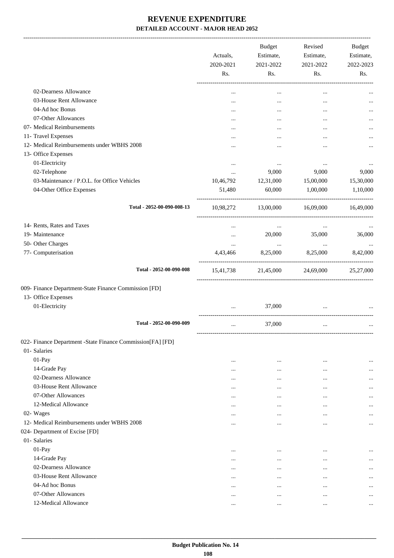|                                                            | Actuals,<br>2020-2021 | Budget<br>Estimate,<br>2021-2022 | Revised<br>Estimate,<br>2021-2022 | Budget<br>Estimate,<br>2022-2023 |
|------------------------------------------------------------|-----------------------|----------------------------------|-----------------------------------|----------------------------------|
|                                                            | Rs.                   | Rs.                              | Rs.                               | Rs.                              |
| 02-Dearness Allowance                                      |                       | $\cdots$                         | $\cdots$                          |                                  |
| 03-House Rent Allowance                                    | $\cdots$              |                                  |                                   |                                  |
| 04-Ad hoc Bonus                                            | $\cdots$              |                                  |                                   |                                  |
| 07-Other Allowances                                        |                       |                                  |                                   |                                  |
| 07- Medical Reimbursements                                 |                       |                                  |                                   |                                  |
| 11- Travel Expenses                                        |                       |                                  |                                   |                                  |
| 12- Medical Reimbursements under WBHS 2008                 |                       |                                  | $\ddotsc$                         |                                  |
| 13- Office Expenses                                        |                       |                                  |                                   |                                  |
| 01-Electricity                                             |                       |                                  |                                   |                                  |
| 02-Telephone                                               |                       | $\cdots$<br>9,000                | $\cdots$<br>9,000                 | 9,000                            |
| 03-Maintenance / P.O.L. for Office Vehicles                | 10,46,792             | 12,31,000                        | 15,00,000                         | 15,30,000                        |
| 04-Other Office Expenses                                   | 51.480                | 60,000                           | 1,00,000                          | 1,10,000                         |
|                                                            |                       |                                  |                                   |                                  |
| Total - 2052-00-090-008-13                                 | 10,98,272             | 13,00,000                        |                                   | 16,09,000 16,49,000              |
| 14- Rents, Rates and Taxes                                 | $\cdots$              | $\cdots$                         | $\cdots$                          |                                  |
| 19- Maintenance                                            |                       | 20,000                           | 35,000                            | 36,000                           |
| 50- Other Charges                                          | $\cdots$              | $\cdots$                         | $\cdots$                          |                                  |
| 77- Computerisation                                        | 4,43,466              | 8,25,000                         | 8,25,000                          | 8,42,000                         |
| Total - 2052-00-090-008                                    | 15,41,738             |                                  | 21,45,000 24,69,000               | 25,27,000                        |
| 009- Finance Department-State Finance Commission [FD]      |                       |                                  |                                   |                                  |
| 13- Office Expenses                                        |                       |                                  |                                   |                                  |
| 01-Electricity                                             |                       | 37,000                           |                                   |                                  |
|                                                            | $\cdots$              |                                  | $\cdots$                          |                                  |
| Total - 2052-00-090-009                                    |                       | 37,000                           | $\cdots$                          |                                  |
| 022- Finance Department -State Finance Commission[FA] [FD] |                       |                                  |                                   |                                  |
| 01- Salaries                                               |                       |                                  |                                   |                                  |
| 01-Pay                                                     | $\cdots$              |                                  |                                   |                                  |
| 14-Grade Pay                                               | $\cdots$              |                                  |                                   |                                  |
| 02-Dearness Allowance                                      | $\cdots$              | $\cdots$                         |                                   |                                  |
| 03-House Rent Allowance                                    | $\cdots$              |                                  |                                   |                                  |
| 07-Other Allowances                                        |                       |                                  |                                   | $\cdots$                         |
| 12-Medical Allowance                                       | $\cdots$              | $\cdots$                         |                                   | $\ddotsc$                        |
| 02- Wages                                                  | $\cdots$              |                                  |                                   | $\cdots$                         |
| 12- Medical Reimbursements under WBHS 2008                 | $\cdots$              | $\cdots$                         | $\cdots$                          | $\cdots$                         |
| 024- Department of Excise [FD]                             |                       |                                  |                                   |                                  |
| 01- Salaries                                               |                       |                                  |                                   |                                  |
| 01-Pay                                                     | $\cdots$              | $\cdots$                         | $\cdots$                          | $\cdots$                         |
| 14-Grade Pay                                               | $\cdots$              | $\cdots$                         | $\cdots$                          |                                  |
| 02-Dearness Allowance                                      | $\cdots$              | $\cdots$                         |                                   | $\cdots$                         |
| 03-House Rent Allowance                                    | $\cdots$              | $\cdots$                         | $\cdots$                          |                                  |
| 04-Ad hoc Bonus                                            | $\cdots$              | $\cdots$                         |                                   | $\cdots$                         |
| 07-Other Allowances                                        |                       |                                  |                                   |                                  |
| 12-Medical Allowance                                       |                       | $\cdots$                         |                                   | $\cdots$                         |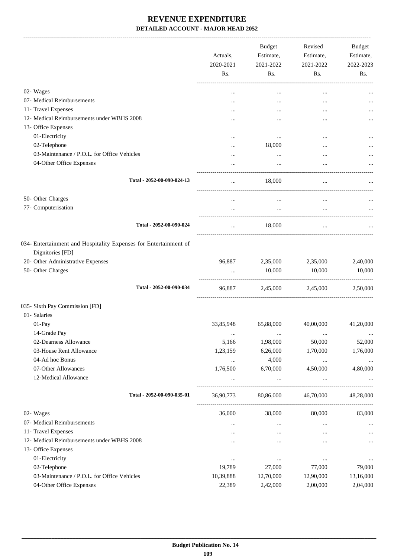-------------------------------------------------------------------------------------------------------------------------------------------------------------------------------

|                                                                  | Actuals,<br>2020-2021 | <b>Budget</b><br>Estimate,<br>2021-2022 | Revised<br>Estimate,<br>2021-2022 | <b>Budget</b><br>Estimate,<br>2022-2023 |
|------------------------------------------------------------------|-----------------------|-----------------------------------------|-----------------------------------|-----------------------------------------|
|                                                                  | Rs.                   | Rs.                                     | Rs.                               | Rs.                                     |
| 02- Wages                                                        |                       |                                         | $\ddotsc$                         |                                         |
| 07- Medical Reimbursements                                       |                       |                                         |                                   |                                         |
| 11- Travel Expenses                                              |                       |                                         |                                   |                                         |
| 12- Medical Reimbursements under WBHS 2008                       |                       |                                         |                                   | $\cdots$                                |
| 13- Office Expenses                                              |                       |                                         |                                   |                                         |
| 01-Electricity                                                   |                       | $\cdots$                                |                                   |                                         |
| 02-Telephone                                                     |                       | 18,000                                  |                                   |                                         |
| 03-Maintenance / P.O.L. for Office Vehicles                      | $\cdots$              | $\cdots$                                |                                   |                                         |
| 04-Other Office Expenses                                         |                       | $\cdots$                                | $\ddotsc$                         |                                         |
| Total - 2052-00-090-024-13                                       |                       | 18,000                                  | $\cdots$                          |                                         |
| 50- Other Charges                                                |                       | $\cdots$                                | $\cdots$                          |                                         |
| 77- Computerisation                                              |                       | $\cdots$                                | $\cdots$                          |                                         |
| Total - 2052-00-090-024                                          | $\cdots$              | 18,000                                  | $\cdots$                          |                                         |
| 034- Entertainment and Hospitality Expenses for Entertainment of |                       |                                         |                                   |                                         |
| Dignitories [FD]                                                 |                       |                                         |                                   |                                         |
| 20- Other Administrative Expenses                                | 96,887                | 2,35,000                                | 2,35,000                          | 2,40,000                                |
| 50- Other Charges                                                | $\cdots$              | 10,000                                  | 10,000                            | 10,000                                  |
| Total - 2052-00-090-034                                          | 96,887                | 2,45,000                                | 2,45,000                          | 2,50,000                                |
| 035- Sixth Pay Commission [FD]                                   |                       |                                         |                                   |                                         |
| 01- Salaries                                                     |                       |                                         |                                   |                                         |
| 01-Pay                                                           | 33,85,948             | 65,88,000                               | 40,00,000                         | 41,20,000                               |
| 14-Grade Pay                                                     | $\cdots$              | $\cdots$                                | $\cdots$                          | $\cdots$                                |
| 02-Dearness Allowance                                            | 5,166                 | 1,98,000                                | 50,000                            | 52,000                                  |
| 03-House Rent Allowance                                          | 1,23,159              | 6,26,000                                | 1,70,000                          | 1,76,000                                |
| 04-Ad hoc Bonus                                                  | $\cdots$              | 4,000                                   | $\ldots$                          |                                         |
| 07-Other Allowances                                              | 1,76,500              | 6,70,000                                | 4,50,000                          | 4,80,000                                |
| 12-Medical Allowance                                             | $\cdots$              | $\cdots$                                | $\cdots$                          | $\cdots$                                |
| Total - 2052-00-090-035-01                                       | 36,90,773             | 80,86,000                               | 46,70,000                         | 48,28,000                               |
| 02- Wages                                                        | 36,000                | 38,000                                  | 80,000                            | 83,000                                  |
| 07- Medical Reimbursements                                       | $\cdots$              |                                         | $\ldots$                          | $\cdots$                                |
| 11- Travel Expenses                                              | $\cdots$              | $\cdots$                                |                                   |                                         |
| 12- Medical Reimbursements under WBHS 2008                       | $\cdots$              | $\cdots$                                | $\cdots$                          |                                         |
| 13- Office Expenses                                              |                       |                                         |                                   |                                         |
| 01-Electricity                                                   | $\cdots$              | $\cdots$                                | $\cdots$                          |                                         |
| 02-Telephone                                                     | 19,789                | 27,000                                  | 77,000                            | 79,000                                  |
| 03-Maintenance / P.O.L. for Office Vehicles                      | 10,39,888             | 12,70,000                               | 12,90,000                         | 13,16,000                               |
| 04-Other Office Expenses                                         | 22,389                | 2,42,000                                | 2,00,000                          | 2,04,000                                |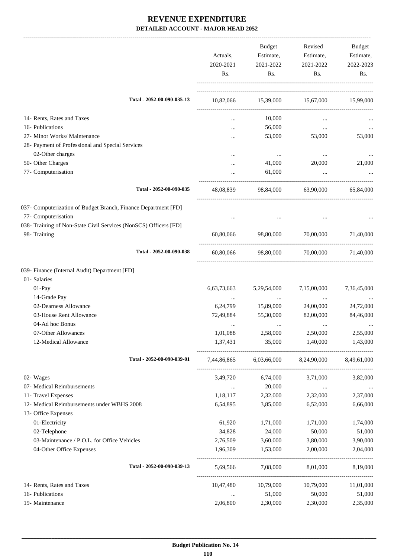|                                                                   | Actuals,<br>2020-2021<br>Rs. | Budget<br>Estimate,<br>2021-2022<br>Rs. | Revised<br>Estimate,<br>2021-2022<br>Rs. | Budget<br>Estimate,<br>2022-2023<br>Rs. |
|-------------------------------------------------------------------|------------------------------|-----------------------------------------|------------------------------------------|-----------------------------------------|
| Total - 2052-00-090-035-13                                        |                              |                                         | 10,82,066 15,39,000 15,67,000 15,99,000  |                                         |
| 14- Rents, Rates and Taxes                                        |                              | 10,000                                  |                                          |                                         |
| 16- Publications                                                  |                              | 56,000                                  |                                          |                                         |
| 27- Minor Works/ Maintenance                                      |                              | 53,000                                  | $\ldots$<br>53,000                       | 53,000                                  |
| 28- Payment of Professional and Special Services                  |                              |                                         |                                          |                                         |
| 02-Other charges                                                  | $\ddotsc$                    | $\cdots$                                | $\cdots$                                 |                                         |
| 50- Other Charges                                                 | $\cdots$                     | 41,000                                  | 20,000                                   | 21,000                                  |
| 77- Computerisation                                               |                              | 61,000                                  |                                          |                                         |
| Total - 2052-00-090-035                                           | 48.08.839                    | 98,84,000                               | 63,90,000                                | 65,84,000                               |
| 037- Computerization of Budget Branch, Finance Department [FD]    |                              |                                         |                                          |                                         |
| 77- Computerisation                                               |                              |                                         |                                          |                                         |
| 038- Training of Non-State Civil Services (NonSCS) Officers [FD]  |                              |                                         |                                          |                                         |
| 98- Training                                                      | 60,80,066                    | 98,80,000 70,00,000                     |                                          | 71,40,000                               |
| Total - 2052-00-090-038                                           | 60,80,066                    | 98,80,000                               | 70,00,000                                | 71,40,000                               |
| 039- Finance (Internal Audit) Department [FD]                     |                              |                                         |                                          |                                         |
| 01- Salaries                                                      |                              |                                         |                                          |                                         |
| 01-Pay                                                            | 6,63,73,663                  | 5,29,54,000                             | 7,15,00,000                              | 7,36,45,000                             |
| 14-Grade Pay                                                      | $\cdots$                     | $\cdots$                                | $\cdots$                                 |                                         |
| 02-Dearness Allowance                                             | 6,24,799                     | 15,89,000                               | 24,00,000                                | 24,72,000                               |
| 03-House Rent Allowance                                           | 72,49,884                    | 55,30,000                               | 82,00,000                                | 84,46,000                               |
| 04-Ad hoc Bonus                                                   |                              |                                         |                                          |                                         |
| 07-Other Allowances                                               | 1,01,088                     | 2,58,000                                | 2,50,000                                 | 2,55,000                                |
| 12-Medical Allowance                                              | 1,37,431                     | 35,000                                  | 1,40,000                                 | 1,43,000                                |
| Total - 2052-00-090-039-01                                        | 7,44,86,865                  | 6,03,66,000                             | 8,24,90,000                              | 8,49,61,000                             |
| 02- Wages                                                         | 3,49,720                     | 6,74,000                                | 3,71,000                                 | 3,82,000                                |
| 07- Medical Reimbursements                                        | $\ldots$                     | 20,000                                  | $\cdots$                                 |                                         |
| 11- Travel Expenses                                               | 1,18,117                     | 2,32,000                                | 2,32,000                                 | 2,37,000                                |
| 12- Medical Reimbursements under WBHS 2008<br>13- Office Expenses | 6,54,895                     | 3,85,000                                | 6,52,000                                 | 6,66,000                                |
| 01-Electricity                                                    | 61,920                       | 1,71,000                                | 1,71,000                                 | 1,74,000                                |
| 02-Telephone                                                      | 34,828                       | 24,000                                  | 50,000                                   | 51,000                                  |
| 03-Maintenance / P.O.L. for Office Vehicles                       | 2,76,509                     | 3,60,000                                | 3,80,000                                 | 3,90,000                                |
| 04-Other Office Expenses                                          | 1,96,309                     | 1,53,000                                | 2,00,000                                 | 2,04,000                                |
| Total - 2052-00-090-039-13                                        | 5,69,566                     | 7,08,000                                | 8,01,000                                 | 8,19,000                                |
| 14- Rents, Rates and Taxes                                        | 10,47,480                    | 10,79,000                               | 10,79,000                                | 11,01,000                               |
| 16- Publications                                                  | $\cdots$                     | 51,000                                  | 50,000                                   | 51,000                                  |
| 19- Maintenance                                                   | 2,06,800                     | 2,30,000                                | 2,30,000                                 | 2,35,000                                |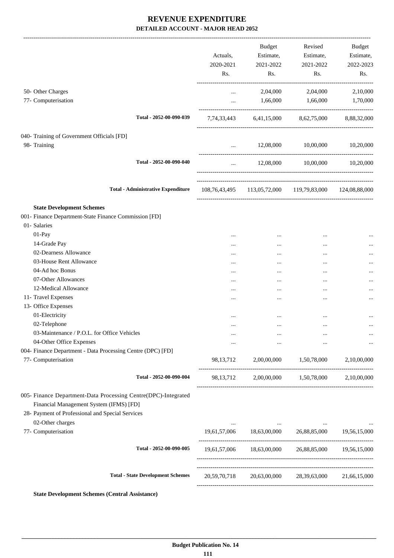|                                                                |           | Budget    | Revised                                                 | Budget    |
|----------------------------------------------------------------|-----------|-----------|---------------------------------------------------------|-----------|
|                                                                | Actuals,  | Estimate, | Estimate,                                               | Estimate, |
|                                                                | 2020-2021 | 2021-2022 | 2021-2022                                               | 2022-2023 |
|                                                                | Rs.       | Rs.       | Rs.                                                     | Rs.       |
| 50- Other Charges                                              | $\cdots$  | 2,04,000  | 2,04,000                                                | 2,10,000  |
| 77- Computerisation                                            | $\cdots$  | 1,66,000  | 1,66,000                                                | 1,70,000  |
|                                                                |           |           |                                                         |           |
| Total - 2052-00-090-039                                        |           |           | 7,74,33,443 6,41,15,000 8,62,75,000 8,88,32,000         |           |
| 040- Training of Government Officials [FD]                     |           |           |                                                         |           |
| 98- Training                                                   | $\cdots$  | 12,08,000 | 10,00,000                                               | 10,20,000 |
|                                                                |           |           |                                                         |           |
| Total - 2052-00-090-040                                        | $\cdots$  | 12,08,000 | 10,00,000                                               | 10,20,000 |
| <b>Total - Administrative Expenditure</b>                      |           |           | 108,76,43,495 113,05,72,000 119,79,83,000 124,08,88,000 |           |
| <b>State Development Schemes</b>                               |           |           |                                                         |           |
| 001- Finance Department-State Finance Commission [FD]          |           |           |                                                         |           |
| 01- Salaries                                                   |           |           |                                                         |           |
| 01-Pay                                                         |           |           |                                                         |           |
| 14-Grade Pay                                                   |           |           |                                                         |           |
| 02-Dearness Allowance                                          |           |           |                                                         |           |
| 03-House Rent Allowance                                        |           |           |                                                         |           |
| 04-Ad hoc Bonus                                                |           |           |                                                         |           |
| 07-Other Allowances                                            |           |           |                                                         |           |
| 12-Medical Allowance                                           |           |           |                                                         |           |
| 11- Travel Expenses                                            |           |           |                                                         |           |
| 13- Office Expenses                                            |           |           |                                                         |           |
| 01-Electricity                                                 |           |           |                                                         |           |
| 02-Telephone                                                   |           |           |                                                         |           |
| 03-Maintenance / P.O.L. for Office Vehicles                    |           |           |                                                         |           |
| 04-Other Office Expenses                                       |           | $\cdots$  |                                                         | $\cdots$  |
| 004- Finance Department - Data Processing Centre (DPC) [FD]    |           |           |                                                         |           |
| 77- Computerisation                                            |           |           | 98,13,712 2,00,00,000 1,50,78,000 2,10,00,000           |           |
| Total - 2052-00-090-004                                        |           |           | 98,13,712 2,00,00,000 1,50,78,000 2,10,00,000           |           |
| 005- Finance Department-Data Processing Centre(DPC)-Integrated |           |           |                                                         |           |
| Financial Management System (IFMS) [FD]                        |           |           |                                                         |           |
| 28- Payment of Professional and Special Services               |           |           |                                                         |           |
| 02-Other charges                                               |           |           |                                                         |           |
| 77- Computerisation                                            |           |           | 19,61,57,006 18,63,00,000 26,88,85,000 19,56,15,000     |           |
| Total - 2052-00-090-005                                        |           |           | 19,61,57,006 18,63,00,000 26,88,85,000 19,56,15,000     |           |
| <b>Total - State Development Schemes</b>                       |           |           | 20,59,70,718 20,63,00,000 28,39,63,000 21,66,15,000     |           |
| <b>State Development Schemes (Central Assistance)</b>          |           |           |                                                         |           |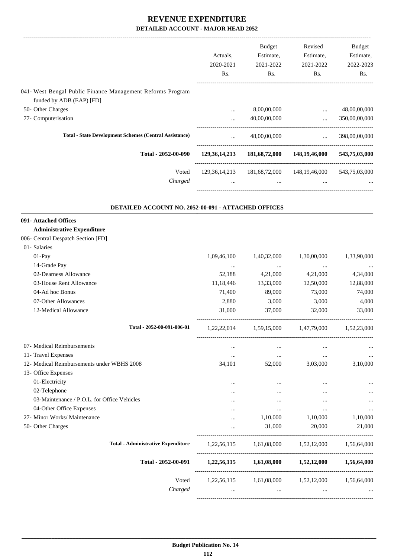|                                                               | Actuals,<br>2020-2021<br>Rs. | <b>Budget</b><br>Estimate,<br>2021-2022<br>Rs.                                   | Revised<br>Estimate,<br>2021-2022<br>Rs. | <b>Budget</b><br>Estimate,<br>2022-2023<br>Rs.  |
|---------------------------------------------------------------|------------------------------|----------------------------------------------------------------------------------|------------------------------------------|-------------------------------------------------|
| 041- West Bengal Public Finance Management Reforms Program    |                              |                                                                                  |                                          |                                                 |
| funded by ADB (EAP) [FD]                                      |                              |                                                                                  |                                          |                                                 |
| 50- Other Charges                                             | $\cdots$                     | 8,00,00,000                                                                      | $\ddots$                                 | 48,00,00,000                                    |
| 77- Computerisation                                           | $\cdots$                     | 40,00,00,000                                                                     | $\ddotsc$                                | 350,00,00,000                                   |
| <b>Total - State Development Schemes (Central Assistance)</b> | $\cdots$                     | 48,00,00,000                                                                     | $\mathbf{1}$                             | 398,00,00,000                                   |
| Total - 2052-00-090                                           |                              | 129,36,14,213 181,68,72,000 148,19,46,000                                        |                                          | 543,75,03,000                                   |
| Voted<br>Charged                                              | $\cdots$                     | 129,36,14,213 181,68,72,000 148,19,46,000<br>and the company of the company of   | $\cdots$                                 | 543,75,03,000                                   |
| DETAILED ACCOUNT NO. 2052-00-091 - ATTACHED OFFICES           |                              |                                                                                  |                                          |                                                 |
| 091- Attached Offices<br><b>Administrative Expenditure</b>    |                              |                                                                                  |                                          |                                                 |
| 006- Central Despatch Section [FD]                            |                              |                                                                                  |                                          |                                                 |
| 01- Salaries                                                  |                              |                                                                                  |                                          |                                                 |
| 01-Pay                                                        | 1,09,46,100                  | 1,40,32,000                                                                      | 1,30,00,000                              | 1,33,90,000                                     |
| 14-Grade Pay                                                  | $\cdots$                     | $\cdots$                                                                         | $\ldots$                                 |                                                 |
| 02-Dearness Allowance                                         | 52,188                       | 4,21,000                                                                         | 4,21,000                                 | 4,34,000                                        |
| 03-House Rent Allowance                                       | 11,18,446                    | 13,33,000                                                                        | 12,50,000                                | 12,88,000                                       |
| 04-Ad hoc Bonus                                               | 71,400                       | 89,000                                                                           | 73,000                                   | 74,000                                          |
| 07-Other Allowances                                           | 2,880                        | 3,000                                                                            | 3,000                                    | 4,000                                           |
| 12-Medical Allowance                                          | 31,000                       | 37,000                                                                           | 32,000                                   | 33,000                                          |
| Total - 2052-00-091-006-01                                    | 1,22,22,014                  | 1,59,15,000                                                                      | 1,47,79,000                              | 1,52,23,000                                     |
| 07- Medical Reimbursements                                    |                              | $\cdots$                                                                         |                                          |                                                 |
| 11- Travel Expenses                                           | $\cdots$                     | $\cdots$                                                                         | $\cdots$                                 |                                                 |
| 12- Medical Reimbursements under WBHS 2008                    | 34,101                       | 52,000                                                                           | 3,03,000                                 | 3,10,000                                        |
| 13- Office Expenses                                           |                              |                                                                                  |                                          |                                                 |
| 01-Electricity                                                | $\ddotsc$                    | $\cdots$                                                                         | $\cdots$                                 |                                                 |
| 02-Telephone                                                  | $\cdots$                     | $\cdots$                                                                         |                                          |                                                 |
| 03-Maintenance / P.O.L. for Office Vehicles                   |                              | $\cdots$                                                                         | $\cdots$                                 |                                                 |
| 04-Other Office Expenses                                      |                              | $\cdots$                                                                         | $\cdots$                                 |                                                 |
| 27- Minor Works/ Maintenance<br>50- Other Charges             | $\cdots$<br>$\cdots$         | 1,10,000<br>31,000                                                               | 1,10,000<br>20,000                       | 1,10,000<br>21,000                              |
| <b>Total - Administrative Expenditure</b>                     |                              | 1,22,56,115 1,61,08,000 1,52,12,000 1,56,64,000                                  |                                          |                                                 |
| Total - 2052-00-091                                           |                              | 1,22,56,115 1,61,08,000 1,52,12,000 1,56,64,000                                  |                                          |                                                 |
| Voted<br>Charged                                              |                              | 1,22,56,115 1,61,08,000 1,52,12,000 1,56,64,000<br>and the state of the state of | <b>Second Contract Contract</b>          | <b>ALCOHOL:</b> The Contract of the Contract of |
|                                                               |                              |                                                                                  |                                          |                                                 |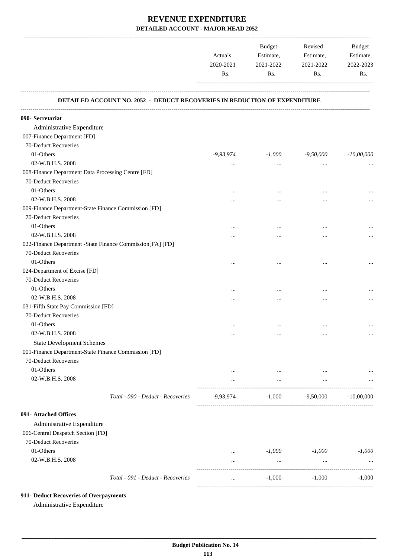|                | Budget    | Revised   | <b>Budget</b> |
|----------------|-----------|-----------|---------------|
| Actuals.       | Estimate, | Estimate, | Estimate,     |
| 2020-2021      | 2021-2022 | 2021-2022 | 2022-2023     |
| $\mathbf{R}$ s | Rs.       | Rs.       | Rs.           |
|                |           |           |               |
|                |           |           |               |

#### **DETAILED ACCOUNT NO. 2052 - DEDUCT RECOVERIES IN REDUCTION OF EXPENDITURE**

| 090- Secretariat                                          |             |          |             |              |
|-----------------------------------------------------------|-------------|----------|-------------|--------------|
| Administrative Expenditure                                |             |          |             |              |
| 007-Finance Department [FD]                               |             |          |             |              |
| 70-Deduct Recoveries                                      |             |          |             |              |
| 01-Others                                                 | $-9,93,974$ | $-1,000$ | $-9,50,000$ | $-10,00,000$ |
| 02-W.B.H.S. 2008                                          | $\cdots$    | $\cdots$ | $\ddotsc$   |              |
| 008-Finance Department Data Processing Centre [FD]        |             |          |             |              |
| 70-Deduct Recoveries                                      |             |          |             |              |
| 01-Others                                                 | $\ddotsc$   | $\cdots$ | $\cdots$    |              |
| 02-W.B.H.S. 2008                                          |             | $\cdots$ | $\ddotsc$   |              |
| 009-Finance Department-State Finance Commission [FD]      |             |          |             |              |
| 70-Deduct Recoveries                                      |             |          |             |              |
| 01-Others                                                 |             | $\cdots$ | $\ddotsc$   |              |
| 02-W.B.H.S. 2008                                          | $\cdots$    | $\cdots$ |             | $\cdots$     |
| 022-Finance Department -State Finance Commission[FA] [FD] |             |          |             |              |
| 70-Deduct Recoveries                                      |             |          |             |              |
| 01-Others                                                 | $\cdots$    | $\cdots$ |             |              |
| 024-Department of Excise [FD]                             |             |          |             |              |
| 70-Deduct Recoveries                                      |             |          |             |              |
| 01-Others                                                 | $\cdots$    | $\cdots$ | $\ddotsc$   |              |
| 02-W.B.H.S. 2008                                          |             | $\cdots$ | $\ddotsc$   |              |
| 031-Fifth State Pay Commission [FD]                       |             |          |             |              |
| 70-Deduct Recoveries                                      |             |          |             |              |
| 01-Others                                                 | $\cdots$    | $\cdots$ | $\ddotsc$   |              |
| 02-W.B.H.S. 2008                                          |             | $\cdots$ | $\ddotsc$   |              |
| <b>State Development Schemes</b>                          |             |          |             |              |
| 001-Finance Department-State Finance Commission [FD]      |             |          |             |              |
| 70-Deduct Recoveries                                      |             |          |             |              |
| 01-Others                                                 | $\ddotsc$   | $\cdots$ | $\ddotsc$   |              |
| 02-W.B.H.S. 2008                                          |             |          |             |              |
|                                                           |             |          |             |              |
| Total - 090 - Deduct - Recoveries                         | $-9,93,974$ | $-1,000$ | $-9,50,000$ | $-10,00,000$ |
| 091- Attached Offices                                     |             |          |             |              |
| Administrative Expenditure                                |             |          |             |              |
| 006-Central Despatch Section [FD]                         |             |          |             |              |
| 70-Deduct Recoveries                                      |             |          |             |              |
| 01-Others                                                 |             | $-1,000$ | $-1,000$    | $-1,000$     |
| 02-W.B.H.S. 2008                                          |             | $\cdots$ | $\cdots$    |              |
|                                                           |             |          |             |              |
| Total - 091 - Deduct - Recoveries                         | $\cdots$    | $-1,000$ | $-1,000$    | $-1,000$     |

#### **911- Deduct Recoveries of Overpayments**

Administrative Expenditure

-----------------------------------------------------------------------------------------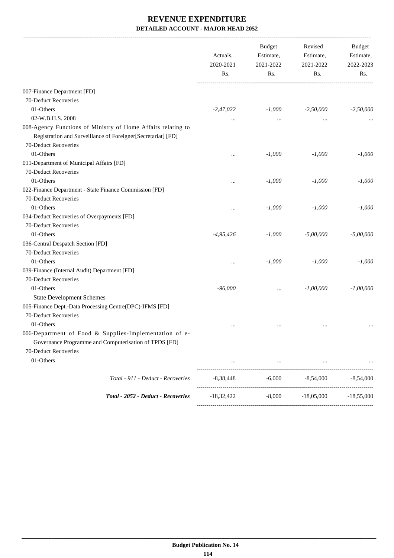| 007-Finance Department [FD]<br>70-Deduct Recoveries<br>01-Others<br>$-2,47,022$<br>02-W.B.H.S. 2008<br>Registration and Surveillance of Foreigner[Secretariat] [FD]<br>70-Deduct Recoveries<br>01-Others<br><br>70-Deduct Recoveries<br>01-Others<br>$\cdots$<br>70-Deduct Recoveries<br>01-Others | $-1,000$              |                                           |             |
|----------------------------------------------------------------------------------------------------------------------------------------------------------------------------------------------------------------------------------------------------------------------------------------------------|-----------------------|-------------------------------------------|-------------|
| 011-Department of Municipal Affairs [FD]<br>022-Finance Department - State Finance Commission [FD]<br>034-Deduct Recoveries of Overpayments [FD]                                                                                                                                                   |                       |                                           |             |
| 008-Agency Functions of Ministry of Home Affairs relating to                                                                                                                                                                                                                                       |                       |                                           |             |
|                                                                                                                                                                                                                                                                                                    |                       | $-2,50,000$                               | $-2,50,000$ |
|                                                                                                                                                                                                                                                                                                    | $\cdots$<br>          |                                           |             |
|                                                                                                                                                                                                                                                                                                    |                       |                                           |             |
|                                                                                                                                                                                                                                                                                                    | $-1,000$              | $-1,000$                                  | $-1,000$    |
|                                                                                                                                                                                                                                                                                                    |                       |                                           |             |
|                                                                                                                                                                                                                                                                                                    |                       |                                           |             |
|                                                                                                                                                                                                                                                                                                    | $-1,000$              | $-1,000$                                  | $-1,000$    |
|                                                                                                                                                                                                                                                                                                    |                       |                                           |             |
|                                                                                                                                                                                                                                                                                                    |                       |                                           |             |
|                                                                                                                                                                                                                                                                                                    | $-1,000$<br>$\cdots$  | $-1,000$                                  | $-1,000$    |
|                                                                                                                                                                                                                                                                                                    |                       |                                           |             |
| 70-Deduct Recoveries                                                                                                                                                                                                                                                                               |                       |                                           |             |
| 01-Others<br>$-4,95,426$                                                                                                                                                                                                                                                                           | $-1,000$              | $-5,00,000$                               | $-5,00,000$ |
| 036-Central Despatch Section [FD]                                                                                                                                                                                                                                                                  |                       |                                           |             |
| 70-Deduct Recoveries                                                                                                                                                                                                                                                                               |                       |                                           |             |
| 01-Others                                                                                                                                                                                                                                                                                          | $-1,000$<br>$\ddotsc$ | $-1,000$                                  | $-1,000$    |
| 039-Finance (Internal Audit) Department [FD]                                                                                                                                                                                                                                                       |                       |                                           |             |
| 70-Deduct Recoveries                                                                                                                                                                                                                                                                               |                       |                                           |             |
| 01-Others<br>$-96,000$                                                                                                                                                                                                                                                                             |                       | $-1,00,000$                               | $-1,00,000$ |
| <b>State Development Schemes</b>                                                                                                                                                                                                                                                                   |                       |                                           |             |
| 005-Finance Dept.-Data Processing Centre(DPC)-IFMS [FD]                                                                                                                                                                                                                                            |                       |                                           |             |
| 70-Deduct Recoveries                                                                                                                                                                                                                                                                               |                       |                                           |             |
| 01-Others                                                                                                                                                                                                                                                                                          | $\cdots$              |                                           |             |
| 006-Department of Food & Supplies-Implementation of e-<br>Governance Programme and Computerisation of TPDS [FD]                                                                                                                                                                                    |                       |                                           |             |
| 70-Deduct Recoveries                                                                                                                                                                                                                                                                               |                       |                                           |             |
| 01-Others                                                                                                                                                                                                                                                                                          | $\cdots$              | and the state of the state of<br>$\cdots$ |             |
| Total - 911 - Deduct - Recoveries<br>$-8,38,448$                                                                                                                                                                                                                                                   | $-6,000$              | $-8,54,000$                               | $-8,54,000$ |
| Total - 2052 - Deduct - Recoveries<br>$-18,32,422$                                                                                                                                                                                                                                                 | $-8,000$              |                                           |             |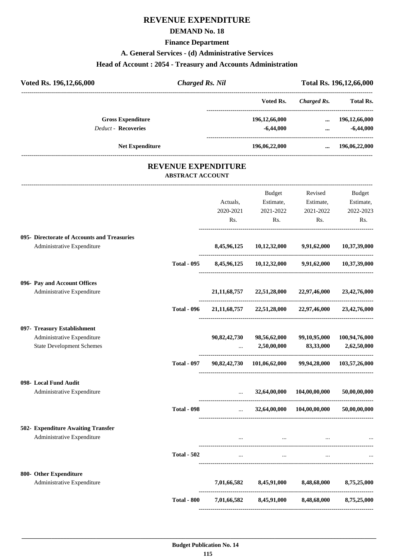## **REVENUE EXPENDITURE**

#### **DEMAND No. 18**

#### **Finance Department**

## **A. General Services - (d) Administrative Services**

## **Head of Account : 2054 - Treasury and Accounts Administration**

| Voted Rs. 196, 12, 66, 000                                                                    | <b>Charged Rs. Nil</b>     |                              |                                                     |                                                           | Total Rs. 196, 12, 66, 000                                                    |
|-----------------------------------------------------------------------------------------------|----------------------------|------------------------------|-----------------------------------------------------|-----------------------------------------------------------|-------------------------------------------------------------------------------|
|                                                                                               |                            |                              | -------------------------------<br>Voted Rs.        | <b>Charged Rs.</b>                                        | <b>Total Rs.</b>                                                              |
| <b>Gross Expenditure</b><br><b>Deduct - Recoveries</b>                                        |                            |                              | 196,12,66,000<br>$-6,44,000$                        |                                                           | $\dots$ 196,12,66,000<br>$-6,44,000$<br>$\cdots$ . The same of $\mathbb{R}^n$ |
| <b>Net Expenditure</b>                                                                        |                            |                              | 196,06,22,000                                       |                                                           | $\dots$ 196,06,22,000                                                         |
|                                                                                               | <b>REVENUE EXPENDITURE</b> |                              |                                                     |                                                           |                                                                               |
|                                                                                               | <b>ABSTRACT ACCOUNT</b>    |                              |                                                     |                                                           |                                                                               |
|                                                                                               |                            | Actuals,<br>2020-2021<br>Rs. | <b>Budget</b><br>2021-2022                          | Revised<br>Estimate, Estimate,<br>2021-2022<br>Rs.<br>Rs. | Budget<br>Estimate,<br>2022-2023<br>Rs.                                       |
| 095- Directorate of Accounts and Treasuries<br>Administrative Expenditure                     |                            | 8,45,96,125                  |                                                     | $10,12,32,000$ $9,91,62,000$                              | 10,37,39,000                                                                  |
|                                                                                               | <b>Total - 095</b>         |                              | 8,45,96,125 10,12,32,000 9,91,62,000 10,37,39,000   |                                                           |                                                                               |
| 096- Pay and Account Offices<br>Administrative Expenditure                                    |                            |                              | 21,11,68,757 22,51,28,000 22,97,46,000              |                                                           | 23,42,76,000                                                                  |
|                                                                                               | <b>Total - 096</b>         |                              | 21,11,68,757 22,51,28,000 22,97,46,000 23,42,76,000 |                                                           |                                                                               |
| 097- Treasury Establishment<br>Administrative Expenditure<br><b>State Development Schemes</b> |                            | 90,82,42,730                 | 98,56,62,000<br>2,50,00,000                         | 99,10,95,000<br>83,33,000                                 | 100,94,76,000<br>2,62,50,000                                                  |
|                                                                                               | <b>Total - 097</b>         | 90,82,42,730                 | 101,06,62,000                                       |                                                           | 99,94,28,000 103,57,26,000                                                    |
| 098- Local Fund Audit<br>Administrative Expenditure                                           |                            | $\cdots$                     | 32,64,00,000                                        | 104,00,00,000                                             | 50,00,00,000                                                                  |
|                                                                                               | <b>Total - 098</b>         | $\cdots$                     |                                                     | 32,64,00,000 104,00,00,000                                | 50,00,00,000                                                                  |
| 502- Expenditure Awaiting Transfer<br>Administrative Expenditure                              |                            | $\cdots$                     | $\cdots$                                            | $\sim$ $\sim$                                             |                                                                               |
|                                                                                               | <b>Total - 502</b>         | $\cdots$                     | $\cdots$                                            |                                                           |                                                                               |
| 800- Other Expenditure<br>Administrative Expenditure                                          |                            |                              |                                                     |                                                           |                                                                               |
|                                                                                               |                            | 7,01,66,582                  | 8,45,91,000                                         | 8,48,68,000                                               | 8,75,25,000                                                                   |
|                                                                                               | <b>Total - 800</b>         | 7,01,66,582                  | 8,45,91,000                                         | 8,48,68,000                                               | 8,75,25,000                                                                   |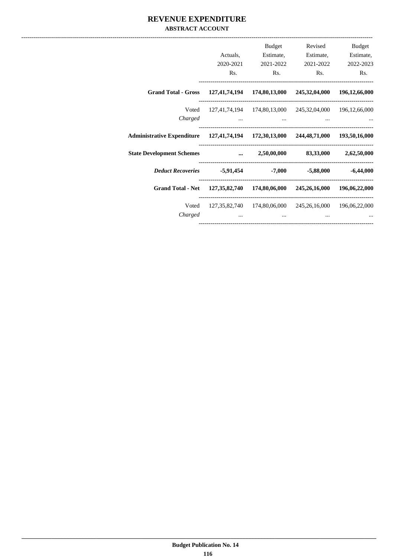#### **REVENUE EXPENDITURE ABSTRACT ACCOUNT**

| Budget                                                                                                                                                                                                                           | Revised                                                             | Budget                              |                                         |                                                                                    |
|----------------------------------------------------------------------------------------------------------------------------------------------------------------------------------------------------------------------------------|---------------------------------------------------------------------|-------------------------------------|-----------------------------------------|------------------------------------------------------------------------------------|
| Estimate,                                                                                                                                                                                                                        | Estimate,                                                           | Estimate,                           | Actuals,                                |                                                                                    |
| 2022-2023                                                                                                                                                                                                                        | 2021-2022                                                           | 2021-2022                           | 2020-2021                               |                                                                                    |
| Rs.                                                                                                                                                                                                                              | Rs.                                                                 | Rs.                                 | Rs.                                     |                                                                                    |
|                                                                                                                                                                                                                                  |                                                                     |                                     |                                         | Grand Total - Gross 127,41,74,194 174,80,13,000 245,32,04,000 196,12,66,000        |
|                                                                                                                                                                                                                                  | 127,41,74,194 174,80,13,000 245,32,04,000 196,12,66,000             |                                     |                                         | Voted                                                                              |
| $\cdots$ . The contract of the contract of the contract of the contract of the contract of the contract of the contract of the contract of the contract of the contract of the contract of the contract of the contract of the c |                                                                     | the contract of the contract of the | and the contract of the contract of the | Charged                                                                            |
|                                                                                                                                                                                                                                  |                                                                     |                                     |                                         | Administrative Expenditure 127,41,74,194 172,30,13,000 244,48,71,000 193,50,16,000 |
|                                                                                                                                                                                                                                  |                                                                     |                                     |                                         | State Development Schemes  2,50,00,000 83,33,000 2,62,50,000                       |
| $-6,44,000$                                                                                                                                                                                                                      |                                                                     |                                     |                                         | <i>Deduct Recoveries</i> 5.91,454 5.88,000 - 5.88,000                              |
|                                                                                                                                                                                                                                  |                                                                     |                                     |                                         | Grand Total - Net 127,35,82,740 174,80,06,000 245,26,16,000 196,06,22,000          |
|                                                                                                                                                                                                                                  | 127, 35, 82, 740 174, 80, 06, 000 245, 26, 16, 000 196, 06, 22, 000 |                                     |                                         | Voted                                                                              |
|                                                                                                                                                                                                                                  |                                                                     |                                     |                                         | Charged                                                                            |
|                                                                                                                                                                                                                                  |                                                                     |                                     |                                         |                                                                                    |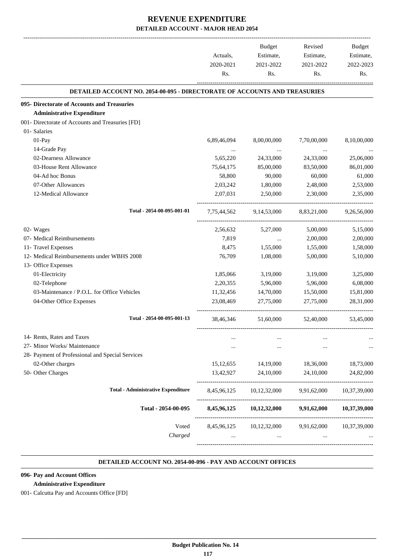|                                                                           |             | Budget                               | Revised                      | Budget       |
|---------------------------------------------------------------------------|-------------|--------------------------------------|------------------------------|--------------|
|                                                                           | Actuals,    | Estimate,                            | Estimate,                    | Estimate,    |
|                                                                           | 2020-2021   | 2021-2022                            | 2021-2022                    | 2022-2023    |
|                                                                           | Rs.         | Rs.                                  | Rs.                          | Rs.          |
| DETAILED ACCOUNT NO. 2054-00-095 - DIRECTORATE OF ACCOUNTS AND TREASURIES |             |                                      |                              |              |
| 095- Directorate of Accounts and Treasuries                               |             |                                      |                              |              |
| <b>Administrative Expenditure</b>                                         |             |                                      |                              |              |
| 001- Directorate of Accounts and Treasuries [FD]                          |             |                                      |                              |              |
| 01- Salaries                                                              |             |                                      |                              |              |
| 01-Pay                                                                    | 6,89,46,094 | 8,00,00,000                          | 7,70,00,000                  | 8,10,00,000  |
| 14-Grade Pay                                                              | $\cdots$    |                                      | $\cdots$                     |              |
| 02-Dearness Allowance                                                     | 5,65,220    | 24,33,000                            | 24,33,000                    | 25,06,000    |
| 03-House Rent Allowance                                                   | 75,64,175   | 85,00,000                            | 83,50,000                    | 86,01,000    |
| 04-Ad hoc Bonus                                                           | 58,800      | 90,000                               | 60,000                       | 61,000       |
| 07-Other Allowances                                                       | 2,03,242    | 1,80,000                             | 2,48,000                     | 2,53,000     |
| 12-Medical Allowance                                                      | 2,07,031    | 2,50,000                             | 2,30,000                     | 2,35,000     |
| Total - 2054-00-095-001-01                                                |             | 7,75,44,562 9,14,53,000 8,83,21,000  |                              | 9,26,56,000  |
| 02- Wages                                                                 | 2,56,632    | 5,27,000                             | 5,00,000                     | 5,15,000     |
| 07- Medical Reimbursements                                                | 7,819       | $\cdots$                             | 2,00,000                     | 2,00,000     |
| 11- Travel Expenses                                                       | 8,475       | 1,55,000                             | 1,55,000                     | 1,58,000     |
| 12- Medical Reimbursements under WBHS 2008                                | 76,709      | 1,08,000                             | 5,00,000                     | 5,10,000     |
| 13- Office Expenses                                                       |             |                                      |                              |              |
| 01-Electricity                                                            | 1,85,066    | 3,19,000                             | 3,19,000                     | 3,25,000     |
| 02-Telephone                                                              | 2, 20, 355  | 5,96,000                             | 5,96,000                     | 6,08,000     |
| 03-Maintenance / P.O.L. for Office Vehicles                               | 11,32,456   | 14,70,000                            | 15,50,000                    | 15,81,000    |
| 04-Other Office Expenses                                                  | 23,08,469   | 27,75,000                            | 27,75,000                    | 28,31,000    |
| Total - 2054-00-095-001-13                                                | 38,46,346   | 51,60,000                            | 52,40,000                    | 53,45,000    |
| 14- Rents, Rates and Taxes                                                |             |                                      |                              |              |
| 27- Minor Works/ Maintenance                                              | $\ddotsc$   | $\cdots$                             | $\cdots$                     | $\cdots$     |
| 28- Payment of Professional and Special Services                          |             |                                      |                              |              |
| 02-Other charges                                                          | 15, 12, 655 | 14,19,000                            | 18,36,000                    | 18,73,000    |
| 50- Other Charges                                                         | 13,42,927   | 24,10,000                            | 24,10,000                    | 24,82,000    |
| <b>Total - Administrative Expenditure</b>                                 | 8,45,96,125 | 10,12,32,000                         | 9,91,62,000                  | 10,37,39,000 |
| Total - 2054-00-095                                                       | 8,45,96,125 |                                      | $10,12,32,000$ $9,91,62,000$ | 10,37,39,000 |
| Voted                                                                     |             | 8,45,96,125 10,12,32,000 9,91,62,000 |                              | 10,37,39,000 |
| Charged                                                                   | $\cdots$    | $\cdots$                             | $\cdots$                     |              |

#### **DETAILED ACCOUNT NO. 2054-00-096 - PAY AND ACCOUNT OFFICES .**

.

#### **096- Pay and Account Offices**

- **Administrative Expenditure**
- 001- Calcutta Pay and Accounts Office [FD]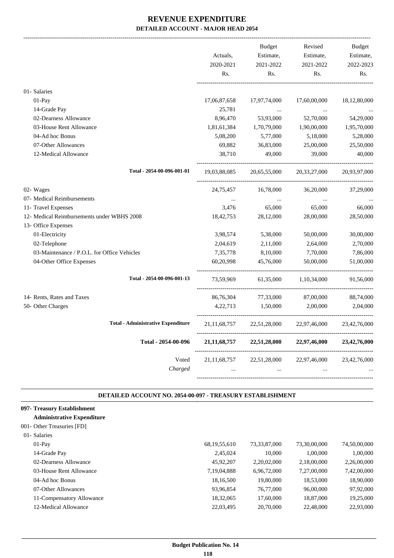|                                             |                 | <b>Budget</b> | Revised         | <b>Budget</b> |
|---------------------------------------------|-----------------|---------------|-----------------|---------------|
|                                             | Actuals.        | Estimate,     | Estimate,       | Estimate,     |
|                                             | 2020-2021       | 2021-2022     | 2021-2022       | 2022-2023     |
|                                             | Rs.             | Rs.           | Rs.             | Rs.           |
| 01- Salaries                                |                 |               |                 |               |
| 01-Pay                                      | 17,06,87,658    | 17,97,74,000  | 17,60,00,000    | 18,12,80,000  |
| 14-Grade Pay                                | 25,781          |               |                 |               |
| 02-Dearness Allowance                       | 8,96,470        | 53,93,000     | 52,70,000       | 54,29,000     |
| 03-House Rent Allowance                     | 1,81,61,384     | 1,70,79,000   | 1,90,00,000     | 1,95,70,000   |
| 04-Ad hoc Bonus                             | 5,08,200        | 5,77,000      | 5,18,000        | 5,28,000      |
| 07-Other Allowances                         | 69,882          | 36,83,000     | 25,00,000       | 25,50,000     |
| 12-Medical Allowance                        | 38,710          | 49,000        | 39,000          | 40.000        |
| Total - 2054-00-096-001-01                  | 19,03,88,085    | 20,65,55,000  | 20, 33, 27, 000 | 20.93.97.000  |
| 02- Wages                                   | 24,75,457       | 16,78,000     | 36,20,000       | 37,29,000     |
| 07- Medical Reimbursements                  | $\ldots$        | $\cdots$      | $\cdots$        |               |
| 11- Travel Expenses                         | 3,476           | 65,000        | 65,000          | 66,000        |
| 12- Medical Reimbursements under WBHS 2008  | 18,42,753       | 28,12,000     | 28,00,000       | 28,50,000     |
| 13- Office Expenses                         |                 |               |                 |               |
| 01-Electricity                              | 3,98,574        | 5,38,000      | 50,00,000       | 30,00,000     |
| 02-Telephone                                | 2,04,619        | 2,11,000      | 2,64,000        | 2,70,000      |
| 03-Maintenance / P.O.L. for Office Vehicles | 7,35,778        | 8,10,000      | 7,70,000        | 7,86,000      |
| 04-Other Office Expenses                    | 60,20,998       | 45,76,000     | 50,00,000       | 51,00,000     |
| Total - 2054-00-096-001-13                  | 73,59,969       | 61,35,000     | 1,10,34,000     | 91,56,000     |
| 14- Rents, Rates and Taxes                  | 86,76,304       | 77,33,000     | 87,00,000       | 88,74,000     |
| 50- Other Charges                           | 4,22,713        | 1,50,000      | 2,00,000        | 2,04,000      |
| <b>Total - Administrative Expenditure</b>   | 21, 11, 68, 757 | 22,51,28,000  | 22,97,46,000    | 23,42,76,000  |
| Total - 2054-00-096                         | 21, 11, 68, 757 | 22,51,28,000  | 22,97,46,000    | 23,42,76,000  |
| Voted                                       | 21, 11, 68, 757 | 22,51,28,000  | 22,97,46,000    | 23,42,76,000  |
| Charged                                     |                 |               |                 |               |
|                                             |                 |               |                 |               |

#### **DETAILED ACCOUNT NO. 2054-00-097 - TREASURY ESTABLISHMENT .**

.

#### **097- Treasury Establishment**

#### **Administrative Expenditure**

| 001- Other Treasuries [FD] |                 |                 |              |              |
|----------------------------|-----------------|-----------------|--------------|--------------|
| 01- Salaries               |                 |                 |              |              |
| $01-Pav$                   | 68, 19, 55, 610 | 73, 33, 87, 000 | 73,30,00,000 | 74,50,00,000 |
| 14-Grade Pay               | 2,45,024        | 10,000          | 1,00,000     | 1,00,000     |
| 02-Dearness Allowance      | 45,92,207       | 2,20,02,000     | 2,18,00,000  | 2,26,00,000  |
| 03-House Rent Allowance    | 7,19,04,888     | 6,96,72,000     | 7,27,00,000  | 7,42,00,000  |
| 04-Ad hoc Bonus            | 18,16,500       | 19,80,000       | 18,53,000    | 18,90,000    |
| 07-Other Allowances        | 93,96,854       | 76,77,000       | 96,00,000    | 97,92,000    |
| 11-Compensatory Allowance  | 18,32,065       | 17,60,000       | 18,87,000    | 19,25,000    |
| 12-Medical Allowance       | 22,03,495       | 20,70,000       | 22,48,000    | 22,93,000    |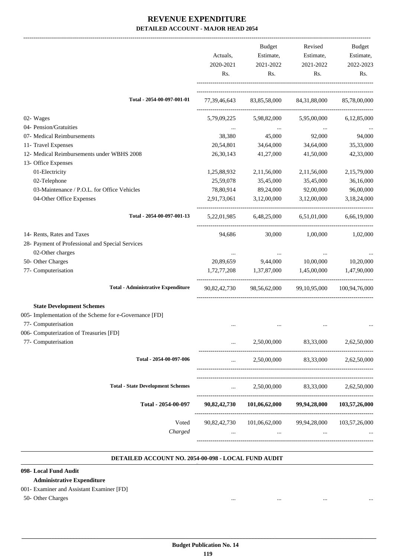|                                                         | Actuals,<br>2020-2021<br>Rs. | Budget<br>Estimate,<br>2021-2022<br>Rs.              | Revised<br>Estimate,<br>2021-2022<br>Rs. | Budget<br>Estimate,<br>2022-2023<br>Rs. |
|---------------------------------------------------------|------------------------------|------------------------------------------------------|------------------------------------------|-----------------------------------------|
|                                                         |                              |                                                      |                                          |                                         |
| Total - 2054-00-097-001-01                              |                              | 77,39,46,643 83,85,58,000 84,31,88,000               |                                          | 85,78,00,000                            |
| 02- Wages                                               | 5,79,09,225                  | 5,98,82,000                                          | 5,95,00,000                              | 6,12,85,000                             |
| 04- Pension/Gratuities                                  | $\cdots$                     | $\cdots$                                             | $\ldots$                                 |                                         |
| 07- Medical Reimbursements                              | 38,380                       | 45,000                                               | 92,000                                   | 94,000                                  |
| 11- Travel Expenses                                     | 20,54,801                    | 34,64,000                                            | 34,64,000                                | 35,33,000                               |
| 12- Medical Reimbursements under WBHS 2008              | 26,30,143                    | 41,27,000                                            | 41,50,000                                | 42,33,000                               |
| 13- Office Expenses                                     |                              |                                                      |                                          |                                         |
| 01-Electricity                                          | 1,25,88,932                  | 2,11,56,000                                          | 2,11,56,000                              | 2,15,79,000                             |
| 02-Telephone                                            | 25,59,078                    | 35,45,000                                            | 35,45,000                                | 36,16,000                               |
| 03-Maintenance / P.O.L. for Office Vehicles             | 78,80,914                    | 89,24,000                                            | 92,00,000                                | 96,00,000                               |
| 04-Other Office Expenses                                | 2,91,73,061                  | 3,12,00,000                                          | 3,12,00,000                              | 3,18,24,000                             |
| Total - 2054-00-097-001-13                              |                              | 5,22,01,985 6,48,25,000 6,51,01,000                  |                                          | 6,66,19,000                             |
| 14- Rents, Rates and Taxes                              | 94,686                       | 30,000                                               | 1,00,000                                 | 1,02,000                                |
| 28- Payment of Professional and Special Services        |                              |                                                      |                                          |                                         |
| 02-Other charges                                        | $\ldots$                     | $\cdots$                                             | $\cdots$                                 |                                         |
| 50- Other Charges                                       | 20,89,659                    | 9,44,000                                             | 10,00,000                                | 10,20,000                               |
| 77- Computerisation                                     | 1,72,77,208                  | 1,37,87,000                                          | 1,45,00,000                              | 1,47,90,000                             |
| <b>Total - Administrative Expenditure</b>               |                              | 90,82,42,730 98,56,62,000 99,10,95,000 100,94,76,000 |                                          |                                         |
| <b>State Development Schemes</b>                        |                              |                                                      |                                          |                                         |
| 005- Implementation of the Scheme for e-Governance [FD] |                              |                                                      |                                          |                                         |
| 77- Computerisation                                     |                              | $\cdots$                                             | $\ddotsc$                                |                                         |
| 006- Computerization of Treasuries [FD]                 |                              |                                                      |                                          |                                         |
| 77- Computerisation                                     |                              | 2,50,00,000                                          | 83,33,000                                | 2,62,50,000                             |
| Total - 2054-00-097-006                                 | $\cdots$                     | 2,50,00,000                                          | 83,33,000                                | 2,62,50,000                             |
|                                                         |                              |                                                      |                                          |                                         |
| <b>Total - State Development Schemes</b>                |                              | 2,50,00,000                                          | 83,33,000                                | 2,62,50,000                             |
| Total - 2054-00-097                                     | 90,82,42,730                 | 101,06,62,000                                        | 99,94,28,000                             | 103,57,26,000                           |
| Voted                                                   | 90,82,42,730                 | 101,06,62,000                                        | 99,94,28,000                             | 103,57,26,000                           |
| Charged                                                 |                              |                                                      | $\cdots$                                 |                                         |

#### **DETAILED ACCOUNT NO. 2054-00-098 - LOCAL FUND AUDIT .**

.

## **098- Local Fund Audit**

## **Administrative Expenditure**

#### 001- Examiner and Assistant Examiner [FD]

50- Other Charges ... ... ... ...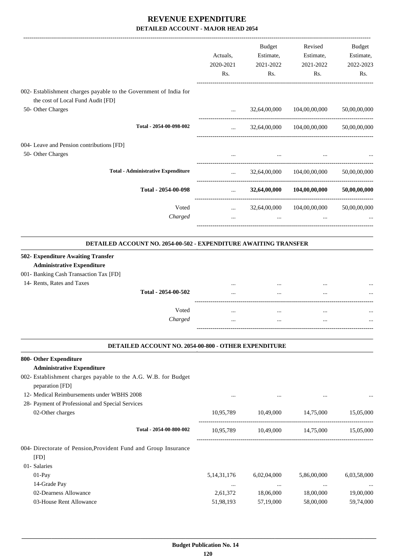|                                                                                   |                | Budget       | Revised                                 | Budget       |
|-----------------------------------------------------------------------------------|----------------|--------------|-----------------------------------------|--------------|
|                                                                                   | Actuals,       | Estimate,    | Estimate,                               | Estimate,    |
|                                                                                   | 2020-2021      | 2021-2022    | 2021-2022                               | 2022-2023    |
|                                                                                   | Rs.            | Rs.          | Rs.                                     | Rs.          |
| 002- Establishment charges payable to the Government of India for                 |                |              |                                         |              |
| the cost of Local Fund Audit [FD]                                                 |                |              |                                         |              |
| 50- Other Charges                                                                 | $\cdots$       | 32,64,00,000 | 104,00,00,000                           | 50,00,00,000 |
|                                                                                   |                |              |                                         |              |
| Total - 2054-00-098-002                                                           | $\cdots$       |              | 32,64,00,000 104,00,00,000              | 50,00,00,000 |
| 004- Leave and Pension contributions [FD]                                         |                |              |                                         |              |
| 50- Other Charges                                                                 |                |              |                                         |              |
| <b>Total - Administrative Expenditure</b>                                         | $\cdots$       |              | 32,64,00,000 104,00,00,000              | 50,00,00,000 |
| Total - 2054-00-098                                                               | $\cdots$       | 32,64,00,000 | 104,00,00,000                           | 50,00,00,000 |
| Voted                                                                             | $\cdots$       | 32,64,00,000 | 104,00,00,000                           | 50,00,00,000 |
| Charged                                                                           | $\cdots$       | $\ldots$     | $\cdots$                                |              |
|                                                                                   |                |              |                                         |              |
| <b>DETAILED ACCOUNT NO. 2054-00-502 - EXPENDITURE AWAITING TRANSFER</b>           |                |              |                                         |              |
| 502- Expenditure Awaiting Transfer<br><b>Administrative Expenditure</b>           |                |              |                                         |              |
| 001- Banking Cash Transaction Tax [FD]                                            |                |              |                                         |              |
| 14- Rents, Rates and Taxes                                                        |                |              |                                         |              |
| Total - 2054-00-502                                                               | $\cdots$       | $\cdots$     |                                         |              |
| Voted                                                                             | $\cdots$       | $\cdots$     |                                         |              |
| Charged                                                                           | $\cdots$       | $\cdots$     | $\cdots$                                |              |
|                                                                                   |                |              |                                         |              |
| DETAILED ACCOUNT NO. 2054-00-800 - OTHER EXPENDITURE                              |                |              |                                         |              |
| 800- Other Expenditure                                                            |                |              |                                         |              |
| <b>Administrative Expenditure</b>                                                 |                |              |                                         |              |
| 002- Establishment charges payable to the A.G. W.B. for Budget<br>peparation [FD] |                |              |                                         |              |
| 12- Medical Reimbursements under WBHS 2008                                        | $\cdots$       | $\cdots$     | $\cdots$                                | $\ddotsc$    |
| 28- Payment of Professional and Special Services                                  |                |              |                                         |              |
| 02-Other charges                                                                  | 10,95,789      | 10,49,000    | 14,75,000                               | 15,05,000    |
| Total - 2054-00-800-002                                                           |                |              | 10,95,789 10,49,000 14,75,000 15,05,000 |              |
| 004- Directorate of Pension, Provident Fund and Group Insurance                   |                |              |                                         |              |
| [FD]                                                                              |                |              |                                         |              |
| 01- Salaries                                                                      |                |              |                                         |              |
| 01-Pay                                                                            | 5, 14, 31, 176 | 6,02,04,000  | 5,86,00,000                             | 6,03,58,000  |
| 14-Grade Pay                                                                      | $\cdots$       | $\cdots$     | $\cdots$                                |              |
| 02-Dearness Allowance                                                             | 2,61,372       | 18,06,000    | 18,00,000                               | 19,00,000    |
| 03-House Rent Allowance                                                           | 51,98,193      | 57,19,000    | 58,00,000                               | 59,74,000    |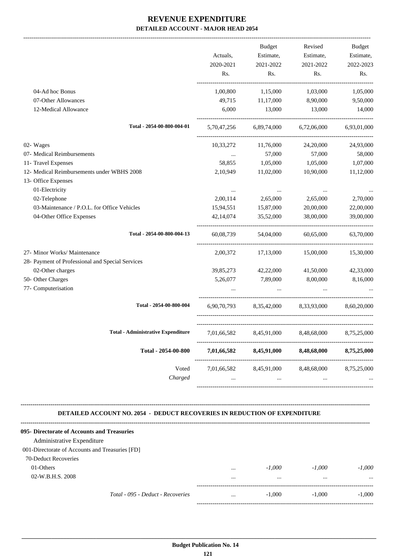|                                                  |                         | Budget                              | Revised                 | Budget      |
|--------------------------------------------------|-------------------------|-------------------------------------|-------------------------|-------------|
|                                                  | Actuals,                | Estimate,                           | Estimate,               | Estimate,   |
|                                                  | 2020-2021               | 2021-2022                           | 2021-2022               | 2022-2023   |
|                                                  | Rs.                     | Rs.                                 | Rs.                     | Rs.         |
| 04-Ad hoc Bonus                                  | 1,00,800                | 1,15,000                            | 1,03,000                | 1,05,000    |
| 07-Other Allowances                              | 49,715                  | 11,17,000                           | 8,90,000                | 9,50,000    |
| 12-Medical Allowance                             | 6,000                   | 13,000                              | 13,000                  | 14,000      |
| Total - 2054-00-800-004-01                       | 5,70,47,256             | 6,89,74,000                         | 6,72,06,000             | 6,93,01,000 |
| 02- Wages                                        | 10,33,272               | 11,76,000                           | 24,20,000               | 24,93,000   |
| 07- Medical Reimbursements                       | $\cdots$                | 57,000                              | 57,000                  | 58,000      |
| 11- Travel Expenses                              | 58,855                  | 1,05,000                            | 1,05,000                | 1,07,000    |
| 12- Medical Reimbursements under WBHS 2008       | 2,10,949                | 11,02,000                           | 10,90,000               | 11,12,000   |
| 13- Office Expenses                              |                         |                                     |                         |             |
| 01-Electricity                                   | $\ldots$                | $\cdots$                            | $\cdots$                |             |
| 02-Telephone                                     | 2,00,114                | 2,65,000                            | 2,65,000                | 2,70,000    |
| 03-Maintenance / P.O.L. for Office Vehicles      | 15,94,551               | 15,87,000                           | 20,00,000               | 22,00,000   |
| 04-Other Office Expenses                         | 42,14,074               | 35,52,000                           | 38,00,000               | 39,00,000   |
| Total - 2054-00-800-004-13                       | 60,08,739               | 54,04,000                           | 60,65,000               | 63,70,000   |
| 27- Minor Works/ Maintenance                     | 2,00,372                | 17,13,000                           | 15,00,000               | 15,30,000   |
| 28- Payment of Professional and Special Services |                         |                                     |                         |             |
| 02-Other charges                                 | 39,85,273               | 42,22,000                           | 41,50,000               | 42,33,000   |
| 50- Other Charges                                | 5,26,077                | 7,89,000                            | 8,00,000                | 8,16,000    |
| 77- Computerisation                              |                         | $\cdots$                            |                         |             |
| Total - 2054-00-800-004                          | 6,90,70,793             |                                     | 8,35,42,000 8,33,93,000 | 8,60,20,000 |
| <b>Total - Administrative Expenditure</b>        |                         | 7,01,66,582 8,45,91,000 8,48,68,000 |                         | 8,75,25,000 |
| Total - 2054-00-800                              | 7,01,66,582             | 8,45,91,000                         | 8,48,68,000             | 8,75,25,000 |
| Voted<br>Charged                                 | 7,01,66,582<br>$\cdots$ | 8,45,91,000<br>$\cdots$             | 8,48,68,000<br>$\cdots$ | 8,75,25,000 |

#### **DETAILED ACCOUNT NO. 2054 - DEDUCT RECOVERIES IN REDUCTION OF EXPENDITURE**

**--------------------------------------------------------------------------------------------------------------------------------------------------------------------------------**

|  |  |  |  | 095- Directorate of Accounts and Treasuries |  |
|--|--|--|--|---------------------------------------------|--|
|--|--|--|--|---------------------------------------------|--|

Administrative Expenditure

001-Directorate of Accounts and Treasuries [FD]

| $-1,000$ | $-1.000$ | $-1.000$ |
|----------|----------|----------|
| $\cdots$ |          |          |
| $-1.000$ | $-1.000$ | $-1.000$ |
|          |          |          |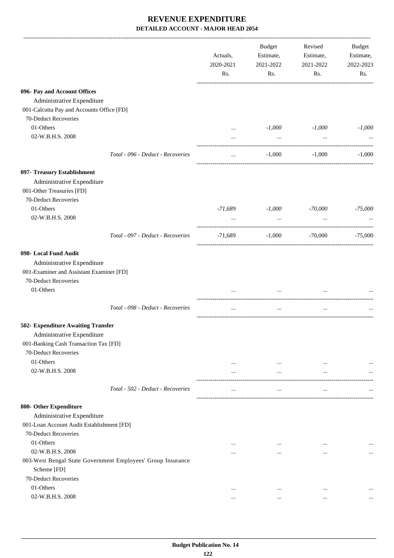|                                                                                                                                      |                                                             | Actuals,<br>2020-2021<br>Rs. | Budget<br>Estimate,<br>2021-2022<br>Rs. | Revised<br>Estimate,<br>2021-2022<br>Rs. | Budget<br>Estimate,<br>2022-2023<br>Rs. |
|--------------------------------------------------------------------------------------------------------------------------------------|-------------------------------------------------------------|------------------------------|-----------------------------------------|------------------------------------------|-----------------------------------------|
| 096- Pay and Account Offices                                                                                                         |                                                             |                              |                                         |                                          |                                         |
| Administrative Expenditure                                                                                                           |                                                             |                              |                                         |                                          |                                         |
| 001-Calcutta Pay and Accounts Office [FD]                                                                                            |                                                             |                              |                                         |                                          |                                         |
| 70-Deduct Recoveries                                                                                                                 |                                                             |                              |                                         |                                          |                                         |
| 01-Others                                                                                                                            |                                                             | $\cdots$                     | -1,000                                  | $-1,000$                                 | $-1,000$                                |
| 02-W.B.H.S. 2008                                                                                                                     |                                                             | $\cdots$                     | $\cdots$                                | $\ldots$                                 |                                         |
|                                                                                                                                      | Total - 096 - Deduct - Recoveries                           | $\cdots$                     | $-1,000$                                | $-1,000$                                 | $-1,000$                                |
| 097- Treasury Establishment                                                                                                          |                                                             |                              |                                         |                                          |                                         |
| Administrative Expenditure                                                                                                           |                                                             |                              |                                         |                                          |                                         |
| 001-Other Treasuries [FD]                                                                                                            |                                                             |                              |                                         |                                          |                                         |
| 70-Deduct Recoveries                                                                                                                 |                                                             |                              |                                         |                                          |                                         |
| 01-Others                                                                                                                            |                                                             | -71,689                      | -1,000                                  | $-70,000$                                | $-75,000$                               |
| 02-W.B.H.S. 2008                                                                                                                     |                                                             |                              | $\cdots$                                | $\ldots$                                 |                                         |
|                                                                                                                                      | Total - 097 - Deduct - Recoveries                           | $-71,689$                    | $-1,000$                                | $-70,000$                                | $-75,000$                               |
| 098- Local Fund Audit<br>Administrative Expenditure<br>001-Examiner and Assistant Examiner [FD]<br>70-Deduct Recoveries<br>01-Others |                                                             | $\cdots$                     | $\cdots$                                | $\cdots$                                 |                                         |
|                                                                                                                                      |                                                             |                              |                                         |                                          |                                         |
|                                                                                                                                      | Total - 098 - Deduct - Recoveries                           | $\cdots$                     | $\cdots$                                | $\cdots$                                 |                                         |
| 502- Expenditure Awaiting Transfer                                                                                                   |                                                             |                              |                                         |                                          |                                         |
| Administrative Expenditure                                                                                                           |                                                             |                              |                                         |                                          |                                         |
| 001-Banking Cash Transaction Tax [FD]                                                                                                |                                                             |                              |                                         |                                          |                                         |
| 70-Deduct Recoveries                                                                                                                 |                                                             |                              |                                         |                                          |                                         |
| 01-Others                                                                                                                            |                                                             | $\cdots$                     | $\ldots$                                | $\cdots$                                 |                                         |
| 02-W.B.H.S. 2008                                                                                                                     |                                                             | $\cdots$                     | $\cdots$                                | $\cdots$                                 |                                         |
|                                                                                                                                      | Total - 502 - Deduct - Recoveries                           | $\cdots$                     | $\ldots$                                | $\cdots$                                 |                                         |
| 800- Other Expenditure<br>Administrative Expenditure<br>001-Loan Account Audit Establishment [FD]<br>70-Deduct Recoveries            |                                                             |                              |                                         |                                          |                                         |
| 01-Others                                                                                                                            |                                                             | $\cdots$                     | $\cdots$                                | $\cdots$                                 | $\cdots$                                |
| 02-W.B.H.S. 2008                                                                                                                     |                                                             | $\cdots$                     | $\cdots$                                | $\cdots$                                 |                                         |
| Scheme [FD]                                                                                                                          | 003-West Bengal State Government Employees' Group Insurance |                              |                                         |                                          |                                         |
| 70-Deduct Recoveries                                                                                                                 |                                                             |                              |                                         |                                          |                                         |
| 01-Others                                                                                                                            |                                                             | $\cdots$                     | $\cdots$                                | $\cdots$                                 |                                         |
| 02-W.B.H.S. 2008                                                                                                                     |                                                             | $\cdots$                     | $\cdots$                                | $\cdots$                                 |                                         |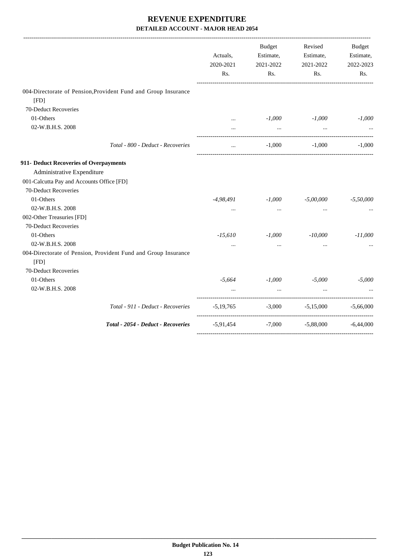|                                                                | Actuals,<br>2020-2021<br>Rs. | <b>Budget</b><br>Estimate,<br>2021-2022<br>Rs. | Revised<br>Estimate,<br>2021-2022<br>Rs. | <b>Budget</b><br>Estimate,<br>2022-2023<br>Rs. |
|----------------------------------------------------------------|------------------------------|------------------------------------------------|------------------------------------------|------------------------------------------------|
| 004-Directorate of Pension, Provident Fund and Group Insurance |                              |                                                |                                          |                                                |
| [FD]                                                           |                              |                                                |                                          |                                                |
| 70-Deduct Recoveries                                           |                              |                                                |                                          |                                                |
| 01-Others                                                      | $\cdots$                     | $-1,000$                                       | $-1,000$                                 | $-1,000$                                       |
| 02-W.B.H.S. 2008                                               | $\cdots$                     | $\cdots$                                       | $\cdots$                                 |                                                |
| Total - 800 - Deduct - Recoveries                              | $\cdots$                     | $-1,000$                                       | $-1.000$                                 | $-1.000$                                       |
| 911- Deduct Recoveries of Overpayments                         |                              |                                                |                                          |                                                |
| Administrative Expenditure                                     |                              |                                                |                                          |                                                |
| 001-Calcutta Pay and Accounts Office [FD]                      |                              |                                                |                                          |                                                |
| 70-Deduct Recoveries                                           |                              |                                                |                                          |                                                |
| 01-Others                                                      | $-4,98,491$                  | $-1.000$                                       | $-5,00,000$                              | $-5,50,000$                                    |
| 02-W.B.H.S. 2008                                               | $\cdots$                     | $\cdots$                                       |                                          |                                                |
| 002-Other Treasuries [FD]                                      |                              |                                                |                                          |                                                |
| 70-Deduct Recoveries                                           |                              |                                                |                                          |                                                |
| 01-Others                                                      | $-15,610$                    | $-1,000$                                       | $-10,000$                                | $-11,000$                                      |
| 02-W.B.H.S. 2008                                               | $\cdots$                     | $\cdots$                                       | $\cdots$                                 |                                                |
| 004-Directorate of Pension, Provident Fund and Group Insurance |                              |                                                |                                          |                                                |
| [FD]                                                           |                              |                                                |                                          |                                                |
| 70-Deduct Recoveries                                           |                              |                                                |                                          |                                                |
| 01-Others                                                      | $-5,664$                     | $-1,000$                                       | $-5,000$                                 | $-5,000$                                       |
| 02-W.B.H.S. 2008                                               |                              | $\ddotsc$                                      |                                          |                                                |
| Total - 911 - Deduct - Recoveries                              | $-5,19,765$                  | $-3,000$                                       | $-5,15,000$                              | $-5,66,000$                                    |
| Total - 2054 - Deduct - Recoveries                             | $-5,91,454$                  | $-7,000$                                       | $-5,88,000$                              | $-6,44,000$                                    |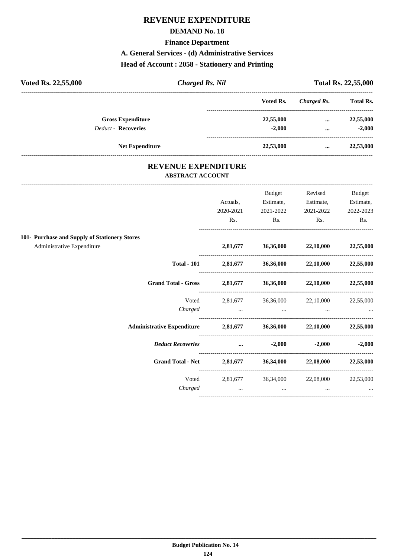## **REVENUE EXPENDITURE**

#### **DEMAND No. 18**

#### **Finance Department**

# **A. General Services - (d) Administrative Services**

## **Head of Account : 2058 - Stationery and Printing**

| Voted Rs. 22,55,000        | <b>Charged Rs. Nil</b> |           | <b>Total Rs. 22,55,000</b> |                  |  |
|----------------------------|------------------------|-----------|----------------------------|------------------|--|
|                            |                        | Voted Rs. | Charged Rs.                | <b>Total Rs.</b> |  |
| <b>Gross Expenditure</b>   |                        | 22,55,000 | $\cdots$                   | 22,55,000        |  |
| <b>Deduct - Recoveries</b> |                        | $-2.000$  | $\cdots$                   | $-2,000$         |  |
|                            | <b>Net Expenditure</b> | 22,53,000 | $\cdots$                   | 22,53,000        |  |

#### **REVENUE EXPENDITURE ABSTRACT ACCOUNT**

---------------------------------------------------------------------------------------------------------------------------------------------------------------------------------

|                                                                   |               | Budget                                             | Revised        | <b>Budget</b> |
|-------------------------------------------------------------------|---------------|----------------------------------------------------|----------------|---------------|
|                                                                   | Actuals,      | Estimate,                                          | Estimate,      | Estimate,     |
|                                                                   | 2020-2021     | 2021-2022                                          | 2021-2022      | 2022-2023     |
|                                                                   | Rs.           | $\mathbf{Rs.}$                                     | $\mathbf{Rs.}$ | Rs.           |
| 101- Purchase and Supply of Stationery Stores                     |               |                                                    |                |               |
| Administrative Expenditure                                        |               | 2,81,677 36,36,000 22,10,000 22,55,000             |                |               |
|                                                                   |               | Total - 101 2,81,677 36,36,000 22,10,000 22,55,000 |                |               |
| Grand Total - Gross 2,81,677 36,36,000 22,10,000 22,55,000        |               |                                                    |                |               |
| Voted                                                             |               | 2,81,677 36,36,000 22,10,000 22,55,000             |                |               |
|                                                                   |               |                                                    |                |               |
| Administrative Expenditure 2,81,677 36,36,000 22,10,000 22,55,000 |               |                                                    |                |               |
| <b>Deduct Recoveries</b>                                          |               | $-2,000$ $-2,000$ $-2,000$                         |                |               |
| Grand Total - Net 2,81,677 36,34,000 22,08,000 22,53,000          |               |                                                    |                |               |
| Voted                                                             |               | 2,81,677 36,34,000 22,08,000 22,53,000             |                |               |
| Charged                                                           | $\sim$ $\sim$ | $\cdots$                                           | $\cdots$       |               |
|                                                                   |               |                                                    |                |               |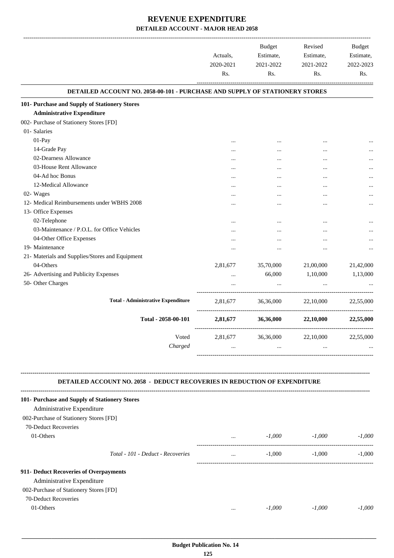|                                                                             | Actuals,<br>2020-2021 | Budget<br>Estimate,<br>2021-2022 | Revised<br>Estimate,<br>2021-2022 | Budget<br>Estimate,<br>2022-2023 |
|-----------------------------------------------------------------------------|-----------------------|----------------------------------|-----------------------------------|----------------------------------|
|                                                                             | Rs.                   | Rs.                              | Rs.                               | Rs.                              |
| DETAILED ACCOUNT NO. 2058-00-101 - PURCHASE AND SUPPLY OF STATIONERY STORES |                       |                                  |                                   |                                  |
| 101- Purchase and Supply of Stationery Stores                               |                       |                                  |                                   |                                  |
| <b>Administrative Expenditure</b>                                           |                       |                                  |                                   |                                  |
| 002- Purchase of Stationery Stores [FD]                                     |                       |                                  |                                   |                                  |
| 01- Salaries                                                                |                       |                                  |                                   |                                  |
| 01-Pay                                                                      |                       | $\cdots$                         | $\cdots$                          |                                  |
| 14-Grade Pay                                                                | $\cdots$              |                                  | $\ddotsc$                         |                                  |
| 02-Dearness Allowance                                                       |                       |                                  |                                   |                                  |
| 03-House Rent Allowance                                                     |                       |                                  |                                   |                                  |
| 04-Ad hoc Bonus                                                             |                       |                                  |                                   |                                  |
| 12-Medical Allowance                                                        |                       |                                  | $\ddotsc$                         |                                  |
| 02- Wages                                                                   |                       | $\cdots$                         | $\ddotsc$                         |                                  |
| 12- Medical Reimbursements under WBHS 2008                                  |                       | $\cdots$                         | $\cdots$                          |                                  |
| 13- Office Expenses                                                         |                       |                                  |                                   |                                  |
| 02-Telephone                                                                | $\cdots$              |                                  | $\ddotsc$                         |                                  |
| 03-Maintenance / P.O.L. for Office Vehicles                                 |                       |                                  | $\ddotsc$                         |                                  |
| 04-Other Office Expenses                                                    |                       |                                  | $\ddotsc$                         |                                  |
| 19- Maintenance                                                             |                       |                                  |                                   |                                  |
| 21- Materials and Supplies/Stores and Equipment                             |                       |                                  |                                   |                                  |
| 04-Others                                                                   | 2,81,677              | 35,70,000                        | 21,00,000                         | 21,42,000                        |
| 26- Advertising and Publicity Expenses                                      | $\cdots$              | 66,000                           | 1,10,000                          | 1,13,000                         |
| 50- Other Charges                                                           |                       |                                  |                                   |                                  |
| <b>Total - Administrative Expenditure</b>                                   | 2.81.677              | 36,36,000                        | 22,10,000                         | 22,55,000                        |
|                                                                             |                       |                                  |                                   |                                  |
| Total - 2058-00-101                                                         |                       | 2,81,677 36,36,000 22,10,000     |                                   | 22,55,000                        |
| Voted                                                                       | 2,81,677              | 36,36,000                        | 22,10,000                         | 22,55,000                        |
| Charged                                                                     | $\cdots$              | $\cdots$                         | $\cdots$                          |                                  |
|                                                                             |                       |                                  |                                   |                                  |
| DETAILED ACCOUNT NO. 2058 - DEDUCT RECOVERIES IN REDUCTION OF EXPENDITURE   |                       |                                  |                                   |                                  |
| 101- Purchase and Supply of Stationery Stores                               |                       |                                  |                                   |                                  |
| Administrative Expenditure                                                  |                       |                                  |                                   |                                  |
| 002-Purchase of Stationery Stores [FD]                                      |                       |                                  |                                   |                                  |
| 70-Deduct Recoveries                                                        |                       |                                  |                                   |                                  |
| $01$ -Others                                                                |                       | $-1,000$                         |                                   | $-1,000$ $-1,000$                |

| 01-Others                              |                                   | $\cdots$ | $-1.000$ | $-1,000$ | $-1.000$ |
|----------------------------------------|-----------------------------------|----------|----------|----------|----------|
|                                        | Total - 101 - Deduct - Recoveries | $\cdots$ | $-1.000$ | $-1.000$ | $-1,000$ |
| 911- Deduct Recoveries of Overpayments |                                   |          |          |          |          |
| Administrative Expenditure             |                                   |          |          |          |          |
| 002-Purchase of Stationery Stores [FD] |                                   |          |          |          |          |
| 70-Deduct Recoveries                   |                                   |          |          |          |          |
| 01-Others                              |                                   | $\cdots$ | $-1.000$ | $-1.000$ | $-1.000$ |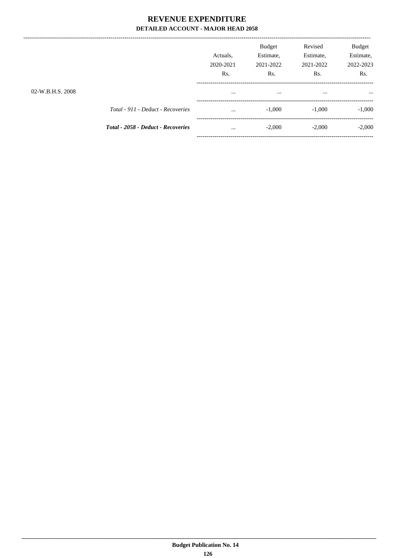$---$ 

|                  |                                           | Actuals.<br>2020-2021<br>R <sub>s</sub> . | <b>Budget</b><br>Estimate,<br>2021-2022<br>R <sub>s</sub> . | Revised<br>Estimate,<br>2021-2022<br>Rs. | <b>Budget</b><br>Estimate,<br>2022-2023<br>Rs. |
|------------------|-------------------------------------------|-------------------------------------------|-------------------------------------------------------------|------------------------------------------|------------------------------------------------|
| 02-W.B.H.S. 2008 |                                           |                                           | $\cdots$                                                    |                                          | $\cdots$                                       |
|                  | Total - 911 - Deduct - Recoveries         | $\cdots$                                  | $-1,000$                                                    | $-1,000$                                 | $-1,000$                                       |
|                  | <b>Total - 2058 - Deduct - Recoveries</b> | $\cdots$                                  | $-2.000$                                                    | $-2.000$                                 | $-2,000$                                       |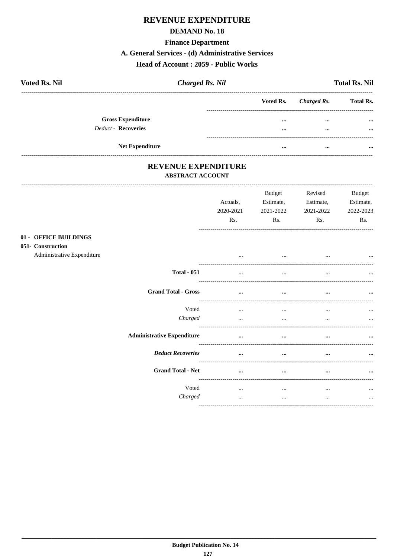## **REVENUE EXPENDITURE**

### **DEMAND No. 18**

#### **Finance Department**

#### A. General Services - (d) Administrative Services

Head of Account: 2059 - Public Works

| <b>Voted Rs. Nil</b>       | <b>Charged Rs. Nil</b> |  | <b>Total Rs. Nil</b>  |                  |  |
|----------------------------|------------------------|--|-----------------------|------------------|--|
|                            |                        |  | Voted Rs. Charged Rs. | <b>Total Rs.</b> |  |
| <b>Gross Expenditure</b>   |                        |  | $\cdots$              | $\cdots$         |  |
| <b>Deduct - Recoveries</b> |                        |  |                       |                  |  |
|                            |                        |  |                       |                  |  |
| <b>Net Expenditure</b>     |                        |  | $\cdots$              |                  |  |

#### REVENUE EXPENDITURE **ABSTRACT ACCOUNT**

 $01 051 -$  

|                                   |                  | Actuals,<br>2020-2021<br>Rs. | Budget<br>Estimate,<br>2021-2022<br>Rs. | Revised<br>Estimate,<br>2021-2022<br>Rs. | Budget<br>Estimate,<br>2022-2023<br>Rs. |
|-----------------------------------|------------------|------------------------------|-----------------------------------------|------------------------------------------|-----------------------------------------|
| OFFICE BUILDINGS<br>Construction  |                  |                              |                                         |                                          |                                         |
| Administrative Expenditure        |                  | $\cdots$                     | $\cdots$                                | $\cdots$                                 |                                         |
| <b>Total - 051</b>                |                  | $\cdots$                     | $\cdots$                                | $\cdots$                                 |                                         |
| <b>Grand Total - Gross</b>        |                  | $\cdots$                     | $\cdots$                                | $\cdots$                                 |                                         |
|                                   | Voted<br>Charged | $\cdots$<br>$\cdots$         | $\cdots$<br>$\cdots$                    | $\cdots$<br>$\cdots$                     | <br>$\cdots$                            |
| <b>Administrative Expenditure</b> |                  | $\cdots$                     | $\cdots$                                | $\cdots$                                 |                                         |
| <b>Deduct Recoveries</b>          |                  | $\cdots$                     | $\cdots$                                | $\cdots$                                 | $\cdots$                                |
| <b>Grand Total - Net</b>          |                  | $\cdots$                     | $\cdots$                                | $\cdots$                                 | $\cdots$                                |
|                                   | Voted<br>Charged | $\cdots$<br>$\cdots$         | $\cdots$<br>$\cdots$                    | $\cdots$<br>$\cdots$                     | $\cdots$                                |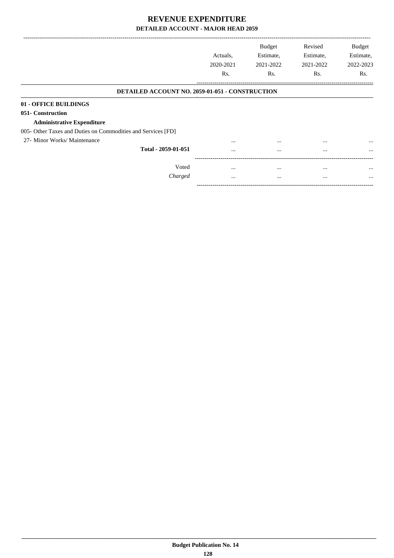|                                                              | Actuals.<br>2020-2021<br>Rs. | <b>Budget</b><br>Estimate,<br>2021-2022<br>R <sub>s</sub> . | Revised<br>Estimate,<br>2021-2022<br>Rs. | <b>Budget</b><br>Estimate,<br>2022-2023<br>Rs. |
|--------------------------------------------------------------|------------------------------|-------------------------------------------------------------|------------------------------------------|------------------------------------------------|
|                                                              |                              |                                                             |                                          |                                                |
| <b>DETAILED ACCOUNT NO. 2059-01-051 - CONSTRUCTION</b>       |                              |                                                             |                                          |                                                |
| 01 - OFFICE BUILDINGS                                        |                              |                                                             |                                          |                                                |
| 051- Construction                                            |                              |                                                             |                                          |                                                |
| <b>Administrative Expenditure</b>                            |                              |                                                             |                                          |                                                |
| 005- Other Taxes and Duties on Commodities and Services [FD] |                              |                                                             |                                          |                                                |
| 27- Minor Works/ Maintenance                                 |                              | $\cdots$                                                    | $\cdots$                                 |                                                |
| Total - 2059-01-051                                          | $\cdots$                     | $\cdots$                                                    | $\cdots$                                 | $\cdots$                                       |
|                                                              |                              |                                                             |                                          |                                                |
| Voted                                                        | $\cdots$                     | $\cdots$                                                    | $\cdots$                                 |                                                |
| Charged                                                      | $\cdots$                     | $\cdots$                                                    | $\cdots$                                 | $\cdots$                                       |

-----------------------------------------------------------------------------------------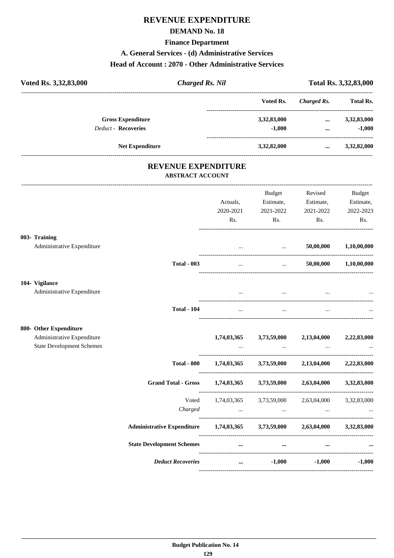## REVENUE EXPENDITURE

### **DEMAND No. 18**

#### **Finance Department**

#### A. General Services - (d) Administrative Services

#### Head of Account: 2070 - Other Administrative Services

| Voted Rs. 3,32,83,000<br><b>Charged Rs. Nil</b>                |                         |                                       |                                | Total Rs. 3,32,83,000 |
|----------------------------------------------------------------|-------------------------|---------------------------------------|--------------------------------|-----------------------|
|                                                                |                         | Voted Rs.                             | <b>Charged Rs.</b>             | <b>Total Rs.</b>      |
| <b>Gross Expenditure</b>                                       |                         | 3,32,83,000                           |                                | $\dots$ 3,32,83,000   |
| <b>Deduct - Recoveries</b>                                     |                         | $-1,000$                              | $\cdots$                       | $-1,000$              |
| <b>Net Expenditure</b>                                         |                         | 3,32,82,000                           | $\cdots$                       | 3,32,82,000           |
| <b>REVENUE EXPENDITURE</b><br><b>ABSTRACT ACCOUNT</b>          |                         |                                       |                                |                       |
|                                                                |                         | Budget                                | Revised                        | Budget                |
|                                                                | Actuals,                |                                       | Estimate, Estimate,            | Estimate,             |
|                                                                | 2020-2021               | 2021-2022                             | 2021-2022                      | 2022-2023             |
|                                                                | Rs.                     | Rs.                                   | Rs.                            | Rs.                   |
| 003- Training                                                  |                         |                                       |                                |                       |
| Administrative Expenditure                                     |                         | and the company of the company of the | 50,00,000                      | 1,10,00,000           |
| <b>Total - 003</b>                                             |                         |                                       | $\ldots$ 50,00,000 1,10,00,000 |                       |
| 104- Vigilance                                                 |                         |                                       |                                |                       |
| Administrative Expenditure                                     |                         |                                       |                                |                       |
| <b>Total - 104</b>                                             |                         |                                       |                                |                       |
| 800- Other Expenditure                                         |                         |                                       |                                |                       |
| Administrative Expenditure<br><b>State Development Schemes</b> | 1,74,03,365<br>$\ddots$ | 3,73,59,000<br>$\cdots$               | 2,13,04,000<br>$\ddots$        | 2,22,83,000           |

|                                   | 1,74,09,905<br>         | 3,73,39,000<br>$\cdots$ | 4,19,04,000<br>$\cdots$ | 4,44,09,000<br>         |
|-----------------------------------|-------------------------|-------------------------|-------------------------|-------------------------|
| <b>Total - 800</b>                | 1,74,03,365             | 3,73,59,000             | 2,13,04,000             | 2,22,83,000             |
| <b>Grand Total - Gross</b>        | 1,74,03,365             | 3,73,59,000             | 2,63,04,000             | 3,32,83,000             |
| Voted<br>Charged                  | 1,74,03,365<br>$\cdots$ | 3,73,59,000<br>$\cdots$ | 2,63,04,000<br>$\cdots$ | 3,32,83,000<br>$\cdots$ |
| <b>Administrative Expenditure</b> | 1,74,03,365             | 3,73,59,000             | 2,63,04,000             | 3,32,83,000             |
| <b>State Development Schemes</b>  |                         |                         | $\cdots$                | $\cdots$                |
| <b>Deduct Recoveries</b>          |                         | $-1,000$                | $-1,000$                | $-1,000$                |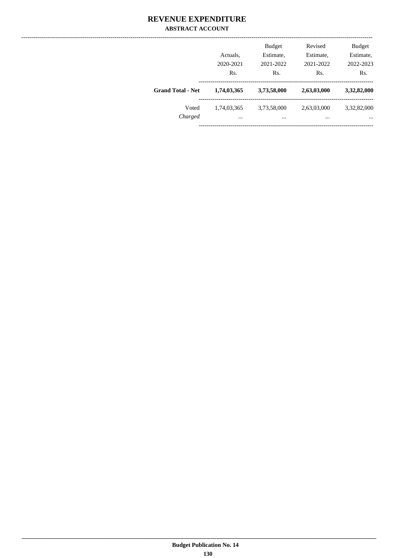#### **REVENUE EXPENDITURE ABSTRACT ACCOUNT**

|                          | Actuals,<br>2020-2021<br>Rs. | <b>Budget</b><br>Estimate,<br>2021-2022<br>Rs. | Revised<br>Estimate,<br>2021-2022<br>Rs. | <b>Budget</b><br>Estimate,<br>2022-2023<br>Rs. |
|--------------------------|------------------------------|------------------------------------------------|------------------------------------------|------------------------------------------------|
| <b>Grand Total - Net</b> | 1,74,03,365                  | 3,73,58,000                                    | 2,63,03,000                              | 3,32,82,000                                    |
| Voted<br>Charged         | 1,74,03,365<br>              | 3,73,58,000<br>                                | 2,63,03,000<br>                          | 3,32,82,000<br>$\cdots$                        |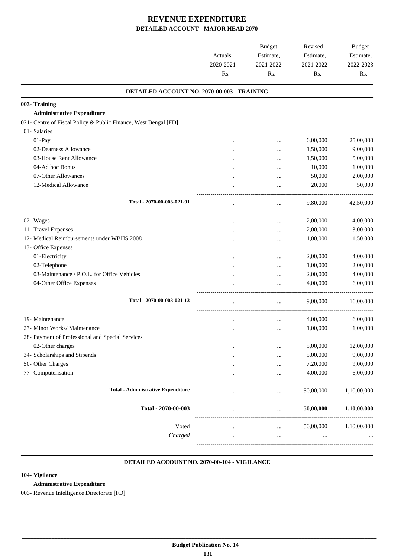|                                                                 | Actuals,<br>2020-2021 | <b>Budget</b><br>Estimate,<br>2021-2022 | Revised<br>Estimate,<br>2021-2022 | <b>Budget</b><br>Estimate,<br>2022-2023 |
|-----------------------------------------------------------------|-----------------------|-----------------------------------------|-----------------------------------|-----------------------------------------|
|                                                                 | Rs.                   | Rs.                                     | Rs.                               | Rs.                                     |
| DETAILED ACCOUNT NO. 2070-00-003 - TRAINING                     |                       |                                         |                                   |                                         |
| 003- Training                                                   |                       |                                         |                                   |                                         |
| <b>Administrative Expenditure</b>                               |                       |                                         |                                   |                                         |
| 021- Centre of Fiscal Policy & Public Finance, West Bengal [FD] |                       |                                         |                                   |                                         |
| 01- Salaries                                                    |                       |                                         |                                   |                                         |
| 01-Pay                                                          |                       |                                         | 6,00,000                          | 25,00,000                               |
| 02-Dearness Allowance                                           | .                     |                                         | 1,50,000                          | 9,00,000                                |
| 03-House Rent Allowance                                         |                       |                                         | 1,50,000                          | 5,00,000                                |
| 04-Ad hoc Bonus                                                 |                       |                                         | 10,000                            | 1,00,000                                |
| 07-Other Allowances                                             |                       |                                         | 50,000                            | 2,00,000                                |
| 12-Medical Allowance                                            |                       | $\ddotsc$                               | 20,000                            | 50,000                                  |
| Total - 2070-00-003-021-01                                      | $\cdots$              | $\cdots$                                | 9,80,000                          | 42,50,000                               |
| 02- Wages                                                       |                       | $\cdots$                                | 2,00,000                          | 4,00,000                                |
| 11- Travel Expenses                                             |                       | $\ddotsc$                               | 2,00,000                          | 3,00,000                                |
| 12- Medical Reimbursements under WBHS 2008                      |                       |                                         | 1,00,000                          | 1,50,000                                |
| 13- Office Expenses                                             |                       |                                         |                                   |                                         |
| 01-Electricity                                                  |                       | $\ddotsc$                               | 2,00,000                          | 4,00,000                                |
| 02-Telephone                                                    |                       | $\ddotsc$                               | 1,00,000                          | 2,00,000                                |
| 03-Maintenance / P.O.L. for Office Vehicles                     |                       |                                         | 2,00,000                          | 4,00,000                                |
| 04-Other Office Expenses                                        |                       |                                         | 4,00,000                          | 6,00,000                                |
| Total - 2070-00-003-021-13                                      |                       |                                         | 9,00,000                          | 16,00,000                               |
| 19- Maintenance                                                 |                       |                                         | 4,00,000                          | 6,00,000                                |
| 27- Minor Works/ Maintenance                                    |                       | $\cdots$                                | 1,00,000                          | 1,00,000                                |
| 28- Payment of Professional and Special Services                |                       |                                         |                                   |                                         |
| 02-Other charges                                                | $\cdots$              |                                         | 5,00,000                          | 12,00,000                               |
| 34- Scholarships and Stipends                                   | .                     |                                         | 5,00,000                          | 9,00,000                                |
| 50- Other Charges                                               |                       |                                         | 7,20,000                          | 9,00,000                                |
| 77- Computerisation                                             |                       |                                         | 4,00,000                          | 6,00,000                                |
| <b>Total - Administrative Expenditure</b>                       |                       | $\cdots$                                | 50,00,000                         | 1,10,00,000                             |
| Total - 2070-00-003                                             |                       | $\cdots$                                | 50,00,000                         | 1,10,00,000                             |
| Voted                                                           |                       | $\cdots$                                | 50,00,000                         | 1,10,00,000                             |
| Charged                                                         |                       | $\cdots$                                | $\cdots$                          |                                         |
|                                                                 |                       |                                         |                                   |                                         |

#### **DETAILED ACCOUNT NO. 2070-00-104 - VIGILANCE .**

.

**104- Vigilance**

#### **Administrative Expenditure**

003- Revenue Intelligence Directorate [FD]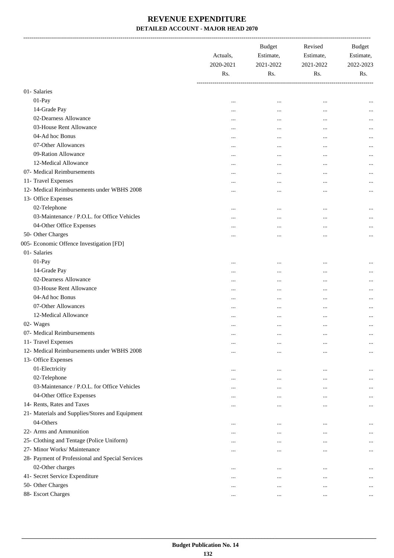|                                                  | Actuals,<br>2020-2021<br>Rs. | <b>Budget</b><br>Estimate,<br>2021-2022<br>Rs. | Revised<br>Estimate,<br>2021-2022<br>Rs. | Budget<br>Estimate,<br>2022-2023<br>Rs. |
|--------------------------------------------------|------------------------------|------------------------------------------------|------------------------------------------|-----------------------------------------|
|                                                  |                              |                                                |                                          |                                         |
| 01- Salaries                                     |                              |                                                |                                          |                                         |
| 01-Pay                                           |                              |                                                | $\cdots$                                 |                                         |
| 14-Grade Pay                                     |                              |                                                | $\ddotsc$                                |                                         |
| 02-Dearness Allowance                            | $\cdots$                     |                                                | $\cdots$                                 |                                         |
| 03-House Rent Allowance                          | $\cdots$                     | $\cdots$                                       | $\cdots$                                 | $\cdots$                                |
| 04-Ad hoc Bonus                                  | $\cdots$                     |                                                | $\ddotsc$                                |                                         |
| 07-Other Allowances                              |                              |                                                | $\ddotsc$                                | $\cdots$                                |
| 09-Ration Allowance                              |                              |                                                | $\ddotsc$                                | $\cdots$                                |
| 12-Medical Allowance                             | $\cdots$                     |                                                | $\cdots$                                 | $\cdots$                                |
| 07- Medical Reimbursements                       | $\cdots$                     |                                                | $\cdots$                                 | $\cdots$                                |
| 11- Travel Expenses                              |                              |                                                | $\cdots$                                 | $\cdots$                                |
| 12- Medical Reimbursements under WBHS 2008       |                              |                                                | $\ddotsc$                                | $\cdots$                                |
| 13- Office Expenses                              |                              |                                                |                                          |                                         |
| 02-Telephone                                     |                              |                                                | $\cdots$                                 |                                         |
| 03-Maintenance / P.O.L. for Office Vehicles      |                              |                                                | $\cdots$                                 | $\cdots$                                |
| 04-Other Office Expenses                         |                              |                                                | $\cdots$                                 | $\cdots$                                |
| 50- Other Charges                                |                              |                                                | $\cdots$                                 | $\cdots$                                |
| 005- Economic Offence Investigation [FD]         |                              |                                                |                                          |                                         |
| 01- Salaries                                     |                              |                                                |                                          |                                         |
| 01-Pay                                           |                              |                                                | $\cdots$                                 |                                         |
| 14-Grade Pay                                     | $\cdots$                     | $\cdots$                                       | $\cdots$                                 |                                         |
| 02-Dearness Allowance                            | $\cdots$                     |                                                | $\ddotsc$                                |                                         |
| 03-House Rent Allowance                          |                              |                                                | $\ddotsc$                                | $\cdots$                                |
| 04-Ad hoc Bonus                                  | $\cdots$                     |                                                | $\ddotsc$                                | $\cdots$                                |
| 07-Other Allowances                              | $\cdots$                     |                                                | $\cdots$                                 | $\cdots$                                |
| 12-Medical Allowance                             |                              | $\ddotsc$                                      | $\cdots$                                 |                                         |
| 02- Wages                                        | $\cdots$                     |                                                | $\cdots$                                 | $\cdots$                                |
| 07- Medical Reimbursements                       | $\cdots$                     | $\cdots$                                       | $\cdots$                                 | $\cdots$                                |
| 11- Travel Expenses                              | $\cdots$                     | $\cdots$                                       | $\cdots$                                 | $\cdots$                                |
| 12- Medical Reimbursements under WBHS 2008       | $\cdots$                     |                                                | $\cdots$                                 | $\cdots$                                |
| 13- Office Expenses                              |                              |                                                |                                          |                                         |
| 01-Electricity                                   |                              | $\ddotsc$                                      | $\ddotsc$                                |                                         |
| 02-Telephone                                     | $\cdots$                     |                                                | $\cdots$                                 | $\cdots$                                |
| 03-Maintenance / P.O.L. for Office Vehicles      |                              |                                                | $\cdots$                                 | $\cdots$                                |
| 04-Other Office Expenses                         |                              |                                                | $\cdots$                                 | $\cdots$                                |
| 14- Rents, Rates and Taxes                       | $\cdots$                     |                                                | $\ddotsc$                                | $\cdots$                                |
| 21- Materials and Supplies/Stores and Equipment  |                              |                                                |                                          |                                         |
| 04-Others                                        | $\cdots$                     | $\cdots$                                       | $\cdots$                                 |                                         |
| 22- Arms and Ammunition                          |                              | $\cdots$                                       | $\cdots$                                 | $\cdots$                                |
| 25- Clothing and Tentage (Police Uniform)        |                              |                                                | $\cdots$                                 | $\cdots$                                |
| 27- Minor Works/ Maintenance                     | $\cdots$                     | $\cdots$                                       | $\cdots$                                 | $\cdots$                                |
| 28- Payment of Professional and Special Services |                              |                                                |                                          |                                         |
| 02-Other charges                                 |                              |                                                |                                          |                                         |
| 41- Secret Service Expenditure                   | $\cdots$                     | $\cdots$                                       | $\cdots$                                 | $\cdots$                                |
| 50- Other Charges                                |                              | $\cdots$                                       | $\cdots$                                 | $\cdots$                                |
| 88- Escort Charges                               |                              | $\cdots$                                       | $\cdots$                                 | $\cdots$                                |
|                                                  | $\cdots$                     | $\cdots$                                       | $\cdots$                                 | $\cdots$                                |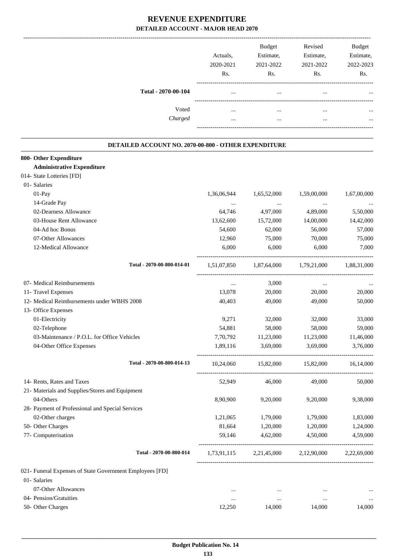|                                                          | Actuals,<br>2020-2021<br>Rs. | Budget<br>Estimate,<br>2021-2022<br>Rs. | Revised<br>Estimate,<br>2021-2022<br>Rs.        | <b>Budget</b><br>Estimate,<br>2022-2023<br>Rs. |
|----------------------------------------------------------|------------------------------|-----------------------------------------|-------------------------------------------------|------------------------------------------------|
| Total - 2070-00-104                                      | $\cdots$                     | $\cdots$                                |                                                 |                                                |
| Voted                                                    |                              |                                         |                                                 |                                                |
| Charged                                                  | $\cdots$                     | $\cdots$                                | $\cdots$                                        |                                                |
| DETAILED ACCOUNT NO. 2070-00-800 - OTHER EXPENDITURE     |                              |                                         |                                                 |                                                |
| 800- Other Expenditure                                   |                              |                                         |                                                 |                                                |
| <b>Administrative Expenditure</b>                        |                              |                                         |                                                 |                                                |
| 014- State Lotteries [FD]                                |                              |                                         |                                                 |                                                |
| 01- Salaries                                             |                              |                                         |                                                 |                                                |
| 01-Pay                                                   | 1,36,06,944                  | 1,65,52,000                             | 1,59,00,000                                     | 1,67,00,000                                    |
| 14-Grade Pay                                             | $\ldots$                     | $\ldots$                                | $\cdots$                                        |                                                |
| 02-Dearness Allowance                                    | 64,746                       | 4,97,000                                | 4,89,000                                        | 5,50,000                                       |
| 03-House Rent Allowance                                  | 13,62,600                    | 15,72,000                               | 14,00,000                                       | 14,42,000                                      |
| 04-Ad hoc Bonus                                          | 54,600                       | 62,000                                  | 56,000                                          | 57,000                                         |
| 07-Other Allowances                                      | 12,960                       | 75,000                                  | 70,000                                          | 75,000                                         |
| 12-Medical Allowance                                     | 6,000                        | 6,000                                   | 6,000                                           | 7,000                                          |
| Total - 2070-00-800-014-01                               | 1,51,07,850                  | 1,87,64,000                             | 1,79,21,000                                     | 1,88,31,000                                    |
| 07- Medical Reimbursements                               | $\ldots$                     | 3,000                                   | $\ldots$                                        |                                                |
| 11- Travel Expenses                                      | 13,078                       | 20,000                                  | 20,000                                          | 20,000                                         |
| 12- Medical Reimbursements under WBHS 2008               | 40,403                       | 49,000                                  | 49,000                                          | 50,000                                         |
| 13- Office Expenses                                      |                              |                                         |                                                 |                                                |
| 01-Electricity                                           | 9,271                        | 32,000                                  | 32,000                                          | 33,000                                         |
| 02-Telephone                                             | 54,881                       | 58,000                                  | 58,000                                          | 59,000                                         |
| 03-Maintenance / P.O.L. for Office Vehicles              | 7,70,792                     | 11,23,000                               | 11,23,000                                       | 11,46,000                                      |
| 04-Other Office Expenses                                 | 1,89,116                     | 3,69,000                                | 3,69,000                                        | 3,76,000                                       |
| Total - 2070-00-800-014-13                               | 10,24,060                    |                                         | 15,82,000 15,82,000 16,14,000                   |                                                |
| 14- Rents, Rates and Taxes                               | 52,949                       | 46,000                                  | 49,000                                          | 50,000                                         |
| 21- Materials and Supplies/Stores and Equipment          |                              |                                         |                                                 |                                                |
| 04-Others                                                | 8,90,900                     | 9,20,000                                | 9,20,000                                        | 9,38,000                                       |
| 28- Payment of Professional and Special Services         |                              |                                         |                                                 |                                                |
| 02-Other charges                                         | 1,21,065                     | 1,79,000                                | 1,79,000                                        | 1,83,000                                       |
| 50- Other Charges                                        | 81,664                       | 1,20,000                                | 1,20,000                                        | 1,24,000                                       |
| 77- Computerisation                                      | 59,146                       | 4,62,000                                | 4,50,000                                        | 4,59,000                                       |
| Total - 2070-00-800-014                                  |                              |                                         | 1,73,91,115 2,21,45,000 2,12,90,000 2,22,69,000 |                                                |
| 021- Funeral Expenses of State Government Employees [FD] |                              |                                         |                                                 |                                                |
| 01- Salaries                                             |                              |                                         |                                                 |                                                |
| 07-Other Allowances                                      | $\cdots$                     | $\cdots$                                | $\cdots$                                        |                                                |
| 04- Pension/Gratuities                                   | $\cdots$                     | $\cdots$                                | $\cdots$                                        | $\cdots$                                       |
| 50- Other Charges                                        | 12,250                       | 14,000                                  | 14,000                                          | 14,000                                         |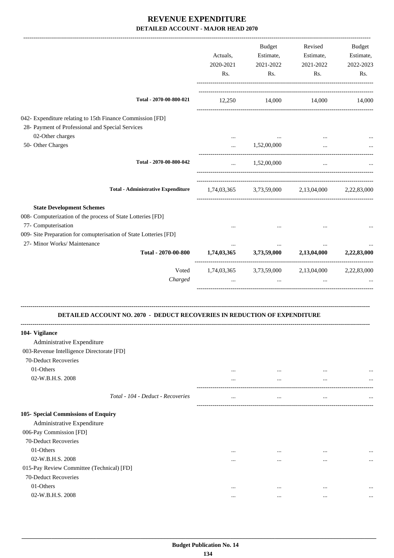|                                                                                                                        | Actuals,<br>2020-2021<br>Rs. | Budget<br>Estimate,<br>2021-2022<br>Rs. | Revised<br>Estimate,<br>2021-2022<br>Rs.                    | <b>Budget</b><br>Estimate,<br>2022-2023<br>Rs. |
|------------------------------------------------------------------------------------------------------------------------|------------------------------|-----------------------------------------|-------------------------------------------------------------|------------------------------------------------|
| Total - 2070-00-800-021                                                                                                |                              | 12,250 14,000                           | 14,000                                                      | 14,000                                         |
| 042- Expenditure relating to 15th Finance Commission [FD]<br>28- Payment of Professional and Special Services          |                              |                                         |                                                             |                                                |
| 02-Other charges                                                                                                       | $\cdots$                     |                                         |                                                             |                                                |
| 50- Other Charges                                                                                                      | $\cdots$                     | 1,52,00,000                             | $\cdots$                                                    |                                                |
| Total - 2070-00-800-042                                                                                                | $\cdots$                     | 1,52,00,000                             | $\cdots$                                                    |                                                |
| <b>Total - Administrative Expenditure</b>                                                                              |                              |                                         | 1,74,03,365 3,73,59,000 2,13,04,000 2,22,83,000             |                                                |
|                                                                                                                        |                              |                                         |                                                             |                                                |
| <b>State Development Schemes</b><br>008- Computerization of the process of State Lotteries [FD]<br>77- Computerisation |                              |                                         |                                                             |                                                |
| 009- Site Preparation for comupterisation of State Lotteries [FD]                                                      |                              |                                         |                                                             |                                                |
| 27- Minor Works/ Maintenance                                                                                           |                              |                                         |                                                             |                                                |
| Total - 2070-00-800                                                                                                    | 1,74,03,365                  | 3,73,59,000                             | 2,13,04,000                                                 | 2,22,83,000                                    |
| Voted<br>Charged                                                                                                       | $\cdots$                     | $\cdots$                                | 1,74,03,365 3,73,59,000 2,13,04,000 2,22,83,000<br>$\cdots$ |                                                |
| <b>DETAILED ACCOUNT NO. 2070 - DEDUCT RECOVERIES IN REDUCTION OF EXPENDITURE</b>                                       |                              |                                         |                                                             |                                                |
|                                                                                                                        |                              |                                         |                                                             |                                                |
| 104- Vigilance                                                                                                         |                              |                                         |                                                             |                                                |
| Administrative Expenditure<br>003-Revenue Intelligence Directorate [FD]<br>70-Deduct Recoveries                        |                              |                                         |                                                             |                                                |
| 01-Others                                                                                                              | $\cdots$                     | $\cdots$                                | $\cdots$                                                    |                                                |
| 02-W.B.H.S. 2008                                                                                                       |                              | $\cdots$                                | $\cdots$                                                    |                                                |
| Total - 104 - Deduct - Recoveries                                                                                      | $\cdots$                     | $\cdots$                                | $\cdots$                                                    |                                                |
| 105- Special Commissions of Enquiry                                                                                    |                              |                                         |                                                             |                                                |
| Administrative Expenditure                                                                                             |                              |                                         |                                                             |                                                |
| 006-Pay Commission [FD]                                                                                                |                              |                                         |                                                             |                                                |
| 70-Deduct Recoveries                                                                                                   |                              |                                         |                                                             |                                                |
| 01-Others                                                                                                              | $\cdots$                     | $\cdots$                                | $\cdots$                                                    |                                                |
| 02-W.B.H.S. 2008                                                                                                       | $\cdots$                     | $\cdots$                                | $\cdots$                                                    | $\ddotsc$                                      |
| 015-Pay Review Committee (Technical) [FD]                                                                              |                              |                                         |                                                             |                                                |
| 70-Deduct Recoveries                                                                                                   |                              |                                         |                                                             |                                                |
| 01-Others                                                                                                              | $\cdots$                     |                                         |                                                             |                                                |
| 02-W.B.H.S. 2008                                                                                                       | $\cdots$                     | $\cdots$                                | $\cdots$                                                    | $\cdots$                                       |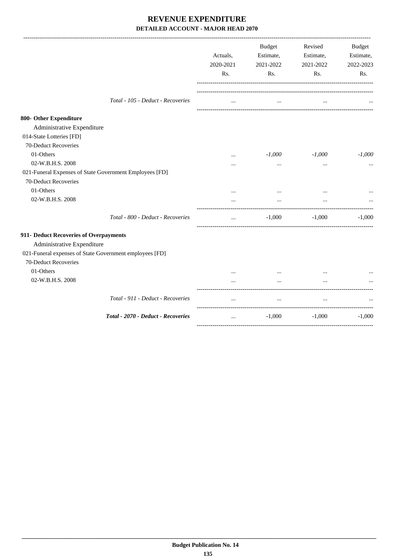|                                                         | Actuals,<br>2020-2021<br>Rs. | <b>Budget</b><br>Estimate,<br>2021-2022<br>Rs. | Revised<br>Estimate,<br>2021-2022<br>Rs. | <b>Budget</b><br>Estimate,<br>2022-2023<br>Rs. |
|---------------------------------------------------------|------------------------------|------------------------------------------------|------------------------------------------|------------------------------------------------|
| Total - 105 - Deduct - Recoveries                       |                              |                                                |                                          |                                                |
| 800- Other Expenditure                                  |                              |                                                |                                          |                                                |
| Administrative Expenditure                              |                              |                                                |                                          |                                                |
| 014-State Lotteries [FD]                                |                              |                                                |                                          |                                                |
| 70-Deduct Recoveries                                    |                              |                                                |                                          |                                                |
| 01-Others                                               | $\cdots$                     | $-1,000$                                       | $-1,000$                                 | $-1,000$                                       |
| 02-W.B.H.S. 2008                                        | $\cdot$ $\cdot$              | $\cdots$                                       | $\cdots$                                 |                                                |
| 021-Funeral Expenses of State Government Employees [FD] |                              |                                                |                                          |                                                |
| 70-Deduct Recoveries                                    |                              |                                                |                                          |                                                |
| 01-Others                                               | $\ddotsc$                    | $\ddotsc$                                      | $\ddotsc$                                |                                                |
| 02-W.B.H.S. 2008                                        | $\cdots$                     | $\cdots$                                       | $\cdots$                                 |                                                |
| Total - 800 - Deduct - Recoveries                       | $\cdots$                     | $-1,000$                                       | $-1,000$                                 | $-1,000$                                       |
| 911- Deduct Recoveries of Overpayments                  |                              |                                                |                                          |                                                |
| Administrative Expenditure                              |                              |                                                |                                          |                                                |
| 021-Funeral expenses of State Government employees [FD] |                              |                                                |                                          |                                                |
| 70-Deduct Recoveries                                    |                              |                                                |                                          |                                                |
| 01-Others                                               |                              |                                                | $\ddotsc$                                |                                                |
| 02-W.B.H.S. 2008                                        |                              | $\cdots$                                       | $\ddotsc$                                |                                                |
| Total - 911 - Deduct - Recoveries                       |                              |                                                |                                          |                                                |
| Total - 2070 - Deduct - Recoveries                      | $\cdots$                     | $-1,000$                                       | $-1,000$                                 | $-1,000$                                       |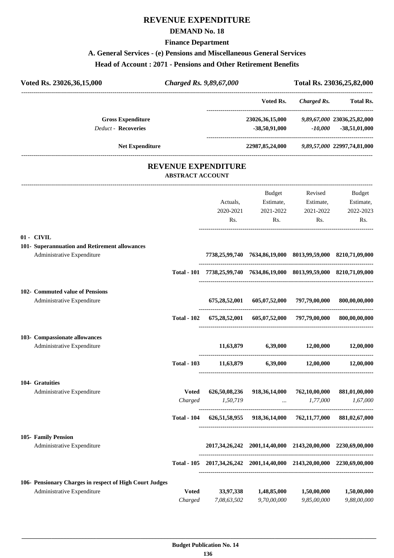## **REVENUE EXPENDITURE**

#### **DEMAND No. 18**

**Finance Department**

#### **A. General Services - (e) Pensions and Miscellaneous General Services**

#### **Head of Account : 2071 - Pensions and Other Retirement Benefits**

| Voted Rs. 23026, 36, 15, 000                                                                |                         | Charged Rs. 9,89,67,000    |                                                                         |                       | Total Rs. 23036,25,82,000 |
|---------------------------------------------------------------------------------------------|-------------------------|----------------------------|-------------------------------------------------------------------------|-----------------------|---------------------------|
|                                                                                             |                         |                            |                                                                         | Voted Rs. Charged Rs. | Total Rs.                 |
| <b>Gross Expenditure</b><br><b>Deduct - Recoveries</b>                                      |                         |                            | 23026,36,15,000 9,89,67,000 23036,25,82,000<br>$-38,50,91,000$          | -10,000               | $-38,51,01,000$           |
| <b>Net Expenditure</b>                                                                      |                         |                            | 22987,85,24,000 9,89,57,000 22997,74,81,000                             |                       |                           |
|                                                                                             | <b>ABSTRACT ACCOUNT</b> | <b>REVENUE EXPENDITURE</b> |                                                                         |                       |                           |
|                                                                                             |                         |                            | Budget                                                                  | Revised               | Budget                    |
|                                                                                             |                         | Actuals,                   |                                                                         | Estimate, Estimate,   | Estimate,                 |
|                                                                                             |                         | 2020-2021                  | 2021-2022                                                               | 2021-2022             | 2022-2023                 |
|                                                                                             |                         | Rs.                        |                                                                         | Rs.<br>Rs.            | Rs.                       |
| $01 - CIVIL$<br>101- Superannuation and Retirement allowances<br>Administrative Expenditure |                         |                            | 7738,25,99,740 7634,86,19,000 8013,99,59,000 8210,71,09,000             |                       |                           |
|                                                                                             |                         |                            | Total - 101 7738,25,99,740 7634,86,19,000 8013,99,59,000 8210,71,09,000 |                       |                           |
| 102- Commuted value of Pensions                                                             |                         |                            |                                                                         |                       |                           |
| Administrative Expenditure                                                                  |                         |                            | 675,28,52,001 605,07,52,000 797,79,00,000 800,00,00,000                 |                       |                           |
|                                                                                             |                         |                            | Total - 102 675,28,52,001 605,07,52,000 797,79,00,000                   |                       | 800,00,00,000             |
| 103- Compassionate allowances<br>Administrative Expenditure                                 |                         | 11,63,879                  | 6,39,000                                                                | 12,00,000             | 12,00,000                 |
|                                                                                             | <b>Total - 103</b>      | 11,63,879                  | 6,39,000                                                                | 12,00,000             | 12,00,000                 |
| 104- Gratuities                                                                             |                         |                            |                                                                         |                       |                           |
| Administrative Expenditure                                                                  | <b>Voted</b>            |                            | 626,50,08,236 918,36,14,000 762,10,00,000 881,01,00,000                 |                       |                           |
|                                                                                             | Charged                 |                            | $1,50,719$ $1,77,000$                                                   |                       | 1,67,000                  |
|                                                                                             |                         |                            | Total - 104 626,51,58,955 918,36,14,000 762,11,77,000 881,02,67,000     |                       |                           |
| 105- Family Pension                                                                         |                         |                            |                                                                         |                       |                           |
| Administrative Expenditure                                                                  |                         |                            | 2017, 34, 26, 242 2001, 14, 40, 000 2143, 20, 00, 000 2230, 69, 00, 000 |                       |                           |
|                                                                                             |                         |                            | Total - 105 2017,34,26,242 2001,14,40,000 2143,20,00,000 2230,69,00,000 |                       |                           |
| 106- Pensionary Charges in respect of High Court Judges                                     |                         |                            |                                                                         |                       |                           |
| Administrative Expenditure                                                                  | <b>Voted</b>            | 33,97,338                  | 1,48,85,000                                                             | 1,50,00,000           | 1,50,00,000               |
|                                                                                             | Charged                 | 7,08,63,502                | 9,70,00,000                                                             | 9,85,00,000           | 9,88,00,000               |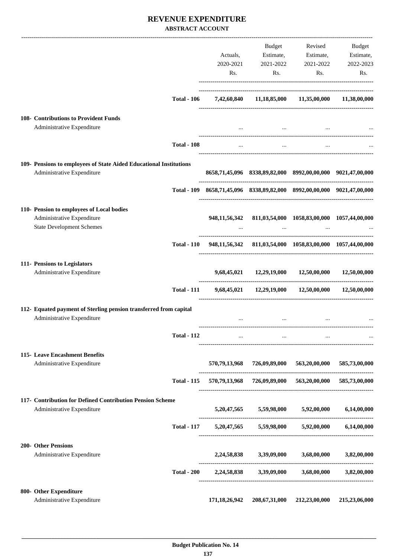#### **REVENUE EXPENDITURE ABSTRACT ACCOUNT**

|                                                                |                                                                                                 |                                                                         | <b>Budget</b>                                                                                       | Revised             | Budget        |
|----------------------------------------------------------------|-------------------------------------------------------------------------------------------------|-------------------------------------------------------------------------|-----------------------------------------------------------------------------------------------------|---------------------|---------------|
|                                                                |                                                                                                 | Actuals,                                                                |                                                                                                     | Estimate, Estimate, | Estimate,     |
|                                                                |                                                                                                 |                                                                         |                                                                                                     |                     |               |
|                                                                |                                                                                                 | 2020-2021                                                               | 2021-2022                                                                                           | 2021-2022           | 2022-2023     |
|                                                                |                                                                                                 | Rs.                                                                     | Rs.                                                                                                 | Rs.                 | Rs.           |
|                                                                | <b>Total - 106</b>                                                                              |                                                                         | 7,42,60,840 11,18,85,000 11,35,00,000 11,38,00,000                                                  |                     |               |
|                                                                |                                                                                                 |                                                                         |                                                                                                     |                     |               |
|                                                                | 108- Contributions to Provident Funds<br>Administrative Expenditure                             |                                                                         | and the control of the con-                                                                         |                     |               |
|                                                                | <b>Total - 108</b>                                                                              | $\cdots$                                                                | the contract of the contract of the contract of the contract of the contract of the contract of the | $\cdots$            |               |
|                                                                | 109- Pensions to employees of State Aided Educational Institutions                              |                                                                         |                                                                                                     |                     |               |
|                                                                | Administrative Expenditure                                                                      |                                                                         | 8658,71,45,096 8338,89,82,000 8992,00,00,000 9021,47,00,000                                         |                     |               |
|                                                                |                                                                                                 | Total - 109 8658,71,45,096 8338,89,82,000 8992,00,00,000 9021,47,00,000 |                                                                                                     |                     |               |
|                                                                | 110- Pension to employees of Local bodies                                                       |                                                                         |                                                                                                     |                     |               |
| Administrative Expenditure<br><b>State Development Schemes</b> |                                                                                                 |                                                                         | 948,11,56,342 811,03,54,000 1058,83,00,000 1057,44,00,000                                           |                     |               |
|                                                                | <b>Total - 110</b>                                                                              |                                                                         | 948,11,56,342 811,03,54,000 1058,83,00,000 1057,44,00,000                                           |                     |               |
|                                                                | 111- Pensions to Legislators                                                                    |                                                                         |                                                                                                     |                     |               |
|                                                                | Administrative Expenditure                                                                      |                                                                         | 9,68,45,021 12,29,19,000 12,50,00,000 12,50,00,000                                                  |                     |               |
|                                                                | <b>Total - 111</b>                                                                              |                                                                         | 9,68,45,021 12,29,19,000 12,50,00,000 12,50,00,000                                                  |                     |               |
|                                                                | 112- Equated payment of Sterling pension transferred from capital<br>Administrative Expenditure |                                                                         | and the contract of the contract of                                                                 |                     |               |
|                                                                | <b>Total - 112</b>                                                                              |                                                                         |                                                                                                     |                     |               |
|                                                                | 115- Leave Encashment Benefits                                                                  |                                                                         |                                                                                                     |                     |               |
|                                                                | Administrative Expenditure                                                                      |                                                                         | 570,79,13,968 726,09,89,000 563,20,00,000 585,73,00,000                                             |                     |               |
|                                                                | <b>Total - 115</b>                                                                              |                                                                         | 570,79,13,968 726,09,89,000 563,20,00,000 585,73,00,000                                             |                     |               |
|                                                                | 117- Contribution for Defined Contribution Pension Scheme                                       |                                                                         |                                                                                                     |                     |               |
|                                                                | Administrative Expenditure                                                                      |                                                                         | 5,20,47,565 5,59,98,000 5,92,00,000 6,14,00,000                                                     |                     |               |
|                                                                | <b>Total - 117</b>                                                                              |                                                                         | 5,20,47,565 5,59,98,000 5,92,00,000 6,14,00,000                                                     |                     |               |
|                                                                | 200- Other Pensions                                                                             |                                                                         |                                                                                                     |                     |               |
|                                                                | Administrative Expenditure                                                                      |                                                                         | 2,24,58,838 3,39,09,000 3,68,00,000                                                                 |                     | 3,82,00,000   |
|                                                                |                                                                                                 | Total - 200 2,24,58,838 3,39,09,000 3,68,00,000 3,82,00,000             |                                                                                                     |                     |               |
|                                                                | 800- Other Expenditure                                                                          |                                                                         |                                                                                                     |                     |               |
|                                                                | Administrative Expenditure                                                                      | 171, 18, 26, 942                                                        | 208, 67, 31, 000                                                                                    | 212,23,00,000       | 215,23,06,000 |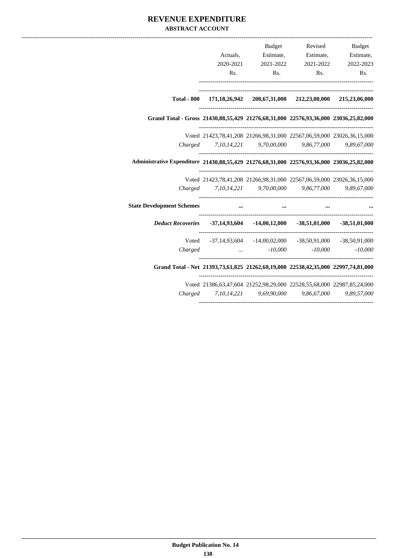#### **REVENUE EXPENDITURE ABSTRACT ACCOUNT**

|     | Budget Revised Budget                                                 |           |                                                                                                                                                                                                                                     |
|-----|-----------------------------------------------------------------------|-----------|-------------------------------------------------------------------------------------------------------------------------------------------------------------------------------------------------------------------------------------|
|     | Actuals, Estimate, Estimate, Estimate,                                |           |                                                                                                                                                                                                                                     |
|     | 2021-2022 2021-2022 2022-2023                                         | 2020-2021 |                                                                                                                                                                                                                                     |
| Rs. | Rs.<br>$\mathbf{Rs.}$                                                 | Rs.       |                                                                                                                                                                                                                                     |
|     | Total - 800 171,18,26,942 208,67,31,000 212,23,00,000 215,23,06,000   |           |                                                                                                                                                                                                                                     |
|     |                                                                       |           | Grand Total - Gross 21430,88,55,429 21276,68,31,000 22576,93,36,000 23036,25,82,000                                                                                                                                                 |
|     | Voted 21423,78,41,208 21266,98,31,000 22567,06,59,000 23026,36,15,000 |           |                                                                                                                                                                                                                                     |
|     | Charged 7,10,14,221 9,70,00,000 9,86,77,000 9,89,67,000               |           |                                                                                                                                                                                                                                     |
|     |                                                                       |           | Administrative Expenditure 21430,88,55,429 21276,68,31,000 22576,93,36,000 23036,25,82,000                                                                                                                                          |
|     | Voted 21423,78,41,208 21266,98,31,000 22567,06,59,000 23026,36,15,000 |           |                                                                                                                                                                                                                                     |
|     | Charged 7,10,14,221 9,70,00,000 9,86,77,000 9,89,67,000               |           |                                                                                                                                                                                                                                     |
|     |                                                                       |           | State Development Schemes <b>Example 20</b> and the contract of the contract of the contract of the contract of the contract of the contract of the contract of the contract of the contract of the contract of the contract of the |
|     |                                                                       |           | Deduct Recoveries -37,14,93,604 -14,00,12,000 -38,51,01,000 -38,51,01,000                                                                                                                                                           |
|     | Voted -37,14,93,604 -14,00,02,000 -38,50,91,000 -38,50,91,000         |           |                                                                                                                                                                                                                                     |
|     | Charged  - 10,000 - 10,000 - 10,000                                   |           |                                                                                                                                                                                                                                     |
|     |                                                                       |           | Grand Total - Net 21393,73,61,825 21262,68,19,000 22538,42,35,000 22997,74,81,000                                                                                                                                                   |
|     | Voted 21386,63,47,604 21252,98,29,000 22528,55,68,000 22987,85,24,000 |           |                                                                                                                                                                                                                                     |
|     | Charged 7,10,14,221 9,69,90,000 9,86,67,000 9,89,57,000               |           |                                                                                                                                                                                                                                     |
|     |                                                                       |           |                                                                                                                                                                                                                                     |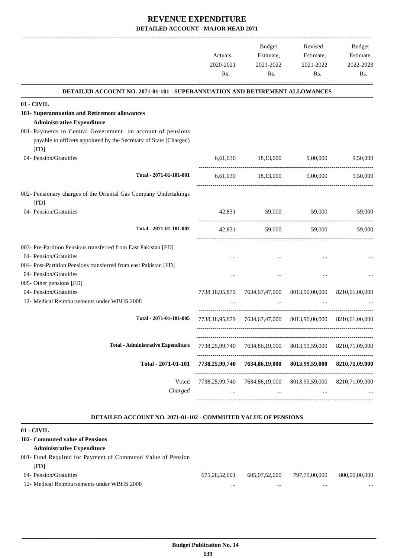-------------------------------------------------------------------------------------------------------------------------------------------------------------------------------

|                                                                             | Actuals,<br>2020-2021<br>Rs. | <b>Budget</b><br>Estimate,<br>2021-2022<br>Rs. | Revised<br>Estimate,<br>2021-2022<br>Rs.     | <b>Budget</b><br>Estimate,<br>2022-2023<br>Rs. |
|-----------------------------------------------------------------------------|------------------------------|------------------------------------------------|----------------------------------------------|------------------------------------------------|
| DETAILED ACCOUNT NO. 2071-01-101 - SUPERANNUATION AND RETIREMENT ALLOWANCES |                              |                                                |                                              |                                                |
| 01 - CIVIL                                                                  |                              |                                                |                                              |                                                |
| 101- Superannuation and Retirement allowances                               |                              |                                                |                                              |                                                |
| <b>Administrative Expenditure</b>                                           |                              |                                                |                                              |                                                |
| 001- Payments to Central Government on account of pensions                  |                              |                                                |                                              |                                                |
| payable to officers appointed by the Secretary of State (Charged)<br>[FD]   |                              |                                                |                                              |                                                |
| 04- Pension/Gratuities                                                      | 6,61,030                     | 18,13,000                                      | 9,00,000                                     | 9,50,000                                       |
| Total - 2071-01-101-001                                                     | 6,61,030                     | 18,13,000                                      | 9,00,000                                     | 9,50,000                                       |
|                                                                             |                              |                                                |                                              |                                                |
| 002- Pensionary charges of the Oriental Gas Company Undertakings            |                              |                                                |                                              |                                                |
| [FD]<br>04- Pension/Gratuities                                              | 42,831                       | 59,000                                         | 59,000                                       | 59,000                                         |
|                                                                             |                              |                                                |                                              |                                                |
| Total - 2071-01-101-002                                                     | 42,831                       | 59,000                                         | 59,000                                       | 59,000                                         |
| 003- Pre-Partition Pensions transferred from East Pakistan [FD]             |                              |                                                |                                              |                                                |
| 04- Pension/Gratuities                                                      |                              |                                                | $\cdots$                                     |                                                |
| 004- Post-Partition Pensions transferred from east Pakistan [FD]            |                              |                                                |                                              |                                                |
| 04- Pension/Gratuities                                                      |                              |                                                |                                              |                                                |
| 005- Other pensions [FD]                                                    |                              |                                                |                                              |                                                |
| 04- Pension/Gratuities                                                      |                              | 7738,18,95,879 7634,67,47,000 8013,90,00,000   |                                              | 8210,61,00,000                                 |
| 12- Medical Reimbursements under WBHS 2008                                  | $\cdots$                     | $\cdots$                                       | $\cdots$                                     |                                                |
| Total - 2071-01-101-005                                                     |                              |                                                | 7738,18,95,879 7634,67,47,000 8013,90,00,000 | 8210,61,00,000                                 |
|                                                                             |                              |                                                |                                              |                                                |
| <b>Total - Administrative Expenditure</b>                                   | 7738,25,99,740               | 7634,86,19,000                                 | 8013,99,59,000                               | 8210,71,09,000                                 |
| Total - 2071-01-101                                                         | 7738,25,99,740               | 7634,86,19,000                                 | 8013,99,59,000                               | 8210,71,09,000                                 |
| Voted                                                                       | 7738,25,99,740               | 7634,86,19,000                                 | 8013,99,59,000                               | 8210,71,09,000                                 |
| Charged                                                                     |                              | $\cdots$                                       |                                              |                                                |
|                                                                             |                              |                                                |                                              |                                                |

#### **DETAILED ACCOUNT NO. 2071-01-102 - COMMUTED VALUE OF PENSIONS**

| 01 - CIVIL                                                  |               |               |               |               |
|-------------------------------------------------------------|---------------|---------------|---------------|---------------|
| 102- Commuted value of Pensions                             |               |               |               |               |
| <b>Administrative Expenditure</b>                           |               |               |               |               |
| 001- Fund Required for Payment of Commuted Value of Pension |               |               |               |               |
| [FD]                                                        |               |               |               |               |
| 04- Pension/Gratuities                                      | 675.28.52.001 | 605.07.52.000 | 797.79.00.000 | 800,00,00,000 |
| 12- Medical Reimbursements under WBHS 2008                  | $\cdots$      |               |               | $\cdots$      |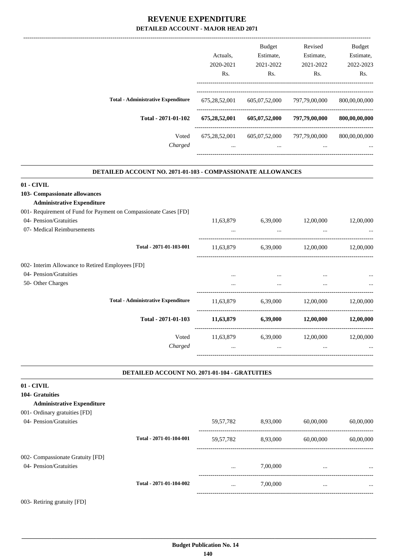|                     | Actuals.<br>2020-2021<br>R <sub>s</sub> . | <b>Budget</b><br>Estimate,<br>2021-2022<br>R <sub>s</sub> . | Revised<br>Estimate,<br>2021-2022<br>Rs. | <b>Budget</b><br>Estimate,<br>2022-2023<br>Rs. |
|---------------------|-------------------------------------------|-------------------------------------------------------------|------------------------------------------|------------------------------------------------|
|                     | 675,28,52,001                             | 605,07,52,000                                               | 797,79,00,000                            | 800,00,00,000                                  |
| Total - 2071-01-102 | 675,28,52,001                             | 605,07,52,000                                               | 797,79,00,000                            | 800,00,00,000                                  |
| Voted<br>Charged    | 675,28,52,001<br>$\cdots$                 | 605,07,52,000<br>$\cdots$                                   | 797,79,00,000<br>                        | 800,00,00,000<br>                              |
|                     | <b>Total - Administrative Expenditure</b> |                                                             |                                          |                                                |

.

.

#### **DETAILED ACCOUNT NO. 2071-01-103 - COMPASSIONATE ALLOWANCES .**

| $01 - CIVIL$                                                     |           |          |           |           |
|------------------------------------------------------------------|-----------|----------|-----------|-----------|
| 103- Compassionate allowances                                    |           |          |           |           |
| <b>Administrative Expenditure</b>                                |           |          |           |           |
| 001- Requirement of Fund for Payment on Compassionate Cases [FD] |           |          |           |           |
| 04- Pension/Gratuities                                           | 11,63,879 | 6,39,000 | 12,00,000 | 12,00,000 |
| 07- Medical Reimbursements                                       | $\cdots$  | $\cdots$ | $\cdots$  |           |
| Total - 2071-01-103-001                                          | 11,63,879 | 6,39,000 | 12,00,000 | 12,00,000 |
| 002- Interim Allowance to Retired Employees [FD]                 |           |          |           |           |
| 04- Pension/Gratuities                                           | $\cdots$  | $\cdots$ | $\cdots$  | $\cdots$  |
| 50- Other Charges                                                | $\cdots$  | $\cdots$ | $\cdots$  |           |
| <b>Total - Administrative Expenditure</b>                        | 11,63,879 | 6,39,000 | 12,00,000 | 12,00,000 |
| Total - 2071-01-103                                              | 11,63,879 | 6,39,000 | 12,00,000 | 12,00,000 |
| Voted                                                            | 11,63,879 | 6,39,000 | 12,00,000 | 12,00,000 |
| Charged                                                          | $\cdots$  | $\cdots$ | $\cdots$  |           |
|                                                                  |           |          |           |           |

#### **DETAILED ACCOUNT NO. 2071-01-104 - GRATUITIES .**

| 01 . | - CIVIL |  |
|------|---------|--|
|      |         |  |

## **104- Gratuities Administrative Expenditure** 001- Ordinary gratuities [FD] 04- Pension/Gratuities 60,00,000 60,00,000 60,00,000 60,00,000 60,00,000 60,00,000 60,00,000 60,00,000 60,00,000 60,00,000 60,00,000 60,00,000 60,00,000 60,00,000 60,00,000 60,00,000 60,00,000 60,00,000 60,00,000 60,00,000 ---------------------------------------------------------------------------------------- **Total - 2071-01-104-001** 59,57,782 8,93,000 60,00,000 60,00,000 ----------------------------------------------------------------------------------------- 002- Compassionate Gratuity [FD] 04- Pension/Gratuities ... 7,00,000 ... ... ---------------------------------------------------------------------------------------- **Total - 2071-01-104-002** ... 7,00,000 ... ... ... ... ... ... -----------------------------------------------------------------------------------------

003- Retiring gratuity [FD]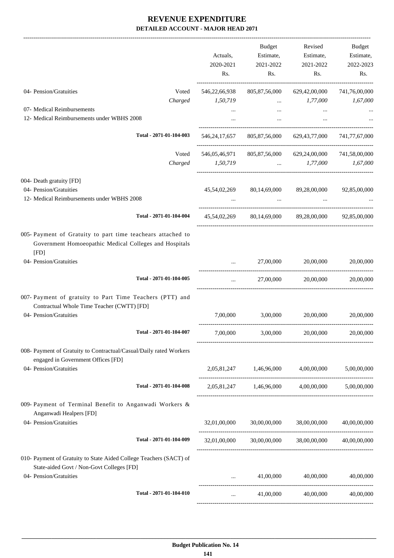|                                                                                                                               | Actuals,<br>2020-2021<br>Rs. | Budget<br>Estimate,<br>2021-2022<br>Rs. | Revised<br>Estimate,<br>2021-2022<br>Rs.            | Budget<br>Estimate,<br>2022-2023<br>Rs. |
|-------------------------------------------------------------------------------------------------------------------------------|------------------------------|-----------------------------------------|-----------------------------------------------------|-----------------------------------------|
| 04- Pension/Gratuities<br>Voted                                                                                               | 546, 22, 66, 938             | 805,87,56,000                           | 629,42,00,000                                       | 741,76,00,000                           |
| Charged                                                                                                                       | 1,50,719                     | $\cdots$                                | 1,77,000                                            | 1,67,000                                |
| 07- Medical Reimbursements                                                                                                    |                              |                                         |                                                     |                                         |
| 12- Medical Reimbursements under WBHS 2008                                                                                    | $\cdots$                     | $\cdots$                                | $\cdots$                                            |                                         |
| Total - 2071-01-104-003                                                                                                       | 546, 24, 17, 657             | 805,87,56,000                           | 629,43,77,000                                       | 741,77,67,000                           |
| Voted                                                                                                                         | 546,05,46,971                |                                         | 805,87,56,000 629,24,00,000                         | 741,58,00,000                           |
| Charged                                                                                                                       | 1,50,719                     | $\cdots$                                | 1,77,000                                            | 1,67,000                                |
| 004- Death gratuity [FD]                                                                                                      |                              |                                         |                                                     |                                         |
| 04- Pension/Gratuities                                                                                                        | 45,54,02,269                 |                                         | 80,14,69,000 89,28,00,000                           | 92,85,00,000                            |
| 12- Medical Reimbursements under WBHS 2008                                                                                    |                              |                                         |                                                     |                                         |
| Total - 2071-01-104-004                                                                                                       |                              |                                         | 45,54,02,269 80,14,69,000 89,28,00,000              | 92,85,00,000                            |
| 005- Payment of Gratuity to part time teachears attached to<br>Government Homoeopathic Medical Colleges and Hospitals<br>[FD] |                              |                                         |                                                     |                                         |
| 04- Pension/Gratuities                                                                                                        |                              | 27,00,000                               | 20,00,000                                           | 20,00,000                               |
| Total - 2071-01-104-005                                                                                                       |                              | 27,00,000                               | 20,00,000                                           | 20,00,000                               |
| 007- Payment of gratuity to Part Time Teachers (PTT) and<br>Contractual Whole Time Teacher (CWTT) [FD]                        |                              |                                         |                                                     |                                         |
| 04- Pension/Gratuities                                                                                                        | 7,00,000                     | 3,00,000                                | 20,00,000                                           | 20,00,000                               |
| Total - 2071-01-104-007                                                                                                       | 7,00,000                     | 3,00,000                                | 20,00,000                                           | 20,00,000                               |
| 008- Payment of Gratuity to Contractual/Casual/Daily rated Workers<br>engaged in Government Offices [FD]                      |                              |                                         |                                                     |                                         |
| 04- Pension/Gratuities                                                                                                        |                              |                                         | 2,05,81,247 1,46,96,000 4,00,00,000                 | 5,00,00,000                             |
| Total - 2071-01-104-008                                                                                                       |                              |                                         | 2,05,81,247 1,46,96,000 4,00,00,000 5,00,00,000     |                                         |
| 009- Payment of Terminal Benefit to Anganwadi Workers &<br>Anganwadi Healpers [FD]                                            |                              |                                         |                                                     |                                         |
| 04- Pension/Gratuities                                                                                                        |                              |                                         | 32,01,00,000 30,00,00,000 38,00,00,000 40,00,00,000 |                                         |
| Total - 2071-01-104-009                                                                                                       |                              |                                         | 32,01,00,000 30,00,00,000 38,00,00,000 40,00,00,000 |                                         |
| 010- Payment of Gratuity to State Aided College Teachers (SACT) of<br>State-aided Govt / Non-Govt Colleges [FD]               |                              |                                         |                                                     |                                         |
| 04- Pension/Gratuities                                                                                                        | $\mathbf{1}$                 |                                         | 41,00,000 40,00,000                                 | 40,00,000                               |
| Total - 2071-01-104-010                                                                                                       |                              |                                         | 41,00,000 40,00,000                                 | 40,00,000                               |
|                                                                                                                               |                              |                                         |                                                     |                                         |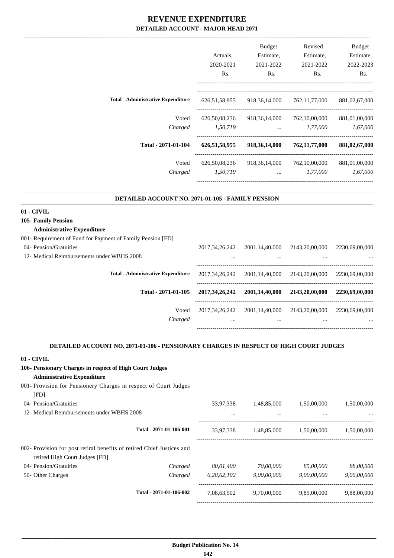|                                           | Actuals.         | <b>Budget</b><br>Estimate, | Revised<br>Estimate, | <b>Budget</b><br>Estimate, |
|-------------------------------------------|------------------|----------------------------|----------------------|----------------------------|
|                                           | 2020-2021        | 2021-2022                  | 2021-2022            | 2022-2023                  |
|                                           | Rs.              | Rs.                        | Rs.                  | Rs.                        |
| <b>Total - Administrative Expenditure</b> | 626, 51, 58, 955 | 918,36,14,000              | 762, 11, 77, 000     | 881,02,67,000              |
| Voted                                     | 626,50,08,236    | 918,36,14,000              | 762,10,00,000        | 881,01,00,000              |
| Charged                                   | 1,50,719         | $\cdots$                   | 1,77,000             | 1,67,000                   |
| Total - 2071-01-104                       | 626, 51, 58, 955 | 918, 36, 14, 000           | 762,11,77,000        | 881,02,67,000              |
| Voted                                     | 626,50,08,236    | 918, 36, 14, 000           | 762,10,00,000        | 881,01,00,000              |
| Charged                                   | 1,50,719         | $\cdots$                   | 1,77,000             | 1,67,000                   |
|                                           |                  |                            |                      |                            |

.

.

#### **DETAILED ACCOUNT NO. 2071-01-105 - FAMILY PENSION .**

#### **01 - CIVIL**

| 105- Family Pension                                         |                   |                |                |                |
|-------------------------------------------------------------|-------------------|----------------|----------------|----------------|
| <b>Administrative Expenditure</b>                           |                   |                |                |                |
| 001- Requirement of Fund for Payment of Family Pension [FD] |                   |                |                |                |
| 04- Pension/Gratuities                                      | 2017.34.26.242    | 2001,14,40,000 | 2143.20.00.000 | 2230.69.00.000 |
| 12- Medical Reimbursements under WBHS 2008                  | $\cdots$          | $\cdots$       | $\cdots$       |                |
| <b>Total - Administrative Expenditure</b>                   | 2017, 34, 26, 242 | 2001,14,40,000 | 2143.20.00.000 | 2230.69.00.000 |
| Total - 2071-01-105                                         | 2017, 34, 26, 242 | 2001,14,40,000 | 2143,20,00,000 | 2230,69,00,000 |
| Voted                                                       | 2017.34.26.242    | 2001.14.40.000 | 2143.20.00.000 | 2230.69.00.000 |
| Charged                                                     | $\cdots$          | $\cdots$       | $\cdots$       |                |
|                                                             |                   |                |                |                |

#### **DETAILED ACCOUNT NO. 2071-01-106 - PENSIONARY CHARGES IN RESPECT OF HIGH COURT JUDGES**

# **. 01 - CIVIL 106- Pensionary Charges in respect of High Court Judges Administrative Expenditure** 001- Provision for Pensionery Charges in respect of Court Judges [FD] 04- Pension/Gratuities 23,97,338 1,48,85,000 1,50,00,000 1,50,00,000 1,50,00,000 12- Medical Reimbursements under WBHS 2008 ... ... ... ... ---------------------------------------------------------------------------------------- **Total - 2071-01-106-001** 33,97,338 1,48,85,000 1,50,00,000 1,50,00,000 ----------------------------------------------------------------------------------------- 002- Provision for post retiral benefits of retired Chief Justices and retired High Court Judges [FD] 04- Pension/Gratuities *Charged 80,01,400 70,00,000 85,00,000 88,00,000* 50- Other Charges *Charged 6,28,62,102 9,00,00,000 9,00,00,000 9,00,00,000* ---------------------------------------------------------------------------------------- **Total - 2071-01-106-002** 7,08,63,502 9,70,00,000 9,85,00,000 9,88,00,000 -----------------------------------------------------------------------------------------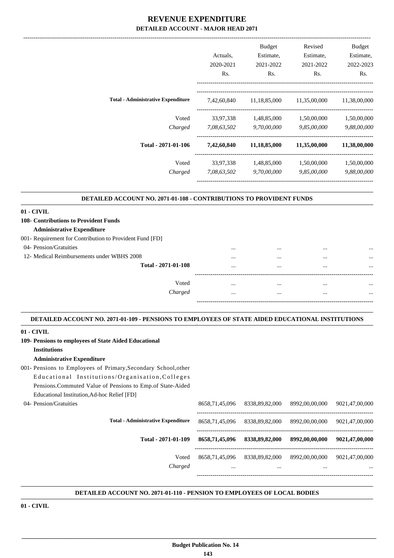|                                           | Actuals.    | <b>Budget</b><br>Estimate, | Revised<br>Estimate, | <b>Budget</b><br>Estimate, |
|-------------------------------------------|-------------|----------------------------|----------------------|----------------------------|
|                                           | 2020-2021   | 2021-2022                  | 2021-2022            | 2022-2023                  |
|                                           | Rs.         | Rs.                        | Rs.                  | Rs.                        |
| <b>Total - Administrative Expenditure</b> | 7,42,60,840 | 11,18,85,000               | 11,35,00,000         | 11,38,00,000               |
| Voted                                     | 33,97,338   | 1,48,85,000                | 1,50,00,000          | 1,50,00,000                |
| Charged                                   | 7,08,63,502 | 9,70,00,000                | 9,85,00,000          | 9,88,00,000                |
| Total - 2071-01-106                       | 7,42,60,840 | 11,18,85,000               | 11,35,00,000         | 11,38,00,000               |
| Voted                                     | 33,97,338   | 1,48,85,000                | 1,50,00,000          | 1,50,00,000                |
| Charged                                   | 7,08,63,502 | 9,70,00,000                | 9,85,00,000          | 9,88,00,000                |
|                                           |             |                            |                      |                            |

-----------------------------------------------------------------------------------------

.

.

#### **DETAILED ACCOUNT NO. 2071-01-108 - CONTRIBUTIONS TO PROVIDENT FUNDS .**

| $01$ - $CIVIL$                                           |          |          |          |           |
|----------------------------------------------------------|----------|----------|----------|-----------|
| 108- Contributions to Provident Funds                    |          |          |          |           |
| <b>Administrative Expenditure</b>                        |          |          |          |           |
| 001- Requirement for Contribution to Provident Fund [FD] |          |          |          |           |
| 04- Pension/Gratuities                                   | $\cdots$ | $\cdots$ | $\cdots$ | $\cdots$  |
| 12- Medical Reimbursements under WBHS 2008               | $\cdots$ | $\cdots$ |          | $\ddotsc$ |
| Total - 2071-01-108                                      | $\cdots$ | $\cdots$ |          | $\cdots$  |
|                                                          |          |          |          |           |
| Voted                                                    | $\cdots$ | $\cdots$ | $\cdots$ | $\ddotsc$ |
| Charged                                                  |          |          |          |           |

#### **DETAILED ACCOUNT NO. 2071-01-109 - PENSIONS TO EMPLOYEES OF STATE AIDED EDUCATIONAL INSTITUTIONS .**

| 01 | 'UVIL |
|----|-------|
|----|-------|

| 109- Pensions to employees of State Aided Educational          |                |                |                |                |
|----------------------------------------------------------------|----------------|----------------|----------------|----------------|
| <b>Institutions</b>                                            |                |                |                |                |
| <b>Administrative Expenditure</b>                              |                |                |                |                |
| 001- Pensions to Employees of Primary, Secondary School, other |                |                |                |                |
| Educational Institutions/Organisation, Colleges                |                |                |                |                |
| Pensions. Commuted Value of Pensions to Emp. of State-Aided    |                |                |                |                |
| Educational Institution, Ad-hoc Relief [FD]                    |                |                |                |                |
| 04- Pension/Gratuities                                         | 8658,71,45,096 | 8338,89,82,000 | 8992,00,00,000 | 9021,47,00,000 |
| <b>Total - Administrative Expenditure</b>                      | 8658,71,45,096 | 8338,89,82,000 | 8992,00,00,000 | 9021,47,00,000 |
| Total - 2071-01-109                                            | 8658,71,45,096 | 8338,89,82,000 | 8992,00,00,000 | 9021,47,00,000 |
| Voted                                                          | 8658,71,45,096 | 8338,89,82,000 | 8992,00,00,000 | 9021,47,00,000 |
| Charged                                                        | $\cdots$       | $\cdots$       | $\cdots$       |                |
|                                                                |                |                |                |                |

#### **DETAILED ACCOUNT NO. 2071-01-110 - PENSION TO EMPLOYEES OF LOCAL BODIES .**

**01 - CIVIL**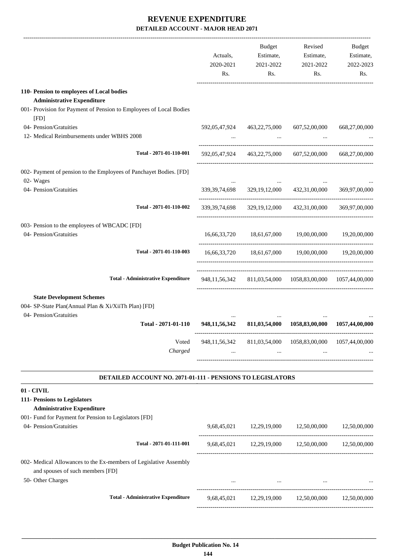|                                                                                                                            | Actuals,<br>2020-2021<br>Rs. | Budget<br>Estimate,<br>2021-2022<br>Rs. | Revised<br>Estimate,<br>2021-2022<br>Rs.                                                                                                                                                                                                                                                                                                                                                                                                                    | Budget<br>Estimate,<br>2022-2023<br>Rs. |
|----------------------------------------------------------------------------------------------------------------------------|------------------------------|-----------------------------------------|-------------------------------------------------------------------------------------------------------------------------------------------------------------------------------------------------------------------------------------------------------------------------------------------------------------------------------------------------------------------------------------------------------------------------------------------------------------|-----------------------------------------|
| 110- Pension to employees of Local bodies                                                                                  |                              |                                         |                                                                                                                                                                                                                                                                                                                                                                                                                                                             |                                         |
| <b>Administrative Expenditure</b><br>001- Provision for Payment of Pension to Employees of Local Bodies<br>[FD]            |                              |                                         |                                                                                                                                                                                                                                                                                                                                                                                                                                                             |                                         |
| 04- Pension/Gratuities<br>12- Medical Reimbursements under WBHS 2008                                                       |                              |                                         | 592,05,47,924 463,22,75,000 607,52,00,000 668,27,00,000                                                                                                                                                                                                                                                                                                                                                                                                     |                                         |
| Total - 2071-01-110-001                                                                                                    |                              |                                         | 592,05,47,924 463,22,75,000 607,52,00,000                                                                                                                                                                                                                                                                                                                                                                                                                   | 668,27,00,000                           |
| 002- Payment of pension to the Employees of Panchayet Bodies. [FD]<br>02- Wages                                            |                              |                                         |                                                                                                                                                                                                                                                                                                                                                                                                                                                             |                                         |
| 04- Pension/Gratuities                                                                                                     | 339,39,74,698                |                                         | 329, 19, 12, 000 432, 31, 00, 000                                                                                                                                                                                                                                                                                                                                                                                                                           | 369,97,00,000                           |
| Total - 2071-01-110-002                                                                                                    |                              |                                         | 339, 39, 74, 698 329, 19, 12, 000 432, 31, 00, 000                                                                                                                                                                                                                                                                                                                                                                                                          | 369,97,00,000                           |
| 003- Pension to the employees of WBCADC [FD]<br>04- Pension/Gratuities                                                     |                              |                                         | 16,66,33,720  18,61,67,000  19,00,00,000  19,20,00,000                                                                                                                                                                                                                                                                                                                                                                                                      |                                         |
| Total - 2071-01-110-003                                                                                                    |                              |                                         | 16,66,33,720  18,61,67,000  19,00,00,000  19,20,00,000                                                                                                                                                                                                                                                                                                                                                                                                      |                                         |
| <b>Total - Administrative Expenditure</b>                                                                                  |                              |                                         | 948,11,56,342 811,03,54,000 1058,83,00,000 1057,44,00,000                                                                                                                                                                                                                                                                                                                                                                                                   |                                         |
| <b>State Development Schemes</b><br>004- SP-State Plan(Annual Plan & Xi/XiiTh Plan) [FD]<br>04- Pension/Gratuities         |                              |                                         |                                                                                                                                                                                                                                                                                                                                                                                                                                                             |                                         |
| Total - 2071-01-110                                                                                                        | 948, 11, 56, 342             | 811,03,54,000                           | 1058,83,00,000                                                                                                                                                                                                                                                                                                                                                                                                                                              | 1057,44,00,000                          |
| Voted<br>Charged                                                                                                           | $\cdots$                     | $\cdots$                                | 948,11,56,342 811,03,54,000 1058,83,00,000 1057,44,00,000                                                                                                                                                                                                                                                                                                                                                                                                   |                                         |
| DETAILED ACCOUNT NO. 2071-01-111 - PENSIONS TO LEGISLATORS                                                                 |                              |                                         |                                                                                                                                                                                                                                                                                                                                                                                                                                                             |                                         |
| 01 - CIVIL                                                                                                                 |                              |                                         |                                                                                                                                                                                                                                                                                                                                                                                                                                                             |                                         |
| 111- Pensions to Legislators<br><b>Administrative Expenditure</b><br>001- Fund for Payment for Pension to Legislators [FD] |                              |                                         |                                                                                                                                                                                                                                                                                                                                                                                                                                                             |                                         |
| 04- Pension/Gratuities                                                                                                     |                              |                                         | 9,68,45,021 12,29,19,000 12,50,00,000 12,50,00,000                                                                                                                                                                                                                                                                                                                                                                                                          |                                         |
| Total - 2071-01-111-001                                                                                                    |                              |                                         | 9,68,45,021 12,29,19,000 12,50,00,000 12,50,00,000                                                                                                                                                                                                                                                                                                                                                                                                          |                                         |
| 002- Medical Allowances to the Ex-members of Legislative Assembly<br>and spouses of such members [FD]                      |                              |                                         |                                                                                                                                                                                                                                                                                                                                                                                                                                                             |                                         |
| 50- Other Charges                                                                                                          |                              |                                         | $\mathcal{L}(\mathcal{L}(\mathcal{L}(\mathcal{L}(\mathcal{L}(\mathcal{L}(\mathcal{L}(\mathcal{L}(\mathcal{L}(\mathcal{L}(\mathcal{L}(\mathcal{L}(\mathcal{L}(\mathcal{L}(\mathcal{L}(\mathcal{L}(\mathcal{L}(\mathcal{L}(\mathcal{L}(\mathcal{L}(\mathcal{L}(\mathcal{L}(\mathcal{L}(\mathcal{L}(\mathcal{L}(\mathcal{L}(\mathcal{L}(\mathcal{L}(\mathcal{L}(\mathcal{L}(\mathcal{L}(\mathcal{L}(\mathcal{L}(\mathcal{L}(\mathcal{L}(\mathcal{L}(\mathcal{$ |                                         |
| <b>Total - Administrative Expenditure</b>                                                                                  |                              |                                         | 9,68,45,021 12,29,19,000 12,50,00,000 12,50,00,000                                                                                                                                                                                                                                                                                                                                                                                                          |                                         |
|                                                                                                                            |                              |                                         |                                                                                                                                                                                                                                                                                                                                                                                                                                                             |                                         |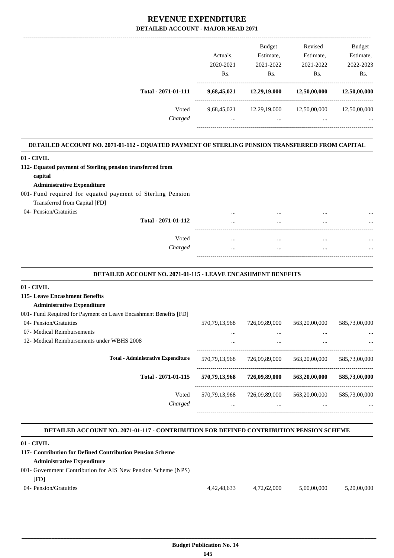|                     | Actuals.<br>2020-2021 | <b>Budget</b><br>Estimate,<br>2021-2022 | Revised<br>Estimate,<br>2021-2022 | <b>Budget</b><br>Estimate,<br>2022-2023 |
|---------------------|-----------------------|-----------------------------------------|-----------------------------------|-----------------------------------------|
|                     | Rs.                   | Rs.                                     | Rs.                               | Rs.                                     |
| Total - 2071-01-111 | 9,68,45,021           | 12,29,19,000                            | 12,50,00,000                      | 12,50,00,000                            |
| Voted               | 9,68,45,021           | 12,29,19,000                            | 12,50,00,000                      | 12,50,00,000                            |
| Charged             |                       |                                         | $\cdots$                          |                                         |
|                     |                       |                                         |                                   |                                         |

#### **DETAILED ACCOUNT NO. 2071-01-112 - EQUATED PAYMENT OF STERLING PENSION TRANSFERRED FROM CAPITAL .**

.

.

.

| $01 - CIVIL$                                               |          |          |          |          |
|------------------------------------------------------------|----------|----------|----------|----------|
| 112- Equated payment of Sterling pension transferred from  |          |          |          |          |
| capital                                                    |          |          |          |          |
| <b>Administrative Expenditure</b>                          |          |          |          |          |
| 001- Fund required for equated payment of Sterling Pension |          |          |          |          |
| Transferred from Capital [FD]                              |          |          |          |          |
| 04- Pension/Gratuities                                     |          | $\cdots$ | $\cdots$ | $\cdots$ |
| Total - 2071-01-112                                        | $\cdots$ | $\cdots$ | $\cdots$ |          |
|                                                            |          |          |          |          |
| Voted                                                      | $\cdots$ | $\cdots$ | $\cdots$ |          |
| Charged                                                    |          |          |          |          |
|                                                            |          |          |          |          |

#### **DETAILED ACCOUNT NO. 2071-01-115 - LEAVE ENCASHMENT BENEFITS .**

#### **01 - CIVIL**

**115- Leave Encashment Benefits**

| <b>Administrative Expenditure</b>                                |                  |               |               |               |
|------------------------------------------------------------------|------------------|---------------|---------------|---------------|
| 001- Fund Required for Payment on Leave Encashment Benefits [FD] |                  |               |               |               |
| 04- Pension/Gratuities                                           | 570, 79, 13, 968 | 726,09,89,000 | 563,20,00,000 | 585,73,00,000 |
| 07- Medical Reimbursements                                       | $\cdots$         | $\cdots$      | $\cdots$      | $\cdots$      |
| 12- Medical Reimbursements under WBHS 2008                       | $\cdots$         | $\cdots$      | $\cdots$      |               |
| <b>Total - Administrative Expenditure</b>                        | 570, 79, 13, 968 | 726.09.89.000 | 563,20,00,000 | 585,73,00,000 |
| Total - 2071-01-115                                              | 570, 79, 13, 968 | 726,09,89,000 | 563,20,00,000 | 585,73,00,000 |
| Voted                                                            | 570.79.13.968    | 726.09.89.000 | 563,20,00,000 | 585,73,00,000 |
| Charged                                                          | $\cdots$         | $\cdots$      | $\cdots$      |               |
|                                                                  |                  |               |               |               |

#### **DETAILED ACCOUNT NO. 2071-01-117 - CONTRIBUTION FOR DEFINED CONTRIBUTION PENSION SCHEME .**

#### **01 - CIVIL**

| 117- Contribution for Defined Contribution Pension Scheme     |             |             |             |             |
|---------------------------------------------------------------|-------------|-------------|-------------|-------------|
| <b>Administrative Expenditure</b>                             |             |             |             |             |
| 001- Government Contribution for AIS New Pension Scheme (NPS) |             |             |             |             |
| [FD]                                                          |             |             |             |             |
| 04- Pension/Gratuities                                        | 4.42.48.633 | 4.72.62.000 | 5.00.00.000 | 5.20,00,000 |
|                                                               |             |             |             |             |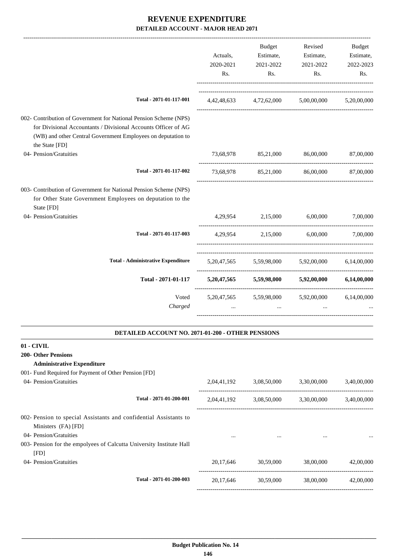|                                                                                                                                                                                                                                                 | Actuals,<br>2020-2021<br>Rs. | <b>Budget</b><br>Estimate,<br>2021-2022<br>Rs. | Revised<br>Estimate,<br>2021-2022<br>Rs.        | <b>Budget</b><br>Estimate,<br>2022-2023<br>Rs. |
|-------------------------------------------------------------------------------------------------------------------------------------------------------------------------------------------------------------------------------------------------|------------------------------|------------------------------------------------|-------------------------------------------------|------------------------------------------------|
| Total - 2071-01-117-001                                                                                                                                                                                                                         | 4,42,48,633                  | 4,72,62,000                                    | 5,00,00,000                                     | 5.20.00.000                                    |
| 002- Contribution of Government for National Pension Scheme (NPS)<br>for Divisional Accountants / Divisional Accounts Officer of AG<br>(WB) and other Central Government Employees on deputation to<br>the State [FD]<br>04- Pension/Gratuities |                              |                                                |                                                 |                                                |
|                                                                                                                                                                                                                                                 |                              | 73,68,978 85,21,000                            | 86,00,000                                       | 87,00,000                                      |
| Total - 2071-01-117-002                                                                                                                                                                                                                         |                              |                                                | 73,68,978 85,21,000 86,00,000                   | 87,00,000                                      |
| 003- Contribution of Government for National Pension Scheme (NPS)<br>for Other State Government Employees on deputation to the<br>State [FD]                                                                                                    |                              |                                                |                                                 |                                                |
| 04- Pension/Gratuities                                                                                                                                                                                                                          |                              | 4,29,954 2,15,000                              | 6,00,000                                        | 7,00,000                                       |
| Total - 2071-01-117-003                                                                                                                                                                                                                         |                              |                                                | 4,29,954 2,15,000 6,00,000 7,00,000             |                                                |
| <b>Total - Administrative Expenditure</b>                                                                                                                                                                                                       |                              |                                                | 5,20,47,565 5,59,98,000 5,92,00,000 6,14,00,000 |                                                |
| Total - 2071-01-117                                                                                                                                                                                                                             |                              |                                                | 5,20,47,565 5,59,98,000 5,92,00,000             | 6,14,00,000                                    |
| Voted<br>Charged                                                                                                                                                                                                                                |                              | $\cdots$                                       | 5,20,47,565 5,59,98,000 5,92,00,000 6,14,00,000 |                                                |
| DETAILED ACCOUNT NO. 2071-01-200 - OTHER PENSIONS                                                                                                                                                                                               |                              |                                                |                                                 |                                                |
| 01 - CIVIL                                                                                                                                                                                                                                      |                              |                                                |                                                 |                                                |

# **200- Other Pensions**

# **Administrative Expenditure**

| 001 - Fund Required for Payment of Other Pension [FD]                |             |             |             |             |
|----------------------------------------------------------------------|-------------|-------------|-------------|-------------|
| 04- Pension/Gratuities                                               | 2,04,41,192 | 3,08,50,000 | 3,30,00,000 | 3,40,00,000 |
| Total - 2071-01-200-001                                              | 2,04,41,192 | 3,08,50,000 | 3,30,00,000 | 3,40,00,000 |
| 002- Pension to special Assistants and confidential Assistants to    |             |             |             |             |
| Ministers (FA) [FD]                                                  |             |             |             |             |
| 04- Pension/Gratuities                                               |             |             |             | $\cdots$    |
| 003- Pension for the empolyees of Calcutta University Institute Hall |             |             |             |             |
| [FD]                                                                 |             |             |             |             |
| 04- Pension/Gratuities                                               | 20.17.646   | 30,59,000   | 38,00,000   | 42,00,000   |
| Total - 2071-01-200-003                                              | 20, 17, 646 | 30,59,000   | 38,00,000   | 42,00,000   |
|                                                                      |             |             |             |             |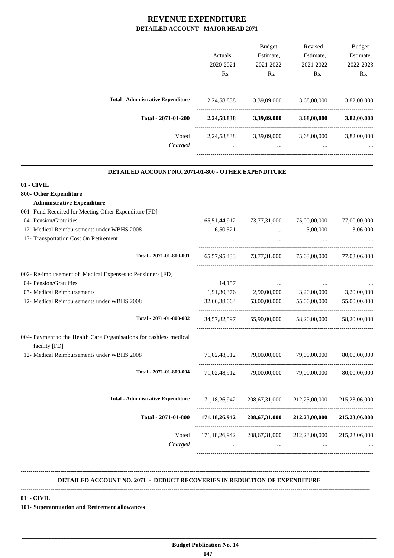|                                           | Actuals.<br>2020-2021   | <b>Budget</b><br>Estimate,<br>2021-2022 | Revised<br>Estimate,<br>2021-2022 | <b>Budget</b><br>Estimate,<br>2022-2023 |
|-------------------------------------------|-------------------------|-----------------------------------------|-----------------------------------|-----------------------------------------|
|                                           | R <sub>s</sub> .        | Rs.                                     | Rs.                               | Rs.                                     |
| <b>Total - Administrative Expenditure</b> | 2,24,58,838             | 3,39,09,000                             | 3,68,00,000                       | 3,82,00,000                             |
| Total - 2071-01-200                       | 2,24,58,838             | 3,39,09,000                             | 3,68,00,000                       | 3,82,00,000                             |
| Voted<br>Charged                          | 2,24,58,838<br>$\cdots$ | 3,39,09,000<br>$\cdots$                 | 3,68,00,000<br>$\cdots$           | 3,82,00,000<br>$\cdots$                 |
|                                           |                         |                                         |                                   |                                         |

.

#### **DETAILED ACCOUNT NO. 2071-01-800 - OTHER EXPENDITURE . 01 - CIVIL 800- Other Expenditure Administrative Expenditure** 001- Fund Required for Meeting Other Expenditure [FD] 04- Pension/Gratuities 65,51,44,912 73,77,31,000 75,00,00,000 77,00,00,000 77,00,00,000 12- Medical Reimbursements under WBHS 2008 6,50,521 ... 3,00,000 3,06,000 17- Transportation Cost On Retirement ---------------------------------------------------------------------------------------- **Total - 2071-01-800-001** 65,57,95,433 73,77,31,000 75,03,00,000 77,03,06,000 ----------------------------------------------------------------------------------------- 002- Re-imbursement of Medical Expenses to Pensioners [FD] 04- Pension/Gratuities 14,157 ... ... ... 07- Medical Reimbursements 1,91,30,376 2,90,00,000 3,20,00,000 3,20,00,000 3,20,00,000 12- Medical Reimbursements under WBHS 2008 32,66,38,064 53,00,00,000 55,00,00,000 55,00,00,000 ---------------------------------------------------------------------------------------- **Total - 2071-01-800-002** 34,57,82,597 55,90,00,000 58,20,00,000 58,20,00,000 ----------------------------------------------------------------------------------------- 004- Payment to the Health Care Organisations for cashless medical facility [FD] 12- Medical Reimbursements under WBHS 2008 71,02,48,912 79,00,00,000 79,00,00,000 80,00,00,000 ---------------------------------------------------------------------------------------- **Total - 2071-01-800-004** 71,02,48,912 79,00,00,000 79,00,00,000 80,00,00,000 ----------------------------------------------------------------------------------------- ----------------------------------------------------------------------------------------- **Total - Administrative Expenditure** 171,18,26,942 208,67,31,000 212,23,00,000 215,23,06,000 ----------------------------------------------------------------------------------------- **Total - 2071-01-800 171,18,26,942 208,67,31,000 212,23,00,000 215,23,06,000** ------------------------------------------------------------------------------------------ Voted 171,18,26,942 208,67,31,000 212,23,00,000 215,23,06,000 *Charged* ... ... ... ... -----------------------------------------------------------------------------------------

#### **-------------------------------------------------------------------------------------------------------------------------------------------------------------------------------- DETAILED ACCOUNT NO. 2071 - DEDUCT RECOVERIES IN REDUCTION OF EXPENDITURE**

 **\_\_\_\_\_\_\_\_\_\_\_\_\_\_\_\_\_\_\_\_\_\_\_\_\_\_\_\_\_\_\_\_\_\_\_\_\_\_\_\_\_\_\_\_\_\_\_\_\_\_\_\_\_\_\_\_\_\_\_\_\_\_\_\_\_\_\_\_\_\_\_\_\_\_\_\_\_\_\_\_\_\_\_\_\_\_\_\_\_\_\_\_\_\_\_\_\_\_\_\_\_\_\_\_\_\_\_\_\_\_\_\_\_\_\_\_\_\_\_**

#### **--------------------------------------------------------------------------------------------------------------------------------------------------------------------------------**

**01 - CIVIL**

**101- Superannuation and Retirement allowances**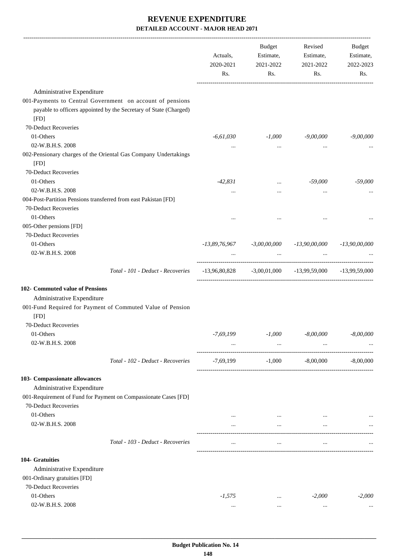|                                                                                                                                        | Actuals,<br>2020-2021<br>Rs. | Budget<br>Estimate,<br>2021-2022<br>Rs. | Revised<br>Estimate,<br>2021-2022<br>Rs.       | <b>Budget</b><br>Estimate,<br>2022-2023<br>Rs. |
|----------------------------------------------------------------------------------------------------------------------------------------|------------------------------|-----------------------------------------|------------------------------------------------|------------------------------------------------|
| Administrative Expenditure                                                                                                             |                              |                                         |                                                |                                                |
| 001-Payments to Central Government on account of pensions<br>payable to officers appointed by the Secretary of State (Charged)<br>[FD] |                              |                                         |                                                |                                                |
| 70-Deduct Recoveries                                                                                                                   |                              |                                         |                                                |                                                |
| 01-Others                                                                                                                              | $-6,61,030$                  | $-1,000$                                | $-9,00,000$                                    | $-9,00,000$                                    |
| 02-W.B.H.S. 2008                                                                                                                       |                              | $\cdots$                                | $\cdots$                                       |                                                |
| 002-Pensionary charges of the Oriental Gas Company Undertakings<br>[FD]                                                                |                              |                                         |                                                |                                                |
| 70-Deduct Recoveries                                                                                                                   |                              |                                         |                                                |                                                |
| 01-Others                                                                                                                              | $-42,831$                    | $\cdots$                                | $-59,000$                                      | $-59,000$                                      |
| 02-W.B.H.S. 2008                                                                                                                       | $\cdots$                     |                                         | $\cdots$                                       |                                                |
| 004-Post-Partition Pensions transferred from east Pakistan [FD]<br>70-Deduct Recoveries                                                |                              |                                         |                                                |                                                |
| 01-Others                                                                                                                              |                              |                                         |                                                |                                                |
| 005-Other pensions [FD]                                                                                                                |                              |                                         |                                                |                                                |
| 70-Deduct Recoveries                                                                                                                   |                              |                                         |                                                |                                                |
| 01-Others                                                                                                                              |                              | $-13,89,76,967$ $-3,00,00,000$          | -13,90,00,000                                  | $-13,90,00,000$                                |
| 02-W.B.H.S. 2008                                                                                                                       |                              | $\cdots$                                | $\cdots$                                       |                                                |
| Total - 101 - Deduct - Recoveries                                                                                                      |                              |                                         | $-13,96,80,828$ $-3,00,01,000$ $-13,99,59,000$ | $-13,99,59,000$                                |
| 102- Commuted value of Pensions                                                                                                        |                              |                                         |                                                |                                                |
| Administrative Expenditure                                                                                                             |                              |                                         |                                                |                                                |
| 001-Fund Required for Payment of Commuted Value of Pension<br>[FD]                                                                     |                              |                                         |                                                |                                                |
| 70-Deduct Recoveries                                                                                                                   |                              |                                         |                                                |                                                |
| 01-Others                                                                                                                              | $-7,69,199$                  | $-1,000$                                | $-8,00,000$                                    | $-8,00,000$                                    |
| 02-W.B.H.S. 2008                                                                                                                       |                              |                                         |                                                |                                                |
| Total - 102 - Deduct - Recoveries                                                                                                      | -7,69,199                    | $-1,000$                                | $-8,00,000$                                    | $-8.00,000$                                    |
|                                                                                                                                        |                              |                                         |                                                |                                                |
| 103- Compassionate allowances                                                                                                          |                              |                                         |                                                |                                                |
| Administrative Expenditure                                                                                                             |                              |                                         |                                                |                                                |
| 001-Requirement of Fund for Payment on Compassionate Cases [FD]<br>70-Deduct Recoveries                                                |                              |                                         |                                                |                                                |
| 01-Others                                                                                                                              |                              |                                         |                                                |                                                |
| 02-W.B.H.S. 2008                                                                                                                       |                              | $\cdots$                                | $\cdots$                                       |                                                |
| Total - 103 - Deduct - Recoveries                                                                                                      | $\cdots$                     | $\cdots$                                | $\ddots$                                       |                                                |
|                                                                                                                                        |                              |                                         |                                                |                                                |
| 104- Gratuities                                                                                                                        |                              |                                         |                                                |                                                |
| Administrative Expenditure                                                                                                             |                              |                                         |                                                |                                                |
| 001-Ordinary gratuities [FD]                                                                                                           |                              |                                         |                                                |                                                |
| 70-Deduct Recoveries                                                                                                                   |                              |                                         |                                                |                                                |
| 01-Others                                                                                                                              | $-1,575$                     | $\cdots$                                | $-2,000$                                       | $-2,000$                                       |
| 02-W.B.H.S. 2008                                                                                                                       | $\cdots$                     | $\cdots$                                | $\cdots$                                       |                                                |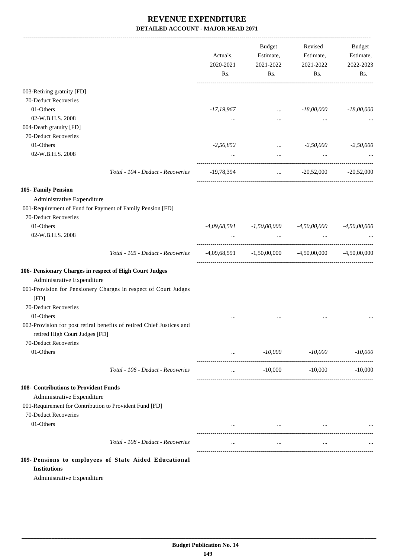|                                                                                                         | Actuals,<br>2020-2021<br>Rs. | <b>Budget</b><br>Estimate,<br>2021-2022<br>Rs. | Revised<br>Estimate,<br>2021-2022<br>Rs.     | Budget<br>Estimate,<br>2022-2023<br>Rs. |
|---------------------------------------------------------------------------------------------------------|------------------------------|------------------------------------------------|----------------------------------------------|-----------------------------------------|
| 003-Retiring gratuity [FD]                                                                              |                              |                                                |                                              |                                         |
| 70-Deduct Recoveries                                                                                    |                              |                                                |                                              |                                         |
| 01-Others                                                                                               | $-17,19,967$                 | $\cdots$                                       | $-18,00,000$                                 | $-18,00,000$                            |
| 02-W.B.H.S. 2008                                                                                        | $\cdots$                     | $\cdots$                                       | $\cdots$                                     |                                         |
| 004-Death gratuity [FD]                                                                                 |                              |                                                |                                              |                                         |
| 70-Deduct Recoveries                                                                                    |                              |                                                |                                              |                                         |
| 01-Others                                                                                               | $-2,56,852$                  | $\cdots$                                       | $-2,50,000$                                  | $-2,50,000$                             |
| 02-W.B.H.S. 2008                                                                                        |                              | $\cdots$                                       | $\ldots$                                     |                                         |
| Total - 104 - Deduct - Recoveries                                                                       | -19,78,394                   | $\mathbf{r}$ and $\mathbf{r}$ and $\mathbf{r}$ | $-20,52,000$                                 | $-20,52,000$                            |
| 105- Family Pension                                                                                     |                              |                                                |                                              |                                         |
| Administrative Expenditure                                                                              |                              |                                                |                                              |                                         |
| 001-Requirement of Fund for Payment of Family Pension [FD]                                              |                              |                                                |                                              |                                         |
| 70-Deduct Recoveries                                                                                    |                              |                                                |                                              |                                         |
| 01-Others                                                                                               | $-4,09,68,591$               | $-1,50,00,000$                                 | $-4,50,00,000$                               | $-4,50,00,000$                          |
| 02-W.B.H.S. 2008                                                                                        | $\cdots$                     | $\cdots$                                       | $\cdots$                                     |                                         |
| Total - 105 - Deduct - Recoveries                                                                       |                              |                                                | $-4,09,68,591$ $-1,50,00,000$ $-4,50,00,000$ | $-4,50,00,000$                          |
| 106- Pensionary Charges in respect of High Court Judges                                                 |                              |                                                |                                              |                                         |
| Administrative Expenditure                                                                              |                              |                                                |                                              |                                         |
| 001-Provision for Pensionery Charges in respect of Court Judges<br>[FD]                                 |                              |                                                |                                              |                                         |
| 70-Deduct Recoveries                                                                                    |                              |                                                |                                              |                                         |
| 01-Others                                                                                               |                              |                                                |                                              |                                         |
| 002-Provision for post retiral benefits of retired Chief Justices and<br>retired High Court Judges [FD] |                              |                                                |                                              |                                         |
| 70-Deduct Recoveries<br>01-Others                                                                       | $\cdots$                     | -10,000                                        | $-10,000$                                    | $-10,000$                               |
| Total - 106 - Deduct - Recoveries                                                                       | $\cdots$                     | $-10,000$                                      | $-10,000$                                    | $-10,000$                               |
| <b>108- Contributions to Provident Funds</b>                                                            |                              |                                                |                                              |                                         |
| Administrative Expenditure                                                                              |                              |                                                |                                              |                                         |
| 001-Requirement for Contribution to Provident Fund [FD]                                                 |                              |                                                |                                              |                                         |
| 70-Deduct Recoveries                                                                                    |                              |                                                |                                              |                                         |
| 01-Others                                                                                               | $\cdots$                     |                                                | $\cdots$                                     |                                         |
| Total - 108 - Deduct - Recoveries                                                                       | $\cdots$                     | $\cdots$                                       | $\cdots$                                     |                                         |
|                                                                                                         |                              |                                                |                                              |                                         |
| 109- Pensions to employees of State Aided Educational<br><b>Institutions</b>                            |                              |                                                |                                              |                                         |

Administrative Expenditure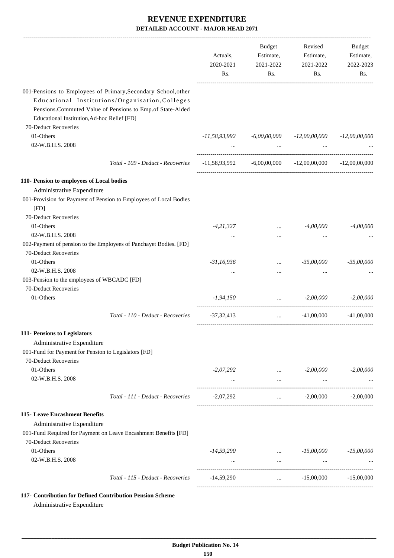|                                                                                                                                                                                                                                                      | Actuals,<br>2020-2021<br>Rs. | <b>Budget</b><br>Estimate,<br>2021-2022<br>Rs.         | Revised<br>Estimate,<br>2021-2022<br>Rs.        | Budget<br>Estimate,<br>2022-2023<br>Rs. |
|------------------------------------------------------------------------------------------------------------------------------------------------------------------------------------------------------------------------------------------------------|------------------------------|--------------------------------------------------------|-------------------------------------------------|-----------------------------------------|
| 001-Pensions to Employees of Primary, Secondary School, other<br>Educational Institutions/Organisation, Colleges<br>Pensions.Commuted Value of Pensions to Emp.of State-Aided<br>Educational Institution, Ad-hoc Relief [FD]<br>70-Deduct Recoveries |                              |                                                        |                                                 |                                         |
| 01-Others                                                                                                                                                                                                                                            | $-11,58,93,992$              | -6,00,00,000                                           | -12,00,00,000                                   | $-12,00,00,000$                         |
| 02-W.B.H.S. 2008                                                                                                                                                                                                                                     |                              | $\cdots$                                               | $\cdots$                                        |                                         |
| Total - 109 - Deduct - Recoveries                                                                                                                                                                                                                    | -11,58,93,992                |                                                        | $-6,00,00,000$ $-12,00,00,000$                  | $-12,00,00,000$                         |
| 110- Pension to employees of Local bodies<br>Administrative Expenditure                                                                                                                                                                              |                              |                                                        |                                                 |                                         |
| 001-Provision for Payment of Pension to Employees of Local Bodies<br>[FD]                                                                                                                                                                            |                              |                                                        |                                                 |                                         |
| 70-Deduct Recoveries<br>01-Others                                                                                                                                                                                                                    | $-4,21,327$                  | $\cdots$                                               | $-4,00,000$                                     | $-4,00,000$                             |
| 02-W.B.H.S. 2008<br>002-Payment of pension to the Employees of Panchayet Bodies. [FD]<br>70-Deduct Recoveries                                                                                                                                        | $\cdots$                     |                                                        |                                                 |                                         |
| 01-Others                                                                                                                                                                                                                                            | $-31,16,936$                 | $\cdots$                                               | $-35,00,000$                                    | $-35,00,000$                            |
| 02-W.B.H.S. 2008                                                                                                                                                                                                                                     |                              |                                                        | $\cdots$                                        |                                         |
| 003-Pension to the employees of WBCADC [FD]                                                                                                                                                                                                          |                              |                                                        |                                                 |                                         |
| 70-Deduct Recoveries<br>01-Others                                                                                                                                                                                                                    | $-1,94,150$                  | $\mathbf{r}$ and $\mathbf{r}$                          | $-2,00,000$                                     | $-2,00,000$                             |
|                                                                                                                                                                                                                                                      |                              |                                                        |                                                 |                                         |
| Total - 110 - Deduct - Recoveries                                                                                                                                                                                                                    | $-37,32,413$                 | $\cdots$ . The same of $\cdots$                        | -41,00,000                                      | $-41,00,000$                            |
| 111- Pensions to Legislators<br>Administrative Expenditure                                                                                                                                                                                           |                              |                                                        |                                                 |                                         |
| 001-Fund for Payment for Pension to Legislators [FD]<br>70-Deduct Recoveries                                                                                                                                                                         |                              |                                                        |                                                 |                                         |
| 01-Others                                                                                                                                                                                                                                            | $-2,07,292$                  |                                                        | $-2,00,000$<br><b>Section Contract Contract</b> | $-2,00,000$                             |
| 02-W.B.H.S. 2008                                                                                                                                                                                                                                     |                              | $\cdots$ . The same of $\cdots$                        | $\cdots$                                        |                                         |
| Total - 111 - Deduct - Recoveries                                                                                                                                                                                                                    | $-2,07,292$                  | $\mathbf{r}$ and $\mathbf{r}$                          | $-2,00,000$                                     | $-2,00,000$                             |
| 115- Leave Encashment Benefits<br>Administrative Expenditure                                                                                                                                                                                         |                              |                                                        |                                                 |                                         |
| 001-Fund Required for Payment on Leave Encashment Benefits [FD]<br>70-Deduct Recoveries                                                                                                                                                              |                              |                                                        |                                                 |                                         |
| 01-Others<br>02-W.B.H.S. 2008                                                                                                                                                                                                                        | -14,59,290<br>$\cdots$       | $\sim 10^{-10}$ and $\sim 10^{-10}$<br>$\sim 10^{-10}$ | $-15,00,000$<br>$\cdots$                        | $-15,00,000$                            |
| Total - 115 - Deduct - Recoveries                                                                                                                                                                                                                    | $-14,59,290$                 | <b>Contract Contract</b>                               | $-15,00,000$                                    | $-15,00,000$                            |
|                                                                                                                                                                                                                                                      |                              |                                                        |                                                 |                                         |

**117- Contribution for Defined Contribution Pension Scheme**

Administrative Expenditure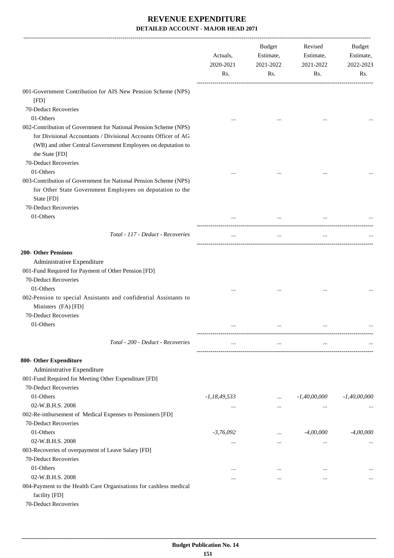|                                                                                         | Actuals,<br>2020-2021<br>Rs. | Budget<br>Estimate,<br>2021-2022<br>Rs. | Revised<br>Estimate,<br>2021-2022<br>Rs. | Budget<br>Estimate,<br>2022-2023<br>Rs. |
|-----------------------------------------------------------------------------------------|------------------------------|-----------------------------------------|------------------------------------------|-----------------------------------------|
| 001-Government Contribution for AIS New Pension Scheme (NPS)                            |                              |                                         |                                          |                                         |
| [FD]                                                                                    |                              |                                         |                                          |                                         |
| 70-Deduct Recoveries                                                                    |                              |                                         |                                          |                                         |
| 01-Others                                                                               |                              |                                         |                                          |                                         |
| 002-Contribution of Government for National Pension Scheme (NPS)                        |                              |                                         |                                          |                                         |
| for Divisional Accountants / Divisional Accounts Officer of AG                          |                              |                                         |                                          |                                         |
| (WB) and other Central Government Employees on deputation to                            |                              |                                         |                                          |                                         |
| the State [FD]                                                                          |                              |                                         |                                          |                                         |
| 70-Deduct Recoveries                                                                    |                              |                                         |                                          |                                         |
| 01-Others                                                                               |                              |                                         | $\ddotsc$                                |                                         |
| 003-Contribution of Government for National Pension Scheme (NPS)                        |                              |                                         |                                          |                                         |
| for Other State Government Employees on deputation to the                               |                              |                                         |                                          |                                         |
| State [FD]                                                                              |                              |                                         |                                          |                                         |
| 70-Deduct Recoveries                                                                    |                              |                                         |                                          |                                         |
| 01-Others                                                                               |                              | $\cdots$                                |                                          |                                         |
| Total - 117 - Deduct - Recoveries                                                       | $\cdots$                     | $\cdots$                                | $\ldots$                                 |                                         |
| 200- Other Pensions                                                                     |                              |                                         |                                          |                                         |
| Administrative Expenditure                                                              |                              |                                         |                                          |                                         |
| 001-Fund Required for Payment of Other Pension [FD]                                     |                              |                                         |                                          |                                         |
| 70-Deduct Recoveries                                                                    |                              |                                         |                                          |                                         |
| 01-Others                                                                               |                              |                                         |                                          |                                         |
| 002-Pension to special Assistants and confidential Assistants to<br>Ministers (FA) [FD] |                              |                                         |                                          |                                         |
| 70-Deduct Recoveries                                                                    |                              |                                         |                                          |                                         |
| 01-Others                                                                               | $\cdots$                     | $\cdots$                                | $\ddotsc$                                |                                         |
|                                                                                         |                              |                                         |                                          |                                         |
| Total - 200 - Deduct - Recoveries                                                       | $\cdots$                     | $\cdots$                                | $\cdots$                                 |                                         |
| 800- Other Expenditure                                                                  |                              |                                         |                                          |                                         |
| Administrative Expenditure                                                              |                              |                                         |                                          |                                         |
| 001-Fund Required for Meeting Other Expenditure [FD]                                    |                              |                                         |                                          |                                         |
| 70-Deduct Recoveries                                                                    |                              |                                         |                                          |                                         |
| 01-Others                                                                               | $-1,18,49,533$               | $\cdots$                                | $-1,40,00,000$                           | $-1,40,00,000$                          |
| 02-W.B.H.S. 2008                                                                        | $\cdots$                     | $\ddotsc$                               | $\cdots$                                 |                                         |
| 002-Re-imbursement of Medical Expenses to Pensioners [FD]                               |                              |                                         |                                          |                                         |
| 70-Deduct Recoveries                                                                    |                              |                                         |                                          |                                         |
| 01-Others                                                                               | $-3,76,092$                  | $\cdots$                                | $-4,00,000$                              | $-4,00,000$                             |
| 02-W.B.H.S. 2008                                                                        | $\cdots$                     | $\cdots$                                | $\ldots$                                 |                                         |
| 003-Recoveries of overpayment of Leave Salary [FD]                                      |                              |                                         |                                          |                                         |
| 70-Deduct Recoveries                                                                    |                              |                                         |                                          |                                         |
| 01-Others                                                                               | $\cdots$                     | $\cdots$                                | $\ddotsc$                                |                                         |
| 02-W.B.H.S. 2008                                                                        | $\cdots$                     | $\cdots$                                | $\cdots$                                 |                                         |
| 004-Payment to the Health Care Organisations for cashless medical<br>facility [FD]      |                              |                                         |                                          |                                         |
| 70-Deduct Recoveries                                                                    |                              |                                         |                                          |                                         |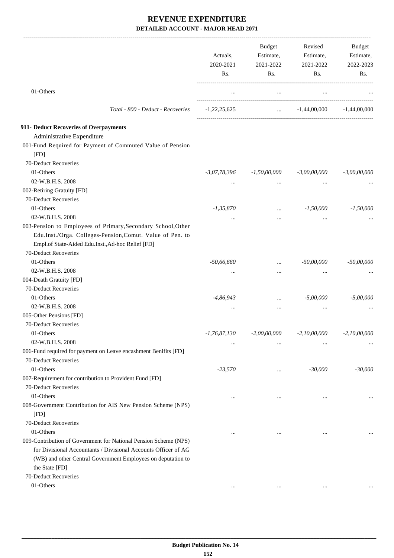|                                                                  | Actuals,<br>2020-2021<br>Rs. | Budget<br>Estimate,<br>2021-2022<br>Rs. | Revised<br>Estimate,<br>2021-2022<br>Rs. | Budget<br>Estimate,<br>2022-2023<br>Rs. |
|------------------------------------------------------------------|------------------------------|-----------------------------------------|------------------------------------------|-----------------------------------------|
| 01-Others                                                        | $\cdots$                     | $\cdots$                                | $\ldots$                                 |                                         |
| Total - 800 - Deduct - Recoveries                                | $-1,22,25,625$               |                                         | $-1,44,00,000$                           | $-1,44,00,000$                          |
| 911- Deduct Recoveries of Overpayments                           |                              |                                         |                                          |                                         |
| Administrative Expenditure                                       |                              |                                         |                                          |                                         |
| 001-Fund Required for Payment of Commuted Value of Pension       |                              |                                         |                                          |                                         |
| [FD]                                                             |                              |                                         |                                          |                                         |
| 70-Deduct Recoveries                                             |                              |                                         |                                          |                                         |
| 01-Others                                                        | $-3,07,78,396$               | $-1,50,00,000$                          | $-3,00,00,000$                           | $-3,00,00,000$                          |
| 02-W.B.H.S. 2008                                                 | $\cdots$                     | $\cdots$                                | $\ddotsc$                                |                                         |
| 002-Retiring Gratuity [FD]                                       |                              |                                         |                                          |                                         |
| 70-Deduct Recoveries                                             |                              |                                         |                                          |                                         |
| 01-Others                                                        | $-1,35,870$                  | $\cdots$                                | $-1,50,000$                              | $-1,50,000$                             |
| 02-W.B.H.S. 2008                                                 |                              | $\cdots$                                | $\ddotsc$                                |                                         |
| 003-Pension to Employees of Primary, Secondary School, Other     |                              |                                         |                                          |                                         |
| Edu.Inst./Orga. Colleges-Pension, Comut. Value of Pen. to        |                              |                                         |                                          |                                         |
| Empl.of State-Aided Edu.Inst., Ad-hoc Relief [FD]                |                              |                                         |                                          |                                         |
| 70-Deduct Recoveries                                             |                              |                                         |                                          |                                         |
| 01-Others                                                        | $-50,66,660$                 |                                         | $-50,00,000$                             | $-50,00,000$                            |
| 02-W.B.H.S. 2008                                                 |                              |                                         |                                          |                                         |
| 004-Death Gratuity [FD]                                          |                              |                                         |                                          |                                         |
| 70-Deduct Recoveries                                             |                              |                                         |                                          |                                         |
| 01-Others                                                        | $-4,86,943$                  | $\cdots$                                | $-5,00,000$                              | $-5,00,000$                             |
| 02-W.B.H.S. 2008                                                 |                              | $\ddotsc$                               |                                          |                                         |
| 005-Other Pensions [FD]                                          |                              |                                         |                                          |                                         |
| 70-Deduct Recoveries                                             |                              |                                         |                                          |                                         |
| 01-Others                                                        | $-1,76,87,130$               | $-2,00,00,000$                          | $-2,10,00,000$                           | $-2, 10, 00, 000$                       |
| 02-W.B.H.S. 2008                                                 |                              |                                         |                                          |                                         |
| 006-Fund required for payment on Leave encashment Benifits [FD]  | $\ddotsc$                    | $\cdots$                                | $\ddotsc$                                |                                         |
| 70-Deduct Recoveries                                             |                              |                                         |                                          |                                         |
| 01-Others                                                        | $-23,570$                    |                                         | $-30,000$                                | $-30,000$                               |
| 007-Requirement for contribution to Provident Fund [FD]          |                              |                                         |                                          |                                         |
| 70-Deduct Recoveries                                             |                              |                                         |                                          |                                         |
| 01-Others                                                        |                              |                                         |                                          |                                         |
|                                                                  |                              |                                         |                                          |                                         |
| 008-Government Contribution for AIS New Pension Scheme (NPS)     |                              |                                         |                                          |                                         |
| [FD]                                                             |                              |                                         |                                          |                                         |
| 70-Deduct Recoveries                                             |                              |                                         |                                          |                                         |
| 01-Others                                                        |                              | $\cdots$                                | $\cdots$                                 |                                         |
| 009-Contribution of Government for National Pension Scheme (NPS) |                              |                                         |                                          |                                         |
| for Divisional Accountants / Divisional Accounts Officer of AG   |                              |                                         |                                          |                                         |
| (WB) and other Central Government Employees on deputation to     |                              |                                         |                                          |                                         |
| the State [FD]                                                   |                              |                                         |                                          |                                         |
| 70-Deduct Recoveries                                             |                              |                                         |                                          |                                         |
| 01-Others                                                        | $\ddotsc$                    | $\ddotsc$                               | $\cdots$                                 |                                         |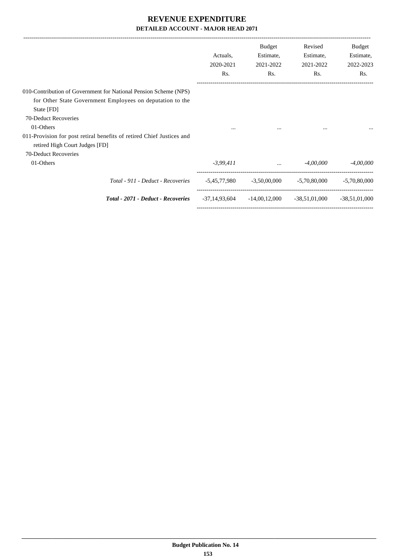-------------------------------------------------------------------------------------------------------------------------------------------------------------------------------

| Actuals.<br>2020-2021<br>Rs. | <b>Budget</b><br>Estimate,<br>2021-2022<br>Rs. | Revised<br>Estimate,<br>2021-2022<br>Rs. | <b>Budget</b><br>Estimate,<br>2022-2023<br>Rs. |
|------------------------------|------------------------------------------------|------------------------------------------|------------------------------------------------|
|                              |                                                |                                          |                                                |
| $\cdots$                     | $\cdots$                                       | $\cdots$                                 |                                                |
| $-3,99,411$                  |                                                | $-4,00,000$                              | $-4,00,000$                                    |
| -5,45,77,980                 | $-3,50,00,000$                                 | $-5,70,80,000$                           | $-5,70,80,000$                                 |
| -37,14,93,604                |                                                | $-38,51,01,000$                          | $-38,51,01,000$                                |
|                              |                                                |                                          | $-14,00,12,000$                                |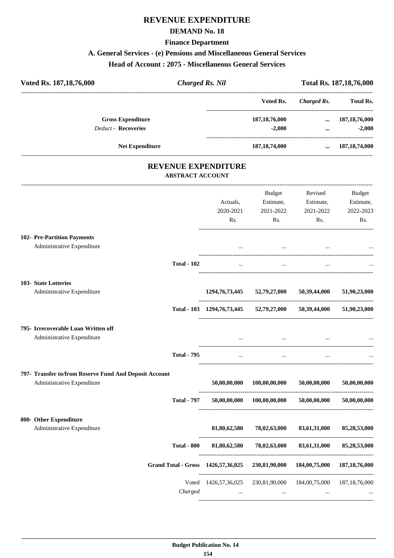# **REVENUE EXPENDITURE**

#### **DEMAND No. 18**

**Finance Department**

#### **A. General Services - (e) Pensions and Miscellaneous General Services**

### **Head of Account : 2075 - Miscellaneous General Services**

| Voted Rs. 187, 18, 76, 000                                                           | <b>Charged Rs. Nil</b>                                        |                                         |                                          | Total Rs. 187, 18, 76, 000                     |
|--------------------------------------------------------------------------------------|---------------------------------------------------------------|-----------------------------------------|------------------------------------------|------------------------------------------------|
|                                                                                      |                                                               | Voted Rs.                               | <b>Charged Rs.</b>                       | <b>Total Rs.</b>                               |
| <b>Gross Expenditure</b><br>Deduct - Recoveries                                      |                                                               | 187, 18, 76, 000<br>$-2,000$            | $\cdots$                                 | $\dots$ 187,18,76,000<br>$-2,000$              |
| <b>Net Expenditure</b>                                                               |                                                               | 187, 18, 74, 000                        | $\cdots$                                 | 187, 18, 74, 000                               |
| <b>REVENUE EXPENDITURE</b><br><b>ABSTRACT ACCOUNT</b>                                |                                                               |                                         |                                          |                                                |
|                                                                                      | Actuals,<br>2020-2021<br>Rs.                                  | Budget<br>Estimate,<br>2021-2022<br>Rs. | Revised<br>Estimate,<br>2021-2022<br>Rs. | <b>Budget</b><br>Estimate,<br>2022-2023<br>Rs. |
| 102- Pre-Partition Payments<br>Administrative Expenditure                            |                                                               | $\cdots$                                |                                          |                                                |
| <b>Total - 102</b>                                                                   | $\cdots$                                                      | $\ddotsc$                               |                                          |                                                |
| 103- State Lotteries<br>Administrative Expenditure                                   |                                                               |                                         | 1294,76,73,445 52,79,27,000 50,39,44,000 | 51,90,23,000                                   |
|                                                                                      | Total - 103 1294, 76, 73, 445 52, 79, 27, 000 50, 39, 44, 000 |                                         |                                          | 51,90,23,000                                   |
| 795- Irrecoverable Loan Written off<br>Administrative Expenditure                    | $\cdots$                                                      | $\cdots$                                | $\cdots$                                 |                                                |
| <b>Total - 795</b>                                                                   |                                                               |                                         |                                          |                                                |
| 797- Transfer to/from Reserve Fund And Deposit Account<br>Administrative Expenditure | 50,00,00,000                                                  | 100,00,00,000                           | 50,00,00,000                             | 50,00,00,000                                   |
| <b>Total - 797</b>                                                                   | 50,00,00,000                                                  | 100,00,00,000                           | 50,00,00,000                             | 50,00,00,000                                   |
| 800- Other Expenditure<br>Administrative Expenditure                                 | 81,80,62,580                                                  | 78,02,63,000                            | 83,61,31,000                             | 85,28,53,000                                   |
| <b>Total - 800</b>                                                                   | 81,80,62,580                                                  | 78,02,63,000                            | 83,61,31,000                             | 85,28,53,000                                   |
| Grand Total - Gross 1426,57,36,025 230,81,90,000                                     |                                                               |                                         | 184,00,75,000                            | 187, 18, 76, 000                               |
| Voted<br>Charged                                                                     | 1426,57,36,025<br>$\cdots$                                    | $\ddotsc$                               | 230,81,90,000 184,00,75,000<br>$\cdots$  | 187, 18, 76, 000                               |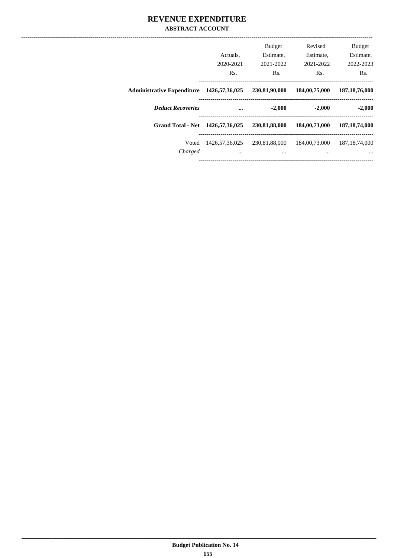#### **REVENUE EXPENDITURE ABSTRACT ACCOUNT**

|                                           |                | <b>Budget</b> | Revised       | <b>Budget</b>    |
|-------------------------------------------|----------------|---------------|---------------|------------------|
|                                           | Actuals,       | Estimate,     | Estimate,     | Estimate,        |
|                                           | 2020-2021      | 2021-2022     | 2021-2022     | 2022-2023        |
|                                           | Rs.            | Rs.           | Rs.           | Rs.              |
| Administrative Expenditure 1426,57,36,025 |                | 230,81,90,000 | 184,00,75,000 | 187, 18, 76, 000 |
| <b>Deduct Recoveries</b>                  | $\ddotsc$      | $-2.000$      | $-2.000$      | $-2,000$         |
| Grand Total - Net 1426,57,36,025          |                | 230,81,88,000 | 184,00,73,000 | 187, 18, 74, 000 |
| Voted                                     | 1426,57,36,025 | 230,81,88,000 | 184,00,73,000 | 187, 18, 74, 000 |
| Charged                                   | $\cdots$       | $\cdots$      | $\cdots$      | $\cdots$         |
|                                           |                |               |               |                  |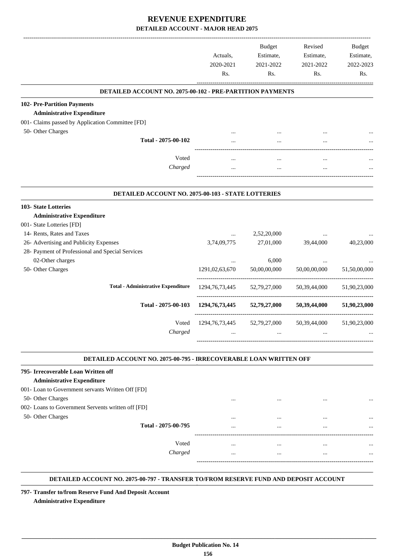|                                                                          | Actuals,<br>2020-2021<br>Rs. | <b>Budget</b><br>Estimate,<br>2021-2022<br>Rs. | Revised<br>Estimate,<br>2021-2022<br>Rs. | Budget<br>Estimate,<br>2022-2023<br>Rs. |
|--------------------------------------------------------------------------|------------------------------|------------------------------------------------|------------------------------------------|-----------------------------------------|
| DETAILED ACCOUNT NO. 2075-00-102 - PRE-PARTITION PAYMENTS                |                              |                                                |                                          |                                         |
| 102- Pre-Partition Payments<br><b>Administrative Expenditure</b>         |                              |                                                |                                          |                                         |
| 001- Claims passed by Application Committee [FD]                         |                              |                                                |                                          |                                         |
| 50- Other Charges                                                        |                              |                                                |                                          |                                         |
| Total - 2075-00-102                                                      |                              |                                                |                                          |                                         |
|                                                                          |                              |                                                |                                          |                                         |
| Voted                                                                    | $\cdots$                     |                                                | $\cdots$                                 |                                         |
| Charged                                                                  |                              | $\cdots$                                       |                                          |                                         |
| DETAILED ACCOUNT NO. 2075-00-103 - STATE LOTTERIES                       |                              |                                                |                                          |                                         |
| 103- State Lotteries                                                     |                              |                                                |                                          |                                         |
| <b>Administrative Expenditure</b>                                        |                              |                                                |                                          |                                         |
| 001- State Lotteries [FD]                                                |                              |                                                |                                          |                                         |
| 14- Rents, Rates and Taxes                                               | $\cdots$                     | 2,52,20,000                                    |                                          |                                         |
| 26- Advertising and Publicity Expenses                                   | 3,74,09,775                  | 27,01,000                                      | 39,44,000                                | 40,23,000                               |
| 28- Payment of Professional and Special Services                         |                              |                                                |                                          |                                         |
| 02-Other charges                                                         |                              | 6,000                                          |                                          |                                         |
| 50- Other Charges                                                        | 1291,02,63,670               | 50,00,00,000                                   | 50,00,00,000                             | 51,50,00,000                            |
| <b>Total - Administrative Expenditure</b>                                | 1294, 76, 73, 445            | 52,79,27,000                                   | 50,39,44,000                             | 51,90,23,000                            |
| Total - 2075-00-103                                                      | 1294,76,73,445               | 52,79,27,000                                   | 50,39,44,000                             | 51,90,23,000                            |
| Voted                                                                    | 1294, 76, 73, 445            | 52,79,27,000                                   | 50,39,44,000                             | 51,90,23,000                            |
| Charged                                                                  |                              |                                                |                                          |                                         |
|                                                                          |                              |                                                |                                          |                                         |
| <b>DETAILED ACCOUNT NO. 2075-00-795 - IRRECOVERABLE LOAN WRITTEN OFF</b> |                              |                                                |                                          |                                         |
| 795- Irrecoverable Loan Written off<br><b>Administrative Expenditure</b> |                              |                                                |                                          |                                         |
| 001- Loan to Government servants Written Off [FD]                        |                              |                                                |                                          |                                         |
| 50- Other Charges                                                        | $\cdots$                     |                                                |                                          |                                         |
| 002- Loans to Government Servents written off [FD]                       |                              |                                                |                                          |                                         |
| 50- Other Charges                                                        |                              |                                                |                                          |                                         |
| Total - 2075-00-795                                                      |                              |                                                |                                          |                                         |
| Voted                                                                    | $\cdots$                     | $\cdots$                                       | $\cdots$                                 |                                         |
| Charged                                                                  | $\ddotsc$                    |                                                | $\cdots$                                 |                                         |
|                                                                          |                              |                                                |                                          |                                         |

#### **DETAILED ACCOUNT NO. 2075-00-797 - TRANSFER TO/FROM RESERVE FUND AND DEPOSIT ACCOUNT .**

.

**797- Transfer to/from Reserve Fund And Deposit Account Administrative Expenditure**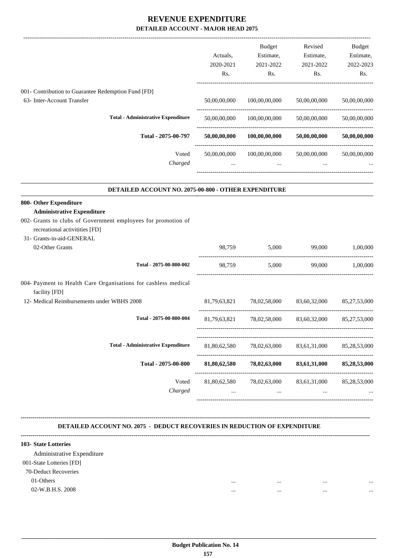|                                                                                                                                                                                                                | Actuals,<br>2020-2021<br>Rs. | Budget<br>Estimate,<br>2021-2022<br>Rs. | Revised<br>Estimate,<br>2021-2022<br>Rs.            | Budget<br>Estimate,<br>2022-2023<br>Rs. |
|----------------------------------------------------------------------------------------------------------------------------------------------------------------------------------------------------------------|------------------------------|-----------------------------------------|-----------------------------------------------------|-----------------------------------------|
| 001- Contribution to Guarantee Redemption Fund [FD]                                                                                                                                                            |                              |                                         |                                                     |                                         |
| 63- Inter-Account Transfer                                                                                                                                                                                     | 50,00,00,000                 |                                         | 100,00,00,000 50,00,00,000                          | 50,00,00,000                            |
| <b>Total - Administrative Expenditure</b>                                                                                                                                                                      | 50,00,00,000                 | 100,00,00,000                           | 50,00,00,000                                        | 50,00,00,000                            |
| Total - 2075-00-797                                                                                                                                                                                            | 50,00,00,000                 | 100,00,00,000                           | 50,00,00,000                                        | 50,00,00,000                            |
| Voted<br>Charged                                                                                                                                                                                               | 50,00,00,000                 | 100,00,00,000<br>$\cdots$               | 50,00,00,000                                        | 50,00,00,000                            |
| DETAILED ACCOUNT NO. 2075-00-800 - OTHER EXPENDITURE                                                                                                                                                           |                              |                                         |                                                     |                                         |
| 800- Other Expenditure<br><b>Administrative Expenditure</b><br>002- Grants to clubs of Government employees for promotion of<br>recreational activitities [FD]<br>31- Grants-in-aid-GENERAL<br>02-Other Grants | 98,759                       | 5,000                                   | 99,000                                              | 1,00,000                                |
| Total - 2075-00-800-002                                                                                                                                                                                        | 98,759                       | 5,000                                   | 99,000                                              |                                         |
|                                                                                                                                                                                                                |                              |                                         |                                                     |                                         |
| 004- Payment to Health Care Organisations for cashless medical<br>facility [FD]<br>12- Medical Reimbursements under WBHS 2008                                                                                  | 81,79,63,821                 | 78,02,58,000                            | 83,60,32,000                                        | 1,00,000<br>85,27,53,000                |
| Total - 2075-00-800-004                                                                                                                                                                                        |                              |                                         | 81,79,63,821 78,02,58,000 83,60,32,000 85,27,53,000 |                                         |
| <b>Total - Administrative Expenditure</b>                                                                                                                                                                      | 81,80,62,580                 | 78,02,63,000                            | 83,61,31,000                                        | 85,28,53,000                            |
| Total - 2075-00-800                                                                                                                                                                                            | 81,80,62,580                 | 78,02,63,000                            | 83,61,31,000                                        | 85,28,53,000                            |

#### **DETAILED ACCOUNT NO. 2075 - DEDUCT RECOVERIES IN REDUCTION OF EXPENDITURE**

**--------------------------------------------------------------------------------------------------------------------------------------------------------------------------------**

| <b>103- State Lotteries</b> |      |      |
|-----------------------------|------|------|
| Administrative Expenditure  |      |      |
| 001-State Lotteries [FD]    |      |      |
| 70-Deduct Recoveries        |      |      |
| 01-Others                   | <br> | <br> |
| 02-W.B.H.S. 2008            | <br> | <br> |
|                             |      |      |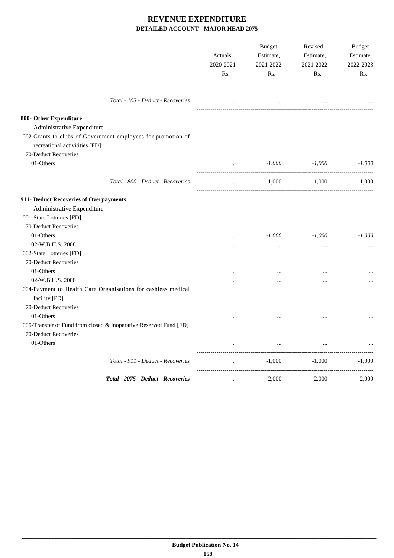|                                                                                                                                                 | Actuals,<br>2020-2021<br>Rs. | <b>Budget</b><br>Estimate,<br>2021-2022<br>Rs. | Revised<br>Estimate,<br>2021-2022<br>Rs. | Budget<br>Estimate,<br>2022-2023<br>Rs. |
|-------------------------------------------------------------------------------------------------------------------------------------------------|------------------------------|------------------------------------------------|------------------------------------------|-----------------------------------------|
| Total - 103 - Deduct - Recoveries                                                                                                               | $\cdots$                     | $\ddotsc$                                      | $\ddotsc$                                |                                         |
| 800- Other Expenditure<br>Administrative Expenditure                                                                                            |                              |                                                |                                          |                                         |
| 002-Grants to clubs of Government employees for promotion of<br>recreational activitities [FD]<br>70-Deduct Recoveries                          |                              |                                                |                                          |                                         |
| 01-Others                                                                                                                                       | $\cdots$                     | $-1,000$                                       | $-1,000$                                 | $-1,000$                                |
| Total - 800 - Deduct - Recoveries                                                                                                               | $\cdots$                     | $-1,000$                                       | $-1,000$                                 | $-1.000$                                |
| 911- Deduct Recoveries of Overpayments<br>Administrative Expenditure<br>001-State Lotteries [FD]                                                |                              |                                                |                                          |                                         |
| 70-Deduct Recoveries<br>01-Others<br>02-W.B.H.S. 2008<br>002-State Lotteries [FD]                                                               | $\cdots$<br>$\cdots$         | $-1,000$<br>$\ldots$                           | $-1,000$<br>$\cdots$                     | $-1,000$<br>                            |
| 70-Deduct Recoveries<br>01-Others<br>02-W.B.H.S. 2008<br>004-Payment to Health Care Organisations for cashless medical                          |                              |                                                | $\ddotsc$                                |                                         |
| facility [FD]<br>70-Deduct Recoveries<br>01-Others<br>005-Transfer of Fund from closed & inoperative Reserved Fund [FD]<br>70-Deduct Recoveries |                              |                                                |                                          |                                         |
| 01-Others<br>Total - 911 - Deduct - Recoveries                                                                                                  |                              | $-1,000$                                       | $-1,000$                                 | $-1,000$                                |
| Total - 2075 - Deduct - Recoveries                                                                                                              |                              | $-2,000$                                       | $-2,000$                                 | $-2,000$                                |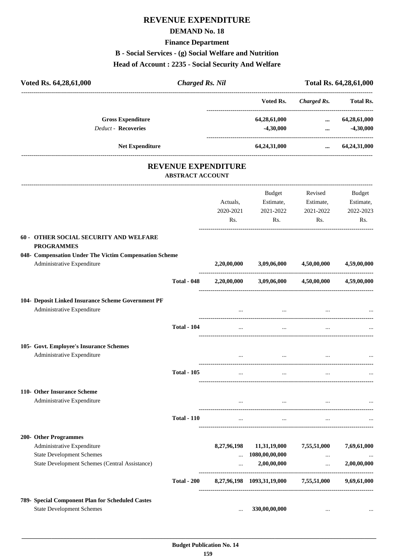# **REVENUE EXPENDITURE**

### **DEMAND No. 18**

#### **Finance Department**

**B - Social Services - (g) Social Welfare and Nutrition**

#### **Head of Account : 2235 - Social Security And Welfare**

| Voted Rs. 64,28,61,000                                                               | <b>Charged Rs. Nil</b>     |                              |                                                                                                                     |                                          | Total Rs. 64,28,61,000                  |  |
|--------------------------------------------------------------------------------------|----------------------------|------------------------------|---------------------------------------------------------------------------------------------------------------------|------------------------------------------|-----------------------------------------|--|
|                                                                                      |                            |                              | Voted Rs.                                                                                                           | <b>Charged Rs.</b>                       | <b>Total Rs.</b>                        |  |
| <b>Gross Expenditure</b>                                                             |                            |                              | 64,28,61,000                                                                                                        | $\cdots$                                 | 64,28,61,000                            |  |
| <b>Deduct - Recoveries</b>                                                           |                            |                              | $-4,30,000$                                                                                                         | $\cdots$                                 | $-4,30,000$                             |  |
| <b>Net Expenditure</b>                                                               |                            |                              | 64,24,31,000                                                                                                        | $\cdots$                                 | 64,24,31,000                            |  |
|                                                                                      | <b>REVENUE EXPENDITURE</b> |                              |                                                                                                                     |                                          |                                         |  |
|                                                                                      | <b>ABSTRACT ACCOUNT</b>    |                              |                                                                                                                     |                                          |                                         |  |
|                                                                                      |                            | Actuals,<br>2020-2021<br>Rs. | Budget<br>Estimate,<br>2021-2022<br>Rs.                                                                             | Revised<br>Estimate,<br>2021-2022<br>Rs. | Budget<br>Estimate,<br>2022-2023<br>Rs. |  |
| 60 - OTHER SOCIAL SECURITY AND WELFARE<br><b>PROGRAMMES</b>                          |                            |                              |                                                                                                                     |                                          |                                         |  |
| 048- Compensation Under The Victim Compensation Scheme                               |                            |                              |                                                                                                                     |                                          |                                         |  |
| Administrative Expenditure                                                           |                            |                              | $2,20,00,000$ $3,09,06,000$ $4,50,00,000$ $4,59,00,000$                                                             |                                          |                                         |  |
|                                                                                      | <b>Total - 048</b>         |                              | $2,20,00,000$ $3,09,06,000$ $4,50,00,000$                                                                           |                                          | 4,59,00,000                             |  |
| 104- Deposit Linked Insurance Scheme Government PF<br>Administrative Expenditure     |                            |                              |                                                                                                                     |                                          |                                         |  |
|                                                                                      | <b>Total - 104</b>         | $\cdots$                     | $\cdots$                                                                                                            |                                          |                                         |  |
| 105- Govt. Employee's Insurance Schemes<br>Administrative Expenditure                | <b>Total - 105</b>         | $\cdots$                     | $\ddots$                                                                                                            | $\cdots$                                 |                                         |  |
|                                                                                      |                            |                              |                                                                                                                     |                                          |                                         |  |
| 110- Other Insurance Scheme<br>Administrative Expenditure                            |                            |                              | and the contract of the contract of the contract of the contract of the contract of the contract of the contract of |                                          |                                         |  |
|                                                                                      | <b>Total - 110</b>         | $\cdots$                     | $\cdots$                                                                                                            |                                          |                                         |  |
| 200- Other Programmes                                                                |                            |                              |                                                                                                                     |                                          |                                         |  |
| Administrative Expenditure                                                           |                            | 8,27,96,198                  | 11,31,19,000                                                                                                        | 7,55,51,000                              | 7,69,61,000                             |  |
| <b>State Development Schemes</b><br>State Development Schemes (Central Assistance)   |                            | $\cdots$                     | 1080,00,00,000<br>2,00,00,000                                                                                       | $\cdots$<br>$\cdots$                     | $\cdots$<br>2,00,00,000                 |  |
|                                                                                      | <b>Total - 200</b>         |                              | 8,27,96,198 1093,31,19,000 7,55,51,000                                                                              |                                          | 9,69,61,000                             |  |
|                                                                                      |                            |                              |                                                                                                                     |                                          |                                         |  |
| 789- Special Component Plan for Scheduled Castes<br><b>State Development Schemes</b> |                            | $\cdots$                     | 330,00,00,000                                                                                                       | $\cdots$                                 |                                         |  |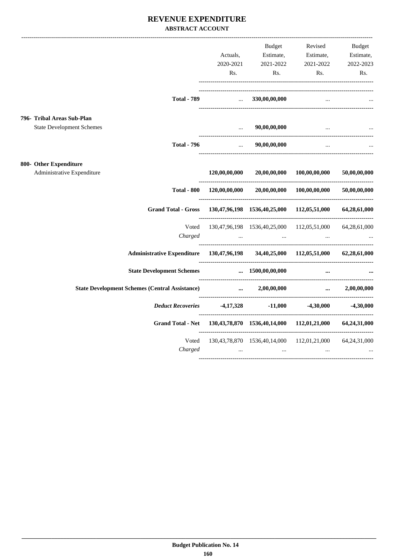#### REVENUE EXPENDITURE **ABSTRACT ACCOUNT**

|                                  |                                                                                  |                                         | Budget                                                                                                                   | Revised                             | <b>Budget</b> |
|----------------------------------|----------------------------------------------------------------------------------|-----------------------------------------|--------------------------------------------------------------------------------------------------------------------------|-------------------------------------|---------------|
|                                  |                                                                                  | Actuals,                                | Estimate,                                                                                                                | Estimate,                           | Estimate,     |
|                                  |                                                                                  | 2020-2021                               | 2021-2022                                                                                                                | 2021-2022                           | 2022-2023     |
|                                  |                                                                                  | Rs.                                     | Rs.                                                                                                                      | Rs.                                 | Rs.           |
|                                  | <b>Total - 789</b>                                                               | $\cdots$                                | 330,00,00,000                                                                                                            | $\ddotsc$                           |               |
| 796- Tribal Areas Sub-Plan       |                                                                                  |                                         |                                                                                                                          |                                     |               |
| <b>State Development Schemes</b> |                                                                                  | $\mathbf{r}$<br>----------------------- | 90,00,00,000                                                                                                             | and the contract of the contract of |               |
|                                  | <b>Total - 796</b>                                                               | $\mathbf{r}$ and $\mathbf{r}$           | 90,00,00,000                                                                                                             | $\cdots$                            |               |
| 800- Other Expenditure           |                                                                                  |                                         |                                                                                                                          |                                     |               |
| Administrative Expenditure       |                                                                                  | 120,00,00,000                           |                                                                                                                          | $20,00,00,000$ $100,00,00,000$      | 50,00,00,000  |
|                                  | <b>Total - 800</b>                                                               |                                         | $120,00,00,000$ $20,00,00,000$ $100,00,00,000$                                                                           |                                     | 50,00,00,000  |
|                                  | Grand Total - Gross 130,47,96,198 1536,40,25,000 112,05,51,000 64,28,61,000      |                                         |                                                                                                                          |                                     |               |
|                                  | Voted                                                                            |                                         | 130,47,96,198 1536,40,25,000 112,05,51,000                                                                               |                                     | 64,28,61,000  |
|                                  | Charged                                                                          |                                         | and the contract of the contract of the                                                                                  |                                     |               |
|                                  | Administrative Expenditure 130,47,96,198 34,40,25,000 112,05,51,000 62,28,61,000 |                                         |                                                                                                                          |                                     |               |
|                                  | <b>State Development Schemes</b>                                                 |                                         | $\dots$ 1500,00,00,000                                                                                                   | $\cdots$                            |               |
|                                  | <b>State Development Schemes (Central Assistance)</b>                            |                                         | $\dots$ 2,00,00,000 $\dots$ 2,00,00,000                                                                                  |                                     |               |
|                                  |                                                                                  |                                         |                                                                                                                          |                                     |               |
|                                  | Grand Total - Net 130,43,78,870 1536,40,14,000 112,01,21,000 64,24,31,000        |                                         |                                                                                                                          |                                     |               |
|                                  | Voted<br>Charged                                                                 |                                         | 130,43,78,870 1536,40,14,000 112,01,21,000 64,24,31,000<br>$\mathbf{u}$ and $\mathbf{u}$ are all the set of $\mathbf{u}$ | and the contract of the contract of |               |
|                                  |                                                                                  |                                         |                                                                                                                          |                                     |               |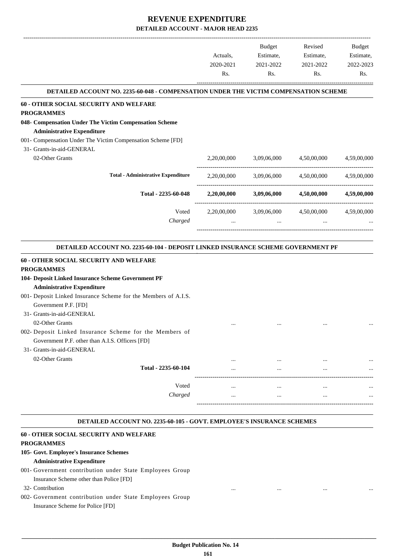|                                                                                                                            |             | Budget         | Revised                             | Budget      |
|----------------------------------------------------------------------------------------------------------------------------|-------------|----------------|-------------------------------------|-------------|
|                                                                                                                            | Actuals,    | Estimate,      | Estimate,                           | Estimate,   |
|                                                                                                                            | 2020-2021   | 2021-2022      | 2021-2022                           | 2022-2023   |
|                                                                                                                            | Rs.         | Rs.            | Rs.                                 | Rs.         |
| DETAILED ACCOUNT NO. 2235-60-048 - COMPENSATION UNDER THE VICTIM COMPENSATION SCHEME                                       |             |                |                                     |             |
| 60 - OTHER SOCIAL SECURITY AND WELFARE<br><b>PROGRAMMES</b>                                                                |             |                |                                     |             |
| 048- Compensation Under The Victim Compensation Scheme                                                                     |             |                |                                     |             |
| <b>Administrative Expenditure</b>                                                                                          |             |                |                                     |             |
| 001- Compensation Under The Victim Compensation Scheme [FD]                                                                |             |                |                                     |             |
| 31- Grants-in-aid-GENERAL                                                                                                  |             |                |                                     |             |
| 02-Other Grants                                                                                                            | 2,20,00,000 | 3,09,06,000    | 4,50,00,000                         | 4,59,00,000 |
| <b>Total - Administrative Expenditure</b>                                                                                  |             |                | 2,20,00,000 3,09,06,000 4,50,00,000 | 4,59,00,000 |
| Total - 2235-60-048                                                                                                        | 2,20,00,000 | 3,09,06,000    | 4,50,00,000                         | 4,59,00,000 |
| Voted                                                                                                                      | 2,20,00,000 | 3,09,06,000    | 4,50,00,000                         | 4,59,00,000 |
| Charged                                                                                                                    | $\cdots$    | <b>Section</b> | $\cdots$                            |             |
|                                                                                                                            |             |                |                                     |             |
| DETAILED ACCOUNT NO. 2235-60-104 - DEPOSIT LINKED INSURANCE SCHEME GOVERNMENT PF<br>60 - OTHER SOCIAL SECURITY AND WELFARE |             |                |                                     |             |
| <b>PROGRAMMES</b>                                                                                                          |             |                |                                     |             |
| 104- Deposit Linked Insurance Scheme Government PF                                                                         |             |                |                                     |             |
| <b>Administrative Expenditure</b>                                                                                          |             |                |                                     |             |
| 001- Deposit Linked Insurance Scheme for the Members of A.I.S.                                                             |             |                |                                     |             |
| Government P.F. [FD]                                                                                                       |             |                |                                     |             |
| 31- Grants-in-aid-GENERAL                                                                                                  |             |                |                                     |             |
| 02-Other Grants                                                                                                            |             |                |                                     |             |
| 002- Deposit Linked Insurance Scheme for the Members of                                                                    |             |                |                                     |             |
| Government P.F. other than A.I.S. Officers [FD]                                                                            |             |                |                                     |             |
| 31- Grants-in-aid-GENERAL                                                                                                  |             |                |                                     |             |
| 02-Other Grants                                                                                                            |             |                |                                     |             |
| Total - 2235-60-104                                                                                                        |             | $\cdots$       | $\cdots$                            |             |
| Voted                                                                                                                      |             |                |                                     |             |
| Charged                                                                                                                    |             | $\cdots$       |                                     |             |
|                                                                                                                            |             |                |                                     |             |
| <b>DETAILED ACCOUNT NO. 2235-60-105 - GOVT. EMPLOYEE'S INSURANCE SCHEMES</b>                                               |             |                |                                     |             |
| 60 - OTHER SOCIAL SECURITY AND WELFARE                                                                                     |             |                |                                     |             |

**PROGRAMMES**

# **105- Govt. Employee's Insurance Schemes**

### **Administrative Expenditure**

001- Government contribution under State Employees Group Insurance Scheme other than Police [FD]

#### 32- Contribution ... ... ... ...

002- Government contribution under State Employees Group Insurance Scheme for Police [FD]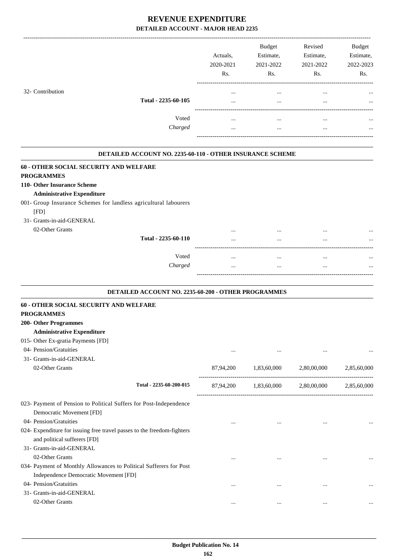|                     | Actuals,<br>2020-2021<br>Rs. | <b>Budget</b><br>Estimate,<br>2021-2022<br>Rs. | Revised<br>Estimate,<br>2021-2022<br>Rs. | <b>Budget</b><br>Estimate,<br>2022-2023<br>Rs. |
|---------------------|------------------------------|------------------------------------------------|------------------------------------------|------------------------------------------------|
| 32- Contribution    | $\cdots$                     | $\cdots$                                       | $\cdots$                                 | $\cdots$                                       |
| Total - 2235-60-105 | $\cdots$                     | $\cdots$                                       |                                          | $\cdots$                                       |
| Voted               | $\cdots$                     | $\cdots$                                       | $\cdots$                                 | $\cdots$                                       |
| Charged             | $\cdots$                     | $\cdots$                                       | $\cdots$                                 | $\cdots$                                       |

#### **DETAILED ACCOUNT NO. 2235-60-110 - OTHER INSURANCE SCHEME**

.

| 60 - OTHER SOCIAL SECURITY AND WELFARE                                  |           |                         |             |             |
|-------------------------------------------------------------------------|-----------|-------------------------|-------------|-------------|
| <b>PROGRAMMES</b>                                                       |           |                         |             |             |
| 110- Other Insurance Scheme                                             |           |                         |             |             |
| <b>Administrative Expenditure</b>                                       |           |                         |             |             |
| 001- Group Insurance Schemes for landless agricultural labourers        |           |                         |             |             |
| [FD]                                                                    |           |                         |             |             |
| 31- Grants-in-aid-GENERAL                                               |           |                         |             |             |
| 02-Other Grants                                                         |           |                         |             |             |
| Total - 2235-60-110                                                     |           |                         |             |             |
|                                                                         |           |                         |             |             |
| Voted                                                                   | $\cdots$  | $\cdots$                | $\cdots$    |             |
| Charged                                                                 | $\cdots$  | $\cdots$                | $\ddots$    |             |
| DETAILED ACCOUNT NO. 2235-60-200 - OTHER PROGRAMMES                     |           |                         |             |             |
| 60 - OTHER SOCIAL SECURITY AND WELFARE                                  |           |                         |             |             |
| <b>PROGRAMMES</b>                                                       |           |                         |             |             |
| 200- Other Programmes                                                   |           |                         |             |             |
| <b>Administrative Expenditure</b>                                       |           |                         |             |             |
| 015- Other Ex-gratia Payments [FD]                                      |           |                         |             |             |
| 04- Pension/Gratuities                                                  | $\cdots$  | $\cdots$                |             |             |
| 31- Grants-in-aid-GENERAL                                               |           |                         |             |             |
| 02-Other Grants                                                         | 87,94,200 | 1,83,60,000 2,80,00,000 |             | 2,85,60,000 |
| Total - 2235-60-200-015                                                 | 87,94,200 | 1,83,60,000             | 2,80,00,000 | 2,85,60,000 |
| 023- Payment of Pension to Political Suffers for Post-Independence      |           |                         |             |             |
| Democratic Movement [FD]                                                |           |                         |             |             |
| 04- Pension/Gratuities                                                  | $\cdots$  | $\cdots$                | $\cdots$    |             |
| 024- Expenditure for issuing free travel passes to the freedom-fighters |           |                         |             |             |
| and political sufferers [FD]                                            |           |                         |             |             |
| 31- Grants-in-aid-GENERAL                                               |           |                         |             |             |
| 02-Other Grants                                                         |           |                         | $\cdots$    |             |
|                                                                         |           |                         |             |             |

034- Payment of Monthly Allowances to Political Sufferers for Post Independence Democratic Movement [FD] 04- Pension/Gratuities ... ... ... ...

 31- Grants-in-aid-GENERAL 02-Other Grants ... ... ... ...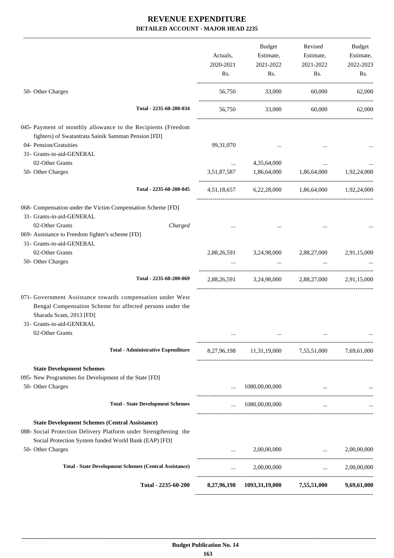|                                                                                                                                                                                                         | Actuals,<br>2020-2021<br>Rs. | Budget<br>Estimate,<br>2021-2022<br>Rs.          | Revised<br>Estimate,<br>2021-2022<br>Rs. | Budget<br>Estimate,<br>2022-2023<br>Rs. |
|---------------------------------------------------------------------------------------------------------------------------------------------------------------------------------------------------------|------------------------------|--------------------------------------------------|------------------------------------------|-----------------------------------------|
| 50- Other Charges                                                                                                                                                                                       |                              | 56,750<br>33,000                                 | 60,000                                   | 62,000                                  |
| Total - 2235-60-200-034                                                                                                                                                                                 |                              | 33,000<br>56,750                                 | 60,000                                   | 62,000                                  |
| 045- Payment of monthly allowance to the Recipients (Freedom<br>fighters) of Swatantrata Sainik Samman Pension [FD]                                                                                     |                              |                                                  |                                          |                                         |
| 04- Pension/Gratuities                                                                                                                                                                                  | 99,31,070                    |                                                  |                                          |                                         |
| 31- Grants-in-aid-GENERAL                                                                                                                                                                               |                              |                                                  |                                          |                                         |
| 02-Other Grants                                                                                                                                                                                         |                              | 4,35,64,000                                      |                                          |                                         |
| 50- Other Charges                                                                                                                                                                                       | $\cdots$                     | 3,51,87,587 1,86,64,000 1,86,64,000 1,92,24,000  |                                          |                                         |
| Total - 2235-60-200-045                                                                                                                                                                                 |                              | 4,51,18,657 6,22,28,000 1,86,64,000 1,92,24,000  |                                          |                                         |
| 068- Compensation under the Victim Compensation Scheme [FD]                                                                                                                                             |                              |                                                  |                                          |                                         |
| 31- Grants-in-aid-GENERAL                                                                                                                                                                               |                              |                                                  |                                          |                                         |
| 02-Other Grants<br>Charged<br>069- Assistance to Freedom fighter's scheme [FD]                                                                                                                          |                              |                                                  |                                          |                                         |
| 31- Grants-in-aid-GENERAL                                                                                                                                                                               |                              |                                                  |                                          |                                         |
| 02-Other Grants                                                                                                                                                                                         |                              | 2,88,26,591 3,24,98,000 2,88,27,000              |                                          | 2,91,15,000                             |
| 50- Other Charges                                                                                                                                                                                       |                              |                                                  |                                          |                                         |
| Total - 2235-60-200-069                                                                                                                                                                                 |                              | 2,88,26,591 3,24,98,000 2,88,27,000 2,91,15,000  |                                          |                                         |
| 071- Government Assistance towards compensation under West<br>Bengal Compensation Scheme for affected persons under the<br>Sharada Scam, 2013 [FD]<br>31- Grants-in-aid-GENERAL<br>02-Other Grants      |                              |                                                  |                                          |                                         |
| <b>Total - Administrative Expenditure</b>                                                                                                                                                               |                              | 8,27,96,198 11,31,19,000 7,55,51,000 7,69,61,000 |                                          |                                         |
| <b>State Development Schemes</b><br>095- New Programmes for Development of the State [FD]<br>50- Other Charges                                                                                          |                              | 1080,00,00,000                                   |                                          |                                         |
| <b>Total - State Development Schemes</b>                                                                                                                                                                | $\cdots$                     | 1080,00,00,000                                   | $\cdots$                                 |                                         |
| <b>State Development Schemes (Central Assistance)</b><br>088- Social Protection Delivery Platform under Strengthening the<br>Social Protection System funded World Bank (EAP) [FD]<br>50- Other Charges | $\cdots$                     | 2,00,00,000                                      | $\ldots$ 2,00,00,000                     |                                         |
| <b>Total - State Development Schemes (Central Assistance)</b>                                                                                                                                           | $\cdots$                     |                                                  | $2,00,00,000$                            | 2,00,00,000                             |
| Total - 2235-60-200                                                                                                                                                                                     |                              | 8,27,96,198 1093,31,19,000 7,55,51,000           |                                          | 9,69,61,000                             |
|                                                                                                                                                                                                         |                              |                                                  |                                          |                                         |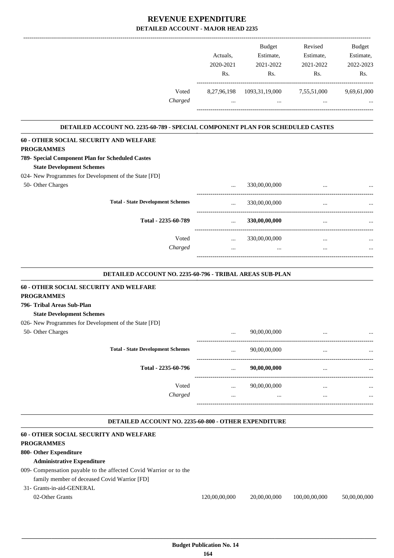|                                                                                                                                                                                        | Actuals,<br>2020-2021<br>Rs. | Budget<br>Estimate,<br>2021-2022<br>Rs.                       | Revised<br>Estimate,<br>2021-2022<br>Rs. | <b>Budget</b><br>Estimate,<br>2022-2023<br>Rs. |
|----------------------------------------------------------------------------------------------------------------------------------------------------------------------------------------|------------------------------|---------------------------------------------------------------|------------------------------------------|------------------------------------------------|
| Voted<br>Charged                                                                                                                                                                       | 8,27,96,198<br>$\cdots$      | 1093,31,19,000 7,55,51,000<br>$\mathbf{r}$ , and $\mathbf{r}$ |                                          | 9,69,61,000                                    |
| DETAILED ACCOUNT NO. 2235-60-789 - SPECIAL COMPONENT PLAN FOR SCHEDULED CASTES                                                                                                         |                              |                                                               |                                          |                                                |
| 60 - OTHER SOCIAL SECURITY AND WELFARE<br><b>PROGRAMMES</b>                                                                                                                            |                              |                                                               |                                          |                                                |
| 789- Special Component Plan for Scheduled Castes<br><b>State Development Schemes</b>                                                                                                   |                              |                                                               |                                          |                                                |
| 024- New Programmes for Development of the State [FD]<br>50- Other Charges                                                                                                             | $\cdots$                     | 330,00,00,000                                                 | $\ddotsc$                                |                                                |
| <b>Total - State Development Schemes</b>                                                                                                                                               | $\cdots$                     | 330,00,00,000                                                 | $\cdots$                                 |                                                |
| Total - 2235-60-789                                                                                                                                                                    | $\cdots$                     | 330,00,00,000                                                 | $\cdots$                                 |                                                |
| Voted<br>Charged                                                                                                                                                                       | $\ddotsc$<br>$\cdots$        | 330,00,00,000<br>$\cdots$                                     | $\cdots$<br>$\cdots$                     |                                                |
| DETAILED ACCOUNT NO. 2235-60-796 - TRIBAL AREAS SUB-PLAN                                                                                                                               |                              |                                                               |                                          |                                                |
| 60 - OTHER SOCIAL SECURITY AND WELFARE<br><b>PROGRAMMES</b><br>796- Tribal Areas Sub-Plan<br><b>State Development Schemes</b><br>026- New Programmes for Development of the State [FD] |                              |                                                               |                                          |                                                |
| 50- Other Charges                                                                                                                                                                      |                              | 90,00,00,000                                                  |                                          |                                                |
| <b>Total - State Development Schemes</b>                                                                                                                                               |                              | 90,00,00,000                                                  |                                          |                                                |
| Total - 2235-60-796                                                                                                                                                                    | $\cdots$                     | 90,00,00,000                                                  |                                          |                                                |
| Voted<br>Charged                                                                                                                                                                       | <br>                         | 90,00,00,000<br>$\cdots$                                      | <br>                                     |                                                |
|                                                                                                                                                                                        |                              |                                                               |                                          |                                                |

#### **DETAILED ACCOUNT NO. 2235-60-800 - OTHER EXPENDITURE .**

| 60 - OTHER SOCIAL SECURITY AND WELFARE                            |               |              |               |              |
|-------------------------------------------------------------------|---------------|--------------|---------------|--------------|
|                                                                   |               |              |               |              |
| <b>PROGRAMMES</b>                                                 |               |              |               |              |
| 800- Other Expenditure                                            |               |              |               |              |
| <b>Administrative Expenditure</b>                                 |               |              |               |              |
| 009- Compensation payable to the affected Covid Warrior or to the |               |              |               |              |
| family member of deceased Covid Warrior [FD]                      |               |              |               |              |
| 31- Grants-in-aid-GENERAL                                         |               |              |               |              |
| 02-Other Grants                                                   | 120,00,00,000 | 20,00,00,000 | 100,00,00,000 | 50.00.00.000 |
|                                                                   |               |              |               |              |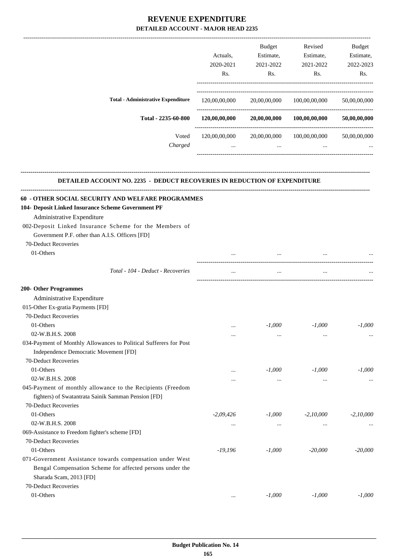|                                                                                                                                                   | Actuals,<br>2020-2021<br>Rs. | Budget<br>Estimate,<br>2021-2022<br>Rs. | Revised<br>Estimate,<br>2021-2022<br>Rs. | <b>Budget</b><br>Estimate,<br>2022-2023<br>Rs. |
|---------------------------------------------------------------------------------------------------------------------------------------------------|------------------------------|-----------------------------------------|------------------------------------------|------------------------------------------------|
| <b>Total - Administrative Expenditure</b>                                                                                                         | 120,00,00,000                | 20,00,00,000                            | 100,00,00,000                            | 50,00,00,000                                   |
| Total - 2235-60-800                                                                                                                               | 120,00,00,000                | 20,00,00,000                            | 100,00,00,000                            | 50,00,00,000                                   |
| Voted<br>Charged                                                                                                                                  | 120,00,00,000<br>$\cdots$    | 20,00,00,000<br>$\cdots$                | 100,00,00,000<br>$\cdots$                | 50,00,00,000                                   |
| <b>DETAILED ACCOUNT NO. 2235 - DEDUCT RECOVERIES IN REDUCTION OF EXPENDITURE</b>                                                                  |                              |                                         |                                          |                                                |
| 60 - OTHER SOCIAL SECURITY AND WELFARE PROGRAMMES<br>104- Deposit Linked Insurance Scheme Government PF<br>Administrative Expenditure             |                              |                                         |                                          |                                                |
| 002-Deposit Linked Insurance Scheme for the Members of<br>Government P.F. other than A.I.S. Officers [FD]                                         |                              |                                         |                                          |                                                |
| 70-Deduct Recoveries                                                                                                                              |                              |                                         |                                          |                                                |
| 01-Others                                                                                                                                         |                              |                                         |                                          |                                                |
| Total - 104 - Deduct - Recoveries                                                                                                                 | $\ddotsc$                    | $\cdots$                                | $\cdots$                                 |                                                |
| 200- Other Programmes                                                                                                                             |                              |                                         |                                          |                                                |
| Administrative Expenditure                                                                                                                        |                              |                                         |                                          |                                                |
| 015-Other Ex-gratia Payments [FD]                                                                                                                 |                              |                                         |                                          |                                                |
| 70-Deduct Recoveries                                                                                                                              |                              |                                         |                                          |                                                |
| 01-Others                                                                                                                                         | $\cdots$                     | $-1,000$                                | $-1,000$                                 | $-1,000$                                       |
| 02-W.B.H.S. 2008                                                                                                                                  | $\ddotsc$                    | $\cdots$                                | $\cdots$                                 | $\cdots$                                       |
| 034-Payment of Monthly Allowances to Political Sufferers for Post<br>Independence Democratic Movement [FD]                                        |                              |                                         |                                          |                                                |
| 70-Deduct Recoveries                                                                                                                              |                              |                                         |                                          |                                                |
| 01-Others                                                                                                                                         | $\cdots$                     | $-1,000$                                | $-1,000$                                 | $-1,000$                                       |
| 02-W.B.H.S. 2008                                                                                                                                  |                              | $\cdots$                                | $\cdots$                                 |                                                |
| 045-Payment of monthly allowance to the Recipients (Freedom<br>fighters) of Swatantrata Sainik Samman Pension [FD]                                |                              |                                         |                                          |                                                |
| 70-Deduct Recoveries                                                                                                                              |                              |                                         |                                          |                                                |
| 01-Others                                                                                                                                         | $-2,09,426$                  | $-1,000$                                | $-2,10,000$                              | $-2,10,000$                                    |
| 02-W.B.H.S. 2008                                                                                                                                  | $\cdots$                     | $\cdots$                                | $\cdots$                                 |                                                |
| 069-Assistance to Freedom fighter's scheme [FD]                                                                                                   |                              |                                         |                                          |                                                |
| 70-Deduct Recoveries                                                                                                                              |                              |                                         |                                          |                                                |
| 01-Others                                                                                                                                         | $-19,196$                    | $-1,000$                                | $-20,000$                                | $-20,000$                                      |
| 071-Government Assistance towards compensation under West<br>Bengal Compensation Scheme for affected persons under the<br>Sharada Scam, 2013 [FD] |                              |                                         |                                          |                                                |
| 70-Deduct Recoveries                                                                                                                              |                              |                                         |                                          |                                                |
| 01-Others                                                                                                                                         | $\cdots$                     | $-1,000$                                | $-1,000$                                 | $-1,000$                                       |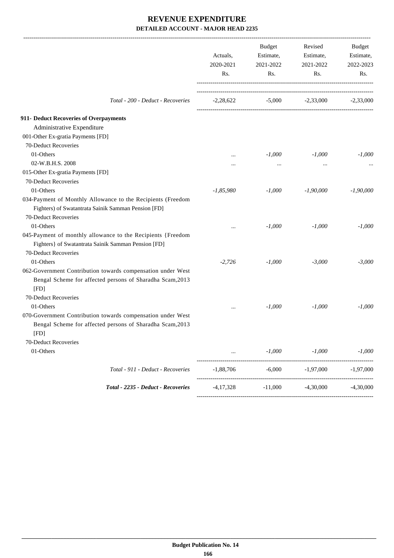|                                                                                                                                            | Actuals,<br>2020-2021<br>Rs. | Budget<br>Estimate,<br>2021-2022<br>Rs. | Revised<br>Estimate,<br>2021-2022<br>Rs. | Budget<br>Estimate,<br>2022-2023<br>Rs. |
|--------------------------------------------------------------------------------------------------------------------------------------------|------------------------------|-----------------------------------------|------------------------------------------|-----------------------------------------|
| Total - 200 - Deduct - Recoveries                                                                                                          | $-2,28,622$                  |                                         | $-5,000$ $-2,33,000$ $-2,33,000$         |                                         |
| 911- Deduct Recoveries of Overpayments                                                                                                     |                              |                                         |                                          |                                         |
| Administrative Expenditure                                                                                                                 |                              |                                         |                                          |                                         |
| 001-Other Ex-gratia Payments [FD]                                                                                                          |                              |                                         |                                          |                                         |
| 70-Deduct Recoveries                                                                                                                       |                              |                                         |                                          |                                         |
| 01-Others                                                                                                                                  | $\cdots$                     | $-1,000$                                | $-1,000$                                 | $-1,000$                                |
| 02-W.B.H.S. 2008                                                                                                                           |                              | $\cdots$                                | $\ddotsc$                                |                                         |
| 015-Other Ex-gratia Payments [FD]                                                                                                          |                              |                                         |                                          |                                         |
| 70-Deduct Recoveries                                                                                                                       |                              |                                         |                                          |                                         |
| 01-Others                                                                                                                                  | $-1,85,980$                  | $-1,000$                                | $-1,90,000$                              | $-1,90,000$                             |
| 034-Payment of Monthly Allowance to the Recipients (Freedom<br>Fighters) of Swatantrata Sainik Samman Pension [FD]                         |                              |                                         |                                          |                                         |
| 70-Deduct Recoveries                                                                                                                       |                              |                                         |                                          |                                         |
| 01-Others                                                                                                                                  | $\cdots$                     | $-1,000$                                | $-1,000$                                 | $-1,000$                                |
| 045-Payment of monthly allowance to the Recipients {Freedom<br>Fighters} of Swatantrata Sainik Samman Pension [FD]<br>70-Deduct Recoveries |                              |                                         |                                          |                                         |
| 01-Others                                                                                                                                  | $-2,726$                     | $-1,000$                                | $-3,000$                                 | $-3,000$                                |
| 062-Government Contribution towards compensation under West<br>Bengal Scheme for affected persons of Sharadha Scam, 2013<br>[FD]           |                              |                                         |                                          |                                         |
| 70-Deduct Recoveries                                                                                                                       |                              |                                         |                                          |                                         |
| 01-Others                                                                                                                                  | $\cdots$                     | $-1,000$                                | $-1,000$                                 | $-1,000$                                |
| 070-Government Contribution towards compensation under West<br>Bengal Scheme for affected persons of Sharadha Scam, 2013<br>[FD]           |                              |                                         |                                          |                                         |
| 70-Deduct Recoveries                                                                                                                       |                              |                                         |                                          |                                         |
| 01-Others                                                                                                                                  |                              | $-1,000$                                | $-1,000$                                 | $-1,000$                                |
| Total - 911 - Deduct - Recoveries                                                                                                          | $-1,88,706$                  | $-6,000$                                | $-1,97,000$                              | $-1,97,000$                             |
| Total - 2235 - Deduct - Recoveries                                                                                                         | $-4,17,328$                  | $-11,000$                               | $-4,30,000$                              | $-4,30,000$                             |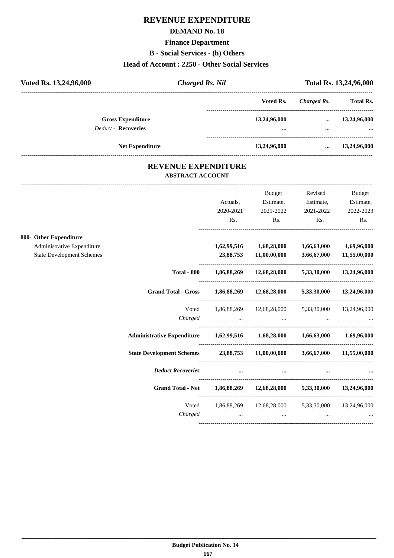# **REVENUE EXPENDITURE**

#### **DEMAND No. 18**

#### **Finance Department**

**B - Social Services - (h) Others**

#### **Head of Account : 2250 - Other Social Services**

| Voted Rs. 13,24,96,000                                 | <b>Charged Rs. Nil</b> |                  |             | Total Rs. 13,24,96,000   |
|--------------------------------------------------------|------------------------|------------------|-------------|--------------------------|
|                                                        |                        | Voted Rs.        | Charged Rs. | <b>Total Rs.</b>         |
| <b>Gross Expenditure</b><br><b>Deduct - Recoveries</b> |                        | 13,24,96,000<br> | <br>        | 13,24,96,000<br>$\cdots$ |
|                                                        | <b>Net Expenditure</b> | 13,24,96,000     |             | 13,24,96,000             |

#### **REVENUE EXPENDITURE ABSTRACT ACCOUNT**

---------------------------------------------------------------------------------------------------------------------------------------------------------------------------------

|                                  |                                                                            |           | Budget                                                                                              | Revised   | <b>Budget</b>            |
|----------------------------------|----------------------------------------------------------------------------|-----------|-----------------------------------------------------------------------------------------------------|-----------|--------------------------|
|                                  |                                                                            | Actuals,  | Estimate,                                                                                           | Estimate, | Estimate,                |
|                                  |                                                                            | 2020-2021 | 2021-2022                                                                                           | 2021-2022 | 2022-2023                |
|                                  |                                                                            | Rs.       | Rs.                                                                                                 | Rs.       | Rs.                      |
| 800- Other Expenditure           |                                                                            |           |                                                                                                     |           |                          |
| Administrative Expenditure       |                                                                            |           | $1,62,99,516$ $1,68,28,000$ $1,66,63,000$ $1,69,96,000$                                             |           |                          |
| <b>State Development Schemes</b> |                                                                            |           | 23,88,753 11,00,00,000                                                                              |           | 3,66,67,000 11,55,00,000 |
|                                  | <b>Total - 800</b>                                                         |           | $1,86,88,269$ $12,68,28,000$ $5,33,30,000$ $13,24,96,000$                                           |           |                          |
|                                  | Grand Total - Gross 1,86,88,269 12,68,28,000 5,33,30,000 13,24,96,000      |           |                                                                                                     |           |                          |
|                                  | Voted                                                                      |           | 1,86,88,269 12,68,28,000 5,33,30,000 13,24,96,000                                                   |           |                          |
|                                  | Charged                                                                    |           | the contract of the contract of the contract of the contract of the contract of the contract of the |           |                          |
|                                  | Administrative Expenditure 1,62,99,516 1,68,28,000 1,66,63,000 1,69,96,000 |           |                                                                                                     |           |                          |
|                                  | State Development Schemes 23,88,753 11,00,00,000 3,66,67,000 11,55,00,000  |           |                                                                                                     |           |                          |
|                                  | <b>Deduct Recoveries</b>                                                   |           | $\cdots$                                                                                            | $\cdots$  |                          |
|                                  | Grand Total - Net 1,86,88,269 12,68,28,000 5,33,30,000 13,24,96,000        |           |                                                                                                     |           |                          |
|                                  | Voted                                                                      |           | 1,86,88,269 12,68,28,000 5,33,30,000 13,24,96,000                                                   |           |                          |
|                                  | Charged                                                                    |           | the contract of the contract of the contract of the contract of the contract of                     |           | $\mathbf{r}$             |
|                                  |                                                                            |           |                                                                                                     |           |                          |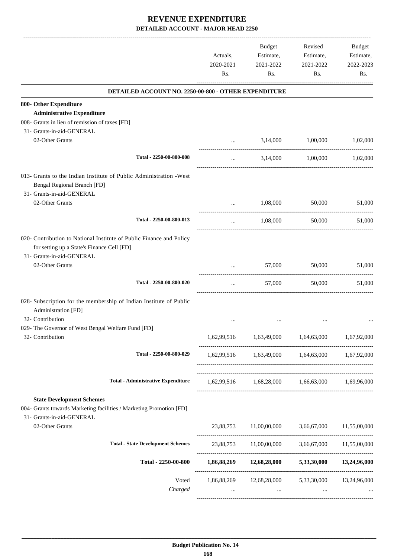|                                                                                                                                                 | Actuals,<br>2020-2021<br>Rs. | <b>Budget</b><br>Estimate,<br>2021-2022<br>Rs.        | Revised<br>Estimate,<br>2021-2022<br>Rs. | Budget<br>Estimate,<br>2022-2023<br>Rs. |
|-------------------------------------------------------------------------------------------------------------------------------------------------|------------------------------|-------------------------------------------------------|------------------------------------------|-----------------------------------------|
| DETAILED ACCOUNT NO. 2250-00-800 - OTHER EXPENDITURE                                                                                            |                              |                                                       |                                          |                                         |
| 800- Other Expenditure                                                                                                                          |                              |                                                       |                                          |                                         |
| <b>Administrative Expenditure</b>                                                                                                               |                              |                                                       |                                          |                                         |
| 008- Grants in lieu of remission of taxes [FD]                                                                                                  |                              |                                                       |                                          |                                         |
| 31- Grants-in-aid-GENERAL                                                                                                                       |                              |                                                       |                                          |                                         |
| 02-Other Grants                                                                                                                                 |                              | 3,14,000<br><b>Contract Contract Contract</b>         | 1,00,000                                 | 1,02,000                                |
| Total - 2250-00-800-008                                                                                                                         | $\cdots$                     |                                                       | 3,14,000 1,00,000                        | 1.02.000                                |
| 013- Grants to the Indian Institute of Public Administration - West<br>Bengal Regional Branch [FD]<br>31- Grants-in-aid-GENERAL                 |                              |                                                       |                                          |                                         |
| 02-Other Grants                                                                                                                                 | $\cdots$                     | 1,08,000                                              | 50,000                                   | 51,000                                  |
| Total - 2250-00-800-013                                                                                                                         | $\cdots$                     | 1,08,000                                              | 50,000                                   | 51,000                                  |
| 020- Contribution to National Institute of Public Finance and Policy<br>for setting up a State's Finance Cell [FD]<br>31- Grants-in-aid-GENERAL |                              |                                                       |                                          |                                         |
| 02-Other Grants                                                                                                                                 | $\cdots$                     | 57,000                                                | 50,000                                   | 51,000                                  |
| Total - 2250-00-800-020                                                                                                                         | $\cdots$                     | 57,000                                                | 50,000                                   | 51,000                                  |
| 028- Subscription for the membership of Indian Institute of Public<br><b>Administration</b> [FD]                                                |                              |                                                       |                                          |                                         |
| 32- Contribution                                                                                                                                |                              |                                                       |                                          |                                         |
| 029- The Governor of West Bengal Welfare Fund [FD]                                                                                              |                              |                                                       |                                          |                                         |
| 32- Contribution                                                                                                                                |                              | 1,62,99,516 1,63,49,000                               | 1,64,63,000                              | 1,67,92,000                             |
| Total - 2250-00-800-029                                                                                                                         |                              | 1,62,99,516 1,63,49,000 1,64,63,000 1,67,92,000       |                                          |                                         |
| <b>Total - Administrative Expenditure</b>                                                                                                       |                              | 1,62,99,516 1,68,28,000 1,66,63,000 1,69,96,000       |                                          |                                         |
| <b>State Development Schemes</b><br>004- Grants towards Marketing facilities / Marketing Promotion [FD]<br>31- Grants-in-aid-GENERAL            |                              |                                                       |                                          |                                         |
| 02-Other Grants                                                                                                                                 |                              | 23,88,753 11,00,00,000 3,66,67,000 11,55,00,000       |                                          |                                         |
| <b>Total - State Development Schemes</b>                                                                                                        |                              | 23,88,753   11,00,00,000   3,66,67,000   11,55,00,000 |                                          |                                         |
| Total - 2250-00-800                                                                                                                             |                              | 1,86,88,269 12,68,28,000 5,33,30,000 13,24,96,000     |                                          |                                         |
| Voted<br>Charged                                                                                                                                |                              | 1,86,88,269 12,68,28,000 5,33,30,000 13,24,96,000     | and the state of the<br>$\cdots$         |                                         |
|                                                                                                                                                 |                              |                                                       |                                          |                                         |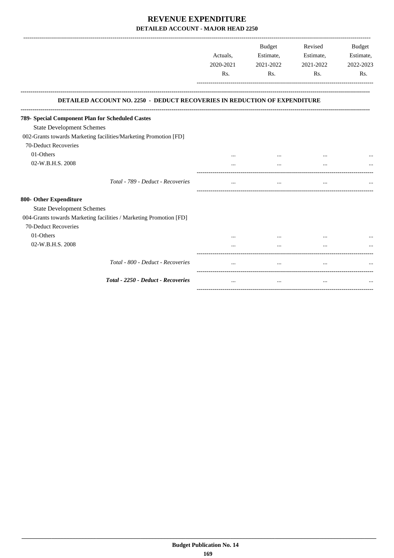|                                                                                  | Actuals,<br>2020-2021 | Budget<br>Estimate,<br>2021-2022 | Revised<br>Estimate,<br>2021-2022 | <b>Budget</b><br>Estimate,<br>2022-2023 |
|----------------------------------------------------------------------------------|-----------------------|----------------------------------|-----------------------------------|-----------------------------------------|
|                                                                                  | Rs.                   | Rs.                              | Rs.                               | Rs.                                     |
| <b>DETAILED ACCOUNT NO. 2250 - DEDUCT RECOVERIES IN REDUCTION OF EXPENDITURE</b> |                       |                                  |                                   |                                         |
| 789- Special Component Plan for Scheduled Castes                                 |                       |                                  |                                   |                                         |
| <b>State Development Schemes</b>                                                 |                       |                                  |                                   |                                         |
| 002-Grants towards Marketing facilities/Marketing Promotion [FD]                 |                       |                                  |                                   |                                         |
| 70-Deduct Recoveries                                                             |                       |                                  |                                   |                                         |
| 01-Others                                                                        |                       |                                  |                                   |                                         |
| 02-W.B.H.S. 2008                                                                 |                       |                                  |                                   |                                         |
| Total - 789 - Deduct - Recoveries                                                | $\cdots$              | $\cdots$                         | $\cdots$                          |                                         |
| 800- Other Expenditure                                                           |                       |                                  |                                   |                                         |
| <b>State Development Schemes</b>                                                 |                       |                                  |                                   |                                         |
| 004-Grants towards Marketing facilities / Marketing Promotion [FD]               |                       |                                  |                                   |                                         |
| 70-Deduct Recoveries                                                             |                       |                                  |                                   |                                         |
| 01-Others                                                                        |                       |                                  | $\cdots$                          |                                         |
| 02-W.B.H.S. 2008                                                                 |                       |                                  |                                   |                                         |
| Total - 800 - Deduct - Recoveries                                                | $\ddotsc$             | $\cdots$                         | $\cdots$                          |                                         |
| Total - 2250 - Deduct - Recoveries                                               | $\ddotsc$             | $\cdots$                         | $\cdots$                          |                                         |
|                                                                                  |                       |                                  |                                   |                                         |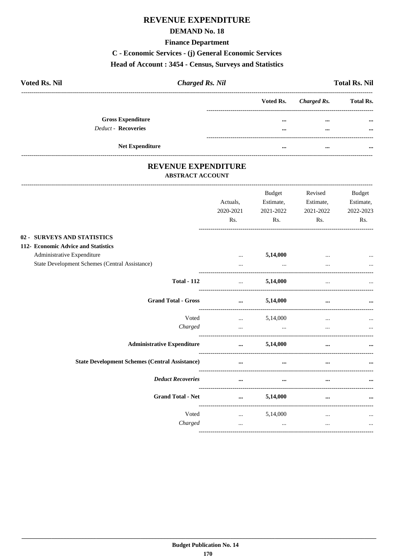# **REVENUE EXPENDITURE**

#### **DEMAND No. 18**

#### **Finance Department**

# C - Economic Services - (j) General Economic Services

#### Head of Account: 3454 - Census, Surveys and Statistics

| <b>Voted Rs. Nil</b>     | <b>Charged Rs. Nil</b> |                         |                       | <b>Total Rs. Nil</b> |
|--------------------------|------------------------|-------------------------|-----------------------|----------------------|
|                          |                        |                         | Voted Rs. Charged Rs. | <b>Total Rs.</b>     |
| <b>Gross Expenditure</b> |                        | $\bullet\bullet\bullet$ | $\cdots$              | $\cdots$             |
| Deduct - Recoveries      |                        |                         | $\cdots$              | $\cdots$             |
| <b>Net Expenditure</b>   |                        |                         | $\cdots$              |                      |

#### REVENUE EXPENDITURE **ABSTRACT ACCOUNT**

-----------------------------

|                                                       | Actuals,<br>2020-2021<br>Rs.                       | <b>Budget</b><br>Estimate,<br>2021-2022<br>Rs. | Revised<br>Estimate,<br>2021-2022<br>Rs. | <b>Budget</b><br>Estimate,<br>2022-2023<br>Rs. |
|-------------------------------------------------------|----------------------------------------------------|------------------------------------------------|------------------------------------------|------------------------------------------------|
| 02 - SURVEYS AND STATISTICS                           |                                                    |                                                |                                          |                                                |
| 112- Economic Advice and Statistics                   |                                                    |                                                |                                          |                                                |
| Administrative Expenditure                            | $\cdots$                                           | 5,14,000                                       |                                          |                                                |
| State Development Schemes (Central Assistance)        |                                                    |                                                |                                          |                                                |
| <b>Total - 112</b>                                    | $\cdots$                                           | 5,14,000                                       |                                          |                                                |
| <b>Grand Total - Gross</b>                            | $\cdots$                                           | 5,14,000                                       | $\cdots$                                 |                                                |
| Voted                                                 | <b>Contract Contract Contract</b>                  | 5,14,000                                       | $\cdots$                                 |                                                |
| Charged                                               | $\cdots$                                           | $\cdots$                                       | $\cdots$                                 |                                                |
| <b>Administrative Expenditure</b>                     | $\cdots$                                           | 5,14,000                                       | $\cdots$                                 |                                                |
| <b>State Development Schemes (Central Assistance)</b> | $\cdots$                                           |                                                |                                          |                                                |
| <b>Deduct Recoveries</b>                              | $\cdots$                                           | $\cdots$                                       |                                          |                                                |
| <b>Grand Total - Net</b>                              | $\cdots$                                           | 5,14,000                                       |                                          |                                                |
| Voted                                                 | $\mathbf{r}$ , and $\mathbf{r}$ , and $\mathbf{r}$ | 5,14,000                                       | $\cdots$                                 |                                                |
| Charged                                               | $\ddots$                                           | $\ddotsc$                                      | $\cdots$                                 | $\cdots$                                       |
|                                                       |                                                    |                                                |                                          |                                                |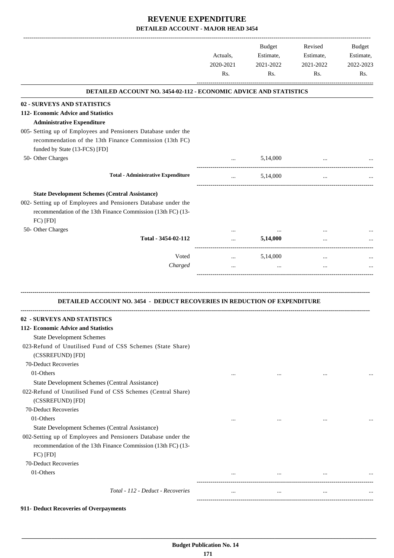|                                                                                  | Actuals,<br>2020-2021<br>Rs. | Budget<br>Estimate,<br>2021-2022<br>Rs. | Revised<br>Estimate,<br>2021-2022<br>Rs. | Budget<br>Estimate,<br>2022-2023<br>Rs. |
|----------------------------------------------------------------------------------|------------------------------|-----------------------------------------|------------------------------------------|-----------------------------------------|
| DETAILED ACCOUNT NO. 3454-02-112 - ECONOMIC ADVICE AND STATISTICS                |                              |                                         |                                          |                                         |
| 02 - SURVEYS AND STATISTICS                                                      |                              |                                         |                                          |                                         |
| 112- Economic Advice and Statistics                                              |                              |                                         |                                          |                                         |
| <b>Administrative Expenditure</b>                                                |                              |                                         |                                          |                                         |
| 005- Setting up of Employees and Pensioners Database under the                   |                              |                                         |                                          |                                         |
| recommendation of the 13th Finance Commission (13th FC)                          |                              |                                         |                                          |                                         |
| funded by State (13-FCS) [FD]                                                    |                              |                                         |                                          |                                         |
| 50- Other Charges                                                                | $\cdots$                     | 5,14,000                                | ----------------------                   |                                         |
| <b>Total - Administrative Expenditure</b>                                        |                              | 5,14,000                                |                                          |                                         |
| <b>State Development Schemes (Central Assistance)</b>                            |                              |                                         |                                          |                                         |
| 002- Setting up of Employees and Pensioners Database under the                   |                              |                                         |                                          |                                         |
| recommendation of the 13th Finance Commission (13th FC) (13-                     |                              |                                         |                                          |                                         |
| $FC)$ $[FD]$                                                                     |                              |                                         |                                          |                                         |
| 50- Other Charges                                                                |                              |                                         |                                          |                                         |
| Total - 3454-02-112                                                              | $\cdots$                     | 5,14,000                                |                                          |                                         |
| Voted                                                                            | $\cdots$                     | 5,14,000                                | $\cdots$                                 |                                         |
| Charged                                                                          | $\cdots$                     | $\cdots$                                | $\cdots$                                 |                                         |
| <b>DETAILED ACCOUNT NO. 3454 - DEDUCT RECOVERIES IN REDUCTION OF EXPENDITURE</b> |                              |                                         |                                          |                                         |
| 02 - SURVEYS AND STATISTICS                                                      |                              |                                         |                                          |                                         |
| 112- Economic Advice and Statistics                                              |                              |                                         |                                          |                                         |
| <b>State Development Schemes</b>                                                 |                              |                                         |                                          |                                         |
| 023-Refund of Unutilised Fund of CSS Schemes (State Share)<br>(CSSREFUND) [FD]   |                              |                                         |                                          |                                         |
| 70-Deduct Recoveries                                                             |                              |                                         |                                          |                                         |
| 01-Others                                                                        | $\cdots$                     | $\cdots$                                | $\cdots$                                 |                                         |
| State Development Schemes (Central Assistance)                                   |                              |                                         |                                          |                                         |
| 022-Refund of Unutilised Fund of CSS Schemes (Central Share)<br>(CSSREFUND) [FD] |                              |                                         |                                          |                                         |
| 70-Deduct Recoveries                                                             |                              |                                         |                                          |                                         |
| 01-Others                                                                        |                              |                                         |                                          |                                         |
| State Development Schemes (Central Assistance)                                   | $\cdots$                     | $\cdots$                                | $\cdots$                                 |                                         |
| 002-Setting up of Employees and Pensioners Database under the                    |                              |                                         |                                          |                                         |
| recommendation of the 13th Finance Commission (13th FC) (13-                     |                              |                                         |                                          |                                         |
| FC) [FD]                                                                         |                              |                                         |                                          |                                         |
| 70-Deduct Recoveries                                                             |                              |                                         |                                          |                                         |
| 01-Others                                                                        |                              | $\cdots$                                | $\cdots$                                 |                                         |
| Total - 112 - Deduct - Recoveries                                                |                              |                                         |                                          |                                         |
|                                                                                  | $\cdots$                     | $\cdots$                                | $\cdots$                                 |                                         |
| 911- Deduct Recoveries of Overpayments                                           |                              |                                         |                                          |                                         |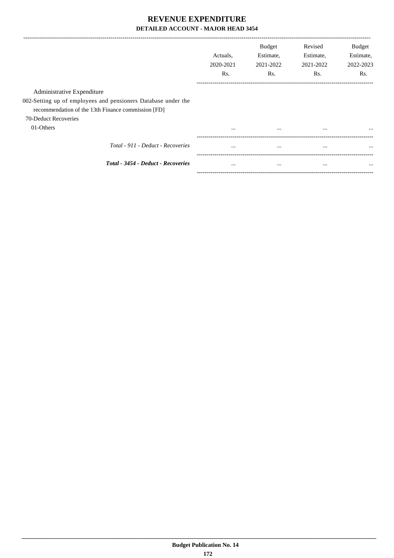|                                                                                                                                                                           | Actuals.<br>2020-2021<br>Rs. | <b>Budget</b><br>Estimate,<br>2021-2022<br>Rs. | Revised<br>Estimate,<br>2021-2022<br>Rs. | <b>Budget</b><br>Estimate,<br>2022-2023<br>Rs. |
|---------------------------------------------------------------------------------------------------------------------------------------------------------------------------|------------------------------|------------------------------------------------|------------------------------------------|------------------------------------------------|
| Administrative Expenditure<br>002-Setting up of employees and pensioners Database under the<br>recommendation of the 13th Finance commission [FD]<br>70-Deduct Recoveries |                              |                                                |                                          |                                                |
| 01-Others                                                                                                                                                                 | $\cdots$                     | $\cdots$                                       | $\cdots$                                 | $\cdots$                                       |
| Total - 911 - Deduct - Recoveries                                                                                                                                         | $\cdots$                     |                                                | $\cdots$                                 | $\cdots$                                       |
| Total - 3454 - Deduct - Recoveries                                                                                                                                        | $\cdots$                     |                                                | $\cdots$                                 |                                                |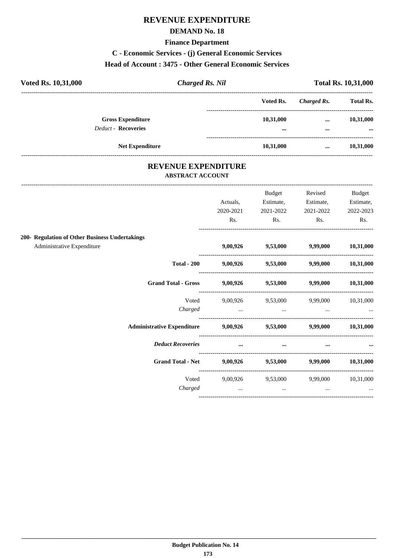# **REVENUE EXPENDITURE**

#### **DEMAND No. 18**

#### **Finance Department**

### **C - Economic Services - (j) General Economic Services**

#### **Head of Account : 3475 - Other General Economic Services**

| Voted Rs. 10,31,000 |                                                        | <b>Charged Rs. Nil</b> |                       | <b>Total Rs. 10,31,000</b> |                       |  |
|---------------------|--------------------------------------------------------|------------------------|-----------------------|----------------------------|-----------------------|--|
|                     |                                                        |                        | Voted Rs.             | Charged Rs.                | <b>Total Rs.</b>      |  |
|                     | <b>Gross Expenditure</b><br><b>Deduct - Recoveries</b> |                        | 10,31,000<br>$\cdots$ | $\cdots$<br>               | 10,31,000<br>$\cdots$ |  |
|                     | <b>Net Expenditure</b>                                 |                        | 10,31,000             | $\cdots$                   | 10,31,000             |  |

# **REVENUE EXPENDITURE**

---------------------------------------------------------------------------------------------------------------------------------------------------------------------------------

#### **ABSTRACT ACCOUNT**

|                                                                         |                                                           | Budget    | Revised                                          | <b>Budget</b> |
|-------------------------------------------------------------------------|-----------------------------------------------------------|-----------|--------------------------------------------------|---------------|
|                                                                         | Actuals,                                                  | Estimate, | Estimate,                                        | Estimate,     |
|                                                                         | 2020-2021                                                 | 2021-2022 | 2021-2022                                        | 2022-2023     |
|                                                                         | Rs.                                                       | Rs.       | $\mathbf{Rs.}$                                   | Rs.           |
| 200- Regulation of Other Business Undertakings                          |                                                           |           |                                                  |               |
| Administrative Expenditure                                              |                                                           |           | 9,00,926 9,53,000 9,99,000 10,31,000             |               |
|                                                                         |                                                           |           | Total - 200 9,00,926 9,53,000 9,99,000 10,31,000 |               |
| Grand Total - Gross 9,00,926 9,53,000 9,99,000 10,31,000                |                                                           |           |                                                  |               |
|                                                                         |                                                           |           | Voted 9,00,926 9,53,000 9,99,000 10,31,000       |               |
|                                                                         |                                                           |           |                                                  |               |
| Administrative Expenditure $9,00,926$ $9,53,000$ $9,99,000$ $10,31,000$ |                                                           |           |                                                  |               |
| <b>Deduct Recoveries</b>                                                | $\cdots$                                                  | $\cdots$  | $\cdots$                                         |               |
| Grand Total - Net 9,00,926 9,53,000 9,99,000 10,31,000                  |                                                           |           |                                                  |               |
|                                                                         |                                                           |           | Voted 9,00,926 9,53,000 9,99,000 10,31,000       |               |
| Charged                                                                 | $\mathbf{r}$ and $\mathbf{r}$ are the set of $\mathbf{r}$ |           | and the state of the state of the state of       |               |
|                                                                         |                                                           |           |                                                  |               |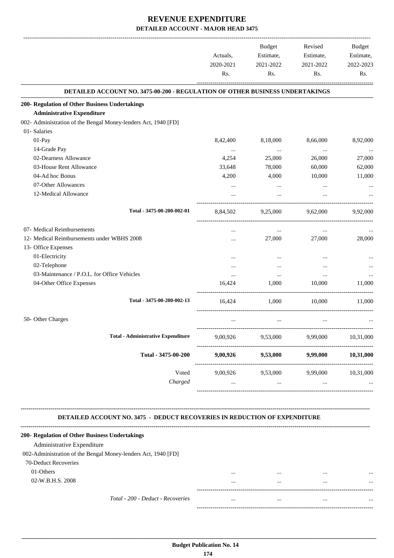|                                                                                  | Actuals,<br>2020-2021<br>Rs. | Budget<br>Estimate,<br>2021-2022<br>Rs. | Revised<br>Estimate,<br>2021-2022<br>Rs. | Budget<br>Estimate,<br>2022-2023<br>Rs. |
|----------------------------------------------------------------------------------|------------------------------|-----------------------------------------|------------------------------------------|-----------------------------------------|
| DETAILED ACCOUNT NO. 3475-00-200 - REGULATION OF OTHER BUSINESS UNDERTAKINGS     |                              |                                         |                                          |                                         |
| 200- Regulation of Other Business Undertakings                                   |                              |                                         |                                          |                                         |
| <b>Administrative Expenditure</b>                                                |                              |                                         |                                          |                                         |
| 002- Administration of the Bengal Money-lenders Act, 1940 [FD]                   |                              |                                         |                                          |                                         |
| 01- Salaries                                                                     |                              |                                         |                                          |                                         |
| 01-Pay                                                                           | 8,42,400                     | 8,18,000                                | 8,66,000                                 | 8,92,000                                |
| 14-Grade Pay                                                                     | $\cdots$                     | $\cdots$                                | $\ldots$                                 |                                         |
| 02-Dearness Allowance                                                            | 4,254                        | 25,000                                  | 26,000                                   | 27,000                                  |
| 03-House Rent Allowance                                                          | 33,648                       | 78,000                                  | 60,000                                   | 62,000                                  |
| 04-Ad hoc Bonus                                                                  | 4,200                        | 4,000                                   | 10,000                                   | 11,000                                  |
| 07-Other Allowances                                                              |                              | $\cdots$                                |                                          |                                         |
| 12-Medical Allowance                                                             |                              | $\cdots$                                | $\ddotsc$                                |                                         |
|                                                                                  |                              |                                         |                                          |                                         |
| Total - 3475-00-200-002-01                                                       | 8,84,502                     |                                         | 9,25,000 9,62,000                        | 9,92,000                                |
| 07- Medical Reimbursements                                                       | $\cdots$                     | $\cdots$                                | $\cdots$                                 |                                         |
| 12- Medical Reimbursements under WBHS 2008                                       |                              | 27,000                                  | 27,000                                   | 28,000                                  |
| 13- Office Expenses                                                              |                              |                                         |                                          |                                         |
| 01-Electricity                                                                   |                              | $\cdots$                                | $\cdots$                                 |                                         |
| 02-Telephone                                                                     | $\cdots$                     | $\cdots$                                | $\cdots$                                 |                                         |
| 03-Maintenance / P.O.L. for Office Vehicles                                      | $\cdots$                     | $\cdots$                                | $\cdots$                                 |                                         |
| 04-Other Office Expenses                                                         | 16,424                       | 1,000                                   | 10,000                                   | 11,000                                  |
| Total - 3475-00-200-002-13                                                       | 16,424                       |                                         | 1.000 10.000                             | 11,000                                  |
| 50- Other Charges                                                                | $\cdots$                     | $\cdots$                                | $\cdots$                                 |                                         |
| <b>Total - Administrative Expenditure</b>                                        | 9,00,926                     | 9,53,000                                | 9,99,000                                 | 10,31,000                               |
| Total - 3475-00-200                                                              | 9,00,926                     | 9,53,000                                | 9,99,000                                 | 10,31,000                               |
|                                                                                  |                              |                                         |                                          |                                         |
| Voted                                                                            | 9,00,926                     | 9,53,000                                | 9,99,000                                 | 10,31,000                               |
| Charged                                                                          |                              | $\cdots$                                |                                          |                                         |
|                                                                                  |                              |                                         |                                          |                                         |
| <b>DETAILED ACCOUNT NO. 3475 - DEDUCT RECOVERIES IN REDUCTION OF EXPENDITURE</b> |                              |                                         |                                          |                                         |
|                                                                                  |                              |                                         |                                          |                                         |
| 200- Regulation of Other Business Undertakings<br>Administrative Expenditure     |                              |                                         |                                          |                                         |
| 002-Administration of the Bengal Money-lenders Act, 1940 [FD]                    |                              |                                         |                                          |                                         |
| 70-Deduct Recoveries                                                             |                              |                                         |                                          |                                         |
| 01-Others                                                                        |                              |                                         |                                          |                                         |
| 02-W.B.H.S. 2008                                                                 |                              |                                         |                                          |                                         |
|                                                                                  |                              |                                         |                                          |                                         |
| Total - 200 - Deduct - Recoveries                                                |                              |                                         |                                          |                                         |

-----------------------------------------------------------------------------------------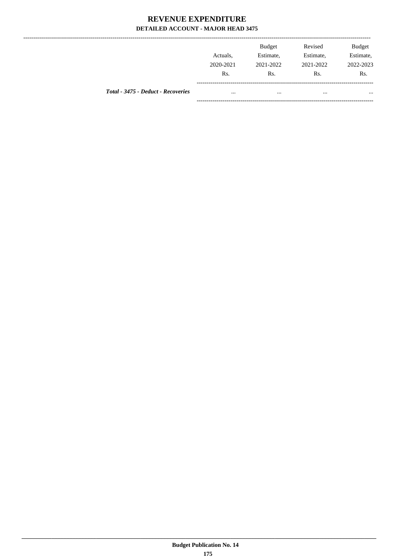----------------

|                                    | Actuals.<br>2020-2021<br>Rs. | <b>Budget</b><br>Estimate,<br>2021-2022<br>Rs. | Revised<br>Estimate,<br>2021-2022<br>Rs. | <b>Budget</b><br>Estimate,<br>2022-2023<br>Rs. |
|------------------------------------|------------------------------|------------------------------------------------|------------------------------------------|------------------------------------------------|
| Total - 3475 - Deduct - Recoveries | $\cdots$                     |                                                |                                          | $\cdots$                                       |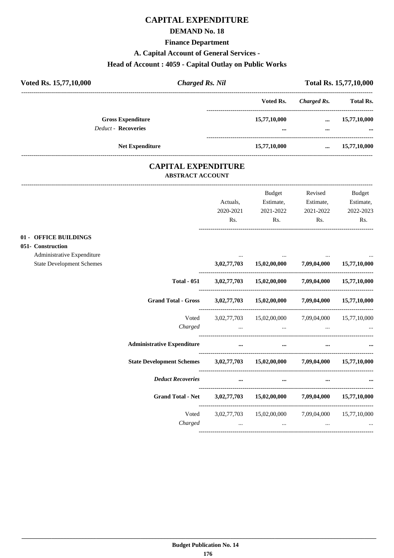# **CAPITAL EXPENDITURE**

### **DEMAND No. 18**

#### **Finance Department**

#### **A. Capital Account of General Services -**

#### **Head of Account : 4059 - Capital Outlay on Public Works**

| Voted Rs. 15,77,10,000                                 | <b>Charged Rs. Nil</b> |                  | Total Rs. 15,77,10,000 |                           |
|--------------------------------------------------------|------------------------|------------------|------------------------|---------------------------|
|                                                        |                        | Voted Rs.        | Charged Rs.            | <b>Total Rs.</b>          |
| <b>Gross Expenditure</b><br><b>Deduct - Recoveries</b> |                        | 15,77,10,000<br> | $\cdots$<br>           | 15,77,10,000<br>$\ddotsc$ |
| <b>Net Expenditure</b>                                 |                        | 15,77,10,000     | $\cdots$               | 15,77,10,000              |

#### **CAPITAL EXPENDITURE ABSTRACT ACCOUNT**

---------------------------------------------------------------------------------------------------------------------------------------------------------------------------------

|                                                                |                                                                             | Actuals,<br>2020-2021<br>Rs.                                                                                                                                                                                                   | Budget<br>Estimate,<br>2021-2022<br>Rs.                                                                                                                                                                                              | Revised<br>Estimate,<br>2021-2022<br>Rs. | <b>Budget</b><br>Estimate,<br>2022-2023<br>Rs. |
|----------------------------------------------------------------|-----------------------------------------------------------------------------|--------------------------------------------------------------------------------------------------------------------------------------------------------------------------------------------------------------------------------|--------------------------------------------------------------------------------------------------------------------------------------------------------------------------------------------------------------------------------------|------------------------------------------|------------------------------------------------|
| 01 - OFFICE BUILDINGS<br>051- Construction                     |                                                                             |                                                                                                                                                                                                                                |                                                                                                                                                                                                                                      |                                          |                                                |
| Administrative Expenditure<br><b>State Development Schemes</b> |                                                                             |                                                                                                                                                                                                                                | 3,02,77,703 15,02,00,000 7,09,04,000 15,77,10,000                                                                                                                                                                                    |                                          |                                                |
|                                                                | <b>Total - 051</b>                                                          |                                                                                                                                                                                                                                | 3,02,77,703 15,02,00,000 7,09,04,000 15,77,10,000                                                                                                                                                                                    |                                          |                                                |
|                                                                | <b>Grand Total - Gross</b>                                                  |                                                                                                                                                                                                                                | $3,02,77,703$ $15,02,00,000$ $7,09,04,000$ $15,77,10,000$                                                                                                                                                                            |                                          |                                                |
|                                                                | Charged                                                                     |                                                                                                                                                                                                                                | Voted 3,02,77,703 15,02,00,000 7,09,04,000 15,77,10,000<br>and the contract of the contract of the contract of the contract of the contract of the contract of the contract of                                                       |                                          |                                                |
|                                                                | <b>Administrative Expenditure</b>                                           | $\sim$ $\sim$ $\sim$ $\sim$                                                                                                                                                                                                    | <u>and the company of the company of the company of the company of the company of the company of the company of the company of the company of the company of the company of the company of the company of the company of the com</u> |                                          |                                                |
|                                                                | State Development Schemes 3,02,77,703 15,02,00,000 7,09,04,000 15,77,10,000 |                                                                                                                                                                                                                                |                                                                                                                                                                                                                                      |                                          |                                                |
|                                                                | <b>Deduct Recoveries</b>                                                    | and the contract of the contract of the contract of the contract of the contract of the contract of the contract of the contract of the contract of the contract of the contract of the contract of the contract of the contra | $\cdots$                                                                                                                                                                                                                             |                                          |                                                |
|                                                                | Grand Total - Net 3,02,77,703 15,02,00,000 7,09,04,000 15,77,10,000         |                                                                                                                                                                                                                                |                                                                                                                                                                                                                                      |                                          |                                                |
|                                                                |                                                                             |                                                                                                                                                                                                                                | Voted 3,02,77,703 15,02,00,000 7,09,04,000 15,77,10,000<br>Charged                                                                                                                                                                   |                                          |                                                |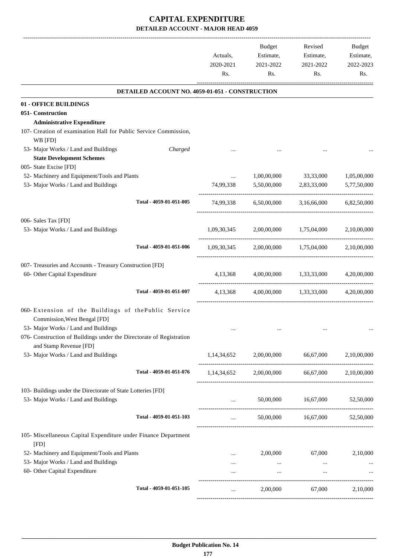# **CAPITAL EXPENDITURE DETAILED ACCOUNT - MAJOR HEAD 4059**

|                                                                             |                                                 | Actuals,<br>2020-2021<br>Rs. | <b>Budget</b><br>Estimate,<br>2021-2022<br>Rs. | Revised<br>Estimate,<br>2021-2022<br>Rs. | Budget<br>Estimate,<br>2022-2023<br>Rs. |
|-----------------------------------------------------------------------------|-------------------------------------------------|------------------------------|------------------------------------------------|------------------------------------------|-----------------------------------------|
|                                                                             | DETAILED ACCOUNT NO. 4059-01-051 - CONSTRUCTION |                              |                                                |                                          |                                         |
| 01 - OFFICE BUILDINGS                                                       |                                                 |                              |                                                |                                          |                                         |
| 051- Construction                                                           |                                                 |                              |                                                |                                          |                                         |
| <b>Administrative Expenditure</b>                                           |                                                 |                              |                                                |                                          |                                         |
| 107- Creation of examination Hall for Public Service Commission,<br>WB [FD] |                                                 |                              |                                                |                                          |                                         |
| 53- Major Works / Land and Buildings                                        | Charged                                         |                              |                                                |                                          |                                         |
| <b>State Development Schemes</b>                                            |                                                 |                              |                                                |                                          |                                         |
| 005- State Excise [FD]                                                      |                                                 |                              |                                                |                                          |                                         |
| 52- Machinery and Equipment/Tools and Plants                                |                                                 | $\cdots$                     | 1,00,00,000                                    | 33,33,000                                | 1,05,00,000                             |
| 53- Major Works / Land and Buildings                                        |                                                 | 74,99,338                    | 5,50,00,000                                    | 2,83,33,000                              | 5,77,50,000                             |
|                                                                             | Total - 4059-01-051-005                         | 74,99,338                    | 6,50,00,000                                    | 3,16,66,000                              | 6,82,50,000                             |
| 006- Sales Tax [FD]                                                         |                                                 |                              |                                                |                                          |                                         |
| 53- Major Works / Land and Buildings                                        |                                                 |                              | $1,09,30,345$ $2,00,00,000$ $1,75,04,000$      |                                          | 2,10,00,000                             |
|                                                                             |                                                 |                              |                                                |                                          |                                         |
|                                                                             | Total - 4059-01-051-006                         | 1,09,30,345                  |                                                | 2,00,00,000 1,75,04,000                  | 2,10,00,000                             |
| 007- Treasuries and Accounts - Treasury Construction [FD]                   |                                                 |                              |                                                |                                          |                                         |
| 60- Other Capital Expenditure                                               |                                                 | 4,13,368                     |                                                | 4,00,00,000 1,33,33,000                  | 4,20,00,000                             |
|                                                                             | Total - 4059-01-051-007                         | 4,13,368                     |                                                | 4.00.00.000 1.33.33.000                  | 4,20,00,000                             |
| 060-Extension of the Buildings of thePublic Service                         |                                                 |                              |                                                |                                          |                                         |
| Commission, West Bengal [FD]                                                |                                                 |                              |                                                |                                          |                                         |
| 53- Major Works / Land and Buildings                                        |                                                 |                              |                                                |                                          |                                         |
| 076- Construction of Buildings under the Directorate of Registration        |                                                 |                              |                                                |                                          |                                         |
| and Stamp Revenue [FD]                                                      |                                                 |                              |                                                |                                          |                                         |
| 53- Major Works / Land and Buildings                                        |                                                 | 1,14,34,652                  | 2,00,00,000                                    | 66,67,000                                | 2,10,00,000                             |
|                                                                             | Total - 4059-01-051-076                         | 1,14,34,652                  | 2,00,00,000                                    | 66,67,000                                | 2,10,00,000                             |
| 103- Buildings under the Directorate of State Lotteries [FD]                |                                                 |                              |                                                |                                          |                                         |
| 53- Major Works / Land and Buildings                                        |                                                 |                              |                                                | $50,00,000$ $16,67,000$ $52,50,000$      |                                         |
|                                                                             |                                                 |                              |                                                |                                          |                                         |
|                                                                             | Total - 4059-01-051-103                         | $\cdots$                     |                                                | 50,00,000   16,67,000   52,50,000        |                                         |
| 105- Miscellaneous Capital Expenditure under Finance Department<br>[FD]     |                                                 |                              |                                                |                                          |                                         |
| 52- Machinery and Equipment/Tools and Plants                                |                                                 |                              | 2,00,000                                       | 67,000                                   | 2,10,000                                |
| 53- Major Works / Land and Buildings                                        |                                                 |                              | $\cdots$                                       |                                          |                                         |
| 60- Other Capital Expenditure                                               |                                                 |                              | $\cdots$                                       | $\cdots$                                 |                                         |
|                                                                             |                                                 |                              |                                                |                                          |                                         |
|                                                                             | Total - 4059-01-051-105                         |                              | 2,00,000                                       | 67,000                                   | 2,10,000                                |
|                                                                             |                                                 |                              |                                                |                                          |                                         |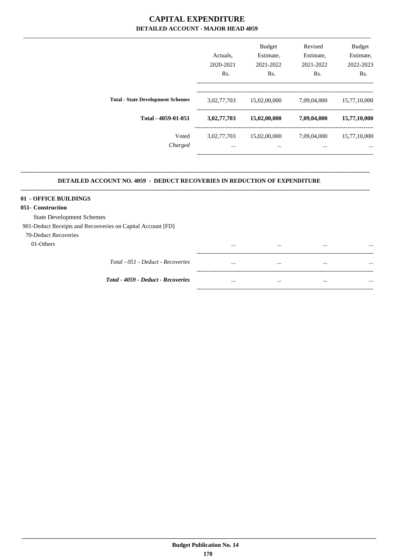|                                          | Actuals,<br>2020-2021<br>Rs. | <b>Budget</b><br>Estimate,<br>2021-2022<br>Rs. | Revised<br>Estimate,<br>2021-2022<br>Rs. | <b>Budget</b><br>Estimate,<br>2022-2023<br>Rs. |
|------------------------------------------|------------------------------|------------------------------------------------|------------------------------------------|------------------------------------------------|
| <b>Total - State Development Schemes</b> | 3,02,77,703                  | 15,02,00,000                                   | 7,09,04,000                              | 15,77,10,000                                   |
| Total - 4059-01-051                      | 3,02,77,703                  | 15,02,00,000                                   | 7,09,04,000                              | 15,77,10,000                                   |
| Voted<br>Charged                         | 3,02,77,703<br>$\cdots$      | 15,02,00,000<br>$\cdots$                       | 7,09,04,000<br>$\cdots$                  | 15,77,10,000<br>$\cdots$                       |
|                                          |                              |                                                |                                          |                                                |

### DETAILED ACCOUNT NO. 4059 - DEDUCT RECOVERIES IN REDUCTION OF EXPENDITURE

| 01 - OFFICE BUILDINGS                                       |          |          |          |  |
|-------------------------------------------------------------|----------|----------|----------|--|
| 051- Construction                                           |          |          |          |  |
| <b>State Development Schemes</b>                            |          |          |          |  |
| 901-Deduct Receipts and Recooveries on Capital Account [FD] |          |          |          |  |
| 70-Deduct Recoveries                                        |          |          |          |  |
| 01-Others                                                   | $\cdots$ | $\cdots$ |          |  |
|                                                             |          |          |          |  |
| Total - 051 - Deduct - Recoveries                           | $\cdots$ | $\cdots$ | $\cdots$ |  |
|                                                             |          |          |          |  |
| <b>Total - 4059 - Deduct - Recoveries</b>                   | $\cdots$ | $\cdots$ |          |  |
|                                                             |          |          |          |  |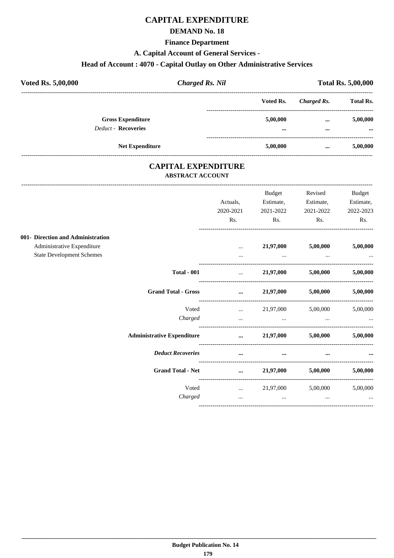## **CAPITAL EXPENDITURE**

### **DEMAND No. 18**

### **Finance Department**

### A. Capital Account of General Services -

## Head of Account: 4070 - Capital Outlay on Other Administrative Services

| Voted Rs. 5,00,000<br><b>Charged Rs. Nil</b>           |  |                      |                      | <b>Total Rs. 5,00,000</b> |
|--------------------------------------------------------|--|----------------------|----------------------|---------------------------|
|                                                        |  | Voted Rs.            | Charged Rs.          | <b>Total Rs.</b>          |
| <b>Gross Expenditure</b><br><b>Deduct - Recoveries</b> |  | 5,00,000<br>$\cdots$ | $\cdots$<br>$\cdots$ | 5,00,000<br>$\cdots$      |
| <b>Net Expenditure</b>                                 |  | 5,00,000             | $\cdots$             | 5,00,000                  |

### **CAPITAL EXPENDITURE ABSTRACT ACCOUNT**

|                                   |                                   |           | <b>Budget</b> | Revised   | <b>Budget</b> |
|-----------------------------------|-----------------------------------|-----------|---------------|-----------|---------------|
|                                   |                                   | Actuals,  | Estimate,     | Estimate, | Estimate,     |
|                                   |                                   | 2020-2021 | 2021-2022     | 2021-2022 | 2022-2023     |
|                                   |                                   | Rs.       | Rs.           | Rs.       | Rs.           |
| 001- Direction and Administration |                                   |           |               |           |               |
| Administrative Expenditure        |                                   |           | 21,97,000     | 5,00,000  | 5,00,000      |
| <b>State Development Schemes</b>  |                                   |           | $\cdots$      | $\cdots$  |               |
|                                   | <b>Total - 001</b>                | $\cdots$  | 21,97,000     | 5,00,000  | 5,00,000      |
|                                   | <b>Grand Total - Gross</b>        | $\cdots$  | 21,97,000     | 5,00,000  | 5,00,000      |
|                                   | Voted                             | $\ddotsc$ | 21,97,000     | 5,00,000  | 5,00,000      |
|                                   | Charged                           | $\cdots$  | $\cdots$      | $\cdots$  | $\cdots$      |
|                                   | <b>Administrative Expenditure</b> | $\cdots$  | 21,97,000     | 5,00,000  | 5,00,000      |
|                                   | <b>Deduct Recoveries</b>          | $\cdots$  | $\cdots$      | $\cdots$  |               |
|                                   | <b>Grand Total - Net</b>          | $\cdots$  | 21,97,000     | 5,00,000  | 5,00,000      |
|                                   | Voted                             | $\cdots$  | 21,97,000     | 5,00,000  | 5,00,000      |
|                                   | Charged                           | $\cdots$  | $\cdots$      | $\cdots$  | $\cdots$      |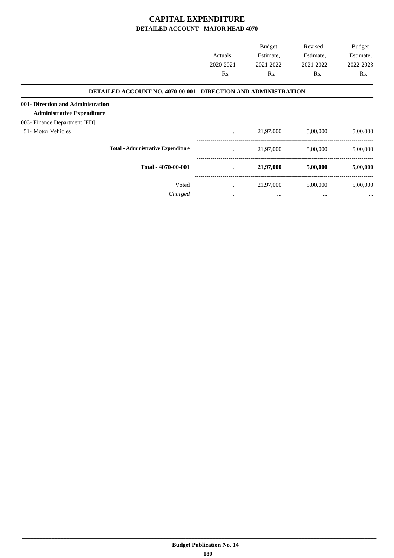|                                                                        | Actuals,<br>2020-2021<br>Rs. | <b>Budget</b><br>Estimate,<br>2021-2022<br>Rs. | Revised<br>Estimate,<br>2021-2022<br>Rs. | Budget<br>Estimate,<br>2022-2023<br>Rs. |
|------------------------------------------------------------------------|------------------------------|------------------------------------------------|------------------------------------------|-----------------------------------------|
| DETAILED ACCOUNT NO. 4070-00-001 - DIRECTION AND ADMINISTRATION        |                              |                                                |                                          |                                         |
| 001- Direction and Administration<br><b>Administrative Expenditure</b> |                              |                                                |                                          |                                         |
| 003- Finance Department [FD]<br>51- Motor Vehicles                     | $\cdots$                     | 21,97,000                                      | 5,00,000                                 | 5,00,000                                |
| <b>Total - Administrative Expenditure</b>                              | $\cdots$                     | 21,97,000                                      | 5,00,000                                 | 5,00,000                                |
| Total - 4070-00-001                                                    | $\cdots$                     | 21,97,000                                      | 5,00,000                                 | 5,00,000                                |
| Voted                                                                  | $\cdots$                     | 21,97,000                                      | 5,00,000                                 | 5,00,000                                |
| Charged                                                                | $\cdots$                     | $\cdots$                                       | $\cdots$                                 | $\cdots$                                |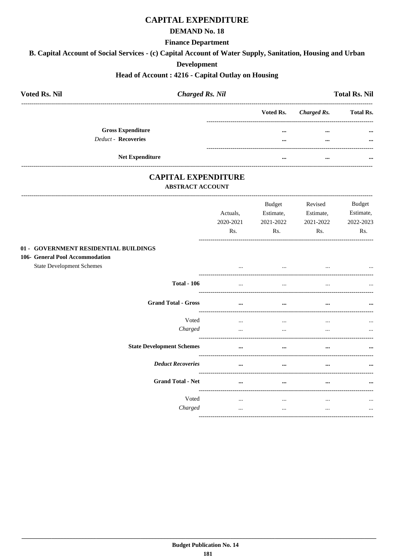## **CAPITAL EXPENDITURE**

### **DEMAND No. 18**

### **Finance Department**

B. Capital Account of Social Services - (c) Capital Account of Water Supply, Sanitation, Housing and Urban

### **Development**

### Head of Account: 4216 - Capital Outlay on Housing

| <b>Voted Rs. Nil</b> | <b>Charged Rs. Nil</b>     |                                                       |               | <b>Total Rs. Nil</b> |                  |
|----------------------|----------------------------|-------------------------------------------------------|---------------|----------------------|------------------|
|                      |                            |                                                       | Voted Rs.     | <b>Charged Rs.</b>   | <b>Total Rs.</b> |
|                      | <b>Gross Expenditure</b>   |                                                       | $\cdots$      | $\cdots$             | $\cdots$         |
|                      | <b>Deduct - Recoveries</b> |                                                       | $\cdots$      | $\cdots$             | $\cdots$         |
|                      | <b>Net Expenditure</b>     |                                                       | $\cdots$      | $\cdots$             | $\cdots$         |
|                      |                            | <b>CAPITAL EXPENDITURE</b><br><b>ABSTRACT ACCOUNT</b> |               |                      |                  |
|                      |                            |                                                       | <b>Budget</b> | Revised              | Budget           |
|                      |                            | Actuals.                                              | Estimate,     | Estimate,            | Estimate,        |
|                      |                            | 2020-2021                                             | 2021-2022     | 2021-2022            | 2022-2023        |
|                      |                            | Rs.                                                   | Rs.           | Rs.                  | Rs.              |

### 01 - GOVERNMENT RESIDENTIAL BUILDINGS

## 106- General Pool Accommodation

**State Development Schemes** 

|                                  | $\cdots$ | $\cdots$                       | $\cdots$ |           |
|----------------------------------|----------|--------------------------------|----------|-----------|
| <b>Total - 106</b>               | $\cdots$ | $\cdots$                       | $\cdots$ | $\cdots$  |
| <b>Grand Total - Gross</b>       | $\cdots$ | $\cdots$                       | $\cdots$ | $\cdots$  |
| Voted                            | $\cdots$ | $\cdots$                       | $\cdots$ | $\cdots$  |
| Charged                          | $\cdots$ | $\cdots$                       | $\cdots$ | $\ddotsc$ |
| <b>State Development Schemes</b> | $\cdots$ | $\cdots$                       | $\cdots$ | $\cdots$  |
| <b>Deduct Recoveries</b>         | $\cdots$ | $\cdots$                       |          |           |
| <b>Grand Total - Net</b>         |          | $\cdots$                       |          |           |
| Voted                            | $\cdots$ | ------------------<br>$\cdots$ | $\cdots$ |           |
| Charged                          | $\cdots$ | $\cdots$                       | $\cdots$ | $\cdots$  |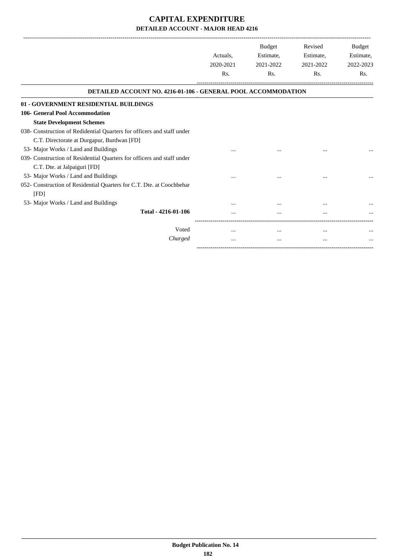-------------------------------------------------------------------------------------------------------------------------------------------------------------------------------

|                                                                        | Actuals.<br>2020-2021<br>Rs. | <b>Budget</b><br>Estimate,<br>2021-2022<br>Rs. | Revised<br>Estimate,<br>2021-2022<br>Rs. | <b>Budget</b><br>Estimate,<br>2022-2023<br>Rs. |
|------------------------------------------------------------------------|------------------------------|------------------------------------------------|------------------------------------------|------------------------------------------------|
| DETAILED ACCOUNT NO. 4216-01-106 - GENERAL POOL ACCOMMODATION          |                              |                                                |                                          |                                                |
| 01 - GOVERNMENT RESIDENTIAL BUILDINGS                                  |                              |                                                |                                          |                                                |
| 106- General Pool Accommodation                                        |                              |                                                |                                          |                                                |
| <b>State Development Schemes</b>                                       |                              |                                                |                                          |                                                |
| 038- Construction of Redidential Quarters for officers and staff under |                              |                                                |                                          |                                                |
| C.T. Directorate at Durgapur, Burdwan [FD]                             |                              |                                                |                                          |                                                |
| 53- Major Works / Land and Buildings                                   |                              |                                                |                                          | $\cdots$                                       |
| 039- Construction of Residential Quarters for officers and staff under |                              |                                                |                                          |                                                |
| C.T. Dte. at Jalpaiguri [FD]                                           |                              |                                                |                                          |                                                |
| 53- Major Works / Land and Buildings                                   |                              | $\cdots$                                       |                                          |                                                |
| 052- Construction of Residential Quarters for C.T. Dte. at Coochbehar  |                              |                                                |                                          |                                                |
| [FD]                                                                   |                              |                                                |                                          |                                                |
| 53- Major Works / Land and Buildings                                   |                              |                                                |                                          |                                                |
| Total - 4216-01-106                                                    |                              |                                                |                                          |                                                |
| Voted                                                                  | $\cdots$                     | $\cdots$                                       | $\cdots$                                 |                                                |
| Charged                                                                |                              | $\cdots$                                       |                                          |                                                |
|                                                                        |                              |                                                |                                          |                                                |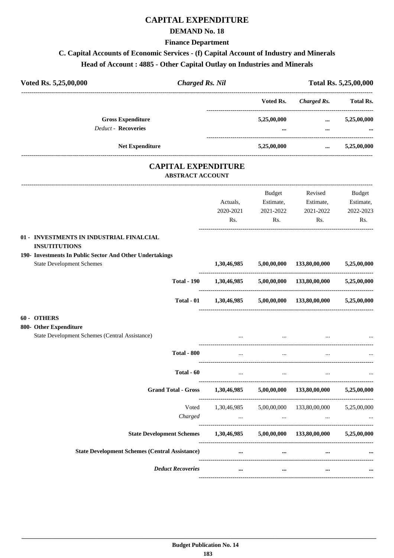## **CAPITAL EXPENDITURE**

### **DEMAND No. 18**

**Finance Department**

# **C. Capital Accounts of Economic Services - (f) Capital Account of Industry and Minerals**

## **Head of Account : 4885 - Other Capital Outlay on Industries and Minerals**

| Voted Rs. 5,25,00,000<br><b>Charged Rs. Nil</b>                                                                              |                          |             |                                                         | Total Rs. 5,25,00,000 |
|------------------------------------------------------------------------------------------------------------------------------|--------------------------|-------------|---------------------------------------------------------|-----------------------|
|                                                                                                                              |                          | Voted Rs.   | <b>Charged Rs.</b>                                      | <b>Total Rs.</b>      |
| <b>Gross Expenditure</b>                                                                                                     |                          | 5,25,00,000 | $\cdots$                                                | 5,25,00,000           |
| <b>Deduct - Recoveries</b>                                                                                                   |                          |             | $\ddotsc$                                               |                       |
| Net Expenditure                                                                                                              |                          | 5,25,00,000 | $\cdots$                                                | 5,25,00,000           |
| <b>CAPITAL EXPENDITURE</b><br><b>ABSTRACT ACCOUNT</b>                                                                        |                          |             |                                                         |                       |
|                                                                                                                              |                          | Budget      | Revised                                                 | <b>Budget</b>         |
|                                                                                                                              | Actuals,                 | Estimate,   | Estimate,                                               | Estimate,             |
|                                                                                                                              | 2020-2021                | 2021-2022   | 2021-2022                                               | 2022-2023             |
|                                                                                                                              | Rs.                      | Rs.         | Rs.                                                     | Rs.                   |
| 01 - INVESTMENTS IN INDUSTRIAL FINALCIAL<br><b>INSUTITUTIONS</b><br>190- Investments In Public Sector And Other Undertakings |                          |             |                                                         |                       |
| <b>State Development Schemes</b>                                                                                             | 1,30,46,985              | 5,00,00,000 | 133,80,00,000                                           | 5,25,00,000           |
| <b>Total - 190</b>                                                                                                           | 1,30,46,985              | 5,00,00,000 | 133,80,00,000                                           | 5,25,00,000           |
| Total - 01                                                                                                                   | 1,30,46,985              | 5,00,00,000 | 133,80,00,000                                           | 5,25,00,000           |
| 60 - OTHERS                                                                                                                  |                          |             |                                                         |                       |
| 800- Other Expenditure                                                                                                       |                          |             |                                                         |                       |
| <b>State Development Schemes (Central Assistance)</b>                                                                        |                          |             |                                                         |                       |
| <b>Total - 800</b>                                                                                                           |                          |             |                                                         |                       |
| Total - 60                                                                                                                   |                          |             |                                                         |                       |
| <b>Grand Total - Gross</b>                                                                                                   |                          |             | $1,30,46,985$ $5,00,00,000$ $133,80,00,000$             | 5,25,00,000           |
|                                                                                                                              |                          |             | Voted 1,30,46,985 5,00,00,000 133,80,00,000 5,25,00,000 |                       |
| Charged                                                                                                                      | <b>Contract Contract</b> | $\ldots$    | $\cdots$                                                |                       |
| State Development Schemes 1,30,46,985 5,00,00,000 133,80,00,000 5,25,00,000                                                  |                          |             |                                                         |                       |
| <b>State Development Schemes (Central Assistance)</b>                                                                        | $\cdots$                 | $\cdots$    | $\cdots$                                                |                       |
| <b>Deduct Recoveries</b>                                                                                                     |                          |             |                                                         |                       |

----------------------------------------------------------------------------------------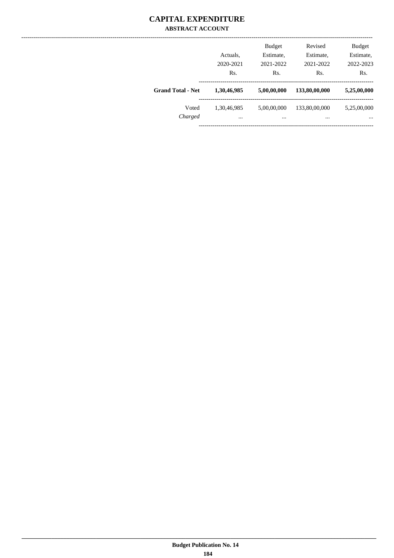### **CAPITAL EXPENDITURE ABSTRACT ACCOUNT**

|                          | Actuals,<br>2020-2021 | <b>Budget</b><br>Estimate,<br>2021-2022 | Revised<br>Estimate,<br>2021-2022 | <b>Budget</b><br>Estimate,<br>2022-2023 |
|--------------------------|-----------------------|-----------------------------------------|-----------------------------------|-----------------------------------------|
|                          | Rs.                   | Rs.                                     | Rs.                               | Rs.                                     |
| <b>Grand Total - Net</b> | 1,30,46,985           | 5,00,00,000                             | 133,80,00,000                     | 5,25,00,000                             |
| Voted                    | 1,30,46,985           | 5,00,00,000                             | 133,80,00,000                     | 5,25,00,000                             |
| Charged                  | $\cdots$              |                                         |                                   | $\cdots$                                |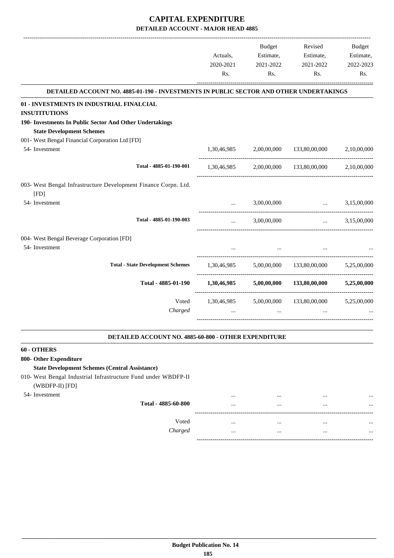|                                                                                        |           | Budget                      | Revised                                           | Budget               |
|----------------------------------------------------------------------------------------|-----------|-----------------------------|---------------------------------------------------|----------------------|
|                                                                                        | Actuals,  | Estimate,                   | Estimate,                                         | Estimate,            |
|                                                                                        | 2020-2021 | 2021-2022                   | 2021-2022                                         | 2022-2023            |
|                                                                                        | Rs.       | Rs.                         | Rs.                                               | Rs.                  |
| DETAILED ACCOUNT NO. 4885-01-190 - INVESTMENTS IN PUBLIC SECTOR AND OTHER UNDERTAKINGS |           |                             |                                                   |                      |
| 01 - INVESTMENTS IN INDUSTRIAL FINALCIAL                                               |           |                             |                                                   |                      |
| <b>INSUTITUTIONS</b>                                                                   |           |                             |                                                   |                      |
| 190- Investments In Public Sector And Other Undertakings                               |           |                             |                                                   |                      |
| <b>State Development Schemes</b>                                                       |           |                             |                                                   |                      |
| 001- West Bengal Financial Corporation Ltd [FD]                                        |           |                             |                                                   |                      |
| 54- Investment                                                                         |           |                             | 1,30,46,985 2,00,00,000 133,80,00,000 2,10,00,000 |                      |
| Total - 4885-01-190-001                                                                |           |                             | 1,30,46,985 2,00,00,000 133,80,00,000 2,10,00,000 |                      |
| 003- West Bengal Infrastructure Development Finance Corpn. Ltd.                        |           |                             |                                                   |                      |
| [FD]                                                                                   |           |                             |                                                   |                      |
| 54- Investment                                                                         |           | 3,00,00,000                 |                                                   | $\ldots$ 3,15,00,000 |
| Total - 4885-01-190-003                                                                | $\cdots$  | 3,00,00,000                 | $\sim$ $\sim$ $\sim$                              | 3,15,00,000          |
| 004- West Bengal Beverage Corporation [FD]                                             |           |                             |                                                   |                      |
| 54- Investment                                                                         |           | $\cdots$                    |                                                   |                      |
| <b>Total - State Development Schemes</b>                                               |           |                             | 1,30,46,985 5,00,00,000 133,80,00,000 5,25,00,000 |                      |
| Total - 4885-01-190                                                                    |           | $1,30,46,985$ $5,00,00,000$ | 133,80,00,000                                     | 5,25,00,000          |
| Voted                                                                                  |           |                             | 1,30,46,985 5,00,00,000 133,80,00,000 5,25,00,000 |                      |
| Charged                                                                                |           | $\cdots$                    | $\ddotsc$                                         |                      |
|                                                                                        |           |                             |                                                   |                      |

#### **DETAILED ACCOUNT NO. 4885-60-800 - OTHER EXPENDITURE .**

.

#### **60 - OTHERS**

### **800- Other Expenditure**

### **State Development Schemes (Central Assistance)**

010- West Bengal Industrial Infrastructure Fund under WBDFP-II (WBDFP-II) [FD]

 54- Investment ... ... ... ... **Total - 4885-60-800** ... ... ... ... ------------------------------------------------------------------------------------------ Voted ... ... ... ... *Charged* ... ... ... ... -----------------------------------------------------------------------------------------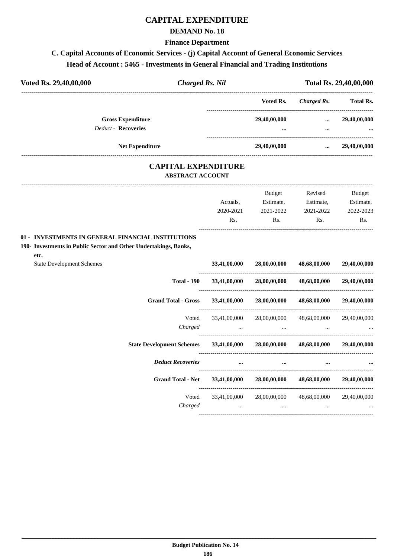## **CAPITAL EXPENDITURE**

## **DEMAND No. 18**

**Finance Department**

## **C. Capital Accounts of Economic Services - (j) Capital Account of General Economic Services Head of Account : 5465 - Investments in General Financial and Trading Institutions**

| Voted Rs. 29,40,00,000                                 | <b>Charged Rs. Nil</b> |                  | Total Rs. 29,40,00,000 |                          |
|--------------------------------------------------------|------------------------|------------------|------------------------|--------------------------|
|                                                        |                        | Voted Rs.        | Charged Rs.            | Total Rs.                |
| <b>Gross Expenditure</b><br><b>Deduct - Recoveries</b> |                        | 29,40,00,000<br> | $\cdots$<br>           | 29,40,00,000<br>$\cdots$ |
| <b>Net Expenditure</b>                                 |                        | 29,40,00,000     | $\cdots$               | 29,40,00,000             |

### **CAPITAL EXPENDITURE ABSTRACT ACCOUNT**

|           | Budget    | Revised   | Budget    |
|-----------|-----------|-----------|-----------|
| Actuals.  | Estimate, | Estimate, | Estimate, |
| 2020-2021 | 2021-2022 | 2021-2022 | 2022-2023 |
| Rs.       | Rs.       | Rs.       | Rs.       |
|           |           |           |           |

### **01 - INVESTMENTS IN GENERAL FINANCIAL INSTITUTIONS**

### **190- Investments in Public Sector and Other Undertakings, Banks,**

| etc.                             |                          |                          |                          |                          |
|----------------------------------|--------------------------|--------------------------|--------------------------|--------------------------|
| <b>State Development Schemes</b> | 33,41,00,000             | 28,00,00,000             | 48,68,00,000             | 29,40,00,000             |
| <b>Total - 190</b>               | 33,41,00,000             | 28,00,00,000             | 48,68,00,000             | 29,40,00,000             |
| <b>Grand Total - Gross</b>       | 33,41,00,000             | 28,00,00,000             | 48,68,00,000             | 29,40,00,000             |
| Voted<br>Charged                 | 33,41,00,000<br>$\cdots$ | 28,00,00,000<br>$\cdots$ | 48,68,00,000<br>$\cdots$ | 29,40,00,000<br>$\cdots$ |
| <b>State Development Schemes</b> | 33,41,00,000             | 28,00,00,000             | 48,68,00,000             | 29,40,00,000             |
| <b>Deduct Recoveries</b>         | $\cdots$                 | $\cdots$                 | $\cdots$                 | $\cdots$                 |
| <b>Grand Total - Net</b>         | 33,41,00,000             | 28,00,00,000             | 48,68,00,000             | 29,40,00,000             |
| Voted                            | 33,41,00,000             | 28,00,00,000             | 48,68,00,000             | 29,40,00,000             |
| Charged                          | $\cdots$                 | $\cdots$                 | $\cdots$                 | $\cdots$                 |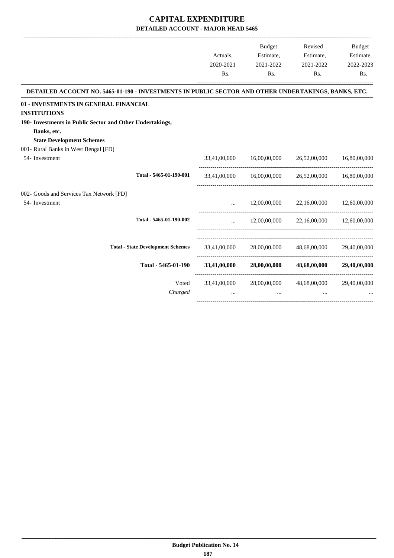-------------------------------------------------------------------------------------------------------------------------------------------------------------------------------

|                                                                                                     |           | <b>Budget</b> | Revised                                                     | <b>Budget</b> |
|-----------------------------------------------------------------------------------------------------|-----------|---------------|-------------------------------------------------------------|---------------|
|                                                                                                     | Actuals,  | Estimate,     | Estimate,                                                   | Estimate,     |
|                                                                                                     | 2020-2021 | 2021-2022     | 2021-2022                                                   | 2022-2023     |
|                                                                                                     | Rs.       | Rs.           | Rs.                                                         | Rs.           |
| DETAILED ACCOUNT NO. 5465-01-190 - INVESTMENTS IN PUBLIC SECTOR AND OTHER UNDERTAKINGS, BANKS, ETC. |           |               |                                                             |               |
| 01 - INVESTMENTS IN GENERAL FINANCIAL                                                               |           |               |                                                             |               |
| <b>INSTITUTIONS</b>                                                                                 |           |               |                                                             |               |
| 190- Investments in Public Sector and Other Undertakings,                                           |           |               |                                                             |               |
| Banks, etc.                                                                                         |           |               |                                                             |               |
| <b>State Development Schemes</b>                                                                    |           |               |                                                             |               |
| 001- Rural Banks in West Bengal [FD]                                                                |           |               |                                                             |               |
| 54- Investment                                                                                      |           |               | 33,41,00,000 16,00,00,000 26,52,00,000 16,80,00,000         |               |
| Total - 5465-01-190-001                                                                             |           |               | 33,41,00,000 16,00,00,000 26,52,00,000 16,80,00,000         |               |
| 002- Goods and Services Tax Network [FD]                                                            |           |               |                                                             |               |
| 54- Investment                                                                                      |           |               | $12,00,00,000$ $22,16,00,000$ $12,60,00,000$                |               |
| Total - 5465-01-190-002                                                                             |           |               | $12,00,00,000$ $22,16,00,000$ $12,60,00,000$                |               |
|                                                                                                     |           |               |                                                             |               |
| <b>Total - State Development Schemes</b>                                                            |           |               | 33,41,00,000 28,00,00,000 48,68,00,000                      | 29,40,00,000  |
| Total - 5465-01-190                                                                                 |           |               | $33,41,00,000$ $28,00,00,000$ $48,68,00,000$ $29,40,00,000$ |               |
|                                                                                                     |           |               |                                                             |               |
| Voted                                                                                               |           |               | 33,41,00,000 28,00,00,000 48,68,00,000 29,40,00,000         |               |
| Charged                                                                                             |           | $\cdots$      | $\cdots$                                                    |               |
|                                                                                                     |           |               |                                                             |               |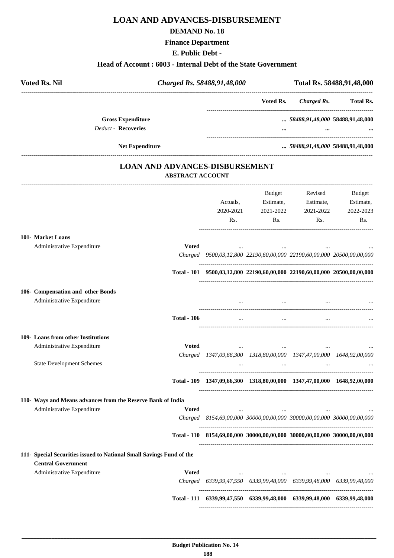## **LOAN AND ADVANCES-DISBURSEMENT**

### **DEMAND No. 18**

### **Finance Department**

**E. Public Debt -**

### **Head of Account : 6003 - Internal Debt of the State Government**

| <b>Voted Rs. Nil</b>                                                 |              | Charged Rs. 58488,91,48,000  |                                                                                                                     |                                    | Total Rs. 58488,91,48,000 |
|----------------------------------------------------------------------|--------------|------------------------------|---------------------------------------------------------------------------------------------------------------------|------------------------------------|---------------------------|
|                                                                      |              |                              |                                                                                                                     | Voted Rs. Charged Rs. Total Rs.    |                           |
| <b>Gross Expenditure</b>                                             |              |                              |                                                                                                                     | $$ 58488,91,48,000 58488,91,48,000 |                           |
| <b>Deduct - Recoveries</b>                                           |              |                              |                                                                                                                     | $\cdots$                           |                           |
| <b>Net Expenditure</b>                                               |              |                              |                                                                                                                     | 58488,91,48,000 58488,91,48,000    |                           |
| <b>LOAN AND ADVANCES-DISBURSEMENT</b>                                |              | <b>ABSTRACT ACCOUNT</b>      |                                                                                                                     |                                    |                           |
|                                                                      |              |                              | Budget                                                                                                              | Revised                            | Budget                    |
|                                                                      |              | Actuals,                     | Estimate,                                                                                                           | Estimate,                          | Estimate,                 |
|                                                                      |              | 2020-2021<br>Rs.             | 2021-2022<br>Rs.                                                                                                    | 2021-2022<br>Rs.                   | 2022-2023<br>Rs.          |
| 101- Market Loans                                                    |              |                              |                                                                                                                     |                                    |                           |
| Administrative Expenditure                                           | <b>Voted</b> |                              |                                                                                                                     |                                    |                           |
|                                                                      |              |                              | Charged 9500,03,12,800 22190,60,00,000 22190,60,00,000 20500,00,00,000                                              |                                    |                           |
|                                                                      |              |                              | Total - 101 9500,03,12,800 22190,60,00,000 22190,60,00,000 20500,00,00,000                                          |                                    |                           |
| 106- Compensation and other Bonds                                    |              |                              |                                                                                                                     |                                    |                           |
| Administrative Expenditure                                           |              |                              | and the contract of the contract of the contract of the contract of the contract of the contract of the contract of |                                    |                           |
| <b>Total - 106</b>                                                   |              | $\overline{\phantom{a}}$     | $\sim$                                                                                                              |                                    |                           |
| 109- Loans from other Institutions                                   |              |                              |                                                                                                                     |                                    |                           |
| Administrative Expenditure                                           | <b>Voted</b> | and the contract of the same |                                                                                                                     |                                    |                           |
| <b>State Development Schemes</b>                                     |              |                              | Charged 1347,09,66,300 1318,80,00,000 1347,47,00,000 1648,92,00,000                                                 |                                    |                           |
|                                                                      |              |                              | Total - 109 1347,09,66,300 1318,80,00,000 1347,47,00,000 1648,92,00,000                                             |                                    |                           |
|                                                                      |              |                              |                                                                                                                     |                                    |                           |
| 110- Ways and Means advances from the Reserve Bank of India          |              |                              |                                                                                                                     |                                    |                           |
| Administrative Expenditure                                           | <b>Voted</b> |                              | Charged 8154,69,00,000 30000,00,00,000 30000,00,00,000 30000,00,00,000                                              |                                    |                           |
|                                                                      |              |                              |                                                                                                                     |                                    |                           |
|                                                                      |              |                              | Total - 110 8154,69,00,000 30000,00,00,000 30000,00,00,000 30000,00,00,000                                          |                                    |                           |
| 111- Special Securities issued to National Small Savings Fund of the |              |                              |                                                                                                                     |                                    |                           |
| <b>Central Government</b><br>Administrative Expenditure              | <b>Voted</b> |                              |                                                                                                                     |                                    |                           |
|                                                                      |              | <b>See College</b>           | $\cdots$                                                                                                            |                                    |                           |

|  | Total - 111 6339,99,47,550 6339,99,48,000 6339,99,48,000 6339,99,48,000 |  |  |
|--|-------------------------------------------------------------------------|--|--|
|  | Charged 6339,99,47,550 6339,99,48,000 6339,99,48,000 6339,99,48,000     |  |  |
|  |                                                                         |  |  |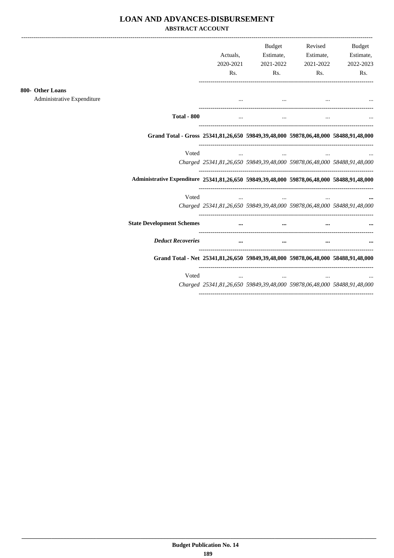## **LOAN AND ADVANCES-DISBURSEMENT ABSTRACT ACCOUNT**

|                            |                                                                                            | Actuals,<br>2020-2021<br>Rs. | <b>Budget</b><br>Estimate,<br>2021-2022<br>Rs.                                                                                                                                                                                       | Revised<br>Estimate,<br>2021-2022<br>Rs.            | Budget<br>Estimate,<br>2022-2023<br>Rs. |
|----------------------------|--------------------------------------------------------------------------------------------|------------------------------|--------------------------------------------------------------------------------------------------------------------------------------------------------------------------------------------------------------------------------------|-----------------------------------------------------|-----------------------------------------|
| 800- Other Loans           |                                                                                            |                              |                                                                                                                                                                                                                                      |                                                     |                                         |
| Administrative Expenditure |                                                                                            | $\cdots$                     |                                                                                                                                                                                                                                      |                                                     |                                         |
|                            | <b>Total - 800</b>                                                                         | $\cdots$                     | $\ddotsc$                                                                                                                                                                                                                            |                                                     |                                         |
|                            | Grand Total - Gross 25341,81,26,650 59849,39,48,000 59878,06,48,000 58488,91,48,000        |                              |                                                                                                                                                                                                                                      |                                                     |                                         |
|                            | Voted                                                                                      | $\cdots$                     |                                                                                                                                                                                                                                      | the contract of the contract of the contract of the |                                         |
|                            |                                                                                            |                              | Charged 25341,81,26,650 59849,39,48,000 59878,06,48,000 58488,91,48,000                                                                                                                                                              |                                                     |                                         |
|                            | Administrative Expenditure 25341,81,26,650 59849,39,48,000 59878,06,48,000 58488,91,48,000 |                              |                                                                                                                                                                                                                                      |                                                     |                                         |
|                            | Voted                                                                                      | $\cdots$                     | $\cdots$                                                                                                                                                                                                                             |                                                     |                                         |
|                            |                                                                                            |                              | Charged 25341,81,26,650 59849,39,48,000 59878,06,48,000 58488,91,48,000                                                                                                                                                              |                                                     |                                         |
|                            | <b>State Development Schemes</b>                                                           | $\cdots$                     | <u>and the company of the company of the company of the company of the company of the company of the company of the company of the company of the company of the company of the company of the company of the company of the com</u> |                                                     |                                         |
|                            | <b>Deduct Recoveries</b>                                                                   | $\cdots$                     | $\cdots$                                                                                                                                                                                                                             | $\cdots$                                            |                                         |
|                            | Grand Total - Net 25341,81,26,650 59849,39,48,000 59878,06,48,000 58488,91,48,000          |                              |                                                                                                                                                                                                                                      |                                                     |                                         |
|                            | Voted                                                                                      | $\cdots$                     | $\cdots$                                                                                                                                                                                                                             | $\cdots$                                            |                                         |
|                            |                                                                                            |                              | Charged 25341,81,26,650 59849,39,48,000 59878,06,48,000 58488,91,48,000                                                                                                                                                              |                                                     |                                         |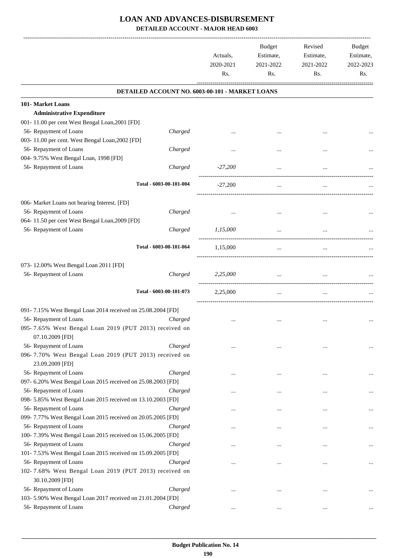# **LOAN AND ADVANCES-DISBURSEMENT**

**DETAILED ACCOUNT - MAJOR HEAD 6003**

|                                                                           | Actuals,<br>2020-2021<br>Rs. | <b>Budget</b><br>Estimate,<br>2021-2022<br>Rs. | Revised<br>Estimate,<br>2021-2022<br>Rs. | Budget<br>Estimate,<br>2022-2023<br>Rs. |
|---------------------------------------------------------------------------|------------------------------|------------------------------------------------|------------------------------------------|-----------------------------------------|
| DETAILED ACCOUNT NO. 6003-00-101 - MARKET LOANS                           |                              |                                                |                                          |                                         |
| 101- Market Loans                                                         |                              |                                                |                                          |                                         |
| <b>Administrative Expenditure</b>                                         |                              |                                                |                                          |                                         |
| 001-11.00 per cent West Bengal Loan, 2001 [FD]                            |                              |                                                |                                          |                                         |
| 56- Repayment of Loans<br>Charged                                         |                              |                                                |                                          |                                         |
| 003- 11.00 per cent. West Bengal Loan, 2002 [FD]                          |                              |                                                |                                          |                                         |
| 56- Repayment of Loans<br>Charged                                         | $\cdots$                     | $\cdots$                                       | $\cdots$                                 |                                         |
| 004- 9.75% West Bengal Loan, 1998 [FD]                                    |                              |                                                |                                          |                                         |
| 56- Repayment of Loans<br>Charged                                         | $-27,200$                    | $\cdots$                                       |                                          |                                         |
| Total - 6003-00-101-004                                                   | $-27,200$                    | $\ldots$                                       | $\cdots$                                 |                                         |
| 006- Market Loans not bearing Interest. [FD]                              |                              |                                                |                                          |                                         |
| 56- Repayment of Loans<br>Charged                                         |                              | $\cdots$                                       |                                          |                                         |
| 064-11.50 per cent West Bengal Loan, 2009 [FD]                            |                              |                                                |                                          |                                         |
| 56- Repayment of Loans<br>Charged                                         | 1,15,000                     | $\cdots$                                       |                                          |                                         |
|                                                                           |                              |                                                |                                          |                                         |
| Total - 6003-00-101-064                                                   | 1,15,000                     | $\cdots$                                       |                                          |                                         |
| 073- 12.00% West Bengal Loan 2011 [FD]                                    |                              |                                                |                                          |                                         |
| 56- Repayment of Loans<br>Charged                                         | 2,25,000                     | $\ddots$                                       |                                          |                                         |
|                                                                           |                              |                                                |                                          |                                         |
| Total - 6003-00-101-073                                                   | 2,25,000                     | $\cdots$                                       | $\cdots$                                 |                                         |
| 091- 7.15% West Bengal Loan 2014 received on 25.08.2004 [FD]              |                              |                                                |                                          |                                         |
| 56- Repayment of Loans<br>Charged                                         |                              |                                                |                                          |                                         |
| 095-7.65% West Bengal Loan 2019 (PUT 2013) received on<br>07.10.2009 [FD] |                              |                                                |                                          |                                         |
| 56- Repayment of Loans<br>Charged                                         |                              |                                                |                                          |                                         |
| 096-7.70% West Bengal Loan 2019 (PUT 2013) received on                    |                              | $\cdots$                                       | $\cdots$                                 |                                         |
| 23.09.2009 [FD]                                                           |                              |                                                |                                          |                                         |
| 56- Repayment of Loans<br>Charged                                         |                              |                                                |                                          |                                         |
| 097- 6.20% West Bengal Loan 2015 received on 25.08.2003 [FD]              |                              | $\cdots$                                       | $\ddotsc$                                |                                         |
| 56- Repayment of Loans<br>Charged                                         |                              | $\cdots$                                       | $\cdots$                                 | $\ddotsc$                               |
| 098- 5.85% West Bengal Loan 2015 received on 13.10.2003 [FD]              |                              |                                                |                                          |                                         |
| 56- Repayment of Loans<br>Charged                                         |                              | $\ddotsc$                                      |                                          |                                         |
| 099- 7.77% West Bengal Loan 2015 received on 20.05.2005 [FD]              |                              |                                                |                                          |                                         |
| 56- Repayment of Loans<br>Charged                                         | $\cdots$                     | $\cdots$                                       |                                          |                                         |
| 100-7.39% West Bengal Loan 2015 received on 15.06.2005 [FD]               |                              |                                                |                                          | $\cdots$                                |
| 56- Repayment of Loans<br>Charged                                         |                              |                                                |                                          |                                         |
| 101-7.53% West Bengal Loan 2015 received on 15.09.2005 [FD]               | $\cdots$                     | $\cdots$                                       |                                          |                                         |
| 56- Repayment of Loans<br>Charged                                         | $\cdots$                     | $\cdots$                                       |                                          |                                         |
| 102-7.68% West Bengal Loan 2019 (PUT 2013) received on                    |                              |                                                |                                          | $\ddotsc$                               |
| 30.10.2009 [FD]                                                           |                              |                                                |                                          |                                         |
| 56- Repayment of Loans<br>Charged                                         |                              |                                                |                                          |                                         |
| 103-5.90% West Bengal Loan 2017 received on 21.01.2004 [FD]               |                              | $\cdots$                                       | $\cdots$                                 | $\cdots$                                |
| 56- Repayment of Loans<br>Charged                                         | $\cdots$                     | $\cdots$                                       | $\cdots$                                 |                                         |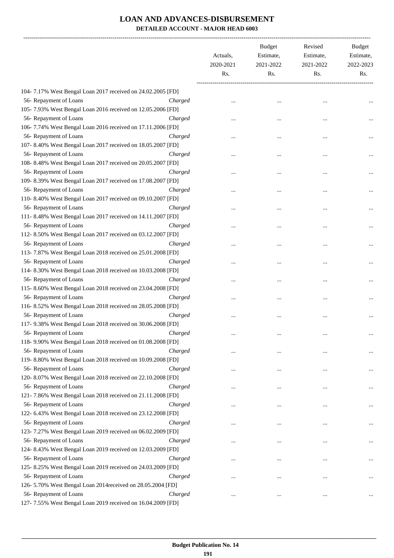|                                                              | Actuals,<br>2020-2021<br>Rs. | <b>Budget</b><br>Estimate,<br>2021-2022<br>Rs. | Revised<br>Estimate,<br>2021-2022<br>Rs. | Budget<br>Estimate,<br>2022-2023<br>Rs. |
|--------------------------------------------------------------|------------------------------|------------------------------------------------|------------------------------------------|-----------------------------------------|
| 104-7.17% West Bengal Loan 2017 received on 24.02.2005 [FD]  |                              |                                                |                                          |                                         |
| 56- Repayment of Loans                                       | Charged<br>                  |                                                |                                          |                                         |
| 105-7.93% West Bengal Loan 2016 received on 12.05.2006 [FD]  |                              |                                                |                                          |                                         |
| 56- Repayment of Loans                                       | Charged<br>                  | $\cdots$                                       |                                          |                                         |
| 106-7.74% West Bengal Loan 2016 received on 17.11.2006 [FD]  |                              |                                                |                                          |                                         |
| 56- Repayment of Loans                                       | Charged<br>$\cdots$          |                                                |                                          |                                         |
| 107-8.40% West Bengal Loan 2017 received on 18.05.2007 [FD]  |                              |                                                |                                          |                                         |
| 56- Repayment of Loans                                       | Charged<br>                  |                                                |                                          |                                         |
| 108-8.48% West Bengal Loan 2017 received on 20.05.2007 [FD]  |                              |                                                |                                          |                                         |
| 56- Repayment of Loans                                       | Charged<br>                  | $\cdots$                                       |                                          |                                         |
| 109-8.39% West Bengal Loan 2017 received on 17.08.2007 [FD]  |                              |                                                |                                          |                                         |
| 56- Repayment of Loans                                       | Charged<br>                  |                                                |                                          |                                         |
| 110-8.40% West Bengal Loan 2017 received on 09.10.2007 [FD]  |                              |                                                |                                          |                                         |
| 56- Repayment of Loans                                       | Charged<br>                  |                                                |                                          |                                         |
| 111-8.48% West Bengal Loan 2017 received on 14.11.2007 [FD]  |                              |                                                |                                          |                                         |
| 56- Repayment of Loans                                       | Charged<br>$\cdots$          |                                                |                                          |                                         |
| 112-8.50% West Bengal Loan 2017 received on 03.12.2007 [FD]  |                              |                                                |                                          |                                         |
| 56- Repayment of Loans                                       | Charged<br>$\cdots$          | $\cdots$                                       |                                          |                                         |
| 113-7.87% West Bengal Loan 2018 received on 25.01.2008 [FD]  |                              |                                                |                                          |                                         |
| 56- Repayment of Loans                                       | Charged<br>                  |                                                |                                          |                                         |
| 114-8.30% West Bengal Loan 2018 received on 10.03.2008 [FD]  |                              |                                                |                                          |                                         |
| 56- Repayment of Loans                                       | Charged<br>                  |                                                |                                          |                                         |
| 115-8.60% West Bengal Loan 2018 received on 23.04.2008 [FD]  |                              |                                                |                                          |                                         |
| 56- Repayment of Loans                                       | Charged<br>$\cdots$          |                                                |                                          |                                         |
| 116-8.52% West Bengal Loan 2018 received on 28.05.2008 [FD]  |                              |                                                |                                          |                                         |
| 56- Repayment of Loans                                       | Charged<br>$\cdots$          |                                                |                                          |                                         |
| 117- 9.38% West Bengal Loan 2018 received on 30.06.2008 [FD] |                              |                                                |                                          |                                         |
| 56- Repayment of Loans                                       | Charged<br>$\cdots$          | $\cdots$                                       | $\cdots$                                 | $\cdots$                                |
| 118-9.90% West Bengal Loan 2018 received on 01.08.2008 [FD]  |                              |                                                |                                          |                                         |
| 56- Repayment of Loans                                       | Charged<br>                  | $\cdots$                                       | $\cdots$                                 |                                         |
| 119-8.80% West Bengal Loan 2018 received on 10.09.2008 [FD]  |                              |                                                |                                          |                                         |
| 56- Repayment of Loans                                       | Charged<br>                  | $\cdots$                                       |                                          |                                         |
| 120-8.07% West Bengal Loan 2018 received on 22.10.2008 [FD]  |                              |                                                |                                          |                                         |
| 56- Repayment of Loans                                       | Charged<br>                  |                                                | $\ddotsc$                                |                                         |
| 121-7.86% West Bengal Loan 2018 received on 21.11.2008 [FD]  |                              |                                                |                                          |                                         |
| 56- Repayment of Loans                                       | Charged<br>                  | $\cdots$                                       |                                          |                                         |
| 122- 6.43% West Bengal Loan 2018 received on 23.12.2008 [FD] |                              |                                                |                                          |                                         |
| 56- Repayment of Loans                                       | Charged<br>                  | $\cdots$                                       | $\cdots$                                 | $\ddotsc$                               |
| 123- 7.27% West Bengal Loan 2019 received on 06.02.2009 [FD] |                              |                                                |                                          |                                         |
| 56- Repayment of Loans                                       | Charged<br>$\cdots$          | $\cdots$                                       | $\cdots$                                 |                                         |
| 124- 8.43% West Bengal Loan 2019 received on 12.03.2009 [FD] |                              |                                                |                                          |                                         |
| 56- Repayment of Loans                                       | Charged<br>$\cdots$          | $\cdots$                                       |                                          | $\cdots$                                |
| 125- 8.25% West Bengal Loan 2019 received on 24.03.2009 [FD] |                              |                                                |                                          |                                         |
| 56- Repayment of Loans                                       | Charged<br>$\cdots$          | $\cdots$                                       |                                          |                                         |
| 126- 5.70% West Bengal Loan 2014 received on 28.05.2004 [FD] |                              |                                                |                                          |                                         |
| 56- Repayment of Loans                                       | Charged<br>$\cdots$          | $\cdots$                                       | $\cdots$                                 |                                         |
| 127- 7.55% West Bengal Loan 2019 received on 16.04.2009 [FD] |                              |                                                |                                          |                                         |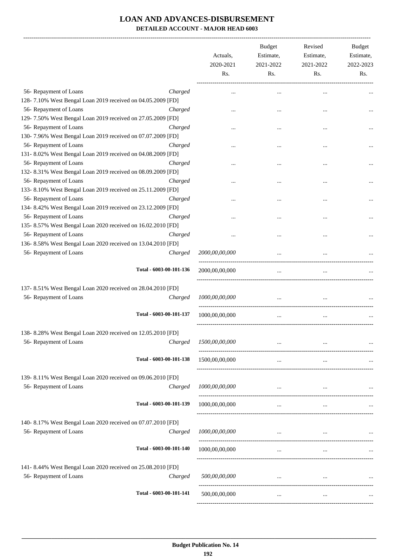|                                                                                                  | Actuals,<br>2020-2021<br>Rs. | <b>Budget</b><br>Estimate,<br>2021-2022<br>Rs. | Revised<br>Estimate,<br>2021-2022<br>Rs. | Budget<br>Estimate,<br>2022-2023<br>Rs. |
|--------------------------------------------------------------------------------------------------|------------------------------|------------------------------------------------|------------------------------------------|-----------------------------------------|
| 56- Repayment of Loans<br>Charged                                                                |                              | $\ddotsc$                                      | $\ddotsc$                                |                                         |
| 128-7.10% West Bengal Loan 2019 received on 04.05.2009 [FD]                                      |                              |                                                |                                          |                                         |
| 56- Repayment of Loans<br>Charged                                                                |                              |                                                |                                          |                                         |
| 129-7.50% West Bengal Loan 2019 received on 27.05.2009 [FD]                                      |                              |                                                |                                          |                                         |
| 56- Repayment of Loans<br>Charged                                                                |                              | $\ddotsc$                                      |                                          |                                         |
| 130- 7.96% West Bengal Loan 2019 received on 07.07.2009 [FD]                                     |                              |                                                |                                          |                                         |
| 56- Repayment of Loans<br>Charged                                                                |                              |                                                | $\cdots$                                 |                                         |
| 131-8.02% West Bengal Loan 2019 received on 04.08.2009 [FD]                                      |                              |                                                |                                          |                                         |
| 56- Repayment of Loans<br>Charged                                                                |                              | $\ddotsc$                                      | $\cdots$                                 |                                         |
| 132-8.31% West Bengal Loan 2019 received on 08.09.2009 [FD]                                      |                              |                                                |                                          |                                         |
| 56- Repayment of Loans<br>Charged                                                                |                              |                                                |                                          |                                         |
| 133-8.10% West Bengal Loan 2019 received on 25.11.2009 [FD]                                      |                              |                                                |                                          |                                         |
| 56- Repayment of Loans<br>Charged                                                                |                              |                                                | $\cdots$                                 |                                         |
| 134-8.42% West Bengal Loan 2019 received on 23.12.2009 [FD]                                      |                              |                                                |                                          |                                         |
| 56- Repayment of Loans<br>Charged                                                                |                              |                                                | $\cdots$                                 |                                         |
| 135-8.57% West Bengal Loan 2020 received on 16.02.2010 [FD]                                      |                              |                                                |                                          |                                         |
| 56- Repayment of Loans<br>Charged                                                                |                              |                                                |                                          |                                         |
| 136- 8.58% West Bengal Loan 2020 received on 13.04.2010 [FD]                                     |                              |                                                |                                          |                                         |
| 56- Repayment of Loans<br>Charged                                                                | 2000,00,00,000               | $\cdots$                                       |                                          |                                         |
| Total - 6003-00-101-136                                                                          | 2000,00,00,000               | $\cdots$                                       | $\cdots$                                 |                                         |
| 137-8.51% West Bengal Loan 2020 received on 28.04.2010 [FD]                                      |                              |                                                |                                          |                                         |
| 56- Repayment of Loans<br>Charged                                                                | 1000,00,00,000               | $\cdots$                                       | $\cdots$                                 |                                         |
| Total - 6003-00-101-137                                                                          |                              |                                                |                                          |                                         |
|                                                                                                  | 1000,00,00,000               |                                                |                                          |                                         |
| 138-8.28% West Bengal Loan 2020 received on 12.05.2010 [FD]                                      |                              |                                                |                                          |                                         |
| 56- Repayment of Loans<br>Charged                                                                | 1500,00,00,000               | $\cdots$                                       | $\cdots$                                 |                                         |
| Total - 6003-00-101-138                                                                          | 1500,00,00,000               | $\cdots$                                       | $\cdots$                                 |                                         |
| 139-8.11% West Bengal Loan 2020 received on 09.06.2010 [FD]<br>56- Repayment of Loans<br>Charged | 1000,00,00,000               | $\cdots$                                       |                                          |                                         |
| Total - 6003-00-101-139                                                                          | 1000,00,00,000               | $\cdots$                                       | $\cdots$                                 |                                         |
| 140-8.17% West Bengal Loan 2020 received on 07.07.2010 [FD]<br>56- Repayment of Loans<br>Charged | 1000,00,00,000               | $\cdots$                                       | the contract of the contract of the      |                                         |
| Total - 6003-00-101-140                                                                          | 1000,00,00,000               | $\cdots$                                       |                                          |                                         |
|                                                                                                  |                              |                                                |                                          |                                         |
| 141-8.44% West Bengal Loan 2020 received on 25.08.2010 [FD]<br>56- Repayment of Loans<br>Charged | 500,00,00,000                | $\cdots$                                       | $\sim$ $\sim$                            |                                         |
| Total - 6003-00-101-141                                                                          | 500,00,00,000                | $\cdots$                                       | $\cdots$                                 |                                         |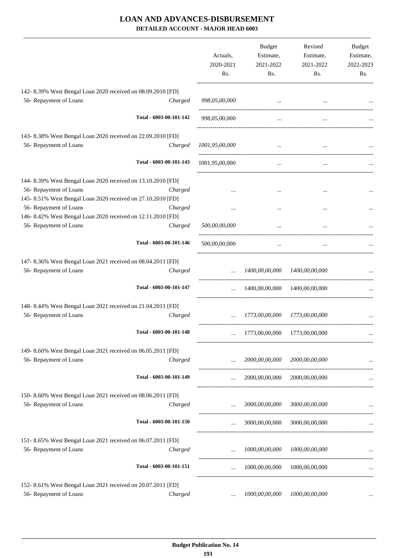|                                                                                                                                                                                            | Actuals,<br>2020-2021<br>Rs. | Budget<br>Estimate,<br>2021-2022<br>Rs. | Revised<br>Estimate,<br>2021-2022<br>Rs. | Budget<br>Estimate,<br>2022-2023<br>Rs. |
|--------------------------------------------------------------------------------------------------------------------------------------------------------------------------------------------|------------------------------|-----------------------------------------|------------------------------------------|-----------------------------------------|
| 142- 8.39% West Bengal Loan 2020 received on 08.09.2010 [FD]<br>56- Repayment of Loans<br>Charged                                                                                          | 998,05,00,000                | $\cdots$                                |                                          |                                         |
| Total - 6003-00-101-142                                                                                                                                                                    | 998,05,00,000                | $\cdots$                                |                                          |                                         |
| 143- 8.38% West Bengal Loan 2020 received on 22.09.2010 [FD]                                                                                                                               |                              |                                         |                                          |                                         |
| 56- Repayment of Loans<br>Charged                                                                                                                                                          | 1001,95,00,000               | $\ddots$                                | $\cdots$                                 |                                         |
| Total - 6003-00-101-143                                                                                                                                                                    | 1001,95,00,000               | $\cdots$                                | $\cdots$                                 |                                         |
| 144- 8.39% West Bengal Loan 2020 received on 13.10.2010 [FD]<br>56- Repayment of Loans<br>Charged<br>145-8.51% West Bengal Loan 2020 received on 27.10.2010 [FD]<br>56- Repayment of Loans | $\cdots$                     |                                         |                                          |                                         |
| Charged<br>146- 8.42% West Bengal Loan 2020 received on 12.11.2010 [FD]<br>56- Repayment of Loans<br>Charged                                                                               | $\cdots$<br>500,00,00,000    | $\cdots$                                | $\ddotsc$                                |                                         |
| Total - 6003-00-101-146                                                                                                                                                                    | 500,00,00,000                | $\cdots$                                |                                          |                                         |
| 147- 8.36% West Bengal Loan 2021 received on 08.04.2011 [FD]<br>56- Repayment of Loans<br>Charged                                                                                          |                              | $\ldots$ 1400,00,00,000 1400,00,00,000  |                                          |                                         |
| Total - 6003-00-101-147                                                                                                                                                                    | $\cdots$                     |                                         | 1400,00,00,000 1400,00,00,000            |                                         |
| 148-8.44% West Bengal Loan 2021 received on 21.04.2011 [FD]<br>56- Repayment of Loans<br>Charged                                                                                           |                              | $\ldots$ 1773,00,00,000 1773,00,00,000  |                                          |                                         |
| Total - 6003-00-101-148                                                                                                                                                                    |                              |                                         | 1773,00,00,000 1773,00,00,000            |                                         |
| 149-8.60% West Bengal Loan 2021 received on 06.05.2011 [FD]<br>56- Repayment of Loans<br>Charged                                                                                           | $\ddots$                     | 2000,00,00,000                          | 2000,00,00,000                           |                                         |
| Total - 6003-00-101-149                                                                                                                                                                    | $\cdots$                     | 2000,00,00,000                          | 2000,00,00,000                           |                                         |
| 150-8.60% West Bengal Loan 2021 received on 08.06.2011 [FD]<br>56- Repayment of Loans<br>Charged                                                                                           | $\ldots$                     | 3000,00,00,000                          | 3000,00,00,000                           |                                         |
| Total - 6003-00-101-150                                                                                                                                                                    | $\cdots$                     | 3000,00,00,000                          | 3000,00,00,000                           |                                         |
| 151-8.65% West Bengal Loan 2021 received on 06.07.2011 [FD]<br>56- Repayment of Loans<br>Charged                                                                                           |                              | 1000,00,00,000                          | 1000,00,00,000                           |                                         |
| Total - 6003-00-101-151                                                                                                                                                                    |                              | 1000,00,00,000                          | 1000,00,00,000                           |                                         |
| 152-8.61% West Bengal Loan 2021 received on 20.07.2011 [FD]<br>56- Repayment of Loans<br>Charged                                                                                           |                              | 1000,00,00,000                          | 1000,00,00,000                           |                                         |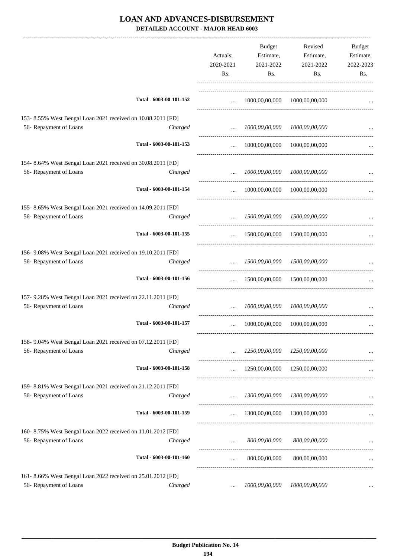|                                                                                       |                         | Actuals,<br>2020-2021<br>Rs. | <b>Budget</b><br>Estimate,<br>2021-2022<br>Rs. | Revised<br>Estimate,<br>2021-2022<br>Rs. | <b>Budget</b><br>Estimate,<br>2022-2023<br>Rs. |
|---------------------------------------------------------------------------------------|-------------------------|------------------------------|------------------------------------------------|------------------------------------------|------------------------------------------------|
|                                                                                       | Total - 6003-00-101-152 | $\cdots$                     |                                                | 1000,00,00,000 1000,00,00,000            |                                                |
| 153-8.55% West Bengal Loan 2021 received on 10.08.2011 [FD]<br>56- Repayment of Loans | Charged                 | $\cdots$                     | 1000,00,00,000                                 | 1000,00,00,000                           |                                                |
|                                                                                       | Total - 6003-00-101-153 |                              | 1000,00,00,000                                 | 1000,00,00,000                           |                                                |
|                                                                                       |                         |                              |                                                |                                          |                                                |
| 154-8.64% West Bengal Loan 2021 received on 30.08.2011 [FD]                           |                         |                              |                                                |                                          |                                                |
| 56- Repayment of Loans                                                                | Charged                 |                              | $\ldots$ 1000,00,00,000                        | 1000,00,00,000                           |                                                |
|                                                                                       | Total - 6003-00-101-154 | $\cdots$                     | 1000,00,00,000                                 | 1000,00,00,000                           |                                                |
| 155-8.65% West Bengal Loan 2021 received on 14.09.2011 [FD]                           |                         |                              |                                                |                                          |                                                |
| 56- Repayment of Loans                                                                | Charged                 | $\ddotsc$                    | 1500,00,00,000                                 | 1500,00,00,000                           |                                                |
|                                                                                       | Total - 6003-00-101-155 | $\cdots$                     | 1500,00,00,000                                 | 1500,00,00,000                           |                                                |
| 156- 9.08% West Bengal Loan 2021 received on 19.10.2011 [FD]                          |                         |                              |                                                |                                          |                                                |
| 56- Repayment of Loans                                                                | Charged                 |                              | 1500,00,00,000                                 | 1500,00,00,000                           |                                                |
|                                                                                       | Total - 6003-00-101-156 |                              |                                                | 1500,00,00,000 1500,00,00,000            |                                                |
| 157- 9.28% West Bengal Loan 2021 received on 22.11.2011 [FD]                          |                         |                              |                                                |                                          |                                                |
| 56- Repayment of Loans                                                                | Charged                 | $\cdots$                     | 1000,00,00,000                                 | 1000,00,00,000                           |                                                |
|                                                                                       | Total - 6003-00-101-157 | $\cdots$                     | 1000,00,00,000                                 | 1000,00,00,000                           |                                                |
|                                                                                       |                         |                              |                                                |                                          |                                                |
| 158-9.04% West Bengal Loan 2021 received on 07.12.2011 [FD]<br>56- Repayment of Loans | Charged                 |                              | 1250,00,00,000                                 | 1250,00,00,000                           |                                                |
|                                                                                       |                         | $\ddots$                     |                                                |                                          |                                                |
|                                                                                       | Total - 6003-00-101-158 | $\cdots$                     |                                                | 1250,00,00,000 1250,00,00,000            |                                                |
| 159-8.81% West Bengal Loan 2021 received on 21.12.2011 [FD]                           |                         |                              |                                                |                                          |                                                |
| 56- Repayment of Loans                                                                | Charged                 | $\cdots$                     | 1300,00,00,000                                 | 1300,00,00,000                           |                                                |
|                                                                                       | Total - 6003-00-101-159 | $\cdots$                     | 1300,00,00,000                                 | 1300,00,00,000                           |                                                |
|                                                                                       |                         |                              |                                                |                                          |                                                |
| 160- 8.75% West Bengal Loan 2022 received on 11.01.2012 [FD]                          |                         |                              |                                                |                                          |                                                |
| 56- Repayment of Loans                                                                | Charged                 | $\cdots$                     | 800,00,00,000                                  | 800,00,00,000                            |                                                |
|                                                                                       | Total - 6003-00-101-160 |                              | 800,00,00,000                                  | 800,00,00,000                            |                                                |
| 161-8.66% West Bengal Loan 2022 received on 25.01.2012 [FD]                           |                         |                              |                                                |                                          |                                                |
| 56- Repayment of Loans                                                                | Charged                 |                              | 1000,00,00,000                                 | 1000,00,00,000                           |                                                |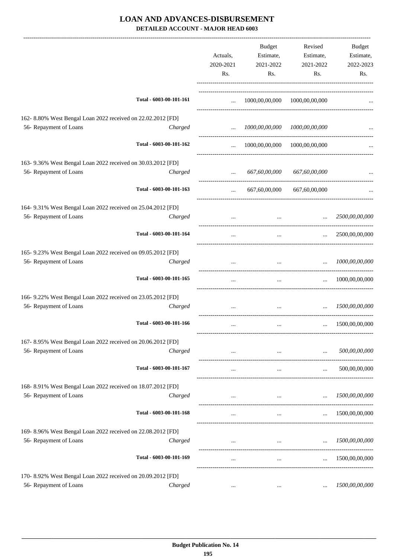|                                                                                        |                         | Actuals,<br>2020-2021<br>Rs. | <b>Budget</b><br>Estimate,<br>2021-2022<br>Rs. | Revised<br>Estimate,<br>2021-2022<br>Rs.      | Budget<br>Estimate,<br>2022-2023<br>Rs. |
|----------------------------------------------------------------------------------------|-------------------------|------------------------------|------------------------------------------------|-----------------------------------------------|-----------------------------------------|
|                                                                                        | Total - 6003-00-101-161 | $\ddots$                     | 1000,00,00,000                                 | 1000,00,00,000                                |                                         |
| 162-8.80% West Bengal Loan 2022 received on 22.02.2012 [FD]                            |                         |                              |                                                |                                               |                                         |
| 56- Repayment of Loans                                                                 | Charged                 | $\ddots$                     | 1000,00,00,000                                 | 1000,00,00,000                                | ---------------                         |
|                                                                                        | Total - 6003-00-101-162 | $\cdots$                     | 1000,00,00,000                                 | 1000,00,00,000                                |                                         |
| 163- 9.36% West Bengal Loan 2022 received on 30.03.2012 [FD]                           |                         |                              |                                                |                                               |                                         |
| 56- Repayment of Loans                                                                 | Charged                 | $\cdots$                     | 667,60,00,000                                  | 667,60,00,000                                 |                                         |
|                                                                                        | Total - 6003-00-101-163 | $\cdots$                     | 667,60,00,000                                  | 667,60,00,000                                 |                                         |
| 164-9.31% West Bengal Loan 2022 received on 25.04.2012 [FD]<br>56- Repayment of Loans  | Charged                 |                              |                                                |                                               | 2500,00,00,000                          |
|                                                                                        |                         | $\cdots$                     | $\ddots$                                       | $\mathbf{1}$ , $\mathbf{1}$                   |                                         |
|                                                                                        | Total - 6003-00-101-164 | $\cdots$                     | $\cdots$                                       | $\cdots$                                      | 2500,00,00,000                          |
| 165- 9.23% West Bengal Loan 2022 received on 09.05.2012 [FD]<br>56- Repayment of Loans | Charged                 |                              | $\cdots$                                       | $\cdots$                                      | 1000,00,00,000                          |
|                                                                                        | Total - 6003-00-101-165 | $\cdots$                     | $\cdots$                                       |                                               | 1000,00,00,000                          |
| 166- 9.22% West Bengal Loan 2022 received on 23.05.2012 [FD]                           |                         |                              |                                                |                                               |                                         |
| 56- Repayment of Loans                                                                 | Charged                 | $\cdots$                     | $\cdots$                                       | $\cdots$                                      | 1500,00,00,000                          |
|                                                                                        | Total - 6003-00-101-166 |                              | $\cdots$                                       | $\cdots$                                      | 1500,00,00,000                          |
| 167-8.95% West Bengal Loan 2022 received on 20.06.2012 [FD]                            |                         |                              |                                                |                                               |                                         |
| 56- Repayment of Loans                                                                 | Charged                 | $\cdots$                     |                                                | $\cdots$<br>and the state of the state of the | 500,00,00,000                           |
|                                                                                        | Total - 6003-00-101-167 |                              | $\cdots$                                       | and the                                       | 500,00,00,000                           |
| 168-8.91% West Bengal Loan 2022 received on 18.07.2012 [FD]<br>56- Repayment of Loans  | Charged                 | $\cdots$                     | $\cdots$                                       | $\cdots$                                      | 1500,00,00,000                          |
|                                                                                        | Total - 6003-00-101-168 | $\cdots$                     | $\cdots$                                       | $\cdots$                                      | 1500,00,00,000                          |
| 169-8.96% West Bengal Loan 2022 received on 22.08.2012 [FD]                            |                         |                              |                                                |                                               |                                         |
| 56- Repayment of Loans                                                                 | Charged                 | $\cdots$                     | $\cdots$                                       | $\cdots$                                      | 1500,00,00,000                          |
|                                                                                        | Total - 6003-00-101-169 |                              | $\cdots$                                       |                                               | 1500,00,00,000                          |
| 170- 8.92% West Bengal Loan 2022 received on 20.09.2012 [FD]                           |                         |                              |                                                |                                               |                                         |
| 56- Repayment of Loans                                                                 | Charged                 | $\ldots$                     | $\cdots$                                       | $\cdots$                                      | 1500,00,00,000                          |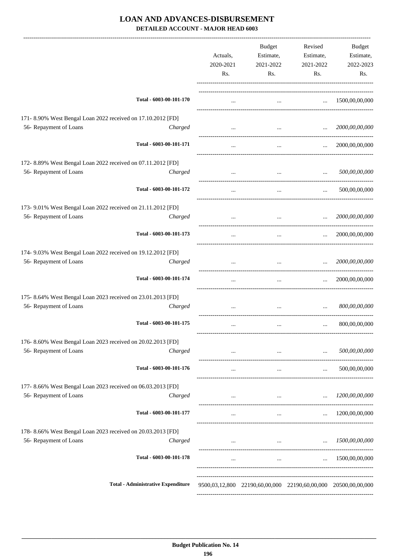|                                                                                        |                                           | Actuals,<br>2020-2021<br>Rs. | <b>Budget</b><br>Estimate,<br>2021-2022<br>Rs. | Revised<br>Estimate,<br>2021-2022<br>Rs.                       | <b>Budget</b><br>Estimate,<br>2022-2023<br>Rs. |
|----------------------------------------------------------------------------------------|-------------------------------------------|------------------------------|------------------------------------------------|----------------------------------------------------------------|------------------------------------------------|
|                                                                                        | Total - 6003-00-101-170                   |                              | $\cdots$                                       | $\cdots$                                                       | 1500,00,00,000                                 |
| 171-8.90% West Bengal Loan 2022 received on 17.10.2012 [FD]<br>56- Repayment of Loans  | Charged                                   |                              | $\cdots$                                       | $\cdots$                                                       | 2000,00,00,000                                 |
|                                                                                        | Total - 6003-00-101-171                   |                              |                                                | $\cdots$                                                       | 2000,00,00,000                                 |
|                                                                                        |                                           | $\cdots$                     | $\cdots$                                       |                                                                |                                                |
| 172- 8.89% West Bengal Loan 2022 received on 07.11.2012 [FD]<br>56- Repayment of Loans | Charged                                   |                              |                                                | $\ddots$<br>and the state of the state of the                  | 500,00,00,000                                  |
|                                                                                        | Total - 6003-00-101-172                   |                              | $\cdots$                                       | $\cdots$                                                       | 500,00,00,000                                  |
| 173- 9.01% West Bengal Loan 2022 received on 21.11.2012 [FD]<br>56- Repayment of Loans | Charged                                   | $\cdots$                     | $\cdots$                                       | $\cdots$                                                       | 2000,00,00,000                                 |
|                                                                                        | Total - 6003-00-101-173                   | $\cdots$                     | $\cdots$                                       | $\cdots$                                                       | 2000,00,00,000                                 |
| 174- 9.03% West Bengal Loan 2022 received on 19.12.2012 [FD]<br>56- Repayment of Loans | Charged                                   |                              | $\cdots$                                       |                                                                | 2000,00,00,000                                 |
|                                                                                        | Total - 6003-00-101-174                   | $\cdots$                     | $\ldots$                                       |                                                                | 2000,00,00,000                                 |
| 175-8.64% West Bengal Loan 2023 received on 23.01.2013 [FD]<br>56- Repayment of Loans  | Charged                                   | $\cdots$                     | $\cdots$                                       | $\cdots$                                                       | 800,00,00,000                                  |
|                                                                                        | Total - 6003-00-101-175                   | $\cdots$                     | $\cdots$                                       | $\cdots$                                                       | 800,00,00,000                                  |
| 176- 8.60% West Bengal Loan 2023 received on 20.02.2013 [FD]<br>56- Repayment of Loans | Charged                                   | $\cdots$                     |                                                | $\ddots$<br>the company of the company                         | 500,00,00,000                                  |
|                                                                                        | Total - 6003-00-101-176                   |                              | $\cdots$                                       | $\cdots$                                                       | 500,00,00,000                                  |
| 177-8.66% West Bengal Loan 2023 received on 06.03.2013 [FD]<br>56- Repayment of Loans  | Charged                                   | $\cdots$                     | $\cdots$                                       | $\cdots$                                                       | 1200,00,00,000                                 |
|                                                                                        | Total - 6003-00-101-177                   | $\cdots$                     | $\cdots$                                       | $\cdots$                                                       | 1200,00,00,000                                 |
| 178-8.66% West Bengal Loan 2023 received on 20.03.2013 [FD]<br>56- Repayment of Loans  | Charged                                   | $\cdots$                     | $\cdots$                                       | $\cdots$                                                       | 1500,00,00,000                                 |
|                                                                                        | Total - 6003-00-101-178                   |                              | $\cdots$                                       |                                                                | 1500,00,00,000                                 |
|                                                                                        | <b>Total - Administrative Expenditure</b> |                              |                                                | 9500,03,12,800 22190,60,00,000 22190,60,00,000 20500,00,00,000 |                                                |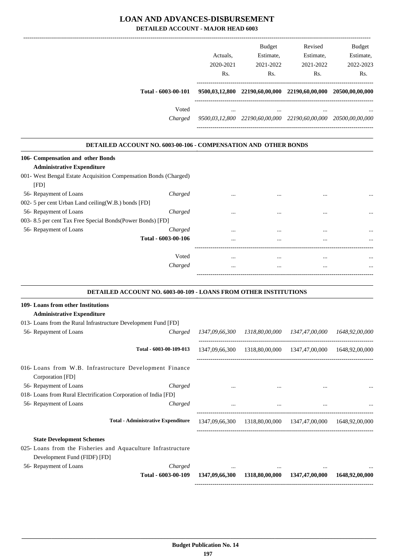# **LOAN AND ADVANCES-DISBURSEMENT**

**DETAILED ACCOUNT - MAJOR HEAD 6003**

|                                                                          | Actuals,<br>2020-2021<br>Rs. | Budget<br>Estimate,<br>2021-2022<br>Rs.                        | Revised<br>Estimate,<br>2021-2022<br>Rs. | <b>Budget</b><br>Estimate,<br>2022-2023<br>Rs. |
|--------------------------------------------------------------------------|------------------------------|----------------------------------------------------------------|------------------------------------------|------------------------------------------------|
| Total - 6003-00-101                                                      |                              | 9500,03,12,800 22190,60,00,000 22190,60,00,000 20500,00,00,000 |                                          |                                                |
| Voted                                                                    |                              |                                                                |                                          |                                                |
| Charged                                                                  |                              | 9500,03,12,800 22190,60,00,000 22190,60,00,000 20500,00,00,000 |                                          |                                                |
| <b>DETAILED ACCOUNT NO. 6003-00-106 - COMPENSATION AND OTHER BONDS</b>   |                              |                                                                |                                          |                                                |
| 106- Compensation and other Bonds                                        |                              |                                                                |                                          |                                                |
| <b>Administrative Expenditure</b>                                        |                              |                                                                |                                          |                                                |
| 001- West Bengal Estate Acquisition Compensation Bonds (Charged)<br>[FD] |                              |                                                                |                                          |                                                |
| 56- Repayment of Loans<br>Charged                                        |                              |                                                                |                                          |                                                |
| 002- 5 per cent Urban Land ceiling(W.B.) bonds [FD]                      |                              |                                                                |                                          |                                                |
| 56- Repayment of Loans<br>Charged                                        |                              |                                                                |                                          |                                                |
| 003-8.5 per cent Tax Free Special Bonds(Power Bonds) [FD]                |                              |                                                                |                                          |                                                |
| 56- Repayment of Loans<br>Charged                                        |                              |                                                                |                                          |                                                |
| Total - 6003-00-106                                                      |                              | $\cdots$                                                       |                                          |                                                |
| Voted                                                                    |                              |                                                                |                                          |                                                |
| Charged                                                                  |                              |                                                                |                                          |                                                |
|                                                                          |                              |                                                                |                                          |                                                |
| <b>DETAILED ACCOUNT NO. 6003-00-109 - LOANS FROM OTHER INSTITUTIONS</b>  |                              |                                                                |                                          |                                                |
| 109- Loans from other Institutions                                       |                              |                                                                |                                          |                                                |
| <b>Administrative Expenditure</b>                                        |                              |                                                                |                                          |                                                |
| 013- Loans from the Rural Infrastructure Development Fund [FD]           |                              |                                                                |                                          |                                                |
| 56- Repayment of Loans<br>Charged                                        |                              | 1347,09,66,300 1318,80,00,000 1347,47,00,000 1648,92,00,000    |                                          |                                                |
| Total - 6003-00-109-013                                                  |                              | 1347,09,66,300 1318,80,00,000 1347,47,00,000 1648,92,00,000    |                                          |                                                |
| 016- Loans from W.B. Infrastructure Development Finance                  |                              |                                                                |                                          |                                                |
| Corporation [FD]                                                         |                              |                                                                |                                          |                                                |
| 56- Repayment of Loans<br>Charged                                        | $\cdots$                     |                                                                |                                          | $\cdots$                                       |
| 018- Loans from Rural Electrification Corporation of India [FD]          |                              |                                                                |                                          |                                                |
| Charged<br>56- Repayment of Loans                                        | $\ldots$                     | $\cdots$                                                       | $\ldots$                                 |                                                |
| <b>Total - Administrative Expenditure</b>                                |                              | 1347,09,66,300 1318,80,00,000 1347,47,00,000 1648,92,00,000    |                                          |                                                |
| <b>State Development Schemes</b>                                         |                              |                                                                |                                          |                                                |
| 025- Loans from the Fisheries and Aquaculture Infrastructure             |                              |                                                                |                                          |                                                |
| Development Fund (FIDF) [FD]                                             |                              |                                                                |                                          |                                                |
| 56- Repayment of Loans<br>Charged                                        | $\ldots$                     | $\ldots$                                                       | $\cdots$                                 |                                                |
| Total - 6003-00-109                                                      |                              | 1347,09,66,300 1318,80,00,000 1347,47,00,000                   |                                          | 1648,92,00,000                                 |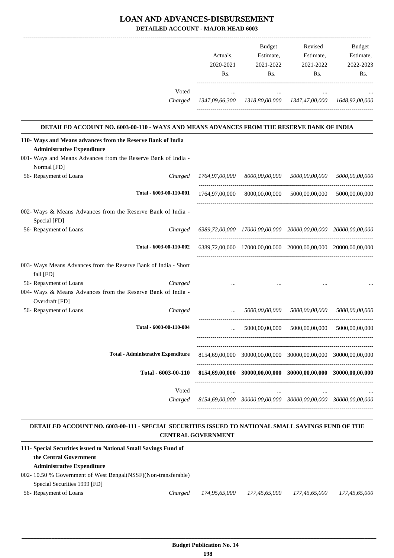|                                                                                                  |                                                                                           | Actuals,<br>2020-2021 | Budget<br>Estimate,<br>2021-2022                                           | Revised<br>Estimate,<br>2021-2022            | Budget<br>Estimate,<br>2022-2023 |
|--------------------------------------------------------------------------------------------------|-------------------------------------------------------------------------------------------|-----------------------|----------------------------------------------------------------------------|----------------------------------------------|----------------------------------|
|                                                                                                  |                                                                                           | Rs.                   | Rs.                                                                        | Rs.                                          | Rs.                              |
|                                                                                                  | Voted<br>Charged                                                                          | $\cdots$              | $\cdots$<br>1347,09,66,300 1318,80,00,000 1347,47,00,000 1648,92,00,000    |                                              |                                  |
|                                                                                                  | DETAILED ACCOUNT NO. 6003-00-110 - WAYS AND MEANS ADVANCES FROM THE RESERVE BANK OF INDIA |                       |                                                                            |                                              |                                  |
| 110- Ways and Means advances from the Reserve Bank of India<br><b>Administrative Expenditure</b> |                                                                                           |                       |                                                                            |                                              |                                  |
| Normal [FD]                                                                                      | 001- Ways and Means Advances from the Reserve Bank of India -                             |                       |                                                                            |                                              |                                  |
| 56- Repayment of Loans                                                                           | Charged                                                                                   |                       | 1764,97,00,000 8000,00,00,000 5000,00,00,000 5000,00,00,000                |                                              |                                  |
|                                                                                                  | Total - 6003-00-110-001                                                                   |                       | 1764,97,00,000 8000,00,00,000 5000,00,00,000 5000,00,00,000                |                                              |                                  |
| Special [FD]                                                                                     | 002- Ways & Means Advances from the Reserve Bank of India -                               |                       |                                                                            |                                              |                                  |
| 56- Repayment of Loans                                                                           | Charged                                                                                   |                       | 6389,72,00,000 17000,00,00,000 20000,00,00,000 20000,00,00,000             |                                              |                                  |
|                                                                                                  | Total - 6003-00-110-002                                                                   |                       | 6389,72,00,000 17000,00,00,000 20000,00,00,000 20000,00,00,000             |                                              |                                  |
| fall [FD]                                                                                        | 003- Ways Means Advances from the Reserve Bank of India - Short                           |                       |                                                                            |                                              |                                  |
| 56- Repayment of Loans<br>Overdraft [FD]                                                         | Charged<br>004- Ways & Means Advances from the Reserve Bank of India -                    |                       |                                                                            |                                              |                                  |
| 56- Repayment of Loans                                                                           | Charged                                                                                   |                       |                                                                            | 5000,00,00,000 5000,00,00,000 5000,00,00,000 |                                  |
|                                                                                                  | Total - 6003-00-110-004                                                                   | $\cdots$              | 5000,00,00,000                                                             | 5000,00,00,000                               | 5000,00,00,000                   |
|                                                                                                  | <b>Total - Administrative Expenditure</b>                                                 |                       | 8154,69,00,000 30000,00,00,000 30000,00,00,000 30000,00,00,000             |                                              |                                  |
|                                                                                                  | Total - 6003-00-110                                                                       |                       | 8154,69,00,000 30000,00,00,000 30000,00,00,000 30000,00,00,000             |                                              |                                  |
|                                                                                                  | Voted<br>Charged                                                                          | $\cdots$              | $\cdots$<br>8154,69,00,000 30000,00,00,000 30000,00,00,000 30000,00,00,000 |                                              |                                  |
|                                                                                                  |                                                                                           |                       |                                                                            |                                              |                                  |

#### **DETAILED ACCOUNT NO. 6003-00-111 - SPECIAL SECURITIES ISSUED TO NATIONAL SMALL SAVINGS FUND OF THE CENTRAL GOVERNMENT .**

.

| 111- Special Securities issued to National Small Savings Fund of |         |               |               |               |               |
|------------------------------------------------------------------|---------|---------------|---------------|---------------|---------------|
| the Central Government                                           |         |               |               |               |               |
| <b>Administrative Expenditure</b>                                |         |               |               |               |               |
| 002- 10.50 % Government of West Bengal(NSSF)(Non-transferable)   |         |               |               |               |               |
| Special Securities 1999 [FD]                                     |         |               |               |               |               |
| 56- Repayment of Loans                                           | Charged | 174,95,65,000 | 177.45.65.000 | 177.45.65.000 | 177,45,65,000 |
|                                                                  |         |               |               |               |               |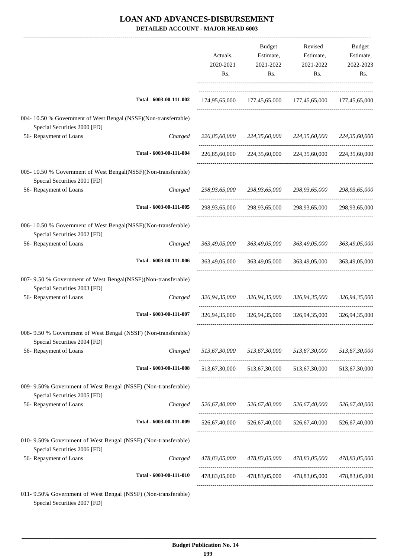|                                                                                                 |                         | Actuals,<br>2020-2021<br>Rs. | <b>Budget</b><br>Estimate,<br>2021-2022<br>Rs. | Revised<br>Estimate,<br>2021-2022<br>Rs.                | Budget<br>Estimate,<br>2022-2023<br>Rs. |
|-------------------------------------------------------------------------------------------------|-------------------------|------------------------------|------------------------------------------------|---------------------------------------------------------|-----------------------------------------|
|                                                                                                 | Total - 6003-00-111-002 |                              |                                                | 174,95,65,000 177,45,65,000 177,45,65,000 177,45,65,000 |                                         |
| 004-10.50 % Government of West Bengal (NSSF)(Non-transferrable)<br>Special Securities 2000 [FD] |                         |                              |                                                |                                                         |                                         |
| 56- Repayment of Loans                                                                          | Charged                 | 226,85,60,000                | 224,35,60,000                                  | 224,35,60,000                                           | 224,35,60,000                           |
|                                                                                                 | Total - 6003-00-111-004 | 226,85,60,000                | 224,35,60,000                                  | 224,35,60,000                                           | 224, 35, 60, 000                        |
| 005-10.50 % Government of West Bengal(NSSF)(Non-transferable)<br>Special Securities 2001 [FD]   |                         |                              |                                                |                                                         |                                         |
| 56- Repayment of Loans                                                                          | Charged                 | 298,93,65,000                | 298,93,65,000                                  | 298,93,65,000                                           | 298,93,65,000                           |
|                                                                                                 | Total - 6003-00-111-005 | 298,93,65,000                | 298,93,65,000                                  | 298,93,65,000                                           | 298,93,65,000                           |
| 006-10.50 % Government of West Bengal(NSSF)(Non-transferable)<br>Special Securities 2002 [FD]   |                         |                              |                                                |                                                         |                                         |
| 56- Repayment of Loans                                                                          | Charged                 | 363,49,05,000                | 363,49,05,000                                  | 363,49,05,000                                           | 363,49,05,000                           |
|                                                                                                 | Total - 6003-00-111-006 | 363,49,05,000                | 363,49,05,000                                  | 363,49,05,000                                           | 363,49,05,000                           |
| 007- 9.50 % Government of West Bengal(NSSF)(Non-transferable)<br>Special Securities 2003 [FD]   |                         |                              |                                                |                                                         |                                         |
| 56- Repayment of Loans                                                                          | Charged                 | 326,94,35,000                | 326,94,35,000                                  | 326,94,35,000                                           | 326,94,35,000                           |
|                                                                                                 | Total - 6003-00-111-007 | 326,94,35,000                | 326,94,35,000                                  | 326,94,35,000                                           | 326,94,35,000                           |
| 008- 9.50 % Government of West Bengal (NSSF) (Non-transferable)<br>Special Securities 2004 [FD] |                         |                              |                                                |                                                         |                                         |
| 56- Repayment of Loans                                                                          | Charged                 |                              |                                                | 513,67,30,000 513,67,30,000 513,67,30,000               | 513,67,30,000                           |
|                                                                                                 | Total - 6003-00-111-008 |                              |                                                | 513,67,30,000 513,67,30,000 513,67,30,000 513,67,30,000 |                                         |
| 009- 9.50% Government of West Bengal (NSSF) (Non-transferable)<br>Special Securities 2005 [FD]  |                         |                              |                                                |                                                         |                                         |
| 56- Repayment of Loans                                                                          | Charged                 |                              | 526,67,40,000 526,67,40,000                    | 526,67,40,000 526,67,40,000                             |                                         |
|                                                                                                 | Total - 6003-00-111-009 |                              |                                                | 526,67,40,000 526,67,40,000 526,67,40,000 526,67,40,000 |                                         |
| 010- 9.50% Government of West Bengal (NSSF) (Non-transferable)<br>Special Securities 2006 [FD]  |                         |                              |                                                |                                                         |                                         |
| 56- Repayment of Loans                                                                          | Charged                 |                              |                                                | 478,83,05,000 478,83,05,000 478,83,05,000 478,83,05,000 |                                         |
|                                                                                                 | Total - 6003-00-111-010 |                              |                                                | 478,83,05,000 478,83,05,000 478,83,05,000 478,83,05,000 |                                         |
| 011- 9.50% Government of West Bengal (NSSF) (Non-transferable)                                  |                         |                              |                                                |                                                         |                                         |

Special Securities 2007 [FD]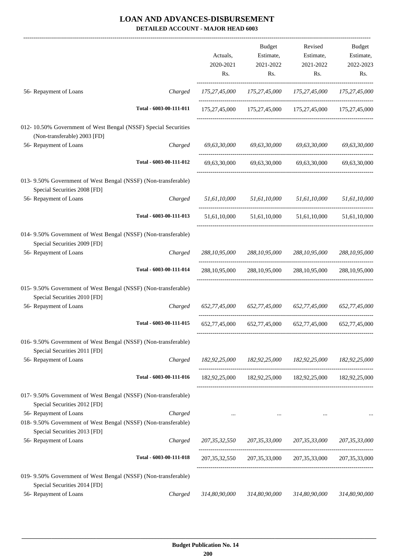|                                                                                                                         |                         | Actuals,<br>2020-2021<br>Rs. | <b>Budget</b><br>Estimate,<br>2021-2022<br>Rs. | Revised<br>Estimate,<br>2021-2022<br>Rs.                            | Budget<br>Estimate,<br>2022-2023<br>Rs. |
|-------------------------------------------------------------------------------------------------------------------------|-------------------------|------------------------------|------------------------------------------------|---------------------------------------------------------------------|-----------------------------------------|
| 56- Repayment of Loans                                                                                                  | Charged                 | 175,27,45,000                | 175,27,45,000                                  | 175,27,45,000                                                       | 175,27,45,000                           |
|                                                                                                                         | Total - 6003-00-111-011 |                              |                                                | 175,27,45,000 175,27,45,000 175,27,45,000 175,27,45,000             |                                         |
| 012- 10.50% Government of West Bengal (NSSF) Special Securities<br>(Non-transferable) 2003 [FD]                         |                         |                              |                                                |                                                                     |                                         |
| 56- Repayment of Loans                                                                                                  | Charged                 | 69,63,30,000                 | 69,63,30,000                                   | 69,63,30,000                                                        | 69,63,30,000                            |
|                                                                                                                         | Total - 6003-00-111-012 | 69,63,30,000                 | 69,63,30,000                                   | 69,63,30,000                                                        | 69,63,30,000                            |
| 013- 9.50% Government of West Bengal (NSSF) (Non-transferable)<br>Special Securities 2008 [FD]                          |                         |                              |                                                |                                                                     |                                         |
| 56- Repayment of Loans                                                                                                  | Charged                 | 51,61,10,000                 | 51,61,10,000                                   | 51,61,10,000                                                        | 51,61,10,000                            |
|                                                                                                                         | Total - 6003-00-111-013 | 51,61,10,000                 | 51,61,10,000                                   | 51,61,10,000                                                        | 51,61,10,000                            |
| 014- 9.50% Government of West Bengal (NSSF) (Non-transferable)<br>Special Securities 2009 [FD]                          |                         |                              |                                                |                                                                     |                                         |
| 56- Repayment of Loans                                                                                                  | Charged                 | 288,10,95,000                | 288,10,95,000                                  | 288,10,95,000                                                       | 288, 10, 95,000                         |
|                                                                                                                         | Total - 6003-00-111-014 | 288, 10, 95, 000             | 288,10,95,000                                  | 288,10,95,000                                                       | 288, 10, 95, 000                        |
| 015-9.50% Government of West Bengal (NSSF) (Non-transferable)<br>Special Securities 2010 [FD]                           |                         |                              |                                                |                                                                     |                                         |
| 56- Repayment of Loans                                                                                                  | Charged                 | 652,77,45,000                | 652,77,45,000                                  | 652,77,45,000                                                       | 652,77,45,000                           |
|                                                                                                                         | Total - 6003-00-111-015 | 652,77,45,000                | 652,77,45,000                                  | 652,77,45,000                                                       | 652,77,45,000                           |
| 016-9.50% Government of West Bengal (NSSF) (Non-transferable)<br>Special Securities 2011 [FD]                           |                         |                              |                                                |                                                                     |                                         |
| 56- Repayment of Loans                                                                                                  | Charged                 |                              |                                                | 182,92,25,000 182,92,25,000 182,92,25,000 182,92,25,000             |                                         |
|                                                                                                                         | Total - 6003-00-111-016 |                              |                                                | 182,92,25,000 182,92,25,000 182,92,25,000 182,92,25,000             |                                         |
| 017- 9.50% Government of West Bengal (NSSF) (Non-transferable)<br>Special Securities 2012 [FD]                          |                         |                              |                                                |                                                                     |                                         |
| 56- Repayment of Loans<br>018-9.50% Government of West Bengal (NSSF) (Non-transferable)<br>Special Securities 2013 [FD] | Charged                 |                              |                                                |                                                                     |                                         |
| 56- Repayment of Loans                                                                                                  | Charged                 |                              | 207, 35, 32, 550 207, 35, 33, 000              | 207,35,33,000                                                       | 207, 35, 33, 000                        |
|                                                                                                                         | Total - 6003-00-111-018 |                              |                                                | 207, 35, 32, 550 207, 35, 33, 000 207, 35, 33, 000 207, 35, 33, 000 |                                         |
| 019- 9.50% Government of West Bengal (NSSF) (Non-transferable)<br>Special Securities 2014 [FD]                          |                         |                              |                                                |                                                                     |                                         |
| 56- Repayment of Loans                                                                                                  | Charged                 | 314,80,90,000                | 314,80,90,000                                  | 314,80,90,000                                                       | 314,80,90,000                           |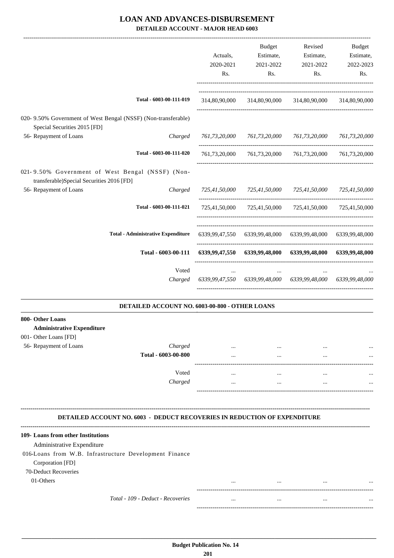|                                                                                                                                                                        |                                                                                  | Actuals,<br>2020-2021<br>Rs. | <b>Budget</b><br>Estimate,<br>2021-2022<br>Rs.                          | Revised<br>Estimate,<br>2021-2022<br>Rs.  | Budget<br>Estimate,<br>2022-2023<br>Rs. |
|------------------------------------------------------------------------------------------------------------------------------------------------------------------------|----------------------------------------------------------------------------------|------------------------------|-------------------------------------------------------------------------|-------------------------------------------|-----------------------------------------|
|                                                                                                                                                                        | Total - 6003-00-111-019                                                          | 314,80,90,000                |                                                                         | 314,80,90,000 314,80,90,000               | 314,80,90,000                           |
| 020- 9.50% Government of West Bengal (NSSF) (Non-transferable)<br>Special Securities 2015 [FD]                                                                         |                                                                                  |                              |                                                                         |                                           |                                         |
| 56- Repayment of Loans                                                                                                                                                 | Charged                                                                          | 761,73,20,000                | 761,73,20,000                                                           | 761,73,20,000                             | 761,73,20,000                           |
|                                                                                                                                                                        | Total - 6003-00-111-020                                                          | 761,73,20,000                | 761,73,20,000                                                           | 761,73,20,000                             | 761,73,20,000                           |
| 021-9.50% Government of West Bengal (NSSF) (Non-<br>transferable)Special Securities 2016 [FD]                                                                          |                                                                                  |                              |                                                                         |                                           |                                         |
| 56- Repayment of Loans                                                                                                                                                 | Charged                                                                          | 725,41,50,000                | 725,41,50,000                                                           | 725,41,50,000                             | 725,41,50,000                           |
|                                                                                                                                                                        | Total - 6003-00-111-021                                                          | 725,41,50,000                |                                                                         | 725,41,50,000 725,41,50,000 725,41,50,000 |                                         |
|                                                                                                                                                                        | <b>Total - Administrative Expenditure</b>                                        |                              | 6339,99,47,550 6339,99,48,000 6339,99,48,000 6339,99,48,000             |                                           |                                         |
|                                                                                                                                                                        | Total - 6003-00-111                                                              |                              | 6339,99,47,550 6339,99,48,000 6339,99,48,000 6339,99,48,000             |                                           |                                         |
|                                                                                                                                                                        | Voted<br>Charged                                                                 | $\cdots$                     | $\cdots$<br>6339,99,47,550 6339,99,48,000 6339,99,48,000 6339,99,48,000 | $\cdots$                                  |                                         |
|                                                                                                                                                                        | DETAILED ACCOUNT NO. 6003-00-800 - OTHER LOANS                                   |                              |                                                                         |                                           |                                         |
| 800- Other Loans<br><b>Administrative Expenditure</b><br>001- Other Loans [FD]                                                                                         |                                                                                  |                              |                                                                         |                                           |                                         |
| 56- Repayment of Loans                                                                                                                                                 | Charged<br>Total - 6003-00-800                                                   | $\ddotsc$<br>$\cdots$        | $\cdots$<br>$\cdots$                                                    | $\cdots$                                  |                                         |
|                                                                                                                                                                        |                                                                                  |                              |                                                                         |                                           |                                         |
|                                                                                                                                                                        | Voted<br>Charged                                                                 | $\cdots$<br>$\cdots$         | $\cdots$<br>$\ddotsc$                                                   | $\cdots$<br>$\cdots$                      |                                         |
|                                                                                                                                                                        | <b>DETAILED ACCOUNT NO. 6003 - DEDUCT RECOVERIES IN REDUCTION OF EXPENDITURE</b> |                              |                                                                         |                                           |                                         |
| 109- Loans from other Institutions<br>Administrative Expenditure<br>016-Loans from W.B. Infrastructure Development Finance<br>Corporation [FD]<br>70-Deduct Recoveries |                                                                                  |                              |                                                                         |                                           |                                         |
| 01-Others                                                                                                                                                              |                                                                                  |                              |                                                                         |                                           |                                         |
|                                                                                                                                                                        | Total - 109 - Deduct - Recoveries                                                | $\cdots$                     | $\cdots$                                                                | $\cdots$                                  |                                         |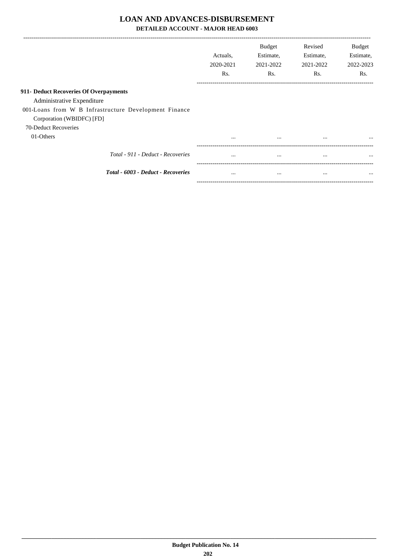|                                                                                                                                                                                    | Actuals.<br>2020-2021<br>Rs. | <b>Budget</b><br>Estimate,<br>2021-2022<br>Rs. | Revised<br>Estimate,<br>2021-2022<br>Rs. | <b>Budget</b><br>Estimate,<br>2022-2023<br>Rs. |
|------------------------------------------------------------------------------------------------------------------------------------------------------------------------------------|------------------------------|------------------------------------------------|------------------------------------------|------------------------------------------------|
| 911- Deduct Recoveries Of Overpayments<br>Administrative Expenditure<br>001-Loans from W B Infrastructure Development Finance<br>Corporation (WBIDFC) [FD]<br>70-Deduct Recoveries |                              |                                                |                                          |                                                |
| 01-Others                                                                                                                                                                          | $\cdots$                     | $\cdots$                                       | $\cdots$                                 | $\cdots$                                       |
| Total - 911 - Deduct - Recoveries                                                                                                                                                  | $\cdots$                     | $\cdots$                                       | $\cdots$                                 | $\cdots$                                       |
| Total - 6003 - Deduct - Recoveries                                                                                                                                                 | $\cdots$                     | $\cdots$                                       | $\cdots$                                 | $\cdots$                                       |

-----------------------------------------------------------------------------------------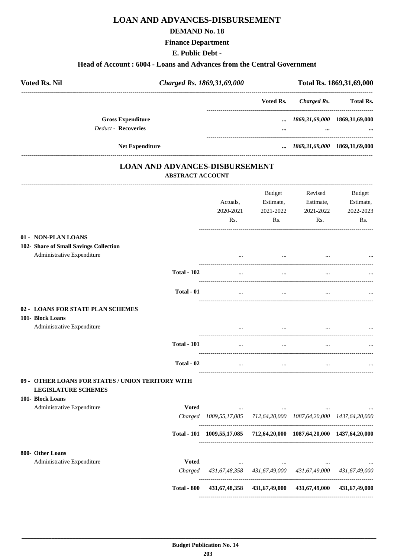## **LOAN AND ADVANCES-DISBURSEMENT**

### **DEMAND No. 18**

### **Finance Department**

### **E. Public Debt -**

### **Head of Account : 6004 - Loans and Advances from the Central Government**

| <b>Voted Rs. Nil</b>                                   | Charged Rs. 1869, 31, 69, 000 | Total Rs. 1869, 31, 69, 000                |                  |  |
|--------------------------------------------------------|-------------------------------|--------------------------------------------|------------------|--|
|                                                        | Voted Rs.                     | Charged Rs.                                | <b>Total Rs.</b> |  |
| <b>Gross Expenditure</b><br><b>Deduct - Recoveries</b> |                               | $\ldots$ 1869,31,69,000 1869,31,69,000<br> |                  |  |
| <b>Net Expenditure</b>                                 |                               | $\ldots$ 1869,31,69,000 1869,31,69,000     |                  |  |

### **LOAN AND ADVANCES-DISBURSEMENT ABSTRACT ACCOUNT**

|                            |                                                                                                                                                                                              | Actuals,<br>2020-2021<br>Rs.                      | Budget<br>Estimate,<br>2021-2022<br>Rs. | Revised<br>Estimate,<br>2021-2022<br>Rs. | Budget<br>Estimate,<br>2022-2023<br>Rs.                                                                                                                                                                                                                                    |
|----------------------------|----------------------------------------------------------------------------------------------------------------------------------------------------------------------------------------------|---------------------------------------------------|-----------------------------------------|------------------------------------------|----------------------------------------------------------------------------------------------------------------------------------------------------------------------------------------------------------------------------------------------------------------------------|
|                            |                                                                                                                                                                                              |                                                   |                                         |                                          |                                                                                                                                                                                                                                                                            |
| Administrative Expenditure |                                                                                                                                                                                              |                                                   | $\cdots$                                |                                          |                                                                                                                                                                                                                                                                            |
|                            | <b>Total - 102</b>                                                                                                                                                                           |                                                   |                                         |                                          |                                                                                                                                                                                                                                                                            |
|                            | Total - 01                                                                                                                                                                                   | $\ddotsc$                                         | $\cdots$                                | $\cdots$                                 |                                                                                                                                                                                                                                                                            |
| Administrative Expenditure |                                                                                                                                                                                              |                                                   | $\ldots$                                |                                          |                                                                                                                                                                                                                                                                            |
|                            | <b>Total - 101</b>                                                                                                                                                                           | $\cdots$                                          | $\cdots$                                | $\cdots$                                 |                                                                                                                                                                                                                                                                            |
|                            | Total - 02                                                                                                                                                                                   | $\ddotsc$                                         |                                         |                                          |                                                                                                                                                                                                                                                                            |
| <b>LEGISLATURE SCHEMES</b> |                                                                                                                                                                                              |                                                   |                                         |                                          |                                                                                                                                                                                                                                                                            |
|                            | <b>Voted</b>                                                                                                                                                                                 |                                                   |                                         |                                          |                                                                                                                                                                                                                                                                            |
|                            |                                                                                                                                                                                              |                                                   |                                         |                                          |                                                                                                                                                                                                                                                                            |
|                            |                                                                                                                                                                                              |                                                   |                                         |                                          |                                                                                                                                                                                                                                                                            |
|                            |                                                                                                                                                                                              |                                                   |                                         |                                          |                                                                                                                                                                                                                                                                            |
| Administrative Expenditure | <b>Voted</b>                                                                                                                                                                                 |                                                   |                                         |                                          |                                                                                                                                                                                                                                                                            |
|                            | <b>Total - 800</b>                                                                                                                                                                           |                                                   |                                         |                                          |                                                                                                                                                                                                                                                                            |
|                            | 01 - NON-PLAN LOANS<br>102- Share of Small Savings Collection<br>02 - LOANS FOR STATE PLAN SCHEMES<br>101- Block Loans<br>101- Block Loans<br>Administrative Expenditure<br>800- Other Loans | 09 - OTHER LOANS FOR STATES / UNION TERITORY WITH |                                         |                                          | Charged 1009,55,17,085 712,64,20,000 1087,64,20,000 1437,64,20,000<br>Total - 101 1009,55,17,085 712,64,20,000 1087,64,20,000 1437,64,20,000<br>Charged 431,67,48,358 431,67,49,000 431,67,49,000 431,67,49,000<br>431,67,48,358 431,67,49,000 431,67,49,000 431,67,49,000 |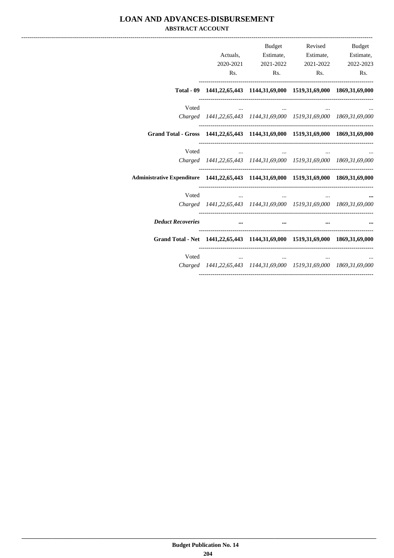### **LOAN AND ADVANCES-DISBURSEMENT ABSTRACT ACCOUNT**

|                                                                                                                                                                                                                                     |                                                                        | <b>Budget</b>                                                                                                                                                                                                                                | Revised                                       | Budget    |
|-------------------------------------------------------------------------------------------------------------------------------------------------------------------------------------------------------------------------------------|------------------------------------------------------------------------|----------------------------------------------------------------------------------------------------------------------------------------------------------------------------------------------------------------------------------------------|-----------------------------------------------|-----------|
|                                                                                                                                                                                                                                     | Actuals,                                                               | Estimate,                                                                                                                                                                                                                                    | Estimate,                                     | Estimate, |
|                                                                                                                                                                                                                                     | 2020-2021                                                              | 2021-2022                                                                                                                                                                                                                                    | 2021-2022                                     | 2022-2023 |
|                                                                                                                                                                                                                                     | Rs.                                                                    |                                                                                                                                                                                                                                              | Rs.<br>$\mathbf{Rs.}$                         | Rs.       |
|                                                                                                                                                                                                                                     | Total - 09 1441,22,65,443 1144,31,69,000 1519,31,69,000 1869,31,69,000 |                                                                                                                                                                                                                                              |                                               |           |
| Voted                                                                                                                                                                                                                               |                                                                        |                                                                                                                                                                                                                                              |                                               |           |
|                                                                                                                                                                                                                                     | Charged 1441,22,65,443 1144,31,69,000 1519,31,69,000 1869,31,69,000    |                                                                                                                                                                                                                                              |                                               |           |
| Grand Total - Gross 1441,22,65,443 1144,31,69,000 1519,31,69,000 1869,31,69,000                                                                                                                                                     |                                                                        |                                                                                                                                                                                                                                              |                                               |           |
| Voted                                                                                                                                                                                                                               | and the company of the company of the                                  | $\cdots$                                                                                                                                                                                                                                     |                                               |           |
|                                                                                                                                                                                                                                     | Charged 1441,22,65,443 1144,31,69,000 1519,31,69,000 1869,31,69,000    |                                                                                                                                                                                                                                              |                                               |           |
| Administrative Expenditure 1441,22,65,443 1144,31,69,000 1519,31,69,000 1869,31,69,000                                                                                                                                              |                                                                        |                                                                                                                                                                                                                                              |                                               |           |
| Voted                                                                                                                                                                                                                               | and the company of the company of                                      |                                                                                                                                                                                                                                              | the contract of the contract of the           |           |
|                                                                                                                                                                                                                                     | Charged 1441,22,65,443 1144,31,69,000 1519,31,69,000 1869,31,69,000    |                                                                                                                                                                                                                                              |                                               |           |
| <b>Deduct Recoveries</b> and the contract of the contract of the contract of the contract of the contract of the contract of the contract of the contract of the contract of the contract of the contract of the contract of the co |                                                                        |                                                                                                                                                                                                                                              | $\cdots$ and $\cdots$ are the set of $\cdots$ |           |
| Grand Total - Net 1441,22,65,443 1144,31,69,000 1519,31,69,000 1869,31,69,000                                                                                                                                                       |                                                                        |                                                                                                                                                                                                                                              |                                               |           |
| Voted                                                                                                                                                                                                                               |                                                                        | $\cdots$ . The contract of the contract of the contract of the contract of the contract of the contract of the contract of the contract of the contract of the contract of the contract of the contract of the contract of the c<br>$\cdots$ |                                               |           |
|                                                                                                                                                                                                                                     | Charged 1441,22,65,443 1144,31,69,000 1519,31,69,000 1869,31,69,000    |                                                                                                                                                                                                                                              |                                               |           |
|                                                                                                                                                                                                                                     |                                                                        |                                                                                                                                                                                                                                              |                                               |           |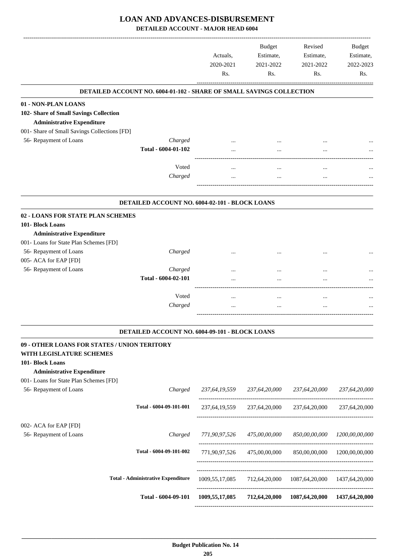## **LOAN AND ADVANCES-DISBURSEMENT**

**DETAILED ACCOUNT - MAJOR HEAD 6004**

|                                                                                                                                                                             |                                                                      | Actuals.<br>2020-2021<br>Rs. | Estimate,<br>2021-2022<br>Rs. | Estimate,<br>2021-2022<br>Rs.                              | <b>Budget</b><br>Estimate,<br>2022-2023<br>Rs. |
|-----------------------------------------------------------------------------------------------------------------------------------------------------------------------------|----------------------------------------------------------------------|------------------------------|-------------------------------|------------------------------------------------------------|------------------------------------------------|
|                                                                                                                                                                             | DETAILED ACCOUNT NO. 6004-01-102 - SHARE OF SMALL SAVINGS COLLECTION |                              |                               |                                                            |                                                |
| 01 - NON-PLAN LOANS<br>102- Share of Small Savings Collection<br><b>Administrative Expenditure</b>                                                                          |                                                                      |                              |                               |                                                            |                                                |
| 001- Share of Small Savings Collections [FD]<br>56- Repayment of Loans                                                                                                      | Charged<br>Total - 6004-01-102                                       |                              |                               |                                                            |                                                |
|                                                                                                                                                                             | Voted<br>Charged                                                     | .                            |                               | $\ddotsc$                                                  |                                                |
|                                                                                                                                                                             | DETAILED ACCOUNT NO. 6004-02-101 - BLOCK LOANS                       |                              |                               |                                                            |                                                |
| 02 - LOANS FOR STATE PLAN SCHEMES<br>101- Block Loans<br><b>Administrative Expenditure</b>                                                                                  |                                                                      |                              |                               |                                                            |                                                |
| 001- Loans for State Plan Schemes [FD]<br>56- Repayment of Loans<br>005- ACA for EAP [FD]                                                                                   | Charged                                                              |                              |                               |                                                            |                                                |
| 56- Repayment of Loans                                                                                                                                                      | Charged<br>Total - 6004-02-101                                       |                              |                               | $\cdots$                                                   |                                                |
|                                                                                                                                                                             | Voted<br>Charged                                                     | $\cdots$<br>                 |                               | $\cdots$<br>$\cdots$                                       |                                                |
|                                                                                                                                                                             | DETAILED ACCOUNT NO. 6004-09-101 - BLOCK LOANS                       |                              |                               |                                                            |                                                |
| 09 - OTHER LOANS FOR STATES / UNION TERITORY<br>WITH LEGISLATURE SCHEMES<br>101- Block Loans<br><b>Administrative Expenditure</b><br>001- Loans for State Plan Schemes [FD] |                                                                      |                              |                               |                                                            |                                                |
| 56- Repayment of Loans                                                                                                                                                      | Charged                                                              |                              |                               | 237,64,19,559 237,64,20,000 237,64,20,000                  | 237,64,20,000                                  |
|                                                                                                                                                                             | Total - 6004-09-101-001                                              |                              |                               | 237,64,19,559 237,64,20,000 237,64,20,000 237,64,20,000    |                                                |
| 002- ACA for EAP [FD]<br>56- Repayment of Loans                                                                                                                             | Charged                                                              |                              | 771,90,97,526 475,00,00,000   |                                                            | 850,00,00,000 1200,00,00,000                   |
|                                                                                                                                                                             | Total - 6004-09-101-002                                              |                              | 771,90,97,526 475,00,00,000   |                                                            | 850,00,00,000 1200,00,00,000                   |
|                                                                                                                                                                             | <b>Total - Administrative Expenditure</b>                            |                              |                               | 1009,55,17,085 712,64,20,000 1087,64,20,000 1437,64,20,000 |                                                |
|                                                                                                                                                                             | Total - 6004-09-101                                                  |                              |                               | 1009,55,17,085 712,64,20,000 1087,64,20,000 1437,64,20,000 |                                                |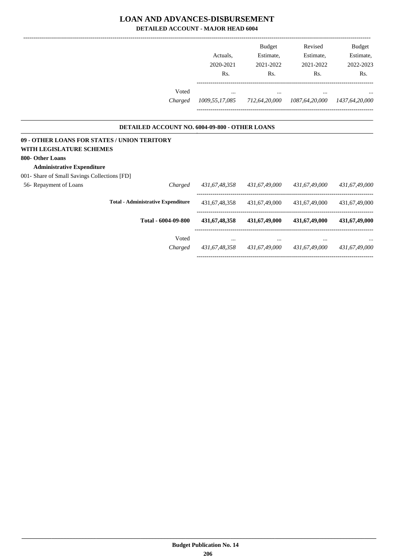|                                              |                                                |               | <b>Budget</b> | Revised                                                    | <b>Budget</b> |
|----------------------------------------------|------------------------------------------------|---------------|---------------|------------------------------------------------------------|---------------|
|                                              |                                                | Actuals.      | Estimate,     | Estimate,                                                  | Estimate,     |
|                                              |                                                | 2020-2021     | 2021-2022     | 2021-2022                                                  | 2022-2023     |
|                                              |                                                | Rs.           | Rs.           | Rs.                                                        | Rs.           |
|                                              | Voted                                          | $\cdots$      | $\cdots$      | $\cdots$                                                   |               |
|                                              | Charged                                        |               |               | 1009,55,17,085 712,64,20,000 1087,64,20,000 1437,64,20,000 |               |
|                                              | DETAILED ACCOUNT NO. 6004-09-800 - OTHER LOANS |               |               |                                                            |               |
| 09 - OTHER LOANS FOR STATES / UNION TERITORY |                                                |               |               |                                                            |               |
| WITH LEGISLATURE SCHEMES                     |                                                |               |               |                                                            |               |
| 800- Other Loans                             |                                                |               |               |                                                            |               |
| <b>Administrative Expenditure</b>            |                                                |               |               |                                                            |               |
| 001- Share of Small Savings Collections [FD] |                                                |               |               |                                                            |               |
| 56- Repayment of Loans                       | Charged                                        |               |               | 431,67,48,358 431,67,49,000 431,67,49,000 431,67,49,000    |               |
|                                              | <b>Total - Administrative Expenditure</b>      |               |               | 431,67,48,358 431,67,49,000 431,67,49,000 431,67,49,000    |               |
|                                              | Total - 6004-09-800                            | 431,67,48,358 | 431,67,49,000 | 431,67,49,000                                              | 431,67,49,000 |
|                                              | Voted                                          | $\cdots$      | $\cdots$      | $\cdots$                                                   |               |
|                                              | Charged                                        |               |               | 431,67,48,358 431,67,49,000 431,67,49,000 431,67,49,000    |               |
|                                              |                                                |               |               |                                                            |               |

-----------------------------------------------------------------------------------------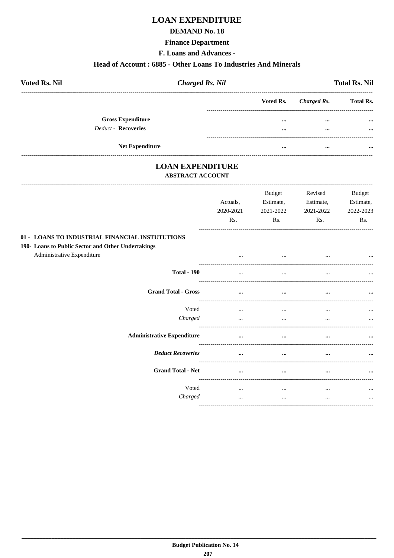# **LOAN EXPENDITURE**

### **DEMAND No. 18**

### **Finance Department**

F. Loans and Advances -

### Head of Account: 6885 - Other Loans To Industries And Minerals

| <b>Voted Rs. Nil</b>       | <b>Charged Rs. Nil</b> |                                     | <b>Total Rs. Nil</b> |
|----------------------------|------------------------|-------------------------------------|----------------------|
|                            |                        | Voted Rs. Charged Rs.               | <b>Total Rs.</b>     |
| <b>Gross Expenditure</b>   |                        | $\cdots$<br>$\cdots$                | $\cdots$             |
| <b>Deduct - Recoveries</b> |                        | $\bullet\bullet\bullet$<br>$\cdots$ | $\cdots$             |
| <b>Net Expenditure</b>     |                        | <br>$\cdots$                        |                      |

# **LOAN EXPENDITURE**

### **ABSTRACT ACCOUNT**

---------------------------------

|                                                                                                                                     | Actuals,<br>2020-2021<br>Rs. | <b>Budget</b><br>Estimate,<br>2021-2022<br>Rs. | Revised<br>Estimate,<br>2021-2022<br>Rs. | <b>Budget</b><br>Estimate,<br>2022-2023<br>Rs. |
|-------------------------------------------------------------------------------------------------------------------------------------|------------------------------|------------------------------------------------|------------------------------------------|------------------------------------------------|
| 01 - LOANS TO INDUSTRIAL FINANCIAL INSTUTUTIONS<br>190- Loans to Public Sector and Other Undertakings<br>Administrative Expenditure |                              |                                                |                                          |                                                |
| <b>Total - 190</b>                                                                                                                  |                              | $\cdots$                                       | <br>-------------                        |                                                |
| <b>Grand Total - Gross</b>                                                                                                          | $\cdots$                     | $\cdots$                                       | $\cdots$                                 | $\cdots$                                       |
| Voted<br>Charged                                                                                                                    | $\cdots$<br>$\cdots$         | $\cdots$<br>$\cdots$                           | $\cdots$<br>$\ddotsc$                    | $\cdots$                                       |
| <b>Administrative Expenditure</b>                                                                                                   | $\ddotsc$                    | $\ddotsc$                                      | $\ddotsc$                                |                                                |
| <b>Deduct Recoveries</b>                                                                                                            | $\cdots$                     | $\cdots$                                       | $\cdots$                                 |                                                |
| <b>Grand Total - Net</b>                                                                                                            | $\ddotsc$                    | $\ddotsc$                                      | $\ddotsc$                                |                                                |
| Voted<br>Charged                                                                                                                    | $\cdots$<br>$\cdots$         | $\cdots$<br>$\cdots$                           | $\cdots$<br>$\cdots$                     | $\cdots$<br>$\cdots$                           |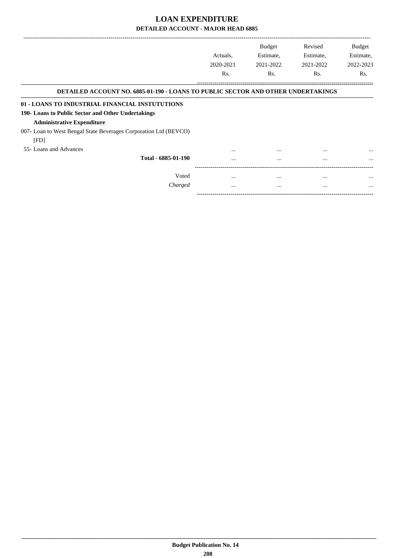|                                                                                         | Actuals,<br>2020-2021<br>R <sub>s</sub> . | <b>Budget</b><br>Estimate,<br>2021-2022<br>Rs. | Revised<br>Estimate,<br>2021-2022<br>Rs. | <b>Budget</b><br>Estimate,<br>2022-2023<br>Rs. |
|-----------------------------------------------------------------------------------------|-------------------------------------------|------------------------------------------------|------------------------------------------|------------------------------------------------|
| <b>DETAILED ACCOUNT NO. 6885-01-190 - LOANS TO PUBLIC SECTOR AND OTHER UNDERTAKINGS</b> |                                           |                                                |                                          |                                                |
| 01 - LOANS TO INDUSTRIAL FINANCIAL INSTUTUTIONS                                         |                                           |                                                |                                          |                                                |
| 190- Loans to Public Sector and Other Undertakings<br><b>Administrative Expenditure</b> |                                           |                                                |                                          |                                                |
| 007- Loan to West Bengal State Beverages Corporation Ltd (BEVCO)<br>[FD]                |                                           |                                                |                                          |                                                |
| 55- Loans and Advances                                                                  | $\cdots$                                  | $\cdots$                                       | $\cdots$                                 | $\cdots$                                       |
| Total - 6885-01-190                                                                     | $\cdots$                                  |                                                | $\cdots$                                 | $\cdots$                                       |
| Voted                                                                                   | $\cdots$                                  | $\cdots$                                       | $\cdots$                                 | $\cdots$                                       |
| Charged                                                                                 | $\cdots$                                  | $\cdots$                                       | $\cdots$                                 | $\cdots$                                       |

-----------------------------------------------------------------------------------------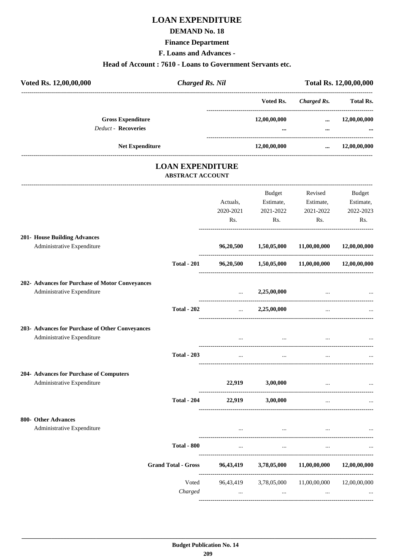# **LOAN EXPENDITURE**

### **DEMAND No. 18**

### **Finance Department**

F. Loans and Advances -

### Head of Account: 7610 - Loans to Government Servants etc.

| Voted Rs. 12,00,00,000                          | <b>Charged Rs. Nil</b>                             |           |                               |                                                    | Total Rs. 12,00,00,000 |
|-------------------------------------------------|----------------------------------------------------|-----------|-------------------------------|----------------------------------------------------|------------------------|
|                                                 |                                                    |           | Voted Rs.                     | Charged Rs. Total Rs.                              |                        |
| <b>Gross Expenditure</b><br>Deduct - Recoveries |                                                    |           | 12,00,00,000                  |                                                    | $\dots$ 12,00,00,000   |
|                                                 |                                                    |           |                               | $\cdots$                                           |                        |
| <b>Net Expenditure</b>                          |                                                    |           | 12,00,00,000                  | $\cdots$                                           | 12,00,00,000           |
|                                                 | <b>LOAN EXPENDITURE</b><br><b>ABSTRACT ACCOUNT</b> |           |                               |                                                    |                        |
|                                                 |                                                    |           | <b>Budget</b>                 | Revised                                            | Budget                 |
|                                                 |                                                    | Actuals,  |                               | Estimate, Estimate,                                | Estimate,              |
|                                                 |                                                    | 2020-2021 | 2021-2022                     | 2021-2022                                          | 2022-2023              |
|                                                 |                                                    | Rs.       | Rs.                           | Rs.                                                | Rs.                    |
| 201- House Building Advances                    |                                                    |           |                               |                                                    |                        |
| Administrative Expenditure                      |                                                    | 96,20,500 | 1,50,05,000 11,00,00,000      |                                                    | 12,00,00,000           |
|                                                 | <b>Total - 201</b>                                 |           |                               | 96,20,500  1,50,05,000  11,00,00,000  12,00,00,000 |                        |
| 202- Advances for Purchase of Motor Conveyances |                                                    |           |                               |                                                    |                        |
| Administrative Expenditure                      |                                                    |           | $\ldots$ 2,25,00,000          | and the control of the control of the              | $\ddots$               |
|                                                 | <b>Total - 202</b>                                 |           | $\ldots$ 2,25,00,000          |                                                    |                        |
| 203- Advances for Purchase of Other Conveyances |                                                    |           |                               |                                                    |                        |
| Administrative Expenditure                      |                                                    | $\cdots$  | the company of the company of | $\cdots$                                           |                        |
|                                                 | <b>Total - 203</b>                                 |           | $\cdots$                      |                                                    |                        |
| <b>204- Advances for Purchase of Computers</b>  |                                                    |           |                               |                                                    |                        |
| Administrative Expenditure                      |                                                    | 22,919    | 3,00,000                      |                                                    |                        |
|                                                 | <b>Total - 204</b>                                 | 22,919    | 3,00,000                      | $\cdots$                                           |                        |
| 800- Other Advances                             |                                                    |           |                               |                                                    |                        |
| Administrative Expenditure                      |                                                    | $\cdots$  | $\cdots$                      | $\ldots$                                           |                        |
|                                                 | <b>Total - 800</b>                                 | $\cdots$  | $\cdots$                      | $\cdots$                                           |                        |
|                                                 | <b>Grand Total - Gross</b>                         | 96,43,419 | 3,78,05,000                   | 11,00,00,000                                       | 12,00,00,000           |
|                                                 | Voted                                              | 96,43,419 | 3,78,05,000                   | 11,00,00,000                                       | 12,00,00,000           |
|                                                 | Charged                                            | $\cdots$  | $\cdots$                      | $\ldots$                                           | $\ddotsc$              |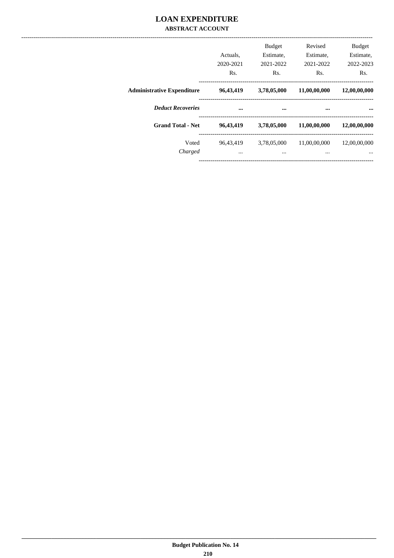### **LOAN EXPENDITURE ABSTRACT ACCOUNT**

|                                   | Actuals.<br>2020-2021<br>Rs. | <b>Budget</b><br>Estimate,<br>2021-2022<br>Rs. | Revised<br>Estimate.<br>2021-2022<br>Rs. | <b>Budget</b><br>Estimate,<br>2022-2023<br>Rs. |
|-----------------------------------|------------------------------|------------------------------------------------|------------------------------------------|------------------------------------------------|
| <b>Administrative Expenditure</b> | 96,43,419                    | 3,78,05,000                                    | 11,00,00,000                             | 12,00,00,000                                   |
| <b>Deduct Recoveries</b>          |                              | $\cdots$                                       | $\cdots$                                 |                                                |
| <b>Grand Total - Net</b>          | 96,43,419                    | 3,78,05,000                                    | 11,00,00,000                             | 12,00,00,000                                   |
|                                   |                              |                                                |                                          | 12,00,00,000                                   |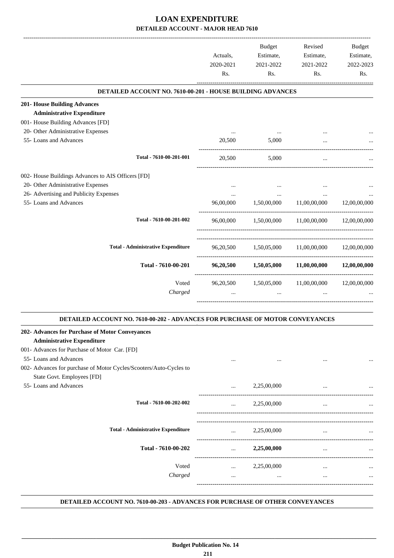|                                                                                      | Actuals,<br>2020-2021<br>Rs. | <b>Budget</b><br>Estimate,<br>2021-2022<br>Rs. | Revised<br>Estimate,<br>2021-2022<br>Rs.              | Budget<br>Estimate,<br>2022-2023<br>Rs. |
|--------------------------------------------------------------------------------------|------------------------------|------------------------------------------------|-------------------------------------------------------|-----------------------------------------|
| DETAILED ACCOUNT NO. 7610-00-201 - HOUSE BUILDING ADVANCES                           |                              |                                                |                                                       |                                         |
|                                                                                      |                              |                                                |                                                       |                                         |
| <b>201- House Building Advances</b><br><b>Administrative Expenditure</b>             |                              |                                                |                                                       |                                         |
| 001- House Building Advances [FD]                                                    |                              |                                                |                                                       |                                         |
| 20- Other Administrative Expenses                                                    |                              |                                                |                                                       |                                         |
| 55- Loans and Advances                                                               | 20,500                       | 5,000                                          |                                                       |                                         |
| Total - 7610-00-201-001                                                              | 20,500                       | 5,000                                          | $\cdots$                                              |                                         |
| 002- House Buildings Advances to AIS Officers [FD]                                   |                              |                                                |                                                       |                                         |
| 20- Other Administrative Expenses                                                    | $\cdots$                     | $\cdots$                                       |                                                       |                                         |
| 26- Advertising and Publicity Expenses                                               | $\cdots$                     | $\cdots$                                       | $\cdots$                                              |                                         |
| 55- Loans and Advances                                                               | 96,00,000                    | 1,50,00,000                                    | 11,00,00,000                                          | 12,00,00,000                            |
| Total - 7610-00-201-002                                                              |                              |                                                | 96,00,000   1,50,00,000   11,00,00,000   12,00,00,000 |                                         |
| <b>Total - Administrative Expenditure</b>                                            |                              |                                                | 96,20,500   1,50,05,000   11,00,00,000   12,00,00,000 |                                         |
| Total - 7610-00-201                                                                  |                              |                                                | 96,20,500 1,50,05,000 11,00,00,000 12,00,00,000       |                                         |
|                                                                                      |                              |                                                |                                                       |                                         |
| Voted<br>Charged                                                                     | $\cdots$                     | $\cdots$                                       | 96,20,500   1,50,05,000   11,00,00,000<br>$\cdots$    | 12,00,00,000                            |
| DETAILED ACCOUNT NO. 7610-00-202 - ADVANCES FOR PURCHASE OF MOTOR CONVEYANCES        |                              |                                                |                                                       |                                         |
| 202- Advances for Purchase of Motor Conveyances<br><b>Administrative Expenditure</b> |                              |                                                |                                                       |                                         |
| 001- Advances for Purchase of Motor Car. [FD]                                        |                              |                                                |                                                       |                                         |
| 55- Loans and Advances                                                               | $\cdots$                     |                                                |                                                       |                                         |
| 002- Advances for purchase of Motor Cycles/Scooters/Auto-Cycles to                   |                              |                                                |                                                       |                                         |
| State Govt. Employees [FD]                                                           |                              |                                                |                                                       |                                         |
| 55- Loans and Advances                                                               | $\cdots$                     | 2,25,00,000                                    |                                                       |                                         |
| Total - 7610-00-202-002                                                              | $\cdots$                     | 2,25,00,000                                    | $\cdots$                                              |                                         |
|                                                                                      |                              |                                                |                                                       |                                         |
| <b>Total - Administrative Expenditure</b>                                            | $\cdots$                     | 2,25,00,000                                    |                                                       |                                         |
| Total - 7610-00-202                                                                  | $\cdots$                     | 2,25,00,000                                    |                                                       |                                         |
| Voted                                                                                | $\cdots$                     | 2,25,00,000                                    |                                                       |                                         |
| Charged                                                                              | $\cdots$                     | $\cdots$                                       | $\cdots$                                              | $\ddots$                                |
|                                                                                      |                              |                                                |                                                       |                                         |

**DETAILED ACCOUNT NO. 7610-00-203 - ADVANCES FOR PURCHASE OF OTHER CONVEYANCES .**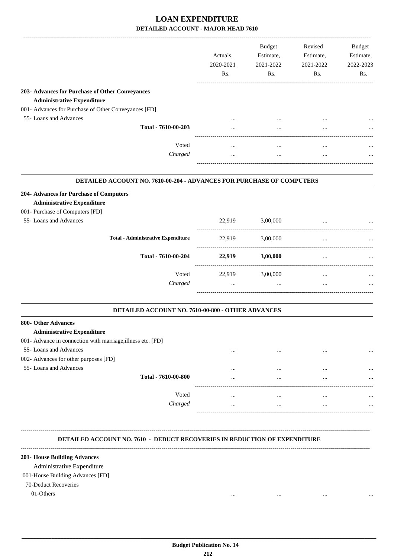|                                                      | Actuals.<br>2020-2021<br>Rs. | <b>Budget</b><br>Estimate,<br>2021-2022<br>Rs. | Revised<br>Estimate,<br>2021-2022<br>Rs. | <b>Budget</b><br>Estimate,<br>2022-2023<br>R <sub>s</sub> . |
|------------------------------------------------------|------------------------------|------------------------------------------------|------------------------------------------|-------------------------------------------------------------|
| 203- Advances for Purchase of Other Conveyances      |                              |                                                |                                          |                                                             |
| <b>Administrative Expenditure</b>                    |                              |                                                |                                          |                                                             |
| 001- Advances for Purchase of Other Conveyances [FD] |                              |                                                |                                          |                                                             |
| 55- Loans and Advances                               |                              | $\cdots$                                       | $\cdots$                                 |                                                             |
| Total - 7610-00-203                                  |                              | $\cdots$                                       |                                          |                                                             |
| Voted                                                | $\cdots$                     | $\cdots$                                       | $\cdots$                                 |                                                             |
| Charged                                              | $\cdots$                     | $\cdots$                                       | $\cdots$                                 | $\cdots$                                                    |

**.**

### **204- Advances for Purchase of Computers Administrative Expenditure**

### 001- Purchase of Computers [FD]

55- Loans and Advances

| ושיו |                                           | 22,919             | 3,00,000     | $\cdots$ | $\cdots$             |
|------|-------------------------------------------|--------------------|--------------|----------|----------------------|
|      | <b>Total - Administrative Expenditure</b> | 22,919             | 3,00,000     | $\cdots$ | $\cdots$             |
|      | Total - 7610-00-204                       | 22,919             | 3,00,000     | $\cdots$ | $\cdots$             |
|      | Voted<br>Charged                          | 22,919<br>$\cdots$ | 3,00,000<br> | <br>     | $\cdots$<br>$\cdots$ |
|      |                                           |                    |              |          |                      |

.

#### **DETAILED ACCOUNT NO. 7610-00-800 - OTHER ADVANCES .**

| 800- Other Advances                                         |          |          |          |          |
|-------------------------------------------------------------|----------|----------|----------|----------|
| <b>Administrative Expenditure</b>                           |          |          |          |          |
| 001- Advance in connection with marriage, illness etc. [FD] |          |          |          |          |
| 55- Loans and Advances                                      | $\cdots$ | $\cdots$ | $\cdots$ | $\cdots$ |
| 002- Advances for other purposes [FD]                       |          |          |          |          |
| 55-Loans and Advances                                       |          |          |          | $\cdots$ |
| Total - 7610-00-800                                         | $\cdots$ |          |          | $\cdots$ |
|                                                             |          |          |          |          |
| Voted                                                       | $\cdots$ | $\cdots$ | $\cdots$ | $\cdots$ |
| Charged                                                     | $\cdots$ | $\cdots$ |          |          |
|                                                             |          |          |          |          |

#### **-------------------------------------------------------------------------------------------------------------------------------------------------------------------------------- DETAILED ACCOUNT NO. 7610 - DEDUCT RECOVERIES IN REDUCTION OF EXPENDITURE**

# **--------------------------------------------------------------------------------------------------------------------------------------------------------------------------------**

### **201- House Building Advances**

Administrative Expenditure

001-House Building Advances [FD]

### 70-Deduct Recoveries

01-Others ... ... ... ...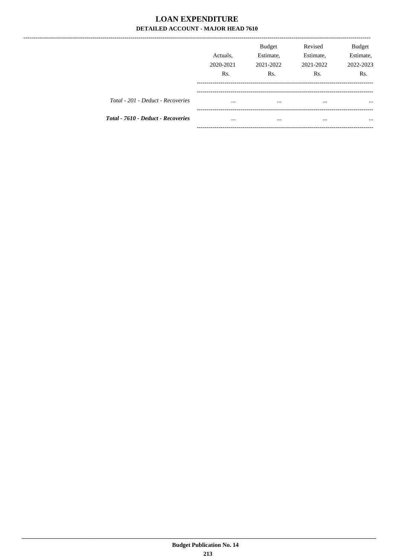--------------

|                                    | Actuals.<br>2020-2021<br>Rs. | <b>Budget</b><br>Estimate,<br>2021-2022<br>Rs. | Revised<br>Estimate,<br>2021-2022<br>Rs. | <b>Budget</b><br>Estimate,<br>2022-2023<br>Rs. |
|------------------------------------|------------------------------|------------------------------------------------|------------------------------------------|------------------------------------------------|
| Total - 201 - Deduct - Recoveries  | $\cdots$                     | $\cdots$                                       | $\cdots$                                 | $\cdots$                                       |
| Total - 7610 - Deduct - Recoveries | $\cdots$                     |                                                |                                          |                                                |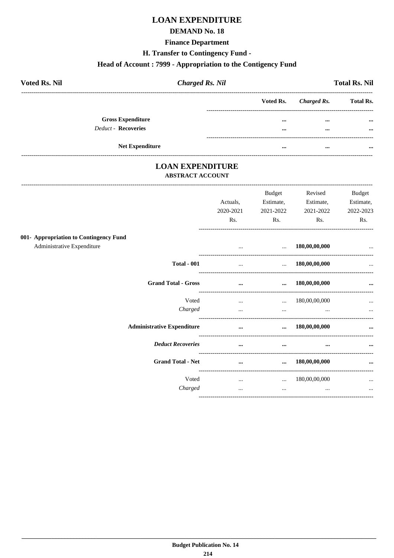# **LOAN EXPENDITURE**

# **DEMAND No. 18**

### **Finance Department**

H. Transfer to Contingency Fund -

# Head of Account: 7999 - Appropriation to the Contigency Fund

| <b>Voted Rs. Nil</b>       | <b>Charged Rs. Nil</b> | <b>Total Rs. Nil</b>  |                  |  |  |  |  |
|----------------------------|------------------------|-----------------------|------------------|--|--|--|--|
|                            |                        | Voted Rs. Charged Rs. | <b>Total Rs.</b> |  |  |  |  |
| <b>Gross Expenditure</b>   |                        | <br>$\cdots$          | $\cdots$         |  |  |  |  |
| <b>Deduct - Recoveries</b> |                        | <br>$\cdots$          | $\cdots$         |  |  |  |  |
|                            |                        |                       |                  |  |  |  |  |
|                            | <b>Net Expenditure</b> | <br>$\cdots$          | $\cdots$         |  |  |  |  |

# **LOAN EXPENDITURE**

------------------------------------

### **ABSTRACT ACCOUNT**

|           | <b>Budget</b> | Revised       | <b>Budget</b>                                                            |
|-----------|---------------|---------------|--------------------------------------------------------------------------|
| Actuals,  | Estimate,     | Estimate,     | Estimate,                                                                |
| 2020-2021 | 2021-2022     | 2021-2022     | 2022-2023                                                                |
| Rs.       | Rs.           | Rs.           | Rs.                                                                      |
|           |               |               |                                                                          |
| $\cdots$  | $\cdots$      | 180,00,00,000 |                                                                          |
| $\cdots$  |               |               |                                                                          |
| $\cdots$  | $\cdots$      | 180,00,00,000 | $\cdots$                                                                 |
| $\ddotsc$ | $\cdots$      |               |                                                                          |
| $\cdots$  | $\cdots$      |               | $\cdots$                                                                 |
| $\cdots$  | $\cdots$      |               | $\cdots$                                                                 |
| $\cdots$  | $\cdots$      |               | $\cdots$                                                                 |
| $\cdots$  | $\cdots$      | 180,00,00,000 | $\cdots$                                                                 |
| $\cdots$  | $\cdots$      |               |                                                                          |
| $\cdots$  | $\cdots$      | $\cdots$      | $\cdots$                                                                 |
|           |               |               | $\dots$ 180,00,00,000<br>180,00,00,000<br>180,00,00,000<br>180,00,00,000 |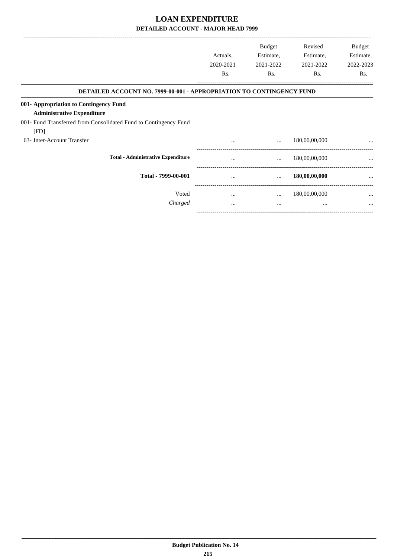# **LOAN EXPENDITURE DETAILED ACCOUNT - MAJOR HEAD 7999**

|                                                                                                                                                 | Actuals,<br>2020-2021 | <b>Budget</b><br>Estimate,<br>2021-2022 | Revised<br>Estimate,<br>2021-2022 | Budget<br>Estimate,<br>2022-2023 |
|-------------------------------------------------------------------------------------------------------------------------------------------------|-----------------------|-----------------------------------------|-----------------------------------|----------------------------------|
|                                                                                                                                                 | Rs.                   | Rs.                                     | Rs.                               | Rs.                              |
| <b>DETAILED ACCOUNT NO. 7999-00-001 - APPROPRIATION TO CONTINGENCY FUND</b>                                                                     |                       |                                         |                                   |                                  |
| 001- Appropriation to Contingency Fund<br><b>Administrative Expenditure</b><br>001- Fund Transferred from Consolidated Fund to Contingency Fund |                       |                                         |                                   |                                  |
| [FD]                                                                                                                                            |                       |                                         |                                   |                                  |
| 63- Inter-Account Transfer                                                                                                                      | $\cdots$              | $\cdots$                                | 180,00,00,000                     |                                  |
| <b>Total - Administrative Expenditure</b>                                                                                                       |                       | $\cdots$                                | 180,00,00,000                     | $\cdots$                         |
| Total - 7999-00-001                                                                                                                             | $\cdots$              | $\cdots$                                | 180,00,00,000                     |                                  |
| Voted                                                                                                                                           | $\cdots$              | $\cdots$                                | 180,00,00,000                     | $\cdots$                         |
| Charged                                                                                                                                         | $\cdots$              | $\cdots$                                | $\cdots$                          |                                  |
|                                                                                                                                                 |                       |                                         |                                   |                                  |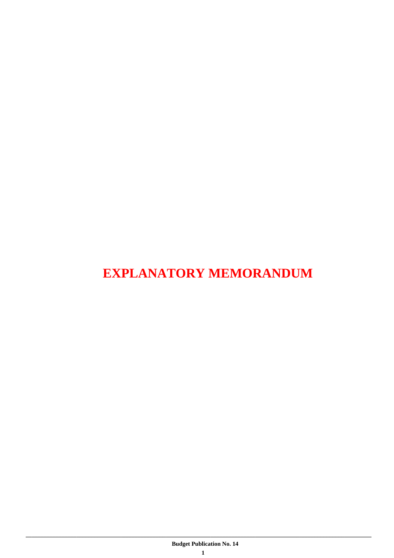# **EXPLANATORY MEMORANDUM**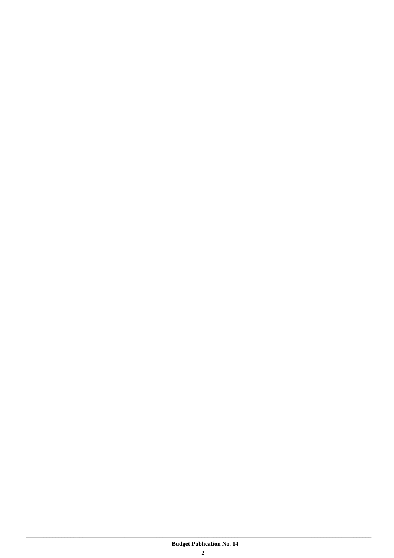# **Budget Publication No. 14**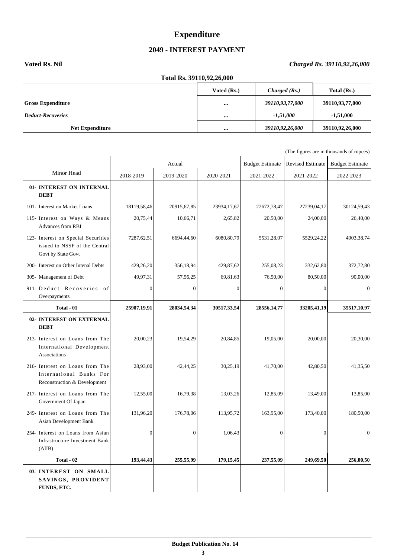# **Expenditure**

# **2049 - INTEREST PAYMENT**

# **Voted Rs. Nil** *Charged Rs. 39110,92,26,000*

**Total Rs. 39110,92,26,000**

|                          | Voted (Rs.) | Charged (Rs.)   | Total (Rs.)     |
|--------------------------|-------------|-----------------|-----------------|
| <b>Gross Expenditure</b> | $\cdots$    | 39110,93,77,000 | 39110,93,77,000 |
| <b>Deduct-Recoveries</b> | $\cdots$    | $-1,51,000$     | $-1,51,000$     |
| <b>Net Expenditure</b>   |             | 39110,92,26,000 | 39110,92,26,000 |

|                                                                                            |                |                |                |                        |                  | (The figures are in thousands of rupees) |
|--------------------------------------------------------------------------------------------|----------------|----------------|----------------|------------------------|------------------|------------------------------------------|
|                                                                                            |                | Actual         |                | <b>Budget Estimate</b> | Revised Estimate | <b>Budget Estimate</b>                   |
| Minor Head                                                                                 | 2018-2019      | 2019-2020      | 2020-2021      | 2021-2022              | 2021-2022        | 2022-2023                                |
| 01- INTEREST ON INTERNAL<br><b>DEBT</b>                                                    |                |                |                |                        |                  |                                          |
| 101- Interest on Market Loans                                                              | 18119,58,46    | 20915,67,85    | 23934,17,67    | 22672,78,47            | 27239,04,17      | 30124,59,43                              |
| 115- Interest on Ways & Means<br><b>Advances from RBI</b>                                  | 20,75,44       | 10,66,71       | 2,65,82        | 20,50,00               | 24,00,00         | 26,40,00                                 |
| 123- Interest on Special Securities<br>issued to NSSF of the Central<br>Govt by State Govt | 7287,62,51     | 6694,44,60     | 6080,80,79     | 5531,28,07             | 5529,24,22       | 4903,38,74                               |
| 200- Interest on Other Intenal Debts                                                       | 429,26,20      | 356,18,94      | 429,87,62      | 255,08,23              | 332,62,80        | 372,72,80                                |
| 305- Management of Debt                                                                    | 49,97,31       | 57, 56, 25     | 69,81,63       | 76,50,00               | 80,50,00         | 90,00,00                                 |
| 911- Deduct Recoveries of<br>Overpayments                                                  | $\overline{0}$ | $\overline{0}$ | $\overline{0}$ | $\overline{0}$         | $\overline{0}$   | $\mathbf{0}$                             |
| Total - 01                                                                                 | 25907,19,91    | 28034,54,34    | 30517,33,54    | 28556,14,77            | 33205,41,19      | 35517,10,97                              |
| 02- INTEREST ON EXTERNAL<br><b>DEBT</b>                                                    |                |                |                |                        |                  |                                          |
| 213- Interest on Loans from The<br>International Development<br>Associations               | 20,00,23       | 19,54,29       | 20,84,85       | 19,05,00               | 20,00,00         | 20,30,00                                 |
| 216- Interest on Loans from The<br>International Banks For<br>Reconstruction & Development | 28,93,00       | 42,44,25       | 30,25,19       | 41,70,00               | 42,80,50         | 41,35,50                                 |
| 217- Interest on Loans from The<br>Government Of Japan                                     | 12,55,00       | 16,79,38       | 13,03,26       | 12,85,09               | 13,49,00         | 13,85,00                                 |
| 249- Interest on Loans from The<br><b>Asian Development Bank</b>                           | 131,96,20      | 176,78,06      | 113,95,72      | 163,95,00              | 173,40,00        | 180,50,00                                |
| 254- Interest on Loans from Asian<br>Infrastructure Investment Bank<br>(AIIB)              | $\overline{0}$ | $\overline{0}$ | 1,06,43        | $\overline{0}$         | $\Omega$         | $\mathbf{0}$                             |
| Total - 02                                                                                 | 193,44,43      | 255,55,99      | 179, 15, 45    | 237,55,09              | 249,69,50        | 256,00,50                                |
| 03-INTEREST ON SMALL<br>SAVINGS, PROVIDENT<br>FUNDS, ETC.                                  |                |                |                |                        |                  |                                          |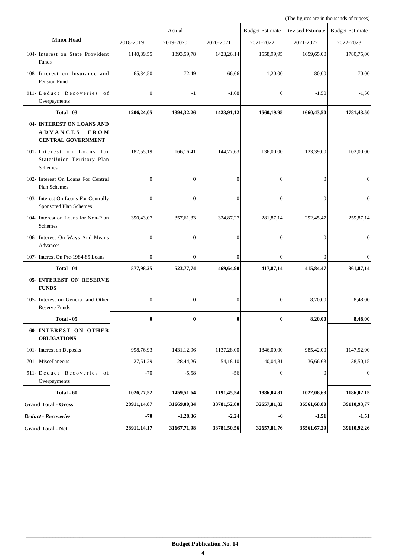(The figures are in thousands of rupees)

|                                                                                   |                | Actual         |                  | <b>Budget Estimate</b> | <b>Revised Estimate</b> | <b>Budget Estimate</b> |
|-----------------------------------------------------------------------------------|----------------|----------------|------------------|------------------------|-------------------------|------------------------|
| Minor Head                                                                        | 2018-2019      | 2019-2020      | 2020-2021        | 2021-2022              | 2021-2022               | 2022-2023              |
| 104- Interest on State Provident<br>Funds                                         | 1140,89,55     | 1393,59,78     | 1423, 26, 14     | 1558,99,95             | 1659,65,00              | 1780,75,00             |
| 108- Interest on Insurance and<br>Pension Fund                                    | 65, 34, 50     | 72,49          | 66,66            | 1,20,00                | 80,00                   | 70,00                  |
| 911- Deduct Recoveries of<br>Overpayments                                         | $\overline{0}$ | $-1$           | $-1,68$          | $\mathbf{0}$           | $-1,50$                 | $-1,50$                |
| Total - 03                                                                        | 1206,24,05     | 1394, 32, 26   | 1423,91,12       | 1560,19,95             | 1660,43,50              | 1781,43,50             |
| 04- INTEREST ON LOANS AND<br>ADVANCES<br><b>FROM</b><br><b>CENTRAL GOVERNMENT</b> |                |                |                  |                        |                         |                        |
| 101-Interest on Loans for<br>State/Union Territory Plan<br>Schemes                | 187,55,19      | 166,16,41      | 144,77,63        | 136,00,00              | 123,39,00               | 102,00,00              |
| 102- Interest On Loans For Central<br>Plan Schemes                                | $\theta$       | $\mathbf{0}$   | $\overline{0}$   | $\mathbf{0}$           | $\overline{0}$          | $\mathbf{0}$           |
| 103- Interest On Loans For Centrally<br>Sponsored Plan Schemes                    | $\theta$       | $\Omega$       | $\overline{0}$   | $\Omega$               | $\Omega$                | $\overline{0}$         |
| 104- Interest on Loans for Non-Plan<br>Schemes                                    | 390,43,07      | 357,61,33      | 324, 87, 27      | 281,87,14              | 292,45,47               | 259,87,14              |
| 106- Interest On Ways And Means<br>Advances                                       | $\theta$       | $\overline{0}$ | $\mathbf{0}$     | $\mathbf{0}$           | $\Omega$                | $\Omega$               |
| 107- Interest On Pre-1984-85 Loans                                                | $\theta$       | $\Omega$       | $\Omega$         | $\Omega$               | $\Omega$                | $\Omega$               |
| Total - 04                                                                        | 577,98,25      | 523,77,74      | 469,64,90        | 417,87,14              | 415,84,47               | 361,87,14              |
| 05- INTEREST ON RESERVE<br><b>FUNDS</b>                                           |                |                |                  |                        |                         |                        |
| 105- Interest on General and Other<br><b>Reserve Funds</b>                        | 0              | $\mathbf{0}$   | $\boldsymbol{0}$ | $\mathbf{0}$           | 8,20,00                 | 8.48.00                |
| Total - 05                                                                        | 0              | v              | $\boldsymbol{0}$ | $\boldsymbol{0}$       | 8,20,00                 | 8,48,00                |
| <b>60-INTEREST ON OTHER</b><br><b>OBLIGATIONS</b>                                 |                |                |                  |                        |                         |                        |
| 101- Interest on Deposits                                                         | 998,76,93      | 1431,12,96     | 1137,28,00       | 1846,00,00             | 985,42,00               | 1147,52,00             |
| 701- Miscellaneous                                                                | 27,51,29       | 28,44,26       | 54,18,10         | 40,04,81               | 36,66,63                | 38,50,15               |
| 911- Deduct Recoveries of<br>Overpayments                                         | $-70$          | $-5,58$        | $-56$            | $\boldsymbol{0}$       | $\overline{0}$          | $\mathbf{0}$           |
| Total - 60                                                                        | 1026,27,52     | 1459,51,64     | 1191,45,54       | 1886,04,81             | 1022,08,63              | 1186,02,15             |
| <b>Grand Total - Gross</b>                                                        | 28911,14,87    | 31669,00,34    | 33781,52,80      | 32657,81,82            | 36561,68,80             | 39110,93,77            |
| <b>Deduct - Recoveries</b>                                                        | -70            | $-1,28,36$     | $-2,24$          | -6                     | $-1,51$                 | $-1,51$                |
| <b>Grand Total - Net</b>                                                          | 28911,14,17    | 31667,71,98    | 33781,50,56      | 32657,81,76            | 36561,67,29             | 39110,92,26            |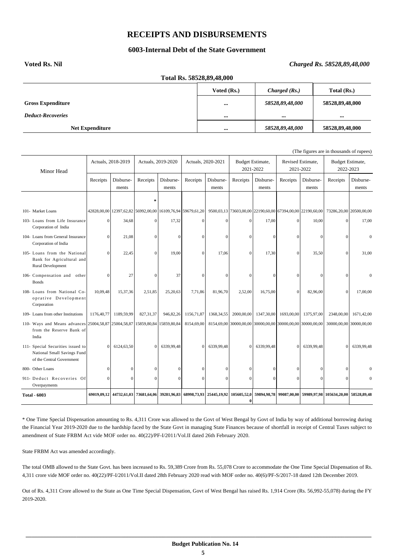# **RECEIPTS AND DISBURSEMENTS**

### **6003-Internal Debt of the State Government**

### **Voted Rs. Nil** *Charged Rs. 58528,89,48,000*

**Total Rs. 58528,89,48,000**

|                          | Voted (Rs.) | Charged (Rs.)   | Total (Rs.)     |
|--------------------------|-------------|-----------------|-----------------|
| <b>Gross Expenditure</b> | $\cdots$    | 58528,89,48,000 | 58528,89,48,000 |
| <b>Deduct-Recoveries</b> | $\cdots$    | $\cdots$        | $\cdots$        |
| <b>Net Expenditure</b>   | $\cdots$    | 58528,89,48,000 | 58528,89,48,000 |

|                                                                                                                   |                    |                    |                                                             |                    |                    |                    |                                                            |                    |                                |                    | (The figures are in thousands of rupees) |                         |
|-------------------------------------------------------------------------------------------------------------------|--------------------|--------------------|-------------------------------------------------------------|--------------------|--------------------|--------------------|------------------------------------------------------------|--------------------|--------------------------------|--------------------|------------------------------------------|-------------------------|
| Minor Head                                                                                                        | Actuals, 2018-2019 |                    | Actuals, 2019-2020                                          |                    | Actuals, 2020-2021 |                    | Budget Estimate,<br>2021-2022                              |                    | Revised Estimate,<br>2021-2022 |                    | Budget Estimate,<br>2022-2023            |                         |
|                                                                                                                   | Receipts           | Disburse-<br>ments | Receipts                                                    | Disburse-<br>ments | Receipts           | Disburse-<br>ments | Receipts                                                   | Disburse-<br>ments | Receipts                       | Disburse-<br>ments | Receipts                                 | Disburse-<br>ments      |
|                                                                                                                   |                    |                    | $\ast$                                                      |                    |                    |                    |                                                            |                    |                                |                    |                                          |                         |
| 101- Market Loans                                                                                                 |                    |                    | 42828,00,00 12397,62,82 56992,00,00 16109,76,94 59679,61,20 |                    |                    |                    | 9500,03,13 73603,00,00 22190,60,00 67394,00,00 22190,60,00 |                    |                                |                    | 73286,20,00 20500,00,00                  |                         |
| 103- Loans from Life Insurance<br>Corporation of India                                                            | $\overline{0}$     | 34,68              | $\overline{0}$                                              | 17,32              | $\Omega$           | $\Omega$           | $\Omega$                                                   | 17,00              | $\Omega$                       | 10,00              | $\overline{0}$                           | 17,00                   |
| 104- Loans from General Insurance<br>Corporation of India                                                         | $\mathbf{0}$       | 21,08              | $\mathbf{0}$                                                | $\mathbf{0}$       | $\theta$           | $\Omega$           | $\Omega$                                                   | $\Omega$           | $\Omega$                       | $\theta$           | $\Omega$                                 | $\Omega$                |
| 105- Loans from the National<br>Bank for Agricultural and<br>Rural Development                                    | $\overline{0}$     | 22,45              | $\mathbf{0}$                                                | 19,00              | $\overline{0}$     | 17,06              | $\Omega$                                                   | 17,30              | $\Omega$                       | 35,50              | $\Omega$                                 | 31,00                   |
| 106- Compensation and<br>other<br><b>Bonds</b>                                                                    | $\Omega$           | 27                 | $\Omega$                                                    | 37                 | $\theta$           | $\Omega$           | $\Omega$                                                   | $\Omega$           | $\Omega$                       | $\Omega$           | $\Omega$                                 |                         |
| 108- Loans from National Co-<br>oprative Development<br>Corporation                                               | 10,09,48           | 15,37,36           | 2.51.85                                                     | 25,20,63           | 7.71.86            | 81,96,70           | 2,52,00                                                    | 16,75,00           | $\Omega$                       | 82,96,00           | $\Omega$                                 | 17,00,00                |
| 109- Loans from other Institutions                                                                                | 1176,40,77         | 1189,59,99         | 827, 31, 37                                                 | 946,82,26          | 1156,71,87         | 1368, 34, 55       | 2000,00,00                                                 | 1347,30,00         | 1693,00,00                     | 1375,97,00         | 2348,00,00                               | 1671,42,00              |
| 110- Ways and Means advances 25004,58,87 25004,58,87 15859,80,84 15859,80,84<br>from the Reserve Bank of<br>India |                    |                    |                                                             |                    | 8154,69,00         |                    | 8154,69,00 30000,00,00 30000,00,00 30000,00,00 30000,00,00 |                    |                                |                    |                                          | 30000,00,00 30000,00,00 |
| 111- Special Securities issued to<br>National Small Savings Fund<br>of the Central Government                     | $\overline{0}$     | 6124,63,50         | $\mathbf{0}$                                                | 6339,99,48         | $\mathbf{0}$       | 6339,99,48         | $\Omega$                                                   | 6339,99,48         | $\Omega$                       | 6339,99,48         | $\overline{0}$                           | 6339,99,48              |
| 800- Other Loans                                                                                                  | $\Omega$           | $\Omega$           | $\overline{0}$                                              | $\mathbf{0}$       | $\overline{0}$     | $\Omega$           | $\Omega$                                                   | $\Omega$           | $\Omega$                       | $\Omega$           | $\Omega$                                 |                         |
| 911- Deduct Recoveries Of<br>Overpayments                                                                         | $\Omega$           | $\Omega$           | $\theta$                                                    | $\Omega$           | $\theta$           | $\Omega$           | $\Omega$                                                   | $\Omega$           | $\Omega$                       | $\Omega$           | $\Omega$                                 |                         |
| <b>Total - 6003</b>                                                                                               | 69019,09,12        | 44732,61,03        | 73681,64,06                                                 | 39281,96,83        | 68998,73,93        | 25445,19,92        | 105605,52,0                                                |                    | 59894,98,78 99087,00,00        | 59989,97,98        | 105634,20,00                             | 58528,89,48             |

\* One Time Special Dispensation amounting to Rs. 4,311 Crore was allowed to the Govt of West Bengal by Govt of India by way of additional borrowing during the Financial Year 2019-2020 due to the hardship faced by the State Govt in managing State Finances because of shortfall in receipt of Central Taxes subject to amendment of State FRBM Act vide MOF order no. 40(22)/PF-I/2011/Vol.II dated 26th February 2020.

State FRBM Act was amended accordingly.

The total OMB allowed to the State Govt. has been increased to Rs. 59,389 Crore from Rs. 55,078 Crore to accommodate the One Time Special Dispensation of Rs. 4,311 crore vide MOF order no. 40(22)/PF-I/2011/Vol.II dated 28th February 2020 read with MOF order no. 40(6)/PF-S/2017-18 dated 12th December 2019.

Out of Rs. 4,311 Crore allowed to the State as One Time Special Dispensation, Govt of West Bengal has raised Rs. 1,914 Crore (Rs. 56,992-55,078) during the FY 2019-2020.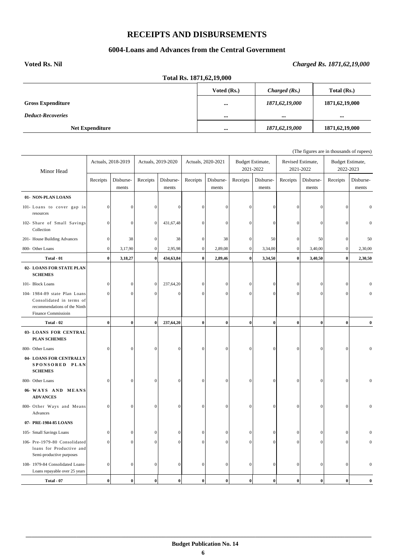# **RECEIPTS AND DISBURSEMENTS**

### **6004-Loans and Advances from the Central Government**

## **Voted Rs. Nil** *Charged Rs. 1871,62,19,000*

| Total Rs. 1871,62,19,000 |  |  |  |  |  |  |  |
|--------------------------|--|--|--|--|--|--|--|
|--------------------------|--|--|--|--|--|--|--|

|                          | Voted (Rs.) | Charged (Rs.)  | Total (Rs.)       |
|--------------------------|-------------|----------------|-------------------|
| <b>Gross Expenditure</b> | $\cdots$    | 1871,62,19,000 | 1871, 62, 19, 000 |
| <b>Deduct-Recoveries</b> | $\cdots$    | $\cdots$       | $\cdots$          |
| <b>Net Expenditure</b>   | $\cdots$    | 1871,62,19,000 | 1871, 62, 19, 000 |

|                                                                                                                  |                    |                    |                  |                    |                    |                    |                               |                    |                  |                                | (The figures are in thousands of rupees) |                    |
|------------------------------------------------------------------------------------------------------------------|--------------------|--------------------|------------------|--------------------|--------------------|--------------------|-------------------------------|--------------------|------------------|--------------------------------|------------------------------------------|--------------------|
| Minor Head                                                                                                       | Actuals, 2018-2019 |                    |                  | Actuals, 2019-2020 | Actuals, 2020-2021 |                    | Budget Estimate,<br>2021-2022 |                    |                  | Revised Estimate,<br>2021-2022 | Budget Estimate,<br>2022-2023            |                    |
|                                                                                                                  | Receipts           | Disburse-<br>ments | Receipts         | Disburse-<br>ments | Receipts           | Disburse-<br>ments | Receipts                      | Disburse-<br>ments | Receipts         | Disburse-<br>ments             | Receipts                                 | Disburse-<br>ments |
| 01- NON-PLAN LOANS                                                                                               |                    |                    |                  |                    |                    |                    |                               |                    |                  |                                |                                          |                    |
| 101- Loans to cover gap in<br>resources                                                                          | $\boldsymbol{0}$   | $\mathbf{0}$       | $\boldsymbol{0}$ | $\boldsymbol{0}$   | $\boldsymbol{0}$   | $\Omega$           | $\theta$                      | $\Omega$           | $\Omega$         | $\boldsymbol{0}$               | $\Omega$                                 |                    |
| 102- Share of Small Savings<br>Collection                                                                        | $\mathbf{0}$       | $\mathbf{0}$       | $\boldsymbol{0}$ | 431,67,48          | $\theta$           | $\Omega$           | C                             | $\Omega$           | $\Omega$         | $\theta$                       |                                          |                    |
| 201- House Building Advances                                                                                     | $\mathbf{0}$       | 38                 | $\mathbf{0}$     | 38                 | $\theta$           | 38                 | C                             | 50                 | $\Omega$         | 50                             | $\mathbf{0}$                             | 50                 |
| 800- Other Loans                                                                                                 | $\boldsymbol{0}$   | 3,17,90            | $\mathbf{0}$     | 2,95,98            | $\boldsymbol{0}$   | 2,89,08            | $\boldsymbol{0}$              | 3,34,00            | $\boldsymbol{0}$ | 3,40,00                        | $\boldsymbol{0}$                         | 2,30,00            |
| Total - 01                                                                                                       | $\bf{0}$           | 3,18,27            | $\bf{0}$         | 434,63,84          | $\bf{0}$           | 2,89,46            | $\bf{0}$                      | 3,34,50            | $\bf{0}$         | 3,40,50                        | $\bf{0}$                                 | 2,30,50            |
| 02-LOANS FOR STATE PLAN<br><b>SCHEMES</b>                                                                        |                    |                    |                  |                    |                    |                    |                               |                    |                  |                                |                                          |                    |
| 101- Block Loans                                                                                                 | $\theta$           | $\mathbf{0}$       | $\mathbf{0}$     | 237,64,20          | $\boldsymbol{0}$   | $\Omega$           | $\Omega$                      | $\mathbf{0}$       | $\overline{0}$   | $\boldsymbol{0}$               | $\mathbf{0}$                             |                    |
| 104- 1984-89 state Plan Loans<br>Consolidated in terms of<br>recommendations of the Ninth<br>Finance Commissioin | $\overline{0}$     | $\overline{0}$     | $\mathbf{0}$     | $\mathbf{0}$       | $\overline{0}$     | $\Omega$           | $\sqrt{ }$                    | $\Omega$           | $\Omega$         | $\overline{0}$                 | $\Omega$                                 |                    |
| Total - 02                                                                                                       | $\pmb{0}$          | $\bf{0}$           | $\bf{0}$         | 237,64,20          | $\bf{0}$           | $\bf{0}$           | $\bf{0}$                      | $\bf{0}$           | $\bf{0}$         | $\bf{0}$                       | $\bf{0}$                                 | $\bf{0}$           |
| 03- LOANS FOR CENTRAL<br><b>PLAN SCHEMES</b>                                                                     |                    |                    |                  |                    |                    |                    |                               |                    |                  |                                |                                          |                    |
| 800- Other Loans                                                                                                 | $\overline{0}$     | $\overline{0}$     | $\mathbf{0}$     | $\mathbf{0}$       | $\overline{0}$     | $\mathbf{0}$       | $\mathbf{0}$                  | $\overline{0}$     | $\mathbf{0}$     | $\overline{0}$                 | $\mathbf{0}$                             |                    |
| 04- LOANS FOR CENTRALLY<br>SPONSORED PLAN<br><b>SCHEMES</b>                                                      |                    |                    |                  |                    |                    |                    |                               |                    |                  |                                |                                          |                    |
| 800- Other Loans                                                                                                 | $\overline{0}$     | $\overline{0}$     | $\boldsymbol{0}$ | $\mathbf{0}$       | $\boldsymbol{0}$   | $\Omega$           | $\Omega$                      | $\Omega$           | $\mathbf{0}$     | $\boldsymbol{0}$               | $\overline{0}$                           |                    |
| 06-WAYS AND MEANS<br><b>ADVANCES</b>                                                                             |                    |                    |                  |                    |                    |                    |                               |                    |                  |                                |                                          |                    |
| 800- Other Ways and Means<br>Advances                                                                            | $\overline{0}$     | $\overline{0}$     | $\overline{0}$   | $\overline{0}$     | $\overline{0}$     | $\Omega$           | $\Omega$                      | $\theta$           | $\overline{0}$   | $\mathbf{0}$                   | $\Omega$                                 |                    |
| 07-PRE-1984-85 LOANS                                                                                             |                    |                    |                  |                    |                    |                    |                               |                    |                  |                                |                                          |                    |
| 105- Small Savings Loans                                                                                         | $\Omega$           | $\mathbf{0}$       | $\boldsymbol{0}$ | $\mathbf{0}$       | $\boldsymbol{0}$   | $\Omega$           | $\Omega$                      | $\Omega$           | $\boldsymbol{0}$ | $\boldsymbol{0}$               | $\Omega$                                 |                    |
| 106- Pre-1979-80 Consolidated<br>loans for Productive and<br>Semi-productive purposes                            | $\Omega$           | $\Omega$           | $\overline{0}$   | $\theta$           | $\overline{0}$     | $\Omega$           | $\Omega$                      | $\Omega$           | $\Omega$         | $\Omega$                       | $\Omega$                                 |                    |
| 108-1979-84 Consolidated Loans-<br>Loans repayable over 25 years                                                 | $\mathbf 0$        | $\mathbf{0}$       | $\boldsymbol{0}$ | $\boldsymbol{0}$   | $\overline{0}$     | $\theta$           | $\overline{0}$                | $\overline{0}$     | $\overline{0}$   | $\boldsymbol{0}$               | $\mathbf{0}$                             | $\Omega$           |
| Total - 07                                                                                                       | $\bf{0}$           | $\bf{0}$           | $\bf{0}$         | $\bf{0}$           | $\bf{0}$           | $\bf{0}$           | $\bf{0}$                      | $\bf{0}$           | $\bf{0}$         | $\bf{0}$                       | $\bf{0}$                                 | $\bf{0}$           |